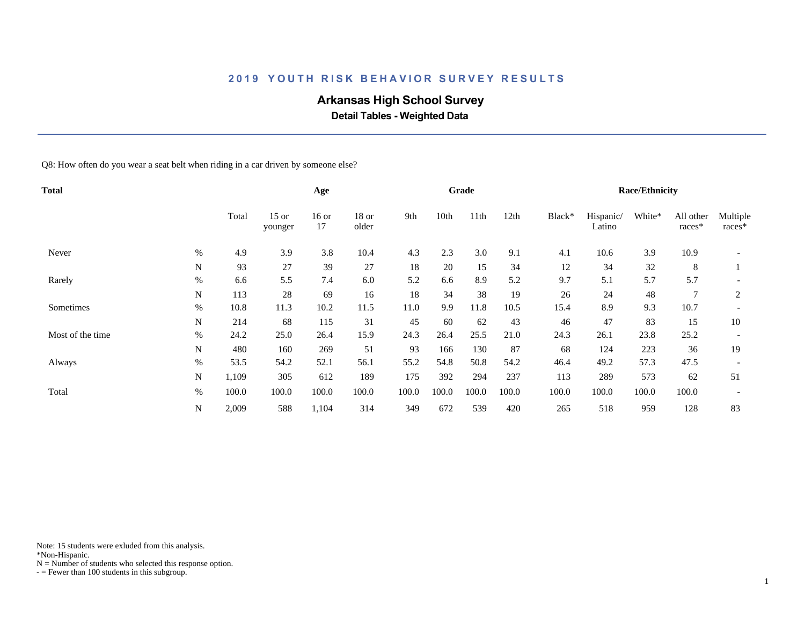# **Arkansas High School Survey**

 **Detail Tables - Weighted Data**

Q8: How often do you wear a seat belt when riding in a car driven by someone else?

| Total            |      |       |                    | Age           |                |       |       | Grade |       |        |                     | <b>Race/Ethnicity</b> |                     |                    |
|------------------|------|-------|--------------------|---------------|----------------|-------|-------|-------|-------|--------|---------------------|-----------------------|---------------------|--------------------|
|                  |      | Total | $15$ or<br>younger | $16$ or<br>17 | 18 or<br>older | 9th   | 10th  | 11th  | 12th  | Black* | Hispanic/<br>Latino | White*                | All other<br>races* | Multiple<br>races* |
| Never            | %    | 4.9   | 3.9                | 3.8           | 10.4           | 4.3   | 2.3   | 3.0   | 9.1   | 4.1    | 10.6                | 3.9                   | 10.9                |                    |
|                  | N    | 93    | 27                 | 39            | 27             | 18    | 20    | 15    | 34    | 12     | 34                  | 32                    | 8                   |                    |
| Rarely           | $\%$ | 6.6   | 5.5                | 7.4           | 6.0            | 5.2   | 6.6   | 8.9   | 5.2   | 9.7    | 5.1                 | 5.7                   | 5.7                 |                    |
|                  | N    | 113   | 28                 | 69            | 16             | 18    | 34    | 38    | 19    | 26     | 24                  | 48                    |                     | $\overline{2}$     |
| Sometimes        | $\%$ | 10.8  | 11.3               | 10.2          | 11.5           | 11.0  | 9.9   | 11.8  | 10.5  | 15.4   | 8.9                 | 9.3                   | 10.7                |                    |
|                  | N    | 214   | 68                 | 115           | 31             | 45    | 60    | 62    | 43    | 46     | 47                  | 83                    | 15                  | 10                 |
| Most of the time | $\%$ | 24.2  | 25.0               | 26.4          | 15.9           | 24.3  | 26.4  | 25.5  | 21.0  | 24.3   | 26.1                | 23.8                  | 25.2                |                    |
|                  | N    | 480   | 160                | 269           | 51             | 93    | 166   | 130   | 87    | 68     | 124                 | 223                   | 36                  | 19                 |
| Always           | $\%$ | 53.5  | 54.2               | 52.1          | 56.1           | 55.2  | 54.8  | 50.8  | 54.2  | 46.4   | 49.2                | 57.3                  | 47.5                |                    |
|                  | N    | 1,109 | 305                | 612           | 189            | 175   | 392   | 294   | 237   | 113    | 289                 | 573                   | 62                  | 51                 |
| Total            | $\%$ | 100.0 | 100.0              | 100.0         | 100.0          | 100.0 | 100.0 | 100.0 | 100.0 | 100.0  | 100.0               | 100.0                 | 100.0               |                    |
|                  | N    | 2,009 | 588                | 1,104         | 314            | 349   | 672   | 539   | 420   | 265    | 518                 | 959                   | 128                 | 83                 |

Note: 15 students were exluded from this analysis.

\*Non-Hispanic.

 $N =$  Number of students who selected this response option.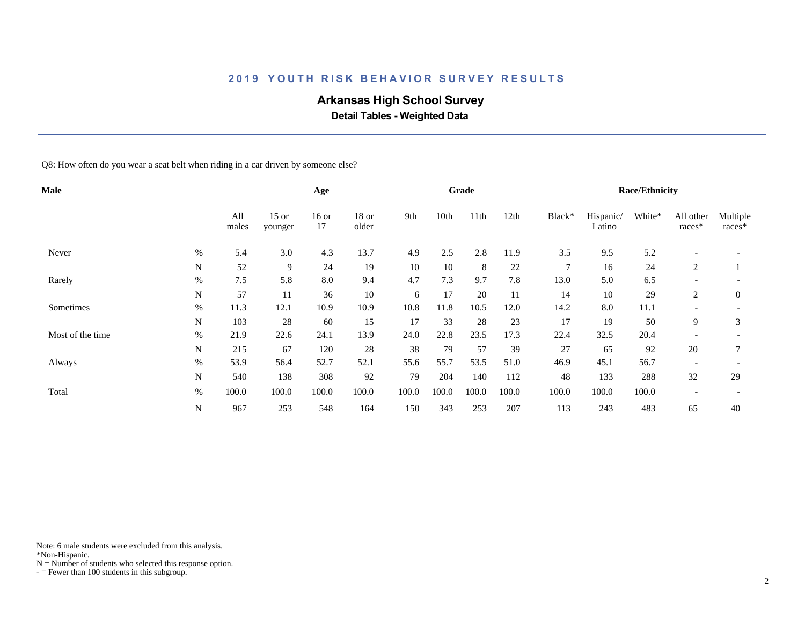# **Arkansas High School Survey**

 **Detail Tables - Weighted Data**

Q8: How often do you wear a seat belt when riding in a car driven by someone else?

| Male             |           |              |                    | Age           |                |       |       | Grade |       |                |                     | <b>Race/Ethnicity</b> |                          |                    |
|------------------|-----------|--------------|--------------------|---------------|----------------|-------|-------|-------|-------|----------------|---------------------|-----------------------|--------------------------|--------------------|
|                  |           | All<br>males | $15$ or<br>younger | $16$ or<br>17 | 18 or<br>older | 9th   | 10th  | 11th  | 12th  | Black*         | Hispanic/<br>Latino | White*                | All other<br>races*      | Multiple<br>races* |
| Never            | $\%$      | 5.4          | 3.0                | 4.3           | 13.7           | 4.9   | 2.5   | 2.8   | 11.9  | 3.5            | 9.5                 | 5.2                   |                          |                    |
|                  | N         | 52           | 9                  | 24            | 19             | 10    | 10    | 8     | 22    | $\overline{7}$ | 16                  | 24                    | 2                        |                    |
| Rarely           | $\%$      | 7.5          | 5.8                | 8.0           | 9.4            | 4.7   | 7.3   | 9.7   | 7.8   | 13.0           | 5.0                 | 6.5                   |                          |                    |
|                  | ${\bf N}$ | 57           | 11                 | 36            | 10             | 6     | 17    | 20    | 11    | 14             | 10                  | 29                    | 2                        | $\overline{0}$     |
| Sometimes        | $\%$      | 11.3         | 12.1               | 10.9          | 10.9           | 10.8  | 11.8  | 10.5  | 12.0  | 14.2           | $8.0\,$             | 11.1                  |                          |                    |
|                  | N         | 103          | 28                 | 60            | 15             | 17    | 33    | 28    | 23    | 17             | 19                  | 50                    | 9                        | 3                  |
| Most of the time | $\%$      | 21.9         | 22.6               | 24.1          | 13.9           | 24.0  | 22.8  | 23.5  | 17.3  | 22.4           | 32.5                | 20.4                  |                          |                    |
|                  | ${\bf N}$ | 215          | 67                 | 120           | 28             | 38    | 79    | 57    | 39    | 27             | 65                  | 92                    | 20                       |                    |
| Always           | $\%$      | 53.9         | 56.4               | 52.7          | 52.1           | 55.6  | 55.7  | 53.5  | 51.0  | 46.9           | 45.1                | 56.7                  |                          |                    |
|                  | N         | 540          | 138                | 308           | 92             | 79    | 204   | 140   | 112   | 48             | 133                 | 288                   | 32                       | 29                 |
| Total            | $\%$      | 100.0        | 100.0              | 100.0         | 100.0          | 100.0 | 100.0 | 100.0 | 100.0 | 100.0          | 100.0               | 100.0                 | $\overline{\phantom{a}}$ |                    |
|                  | ${\bf N}$ | 967          | 253                | 548           | 164            | 150   | 343   | 253   | 207   | 113            | 243                 | 483                   | 65                       | 40                 |

Note: 6 male students were excluded from this analysis.

\*Non-Hispanic.

 $N =$  Number of students who selected this response option.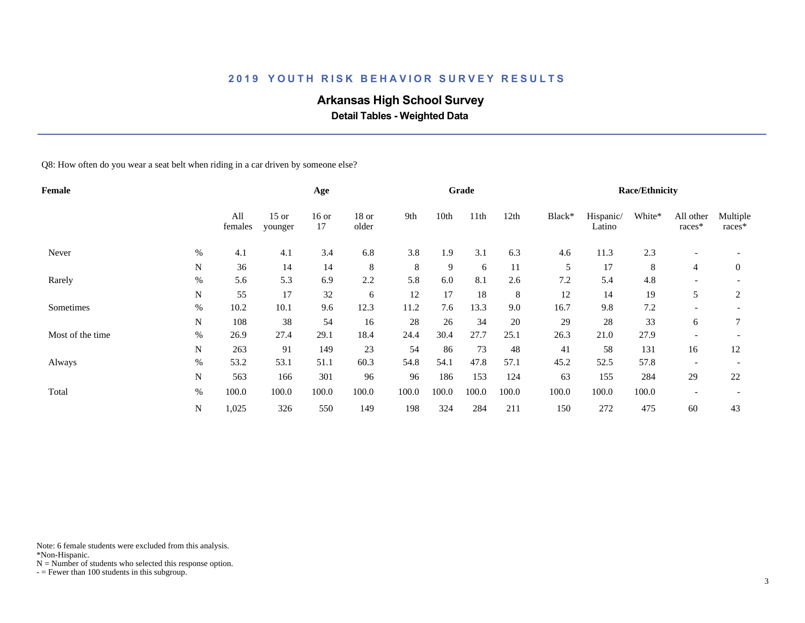# **Arkansas High School Survey**

 **Detail Tables - Weighted Data**

Q8: How often do you wear a seat belt when riding in a car driven by someone else?

| Female           |             |                |                    | Age           |                |       |       | Grade |       |        |                     | <b>Race/Ethnicity</b> |                          |                    |
|------------------|-------------|----------------|--------------------|---------------|----------------|-------|-------|-------|-------|--------|---------------------|-----------------------|--------------------------|--------------------|
|                  |             | All<br>females | $15$ or<br>younger | $16$ or<br>17 | 18 or<br>older | 9th   | 10th  | 11th  | 12th  | Black* | Hispanic/<br>Latino | White*                | All other<br>races*      | Multiple<br>races* |
| Never            | $\%$        | 4.1            | 4.1                | 3.4           | 6.8            | 3.8   | 1.9   | 3.1   | 6.3   | 4.6    | 11.3                | 2.3                   | $\overline{\phantom{a}}$ |                    |
|                  | N           | 36             | 14                 | 14            | 8              | 8     | 9     | 6     | 11    | 5      | 17                  | 8                     | $\overline{4}$           | $\overline{0}$     |
| Rarely           | $\%$        | 5.6            | 5.3                | 6.9           | 2.2            | 5.8   | 6.0   | 8.1   | 2.6   | 7.2    | 5.4                 | 4.8                   |                          |                    |
|                  | $\mathbf N$ | 55             | 17                 | 32            | 6              | 12    | 17    | 18    | 8     | 12     | 14                  | 19                    | 5                        | $\overline{2}$     |
| Sometimes        | $\%$        | 10.2           | 10.1               | 9.6           | 12.3           | 11.2  | 7.6   | 13.3  | 9.0   | 16.7   | 9.8                 | $7.2\,$               | $\overline{\phantom{a}}$ |                    |
|                  | N           | 108            | 38                 | 54            | 16             | 28    | 26    | 34    | 20    | 29     | 28                  | 33                    | 6                        | 7                  |
| Most of the time | $\%$        | 26.9           | 27.4               | 29.1          | 18.4           | 24.4  | 30.4  | 27.7  | 25.1  | 26.3   | 21.0                | 27.9                  | $\overline{\phantom{0}}$ |                    |
|                  | N           | 263            | 91                 | 149           | 23             | 54    | 86    | 73    | 48    | 41     | 58                  | 131                   | 16                       | 12                 |
| Always           | $\%$        | 53.2           | 53.1               | 51.1          | 60.3           | 54.8  | 54.1  | 47.8  | 57.1  | 45.2   | 52.5                | 57.8                  |                          |                    |
|                  | N           | 563            | 166                | 301           | 96             | 96    | 186   | 153   | 124   | 63     | 155                 | 284                   | 29                       | 22                 |
| Total            | $\%$        | 100.0          | 100.0              | 100.0         | 100.0          | 100.0 | 100.0 | 100.0 | 100.0 | 100.0  | 100.0               | 100.0                 | $\overline{\phantom{a}}$ |                    |
|                  | $\mathbf N$ | 1,025          | 326                | 550           | 149            | 198   | 324   | 284   | 211   | 150    | 272                 | 475                   | 60                       | 43                 |

Note: 6 female students were excluded from this analysis.

\*Non-Hispanic.

 $N =$  Number of students who selected this response option.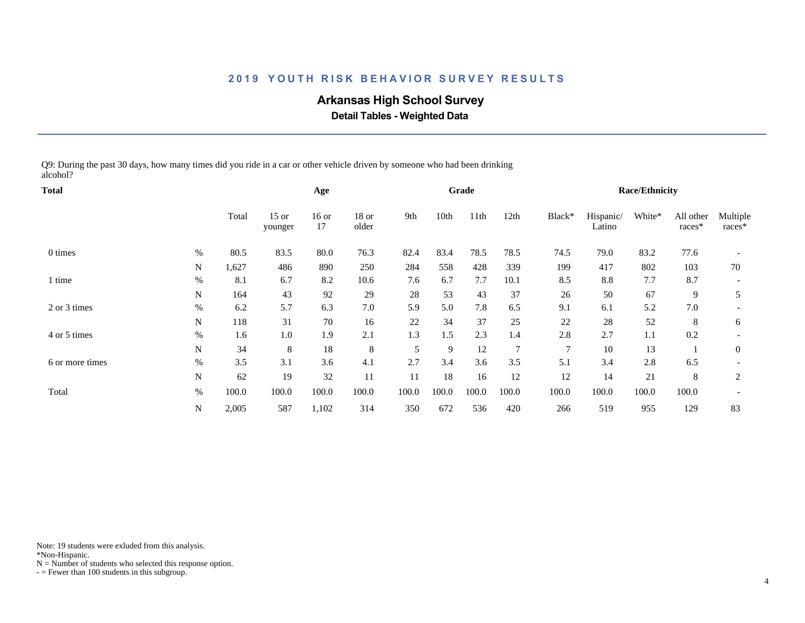# **Arkansas High School Survey**

 **Detail Tables - Weighted Data**

Q9: During the past 30 days, how many times did you ride in a car or other vehicle driven by someone who had been drinking alcohol?

| Total           |           |       |                    | Age           |                  |       |       | Grade |                |        |                     | <b>Race/Ethnicity</b> |                     |                    |
|-----------------|-----------|-------|--------------------|---------------|------------------|-------|-------|-------|----------------|--------|---------------------|-----------------------|---------------------|--------------------|
|                 |           | Total | $15$ or<br>younger | $16$ or<br>17 | $18$ or<br>older | 9th   | 10th  | 11th  | 12th           | Black* | Hispanic/<br>Latino | White*                | All other<br>races* | Multiple<br>races* |
| 0 times         | $\%$      | 80.5  | 83.5               | 80.0          | 76.3             | 82.4  | 83.4  | 78.5  | 78.5           | 74.5   | 79.0                | 83.2                  | 77.6                |                    |
|                 | N         | 1,627 | 486                | 890           | 250              | 284   | 558   | 428   | 339            | 199    | 417                 | 802                   | 103                 | 70                 |
| l time          | $\%$      | 8.1   | 6.7                | 8.2           | 10.6             | 7.6   | 6.7   | 7.7   | 10.1           | 8.5    | 8.8                 | 7.7                   | 8.7                 |                    |
|                 | N         | 164   | 43                 | 92            | 29               | 28    | 53    | 43    | 37             | 26     | 50                  | 67                    | 9                   | 5                  |
| 2 or 3 times    | $\%$      | 6.2   | 5.7                | 6.3           | 7.0              | 5.9   | 5.0   | 7.8   | 6.5            | 9.1    | 6.1                 | 5.2                   | 7.0                 |                    |
|                 | N         | 118   | 31                 | 70            | 16               | 22    | 34    | 37    | 25             | 22     | 28                  | 52                    | 8                   | 6                  |
| 4 or 5 times    | $\%$      | 1.6   | 1.0                | 1.9           | 2.1              | 1.3   | 1.5   | 2.3   | 1.4            | 2.8    | 2.7                 | 1.1                   | 0.2                 |                    |
|                 | ${\bf N}$ | 34    | 8                  | 18            | 8                | 5     | 9     | 12    | $\overline{7}$ | $\tau$ | 10                  | 13                    |                     | $\mathbf{0}$       |
| 6 or more times | $\%$      | 3.5   | 3.1                | 3.6           | 4.1              | 2.7   | 3.4   | 3.6   | 3.5            | 5.1    | 3.4                 | 2.8                   | 6.5                 |                    |
|                 | N         | 62    | 19                 | 32            | 11               | 11    | 18    | 16    | 12             | 12     | 14                  | 21                    | 8                   | $\overline{2}$     |
| Total           | $\%$      | 100.0 | 100.0              | 100.0         | 100.0            | 100.0 | 100.0 | 100.0 | 100.0          | 100.0  | 100.0               | 100.0                 | 100.0               |                    |
|                 | N         | 2,005 | 587                | 1,102         | 314              | 350   | 672   | 536   | 420            | 266    | 519                 | 955                   | 129                 | 83                 |

Note: 19 students were exluded from this analysis.

\*Non-Hispanic.

 $N =$  Number of students who selected this response option.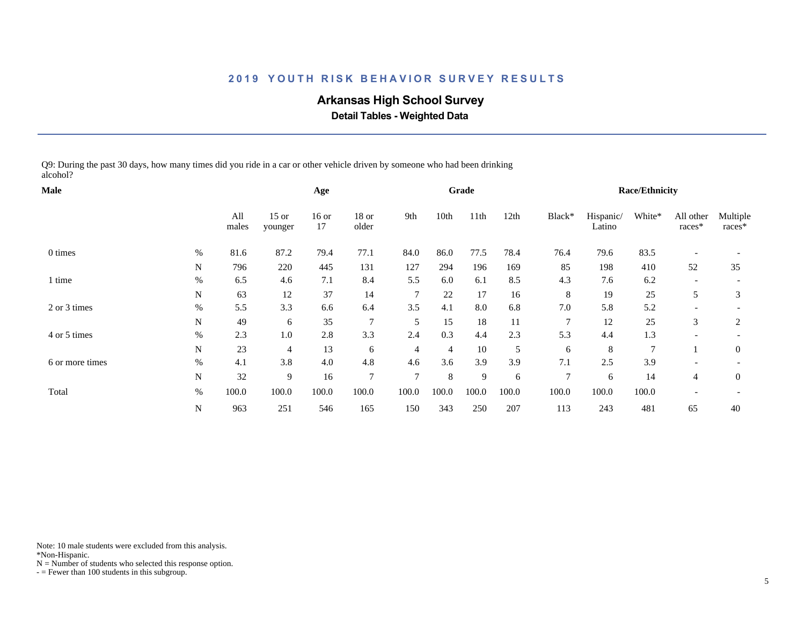# **Arkansas High School Survey**

 **Detail Tables - Weighted Data**

Q9: During the past 30 days, how many times did you ride in a car or other vehicle driven by someone who had been drinking alcohol?

| <b>Male</b>     |      |              |                    | Age           |                |        |       | Grade |       |                |                     | <b>Race/Ethnicity</b> |                     |                    |
|-----------------|------|--------------|--------------------|---------------|----------------|--------|-------|-------|-------|----------------|---------------------|-----------------------|---------------------|--------------------|
|                 |      | All<br>males | $15$ or<br>younger | $16$ or<br>17 | 18 or<br>older | 9th    | 10th  | 11th  | 12th  | Black*         | Hispanic/<br>Latino | White*                | All other<br>races* | Multiple<br>races* |
| 0 times         | $\%$ | 81.6         | 87.2               | 79.4          | 77.1           | 84.0   | 86.0  | 77.5  | 78.4  | 76.4           | 79.6                | 83.5                  |                     |                    |
|                 | N    | 796          | 220                | 445           | 131            | 127    | 294   | 196   | 169   | 85             | 198                 | 410                   | 52                  | 35                 |
| 1 time          | $\%$ | 6.5          | 4.6                | 7.1           | 8.4            | 5.5    | 6.0   | 6.1   | 8.5   | 4.3            | 7.6                 | 6.2                   |                     |                    |
|                 | N    | 63           | 12                 | 37            | 14             | 7      | 22    | 17    | 16    | 8              | 19                  | 25                    | 5                   | 3                  |
| 2 or 3 times    | %    | 5.5          | 3.3                | 6.6           | 6.4            | 3.5    | 4.1   | 8.0   | 6.8   | 7.0            | 5.8                 | 5.2                   |                     |                    |
|                 | N    | 49           | 6                  | 35            | $\overline{7}$ | 5      | 15    | 18    | 11    | $\overline{7}$ | 12                  | 25                    | 3                   | 2                  |
| 4 or 5 times    | $\%$ | 2.3          | 1.0                | 2.8           | 3.3            | 2.4    | 0.3   | 4.4   | 2.3   | 5.3            | 4.4                 | 1.3                   |                     |                    |
|                 | N    | 23           | $\overline{4}$     | 13            | 6              | 4      | 4     | 10    | 5     | 6              | 8                   | $\tau$                |                     | $\mathbf{0}$       |
| 6 or more times | $\%$ | 4.1          | 3.8                | 4.0           | 4.8            | 4.6    | 3.6   | 3.9   | 3.9   | 7.1            | 2.5                 | 3.9                   |                     |                    |
|                 | N    | 32           | 9                  | 16            | $\overline{7}$ | $\tau$ | 8     | 9     | 6     | $\tau$         | 6                   | 14                    | $\overline{4}$      | $\overline{0}$     |
| Total           | $\%$ | 100.0        | 100.0              | 100.0         | 100.0          | 100.0  | 100.0 | 100.0 | 100.0 | 100.0          | 100.0               | 100.0                 |                     |                    |
|                 | N    | 963          | 251                | 546           | 165            | 150    | 343   | 250   | 207   | 113            | 243                 | 481                   | 65                  | 40                 |

Note: 10 male students were excluded from this analysis.

\*Non-Hispanic.

 $N =$  Number of students who selected this response option.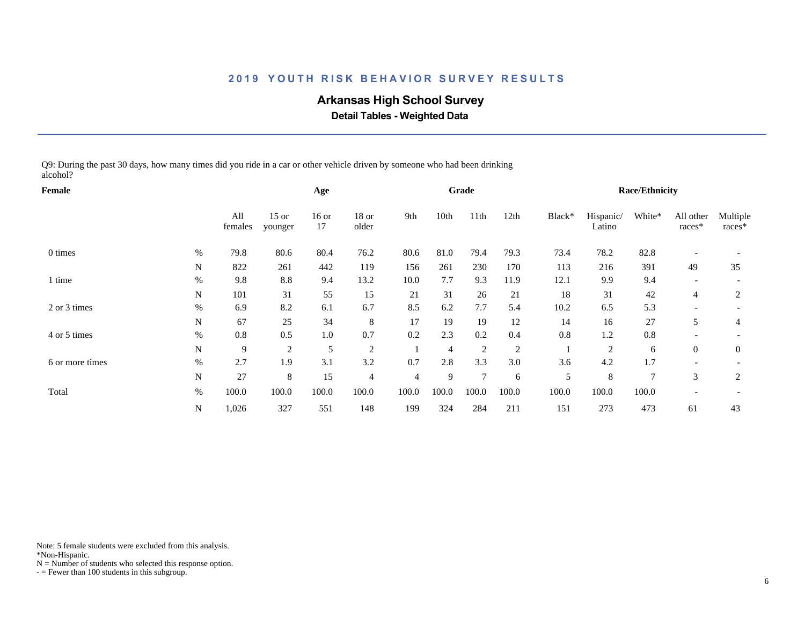# **Arkansas High School Survey**

 **Detail Tables - Weighted Data**

Q9: During the past 30 days, how many times did you ride in a car or other vehicle driven by someone who had been drinking alcohol?

| Female          |             |                |                    | Age           |                |       |                | Grade  |       |        |                     | <b>Race/Ethnicity</b> |                     |                    |
|-----------------|-------------|----------------|--------------------|---------------|----------------|-------|----------------|--------|-------|--------|---------------------|-----------------------|---------------------|--------------------|
|                 |             | All<br>females | $15$ or<br>younger | $16$ or<br>17 | 18 or<br>older | 9th   | 10th           | 11th   | 12th  | Black* | Hispanic/<br>Latino | White*                | All other<br>races* | Multiple<br>races* |
| 0 times         | $\%$        | 79.8           | 80.6               | 80.4          | 76.2           | 80.6  | 81.0           | 79.4   | 79.3  | 73.4   | 78.2                | 82.8                  |                     |                    |
|                 | N           | 822            | 261                | 442           | 119            | 156   | 261            | 230    | 170   | 113    | 216                 | 391                   | 49                  | 35                 |
| l time          | $\%$        | 9.8            | 8.8                | 9.4           | 13.2           | 10.0  | 7.7            | 9.3    | 11.9  | 12.1   | 9.9                 | 9.4                   |                     |                    |
|                 | N           | 101            | 31                 | 55            | 15             | 21    | 31             | 26     | 21    | 18     | 31                  | 42                    | 4                   | 2                  |
| 2 or 3 times    | %           | 6.9            | 8.2                | 6.1           | 6.7            | 8.5   | 6.2            | 7.7    | 5.4   | 10.2   | 6.5                 | 5.3                   |                     |                    |
|                 | N           | 67             | 25                 | 34            | 8              | 17    | 19             | 19     | 12    | 14     | 16                  | 27                    | 5                   | 4                  |
| 4 or 5 times    | $\%$        | 0.8            | 0.5                | 1.0           | 0.7            | 0.2   | 2.3            | 0.2    | 0.4   | 0.8    | 1.2                 | 0.8                   |                     |                    |
|                 | $\mathbf N$ | 9              | $\overline{2}$     | 5             | 2              |       | $\overline{4}$ | 2      | 2     |        | $\overline{2}$      | 6                     | $\overline{0}$      | $\mathbf{0}$       |
| 6 or more times | $\%$        | 2.7            | 1.9                | 3.1           | 3.2            | 0.7   | 2.8            | 3.3    | 3.0   | 3.6    | 4.2                 | 1.7                   |                     |                    |
|                 | N           | 27             | 8                  | 15            | $\overline{4}$ | 4     | 9              | $\tau$ | 6     | 5      | 8                   | $\tau$                | 3                   | 2                  |
| Total           | $\%$        | 100.0          | 100.0              | 100.0         | 100.0          | 100.0 | 100.0          | 100.0  | 100.0 | 100.0  | 100.0               | 100.0                 |                     |                    |
|                 | N           | 1,026          | 327                | 551           | 148            | 199   | 324            | 284    | 211   | 151    | 273                 | 473                   | 61                  | 43                 |

Note: 5 female students were excluded from this analysis.

\*Non-Hispanic.

 $N =$  Number of students who selected this response option.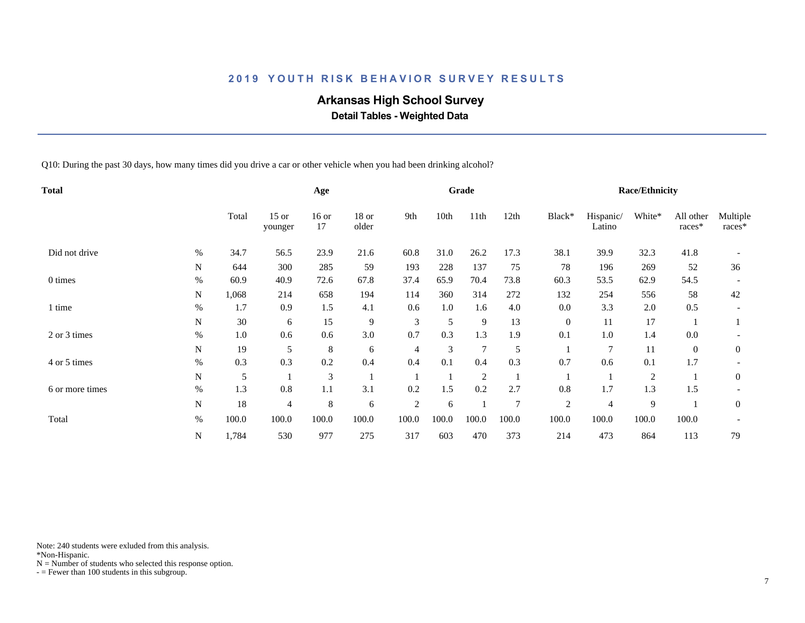# **Arkansas High School Survey**

 **Detail Tables - Weighted Data**

Q10: During the past 30 days, how many times did you drive a car or other vehicle when you had been drinking alcohol?

| Total           |           |       |                    | Age           |                |                |       | Grade          |                |                |                     | <b>Race/Ethnicity</b> |                     |                    |
|-----------------|-----------|-------|--------------------|---------------|----------------|----------------|-------|----------------|----------------|----------------|---------------------|-----------------------|---------------------|--------------------|
|                 |           | Total | $15$ or<br>younger | $16$ or<br>17 | 18 or<br>older | 9th            | 10th  | 11th           | 12th           | Black*         | Hispanic/<br>Latino | White*                | All other<br>races* | Multiple<br>races* |
| Did not drive   | $\%$      | 34.7  | 56.5               | 23.9          | 21.6           | 60.8           | 31.0  | 26.2           | 17.3           | 38.1           | 39.9                | 32.3                  | 41.8                |                    |
|                 | ${\bf N}$ | 644   | 300                | 285           | 59             | 193            | 228   | 137            | 75             | 78             | 196                 | 269                   | 52                  | 36                 |
| 0 times         | $\%$      | 60.9  | 40.9               | 72.6          | 67.8           | 37.4           | 65.9  | 70.4           | 73.8           | 60.3           | 53.5                | 62.9                  | 54.5                |                    |
|                 | N         | 1,068 | 214                | 658           | 194            | 114            | 360   | 314            | 272            | 132            | 254                 | 556                   | 58                  | 42                 |
| 1 time          | $\%$      | 1.7   | 0.9                | 1.5           | 4.1            | 0.6            | 1.0   | 1.6            | 4.0            | 0.0            | 3.3                 | 2.0                   | 0.5                 |                    |
|                 | N         | 30    | 6                  | 15            | 9              | 3              | 5     | 9              | 13             | $\mathbf{0}$   | 11                  | 17                    |                     |                    |
| 2 or 3 times    | $\%$      | 1.0   | 0.6                | 0.6           | 3.0            | 0.7            | 0.3   | 1.3            | 1.9            | 0.1            | $1.0\,$             | 1.4                   | 0.0                 |                    |
|                 | N         | 19    | 5                  | 8             | 6              | 4              | 3     | 7              | 5              |                | 7                   | 11                    | $\overline{0}$      | $\boldsymbol{0}$   |
| 4 or 5 times    | %         | 0.3   | 0.3                | 0.2           | 0.4            | 0.4            | 0.1   | 0.4            | 0.3            | 0.7            | 0.6                 | 0.1                   | 1.7                 |                    |
|                 | N         | 5     |                    | 3             |                |                |       | $\overline{2}$ |                |                |                     | $\overline{c}$        |                     | $\boldsymbol{0}$   |
| 6 or more times | $\%$      | 1.3   | 0.8                | 1.1           | 3.1            | 0.2            | 1.5   | 0.2            | 2.7            | 0.8            | 1.7                 | 1.3                   | 1.5                 |                    |
|                 | N         | 18    | 4                  | $\,8\,$       | 6              | $\overline{2}$ | 6     |                | $\overline{7}$ | $\overline{c}$ | 4                   | 9                     |                     | $\boldsymbol{0}$   |
| Total           | $\%$      | 100.0 | 100.0              | 100.0         | 100.0          | 100.0          | 100.0 | 100.0          | 100.0          | 100.0          | 100.0               | 100.0                 | 100.0               |                    |
|                 | N         | 1,784 | 530                | 977           | 275            | 317            | 603   | 470            | 373            | 214            | 473                 | 864                   | 113                 | 79                 |

Note: 240 students were exluded from this analysis.

\*Non-Hispanic.

 $N =$  Number of students who selected this response option.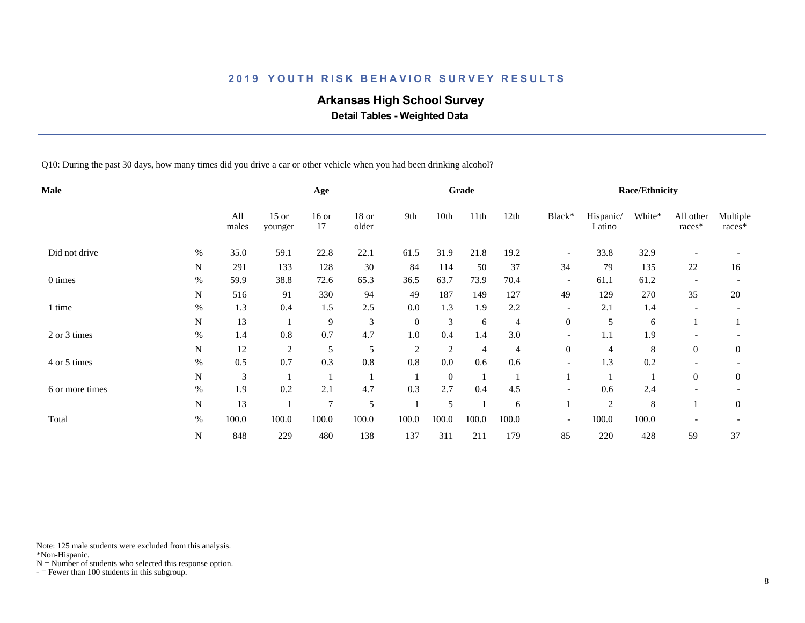# **Arkansas High School Survey**

 **Detail Tables - Weighted Data**

Q10: During the past 30 days, how many times did you drive a car or other vehicle when you had been drinking alcohol?

| Male            |           |              |                    | Age            |                  |                |                | Grade |       |                          |                     | <b>Race/Ethnicity</b> |                     |                    |
|-----------------|-----------|--------------|--------------------|----------------|------------------|----------------|----------------|-------|-------|--------------------------|---------------------|-----------------------|---------------------|--------------------|
|                 |           | All<br>males | $15$ or<br>younger | $16$ or<br>17  | $18$ or<br>older | 9th            | 10th           | 11th  | 12th  | Black*                   | Hispanic/<br>Latino | White*                | All other<br>races* | Multiple<br>races* |
| Did not drive   | $\%$      | 35.0         | 59.1               | 22.8           | 22.1             | 61.5           | 31.9           | 21.8  | 19.2  | $\overline{\phantom{a}}$ | 33.8                | 32.9                  |                     |                    |
|                 | N         | 291          | 133                | 128            | 30               | 84             | 114            | 50    | 37    | 34                       | 79                  | 135                   | 22                  | 16                 |
| 0 times         | $\%$      | 59.9         | 38.8               | 72.6           | 65.3             | 36.5           | 63.7           | 73.9  | 70.4  | $\overline{\phantom{a}}$ | 61.1                | 61.2                  |                     |                    |
|                 | N         | 516          | 91                 | 330            | 94               | 49             | 187            | 149   | 127   | 49                       | 129                 | 270                   | 35                  | 20                 |
| 1 time          | $\%$      | 1.3          | 0.4                | 1.5            | 2.5              | 0.0            | 1.3            | 1.9   | 2.2   | $\overline{\phantom{a}}$ | 2.1                 | 1.4                   |                     |                    |
|                 | N         | 13           |                    | 9              | $\mathfrak{Z}$   | $\mathbf{0}$   | 3              | 6     | 4     | $\boldsymbol{0}$         | 5                   | 6                     |                     |                    |
| 2 or 3 times    | $\%$      | 1.4          | $0.8\,$            | 0.7            | 4.7              | 1.0            | 0.4            | 1.4   | 3.0   |                          | 1.1                 | 1.9                   |                     |                    |
|                 | N         | 12           | $\overline{c}$     | 5              | 5                | $\overline{c}$ | $\overline{c}$ | 4     | 4     | $\boldsymbol{0}$         | 4                   | 8                     | $\overline{0}$      | $\overline{0}$     |
| 4 or 5 times    | $\%$      | 0.5          | 0.7                | 0.3            | $0.8\,$          | 0.8            | 0.0            | 0.6   | 0.6   | $\overline{\phantom{a}}$ | 1.3                 | 0.2                   |                     |                    |
|                 | ${\bf N}$ | 3            |                    |                |                  |                | $\overline{0}$ |       |       |                          |                     |                       | $\overline{0}$      | $\overline{0}$     |
| 6 or more times | $\%$      | 1.9          | 0.2                | 2.1            | 4.7              | 0.3            | 2.7            | 0.4   | 4.5   | $\overline{\phantom{a}}$ | 0.6                 | 2.4                   |                     |                    |
|                 | N         | 13           |                    | $\overline{7}$ | 5                |                | 5              |       | 6     |                          | $\overline{c}$      | 8                     |                     | $\mathbf{0}$       |
| Total           | $\%$      | 100.0        | 100.0              | 100.0          | 100.0            | 100.0          | 100.0          | 100.0 | 100.0 | $\overline{\phantom{a}}$ | 100.0               | 100.0                 |                     |                    |
|                 | ${\bf N}$ | 848          | 229                | 480            | 138              | 137            | 311            | 211   | 179   | 85                       | 220                 | 428                   | 59                  | 37                 |

Note: 125 male students were excluded from this analysis.

\*Non-Hispanic.

 $N =$  Number of students who selected this response option.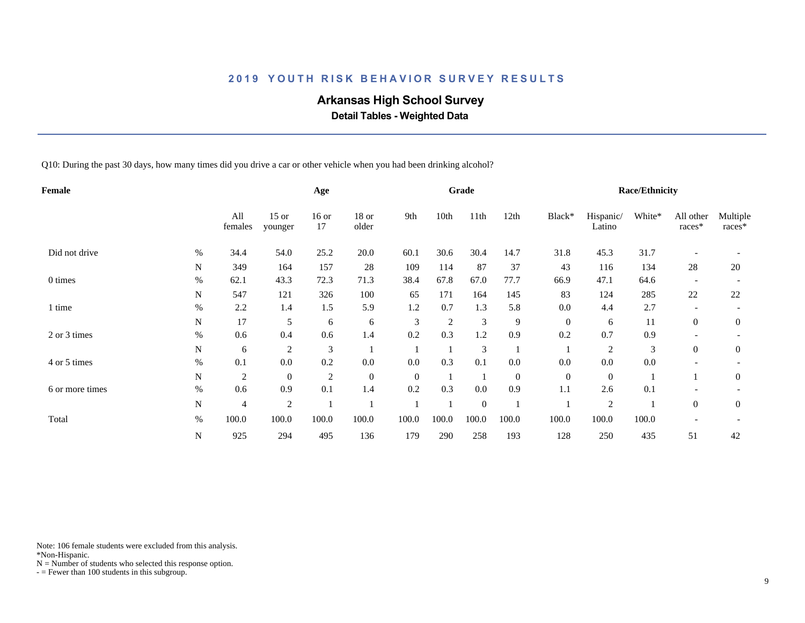# **Arkansas High School Survey**

 **Detail Tables - Weighted Data**

Q10: During the past 30 days, how many times did you drive a car or other vehicle when you had been drinking alcohol?

| Female          |           |                |                    | Age            |                |                |                | Grade            |                  |              |                     | <b>Race/Ethnicity</b> |                     |                    |
|-----------------|-----------|----------------|--------------------|----------------|----------------|----------------|----------------|------------------|------------------|--------------|---------------------|-----------------------|---------------------|--------------------|
|                 |           | All<br>females | $15$ or<br>younger | $16$ or<br>17  | 18 or<br>older | 9th            | 10th           | 11th             | 12th             | Black*       | Hispanic/<br>Latino | White*                | All other<br>races* | Multiple<br>races* |
| Did not drive   | $\%$      | 34.4           | 54.0               | 25.2           | 20.0           | 60.1           | 30.6           | 30.4             | 14.7             | 31.8         | 45.3                | 31.7                  |                     |                    |
|                 | ${\bf N}$ | 349            | 164                | 157            | 28             | 109            | 114            | 87               | 37               | 43           | 116                 | 134                   | 28                  | 20                 |
| 0 times         | $\%$      | 62.1           | 43.3               | 72.3           | 71.3           | 38.4           | 67.8           | 67.0             | 77.7             | 66.9         | 47.1                | 64.6                  |                     |                    |
|                 | N         | 547            | 121                | 326            | 100            | 65             | 171            | 164              | 145              | 83           | 124                 | 285                   | 22                  | 22                 |
| 1 time          | $\%$      | 2.2            | 1.4                | 1.5            | 5.9            | 1.2            | 0.7            | 1.3              | 5.8              | 0.0          | 4.4                 | 2.7                   |                     |                    |
|                 | N         | 17             | 5                  | 6              | 6              | 3              | $\overline{2}$ | 3                | 9                | $\mathbf{0}$ | 6                   | 11                    | $\overline{0}$      | $\overline{0}$     |
| 2 or 3 times    | $\%$      | 0.6            | 0.4                | 0.6            | 1.4            | 0.2            | 0.3            | 1.2              | 0.9              | 0.2          | 0.7                 | 0.9                   |                     |                    |
|                 | N         | 6              | $\overline{c}$     | 3              |                |                |                | 3                |                  |              | $\overline{2}$      | 3                     | $\overline{0}$      | $\boldsymbol{0}$   |
| 4 or 5 times    | %         | 0.1            | 0.0                | 0.2            | 0.0            | 0.0            | 0.3            | 0.1              | 0.0              | 0.0          | 0.0                 | 0.0                   |                     |                    |
|                 | N         | $\overline{c}$ | $\boldsymbol{0}$   | $\overline{c}$ | $\overline{0}$ | $\overline{0}$ |                |                  | $\boldsymbol{0}$ | $\theta$     | $\mathbf{0}$        |                       |                     | $\boldsymbol{0}$   |
| 6 or more times | $\%$      | 0.6            | 0.9                | 0.1            | 1.4            | 0.2            | 0.3            | 0.0              | 0.9              | 1.1          | 2.6                 | 0.1                   |                     |                    |
|                 | N         | 4              | 2                  |                |                |                |                | $\boldsymbol{0}$ |                  |              | $\overline{c}$      |                       | $\overline{0}$      | $\boldsymbol{0}$   |
| Total           | $\%$      | 100.0          | 100.0              | 100.0          | 100.0          | 100.0          | 100.0          | 100.0            | 100.0            | 100.0        | 100.0               | 100.0                 |                     |                    |
|                 | ${\bf N}$ | 925            | 294                | 495            | 136            | 179            | 290            | 258              | 193              | 128          | 250                 | 435                   | 51                  | 42                 |

Note: 106 female students were excluded from this analysis.

\*Non-Hispanic.

 $N =$  Number of students who selected this response option.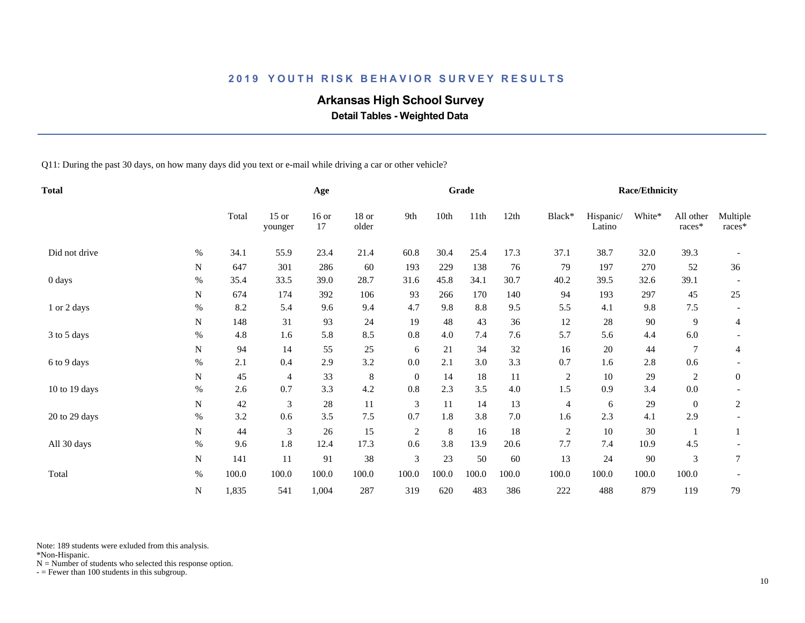# **Arkansas High School Survey**

 **Detail Tables - Weighted Data**

Q11: During the past 30 days, on how many days did you text or e-mail while driving a car or other vehicle?

| <b>Total</b>  |           |       |                    | Age           |                |                |       | Grade |         |                |                     | Race/Ethnicity |                       |                    |
|---------------|-----------|-------|--------------------|---------------|----------------|----------------|-------|-------|---------|----------------|---------------------|----------------|-----------------------|--------------------|
|               |           | Total | $15$ or<br>younger | $16$ or<br>17 | 18 or<br>older | 9th            | 10th  | 11th  | 12th    | Black*         | Hispanic/<br>Latino | White*         | All other<br>$races*$ | Multiple<br>races* |
| Did not drive | $\%$      | 34.1  | 55.9               | 23.4          | 21.4           | 60.8           | 30.4  | 25.4  | 17.3    | 37.1           | 38.7                | 32.0           | 39.3                  |                    |
|               | N         | 647   | 301                | 286           | 60             | 193            | 229   | 138   | 76      | 79             | 197                 | 270            | 52                    | 36                 |
| 0 days        | $\%$      | 35.4  | 33.5               | 39.0          | 28.7           | 31.6           | 45.8  | 34.1  | 30.7    | 40.2           | 39.5                | 32.6           | 39.1                  |                    |
|               | N         | 674   | 174                | 392           | 106            | 93             | 266   | 170   | 140     | 94             | 193                 | 297            | 45                    | 25                 |
| 1 or 2 days   | $\%$      | 8.2   | 5.4                | 9.6           | 9.4            | 4.7            | 9.8   | 8.8   | 9.5     | 5.5            | 4.1                 | 9.8            | 7.5                   |                    |
|               | N         | 148   | 31                 | 93            | 24             | 19             | 48    | 43    | 36      | 12             | 28                  | $90\,$         | 9                     | $\overline{4}$     |
| 3 to 5 days   | $\%$      | 4.8   | 1.6                | 5.8           | 8.5            | 0.8            | 4.0   | 7.4   | 7.6     | 5.7            | 5.6                 | 4.4            | 6.0                   |                    |
|               | ${\bf N}$ | 94    | 14                 | 55            | 25             | 6              | 21    | 34    | 32      | 16             | 20                  | 44             | 7                     | 4                  |
| 6 to 9 days   | $\%$      | 2.1   | 0.4                | 2.9           | 3.2            | 0.0            | 2.1   | 3.0   | 3.3     | 0.7            | 1.6                 | 2.8            | 0.6                   |                    |
|               | N         | 45    | 4                  | 33            | $\,8\,$        | $\overline{0}$ | 14    | 18    | 11      | $\overline{c}$ | 10                  | 29             | 2                     | $\overline{0}$     |
| 10 to 19 days | $\%$      | 2.6   | 0.7                | 3.3           | 4.2            | 0.8            | 2.3   | 3.5   | $4.0\,$ | 1.5            | 0.9                 | 3.4            | $0.0\,$               |                    |
|               | N         | 42    | 3                  | 28            | 11             | 3              | 11    | 14    | 13      | $\overline{4}$ | 6                   | 29             | $\overline{0}$        | 2                  |
| 20 to 29 days | $\%$      | 3.2   | 0.6                | 3.5           | 7.5            | 0.7            | 1.8   | 3.8   | 7.0     | 1.6            | 2.3                 | 4.1            | 2.9                   |                    |
|               | N         | 44    | 3                  | 26            | 15             | 2              | 8     | 16    | 18      | $\overline{c}$ | 10                  | 30             |                       |                    |
| All 30 days   | $\%$      | 9.6   | 1.8                | 12.4          | 17.3           | 0.6            | 3.8   | 13.9  | 20.6    | 7.7            | 7.4                 | 10.9           | 4.5                   |                    |
|               | N         | 141   | 11                 | 91            | 38             | 3              | 23    | 50    | 60      | 13             | 24                  | 90             | 3                     | 7                  |
| Total         | $\%$      | 100.0 | 100.0              | 100.0         | 100.0          | 100.0          | 100.0 | 100.0 | 100.0   | 100.0          | 100.0               | 100.0          | 100.0                 |                    |
|               | ${\bf N}$ | 1,835 | 541                | 1,004         | 287            | 319            | 620   | 483   | 386     | 222            | 488                 | 879            | 119                   | 79                 |

Note: 189 students were exluded from this analysis.

\*Non-Hispanic.

 $N =$  Number of students who selected this response option.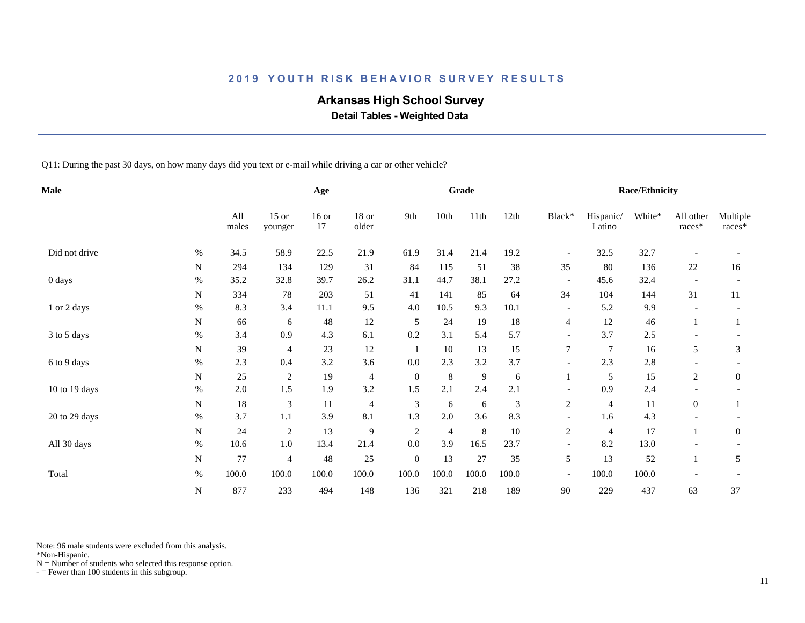# **Arkansas High School Survey**

 **Detail Tables - Weighted Data**

Q11: During the past 30 days, on how many days did you text or e-mail while driving a car or other vehicle?

| <b>Male</b>   |           |              |                    | Age           |                |                  |                | Grade   |       |                          |                     | Race/Ethnicity |                     |                    |
|---------------|-----------|--------------|--------------------|---------------|----------------|------------------|----------------|---------|-------|--------------------------|---------------------|----------------|---------------------|--------------------|
|               |           | All<br>males | $15$ or<br>younger | $16$ or<br>17 | 18 or<br>older | 9th              | 10th           | 11th    | 12th  | Black*                   | Hispanic/<br>Latino | White*         | All other<br>races* | Multiple<br>races* |
| Did not drive | $\%$      | 34.5         | 58.9               | 22.5          | 21.9           | 61.9             | 31.4           | 21.4    | 19.2  | $\overline{\phantom{a}}$ | 32.5                | 32.7           |                     |                    |
|               | N         | 294          | 134                | 129           | 31             | 84               | 115            | 51      | 38    | 35                       | 80                  | 136            | 22                  | 16                 |
| 0 days        | $\%$      | 35.2         | 32.8               | 39.7          | 26.2           | 31.1             | 44.7           | 38.1    | 27.2  | $\overline{\phantom{a}}$ | 45.6                | 32.4           |                     |                    |
|               | ${\bf N}$ | 334          | 78                 | 203           | 51             | 41               | 141            | 85      | 64    | 34                       | 104                 | 144            | 31                  | 11                 |
| 1 or 2 days   | $\%$      | 8.3          | 3.4                | 11.1          | 9.5            | 4.0              | 10.5           | 9.3     | 10.1  |                          | 5.2                 | 9.9            |                     |                    |
|               | N         | 66           | 6                  | $\sqrt{48}$   | 12             | 5                | $24\,$         | 19      | 18    | $\overline{4}$           | 12                  | 46             |                     |                    |
| 3 to 5 days   | $\%$      | 3.4          | 0.9                | 4.3           | 6.1            | 0.2              | 3.1            | 5.4     | 5.7   | $\overline{\phantom{a}}$ | 3.7                 | 2.5            |                     |                    |
|               | N         | 39           | 4                  | 23            | 12             | -1               | 10             | 13      | 15    | $\tau$                   | $\tau$              | 16             | 5                   | 3                  |
| 6 to 9 days   | $\%$      | 2.3          | 0.4                | 3.2           | 3.6            | 0.0              | 2.3            | 3.2     | 3.7   |                          | 2.3                 | 2.8            |                     |                    |
|               | N         | 25           | $\overline{2}$     | 19            | $\overline{4}$ | $\mathbf{0}$     | $\,8\,$        | 9       | 6     |                          | 5                   | 15             | 2                   | $\mathbf{0}$       |
| 10 to 19 days | $\%$      | $2.0\,$      | 1.5                | 1.9           | 3.2            | 1.5              | 2.1            | 2.4     | 2.1   | $\overline{\phantom{a}}$ | 0.9                 | 2.4            |                     |                    |
|               | ${\bf N}$ | 18           | 3                  | 11            | $\overline{4}$ | 3                | 6              | 6       | 3     | $\sqrt{2}$               | $\overline{4}$      | $11\,$         | $\mathbf{0}$        |                    |
| 20 to 29 days | $\%$      | 3.7          | 1.1                | 3.9           | 8.1            | 1.3              | 2.0            | 3.6     | 8.3   |                          | 1.6                 | 4.3            |                     |                    |
|               | N         | 24           | $\overline{c}$     | 13            | 9              | $\overline{c}$   | $\overline{4}$ | $\,8\,$ | 10    | $\overline{c}$           | $\overline{4}$      | 17             |                     | $\boldsymbol{0}$   |
| All 30 days   | $\%$      | 10.6         | 1.0                | 13.4          | 21.4           | 0.0              | 3.9            | 16.5    | 23.7  | $\overline{\phantom{a}}$ | 8.2                 | 13.0           |                     |                    |
|               | N         | 77           | $\overline{4}$     | 48            | 25             | $\boldsymbol{0}$ | 13             | $27\,$  | 35    | 5                        | 13                  | 52             | $\mathbf{1}$        | 5                  |
| Total         | $\%$      | 100.0        | 100.0              | 100.0         | 100.0          | 100.0            | 100.0          | 100.0   | 100.0 | $\overline{\phantom{a}}$ | 100.0               | 100.0          |                     |                    |
|               | ${\bf N}$ | 877          | 233                | 494           | 148            | 136              | 321            | 218     | 189   | 90                       | 229                 | 437            | 63                  | 37                 |

Note: 96 male students were excluded from this analysis.

\*Non-Hispanic.

 $N =$  Number of students who selected this response option.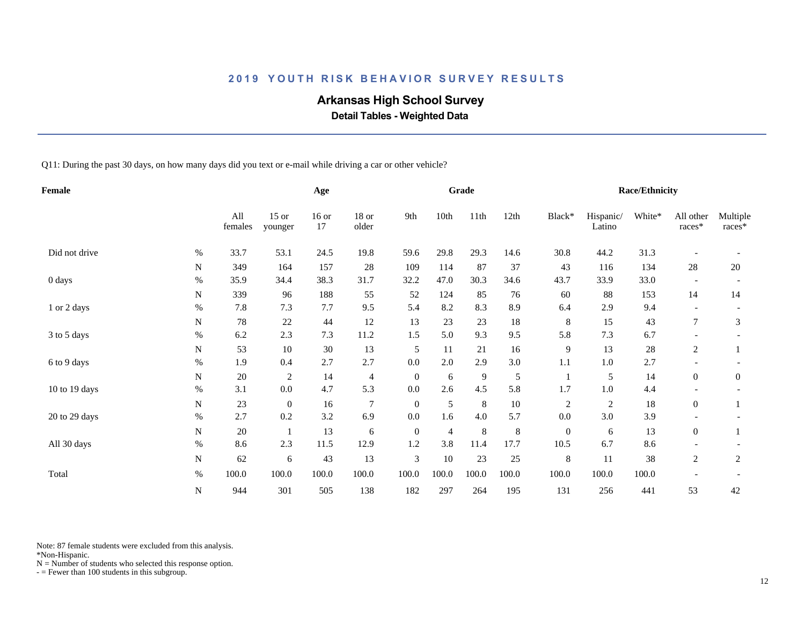# **Arkansas High School Survey**

 **Detail Tables - Weighted Data**

Q11: During the past 30 days, on how many days did you text or e-mail while driving a car or other vehicle?

| Female        |           |                |                    | Age           |                |                |                | Grade          |       |                  |                     | <b>Race/Ethnicity</b> |                     |                    |
|---------------|-----------|----------------|--------------------|---------------|----------------|----------------|----------------|----------------|-------|------------------|---------------------|-----------------------|---------------------|--------------------|
|               |           | All<br>females | $15$ or<br>younger | $16$ or<br>17 | 18 or<br>older | 9th            | 10th           | 11th           | 12th  | Black*           | Hispanic/<br>Latino | White*                | All other<br>races* | Multiple<br>races* |
| Did not drive | $\%$      | 33.7           | 53.1               | 24.5          | 19.8           | 59.6           | 29.8           | 29.3           | 14.6  | 30.8             | 44.2                | 31.3                  |                     |                    |
|               | N         | 349            | 164                | 157           | 28             | 109            | 114            | 87             | 37    | 43               | 116                 | 134                   | 28                  | 20                 |
| 0 days        | $\%$      | 35.9           | 34.4               | 38.3          | 31.7           | 32.2           | 47.0           | 30.3           | 34.6  | 43.7             | 33.9                | 33.0                  |                     |                    |
|               | N         | 339            | 96                 | 188           | 55             | 52             | 124            | 85             | 76    | 60               | 88                  | 153                   | 14                  | 14                 |
| 1 or 2 days   | $\%$      | 7.8            | 7.3                | 7.7           | 9.5            | 5.4            | 8.2            | 8.3            | 8.9   | 6.4              | 2.9                 | 9.4                   |                     |                    |
|               | N         | 78             | $22\,$             | 44            | 12             | 13             | $23\,$         | 23             | 18    | 8                | 15                  | 43                    | $\tau$              | 3                  |
| 3 to 5 days   | $\%$      | 6.2            | 2.3                | 7.3           | 11.2           | 1.5            | 5.0            | 9.3            | 9.5   | 5.8              | 7.3                 | 6.7                   |                     |                    |
|               | N         | 53             | 10                 | 30            | 13             | 5              | 11             | 21             | 16    | 9                | 13                  | $28\,$                | $\overline{c}$      |                    |
| 6 to 9 days   | $\%$      | 1.9            | 0.4                | 2.7           | 2.7            | 0.0            | $2.0\,$        | 2.9            | 3.0   | 1.1              | $1.0\,$             | 2.7                   |                     |                    |
|               | N         | 20             | $\mathfrak{2}$     | 14            | $\overline{4}$ | $\overline{0}$ | 6              | $\overline{9}$ | 5     |                  | 5                   | 14                    | $\overline{0}$      | $\overline{0}$     |
| 10 to 19 days | $\%$      | 3.1            | $0.0\,$            | 4.7           | 5.3            | 0.0            | 2.6            | 4.5            | 5.8   | 1.7              | $1.0\,$             | 4.4                   |                     |                    |
|               | N         | 23             | $\mathbf{0}$       | 16            | $\overline{7}$ | $\theta$       | 5              | $\,8\,$        | 10    | $\sqrt{2}$       | $\overline{c}$      | 18                    | $\overline{0}$      |                    |
| 20 to 29 days | $\%$      | 2.7            | 0.2                | 3.2           | 6.9            | 0.0            | 1.6            | 4.0            | 5.7   | 0.0              | 3.0                 | 3.9                   |                     |                    |
|               | ${\bf N}$ | 20             |                    | 13            | 6              | $\mathbf{0}$   | $\overline{4}$ | $\,8\,$        | 8     | $\boldsymbol{0}$ | 6                   | 13                    | $\overline{0}$      |                    |
| All 30 days   | $\%$      | 8.6            | 2.3                | 11.5          | 12.9           | 1.2            | 3.8            | 11.4           | 17.7  | 10.5             | 6.7                 | 8.6                   |                     |                    |
|               | ${\bf N}$ | 62             | 6                  | 43            | 13             | 3              | 10             | 23             | 25    | $\,$ 8 $\,$      | 11                  | 38                    | $\overline{c}$      | 2                  |
| Total         | $\%$      | 100.0          | 100.0              | 100.0         | 100.0          | 100.0          | 100.0          | 100.0          | 100.0 | 100.0            | 100.0               | 100.0                 |                     |                    |
|               | ${\bf N}$ | 944            | 301                | 505           | 138            | 182            | 297            | 264            | 195   | 131              | 256                 | 441                   | 53                  | 42                 |

Note: 87 female students were excluded from this analysis.

\*Non-Hispanic.

 $N =$  Number of students who selected this response option.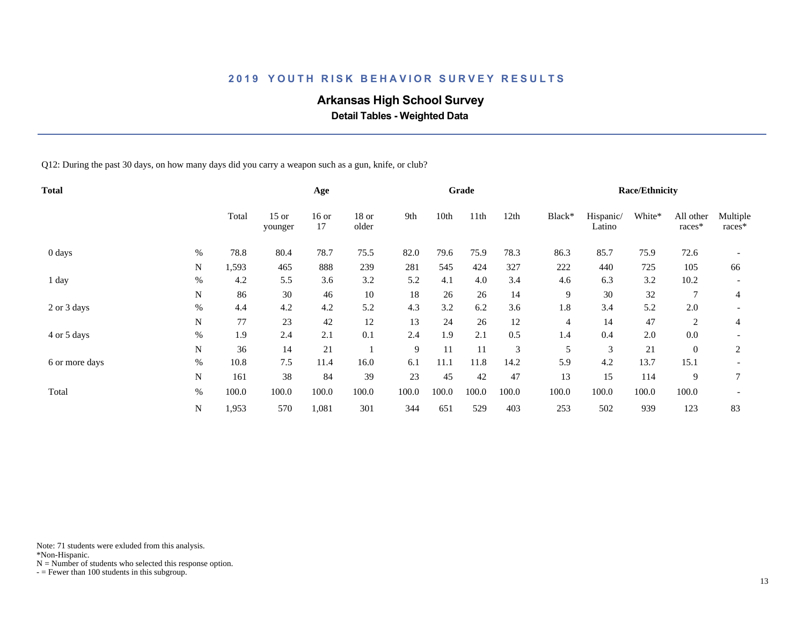# **Arkansas High School Survey**

 **Detail Tables - Weighted Data**

Q12: During the past 30 days, on how many days did you carry a weapon such as a gun, knife, or club?

| Total          |           |       |                    | Age           |                |       |       | Grade |       |                |                     | <b>Race/Ethnicity</b> |                     |                    |
|----------------|-----------|-------|--------------------|---------------|----------------|-------|-------|-------|-------|----------------|---------------------|-----------------------|---------------------|--------------------|
|                |           | Total | $15$ or<br>younger | $16$ or<br>17 | 18 or<br>older | 9th   | 10th  | 11th  | 12th  | Black*         | Hispanic/<br>Latino | White*                | All other<br>races* | Multiple<br>races* |
| 0 days         | $\%$      | 78.8  | 80.4               | 78.7          | 75.5           | 82.0  | 79.6  | 75.9  | 78.3  | 86.3           | 85.7                | 75.9                  | 72.6                |                    |
|                | N         | 1,593 | 465                | 888           | 239            | 281   | 545   | 424   | 327   | 222            | 440                 | 725                   | 105                 | 66                 |
| 1 day          | $\%$      | 4.2   | 5.5                | 3.6           | 3.2            | 5.2   | 4.1   | 4.0   | 3.4   | 4.6            | 6.3                 | 3.2                   | 10.2                |                    |
|                | N         | 86    | 30                 | 46            | 10             | 18    | 26    | 26    | 14    | 9              | 30                  | 32                    | $\tau$              | $\overline{4}$     |
| 2 or 3 days    | $\%$      | 4.4   | 4.2                | 4.2           | 5.2            | 4.3   | 3.2   | 6.2   | 3.6   | 1.8            | 3.4                 | 5.2                   | 2.0                 |                    |
|                | N         | 77    | 23                 | 42            | 12             | 13    | 24    | 26    | 12    | $\overline{4}$ | 14                  | 47                    | 2                   | 4                  |
| 4 or 5 days    | $\%$      | 1.9   | 2.4                | 2.1           | 0.1            | 2.4   | 1.9   | 2.1   | 0.5   | 1.4            | 0.4                 | 2.0                   | 0.0                 |                    |
|                | ${\bf N}$ | 36    | 14                 | 21            |                | 9     | 11    | 11    | 3     | 5              | 3                   | 21                    | $\overline{0}$      | $\overline{2}$     |
| 6 or more days | $\%$      | 10.8  | 7.5                | 11.4          | 16.0           | 6.1   | 11.1  | 11.8  | 14.2  | 5.9            | 4.2                 | 13.7                  | 15.1                |                    |
|                | N         | 161   | 38                 | 84            | 39             | 23    | 45    | 42    | 47    | 13             | 15                  | 114                   | 9                   | $\overline{7}$     |
| Total          | $\%$      | 100.0 | 100.0              | 100.0         | 100.0          | 100.0 | 100.0 | 100.0 | 100.0 | 100.0          | 100.0               | 100.0                 | 100.0               |                    |
|                | N         | 1,953 | 570                | 1,081         | 301            | 344   | 651   | 529   | 403   | 253            | 502                 | 939                   | 123                 | 83                 |

Note: 71 students were exluded from this analysis.

\*Non-Hispanic.

 $N =$  Number of students who selected this response option.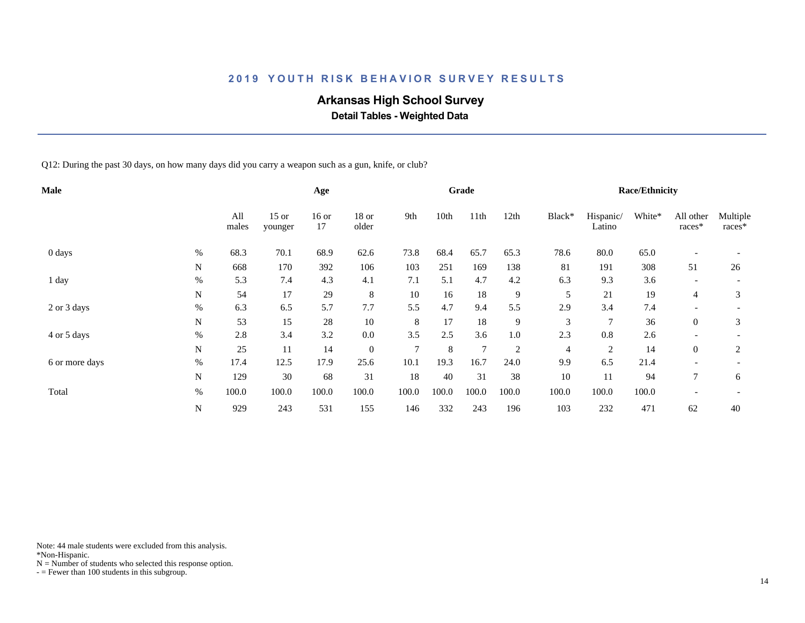# **Arkansas High School Survey**

 **Detail Tables - Weighted Data**

Q12: During the past 30 days, on how many days did you carry a weapon such as a gun, knife, or club?

| Male           |           |              |                    | Age           |                  |               |       | Grade          |                |                |                     | <b>Race/Ethnicity</b> |                          |                    |
|----------------|-----------|--------------|--------------------|---------------|------------------|---------------|-------|----------------|----------------|----------------|---------------------|-----------------------|--------------------------|--------------------|
|                |           | All<br>males | $15$ or<br>younger | $16$ or<br>17 | 18 or<br>older   | 9th           | 10th  | 11th           | 12th           | Black*         | Hispanic/<br>Latino | White*                | All other<br>races*      | Multiple<br>races* |
| 0 days         | $\%$      | 68.3         | 70.1               | 68.9          | 62.6             | 73.8          | 68.4  | 65.7           | 65.3           | 78.6           | 80.0                | 65.0                  |                          |                    |
|                | N         | 668          | 170                | 392           | 106              | 103           | 251   | 169            | 138            | 81             | 191                 | 308                   | 51                       | 26                 |
| 1 day          | $\%$      | 5.3          | 7.4                | 4.3           | 4.1              | 7.1           | 5.1   | 4.7            | 4.2            | 6.3            | 9.3                 | 3.6                   |                          |                    |
|                | N         | 54           | 17                 | 29            | 8                | 10            | 16    | 18             | 9              | 5              | 21                  | 19                    | $\overline{4}$           | 3                  |
| 2 or 3 days    | $\%$      | 6.3          | 6.5                | 5.7           | 7.7              | 5.5           | 4.7   | 9.4            | 5.5            | 2.9            | 3.4                 | 7.4                   | $\overline{\phantom{0}}$ |                    |
|                | N         | 53           | 15                 | 28            | 10               | 8             | 17    | 18             | 9              | 3              | 7                   | 36                    | $\overline{0}$           | 3                  |
| 4 or 5 days    | $\%$      | 2.8          | 3.4                | 3.2           | 0.0              | 3.5           | 2.5   | 3.6            | 1.0            | 2.3            | 0.8                 | 2.6                   | $\overline{\phantom{a}}$ |                    |
|                | ${\bf N}$ | 25           | 11                 | 14            | $\boldsymbol{0}$ | $\mathcal{I}$ | 8     | $\overline{7}$ | $\overline{2}$ | $\overline{4}$ | $\overline{c}$      | 14                    | $\overline{0}$           | $\overline{2}$     |
| 6 or more days | %         | 17.4         | 12.5               | 17.9          | 25.6             | 10.1          | 19.3  | 16.7           | 24.0           | 9.9            | 6.5                 | 21.4                  |                          |                    |
|                | N         | 129          | 30                 | 68            | 31               | 18            | 40    | 31             | 38             | 10             | 11                  | 94                    | $\tau$                   | 6                  |
| Total          | $\%$      | 100.0        | 100.0              | 100.0         | 100.0            | 100.0         | 100.0 | 100.0          | 100.0          | 100.0          | 100.0               | 100.0                 |                          |                    |
|                | ${\bf N}$ | 929          | 243                | 531           | 155              | 146           | 332   | 243            | 196            | 103            | 232                 | 471                   | 62                       | 40                 |

Note: 44 male students were excluded from this analysis.

\*Non-Hispanic.

 $N =$  Number of students who selected this response option.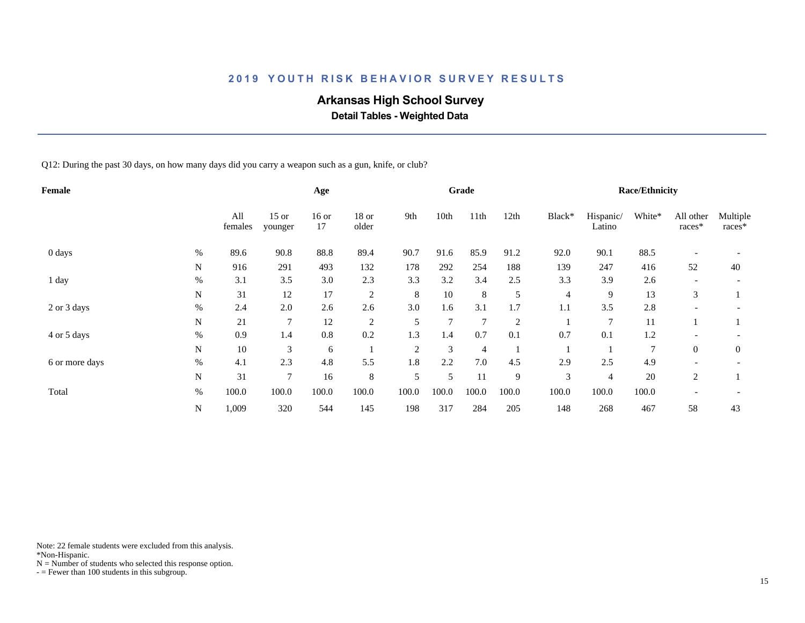# **Arkansas High School Survey**

 **Detail Tables - Weighted Data**

Q12: During the past 30 days, on how many days did you carry a weapon such as a gun, knife, or club?

| Female         |      |                |                    | Age           |                |                |       | Grade          |                |        |                     | <b>Race/Ethnicity</b> |                          |                    |
|----------------|------|----------------|--------------------|---------------|----------------|----------------|-------|----------------|----------------|--------|---------------------|-----------------------|--------------------------|--------------------|
|                |      | All<br>females | $15$ or<br>younger | $16$ or<br>17 | 18 or<br>older | 9th            | 10th  | 11th           | 12th           | Black* | Hispanic/<br>Latino | White*                | All other<br>races*      | Multiple<br>races* |
| 0 days         | $\%$ | 89.6           | 90.8               | 88.8          | 89.4           | 90.7           | 91.6  | 85.9           | 91.2           | 92.0   | 90.1                | 88.5                  | $\overline{\phantom{a}}$ |                    |
|                | N    | 916            | 291                | 493           | 132            | 178            | 292   | 254            | 188            | 139    | 247                 | 416                   | 52                       | 40                 |
| 1 day          | $\%$ | 3.1            | 3.5                | 3.0           | 2.3            | 3.3            | 3.2   | 3.4            | 2.5            | 3.3    | 3.9                 | 2.6                   |                          |                    |
|                | N    | 31             | 12                 | 17            | 2              | 8              | 10    | $\,8\,$        | 5              | 4      | 9                   | 13                    | 3                        |                    |
| 2 or 3 days    | $\%$ | 2.4            | 2.0                | 2.6           | 2.6            | 3.0            | 1.6   | 3.1            | 1.7            | 1.1    | 3.5                 | 2.8                   |                          |                    |
|                | N    | 21             | $\overline{7}$     | 12            | 2              | 5              | 7     | $\overline{7}$ | $\overline{2}$ |        | 7                   | 11                    |                          |                    |
| 4 or 5 days    | $\%$ | 0.9            | 1.4                | 0.8           | 0.2            | 1.3            | 1.4   | 0.7            | 0.1            | 0.7    | 0.1                 | 1.2                   |                          |                    |
|                | N    | 10             | 3                  | 6             |                | $\overline{2}$ | 3     | $\overline{4}$ |                |        |                     | $\overline{7}$        | $\theta$                 | $\overline{0}$     |
| 6 or more days | $\%$ | 4.1            | 2.3                | 4.8           | 5.5            | 1.8            | 2.2   | 7.0            | 4.5            | 2.9    | 2.5                 | 4.9                   |                          |                    |
|                | N    | 31             | $\tau$             | 16            | 8              | 5              | 5     | 11             | 9              | 3      | 4                   | 20                    | 2                        |                    |
| Total          | $\%$ | 100.0          | 100.0              | 100.0         | 100.0          | 100.0          | 100.0 | 100.0          | 100.0          | 100.0  | 100.0               | 100.0                 |                          |                    |
|                | N    | 1,009          | 320                | 544           | 145            | 198            | 317   | 284            | 205            | 148    | 268                 | 467                   | 58                       | 43                 |

Note: 22 female students were excluded from this analysis.

\*Non-Hispanic.

 $N =$  Number of students who selected this response option.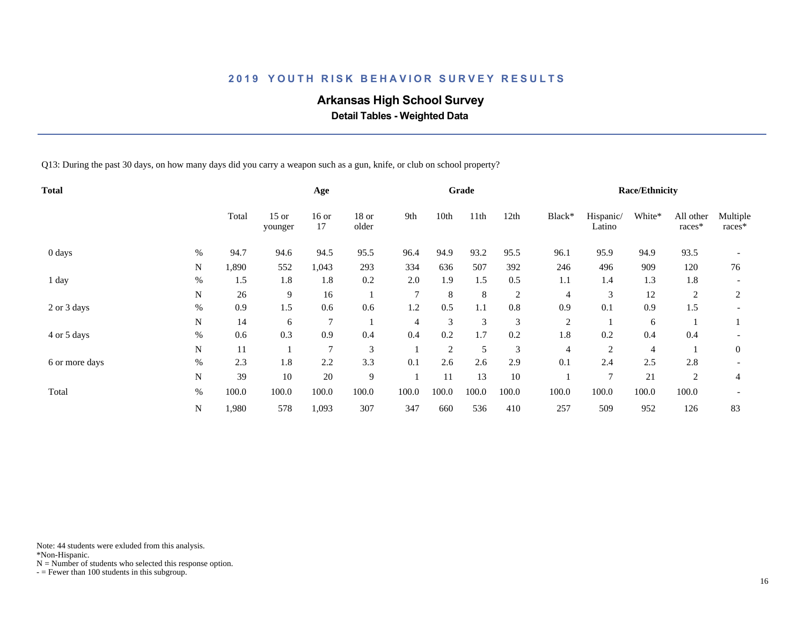# **Arkansas High School Survey**

 **Detail Tables - Weighted Data**

Q13: During the past 30 days, on how many days did you carry a weapon such as a gun, knife, or club on school property?

| Total          |      |       |                    | Age            |                |                |                | Grade   |                |                |                     | <b>Race/Ethnicity</b> |                     |                    |
|----------------|------|-------|--------------------|----------------|----------------|----------------|----------------|---------|----------------|----------------|---------------------|-----------------------|---------------------|--------------------|
|                |      | Total | $15$ or<br>younger | $16$ or<br>17  | 18 or<br>older | 9th            | 10th           | 11th    | 12th           | Black*         | Hispanic/<br>Latino | White*                | All other<br>races* | Multiple<br>races* |
| 0 days         | $\%$ | 94.7  | 94.6               | 94.5           | 95.5           | 96.4           | 94.9           | 93.2    | 95.5           | 96.1           | 95.9                | 94.9                  | 93.5                |                    |
|                | N    | 1,890 | 552                | 1,043          | 293            | 334            | 636            | 507     | 392            | 246            | 496                 | 909                   | 120                 | 76                 |
| 1 day          | $\%$ | 1.5   | 1.8                | 1.8            | 0.2            | 2.0            | 1.9            | 1.5     | 0.5            | 1.1            | 1.4                 | 1.3                   | 1.8                 |                    |
|                | N    | 26    | 9                  | 16             |                | $\overline{7}$ | 8              | $\,8\,$ | $\overline{2}$ | 4              | 3                   | 12                    | $\overline{c}$      | 2                  |
| 2 or 3 days    | $\%$ | 0.9   | 1.5                | 0.6            | 0.6            | 1.2            | 0.5            | 1.1     | $0.8\,$        | 0.9            | 0.1                 | 0.9                   | 1.5                 |                    |
|                | N    | 14    | 6                  | $\overline{7}$ |                | $\overline{4}$ | 3              | 3       | 3              | $\overline{2}$ |                     | 6                     |                     |                    |
| 4 or 5 days    | $\%$ | 0.6   | 0.3                | 0.9            | 0.4            | 0.4            | 0.2            | 1.7     | 0.2            | 1.8            | 0.2                 | 0.4                   | 0.4                 |                    |
|                | N    | 11    |                    | 7              | 3              |                | $\overline{c}$ | 5       | 3              | $\overline{4}$ | $\overline{2}$      | 4                     |                     | $\mathbf{0}$       |
| 6 or more days | $\%$ | 2.3   | 1.8                | 2.2            | 3.3            | 0.1            | 2.6            | 2.6     | 2.9            | 0.1            | 2.4                 | 2.5                   | 2.8                 |                    |
|                | N    | 39    | 10                 | 20             | 9              |                | 11             | 13      | 10             |                | $\tau$              | 21                    | 2                   | 4                  |
| Total          | $\%$ | 100.0 | 100.0              | 100.0          | 100.0          | 100.0          | 100.0          | 100.0   | 100.0          | 100.0          | 100.0               | 100.0                 | 100.0               |                    |
|                | N    | 1,980 | 578                | 1,093          | 307            | 347            | 660            | 536     | 410            | 257            | 509                 | 952                   | 126                 | 83                 |

Note: 44 students were exluded from this analysis.

\*Non-Hispanic.

 $N =$  Number of students who selected this response option.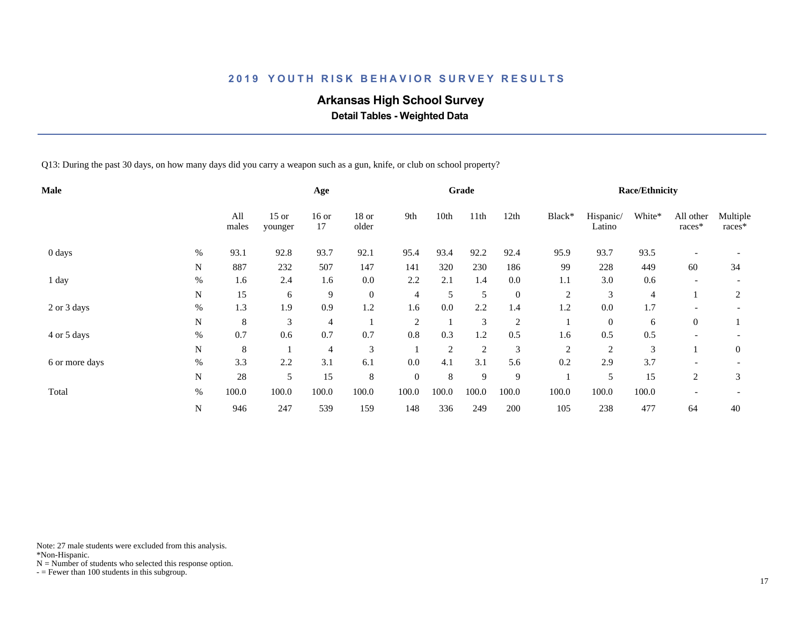# **Arkansas High School Survey**

 **Detail Tables - Weighted Data**

Q13: During the past 30 days, on how many days did you carry a weapon such as a gun, knife, or club on school property?

| Male                    |              |                    | Age           |                  |          |       | Grade          |                  |                |                     | <b>Race/Ethnicity</b> |                          |                    |
|-------------------------|--------------|--------------------|---------------|------------------|----------|-------|----------------|------------------|----------------|---------------------|-----------------------|--------------------------|--------------------|
|                         | All<br>males | $15$ or<br>younger | $16$ or<br>17 | 18 or<br>older   | 9th      | 10th  | 11th           | 12th             | Black*         | Hispanic/<br>Latino | White*                | All other<br>races*      | Multiple<br>races* |
| $0 \, \text{days}$<br>% | 93.1         | 92.8               | 93.7          | 92.1             | 95.4     | 93.4  | 92.2           | 92.4             | 95.9           | 93.7                | 93.5                  |                          |                    |
| N                       | 887          | 232                | 507           | 147              | 141      | 320   | 230            | 186              | 99             | 228                 | 449                   | 60                       | 34                 |
| $\%$<br>1 day           | 1.6          | 2.4                | 1.6           | 0.0              | 2.2      | 2.1   | 1.4            | 0.0              | 1.1            | 3.0                 | 0.6                   |                          |                    |
| N                       | 15           | 6                  | 9             | $\boldsymbol{0}$ | 4        | 5     | 5              | $\boldsymbol{0}$ | $\overline{2}$ | 3                   | 4                     |                          | 2                  |
| $\%$<br>2 or 3 days     | 1.3          | 1.9                | 0.9           | 1.2              | 1.6      | 0.0   | 2.2            | 1.4              | 1.2            | 0.0                 | $1.7\,$               | $\overline{\phantom{0}}$ |                    |
| $\mathbf N$             | 8            | 3                  | 4             |                  | 2        |       | 3              | $\overline{2}$   |                | $\mathbf{0}$        | 6                     | $\overline{0}$           |                    |
| $\%$<br>4 or 5 days     | 0.7          | 0.6                | 0.7           | 0.7              | 0.8      | 0.3   | 1.2            | 0.5              | 1.6            | 0.5                 | 0.5                   |                          |                    |
| $\mathbf N$             | $\,8\,$      |                    | 4             | 3                |          | 2     | $\overline{2}$ | 3                | $\mathfrak{2}$ | $\overline{c}$      | 3                     |                          | $\mathbf{0}$       |
| $\%$<br>6 or more days  | 3.3          | 2.2                | 3.1           | 6.1              | 0.0      | 4.1   | 3.1            | 5.6              | 0.2            | 2.9                 | 3.7                   |                          |                    |
| N                       | 28           | 5                  | 15            | 8                | $\theta$ | 8     | 9              | 9                |                | 5                   | 15                    | 2                        | 3                  |
| $\%$<br>Total           | 100.0        | 100.0              | 100.0         | 100.0            | 100.0    | 100.0 | 100.0          | 100.0            | 100.0          | 100.0               | 100.0                 |                          |                    |
| N                       | 946          | 247                | 539           | 159              | 148      | 336   | 249            | 200              | 105            | 238                 | 477                   | 64                       | 40                 |

Note: 27 male students were excluded from this analysis.

\*Non-Hispanic.

 $N =$  Number of students who selected this response option.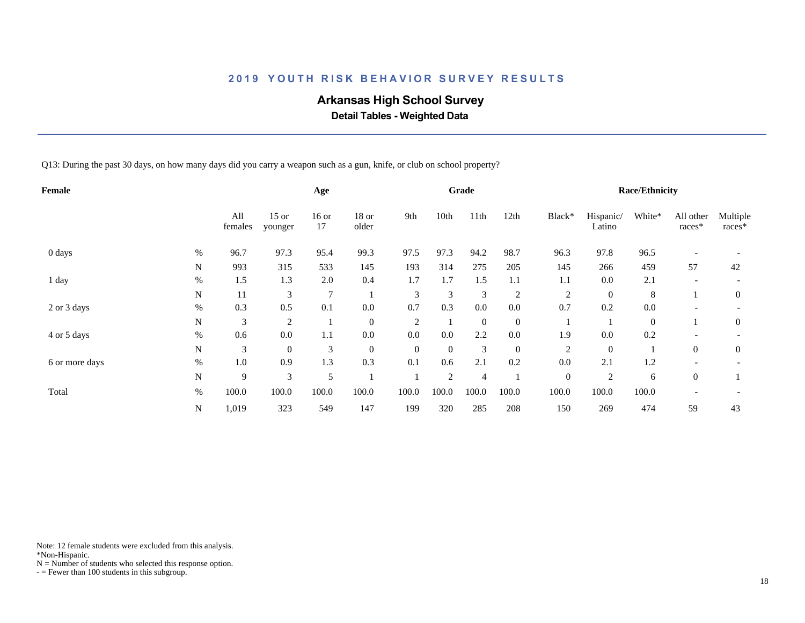# **Arkansas High School Survey**

 **Detail Tables - Weighted Data**

Q13: During the past 30 days, on how many days did you carry a weapon such as a gun, knife, or club on school property?

|           |                |                    | Age            |                  |                |          |                |                |                  |                     |              |                     |                       |
|-----------|----------------|--------------------|----------------|------------------|----------------|----------|----------------|----------------|------------------|---------------------|--------------|---------------------|-----------------------|
|           | All<br>females | $15$ or<br>younger | $16$ or<br>17  | 18 or<br>older   | 9th            | 10th     | 11th           | 12th           | Black*           | Hispanic/<br>Latino | White*       | All other<br>races* | Multiple<br>races*    |
| $\%$      | 96.7           | 97.3               | 95.4           | 99.3             | 97.5           | 97.3     | 94.2           | 98.7           | 96.3             | 97.8                | 96.5         |                     |                       |
| N         | 993            | 315                | 533            | 145              | 193            | 314      | 275            | 205            | 145              | 266                 | 459          | 57                  | 42                    |
| $\%$      | 1.5            | 1.3                | 2.0            | 0.4              | 1.7            | 1.7      | 1.5            | 1.1            | 1.1              | 0.0                 | 2.1          |                     |                       |
| N         | 11             | 3                  | $\overline{7}$ |                  | 3              | 3        | 3              | $\overline{2}$ | $\overline{2}$   | $\mathbf{0}$        | 8            |                     | $\mathbf{0}$          |
| $\%$      | 0.3            | 0.5                | 0.1            | 0.0              | 0.7            | 0.3      | 0.0            | $0.0\,$        | 0.7              | 0.2                 | 0.0          |                     |                       |
| N         | 3              | $\overline{2}$     |                | $\mathbf{0}$     | $\overline{2}$ |          | $\overline{0}$ | $\mathbf{0}$   |                  |                     | $\mathbf{0}$ |                     | $\mathbf{0}$          |
| $\%$      | 0.6            | 0.0                | 1.1            | 0.0              | 0.0            | 0.0      | 2.2            | 0.0            | 1.9              | 0.0                 | 0.2          |                     |                       |
| ${\bf N}$ | 3              | $\boldsymbol{0}$   | 3              | $\boldsymbol{0}$ | $\overline{0}$ | $\theta$ | 3              | $\mathbf{0}$   | $\overline{2}$   | $\theta$            |              | $\overline{0}$      | $\mathbf{0}$          |
| $\%$      | 1.0            | 0.9                | 1.3            | 0.3              | 0.1            | 0.6      | 2.1            | 0.2            | 0.0              | 2.1                 | 1.2          |                     |                       |
| N         | 9              | 3                  | 5              |                  |                | 2        | $\overline{4}$ |                | $\boldsymbol{0}$ | $\overline{2}$      | 6            | $\overline{0}$      |                       |
| $\%$      | 100.0          | 100.0              | 100.0          | 100.0            | 100.0          | 100.0    | 100.0          | 100.0          | 100.0            | 100.0               | 100.0        |                     |                       |
| N         | 1,019          | 323                | 549            | 147              | 199            | 320      | 285            | 208            | 150              | 269                 | 474          | 59                  | 43                    |
|           |                |                    |                |                  |                |          |                | Grade          |                  |                     |              |                     | <b>Race/Ethnicity</b> |

Note: 12 female students were excluded from this analysis.

\*Non-Hispanic.

 $N =$  Number of students who selected this response option.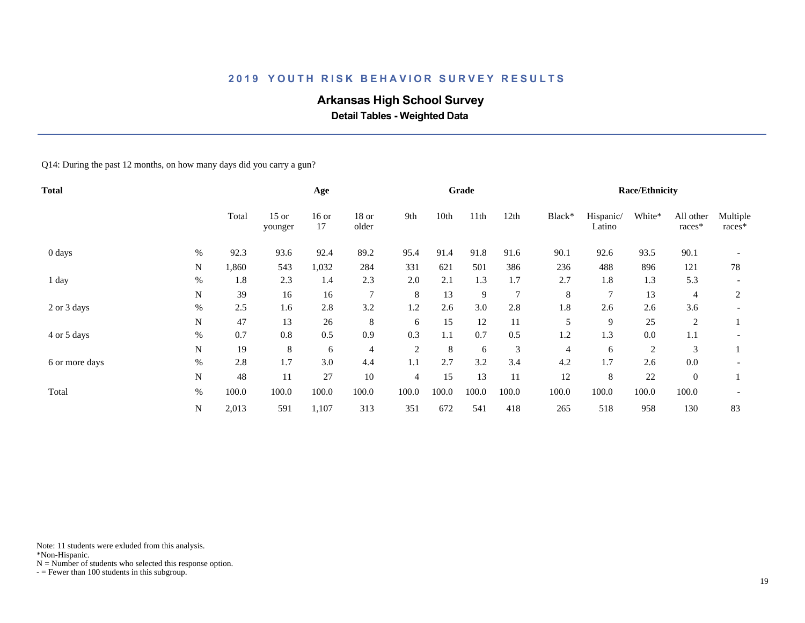# **Arkansas High School Survey**

 **Detail Tables - Weighted Data**

Q14: During the past 12 months, on how many days did you carry a gun?

| <b>Total</b>   |      |       |                    | Age           |                |                |       | Grade |                |         |                     | <b>Race/Ethnicity</b> |                     |                    |
|----------------|------|-------|--------------------|---------------|----------------|----------------|-------|-------|----------------|---------|---------------------|-----------------------|---------------------|--------------------|
|                |      | Total | $15$ or<br>younger | $16$ or<br>17 | 18 or<br>older | 9th            | 10th  | 11th  | 12th           | Black*  | Hispanic/<br>Latino | White*                | All other<br>races* | Multiple<br>races* |
| 0 days         | $\%$ | 92.3  | 93.6               | 92.4          | 89.2           | 95.4           | 91.4  | 91.8  | 91.6           | 90.1    | 92.6                | 93.5                  | 90.1                |                    |
|                | N    | 1,860 | 543                | 1,032         | 284            | 331            | 621   | 501   | 386            | 236     | 488                 | 896                   | 121                 | 78                 |
| 1 day          | $\%$ | 1.8   | 2.3                | 1.4           | 2.3            | 2.0            | 2.1   | 1.3   | 1.7            | 2.7     | 1.8                 | 1.3                   | 5.3                 |                    |
|                | N    | 39    | 16                 | 16            | $\overline{7}$ | 8              | 13    | 9     | $\overline{7}$ | $\,8\,$ | $\tau$              | 13                    | 4                   | 2                  |
| 2 or 3 days    | $\%$ | 2.5   | 1.6                | 2.8           | 3.2            | 1.2            | 2.6   | 3.0   | 2.8            | 1.8     | 2.6                 | 2.6                   | 3.6                 |                    |
|                | N    | 47    | 13                 | 26            | 8              | 6              | 15    | 12    | 11             | 5       | 9                   | 25                    | $\overline{2}$      |                    |
| 4 or 5 days    | $\%$ | 0.7   | 0.8                | 0.5           | 0.9            | 0.3            | 1.1   | 0.7   | 0.5            | 1.2     | 1.3                 | 0.0                   | 1.1                 |                    |
|                | N    | 19    | 8                  | 6             | $\overline{4}$ | $\overline{2}$ | 8     | 6     | 3              | 4       | 6                   | $\overline{2}$        | 3                   |                    |
| 6 or more days | $\%$ | 2.8   | 1.7                | 3.0           | 4.4            | 1.1            | 2.7   | 3.2   | 3.4            | 4.2     | 1.7                 | 2.6                   | 0.0                 |                    |
|                | N    | 48    | 11                 | 27            | 10             | $\overline{4}$ | 15    | 13    | 11             | 12      | 8                   | 22                    | $\mathbf{0}$        |                    |
| Total          | $\%$ | 100.0 | 100.0              | 100.0         | 100.0          | 100.0          | 100.0 | 100.0 | 100.0          | 100.0   | 100.0               | 100.0                 | 100.0               |                    |
|                | N    | 2,013 | 591                | 1,107         | 313            | 351            | 672   | 541   | 418            | 265     | 518                 | 958                   | 130                 | 83                 |

Note: 11 students were exluded from this analysis.

\*Non-Hispanic.

 $N =$  Number of students who selected this response option.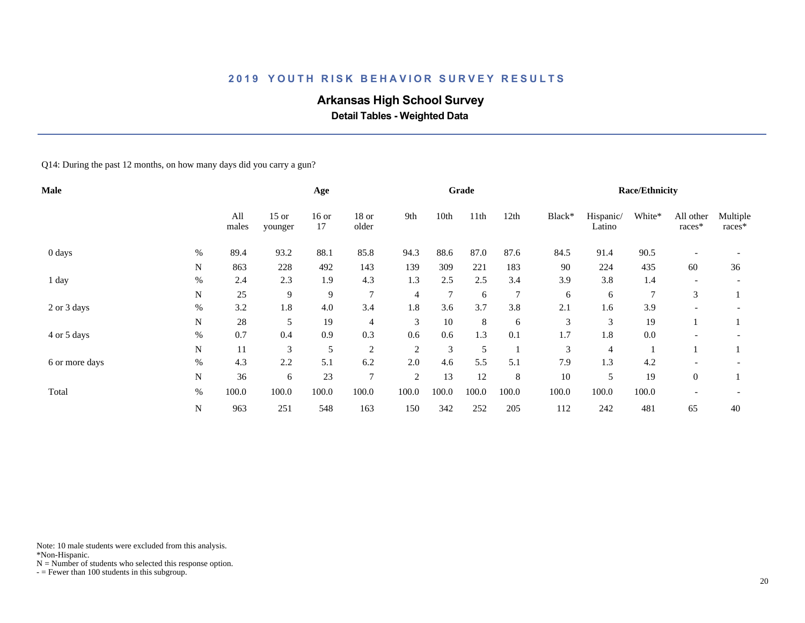# **Arkansas High School Survey**

 **Detail Tables - Weighted Data**

Q14: During the past 12 months, on how many days did you carry a gun?

| <b>Male</b>    |             |              |                    | Age           |                |       |                | Grade |                |        |                     | <b>Race/Ethnicity</b> |                     |                    |
|----------------|-------------|--------------|--------------------|---------------|----------------|-------|----------------|-------|----------------|--------|---------------------|-----------------------|---------------------|--------------------|
|                |             | All<br>males | $15$ or<br>younger | $16$ or<br>17 | 18 or<br>older | 9th   | 10th           | 11th  | 12th           | Black* | Hispanic/<br>Latino | White*                | All other<br>races* | Multiple<br>races* |
| 0 days         | $\%$        | 89.4         | 93.2               | 88.1          | 85.8           | 94.3  | 88.6           | 87.0  | 87.6           | 84.5   | 91.4                | 90.5                  |                     |                    |
|                | N           | 863          | 228                | 492           | 143            | 139   | 309            | 221   | 183            | 90     | 224                 | 435                   | 60                  | 36                 |
| 1 day          | %           | 2.4          | 2.3                | 1.9           | 4.3            | 1.3   | 2.5            | 2.5   | 3.4            | 3.9    | 3.8                 | 1.4                   |                     |                    |
|                | N           | 25           | 9                  | 9             | $\overline{7}$ | 4     | $\overline{7}$ | 6     | $\overline{7}$ | 6      | 6                   | $\overline{7}$        | 3                   |                    |
| 2 or 3 days    | $\%$        | 3.2          | 1.8                | 4.0           | 3.4            | 1.8   | 3.6            | 3.7   | 3.8            | 2.1    | 1.6                 | 3.9                   |                     |                    |
|                | N           | 28           | 5                  | 19            | 4              | 3     | 10             | 8     | 6              | 3      | 3                   | 19                    |                     |                    |
| 4 or 5 days    | $\%$        | 0.7          | 0.4                | 0.9           | 0.3            | 0.6   | 0.6            | 1.3   | 0.1            | 1.7    | 1.8                 | 0.0                   |                     |                    |
|                | N           | 11           | 3                  | 5             | $\overline{2}$ | 2     | 3              | 5     |                | 3      | 4                   |                       |                     |                    |
| 6 or more days | $\%$        | 4.3          | 2.2                | 5.1           | 6.2            | 2.0   | 4.6            | 5.5   | 5.1            | 7.9    | 1.3                 | 4.2                   |                     |                    |
|                | $\mathbf N$ | 36           | 6                  | 23            | $\overline{7}$ | 2     | 13             | 12    | 8              | 10     | 5                   | 19                    | $\overline{0}$      |                    |
| Total          | $\%$        | 100.0        | 100.0              | 100.0         | 100.0          | 100.0 | 100.0          | 100.0 | 100.0          | 100.0  | 100.0               | 100.0                 |                     |                    |
|                | N           | 963          | 251                | 548           | 163            | 150   | 342            | 252   | 205            | 112    | 242                 | 481                   | 65                  | 40                 |

Note: 10 male students were excluded from this analysis.

\*Non-Hispanic.

 $N =$  Number of students who selected this response option.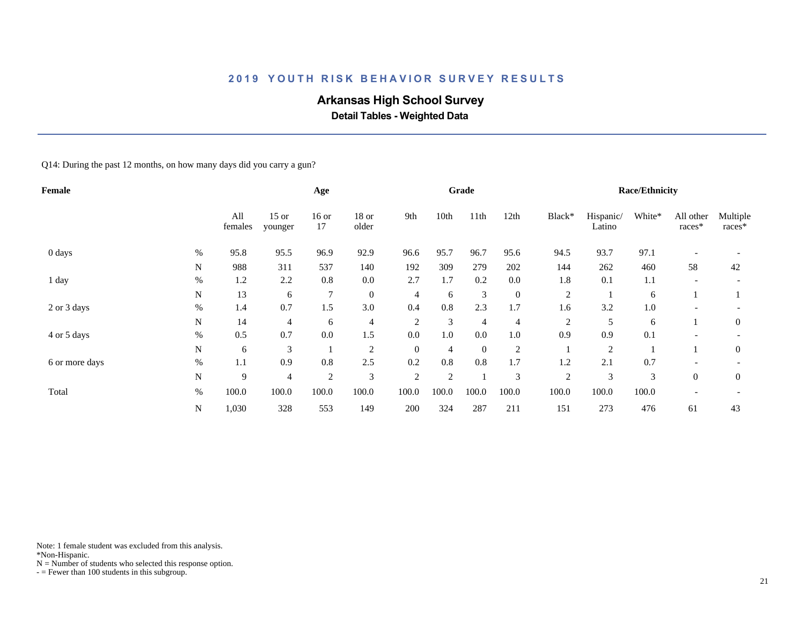# **Arkansas High School Survey**

 **Detail Tables - Weighted Data**

Q14: During the past 12 months, on how many days did you carry a gun?

| Female         |      |                |                    | Age            |                |                |                | Grade            |                  |                |                     | <b>Race/Ethnicity</b> |                     |                    |
|----------------|------|----------------|--------------------|----------------|----------------|----------------|----------------|------------------|------------------|----------------|---------------------|-----------------------|---------------------|--------------------|
|                |      | All<br>females | $15$ or<br>younger | $16$ or<br>17  | 18 or<br>older | 9th            | 10th           | 11th             | 12th             | Black*         | Hispanic/<br>Latino | White*                | All other<br>races* | Multiple<br>races* |
| 0 days         | $\%$ | 95.8           | 95.5               | 96.9           | 92.9           | 96.6           | 95.7           | 96.7             | 95.6             | 94.5           | 93.7                | 97.1                  |                     |                    |
|                | N    | 988            | 311                | 537            | 140            | 192            | 309            | 279              | 202              | 144            | 262                 | 460                   | 58                  | 42                 |
| 1 day          | %    | 1.2            | 2.2                | 0.8            | 0.0            | 2.7            | 1.7            | 0.2              | 0.0              | 1.8            | 0.1                 | 1.1                   |                     |                    |
|                | N    | 13             | 6                  | $\tau$         | $\overline{0}$ | $\overline{4}$ | 6              | 3                | $\boldsymbol{0}$ | $\overline{c}$ |                     | 6                     |                     |                    |
| 2 or 3 days    | %    | 1.4            | 0.7                | 1.5            | 3.0            | 0.4            | 0.8            | 2.3              | 1.7              | 1.6            | 3.2                 | 1.0                   |                     |                    |
|                | N    | 14             | 4                  | 6              | $\overline{4}$ | $\overline{2}$ | 3              | $\overline{4}$   | 4                | $\overline{c}$ | 5                   | 6                     |                     | $\mathbf{0}$       |
| 4 or 5 days    | $\%$ | 0.5            | 0.7                | 0.0            | 1.5            | 0.0            | 1.0            | 0.0              | 1.0              | 0.9            | 0.9                 | 0.1                   |                     |                    |
|                | N    | 6              | 3                  |                | $\overline{2}$ | $\overline{0}$ | 4              | $\boldsymbol{0}$ | 2                |                | 2                   |                       |                     | $\mathbf{0}$       |
| 6 or more days | $\%$ | 1.1            | 0.9                | $0.8\,$        | 2.5            | 0.2            | 0.8            | $0.8\,$          | 1.7              | 1.2            | 2.1                 | 0.7                   |                     |                    |
|                | N    | 9              | 4                  | $\overline{2}$ | 3              | $\overline{2}$ | $\overline{c}$ |                  | 3                | $\overline{c}$ | 3                   | 3                     | $\overline{0}$      | $\overline{0}$     |
| Total          | %    | 100.0          | 100.0              | 100.0          | 100.0          | 100.0          | 100.0          | 100.0            | 100.0            | 100.0          | 100.0               | 100.0                 |                     |                    |
|                | N    | 1,030          | 328                | 553            | 149            | 200            | 324            | 287              | 211              | 151            | 273                 | 476                   | 61                  | 43                 |

Note: 1 female student was excluded from this analysis.

\*Non-Hispanic.

 $N =$  Number of students who selected this response option.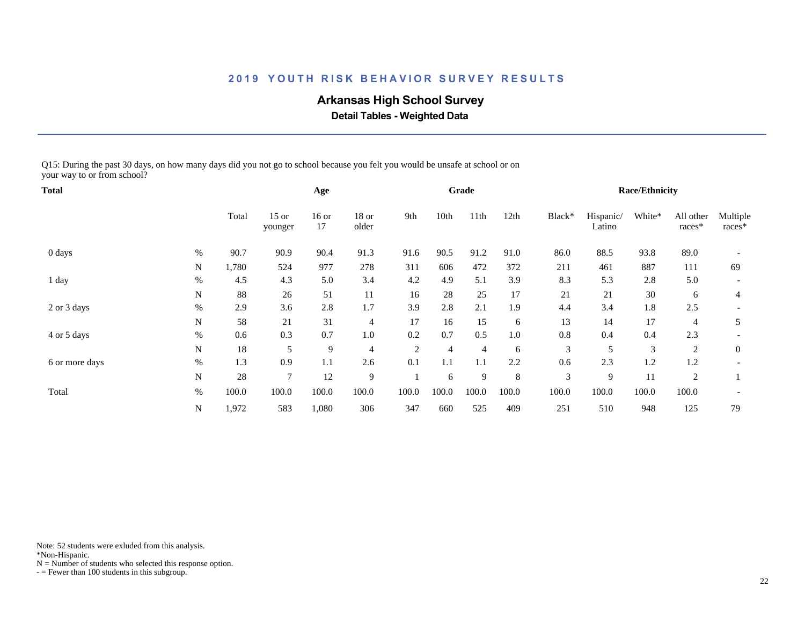# **Arkansas High School Survey**

 **Detail Tables - Weighted Data**

Q15: During the past 30 days, on how many days did you not go to school because you felt you would be unsafe at school or on your way to or from school?

| Total          |      |       |                    | Age           |                |                |                | Grade          |       |        |                     | <b>Race/Ethnicity</b> |                     |                    |
|----------------|------|-------|--------------------|---------------|----------------|----------------|----------------|----------------|-------|--------|---------------------|-----------------------|---------------------|--------------------|
|                |      | Total | $15$ or<br>younger | $16$ or<br>17 | 18 or<br>older | 9th            | 10th           | 11th           | 12th  | Black* | Hispanic/<br>Latino | White*                | All other<br>races* | Multiple<br>races* |
| 0 days         | $\%$ | 90.7  | 90.9               | 90.4          | 91.3           | 91.6           | 90.5           | 91.2           | 91.0  | 86.0   | 88.5                | 93.8                  | 89.0                |                    |
|                | N    | 1,780 | 524                | 977           | 278            | 311            | 606            | 472            | 372   | 211    | 461                 | 887                   | 111                 | 69                 |
| 1 day          | $\%$ | 4.5   | 4.3                | 5.0           | 3.4            | 4.2            | 4.9            | 5.1            | 3.9   | 8.3    | 5.3                 | 2.8                   | 5.0                 |                    |
|                | N    | 88    | 26                 | 51            | 11             | 16             | 28             | 25             | 17    | 21     | 21                  | 30                    | 6                   | 4                  |
| 2 or 3 days    | $\%$ | 2.9   | 3.6                | 2.8           | 1.7            | 3.9            | 2.8            | 2.1            | 1.9   | 4.4    | 3.4                 | 1.8                   | 2.5                 |                    |
|                | N    | 58    | 21                 | 31            | $\overline{4}$ | 17             | 16             | 15             | 6     | 13     | 14                  | 17                    | 4                   | 5                  |
| 4 or 5 days    | $\%$ | 0.6   | 0.3                | 0.7           | 1.0            | 0.2            | 0.7            | 0.5            | 1.0   | 0.8    | 0.4                 | 0.4                   | 2.3                 |                    |
|                | N    | 18    | 5                  | 9             | $\overline{4}$ | $\overline{2}$ | $\overline{4}$ | $\overline{4}$ | 6     | 3      | 5                   | 3                     | 2                   | $\mathbf{0}$       |
| 6 or more days | $\%$ | 1.3   | 0.9                | 1.1           | 2.6            | 0.1            | 1.1            | 1.1            | 2.2   | 0.6    | 2.3                 | 1.2                   | 1.2                 |                    |
|                | N    | 28    | $\overline{7}$     | 12            | 9              |                | 6              | 9              | 8     | 3      | 9                   | 11                    | 2                   |                    |
| Total          | $\%$ | 100.0 | 100.0              | 100.0         | 100.0          | 100.0          | 100.0          | 100.0          | 100.0 | 100.0  | 100.0               | 100.0                 | 100.0               |                    |
|                | N    | 1,972 | 583                | 1,080         | 306            | 347            | 660            | 525            | 409   | 251    | 510                 | 948                   | 125                 | 79                 |

Note: 52 students were exluded from this analysis.

\*Non-Hispanic.

 $N =$  Number of students who selected this response option.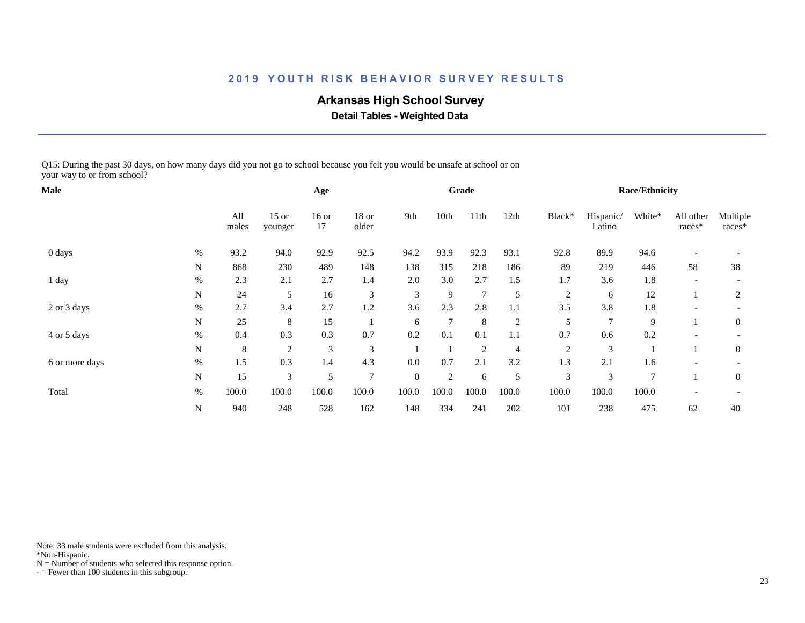# **Arkansas High School Survey**

 **Detail Tables - Weighted Data**

Q15: During the past 30 days, on how many days did you not go to school because you felt you would be unsafe at school or on your way to or from school?

| <b>Male</b>    |           |              |                    | Age           |                |                |                | Grade          |                |                |                     | <b>Race/Ethnicity</b> |                          |                    |
|----------------|-----------|--------------|--------------------|---------------|----------------|----------------|----------------|----------------|----------------|----------------|---------------------|-----------------------|--------------------------|--------------------|
|                |           | All<br>males | $15$ or<br>younger | $16$ or<br>17 | 18 or<br>older | 9th            | 10th           | 11th           | 12th           | Black*         | Hispanic/<br>Latino | White*                | All other<br>races*      | Multiple<br>races* |
| 0 days         | $\%$      | 93.2         | 94.0               | 92.9          | 92.5           | 94.2           | 93.9           | 92.3           | 93.1           | 92.8           | 89.9                | 94.6                  |                          |                    |
|                | N         | 868          | 230                | 489           | 148            | 138            | 315            | 218            | 186            | 89             | 219                 | 446                   | 58                       | 38                 |
| 1 day          | $\%$      | 2.3          | 2.1                | 2.7           | 1.4            | 2.0            | 3.0            | 2.7            | 1.5            | 1.7            | 3.6                 | 1.8                   | $\overline{\phantom{a}}$ |                    |
|                | N         | 24           | 5                  | 16            | 3              | 3              | 9              | $\overline{7}$ | $\mathfrak{S}$ | $\overline{2}$ | 6                   | 12                    |                          | 2                  |
| 2 or 3 days    | $\%$      | 2.7          | 3.4                | 2.7           | 1.2            | 3.6            | 2.3            | 2.8            | 1.1            | 3.5            | 3.8                 | 1.8                   |                          |                    |
|                | N         | 25           | 8                  | 15            |                | 6              | $\overline{7}$ | 8              | 2              | 5              | 7                   | 9                     |                          | $\mathbf{0}$       |
| 4 or 5 days    | $\%$      | 0.4          | 0.3                | 0.3           | 0.7            | 0.2            | 0.1            | 0.1            | 1.1            | 0.7            | 0.6                 | 0.2                   | $\overline{\phantom{a}}$ |                    |
|                | ${\bf N}$ | 8            | $\overline{2}$     | 3             | 3              |                |                | $\overline{2}$ | $\overline{4}$ | $\overline{2}$ | 3                   |                       |                          | $\mathbf{0}$       |
| 6 or more days | $\%$      | 1.5          | 0.3                | 1.4           | 4.3            | 0.0            | 0.7            | 2.1            | 3.2            | 1.3            | 2.1                 | 1.6                   |                          |                    |
|                | N         | 15           | 3                  | 5             | $\tau$         | $\overline{0}$ | 2              | 6              | 5              | 3              | 3                   | $\overline{7}$        |                          | $\mathbf{0}$       |
| Total          | $\%$      | 100.0        | 100.0              | 100.0         | 100.0          | 100.0          | 100.0          | 100.0          | 100.0          | 100.0          | 100.0               | 100.0                 |                          |                    |
|                | N         | 940          | 248                | 528           | 162            | 148            | 334            | 241            | 202            | 101            | 238                 | 475                   | 62                       | 40                 |

Note: 33 male students were excluded from this analysis.

\*Non-Hispanic.

 $N =$  Number of students who selected this response option.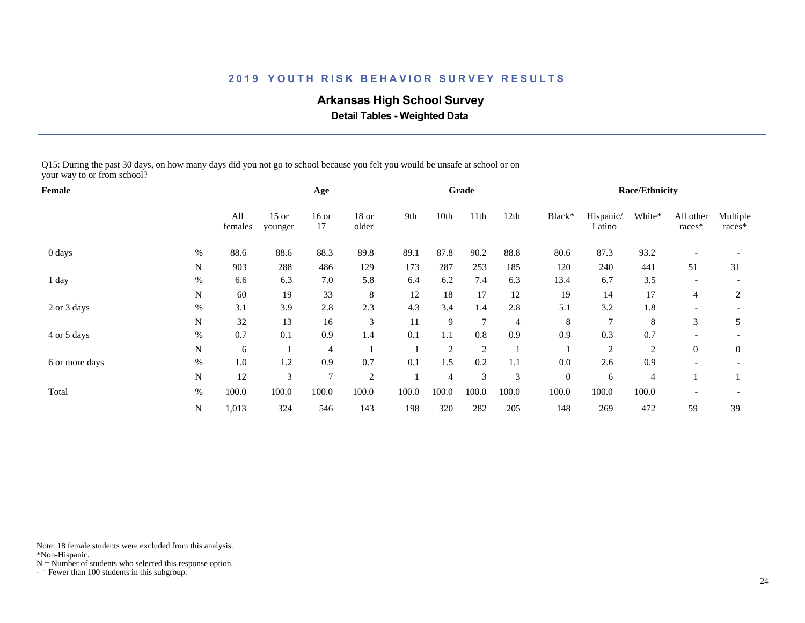# **Arkansas High School Survey**

 **Detail Tables - Weighted Data**

Q15: During the past 30 days, on how many days did you not go to school because you felt you would be unsafe at school or on your way to or from school?

| Female         |           |                |                    | Age            |                |       |                | Grade          |                |                  |                     | <b>Race/Ethnicity</b> |                     |                    |
|----------------|-----------|----------------|--------------------|----------------|----------------|-------|----------------|----------------|----------------|------------------|---------------------|-----------------------|---------------------|--------------------|
|                |           | All<br>females | $15$ or<br>younger | $16$ or<br>17  | 18 or<br>older | 9th   | 10th           | 11th           | 12th           | Black*           | Hispanic/<br>Latino | White*                | All other<br>races* | Multiple<br>races* |
| 0 days         | $\%$      | 88.6           | 88.6               | 88.3           | 89.8           | 89.1  | 87.8           | 90.2           | 88.8           | 80.6             | 87.3                | 93.2                  |                     |                    |
|                | N         | 903            | 288                | 486            | 129            | 173   | 287            | 253            | 185            | 120              | 240                 | 441                   | 51                  | 31                 |
| 1 day          | $\%$      | 6.6            | 6.3                | $7.0\,$        | 5.8            | 6.4   | 6.2            | 7.4            | 6.3            | 13.4             | 6.7                 | 3.5                   |                     |                    |
|                | N         | 60             | 19                 | 33             | 8              | 12    | 18             | 17             | 12             | 19               | 14                  | 17                    | 4                   | 2                  |
| 2 or 3 days    | $\%$      | 3.1            | 3.9                | 2.8            | 2.3            | 4.3   | 3.4            | 1.4            | 2.8            | 5.1              | 3.2                 | 1.8                   |                     |                    |
|                | N         | 32             | 13                 | 16             | 3              | 11    | 9              | $\overline{7}$ | $\overline{4}$ | 8                | 7                   | 8                     | 3                   | 5                  |
| 4 or 5 days    | %         | 0.7            | 0.1                | 0.9            | 1.4            | 0.1   | 1.1            | 0.8            | 0.9            | 0.9              | 0.3                 | 0.7                   |                     |                    |
|                | N         | 6              |                    | $\overline{4}$ |                |       | $\overline{2}$ | $\overline{2}$ |                |                  | 2                   | 2                     | $\overline{0}$      | $\mathbf{0}$       |
| 6 or more days | $\%$      | 1.0            | 1.2                | 0.9            | 0.7            | 0.1   | 1.5            | 0.2            | 1.1            | 0.0              | 2.6                 | 0.9                   |                     |                    |
|                | N         | 12             | 3                  | $\mathcal{I}$  | $\overline{2}$ |       | 4              | 3              | 3              | $\boldsymbol{0}$ | 6                   | $\overline{4}$        |                     |                    |
| Total          | $\%$      | 100.0          | 100.0              | 100.0          | 100.0          | 100.0 | 100.0          | 100.0          | 100.0          | 100.0            | 100.0               | 100.0                 |                     |                    |
|                | ${\bf N}$ | 1,013          | 324                | 546            | 143            | 198   | 320            | 282            | 205            | 148              | 269                 | 472                   | 59                  | 39                 |

Note: 18 female students were excluded from this analysis.

\*Non-Hispanic.

 $N =$  Number of students who selected this response option.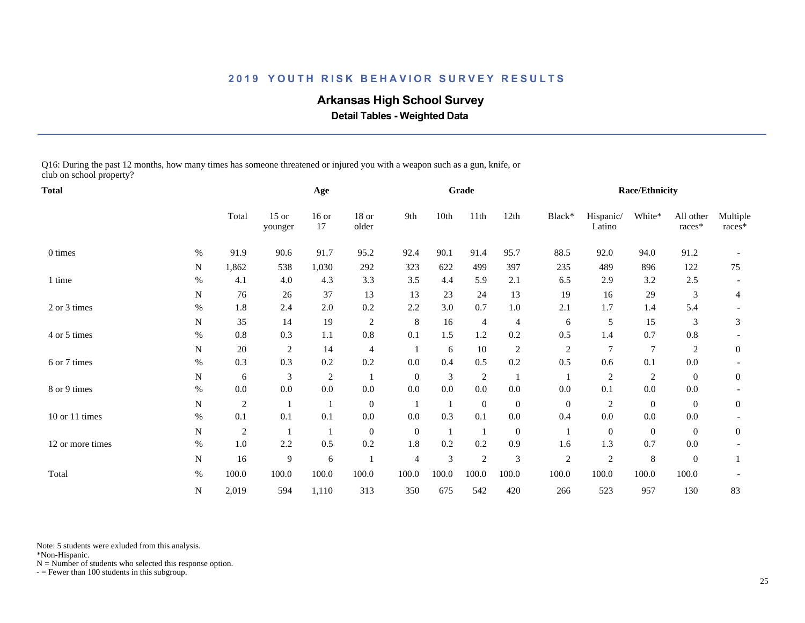# **Arkansas High School Survey**

 **Detail Tables - Weighted Data**

Q16: During the past 12 months, how many times has someone threatened or injured you with a weapon such as a gun, knife, or club on school property?

| <b>Total</b>     |           |                |                    | Age            |                  |                |       | Grade          |                         |                |                     | <b>Race/Ethnicity</b> |                     |                    |
|------------------|-----------|----------------|--------------------|----------------|------------------|----------------|-------|----------------|-------------------------|----------------|---------------------|-----------------------|---------------------|--------------------|
|                  |           | Total          | $15$ or<br>younger | $16$ or<br>17  | $18$ or<br>older | 9th            | 10th  | 11th           | 12th                    | Black*         | Hispanic/<br>Latino | White*                | All other<br>races* | Multiple<br>races* |
| 0 times          | $\%$      | 91.9           | 90.6               | 91.7           | 95.2             | 92.4           | 90.1  | 91.4           | 95.7                    | 88.5           | 92.0                | 94.0                  | 91.2                |                    |
|                  | N         | 1,862          | 538                | 1,030          | 292              | 323            | 622   | 499            | 397                     | 235            | 489                 | 896                   | 122                 | 75                 |
| 1 time           | $\%$      | 4.1            | 4.0                | 4.3            | 3.3              | 3.5            | 4.4   | 5.9            | 2.1                     | 6.5            | 2.9                 | 3.2                   | 2.5                 |                    |
|                  | N         | 76             | 26                 | 37             | 13               | 13             | 23    | 24             | 13                      | 19             | 16                  | 29                    | 3                   | 4                  |
| 2 or 3 times     | $\%$      | 1.8            | 2.4                | 2.0            | 0.2              | 2.2            | 3.0   | 0.7            | $1.0\,$                 | 2.1            | 1.7                 | 1.4                   | 5.4                 |                    |
|                  | N         | 35             | 14                 | 19             | $\sqrt{2}$       | 8              | 16    | $\overline{4}$ | 4                       | 6              | 5                   | 15                    | 3                   | 3                  |
| 4 or 5 times     | $\%$      | $0.8\,$        | 0.3                | 1.1            | $0.8\,$          | 0.1            | 1.5   | $1.2\,$        | 0.2                     | 0.5            | 1.4                 | 0.7                   | 0.8                 |                    |
|                  | N         | 20             | $\overline{c}$     | 14             | $\overline{4}$   |                | 6     | 10             | $\overline{\mathbf{c}}$ | $\overline{2}$ | 7                   | $\overline{7}$        | 2                   | $\overline{0}$     |
| 6 or 7 times     | %         | 0.3            | 0.3                | 0.2            | 0.2              | 0.0            | 0.4   | 0.5            | 0.2                     | 0.5            | 0.6                 | 0.1                   | 0.0                 |                    |
|                  | ${\bf N}$ | 6              | 3                  | $\overline{2}$ |                  | $\overline{0}$ | 3     | $\overline{2}$ |                         | $\mathbf{1}$   | $\sqrt{2}$          | $\sqrt{2}$            | $\overline{0}$      | $\mathbf{0}$       |
| 8 or 9 times     | $\%$      | $0.0\,$        | 0.0                | $0.0\,$        | $0.0\,$          | 0.0            | 0.0   | $0.0\,$        | 0.0                     | 0.0            | 0.1                 | $0.0\,$               | 0.0                 |                    |
|                  | N         | 2              |                    | 1              | $\mathbf{0}$     |                |       | $\overline{0}$ | $\boldsymbol{0}$        | $\overline{0}$ | 2                   | $\boldsymbol{0}$      | $\overline{0}$      | $\overline{0}$     |
| 10 or 11 times   | %         | 0.1            | 0.1                | 0.1            | $0.0\,$          | 0.0            | 0.3   | 0.1            | $0.0\,$                 | 0.4            | $0.0\,$             | $0.0\,$               | 0.0                 |                    |
|                  | N         | $\overline{2}$ |                    | 1              | $\overline{0}$   | $\mathbf{0}$   | -1    | -1             | $\boldsymbol{0}$        | 1              | $\mathbf{0}$        | $\boldsymbol{0}$      | $\Omega$            | $\overline{0}$     |
| 12 or more times | $\%$      | 1.0            | 2.2                | 0.5            | 0.2              | 1.8            | 0.2   | 0.2            | 0.9                     | 1.6            | 1.3                 | 0.7                   | 0.0                 |                    |
|                  | N         | 16             | 9                  | 6              |                  | $\overline{4}$ | 3     | $\sqrt{2}$     | 3                       | $\sqrt{2}$     | $\sqrt{2}$          | $\,8\,$               | $\boldsymbol{0}$    |                    |
| Total            | $\%$      | 100.0          | 100.0              | 100.0          | 100.0            | 100.0          | 100.0 | 100.0          | 100.0                   | 100.0          | 100.0               | 100.0                 | 100.0               |                    |
|                  | N         | 2,019          | 594                | 1,110          | 313              | 350            | 675   | 542            | 420                     | 266            | 523                 | 957                   | 130                 | 83                 |

Note: 5 students were exluded from this analysis.

\*Non-Hispanic.

 $N =$  Number of students who selected this response option.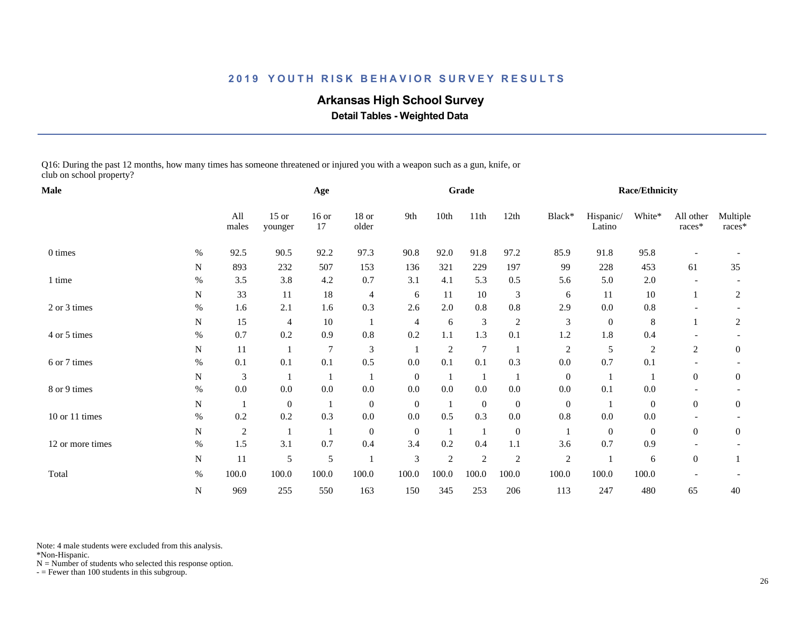# **Arkansas High School Survey**

 **Detail Tables - Weighted Data**

Q16: During the past 12 months, how many times has someone threatened or injured you with a weapon such as a gun, knife, or club on school property?

| Male             |           |              |                    | Age           |                  |                             |              | Grade          |                  |                |                     | <b>Race/Ethnicity</b> |                     |                    |
|------------------|-----------|--------------|--------------------|---------------|------------------|-----------------------------|--------------|----------------|------------------|----------------|---------------------|-----------------------|---------------------|--------------------|
|                  |           | All<br>males | $15$ or<br>younger | $16$ or<br>17 | $18$ or<br>older | 9th                         | 10th         | 11th           | 12th             | Black*         | Hispanic/<br>Latino | White*                | All other<br>races* | Multiple<br>races* |
| 0 times          | $\%$      | 92.5         | 90.5               | 92.2          | 97.3             | 90.8                        | 92.0         | 91.8           | 97.2             | 85.9           | 91.8                | 95.8                  |                     |                    |
|                  | N         | 893          | 232                | 507           | 153              | 136                         | 321          | 229            | 197              | 99             | 228                 | 453                   | 61                  | 35                 |
| 1 time           | %         | $3.5$        | 3.8                | 4.2           | 0.7              | 3.1                         | 4.1          | 5.3            | 0.5              | 5.6            | 5.0                 | 2.0                   |                     |                    |
|                  | N         | 33           | 11                 | 18            | 4                | 6                           | 11           | 10             | 3                | 6              | 11                  | 10                    |                     | 2                  |
| 2 or 3 times     | $\%$      | 1.6          | 2.1                | 1.6           | 0.3              | 2.6                         | 2.0          | 0.8            | $\rm 0.8$        | 2.9            | $0.0\,$             | $\rm 0.8$             |                     |                    |
|                  | ${\bf N}$ | 15           | 4                  | 10            | $\mathbf{1}$     | 4                           | 6            | $\mathfrak{Z}$ | $\sqrt{2}$       | $\mathfrak 3$  | $\mathbf{0}$        | $\,8\,$               |                     | 2                  |
| 4 or 5 times     | $\%$      | 0.7          | 0.2                | 0.9           | 0.8              | 0.2                         | 1.1          | 1.3            | 0.1              | 1.2            | 1.8                 | 0.4                   |                     |                    |
|                  | N         | 11           |                    | 7             | $\mathfrak{Z}$   |                             | 2            | $\overline{7}$ |                  | $\overline{c}$ | 5                   | $\sqrt{2}$            | 2                   | $\mathbf{0}$       |
| 6 or 7 times     | %         | 0.1          | 0.1                | 0.1           | 0.5              | 0.0                         | 0.1          | 0.1            | 0.3              | 0.0            | 0.7                 | 0.1                   |                     |                    |
|                  | N         | 3            |                    | 1             |                  | $\mathbf{0}$                |              | -1             |                  | $\mathbf{0}$   |                     | -1                    | $\overline{0}$      | $\mathbf{0}$       |
| 8 or 9 times     | $\%$      | 0.0          | 0.0                | $0.0\,$       | $0.0\,$          | 0.0                         | 0.0          | 0.0            | $0.0\,$          | 0.0            | 0.1                 | 0.0                   |                     |                    |
|                  | N         | -1           | $\mathbf{0}$       | 1             | $\mathbf{0}$     | $\overline{0}$              |              | $\mathbf{0}$   | $\boldsymbol{0}$ | $\mathbf{0}$   |                     | $\overline{0}$        | $\overline{0}$      | $\overline{0}$     |
| 10 or 11 times   | $\%$      | 0.2          | 0.2                | 0.3           | $0.0\,$          | 0.0                         | 0.5          | 0.3            | $0.0\,$          | 0.8            | $0.0\,$             | $0.0\,$               |                     |                    |
|                  | ${\bf N}$ | $\sqrt{2}$   | 1                  | 1             | $\mathbf{0}$     | $\mathbf{0}$                | $\mathbf{1}$ | $\mathbf{1}$   | $\boldsymbol{0}$ | -1             | $\mathbf{0}$        | $\boldsymbol{0}$      | $\Omega$            | $\overline{0}$     |
| 12 or more times | $\%$      | 1.5          | 3.1                | 0.7           | 0.4              | 3.4                         | 0.2          | 0.4            | 1.1              | 3.6            | 0.7                 | 0.9                   |                     |                    |
|                  | N         | 11           | 5                  | $\mathfrak s$ |                  | $\ensuremath{\mathfrak{Z}}$ | 2            | $\overline{c}$ | $\overline{c}$   | $\sqrt{2}$     |                     | 6                     | $\boldsymbol{0}$    |                    |
| Total            | $\%$      | 100.0        | 100.0              | 100.0         | 100.0            | 100.0                       | 100.0        | 100.0          | 100.0            | 100.0          | 100.0               | 100.0                 |                     |                    |
|                  | ${\bf N}$ | 969          | 255                | 550           | 163              | 150                         | 345          | 253            | 206              | 113            | 247                 | 480                   | 65                  | 40                 |

Note: 4 male students were excluded from this analysis.

\*Non-Hispanic.

 $N =$  Number of students who selected this response option.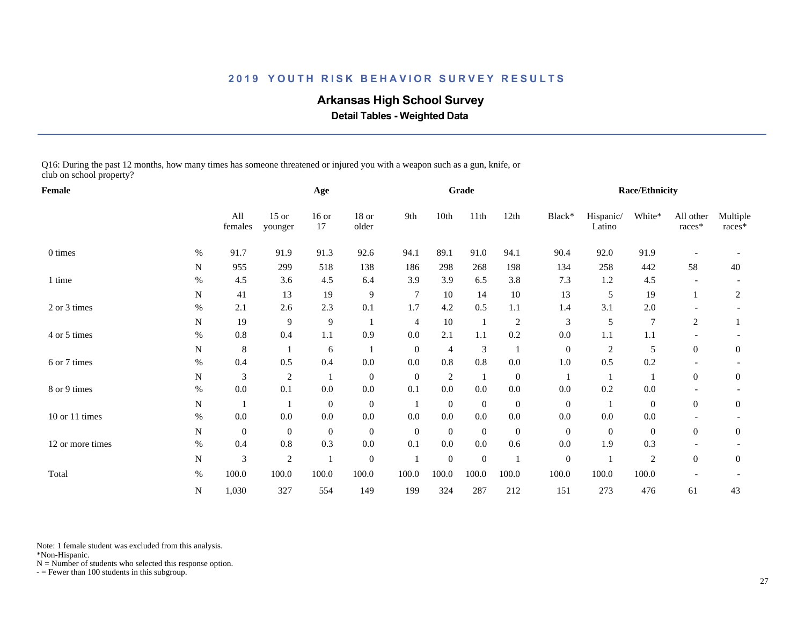# **Arkansas High School Survey**

 **Detail Tables - Weighted Data**

Q16: During the past 12 months, how many times has someone threatened or injured you with a weapon such as a gun, knife, or club on school property?

| Female           |           |                  |                    | Age              |                  |                |                  | Grade            |                  |                  |                     | <b>Race/Ethnicity</b> |                     |                    |
|------------------|-----------|------------------|--------------------|------------------|------------------|----------------|------------------|------------------|------------------|------------------|---------------------|-----------------------|---------------------|--------------------|
|                  |           | All<br>females   | $15$ or<br>younger | $16$ or<br>17    | $18$ or<br>older | 9th            | 10th             | 11th             | 12th             | Black*           | Hispanic/<br>Latino | White*                | All other<br>races* | Multiple<br>races* |
| 0 times          | $\%$      | 91.7             | 91.9               | 91.3             | 92.6             | 94.1           | 89.1             | 91.0             | 94.1             | 90.4             | 92.0                | 91.9                  |                     |                    |
|                  | N         | 955              | 299                | 518              | 138              | 186            | 298              | 268              | 198              | 134              | 258                 | 442                   | 58                  | 40                 |
| 1 time           | $\%$      | 4.5              | 3.6                | 4.5              | 6.4              | 3.9            | 3.9              | 6.5              | 3.8              | 7.3              | 1.2                 | 4.5                   |                     |                    |
|                  | N         | 41               | 13                 | 19               | 9                | $\overline{7}$ | 10               | 14               | 10               | 13               | 5                   | 19                    |                     | 2                  |
| 2 or 3 times     | $\%$      | 2.1              | 2.6                | 2.3              | 0.1              | 1.7            | 4.2              | 0.5              | 1.1              | 1.4              | 3.1                 | 2.0                   |                     |                    |
|                  | ${\bf N}$ | 19               | 9                  | 9                |                  | $\overline{4}$ | 10               | $\mathbf{1}$     | $\sqrt{2}$       | 3                | 5                   | $\overline{7}$        | $\overline{c}$      |                    |
| 4 or 5 times     | $\%$      | 0.8              | 0.4                | 1.1              | 0.9              | 0.0            | 2.1              | 1.1              | 0.2              | 0.0              | 1.1                 | 1.1                   |                     |                    |
|                  | N         | 8                |                    | 6                |                  | $\mathbf{0}$   | 4                | 3                |                  | $\mathbf{0}$     | $\sqrt{2}$          | 5                     | $\overline{0}$      | $\overline{0}$     |
| 6 or 7 times     | $\%$      | 0.4              | 0.5                | 0.4              | $0.0\,$          | 0.0            | 0.8              | 0.8              | $0.0\,$          | 1.0              | 0.5                 | 0.2                   |                     |                    |
|                  | N         | 3                | 2                  | 1                | $\mathbf{0}$     | $\mathbf{0}$   | 2                | -1               | $\boldsymbol{0}$ | $\mathbf{1}$     |                     | 1                     | $\boldsymbol{0}$    | $\mathbf{0}$       |
| 8 or 9 times     | $\%$      | 0.0              | 0.1                | $0.0\,$          | $0.0\,$          | 0.1            | 0.0              | 0.0              | $0.0\,$          | 0.0              | 0.2                 | 0.0                   |                     |                    |
|                  | N         |                  |                    | $\boldsymbol{0}$ | $\boldsymbol{0}$ |                | $\theta$         | $\mathbf{0}$     | $\boldsymbol{0}$ | $\overline{0}$   |                     | $\overline{0}$        | $\overline{0}$      | $\overline{0}$     |
| 10 or 11 times   | $\%$      | $0.0\,$          | 0.0                | $0.0\,$          | $0.0\,$          | 0.0            | $0.0\,$          | 0.0              | $0.0\,$          | 0.0              | $0.0\,$             | $0.0\,$               |                     |                    |
|                  | ${\bf N}$ | $\boldsymbol{0}$ | $\mathbf{0}$       | $\boldsymbol{0}$ | $\mathbf{0}$     | $\mathbf{0}$   | $\overline{0}$   | $\boldsymbol{0}$ | $\boldsymbol{0}$ | $\mathbf{0}$     | $\mathbf{0}$        | $\boldsymbol{0}$      | $\Omega$            | $\overline{0}$     |
| 12 or more times | $\%$      | 0.4              | 0.8                | 0.3              | $0.0\,$          | 0.1            | 0.0              | $0.0\,$          | 0.6              | 0.0              | 1.9                 | 0.3                   |                     |                    |
|                  | N         | 3                | 2                  |                  | $\boldsymbol{0}$ |                | $\boldsymbol{0}$ | $\boldsymbol{0}$ |                  | $\boldsymbol{0}$ |                     | $\overline{c}$        | $\overline{0}$      | $\mathbf{0}$       |
| Total            | $\%$      | 100.0            | 100.0              | 100.0            | 100.0            | 100.0          | 100.0            | 100.0            | 100.0            | 100.0            | 100.0               | 100.0                 |                     |                    |
|                  | ${\bf N}$ | 1,030            | 327                | 554              | 149              | 199            | 324              | 287              | 212              | 151              | 273                 | 476                   | 61                  | 43                 |

Note: 1 female student was excluded from this analysis.

\*Non-Hispanic.

 $N =$  Number of students who selected this response option.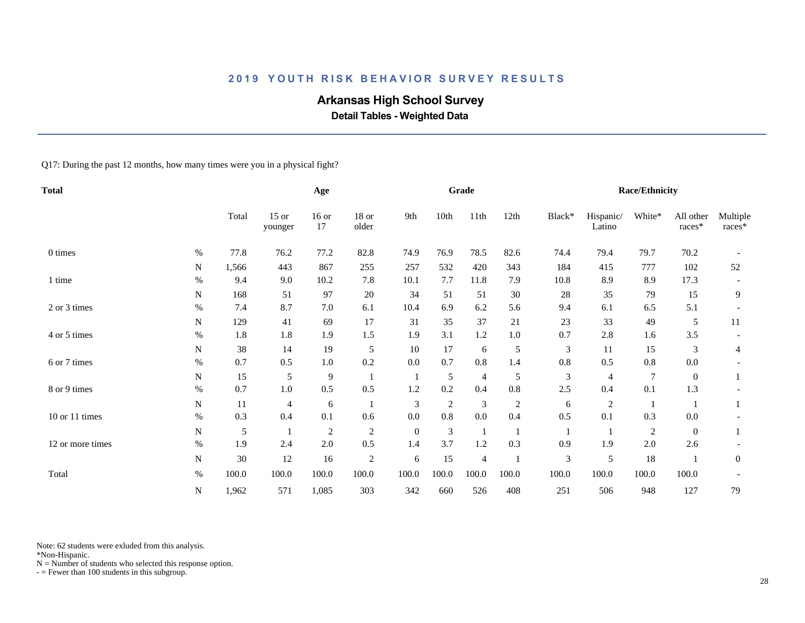# **Arkansas High School Survey**

 **Detail Tables - Weighted Data**

Q17: During the past 12 months, how many times were you in a physical fight?

| Total            |           |       |                    | Age            |                |                |                | Grade          |            |               |                     | <b>Race/Ethnicity</b> |                     |                    |
|------------------|-----------|-------|--------------------|----------------|----------------|----------------|----------------|----------------|------------|---------------|---------------------|-----------------------|---------------------|--------------------|
|                  |           | Total | $15$ or<br>younger | $16$ or<br>17  | 18 or<br>older | 9th            | 10th           | 11th           | 12th       | Black*        | Hispanic/<br>Latino | White*                | All other<br>races* | Multiple<br>races* |
| 0 times          | $\%$      | 77.8  | 76.2               | 77.2           | 82.8           | 74.9           | 76.9           | 78.5           | 82.6       | 74.4          | 79.4                | 79.7                  | 70.2                |                    |
|                  | N         | 1,566 | 443                | 867            | 255            | 257            | 532            | 420            | 343        | 184           | 415                 | 777                   | 102                 | 52                 |
| 1 time           | $\%$      | 9.4   | 9.0                | 10.2           | 7.8            | 10.1           | 7.7            | 11.8           | 7.9        | 10.8          | 8.9                 | 8.9                   | 17.3                |                    |
|                  | N         | 168   | 51                 | 97             | 20             | 34             | 51             | 51             | 30         | 28            | 35                  | 79                    | 15                  | 9                  |
| 2 or 3 times     | $\%$      | 7.4   | 8.7                | $7.0\,$        | 6.1            | 10.4           | 6.9            | 6.2            | 5.6        | 9.4           | 6.1                 | 6.5                   | 5.1                 |                    |
|                  | N         | 129   | 41                 | 69             | 17             | 31             | 35             | 37             | 21         | 23            | 33                  | 49                    | 5                   | 11                 |
| 4 or 5 times     | %         | 1.8   | 1.8                | 1.9            | 1.5            | 1.9            | 3.1            | 1.2            | $1.0\,$    | 0.7           | 2.8                 | 1.6                   | 3.5                 |                    |
|                  | N         | 38    | 14                 | 19             | 5              | 10             | 17             | 6              | 5          | $\mathfrak 3$ | 11                  | 15                    | 3                   | 4                  |
| 6 or 7 times     | $\%$      | 0.7   | 0.5                | $1.0\,$        | 0.2            | 0.0            | 0.7            | 0.8            | 1.4        | 0.8           | 0.5                 | 0.8                   | 0.0                 |                    |
|                  | N         | 15    | 5                  | $\overline{9}$ |                |                | 5              | $\overline{4}$ | 5          | 3             | $\overline{4}$      | 7                     | $\overline{0}$      |                    |
| 8 or 9 times     | $\%$      | 0.7   | $1.0\,$            | 0.5            | 0.5            | 1.2            | 0.2            | 0.4            | 0.8        | 2.5           | 0.4                 | 0.1                   | 1.3                 |                    |
|                  | ${\bf N}$ | 11    | $\overline{4}$     | 6              |                | $\mathfrak{Z}$ | $\overline{2}$ | $\mathfrak{Z}$ | $\sqrt{2}$ | 6             | $\overline{c}$      |                       |                     |                    |
| 10 or 11 times   | $\%$      | 0.3   | 0.4                | 0.1            | 0.6            | 0.0            | $0.8\,$        | 0.0            | 0.4        | 0.5           | 0.1                 | 0.3                   | 0.0                 |                    |
|                  | N         | 5     |                    | $\overline{c}$ | $\overline{2}$ | $\mathbf{0}$   | $\mathfrak{Z}$ | $\mathbf{1}$   |            |               |                     | $\overline{c}$        | $\overline{0}$      |                    |
| 12 or more times | $\%$      | 1.9   | 2.4                | 2.0            | 0.5            | 1.4            | 3.7            | 1.2            | 0.3        | 0.9           | 1.9                 | 2.0                   | 2.6                 |                    |
|                  | ${\bf N}$ | 30    | 12                 | 16             | $\overline{2}$ | 6              | 15             | $\overline{4}$ |            | $\mathfrak 3$ | 5                   | 18                    |                     | $\boldsymbol{0}$   |
| Total            | $\%$      | 100.0 | 100.0              | 100.0          | 100.0          | 100.0          | 100.0          | 100.0          | 100.0      | 100.0         | 100.0               | 100.0                 | 100.0               |                    |
|                  | N         | 1,962 | 571                | 1,085          | 303            | 342            | 660            | 526            | 408        | 251           | 506                 | 948                   | 127                 | 79                 |

Note: 62 students were exluded from this analysis.

\*Non-Hispanic.

 $N =$  Number of students who selected this response option.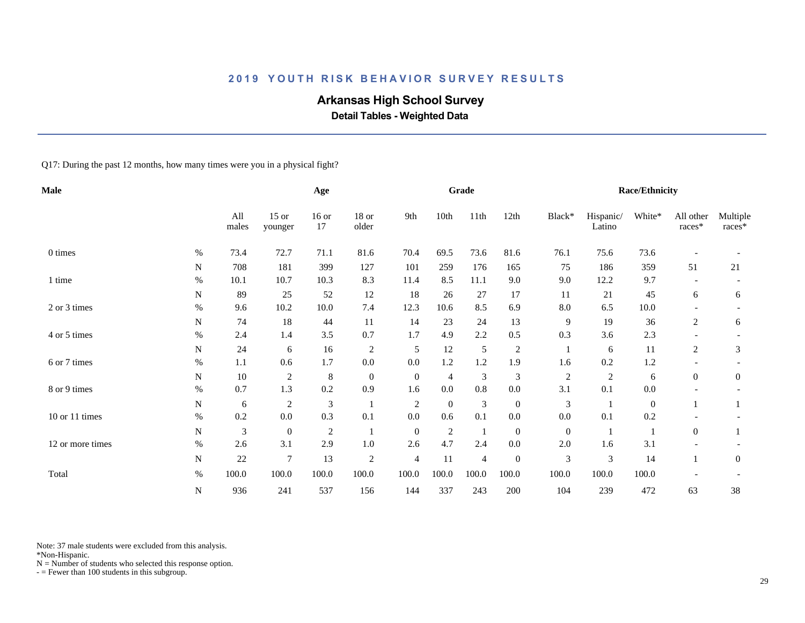# **Arkansas High School Survey**

 **Detail Tables - Weighted Data**

Q17: During the past 12 months, how many times were you in a physical fight?

| <b>Male</b>      |           |              |                    | Age                         |                |                |                | Grade          |                  |                |                     | <b>Race/Ethnicity</b> |                     |                    |
|------------------|-----------|--------------|--------------------|-----------------------------|----------------|----------------|----------------|----------------|------------------|----------------|---------------------|-----------------------|---------------------|--------------------|
|                  |           | All<br>males | $15$ or<br>younger | $16$ or<br>17               | 18 or<br>older | 9th            | 10th           | 11th           | 12th             | Black*         | Hispanic/<br>Latino | White*                | All other<br>races* | Multiple<br>races* |
| 0 times          | $\%$      | 73.4         | 72.7               | 71.1                        | 81.6           | 70.4           | 69.5           | 73.6           | 81.6             | 76.1           | 75.6                | 73.6                  |                     |                    |
|                  | N         | 708          | 181                | 399                         | 127            | 101            | 259            | 176            | 165              | 75             | 186                 | 359                   | 51                  | 21                 |
| 1 time           | $\%$      | 10.1         | 10.7               | 10.3                        | 8.3            | 11.4           | 8.5            | 11.1           | 9.0              | 9.0            | 12.2                | 9.7                   |                     |                    |
|                  | N         | 89           | 25                 | 52                          | 12             | 18             | 26             | 27             | 17               | 11             | 21                  | 45                    | 6                   | 6                  |
| 2 or 3 times     | $\%$      | 9.6          | 10.2               | $10.0\,$                    | 7.4            | 12.3           | 10.6           | 8.5            | 6.9              | 8.0            | 6.5                 | $10.0\,$              |                     |                    |
|                  | N         | 74           | 18                 | 44                          | 11             | 14             | 23             | 24             | 13               | 9              | 19                  | 36                    | 2                   | 6                  |
| 4 or 5 times     | $\%$      | 2.4          | 1.4                | 3.5                         | 0.7            | 1.7            | 4.9            | 2.2            | 0.5              | 0.3            | 3.6                 | 2.3                   |                     |                    |
|                  | N         | 24           | 6                  | 16                          | $\overline{c}$ | 5              | 12             | 5              | $\boldsymbol{2}$ |                | 6                   | 11                    | $\overline{c}$      | 3                  |
| 6 or 7 times     | $\%$      | 1.1          | 0.6                | 1.7                         | $0.0\,$        | 0.0            | 1.2            | 1.2            | 1.9              | 1.6            | 0.2                 | 1.2                   |                     |                    |
|                  | N         | 10           | $\overline{c}$     | $\,$ 8 $\,$                 | $\mathbf{0}$   | $\mathbf{0}$   | 4              | 3              | 3                | $\overline{c}$ | 2                   | 6                     | $\overline{0}$      | $\overline{0}$     |
| 8 or 9 times     | $\%$      | 0.7          | 1.3                | $0.2\,$                     | 0.9            | 1.6            | 0.0            | 0.8            | 0.0              | 3.1            | 0.1                 | 0.0                   |                     |                    |
|                  | ${\bf N}$ | 6            | $\sqrt{2}$         | $\ensuremath{\mathfrak{Z}}$ | $\mathbf{1}$   | $\overline{2}$ | $\overline{0}$ | $\mathfrak{Z}$ | $\boldsymbol{0}$ | 3              |                     | $\mathbf{0}$          |                     | 1                  |
| 10 or 11 times   | $\%$      | 0.2          | 0.0                | 0.3                         | 0.1            | 0.0            | 0.6            | 0.1            | 0.0              | 0.0            | 0.1                 | 0.2                   |                     |                    |
|                  | N         | 3            | $\mathbf{0}$       | $\overline{c}$              | 1              | $\overline{0}$ | $\sqrt{2}$     | $\mathbf{1}$   | $\boldsymbol{0}$ | $\mathbf{0}$   |                     |                       | $\overline{0}$      |                    |
| 12 or more times | $\%$      | 2.6          | 3.1                | 2.9                         | $1.0\,$        | 2.6            | 4.7            | 2.4            | $0.0\,$          | 2.0            | 1.6                 | 3.1                   |                     |                    |
|                  | ${\bf N}$ | 22           | $\tau$             | 13                          | $\sqrt{2}$     | $\overline{4}$ | 11             | $\overline{4}$ | $\boldsymbol{0}$ | 3              | $\mathfrak{Z}$      | 14                    | $\mathbf{1}$        | $\overline{0}$     |
| Total            | $\%$      | 100.0        | 100.0              | 100.0                       | 100.0          | 100.0          | 100.0          | 100.0          | 100.0            | 100.0          | 100.0               | 100.0                 |                     |                    |
|                  | N         | 936          | 241                | 537                         | 156            | 144            | 337            | 243            | 200              | 104            | 239                 | 472                   | 63                  | 38                 |

Note: 37 male students were excluded from this analysis.

\*Non-Hispanic.

 $N =$  Number of students who selected this response option.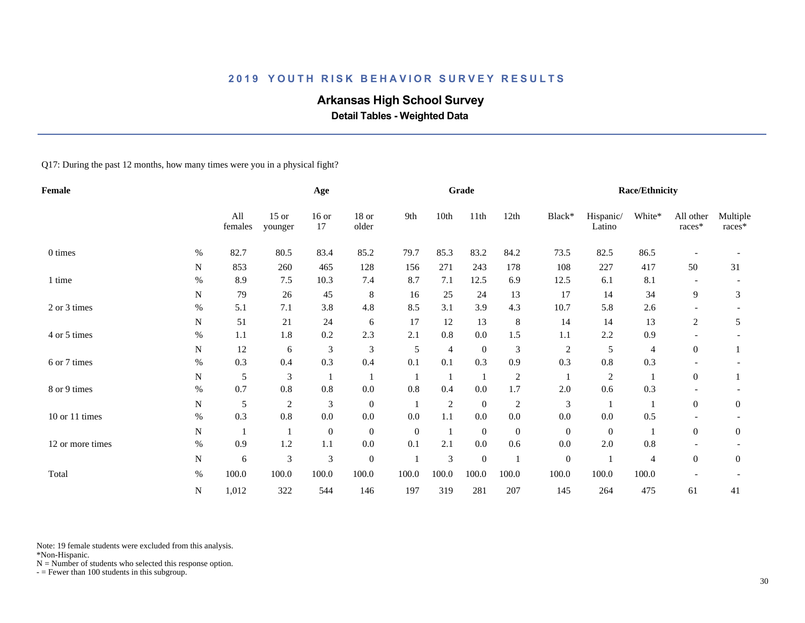# **Arkansas High School Survey**

 **Detail Tables - Weighted Data**

Q17: During the past 12 months, how many times were you in a physical fight?

| Female           |           |                |                    | Age              |                  |                |                | Grade            |                |                  |                     | <b>Race/Ethnicity</b> |                     |                    |
|------------------|-----------|----------------|--------------------|------------------|------------------|----------------|----------------|------------------|----------------|------------------|---------------------|-----------------------|---------------------|--------------------|
|                  |           | All<br>females | $15$ or<br>younger | $16$ or<br>17    | $18$ or<br>older | 9th            | 10th           | 11th             | 12th           | Black*           | Hispanic/<br>Latino | White*                | All other<br>races* | Multiple<br>races* |
| 0 times          | $\%$      | 82.7           | 80.5               | 83.4             | 85.2             | 79.7           | 85.3           | 83.2             | 84.2           | 73.5             | 82.5                | 86.5                  |                     |                    |
|                  | N         | 853            | 260                | 465              | 128              | 156            | 271            | 243              | 178            | 108              | 227                 | 417                   | 50                  | 31                 |
| 1 time           | $\%$      | 8.9            | 7.5                | 10.3             | 7.4              | 8.7            | 7.1            | 12.5             | 6.9            | 12.5             | 6.1                 | 8.1                   |                     |                    |
|                  | N         | 79             | 26                 | 45               | $\,8\,$          | 16             | 25             | 24               | 13             | 17               | 14                  | 34                    | 9                   | 3                  |
| 2 or 3 times     | $\%$      | 5.1            | 7.1                | 3.8              | 4.8              | 8.5            | 3.1            | 3.9              | 4.3            | 10.7             | 5.8                 | 2.6                   |                     |                    |
|                  | N         | 51             | 21                 | 24               | 6                | 17             | 12             | 13               | 8              | 14               | 14                  | 13                    | 2                   | 5                  |
| 4 or 5 times     | $\%$      | 1.1            | 1.8                | 0.2              | 2.3              | 2.1            | 0.8            | 0.0              | 1.5            | 1.1              | 2.2                 | 0.9                   |                     |                    |
|                  | N         | 12             | 6                  | 3                | 3                | 5              | 4              | $\boldsymbol{0}$ | $\mathfrak{Z}$ | $\boldsymbol{2}$ | 5                   | 4                     | $\boldsymbol{0}$    |                    |
| 6 or 7 times     | $\%$      | 0.3            | 0.4                | 0.3              | 0.4              | 0.1            | 0.1            | 0.3              | 0.9            | 0.3              | 0.8                 | 0.3                   |                     |                    |
|                  | N         | 5              | 3                  |                  |                  |                |                | -1               | 2              |                  | $\overline{c}$      |                       | $\overline{0}$      |                    |
| 8 or 9 times     | $\%$      | 0.7            | $0.8\,$            | 0.8              | $0.0\,$          | 0.8            | 0.4            | 0.0              | 1.7            | 2.0              | $0.6\,$             | 0.3                   |                     |                    |
|                  | ${\bf N}$ | 5              | $\mathfrak{2}$     | $\mathfrak{Z}$   | $\boldsymbol{0}$ |                | $\overline{2}$ | $\boldsymbol{0}$ | $\overline{c}$ | 3                |                     |                       | $\overline{0}$      | $\boldsymbol{0}$   |
| 10 or 11 times   | $\%$      | 0.3            | $0.8\,$            | 0.0              | 0.0              | 0.0            | 1.1            | 0.0              | $0.0\,$        | 0.0              | $0.0\,$             | 0.5                   |                     |                    |
|                  | N         |                |                    | $\boldsymbol{0}$ | $\boldsymbol{0}$ | $\overline{0}$ |                | $\boldsymbol{0}$ | $\mathbf{0}$   | $\overline{0}$   | $\mathbf{0}$        |                       | $\overline{0}$      | $\overline{0}$     |
| 12 or more times | $\%$      | 0.9            | $1.2\,$            | $1.1\,$          | $0.0\,$          | 0.1            | 2.1            | 0.0              | 0.6            | 0.0              | $2.0\,$             | 0.8                   |                     |                    |
|                  | ${\bf N}$ | 6              | 3                  | $\mathfrak 3$    | $\boldsymbol{0}$ |                | 3              | $\boldsymbol{0}$ |                | $\boldsymbol{0}$ |                     | 4                     | $\overline{0}$      | $\boldsymbol{0}$   |
| Total            | $\%$      | 100.0          | 100.0              | 100.0            | 100.0            | 100.0          | 100.0          | 100.0            | 100.0          | 100.0            | 100.0               | 100.0                 |                     |                    |
|                  | ${\bf N}$ | 1,012          | 322                | 544              | 146              | 197            | 319            | 281              | 207            | 145              | 264                 | 475                   | 61                  | 41                 |

Note: 19 female students were excluded from this analysis.

\*Non-Hispanic.

 $N =$  Number of students who selected this response option.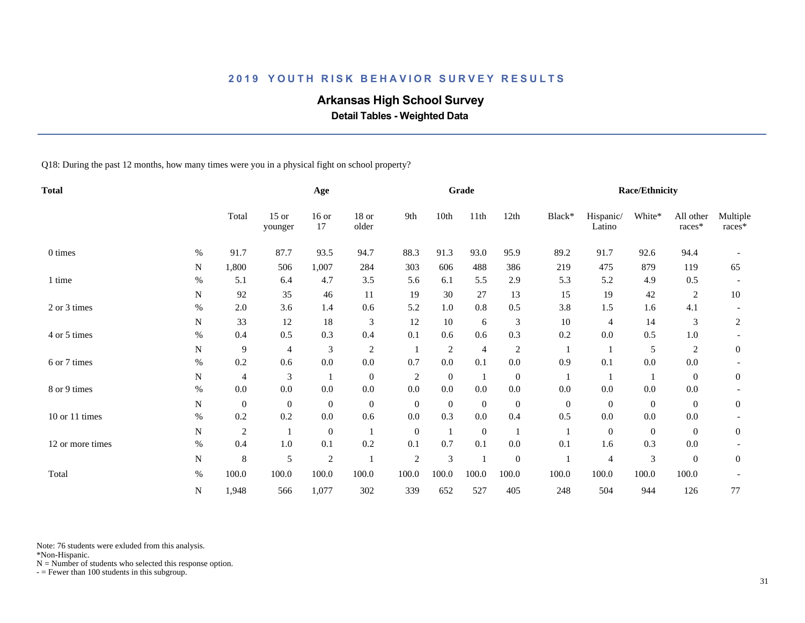# **Arkansas High School Survey**

 **Detail Tables - Weighted Data**

Q18: During the past 12 months, how many times were you in a physical fight on school property?

| <b>Total</b>     |           |                  |                    | Age              |                  |                |                | Grade            |                  |                |                     | Race/Ethnicity |                     |                    |
|------------------|-----------|------------------|--------------------|------------------|------------------|----------------|----------------|------------------|------------------|----------------|---------------------|----------------|---------------------|--------------------|
|                  |           | Total            | $15$ or<br>younger | $16$ or<br>17    | 18 or<br>older   | 9th            | 10th           | 11th             | 12th             | Black*         | Hispanic/<br>Latino | White*         | All other<br>races* | Multiple<br>races* |
| 0 times          | $\%$      | 91.7             | 87.7               | 93.5             | 94.7             | 88.3           | 91.3           | 93.0             | 95.9             | 89.2           | 91.7                | 92.6           | 94.4                |                    |
|                  | N         | 1,800            | 506                | 1,007            | 284              | 303            | 606            | 488              | 386              | 219            | 475                 | 879            | 119                 | 65                 |
| 1 time           | $\%$      | 5.1              | 6.4                | 4.7              | $3.5$            | 5.6            | 6.1            | 5.5              | 2.9              | 5.3            | 5.2                 | 4.9            | 0.5                 |                    |
|                  | N         | 92               | 35                 | 46               | 11               | 19             | 30             | 27               | 13               | 15             | 19                  | 42             | 2                   | 10                 |
| 2 or 3 times     | $\%$      | $2.0\,$          | 3.6                | 1.4              | 0.6              | 5.2            | 1.0            | 0.8              | 0.5              | 3.8            | 1.5                 | 1.6            | 4.1                 |                    |
|                  | N         | 33               | 12                 | 18               | 3                | 12             | 10             | 6                | 3                | 10             | 4                   | 14             | 3                   | 2                  |
| 4 or 5 times     | $\%$      | 0.4              | 0.5                | 0.3              | 0.4              | 0.1            | 0.6            | 0.6              | 0.3              | 0.2            | 0.0                 | 0.5            | 1.0                 |                    |
|                  | N         | 9                | 4                  | 3                | $\overline{c}$   |                | $\overline{c}$ | $\overline{4}$   | 2                |                |                     | 5              | 2                   | $\boldsymbol{0}$   |
| 6 or 7 times     | $\%$      | 0.2              | 0.6                | 0.0              | $0.0\,$          | 0.7            | $0.0\,$        | 0.1              | $0.0\,$          | 0.9            | 0.1                 | $0.0\,$        | $0.0\,$             |                    |
|                  | N         | 4                | 3                  | 1                | $\boldsymbol{0}$ | 2              | $\overline{0}$ | -1               | $\boldsymbol{0}$ | -1             |                     |                | $\overline{0}$      | $\overline{0}$     |
| 8 or 9 times     | $\%$      | $0.0\,$          | $0.0\,$            | $0.0\,$          | $0.0\,$          | 0.0            | $0.0\,$        | 0.0              | $0.0\,$          | 0.0            | 0.0                 | $0.0\,$        | $0.0\,$             |                    |
|                  | N         | $\boldsymbol{0}$ | $\mathbf{0}$       | $\boldsymbol{0}$ | $\boldsymbol{0}$ | $\overline{0}$ | $\overline{0}$ | $\overline{0}$   | $\boldsymbol{0}$ | $\overline{0}$ | $\overline{0}$      | $\mathbf{0}$   | $\overline{0}$      | $\overline{0}$     |
| 10 or 11 times   | $\%$      | 0.2              | 0.2                | $0.0\,$          | 0.6              | 0.0            | 0.3            | 0.0              | 0.4              | 0.5            | $0.0\,$             | $0.0\,$        | $0.0\,$             |                    |
|                  | ${\bf N}$ | $\mathfrak{2}$   |                    | $\mathbf{0}$     |                  | $\overline{0}$ |                | $\boldsymbol{0}$ |                  |                | $\boldsymbol{0}$    | $\mathbf{0}$   | $\Omega$            | $\overline{0}$     |
| 12 or more times | $\%$      | 0.4              | 1.0                | 0.1              | 0.2              | 0.1            | 0.7            | 0.1              | $0.0\,$          | 0.1            | 1.6                 | 0.3            | 0.0                 |                    |
|                  | ${\bf N}$ | 8                | 5                  | $\sqrt{2}$       |                  | $\sqrt{2}$     | 3              | $\mathbf{1}$     | $\boldsymbol{0}$ |                | 4                   | $\mathfrak{Z}$ | $\overline{0}$      | $\mathbf{0}$       |
| Total            | $\%$      | 100.0            | 100.0              | 100.0            | 100.0            | 100.0          | 100.0          | 100.0            | 100.0            | 100.0          | 100.0               | 100.0          | 100.0               |                    |
|                  | ${\bf N}$ | 1,948            | 566                | 1,077            | 302              | 339            | 652            | 527              | 405              | 248            | 504                 | 944            | 126                 | 77                 |

Note: 76 students were exluded from this analysis.

\*Non-Hispanic.

 $N =$  Number of students who selected this response option.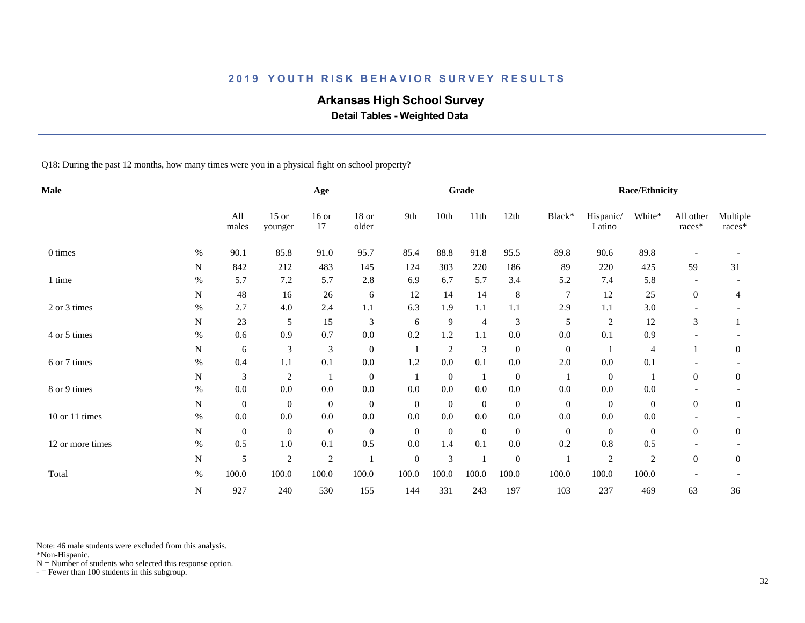# **Arkansas High School Survey**

 **Detail Tables - Weighted Data**

Q18: During the past 12 months, how many times were you in a physical fight on school property?

| <b>Male</b>      |           |                  |                    | Age              |                  |                  |                | Grade          |                  |                  |                     | <b>Race/Ethnicity</b> |                     |                    |
|------------------|-----------|------------------|--------------------|------------------|------------------|------------------|----------------|----------------|------------------|------------------|---------------------|-----------------------|---------------------|--------------------|
|                  |           | All<br>males     | $15$ or<br>younger | $16$ or<br>17    | 18 or<br>older   | 9th              | 10th           | 11th           | 12th             | Black*           | Hispanic/<br>Latino | White*                | All other<br>races* | Multiple<br>races* |
| 0 times          | $\%$      | 90.1             | 85.8               | 91.0             | 95.7             | 85.4             | 88.8           | 91.8           | 95.5             | 89.8             | 90.6                | 89.8                  |                     |                    |
|                  | N         | 842              | 212                | 483              | 145              | 124              | 303            | 220            | 186              | 89               | 220                 | 425                   | 59                  | 31                 |
| 1 time           | $\%$      | 5.7              | 7.2                | 5.7              | $2.8\,$          | 6.9              | 6.7            | 5.7            | 3.4              | 5.2              | 7.4                 | 5.8                   |                     |                    |
|                  | N         | 48               | 16                 | 26               | 6                | 12               | 14             | 14             | $\,8\,$          | 7                | 12                  | 25                    | $\overline{0}$      | 4                  |
| 2 or 3 times     | $\%$      | 2.7              | 4.0                | 2.4              | 1.1              | 6.3              | 1.9            | 1.1            | 1.1              | 2.9              | 1.1                 | 3.0                   |                     |                    |
|                  | N         | 23               | 5                  | 15               | 3                | 6                | 9              | $\overline{4}$ | 3                | 5                | $\overline{c}$      | 12                    | 3                   |                    |
| 4 or 5 times     | $\%$      | 0.6              | 0.9                | 0.7              | $0.0\,$          | 0.2              | 1.2            | 1.1            | 0.0              | $0.0\,$          | 0.1                 | 0.9                   |                     |                    |
|                  | N         | 6                | 3                  | 3                | $\boldsymbol{0}$ |                  | $\overline{c}$ | $\mathfrak{Z}$ | $\boldsymbol{0}$ | $\boldsymbol{0}$ |                     | $\overline{4}$        |                     | $\boldsymbol{0}$   |
| 6 or 7 times     | $\%$      | 0.4              | 1.1                | 0.1              | 0.0              | 1.2              | 0.0            | 0.1            | 0.0              | 2.0              | 0.0                 | 0.1                   |                     |                    |
|                  | N         | 3                | $\mathfrak{2}$     | $\mathbf 1$      | $\mathbf{0}$     | -1               | $\mathbf{0}$   | - 1            | $\boldsymbol{0}$ | -1               | $\mathbf{0}$        | -1                    | $\overline{0}$      | $\overline{0}$     |
| 8 or 9 times     | $\%$      | 0.0              | 0.0                | 0.0              | $0.0\,$          | 0.0              | 0.0            | 0.0            | $0.0\,$          | 0.0              | 0.0                 | $0.0\,$               |                     |                    |
|                  | N         | $\mathbf{0}$     | $\mathbf{0}$       | $\mathbf{0}$     | $\mathbf{0}$     | $\overline{0}$   | $\mathbf{0}$   | $\overline{0}$ | $\mathbf{0}$     | $\mathbf{0}$     | $\mathbf{0}$        | $\mathbf{0}$          | $\boldsymbol{0}$    | $\overline{0}$     |
| 10 or 11 times   | $\%$      | $0.0\,$          | $0.0\,$            | 0.0              | $0.0\,$          | 0.0              | 0.0            | 0.0            | 0.0              | $0.0\,$          | $0.0\,$             | $0.0\,$               |                     |                    |
|                  | ${\bf N}$ | $\boldsymbol{0}$ | $\boldsymbol{0}$   | $\boldsymbol{0}$ | $\boldsymbol{0}$ | $\mathbf{0}$     | $\mathbf{0}$   | $\mathbf{0}$   | $\mathbf{0}$     | $\mathbf{0}$     | $\overline{0}$      | $\mathbf{0}$          | $\Omega$            | $\overline{0}$     |
| 12 or more times | $\%$      | 0.5              | 1.0                | 0.1              | 0.5              | 0.0              | 1.4            | 0.1            | 0.0              | 0.2              | 0.8                 | 0.5                   |                     |                    |
|                  | N         | 5                | $\overline{c}$     | $\boldsymbol{2}$ |                  | $\boldsymbol{0}$ | $\mathfrak{Z}$ | $\mathbf{1}$   | $\boldsymbol{0}$ |                  | $\overline{c}$      | $\overline{c}$        | $\boldsymbol{0}$    | $\boldsymbol{0}$   |
| Total            | $\%$      | 100.0            | 100.0              | 100.0            | 100.0            | 100.0            | 100.0          | 100.0          | 100.0            | 100.0            | 100.0               | 100.0                 |                     |                    |
|                  | ${\bf N}$ | 927              | 240                | 530              | 155              | 144              | 331            | 243            | 197              | 103              | 237                 | 469                   | 63                  | 36                 |

Note: 46 male students were excluded from this analysis.

\*Non-Hispanic.

 $N =$  Number of students who selected this response option.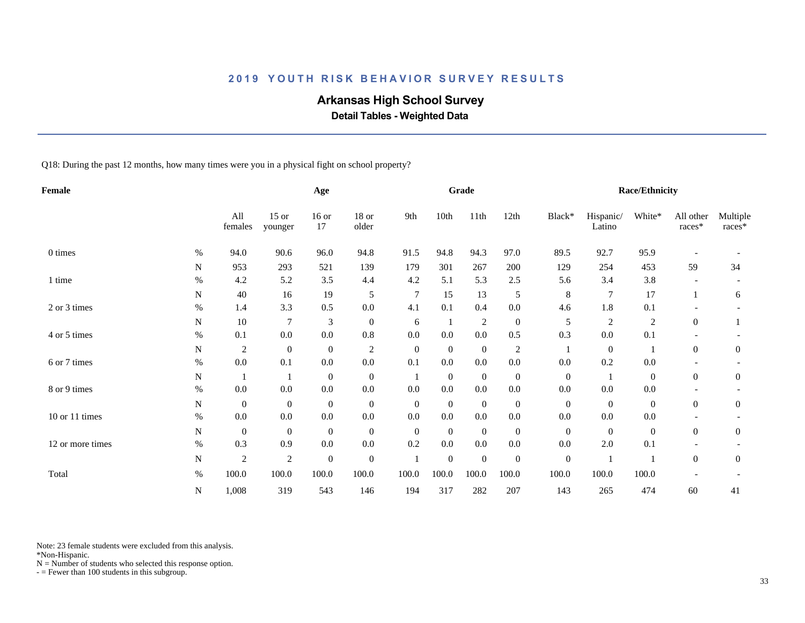# **Arkansas High School Survey**

 **Detail Tables - Weighted Data**

Q18: During the past 12 months, how many times were you in a physical fight on school property?

| Female           |           |                  |                    | Age              |                  |                |                | Grade            |                  |                  |                     | Race/Ethnicity   |                       |                    |
|------------------|-----------|------------------|--------------------|------------------|------------------|----------------|----------------|------------------|------------------|------------------|---------------------|------------------|-----------------------|--------------------|
|                  |           | All<br>females   | $15$ or<br>younger | $16$ or<br>17    | 18 or<br>older   | 9th            | 10th           | 11th             | 12th             | Black*           | Hispanic/<br>Latino | White*           | All other<br>$races*$ | Multiple<br>races* |
| 0 times          | $\%$      | 94.0             | 90.6               | 96.0             | 94.8             | 91.5           | 94.8           | 94.3             | 97.0             | 89.5             | 92.7                | 95.9             |                       |                    |
|                  | ${\bf N}$ | 953              | 293                | 521              | 139              | 179            | 301            | 267              | 200              | 129              | 254                 | 453              | 59                    | 34                 |
| 1 time           | $\%$      | 4.2              | 5.2                | 3.5              | 4.4              | 4.2            | 5.1            | 5.3              | 2.5              | 5.6              | 3.4                 | 3.8              |                       |                    |
|                  | N         | 40               | 16                 | 19               | 5                | $\tau$         | 15             | 13               | 5                | 8                | 7                   | 17               |                       | 6                  |
| 2 or 3 times     | $\%$      | 1.4              | 3.3                | 0.5              | 0.0              | 4.1            | 0.1            | 0.4              | $0.0\,$          | 4.6              | 1.8                 | 0.1              |                       |                    |
|                  | ${\bf N}$ | 10               | $\overline{7}$     | 3                | $\mathbf{0}$     | 6              | 1              | $\overline{2}$   | $\boldsymbol{0}$ | 5                | 2                   | $\sqrt{2}$       | $\overline{0}$        |                    |
| 4 or 5 times     | $\%$      | 0.1              | 0.0                | $0.0\,$          | 0.8              | 0.0            | 0.0            | 0.0              | 0.5              | 0.3              | $0.0\,$             | 0.1              |                       |                    |
|                  | N         | $\overline{2}$   | $\boldsymbol{0}$   | $\mathbf{0}$     | $\overline{2}$   | $\mathbf{0}$   | $\mathbf{0}$   | $\overline{0}$   | 2                |                  | $\mathbf{0}$        |                  | $\overline{0}$        | $\overline{0}$     |
| 6 or 7 times     | $\%$      | 0.0              | 0.1                | 0.0              | 0.0              | 0.1            | 0.0            | 0.0              | 0.0              | 0.0              | 0.2                 | 0.0              |                       |                    |
|                  | N         | -1               |                    | $\boldsymbol{0}$ | $\mathbf{0}$     | -1             | $\mathbf{0}$   | $\overline{0}$   | $\mathbf{0}$     | $\mathbf{0}$     |                     | $\boldsymbol{0}$ | $\overline{0}$        | $\boldsymbol{0}$   |
| 8 or 9 times     | $\%$      | $0.0\,$          | 0.0                | $0.0\,$          | $0.0\,$          | 0.0            | 0.0            | 0.0              | $0.0\,$          | $0.0\,$          | 0.0                 | 0.0              |                       |                    |
|                  | N         | $\mathbf{0}$     | $\mathbf{0}$       | $\boldsymbol{0}$ | $\boldsymbol{0}$ | $\overline{0}$ | $\overline{0}$ | $\boldsymbol{0}$ | $\mathbf{0}$     | $\mathbf{0}$     | $\mathbf{0}$        | $\mathbf{0}$     | $\overline{0}$        | $\boldsymbol{0}$   |
| 10 or 11 times   | $\%$      | $0.0\,$          | $0.0\,$            | 0.0              | $0.0\,$          | 0.0            | $0.0\,$        | 0.0              | $0.0\,$          | 0.0              | $0.0\,$             | 0.0              |                       |                    |
|                  | N         | $\boldsymbol{0}$ | $\mathbf{0}$       | $\boldsymbol{0}$ | $\boldsymbol{0}$ | $\mathbf{0}$   | $\overline{0}$ | $\boldsymbol{0}$ | $\mathbf{0}$     | $\overline{0}$   | $\overline{0}$      | $\mathbf{0}$     | $\overline{0}$        | $\boldsymbol{0}$   |
| 12 or more times | $\%$      | 0.3              | 0.9                | $0.0\,$          | $0.0\,$          | 0.2            | 0.0            | 0.0              | 0.0              | $0.0\,$          | 2.0                 | 0.1              |                       |                    |
|                  | N         | $\overline{2}$   | $\sqrt{2}$         | $\boldsymbol{0}$ | $\boldsymbol{0}$ |                | $\mathbf{0}$   | $\boldsymbol{0}$ | $\mathbf{0}$     | $\boldsymbol{0}$ |                     |                  | $\boldsymbol{0}$      | $\boldsymbol{0}$   |
| Total            | $\%$      | 100.0            | 100.0              | 100.0            | 100.0            | 100.0          | 100.0          | 100.0            | 100.0            | 100.0            | 100.0               | 100.0            |                       |                    |
|                  | ${\bf N}$ | 1,008            | 319                | 543              | 146              | 194            | 317            | 282              | 207              | 143              | 265                 | 474              | 60                    | 41                 |

Note: 23 female students were excluded from this analysis.

\*Non-Hispanic.

 $N =$  Number of students who selected this response option.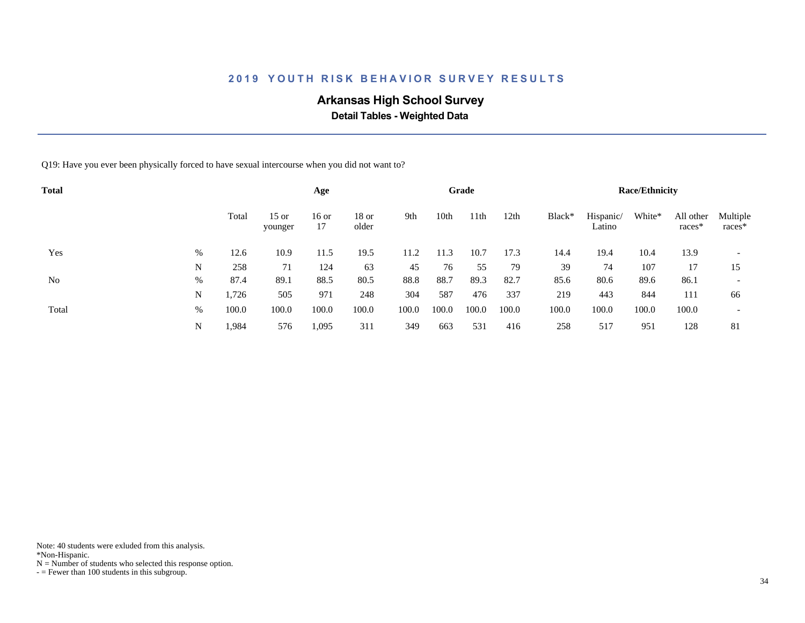# **Arkansas High School Survey**

 **Detail Tables - Weighted Data**

Q19: Have you ever been physically forced to have sexual intercourse when you did not want to?

| <b>Total</b> |   |       |                    | Age           |                |       |       | Grade |       |        |                     | <b>Race/Ethnicity</b> |                     |                          |
|--------------|---|-------|--------------------|---------------|----------------|-------|-------|-------|-------|--------|---------------------|-----------------------|---------------------|--------------------------|
|              |   | Total | $15$ or<br>younger | $16$ or<br>17 | 18 or<br>older | 9th   | 10th  | 11th  | 12th  | Black* | Hispanic/<br>Latino | White*                | All other<br>races* | Multiple<br>$races*$     |
| Yes          | % | 12.6  | 10.9               | 11.5          | 19.5           | 11.2  | 11.3  | 10.7  | 17.3  | 14.4   | 19.4                | 10.4                  | 13.9                | $\overline{\phantom{0}}$ |
|              | N | 258   | 71                 | 124           | 63             | 45    | 76    | 55    | 79    | 39     | 74                  | 107                   | 17                  | 15                       |
| No           | % | 87.4  | 89.1               | 88.5          | 80.5           | 88.8  | 88.7  | 89.3  | 82.7  | 85.6   | 80.6                | 89.6                  | 86.1                | $\overline{\phantom{a}}$ |
|              | N | 1,726 | 505                | 971           | 248            | 304   | 587   | 476   | 337   | 219    | 443                 | 844                   | 111                 | 66                       |
| Total        | % | 100.0 | 100.0              | 100.0         | 100.0          | 100.0 | 100.0 | 100.0 | 100.0 | 100.0  | 100.0               | 100.0                 | 100.0               | $\overline{\phantom{a}}$ |
|              | N | 1,984 | 576                | 1,095         | 311            | 349   | 663   | 531   | 416   | 258    | 517                 | 951                   | 128                 | 81                       |

Note: 40 students were exluded from this analysis.

\*Non-Hispanic.

 $N =$  Number of students who selected this response option.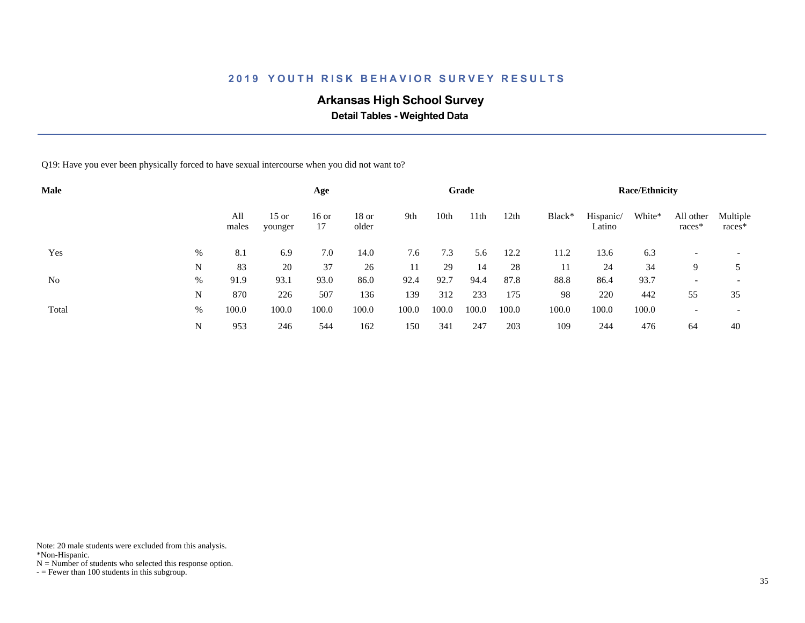# **Arkansas High School Survey**

 **Detail Tables - Weighted Data**

Q19: Have you ever been physically forced to have sexual intercourse when you did not want to?

| <b>Male</b> |   |              |                    | Age           |                  |       |       | Grade            |       |        |                     | <b>Race/Ethnicity</b> |                          |                          |
|-------------|---|--------------|--------------------|---------------|------------------|-------|-------|------------------|-------|--------|---------------------|-----------------------|--------------------------|--------------------------|
|             |   | All<br>males | $15$ or<br>younger | $16$ or<br>17 | $18$ or<br>older | 9th   | 10th  | 11 <sup>th</sup> | 12th  | Black* | Hispanic/<br>Latino | White*                | All other<br>$races*$    | Multiple<br>$races*$     |
| Yes         | % | 8.1          | 6.9                | 7.0           | 14.0             | 7.6   | 7.3   | 5.6              | 12.2  | 11.2   | 13.6                | 6.3                   |                          | $\overline{\phantom{0}}$ |
|             | N | 83           | 20                 | 37            | 26               | 11    | 29    | 14               | 28    | 11     | 24                  | 34                    | 9                        |                          |
| No          | % | 91.9         | 93.1               | 93.0          | 86.0             | 92.4  | 92.7  | 94.4             | 87.8  | 88.8   | 86.4                | 93.7                  | $\overline{\phantom{0}}$ | $\overline{\phantom{a}}$ |
|             | N | 870          | 226                | 507           | 136              | 139   | 312   | 233              | 175   | 98     | 220                 | 442                   | 55                       | 35                       |
| Total       | % | 100.0        | 100.0              | 100.0         | 100.0            | 100.0 | 100.0 | 100.0            | 100.0 | 100.0  | 100.0               | 100.0                 |                          | $\overline{\phantom{0}}$ |
|             | N | 953          | 246                | 544           | 162              | 150   | 341   | 247              | 203   | 109    | 244                 | 476                   | 64                       | 40                       |

Note: 20 male students were excluded from this analysis.

\*Non-Hispanic.

 $N =$  Number of students who selected this response option.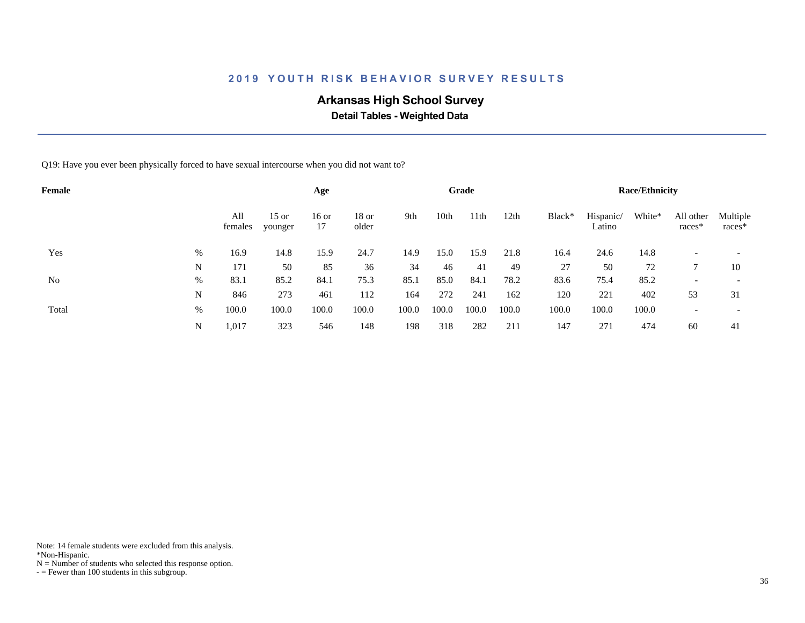# **Arkansas High School Survey**

 **Detail Tables - Weighted Data**

Q19: Have you ever been physically forced to have sexual intercourse when you did not want to?

| Female |   |                |                    | Age           |                |       |       | Grade |       |        |                     | <b>Race/Ethnicity</b> |                       |                          |
|--------|---|----------------|--------------------|---------------|----------------|-------|-------|-------|-------|--------|---------------------|-----------------------|-----------------------|--------------------------|
|        |   | All<br>females | $15$ or<br>younger | $16$ or<br>17 | 18 or<br>older | 9th   | 10th  | 11th  | 12th  | Black* | Hispanic/<br>Latino | White*                | All other<br>$races*$ | Multiple<br>$races*$     |
| Yes    | % | 16.9           | 14.8               | 15.9          | 24.7           | 14.9  | 15.0  | 15.9  | 21.8  | 16.4   | 24.6                | 14.8                  |                       |                          |
|        | N | 171            | 50                 | 85            | 36             | 34    | 46    | 41    | 49    | 27     | 50                  | 72                    |                       | 10                       |
| No     | % | 83.1           | 85.2               | 84.1          | 75.3           | 85.1  | 85.0  | 84.1  | 78.2  | 83.6   | 75.4                | 85.2                  |                       | $\overline{\phantom{a}}$ |
|        | N | 846            | 273                | 461           | 112            | 164   | 272   | 241   | 162   | 120    | 221                 | 402                   | 53                    | 31                       |
| Total  | % | 100.0          | 100.0              | 100.0         | 100.0          | 100.0 | 100.0 | 100.0 | 100.0 | 100.0  | 100.0               | 100.0                 |                       | $\overline{\phantom{0}}$ |
|        | N | 1,017          | 323                | 546           | 148            | 198   | 318   | 282   | 211   | 147    | 271                 | 474                   | 60                    | 41                       |

Note: 14 female students were excluded from this analysis.

\*Non-Hispanic.

 $N =$  Number of students who selected this response option.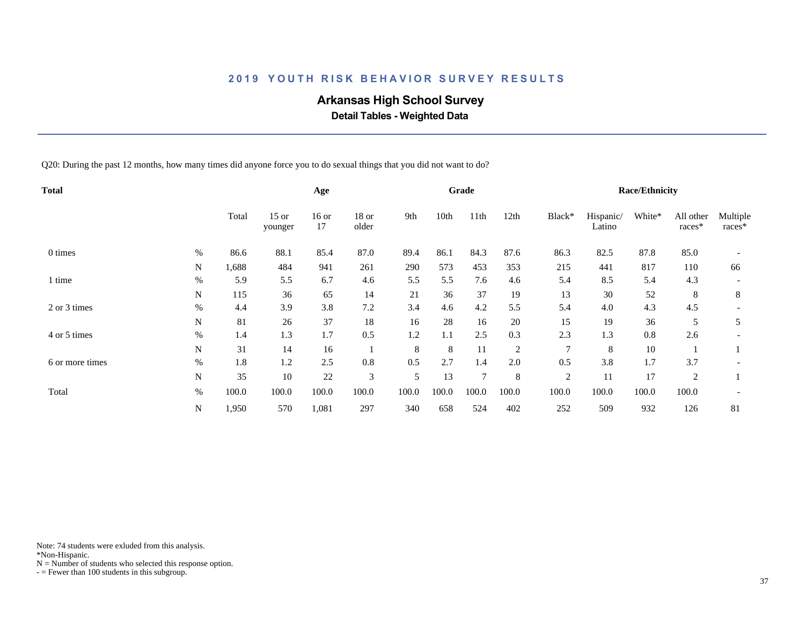# **Arkansas High School Survey**

 **Detail Tables - Weighted Data**

Q20: During the past 12 months, how many times did anyone force you to do sexual things that you did not want to do?

| Total           |           |       |                    | Age           |                |       |       | Grade          |                |                |                     | <b>Race/Ethnicity</b> |                     |                    |
|-----------------|-----------|-------|--------------------|---------------|----------------|-------|-------|----------------|----------------|----------------|---------------------|-----------------------|---------------------|--------------------|
|                 |           | Total | $15$ or<br>younger | $16$ or<br>17 | 18 or<br>older | 9th   | 10th  | 11th           | 12th           | Black*         | Hispanic/<br>Latino | White*                | All other<br>races* | Multiple<br>races* |
| 0 times         | %         | 86.6  | 88.1               | 85.4          | 87.0           | 89.4  | 86.1  | 84.3           | 87.6           | 86.3           | 82.5                | 87.8                  | 85.0                |                    |
|                 | N         | 1,688 | 484                | 941           | 261            | 290   | 573   | 453            | 353            | 215            | 441                 | 817                   | 110                 | 66                 |
| time            | %         | 5.9   | 5.5                | 6.7           | 4.6            | 5.5   | 5.5   | 7.6            | 4.6            | 5.4            | 8.5                 | 5.4                   | 4.3                 |                    |
|                 | N         | 115   | 36                 | 65            | 14             | 21    | 36    | 37             | 19             | 13             | 30                  | 52                    | 8                   | 8                  |
| 2 or 3 times    | $\%$      | 4.4   | 3.9                | 3.8           | 7.2            | 3.4   | 4.6   | 4.2            | 5.5            | 5.4            | 4.0                 | 4.3                   | 4.5                 |                    |
|                 | N         | 81    | 26                 | 37            | 18             | 16    | 28    | 16             | 20             | 15             | 19                  | 36                    | 5                   | 5                  |
| 4 or 5 times    | $\%$      | 1.4   | 1.3                | 1.7           | 0.5            | 1.2   | 1.1   | 2.5            | 0.3            | 2.3            | 1.3                 | 0.8                   | 2.6                 |                    |
|                 | N         | 31    | 14                 | 16            |                | 8     | 8     | 11             | $\overline{c}$ | $\tau$         | 8                   | 10                    |                     |                    |
| 6 or more times | $\%$      | 1.8   | 1.2                | 2.5           | 0.8            | 0.5   | 2.7   | 1.4            | 2.0            | 0.5            | 3.8                 | 1.7                   | 3.7                 |                    |
|                 | ${\bf N}$ | 35    | 10                 | 22            | 3              | 5     | 13    | $\overline{7}$ | 8              | $\overline{2}$ | 11                  | 17                    | $\overline{2}$      |                    |
| Total           | $\%$      | 100.0 | 100.0              | 100.0         | 100.0          | 100.0 | 100.0 | 100.0          | 100.0          | 100.0          | 100.0               | 100.0                 | 100.0               |                    |
|                 | N         | 1,950 | 570                | 1,081         | 297            | 340   | 658   | 524            | 402            | 252            | 509                 | 932                   | 126                 | 81                 |

Note: 74 students were exluded from this analysis.

\*Non-Hispanic.

 $N =$  Number of students who selected this response option.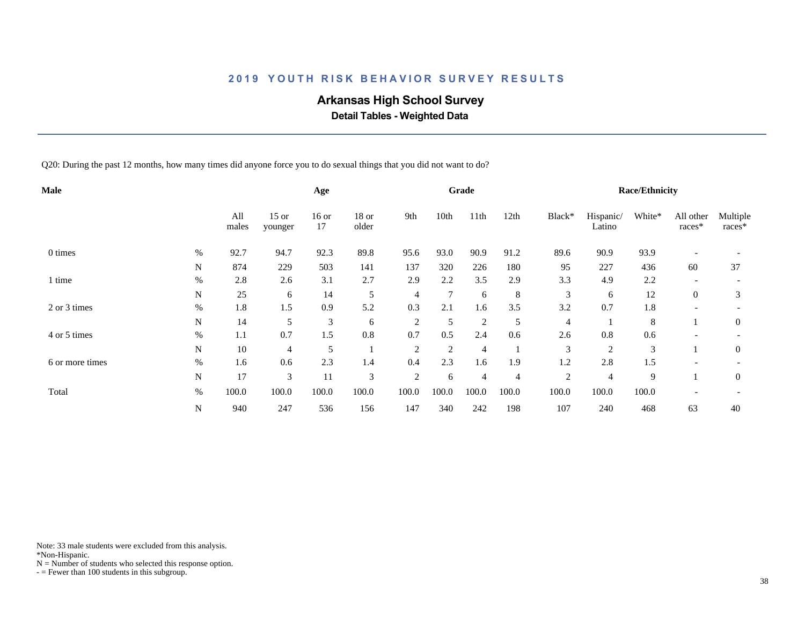# **Arkansas High School Survey**

 **Detail Tables - Weighted Data**

Q20: During the past 12 months, how many times did anyone force you to do sexual things that you did not want to do?

| Male            |      |              |                    | Age           |                |                |        | Grade          |                |                |                     | <b>Race/Ethnicity</b> |                          |                    |
|-----------------|------|--------------|--------------------|---------------|----------------|----------------|--------|----------------|----------------|----------------|---------------------|-----------------------|--------------------------|--------------------|
|                 |      | All<br>males | $15$ or<br>younger | $16$ or<br>17 | 18 or<br>older | 9th            | 10th   | 11th           | 12th           | Black*         | Hispanic/<br>Latino | White*                | All other<br>races*      | Multiple<br>races* |
| 0 times         | %    | 92.7         | 94.7               | 92.3          | 89.8           | 95.6           | 93.0   | 90.9           | 91.2           | 89.6           | 90.9                | 93.9                  |                          |                    |
|                 | N    | 874          | 229                | 503           | 141            | 137            | 320    | 226            | 180            | 95             | 227                 | 436                   | 60                       | 37                 |
| l time          | $\%$ | 2.8          | 2.6                | 3.1           | 2.7            | 2.9            | 2.2    | 3.5            | 2.9            | 3.3            | 4.9                 | 2.2                   |                          |                    |
|                 | N    | 25           | 6                  | 14            | 5              | $\overline{4}$ | $\tau$ | 6              | 8              | 3              | 6                   | 12                    | $\overline{0}$           | 3                  |
| 2 or 3 times    | $\%$ | 1.8          | 1.5                | 0.9           | 5.2            | 0.3            | 2.1    | 1.6            | 3.5            | 3.2            | 0.7                 | 1.8                   | $\overline{\phantom{a}}$ |                    |
|                 | N    | 14           | 5                  | 3             | 6              | $\overline{2}$ | 5      | $\overline{2}$ | 5              | 4              |                     | 8                     |                          | $\mathbf{0}$       |
| 4 or 5 times    | $\%$ | 1.1          | 0.7                | 1.5           | 0.8            | 0.7            | 0.5    | 2.4            | 0.6            | 2.6            | 0.8                 | 0.6                   |                          |                    |
|                 | N    | 10           | 4                  | 5             |                | $\overline{2}$ | 2      | $\overline{4}$ |                | 3              | $\overline{2}$      | 3                     |                          | $\mathbf{0}$       |
| 6 or more times | $\%$ | 1.6          | 0.6                | 2.3           | 1.4            | 0.4            | 2.3    | 1.6            | 1.9            | 1.2            | 2.8                 | 1.5                   |                          |                    |
|                 | N    | 17           | 3                  | 11            | 3              | $\overline{2}$ | 6      | $\overline{4}$ | $\overline{4}$ | $\overline{2}$ | $\overline{4}$      | 9                     |                          | $\theta$           |
| Total           | $\%$ | 100.0        | 100.0              | 100.0         | 100.0          | 100.0          | 100.0  | 100.0          | 100.0          | 100.0          | 100.0               | 100.0                 |                          |                    |
|                 | N    | 940          | 247                | 536           | 156            | 147            | 340    | 242            | 198            | 107            | 240                 | 468                   | 63                       | 40                 |

Note: 33 male students were excluded from this analysis.

\*Non-Hispanic.

 $N =$  Number of students who selected this response option.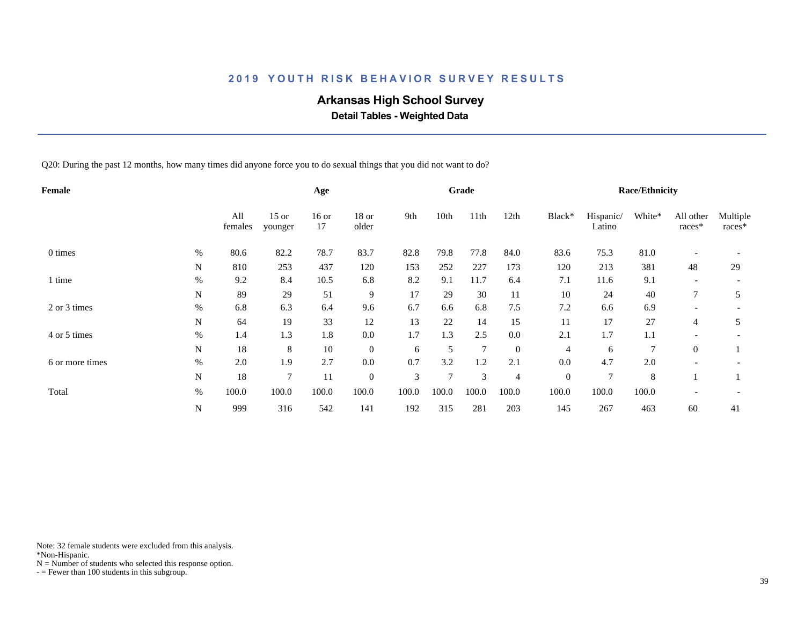# **Arkansas High School Survey**

 **Detail Tables - Weighted Data**

Q20: During the past 12 months, how many times did anyone force you to do sexual things that you did not want to do?

| Female          |      |                |                    | Age           |                  |       |        | Grade          |                |              |                     | <b>Race/Ethnicity</b> |                     |                    |
|-----------------|------|----------------|--------------------|---------------|------------------|-------|--------|----------------|----------------|--------------|---------------------|-----------------------|---------------------|--------------------|
|                 |      | All<br>females | $15$ or<br>younger | $16$ or<br>17 | 18 or<br>older   | 9th   | 10th   | 11th           | 12th           | Black*       | Hispanic/<br>Latino | White*                | All other<br>races* | Multiple<br>races* |
| 0 times         | %    | 80.6           | 82.2               | 78.7          | 83.7             | 82.8  | 79.8   | 77.8           | 84.0           | 83.6         | 75.3                | 81.0                  |                     |                    |
|                 | N    | 810            | 253                | 437           | 120              | 153   | 252    | 227            | 173            | 120          | 213                 | 381                   | 48                  | 29                 |
| time            | $\%$ | 9.2            | 8.4                | 10.5          | 6.8              | 8.2   | 9.1    | 11.7           | 6.4            | 7.1          | 11.6                | 9.1                   |                     |                    |
|                 | N    | 89             | 29                 | 51            | 9                | 17    | 29     | 30             | 11             | 10           | 24                  | 40                    |                     | 5                  |
| 2 or 3 times    | $\%$ | 6.8            | 6.3                | 6.4           | 9.6              | 6.7   | 6.6    | 6.8            | 7.5            | 7.2          | 6.6                 | 6.9                   |                     |                    |
|                 | N    | 64             | 19                 | 33            | 12               | 13    | 22     | 14             | 15             | 11           | 17                  | 27                    | $\overline{4}$      | 5                  |
| 4 or 5 times    | $\%$ | 1.4            | 1.3                | 1.8           | 0.0              | 1.7   | 1.3    | 2.5            | 0.0            | 2.1          | 1.7                 | 1.1                   |                     |                    |
|                 | N    | 18             | 8                  | 10            | $\mathbf{0}$     | 6     | 5      | $\overline{7}$ | $\mathbf{0}$   | 4            | 6                   | 7                     | $\overline{0}$      |                    |
| 6 or more times | $\%$ | 2.0            | 1.9                | 2.7           | $0.0\,$          | 0.7   | 3.2    | 1.2            | 2.1            | 0.0          | 4.7                 | $2.0\,$               |                     |                    |
|                 | N    | 18             | 7                  | 11            | $\boldsymbol{0}$ | 3     | $\tau$ | 3              | $\overline{4}$ | $\mathbf{0}$ | 7                   | 8                     |                     |                    |
| Total           | $\%$ | 100.0          | 100.0              | 100.0         | 100.0            | 100.0 | 100.0  | 100.0          | 100.0          | 100.0        | 100.0               | 100.0                 |                     |                    |
|                 | N    | 999            | 316                | 542           | 141              | 192   | 315    | 281            | 203            | 145          | 267                 | 463                   | 60                  | 41                 |

Note: 32 female students were excluded from this analysis.

\*Non-Hispanic.

 $N =$  Number of students who selected this response option.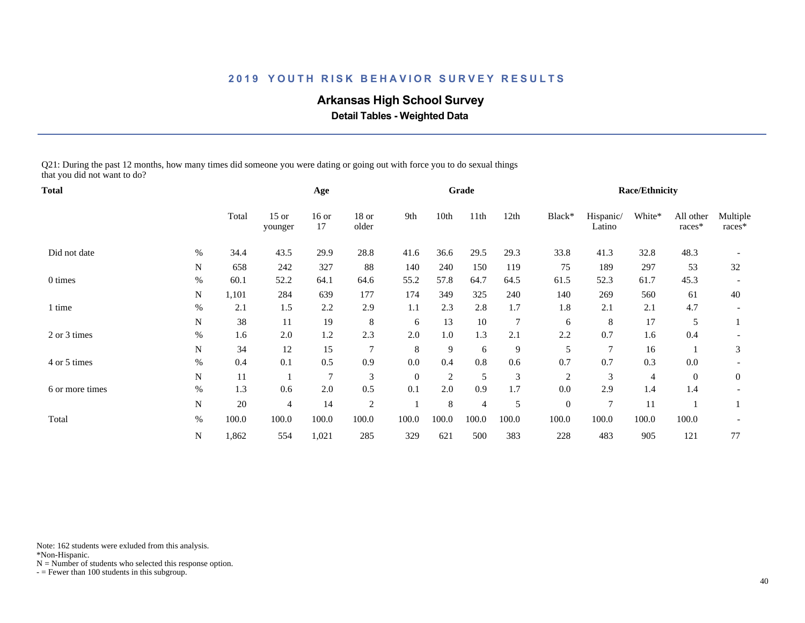# **Arkansas High School Survey**

 **Detail Tables - Weighted Data**

Q21: During the past 12 months, how many times did someone you were dating or going out with force you to do sexual things that you did not want to do?

| Total           |             |       | Age                |               |                |          | Grade          |                |                |                | <b>Race/Ethnicity</b> |        |                     |                    |
|-----------------|-------------|-------|--------------------|---------------|----------------|----------|----------------|----------------|----------------|----------------|-----------------------|--------|---------------------|--------------------|
|                 |             | Total | $15$ or<br>younger | $16$ or<br>17 | 18 or<br>older | 9th      | 10th           | 11th           | 12th           | Black*         | Hispanic/<br>Latino   | White* | All other<br>races* | Multiple<br>races* |
| Did not date    | $\%$        | 34.4  | 43.5               | 29.9          | 28.8           | 41.6     | 36.6           | 29.5           | 29.3           | 33.8           | 41.3                  | 32.8   | 48.3                |                    |
|                 | $\mathbf N$ | 658   | 242                | 327           | 88             | 140      | 240            | 150            | 119            | 75             | 189                   | 297    | 53                  | 32                 |
| 0 times         | $\%$        | 60.1  | 52.2               | 64.1          | 64.6           | 55.2     | 57.8           | 64.7           | 64.5           | 61.5           | 52.3                  | 61.7   | 45.3                |                    |
|                 | N           | 1,101 | 284                | 639           | 177            | 174      | 349            | 325            | 240            | 140            | 269                   | 560    | 61                  | 40                 |
| l time          | $\%$        | 2.1   | 1.5                | 2.2           | 2.9            | 1.1      | 2.3            | 2.8            | 1.7            | 1.8            | 2.1                   | 2.1    | 4.7                 |                    |
|                 | N           | 38    | 11                 | 19            | 8              | 6        | 13             | 10             | $\overline{7}$ | 6              | 8                     | 17     | 5                   |                    |
| 2 or 3 times    | %           | 1.6   | 2.0                | 1.2           | 2.3            | 2.0      | 1.0            | 1.3            | 2.1            | 2.2            | 0.7                   | 1.6    | 0.4                 |                    |
|                 | ${\bf N}$   | 34    | 12                 | 15            | $\overline{7}$ | 8        | 9              | 6              | 9              | 5              | 7                     | 16     |                     | 3                  |
| 4 or 5 times    | $\%$        | 0.4   | 0.1                | 0.5           | 0.9            | $0.0\,$  | 0.4            | 0.8            | 0.6            | 0.7            | 0.7                   | 0.3    | 0.0                 |                    |
|                 | N           | 11    |                    | 7             | $\mathfrak{Z}$ | $\theta$ | $\overline{2}$ | 5              | 3              | $\mathfrak{2}$ | 3                     | 4      | $\boldsymbol{0}$    | $\boldsymbol{0}$   |
| 6 or more times | $\%$        | 1.3   | 0.6                | 2.0           | 0.5            | 0.1      | 2.0            | 0.9            | 1.7            | 0.0            | 2.9                   | 1.4    | 1.4                 |                    |
|                 | N           | 20    | 4                  | 14            | 2              |          | 8              | $\overline{4}$ | 5              | $\overline{0}$ | 7                     | 11     |                     |                    |
| Total           | $\%$        | 100.0 | 100.0              | 100.0         | 100.0          | 100.0    | 100.0          | 100.0          | 100.0          | 100.0          | 100.0                 | 100.0  | 100.0               |                    |
|                 | N           | 1,862 | 554                | 1,021         | 285            | 329      | 621            | 500            | 383            | 228            | 483                   | 905    | 121                 | 77                 |

Note: 162 students were exluded from this analysis.

\*Non-Hispanic.

 $N =$  Number of students who selected this response option.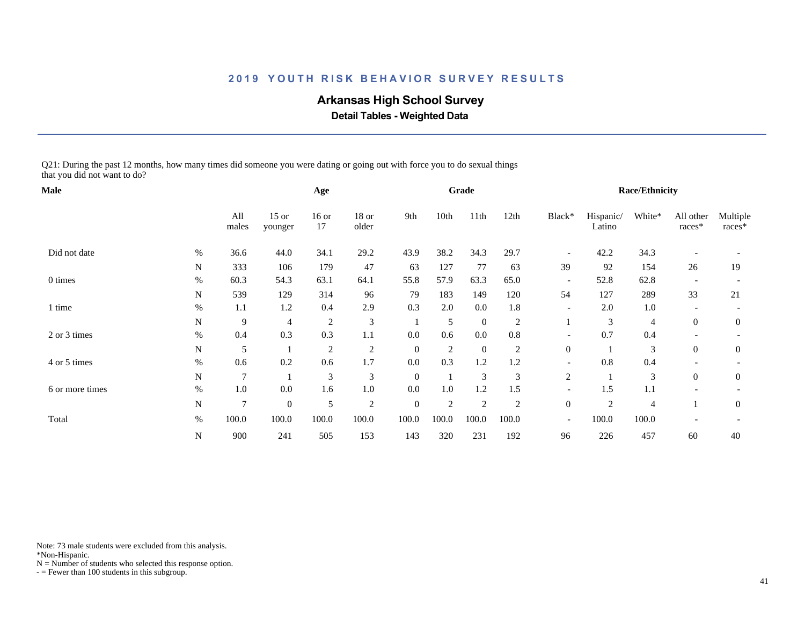# **Arkansas High School Survey**

 **Detail Tables - Weighted Data**

Q21: During the past 12 months, how many times did someone you were dating or going out with force you to do sexual things that you did not want to do?

| Male            |             |                |                    | Age            |                |              |       | Grade            |                |                          |                     | <b>Race/Ethnicity</b> |                     |                      |
|-----------------|-------------|----------------|--------------------|----------------|----------------|--------------|-------|------------------|----------------|--------------------------|---------------------|-----------------------|---------------------|----------------------|
|                 |             | All<br>males   | $15$ or<br>younger | $16$ or<br>17  | 18 or<br>older | 9th          | 10th  | 11 <sup>th</sup> | 12th           | Black*                   | Hispanic/<br>Latino | White*                | All other<br>races* | Multiple<br>$races*$ |
| Did not date    | $\%$        | 36.6           | 44.0               | 34.1           | 29.2           | 43.9         | 38.2  | 34.3             | 29.7           |                          | 42.2                | 34.3                  |                     |                      |
|                 | N           | 333            | 106                | 179            | 47             | 63           | 127   | 77               | 63             | 39                       | 92                  | 154                   | 26                  | 19                   |
| 0 times         | $\%$        | 60.3           | 54.3               | 63.1           | 64.1           | 55.8         | 57.9  | 63.3             | 65.0           | $\overline{\phantom{a}}$ | 52.8                | 62.8                  |                     |                      |
|                 | N           | 539            | 129                | 314            | 96             | 79           | 183   | 149              | 120            | 54                       | 127                 | 289                   | 33                  | 21                   |
| 1 time          | $\%$        | 1.1            | 1.2                | 0.4            | 2.9            | 0.3          | 2.0   | 0.0              | 1.8            | $\overline{\phantom{a}}$ | 2.0                 | 1.0                   |                     |                      |
|                 | N           | 9              | 4                  | $\overline{c}$ | $\mathfrak{Z}$ |              | 5     | $\overline{0}$   | $\overline{c}$ |                          | 3                   | $\overline{4}$        | $\overline{0}$      | $\overline{0}$       |
| 2 or 3 times    | $\%$        | 0.4            | 0.3                | 0.3            | 1.1            | 0.0          | 0.6   | 0.0              | 0.8            |                          | 0.7                 | 0.4                   |                     |                      |
|                 | $\mathbf N$ | 5              |                    | $\overline{c}$ | $\overline{c}$ | $\mathbf{0}$ | 2     | $\overline{0}$   | 2              | $\boldsymbol{0}$         |                     | 3                     | $\overline{0}$      | $\overline{0}$       |
| 4 or 5 times    | $\%$        | 0.6            | 0.2                | 0.6            | 1.7            | 0.0          | 0.3   | 1.2              | 1.2            | $\overline{\phantom{a}}$ | 0.8                 | 0.4                   |                     |                      |
|                 | N           | $\overline{7}$ |                    | 3              | 3              | $\theta$     |       | 3                | 3              | 2                        |                     | 3                     | $\overline{0}$      | $\overline{0}$       |
| 6 or more times | $\%$        | 1.0            | 0.0                | 1.6            | $1.0\,$        | 0.0          | 1.0   | 1.2              | 1.5            | $\overline{\phantom{a}}$ | 1.5                 | 1.1                   |                     |                      |
|                 | $\mathbf N$ | $\overline{7}$ | $\boldsymbol{0}$   | 5              | $\mathfrak{2}$ | $\mathbf{0}$ | 2     | $\overline{2}$   | $\overline{2}$ | $\boldsymbol{0}$         | 2                   | 4                     |                     | $\mathbf{0}$         |
| Total           | $\%$        | 100.0          | 100.0              | 100.0          | 100.0          | 100.0        | 100.0 | 100.0            | 100.0          | $\overline{\phantom{a}}$ | 100.0               | 100.0                 |                     |                      |
|                 | ${\bf N}$   | 900            | 241                | 505            | 153            | 143          | 320   | 231              | 192            | 96                       | 226                 | 457                   | 60                  | 40                   |

Note: 73 male students were excluded from this analysis.

\*Non-Hispanic.

 $N =$  Number of students who selected this response option.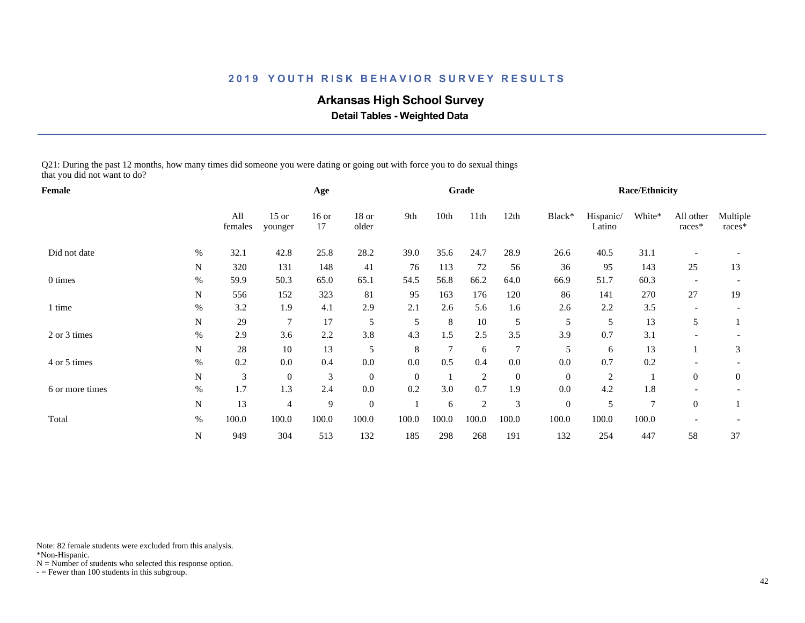# **Arkansas High School Survey**

 **Detail Tables - Weighted Data**

Q21: During the past 12 months, how many times did someone you were dating or going out with force you to do sexual things that you did not want to do?

| Female          |             |                | Age                |               |                |              | Grade          |                |                  |                  | <b>Race/Ethnicity</b> |        |                     |                    |
|-----------------|-------------|----------------|--------------------|---------------|----------------|--------------|----------------|----------------|------------------|------------------|-----------------------|--------|---------------------|--------------------|
|                 |             | All<br>females | $15$ or<br>younger | $16$ or<br>17 | 18 or<br>older | 9th          | 10th           | 11th           | 12th             | Black*           | Hispanic/<br>Latino   | White* | All other<br>races* | Multiple<br>races* |
| Did not date    | $\%$        | 32.1           | 42.8               | 25.8          | 28.2           | 39.0         | 35.6           | 24.7           | 28.9             | 26.6             | 40.5                  | 31.1   |                     |                    |
|                 | ${\bf N}$   | 320            | 131                | 148           | 41             | 76           | 113            | 72             | 56               | 36               | 95                    | 143    | 25                  | 13                 |
| 0 times         | $\%$        | 59.9           | 50.3               | 65.0          | 65.1           | 54.5         | 56.8           | 66.2           | 64.0             | 66.9             | 51.7                  | 60.3   |                     |                    |
|                 | $\mathbf N$ | 556            | 152                | 323           | 81             | 95           | 163            | 176            | 120              | 86               | 141                   | 270    | 27                  | 19                 |
| l time          | $\%$        | 3.2            | 1.9                | 4.1           | 2.9            | 2.1          | 2.6            | 5.6            | 1.6              | 2.6              | 2.2                   | 3.5    |                     |                    |
|                 | N           | 29             | 7                  | 17            | 5              | 5            | 8              | 10             | 5                | 5                | 5                     | 13     | 5                   |                    |
| 2 or 3 times    | %           | 2.9            | 3.6                | 2.2           | 3.8            | 4.3          | 1.5            | 2.5            | 3.5              | 3.9              | 0.7                   | 3.1    |                     |                    |
|                 | N           | 28             | 10                 | 13            | 5              | 8            | $\overline{7}$ | 6              | 7                | 5                | 6                     | 13     |                     | 3                  |
| 4 or 5 times    | $\%$        | 0.2            | 0.0                | 0.4           | 0.0            | $0.0\,$      | 0.5            | 0.4            | 0.0              | 0.0              | 0.7                   | 0.2    |                     |                    |
|                 | N           | 3              | $\boldsymbol{0}$   | 3             | $\overline{0}$ | $\mathbf{0}$ |                | $\overline{2}$ | $\boldsymbol{0}$ | $\boldsymbol{0}$ | $\overline{c}$        |        | $\overline{0}$      | $\mathbf{0}$       |
| 6 or more times | $\%$        | 1.7            | 1.3                | 2.4           | $0.0\,$        | 0.2          | 3.0            | 0.7            | 1.9              | 0.0              | 4.2                   | 1.8    |                     |                    |
|                 | N           | 13             | 4                  | 9             | $\mathbf{0}$   |              | 6              | $\overline{2}$ | 3                | $\overline{0}$   | 5                     | 7      | $\overline{0}$      |                    |
| Total           | $\%$        | 100.0          | 100.0              | 100.0         | 100.0          | 100.0        | 100.0          | 100.0          | 100.0            | 100.0            | 100.0                 | 100.0  |                     |                    |
|                 | N           | 949            | 304                | 513           | 132            | 185          | 298            | 268            | 191              | 132              | 254                   | 447    | 58                  | 37                 |

Note: 82 female students were excluded from this analysis.

\*Non-Hispanic.

 $N =$  Number of students who selected this response option.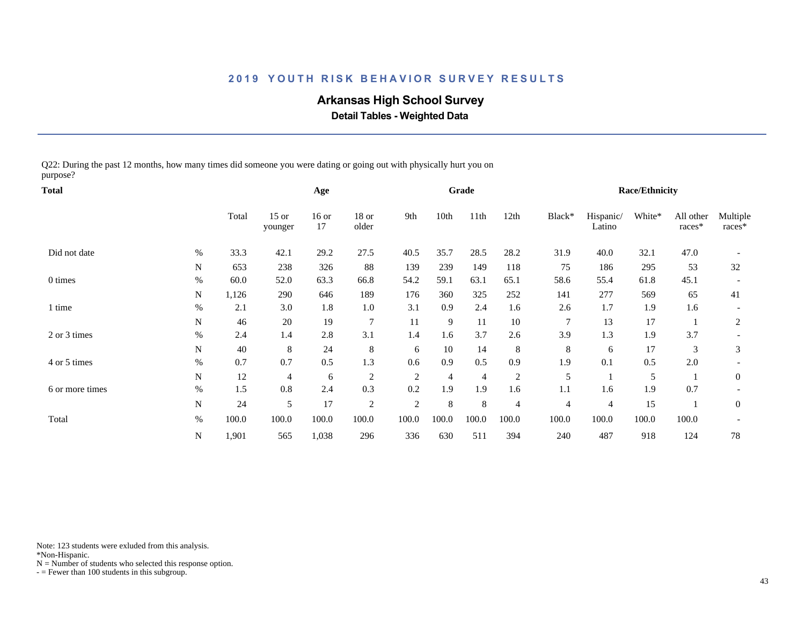# **Arkansas High School Survey**

 **Detail Tables - Weighted Data**

Q22: During the past 12 months, how many times did someone you were dating or going out with physically hurt you on purpose?

| Total           |           |       | Age                |               |                  |                | Grade |                |                |                | <b>Race/Ethnicity</b> |        |                     |                    |
|-----------------|-----------|-------|--------------------|---------------|------------------|----------------|-------|----------------|----------------|----------------|-----------------------|--------|---------------------|--------------------|
|                 |           | Total | $15$ or<br>younger | $16$ or<br>17 | $18$ or<br>older | 9th            | 10th  | 11th           | 12th           | Black*         | Hispanic/<br>Latino   | White* | All other<br>races* | Multiple<br>races* |
| Did not date    | $\%$      | 33.3  | 42.1               | 29.2          | 27.5             | 40.5           | 35.7  | 28.5           | 28.2           | 31.9           | 40.0                  | 32.1   | 47.0                |                    |
|                 | N         | 653   | 238                | 326           | 88               | 139            | 239   | 149            | 118            | 75             | 186                   | 295    | 53                  | 32                 |
| 0 times         | %         | 60.0  | 52.0               | 63.3          | 66.8             | 54.2           | 59.1  | 63.1           | 65.1           | 58.6           | 55.4                  | 61.8   | 45.1                |                    |
|                 | N         | 1,126 | 290                | 646           | 189              | 176            | 360   | 325            | 252            | 141            | 277                   | 569    | 65                  | 41                 |
| l time          | $\%$      | 2.1   | 3.0                | 1.8           | 1.0              | 3.1            | 0.9   | 2.4            | 1.6            | 2.6            | 1.7                   | 1.9    | 1.6                 |                    |
|                 | N         | 46    | 20                 | 19            | $\overline{7}$   | 11             | 9     | 11             | 10             | 7              | 13                    | 17     |                     | 2                  |
| 2 or 3 times    | $\%$      | 2.4   | 1.4                | 2.8           | 3.1              | 1.4            | 1.6   | 3.7            | 2.6            | 3.9            | 1.3                   | 1.9    | 3.7                 |                    |
|                 | N         | 40    | 8                  | 24            | 8                | 6              | 10    | 14             | 8              | 8              | 6                     | 17     | 3                   | 3                  |
| 4 or 5 times    | $\%$      | 0.7   | 0.7                | 0.5           | 1.3              | 0.6            | 0.9   | 0.5            | 0.9            | 1.9            | 0.1                   | 0.5    | 2.0                 |                    |
|                 | ${\bf N}$ | 12    | 4                  | 6             | 2                | $\overline{c}$ | 4     | $\overline{4}$ | $\overline{2}$ | 5              |                       | 5      |                     | $\mathbf{0}$       |
| 6 or more times | $\%$      | 1.5   | 0.8                | 2.4           | 0.3              | 0.2            | 1.9   | 1.9            | 1.6            | 1.1            | 1.6                   | 1.9    | 0.7                 |                    |
|                 | N         | 24    | 5                  | 17            | 2                | $\overline{c}$ | 8     | 8              | $\overline{4}$ | $\overline{4}$ | $\overline{4}$        | 15     |                     | $\mathbf{0}$       |
| Total           | $\%$      | 100.0 | 100.0              | 100.0         | 100.0            | 100.0          | 100.0 | 100.0          | 100.0          | 100.0          | 100.0                 | 100.0  | 100.0               |                    |
|                 | N         | 1,901 | 565                | 1,038         | 296              | 336            | 630   | 511            | 394            | 240            | 487                   | 918    | 124                 | 78                 |

Note: 123 students were exluded from this analysis.

\*Non-Hispanic.

 $N =$  Number of students who selected this response option.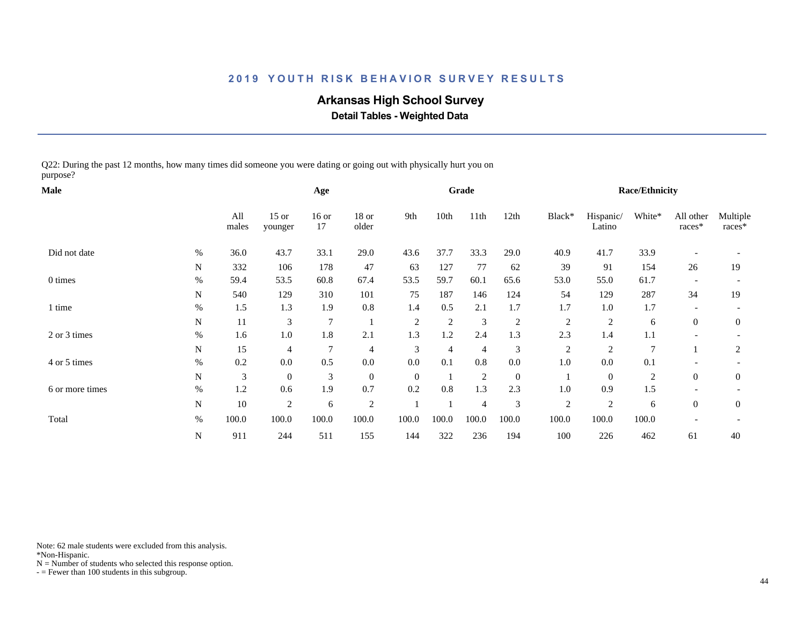# **Arkansas High School Survey**

 **Detail Tables - Weighted Data**

Q22: During the past 12 months, how many times did someone you were dating or going out with physically hurt you on purpose?

| <b>Male</b>     |             |              | Age                |               |                  |                | Grade          |                |                  |                | Race/Ethnicity      |                |                     |                    |
|-----------------|-------------|--------------|--------------------|---------------|------------------|----------------|----------------|----------------|------------------|----------------|---------------------|----------------|---------------------|--------------------|
|                 |             | All<br>males | $15$ or<br>younger | $16$ or<br>17 | $18$ or<br>older | 9th            | 10th           | 11th           | 12th             | Black*         | Hispanic/<br>Latino | White*         | All other<br>races* | Multiple<br>races* |
| Did not date    | $\%$        | 36.0         | 43.7               | 33.1          | 29.0             | 43.6           | 37.7           | 33.3           | 29.0             | 40.9           | 41.7                | 33.9           |                     |                    |
|                 | N           | 332          | 106                | 178           | 47               | 63             | 127            | 77             | 62               | 39             | 91                  | 154            | 26                  | 19                 |
| 0 times         | %           | 59.4         | 53.5               | 60.8          | 67.4             | 53.5           | 59.7           | 60.1           | 65.6             | 53.0           | 55.0                | 61.7           |                     |                    |
|                 | N           | 540          | 129                | 310           | 101              | 75             | 187            | 146            | 124              | 54             | 129                 | 287            | 34                  | 19                 |
| 1 time          | $\%$        | 1.5          | 1.3                | 1.9           | 0.8              | 1.4            | 0.5            | 2.1            | 1.7              | 1.7            | $1.0\,$             | 1.7            |                     |                    |
|                 | N           | 11           | 3                  | 7             |                  | $\overline{c}$ | $\overline{c}$ | 3              | $\overline{c}$   | $\overline{c}$ | $\overline{c}$      | 6              | $\overline{0}$      | $\mathbf{0}$       |
| 2 or 3 times    | $\%$        | 1.6          | 1.0                | 1.8           | 2.1              | 1.3            | $1.2\,$        | 2.4            | 1.3              | 2.3            | 1.4                 | 1.1            |                     |                    |
|                 | N           | 15           | 4                  | 7             | $\overline{4}$   | 3              | $\overline{4}$ | $\overline{4}$ | 3                | $\overline{c}$ | $\overline{2}$      | $\overline{7}$ |                     | 2                  |
| 4 or 5 times    | $\%$        | 0.2          | 0.0                | 0.5           | $0.0\,$          | 0.0            | 0.1            | $0.8\,$        | $0.0\,$          | 1.0            | 0.0                 | 0.1            |                     |                    |
|                 | $\mathbf N$ | 3            | $\mathbf{0}$       | 3             | $\boldsymbol{0}$ | $\overline{0}$ |                | $\overline{2}$ | $\boldsymbol{0}$ |                | $\mathbf{0}$        | $\overline{c}$ | $\overline{0}$      | $\boldsymbol{0}$   |
| 6 or more times | $\%$        | 1.2          | 0.6                | 1.9           | 0.7              | 0.2            | 0.8            | 1.3            | 2.3              | 1.0            | 0.9                 | 1.5            |                     |                    |
|                 | $\mathbf N$ | 10           | 2                  | 6             | $\overline{2}$   |                |                | $\overline{4}$ | 3                | $\mathfrak{2}$ | $\overline{c}$      | 6              | $\overline{0}$      | $\mathbf{0}$       |
| Total           | $\%$        | 100.0        | 100.0              | 100.0         | 100.0            | 100.0          | 100.0          | 100.0          | 100.0            | 100.0          | 100.0               | 100.0          |                     |                    |
|                 | N           | 911          | 244                | 511           | 155              | 144            | 322            | 236            | 194              | 100            | 226                 | 462            | 61                  | 40                 |

Note: 62 male students were excluded from this analysis.

\*Non-Hispanic.

 $N =$  Number of students who selected this response option.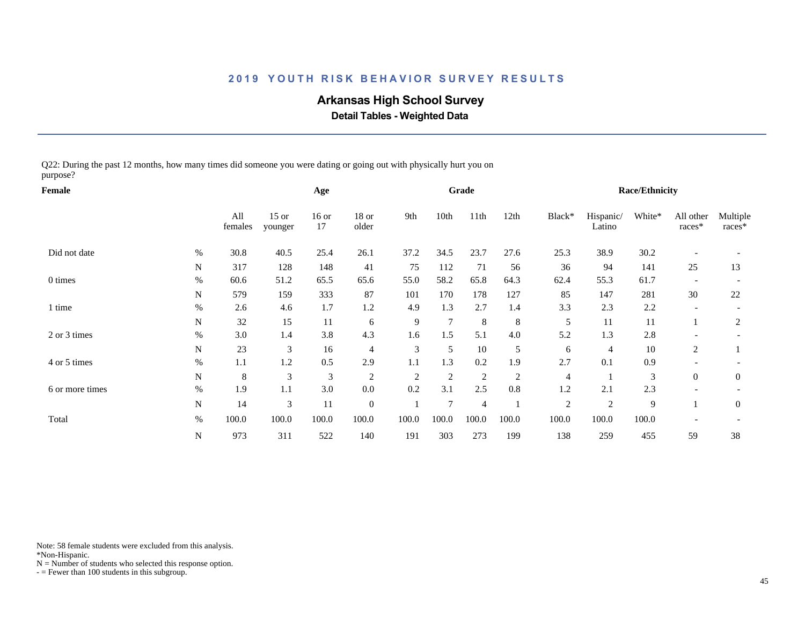# **Arkansas High School Survey**

 **Detail Tables - Weighted Data**

Q22: During the past 12 months, how many times did someone you were dating or going out with physically hurt you on purpose?

| Female          |             |                |                    | Age                         |                  |                |                | Grade          |                |                |                     | Race/Ethnicity |                     |                    |
|-----------------|-------------|----------------|--------------------|-----------------------------|------------------|----------------|----------------|----------------|----------------|----------------|---------------------|----------------|---------------------|--------------------|
|                 |             | All<br>females | $15$ or<br>younger | $16$ or<br>17               | $18$ or<br>older | 9th            | 10th           | 11th           | 12th           | Black*         | Hispanic/<br>Latino | White*         | All other<br>races* | Multiple<br>races* |
| Did not date    | $\%$        | 30.8           | 40.5               | 25.4                        | 26.1             | 37.2           | 34.5           | 23.7           | 27.6           | 25.3           | 38.9                | 30.2           |                     |                    |
|                 | N           | 317            | 128                | 148                         | 41               | 75             | 112            | 71             | 56             | 36             | 94                  | 141            | 25                  | 13                 |
| 0 times         | %           | 60.6           | 51.2               | 65.5                        | 65.6             | 55.0           | 58.2           | 65.8           | 64.3           | 62.4           | 55.3                | 61.7           |                     |                    |
|                 | N           | 579            | 159                | 333                         | 87               | 101            | 170            | 178            | 127            | 85             | 147                 | 281            | 30                  | 22                 |
| 1 time          | $\%$        | 2.6            | 4.6                | 1.7                         | 1.2              | 4.9            | 1.3            | 2.7            | 1.4            | 3.3            | 2.3                 | 2.2            |                     |                    |
|                 | N           | 32             | 15                 | 11                          | 6                | 9              | $\overline{7}$ | 8              | $\,8\,$        | 5              | 11                  | 11             |                     | $\overline{c}$     |
| 2 or 3 times    | $\%$        | 3.0            | 1.4                | 3.8                         | 4.3              | 1.6            | 1.5            | 5.1            | 4.0            | 5.2            | 1.3                 | 2.8            |                     |                    |
|                 | N           | 23             | 3                  | 16                          | 4                | 3              | 5              | 10             | 5              | 6              | 4                   | 10             | 2                   |                    |
| 4 or 5 times    | $\%$        | 1.1            | 1.2                | 0.5                         | 2.9              | 1.1            | 1.3            | 0.2            | 1.9            | 2.7            | 0.1                 | 0.9            |                     |                    |
|                 | $\mathbf N$ | 8              | $\mathfrak{Z}$     | $\ensuremath{\mathfrak{Z}}$ | $\sqrt{2}$       | $\overline{2}$ | $\mathfrak{2}$ | 2              | $\overline{c}$ | $\overline{4}$ |                     | 3              | $\overline{0}$      | $\boldsymbol{0}$   |
| 6 or more times | $\%$        | 1.9            | 1.1                | 3.0                         | $0.0\,$          | 0.2            | 3.1            | 2.5            | $0.8\,$        | 1.2            | 2.1                 | 2.3            |                     |                    |
|                 | N           | 14             | 3                  | 11                          | $\boldsymbol{0}$ |                | $\overline{7}$ | $\overline{4}$ |                | $\overline{c}$ | $\overline{2}$      | 9              |                     | $\mathbf{0}$       |
| Total           | $\%$        | 100.0          | 100.0              | 100.0                       | 100.0            | 100.0          | 100.0          | 100.0          | 100.0          | 100.0          | 100.0               | 100.0          |                     |                    |
|                 | N           | 973            | 311                | 522                         | 140              | 191            | 303            | 273            | 199            | 138            | 259                 | 455            | 59                  | 38                 |

Note: 58 female students were excluded from this analysis.

\*Non-Hispanic.

 $N =$  Number of students who selected this response option.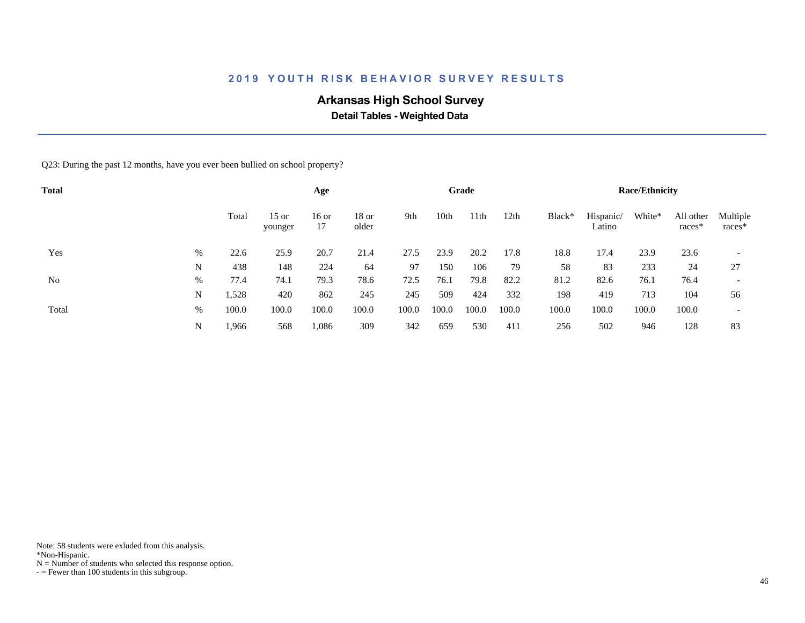# **Arkansas High School Survey**

 **Detail Tables - Weighted Data**

Q23: During the past 12 months, have you ever been bullied on school property?

| <b>Total</b> |      |       |                    | Age           |                |       |       | Grade |       |        |                     | <b>Race/Ethnicity</b> |                       |                          |
|--------------|------|-------|--------------------|---------------|----------------|-------|-------|-------|-------|--------|---------------------|-----------------------|-----------------------|--------------------------|
|              |      | Total | $15$ or<br>younger | $16$ or<br>17 | 18 or<br>older | 9th   | 10th  | 11th  | 12th  | Black* | Hispanic/<br>Latino | White*                | All other<br>$races*$ | Multiple<br>$races*$     |
| Yes          | %    | 22.6  | 25.9               | 20.7          | 21.4           | 27.5  | 23.9  | 20.2  | 17.8  | 18.8   | 17.4                | 23.9                  | 23.6                  | $\overline{\phantom{a}}$ |
|              | N    | 438   | 148                | 224           | 64             | 97    | 150   | 106   | 79    | 58     | 83                  | 233                   | 24                    | 27                       |
| No           | $\%$ | 77.4  | 74.1               | 79.3          | 78.6           | 72.5  | 76.1  | 79.8  | 82.2  | 81.2   | 82.6                | 76.1                  | 76.4                  | $\overline{\phantom{a}}$ |
|              | N    | 1,528 | 420                | 862           | 245            | 245   | 509   | 424   | 332   | 198    | 419                 | 713                   | 104                   | 56                       |
| Total        | %    | 100.0 | 100.0              | 100.0         | 100.0          | 100.0 | 100.0 | 100.0 | 100.0 | 100.0  | 100.0               | 100.0                 | 100.0                 | $\overline{\phantom{0}}$ |
|              | N    | 1,966 | 568                | 1,086         | 309            | 342   | 659   | 530   | 411   | 256    | 502                 | 946                   | 128                   | 83                       |

Note: 58 students were exluded from this analysis.

\*Non-Hispanic.

 $N =$  Number of students who selected this response option.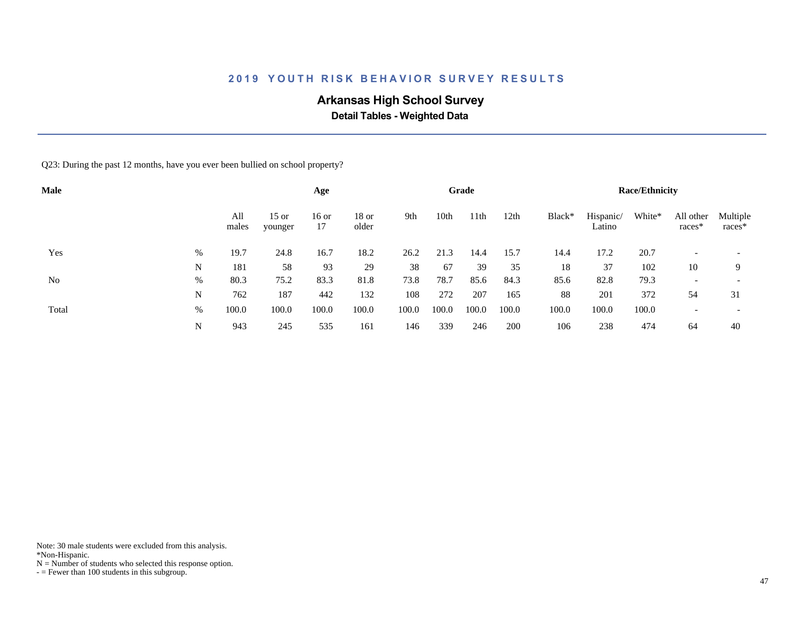# **Arkansas High School Survey**

 **Detail Tables - Weighted Data**

Q23: During the past 12 months, have you ever been bullied on school property?

| <b>Male</b> |   |              |                    | Age           |                  |       |       | Grade |       |        |                     | <b>Race/Ethnicity</b> |                     |                          |
|-------------|---|--------------|--------------------|---------------|------------------|-------|-------|-------|-------|--------|---------------------|-----------------------|---------------------|--------------------------|
|             |   | All<br>males | $15$ or<br>younger | $16$ or<br>17 | $18$ or<br>older | 9th   | 10th  | 11th  | 12th  | Black* | Hispanic/<br>Latino | White*                | All other<br>races* | Multiple<br>$races*$     |
| Yes         | % | 19.7         | 24.8               | 16.7          | 18.2             | 26.2  | 21.3  | 14.4  | 15.7  | 14.4   | 17.2                | 20.7                  |                     | $\overline{\phantom{a}}$ |
|             | N | 181          | 58                 | 93            | 29               | 38    | 67    | 39    | 35    | 18     | 37                  | 102                   | 10                  | 9                        |
| No          | % | 80.3         | 75.2               | 83.3          | 81.8             | 73.8  | 78.7  | 85.6  | 84.3  | 85.6   | 82.8                | 79.3                  |                     |                          |
|             | N | 762          | 187                | 442           | 132              | 108   | 272   | 207   | 165   | 88     | 201                 | 372                   | 54                  | 31                       |
| Total       | % | 100.0        | 100.0              | 100.0         | 100.0            | 100.0 | 100.0 | 100.0 | 100.0 | 100.0  | 100.0               | 100.0                 |                     | $\overline{\phantom{0}}$ |
|             | N | 943          | 245                | 535           | 161              | 146   | 339   | 246   | 200   | 106    | 238                 | 474                   | 64                  | 40                       |

Note: 30 male students were excluded from this analysis.

\*Non-Hispanic.

 $N =$  Number of students who selected this response option.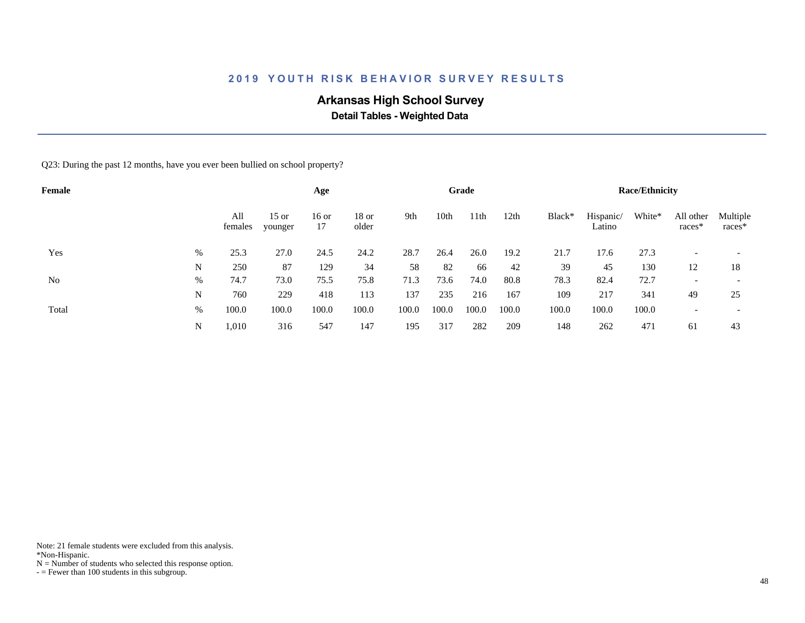# **Arkansas High School Survey**

 **Detail Tables - Weighted Data**

Q23: During the past 12 months, have you ever been bullied on school property?

| Female |   |                |                    | Age           |                  |       |       | Grade |       |        |                     | <b>Race/Ethnicity</b> |                          |                          |
|--------|---|----------------|--------------------|---------------|------------------|-------|-------|-------|-------|--------|---------------------|-----------------------|--------------------------|--------------------------|
|        |   | All<br>females | $15$ or<br>younger | $16$ or<br>17 | $18$ or<br>older | 9th   | 10th  | 11th  | 12th  | Black* | Hispanic/<br>Latino | White*                | All other<br>races*      | Multiple<br>$races*$     |
| Yes    | % | 25.3           | 27.0               | 24.5          | 24.2             | 28.7  | 26.4  | 26.0  | 19.2  | 21.7   | 17.6                | 27.3                  |                          |                          |
|        | N | 250            | 87                 | 129           | 34               | 58    | 82    | 66    | 42    | 39     | 45                  | 130                   | 12                       | 18                       |
| No     | % | 74.7           | 73.0               | 75.5          | 75.8             | 71.3  | 73.6  | 74.0  | 80.8  | 78.3   | 82.4                | 72.7                  | $\overline{\phantom{0}}$ |                          |
|        | N | 760            | 229                | 418           | 113              | 137   | 235   | 216   | 167   | 109    | 217                 | 341                   | 49                       | 25                       |
| Total  | % | 100.0          | 100.0              | 100.0         | 100.0            | 100.0 | 100.0 | 100.0 | 100.0 | 100.0  | 100.0               | 100.0                 |                          | $\overline{\phantom{a}}$ |
|        | N | 1,010          | 316                | 547           | 147              | 195   | 317   | 282   | 209   | 148    | 262                 | 471                   | 61                       | 43                       |

Note: 21 female students were excluded from this analysis.

\*Non-Hispanic.

 $N =$  Number of students who selected this response option.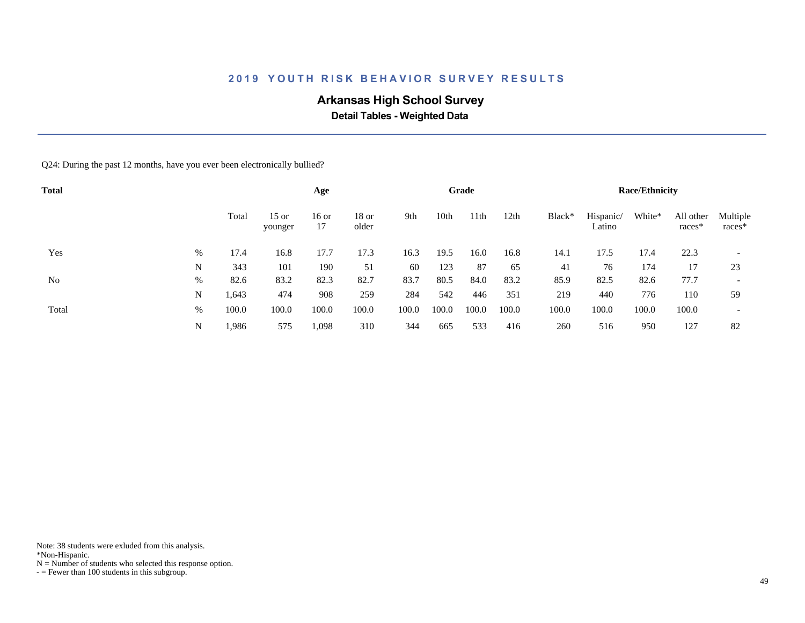# **Arkansas High School Survey**

 **Detail Tables - Weighted Data**

Q24: During the past 12 months, have you ever been electronically bullied?

| <b>Total</b> |      |       |                    | Age           |                  |       |       | Grade |       |        |                     | <b>Race/Ethnicity</b> |                     |                          |
|--------------|------|-------|--------------------|---------------|------------------|-------|-------|-------|-------|--------|---------------------|-----------------------|---------------------|--------------------------|
|              |      | Total | $15$ or<br>younger | $16$ or<br>17 | $18$ or<br>older | 9th   | 10th  | 11th  | 12th  | Black* | Hispanic/<br>Latino | White*                | All other<br>races* | Multiple<br>$races*$     |
| Yes          | %    | 17.4  | 16.8               | 17.7          | 17.3             | 16.3  | 19.5  | 16.0  | 16.8  | 14.1   | 17.5                | 17.4                  | 22.3                | $\overline{\phantom{a}}$ |
|              | N    | 343   | 101                | 190           | 51               | 60    | 123   | 87    | 65    | 41     | 76                  | 174                   | 17                  | 23                       |
| No           | $\%$ | 82.6  | 83.2               | 82.3          | 82.7             | 83.7  | 80.5  | 84.0  | 83.2  | 85.9   | 82.5                | 82.6                  | 77.7                | $\overline{\phantom{a}}$ |
|              | N    | 1,643 | 474                | 908           | 259              | 284   | 542   | 446   | 351   | 219    | 440                 | 776                   | 110                 | 59                       |
| Total        | %    | 100.0 | 100.0              | 100.0         | 100.0            | 100.0 | 100.0 | 100.0 | 100.0 | 100.0  | 100.0               | 100.0                 | 100.0               | $\overline{\phantom{a}}$ |
|              | N    | .986  | 575                | 1,098         | 310              | 344   | 665   | 533   | 416   | 260    | 516                 | 950                   | 127                 | 82                       |

Note: 38 students were exluded from this analysis.

\*Non-Hispanic.

 $N =$  Number of students who selected this response option.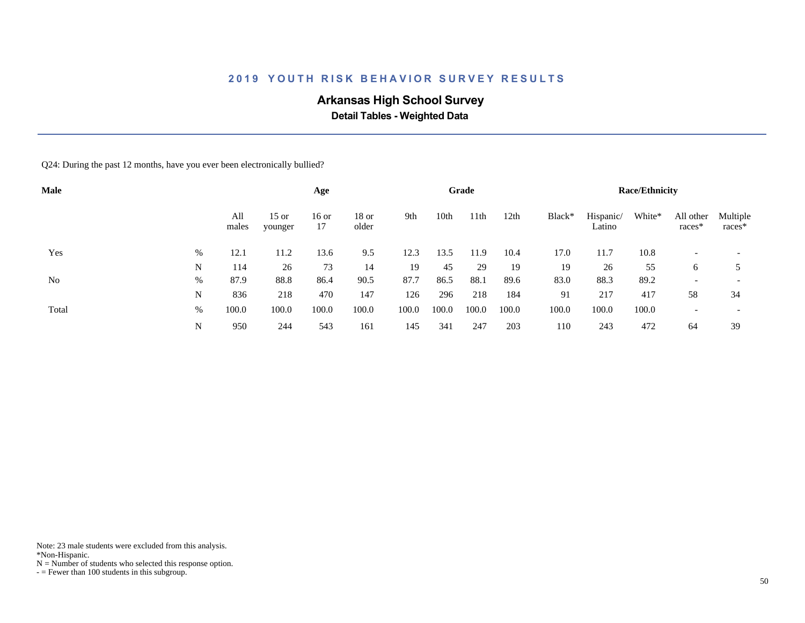# **Arkansas High School Survey**

 **Detail Tables - Weighted Data**

Q24: During the past 12 months, have you ever been electronically bullied?

| Male  |   |              |                    | Age           |                  |       |       | Grade |       |        |                     | <b>Race/Ethnicity</b> |                          |                          |
|-------|---|--------------|--------------------|---------------|------------------|-------|-------|-------|-------|--------|---------------------|-----------------------|--------------------------|--------------------------|
|       |   | All<br>males | $15$ or<br>younger | $16$ or<br>17 | $18$ or<br>older | 9th   | 10th  | 11th  | 12th  | Black* | Hispanic/<br>Latino | White*                | All other<br>races*      | Multiple<br>races*       |
| Yes   | % | 12.1         | 11.2               | 13.6          | 9.5              | 12.3  | 13.5  | 11.9  | 10.4  | 17.0   | 11.7                | 10.8                  |                          |                          |
|       | N | 114          | 26                 | 73            | 14               | 19    | 45    | 29    | 19    | 19     | 26                  | 55                    | 6                        |                          |
| No    | % | 87.9         | 88.8               | 86.4          | 90.5             | 87.7  | 86.5  | 88.1  | 89.6  | 83.0   | 88.3                | 89.2                  | $\overline{\phantom{0}}$ | $\overline{\phantom{a}}$ |
|       | N | 836          | 218                | 470           | 147              | 126   | 296   | 218   | 184   | 91     | 217                 | 417                   | 58                       | 34                       |
| Total | % | 100.0        | 100.0              | 100.0         | 100.0            | 100.0 | 100.0 | 100.0 | 100.0 | 100.0  | 100.0               | 100.0                 |                          | $\overline{\phantom{a}}$ |
|       | N | 950          | 244                | 543           | 161              | 145   | 341   | 247   | 203   | 110    | 243                 | 472                   | 64                       | 39                       |

Note: 23 male students were excluded from this analysis.

\*Non-Hispanic.

 $N =$  Number of students who selected this response option.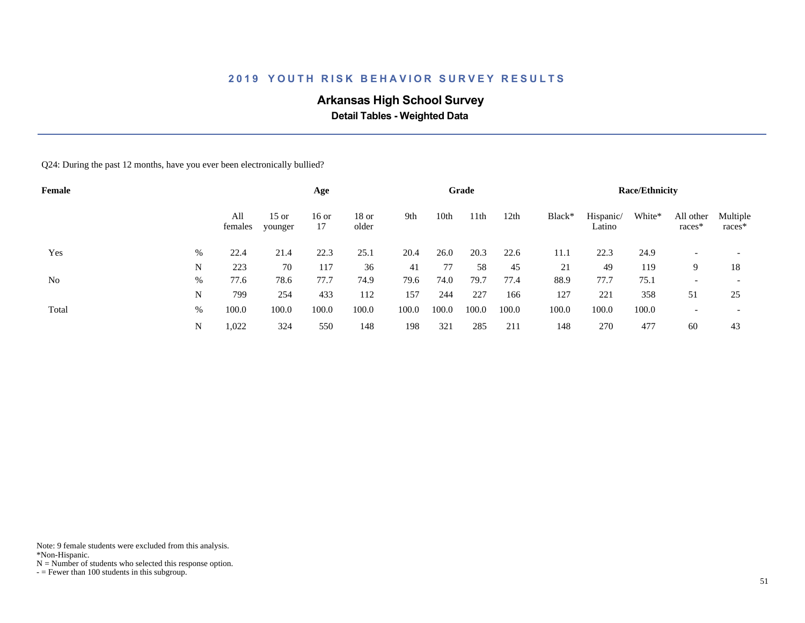# **Arkansas High School Survey**

 **Detail Tables - Weighted Data**

Q24: During the past 12 months, have you ever been electronically bullied?

| Female |      |                |                    | Age           |                |       |       | Grade |       |        |                     | <b>Race/Ethnicity</b> |                       |                          |
|--------|------|----------------|--------------------|---------------|----------------|-------|-------|-------|-------|--------|---------------------|-----------------------|-----------------------|--------------------------|
|        |      | All<br>females | $15$ or<br>younger | $16$ or<br>17 | 18 or<br>older | 9th   | 10th  | 11th  | 12th  | Black* | Hispanic/<br>Latino | White*                | All other<br>$races*$ | Multiple<br>races*       |
| Yes    | $\%$ | 22.4           | 21.4               | 22.3          | 25.1           | 20.4  | 26.0  | 20.3  | 22.6  | 11.1   | 22.3                | 24.9                  |                       |                          |
|        | N    | 223            | 70                 | 117           | 36             | 41    | 77    | 58    | 45    | 21     | 49                  | 119                   | 9                     | 18                       |
| No     | $\%$ | 77.6           | 78.6               | 77.7          | 74.9           | 79.6  | 74.0  | 79.7  | 77.4  | 88.9   | 77.7                | 75.1                  |                       |                          |
|        | N    | 799            | 254                | 433           | 112            | 157   | 244   | 227   | 166   | 127    | 221                 | 358                   | 51                    | 25                       |
| Total  | $\%$ | 100.0          | 100.0              | 100.0         | 100.0          | 100.0 | 100.0 | 100.0 | 100.0 | 100.0  | 100.0               | 100.0                 |                       | $\overline{\phantom{a}}$ |
|        | N    | 1,022          | 324                | 550           | 148            | 198   | 321   | 285   | 211   | 148    | 270                 | 477                   | 60                    | 43                       |

Note: 9 female students were excluded from this analysis.

\*Non-Hispanic.

 $N =$  Number of students who selected this response option.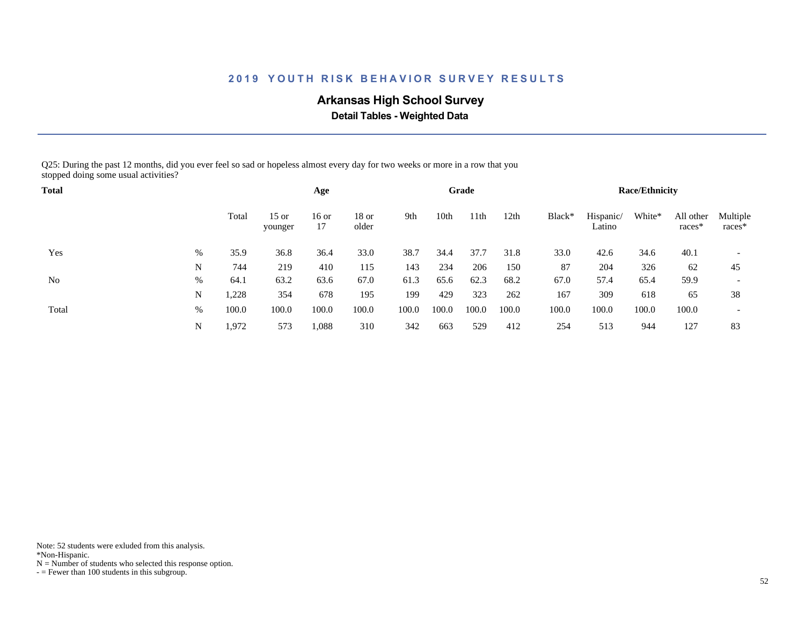# **Arkansas High School Survey**

 **Detail Tables - Weighted Data**

Q25: During the past 12 months, did you ever feel so sad or hopeless almost every day for two weeks or more in a row that you stopped doing some usual activities?

| <b>Total</b> |      |       |                    | Age         |                  |       |       | Grade |       |        |                     | <b>Race/Ethnicity</b> |                       |                          |
|--------------|------|-------|--------------------|-------------|------------------|-------|-------|-------|-------|--------|---------------------|-----------------------|-----------------------|--------------------------|
|              |      | Total | $15$ or<br>younger | 16 or<br>17 | $18$ or<br>older | 9th   | 10th  | 11th  | 12th  | Black* | Hispanic/<br>Latino | White*                | All other<br>$races*$ | Multiple<br>races*       |
| Yes          | %    | 35.9  | 36.8               | 36.4        | 33.0             | 38.7  | 34.4  | 37.7  | 31.8  | 33.0   | 42.6                | 34.6                  | 40.1                  |                          |
|              | N    | 744   | 219                | 410         | 115              | 143   | 234   | 206   | 150   | 87     | 204                 | 326                   | 62                    | 45                       |
| No           | $\%$ | 64.1  | 63.2               | 63.6        | 67.0             | 61.3  | 65.6  | 62.3  | 68.2  | 67.0   | 57.4                | 65.4                  | 59.9                  | $\overline{\phantom{a}}$ |
|              | N    | 1,228 | 354                | 678         | 195              | 199   | 429   | 323   | 262   | 167    | 309                 | 618                   | 65                    | 38                       |
| Total        | $\%$ | 100.0 | 100.0              | 100.0       | 100.0            | 100.0 | 100.0 | 100.0 | 100.0 | 100.0  | 100.0               | 100.0                 | 100.0                 | $\overline{\phantom{a}}$ |
|              | N    | 1,972 | 573                | 1,088       | 310              | 342   | 663   | 529   | 412   | 254    | 513                 | 944                   | 127                   | 83                       |

Note: 52 students were exluded from this analysis.

\*Non-Hispanic.

 $N =$  Number of students who selected this response option.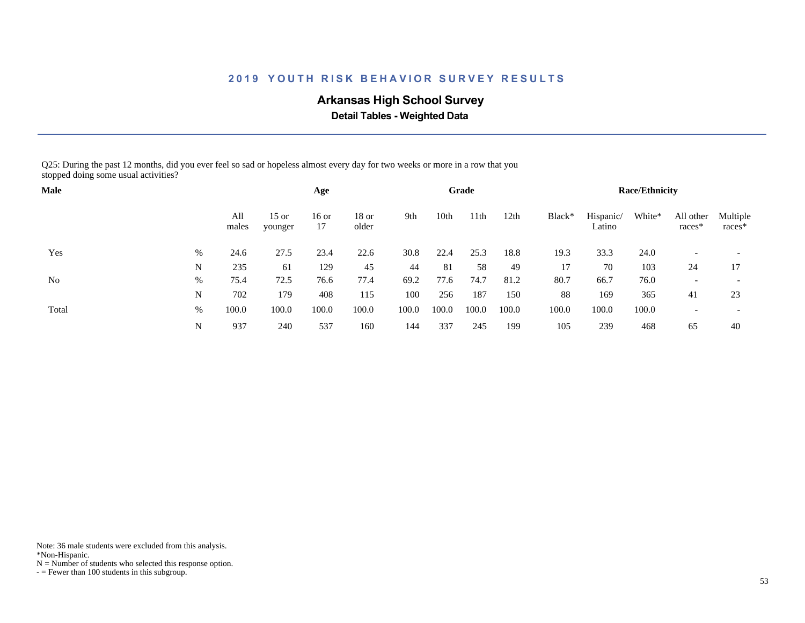# **Arkansas High School Survey**

 **Detail Tables - Weighted Data**

Q25: During the past 12 months, did you ever feel so sad or hopeless almost every day for two weeks or more in a row that you stopped doing some usual activities?

| <b>Male</b> |      |              |                    | Age         |                  |       |       | Grade |       |        |                     | <b>Race/Ethnicity</b> |                          |                          |
|-------------|------|--------------|--------------------|-------------|------------------|-------|-------|-------|-------|--------|---------------------|-----------------------|--------------------------|--------------------------|
|             |      | All<br>males | $15$ or<br>younger | 16 or<br>17 | $18$ or<br>older | 9th   | 10th  | 11th  | 12th  | Black* | Hispanic/<br>Latino | White*                | All other<br>$races*$    | Multiple<br>races*       |
| Yes         | $\%$ | 24.6         | 27.5               | 23.4        | 22.6             | 30.8  | 22.4  | 25.3  | 18.8  | 19.3   | 33.3                | 24.0                  |                          |                          |
|             | N    | 235          | 61                 | 129         | 45               | 44    | 81    | 58    | 49    | 17     | 70                  | 103                   | 24                       | 17                       |
| No          | %    | 75.4         | 72.5               | 76.6        | 77.4             | 69.2  | 77.6  | 74.7  | 81.2  | 80.7   | 66.7                | 76.0                  | $\overline{\phantom{a}}$ |                          |
|             | N    | 702          | 179                | 408         | 115              | 100   | 256   | 187   | 150   | 88     | 169                 | 365                   | 41                       | 23                       |
| Total       | %    | 100.0        | 100.0              | 100.0       | 100.0            | 100.0 | 100.0 | 100.0 | 100.0 | 100.0  | 100.0               | 100.0                 |                          | $\overline{\phantom{a}}$ |
|             | N    | 937          | 240                | 537         | 160              | 144   | 337   | 245   | 199   | 105    | 239                 | 468                   | 65                       | 40                       |

Note: 36 male students were excluded from this analysis.

\*Non-Hispanic.

 $N =$  Number of students who selected this response option.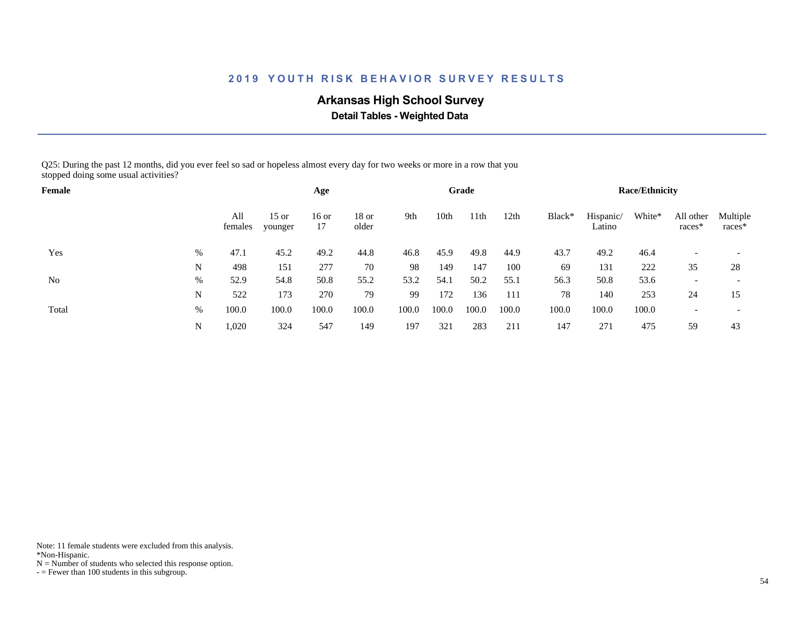# **Arkansas High School Survey**

 **Detail Tables - Weighted Data**

Q25: During the past 12 months, did you ever feel so sad or hopeless almost every day for two weeks or more in a row that you stopped doing some usual activities?

| Female |      |                |                    | Age           |                  |       |       | Grade |       |        |                     | <b>Race/Ethnicity</b> |                       |                    |
|--------|------|----------------|--------------------|---------------|------------------|-------|-------|-------|-------|--------|---------------------|-----------------------|-----------------------|--------------------|
|        |      | All<br>females | $15$ or<br>younger | $16$ or<br>17 | $18$ or<br>older | 9th   | 10th  | 11th  | 12th  | Black* | Hispanic/<br>Latino | White*                | All other<br>$races*$ | Multiple<br>races* |
| Yes    | $\%$ | 47.1           | 45.2               | 49.2          | 44.8             | 46.8  | 45.9  | 49.8  | 44.9  | 43.7   | 49.2                | 46.4                  |                       |                    |
|        | N    | 498            | 151                | 277           | 70               | 98    | 149   | 147   | 100   | 69     | 131                 | 222                   | 35                    | 28                 |
| No     | %    | 52.9           | 54.8               | 50.8          | 55.2             | 53.2  | 54.1  | 50.2  | 55.1  | 56.3   | 50.8                | 53.6                  |                       |                    |
|        | N    | 522            | 173                | 270           | 79               | 99    | 172   | 136   | 111   | 78     | 140                 | 253                   | 24                    | 15                 |
| Total  | %    | 100.0          | 100.0              | 100.0         | 100.0            | 100.0 | 100.0 | 100.0 | 100.0 | 100.0  | 100.0               | 100.0                 |                       |                    |
|        | N    | 1,020          | 324                | 547           | 149              | 197   | 321   | 283   | 211   | 147    | 271                 | 475                   | 59                    | 43                 |

Note: 11 female students were excluded from this analysis.

\*Non-Hispanic.

 $N =$  Number of students who selected this response option.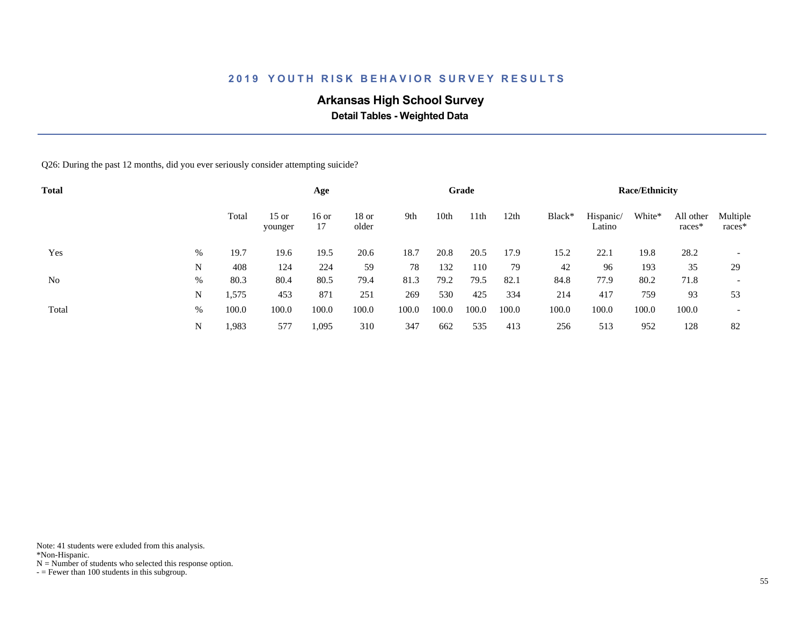# **Arkansas High School Survey**

 **Detail Tables - Weighted Data**

Q26: During the past 12 months, did you ever seriously consider attempting suicide?

| <b>Total</b> |   |       |                    | Age           |                |       |       | Grade |       |        |                     | <b>Race/Ethnicity</b> |                     |                          |
|--------------|---|-------|--------------------|---------------|----------------|-------|-------|-------|-------|--------|---------------------|-----------------------|---------------------|--------------------------|
|              |   | Total | $15$ or<br>younger | $16$ or<br>17 | 18 or<br>older | 9th   | 10th  | 11th  | 12th  | Black* | Hispanic/<br>Latino | White*                | All other<br>races* | Multiple<br>$races*$     |
| Yes          | % | 19.7  | 19.6               | 19.5          | 20.6           | 18.7  | 20.8  | 20.5  | 17.9  | 15.2   | 22.1                | 19.8                  | 28.2                | $\overline{\phantom{a}}$ |
|              | N | 408   | 124                | 224           | 59             | 78    | 132   | 110   | 79    | 42     | 96                  | 193                   | 35                  | 29                       |
| No           | % | 80.3  | 80.4               | 80.5          | 79.4           | 81.3  | 79.2  | 79.5  | 82.1  | 84.8   | 77.9                | 80.2                  | 71.8                | $\overline{\phantom{a}}$ |
|              | N | 1,575 | 453                | 871           | 251            | 269   | 530   | 425   | 334   | 214    | 417                 | 759                   | 93                  | 53                       |
| Total        | % | 100.0 | 100.0              | 100.0         | 100.0          | 100.0 | 100.0 | 100.0 | 100.0 | 100.0  | 100.0               | 100.0                 | 100.0               | $\overline{\phantom{a}}$ |
|              | N | 1,983 | 577                | 1,095         | 310            | 347   | 662   | 535   | 413   | 256    | 513                 | 952                   | 128                 | 82                       |

Note: 41 students were exluded from this analysis.

\*Non-Hispanic.

 $N =$  Number of students who selected this response option.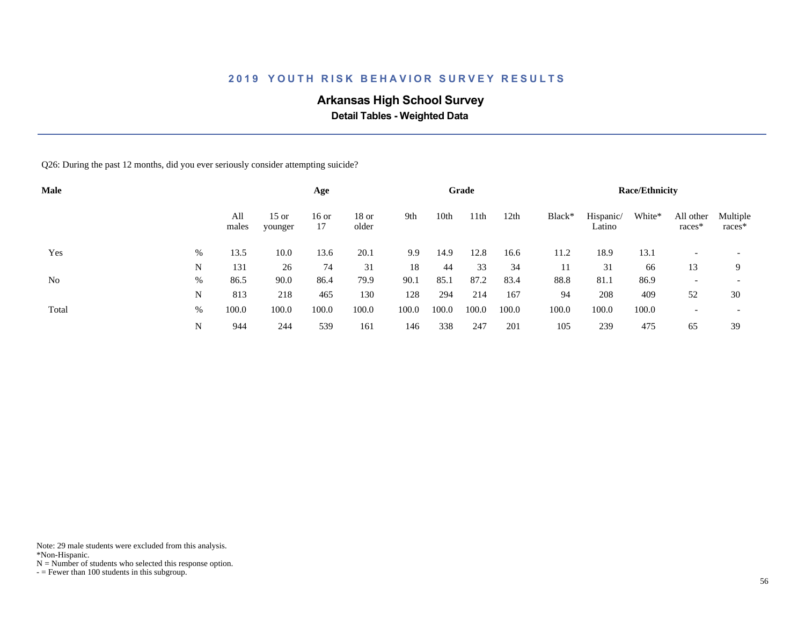# **Arkansas High School Survey**

 **Detail Tables - Weighted Data**

Q26: During the past 12 months, did you ever seriously consider attempting suicide?

| <b>Male</b> |      |              |                    | Age           |                  |       |       | Grade |       |        |                     | <b>Race/Ethnicity</b> |                     |                          |
|-------------|------|--------------|--------------------|---------------|------------------|-------|-------|-------|-------|--------|---------------------|-----------------------|---------------------|--------------------------|
|             |      | All<br>males | $15$ or<br>younger | $16$ or<br>17 | $18$ or<br>older | 9th   | 10th  | 11th  | 12th  | Black* | Hispanic/<br>Latino | White*                | All other<br>races* | Multiple<br>races*       |
| Yes         | $\%$ | 13.5         | 10.0               | 13.6          | 20.1             | 9.9   | 14.9  | 12.8  | 16.6  | 11.2   | 18.9                | 13.1                  |                     | $\overline{\phantom{a}}$ |
|             | N    | 131          | 26                 | 74            | 31               | 18    | 44    | 33    | 34    | 11     | 31                  | 66                    | 13                  | 9                        |
| No          | $\%$ | 86.5         | 90.0               | 86.4          | 79.9             | 90.1  | 85.1  | 87.2  | 83.4  | 88.8   | 81.1                | 86.9                  |                     | $\overline{\phantom{a}}$ |
|             | N    | 813          | 218                | 465           | 130              | 128   | 294   | 214   | 167   | 94     | 208                 | 409                   | 52                  | 30                       |
| Total       | %    | 100.0        | 100.0              | 100.0         | 100.0            | 100.0 | 100.0 | 100.0 | 100.0 | 100.0  | 100.0               | 100.0                 |                     | $\overline{\phantom{a}}$ |
|             | N    | 944          | 244                | 539           | 161              | 146   | 338   | 247   | 201   | 105    | 239                 | 475                   | 65                  | 39                       |

Note: 29 male students were excluded from this analysis.

\*Non-Hispanic.

 $N =$  Number of students who selected this response option.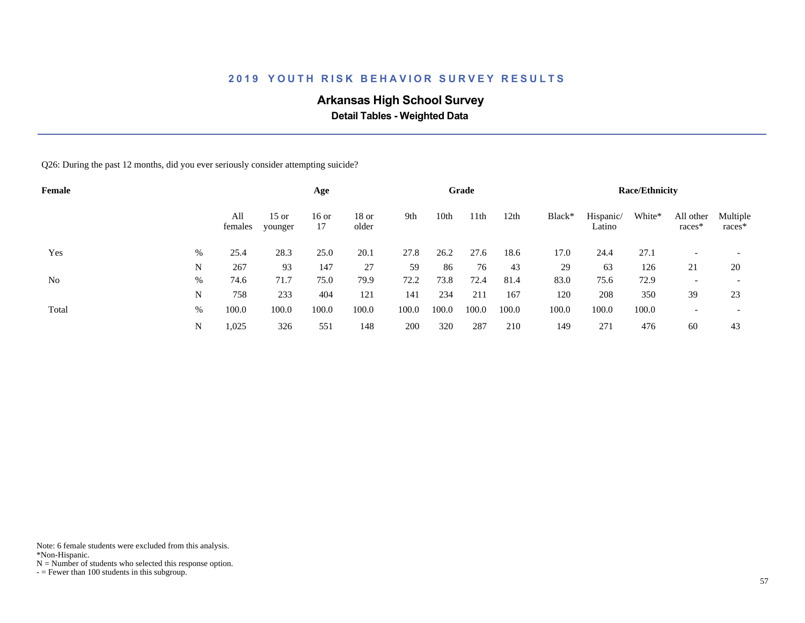# **Arkansas High School Survey**

 **Detail Tables - Weighted Data**

Q26: During the past 12 months, did you ever seriously consider attempting suicide?

| Female |   |                |                    | Age           |                  |       |       | Grade |       |        |                     | <b>Race/Ethnicity</b> |                          |                          |
|--------|---|----------------|--------------------|---------------|------------------|-------|-------|-------|-------|--------|---------------------|-----------------------|--------------------------|--------------------------|
|        |   | All<br>females | $15$ or<br>younger | $16$ or<br>17 | $18$ or<br>older | 9th   | 10th  | 11th  | 12th  | Black* | Hispanic/<br>Latino | White*                | All other<br>races*      | Multiple<br>$races*$     |
| Yes    | % | 25.4           | 28.3               | 25.0          | 20.1             | 27.8  | 26.2  | 27.6  | 18.6  | 17.0   | 24.4                | 27.1                  | $\overline{\phantom{0}}$ | $\overline{\phantom{a}}$ |
|        | N | 267            | 93                 | 147           | 27               | 59    | 86    | 76    | 43    | 29     | 63                  | 126                   | 21                       | 20                       |
| No     | % | 74.6           | 71.7               | 75.0          | 79.9             | 72.2  | 73.8  | 72.4  | 81.4  | 83.0   | 75.6                | 72.9                  | $\overline{\phantom{0}}$ |                          |
|        | N | 758            | 233                | 404           | 121              | 141   | 234   | 211   | 167   | 120    | 208                 | 350                   | 39                       | 23                       |
| Total  | % | 100.0          | 100.0              | 100.0         | 100.0            | 100.0 | 100.0 | 100.0 | 100.0 | 100.0  | 100.0               | 100.0                 |                          | $\overline{\phantom{a}}$ |
|        | N | 1,025          | 326                | 551           | 148              | 200   | 320   | 287   | 210   | 149    | 271                 | 476                   | 60                       | 43                       |

Note: 6 female students were excluded from this analysis.

\*Non-Hispanic.

 $N =$  Number of students who selected this response option.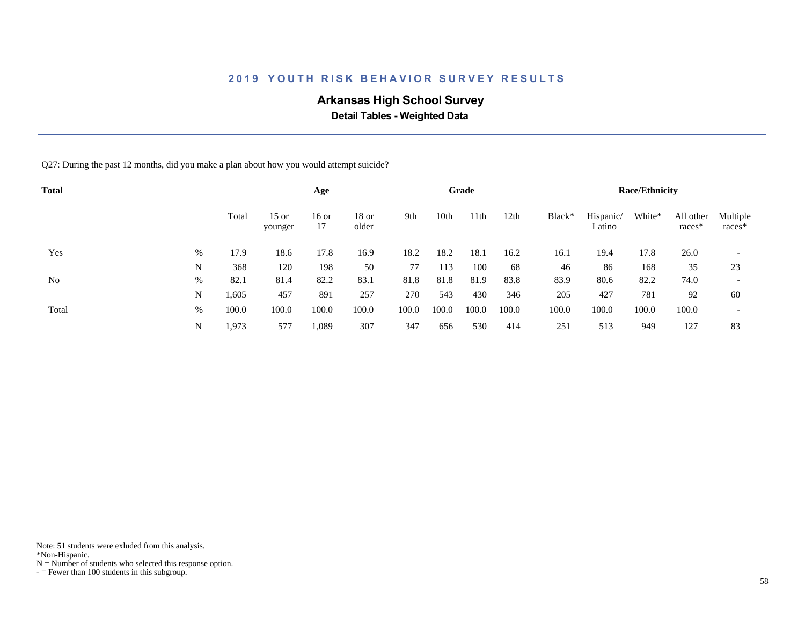# **Arkansas High School Survey**

 **Detail Tables - Weighted Data**

Q27: During the past 12 months, did you make a plan about how you would attempt suicide?

| <b>Total</b> |   |       |                    | Age           |                  |       |       | Grade |       |        |                     | <b>Race/Ethnicity</b> |                     |                          |
|--------------|---|-------|--------------------|---------------|------------------|-------|-------|-------|-------|--------|---------------------|-----------------------|---------------------|--------------------------|
|              |   | Total | $15$ or<br>younger | $16$ or<br>17 | $18$ or<br>older | 9th   | 10th  | 11th  | 12th  | Black* | Hispanic/<br>Latino | White*                | All other<br>races* | Multiple<br>$races*$     |
| Yes          | % | 17.9  | 18.6               | 17.8          | 16.9             | 18.2  | 18.2  | 18.1  | 16.2  | 16.1   | 19.4                | 17.8                  | 26.0                | $\overline{\phantom{a}}$ |
|              | N | 368   | 120                | 198           | 50               | 77    | 113   | 100   | 68    | 46     | 86                  | 168                   | 35                  | 23                       |
| No           | % | 82.1  | 81.4               | 82.2          | 83.1             | 81.8  | 81.8  | 81.9  | 83.8  | 83.9   | 80.6                | 82.2                  | 74.0                | $\overline{\phantom{a}}$ |
|              | N | 1,605 | 457                | 891           | 257              | 270   | 543   | 430   | 346   | 205    | 427                 | 781                   | 92                  | 60                       |
| Total        | % | 100.0 | 100.0              | 100.0         | 100.0            | 100.0 | 100.0 | 100.0 | 100.0 | 100.0  | 100.0               | 100.0                 | 100.0               | $\overline{\phantom{a}}$ |
|              | N | 1,973 | 577                | 1,089         | 307              | 347   | 656   | 530   | 414   | 251    | 513                 | 949                   | 127                 | 83                       |

Note: 51 students were exluded from this analysis.

\*Non-Hispanic.

 $N =$  Number of students who selected this response option.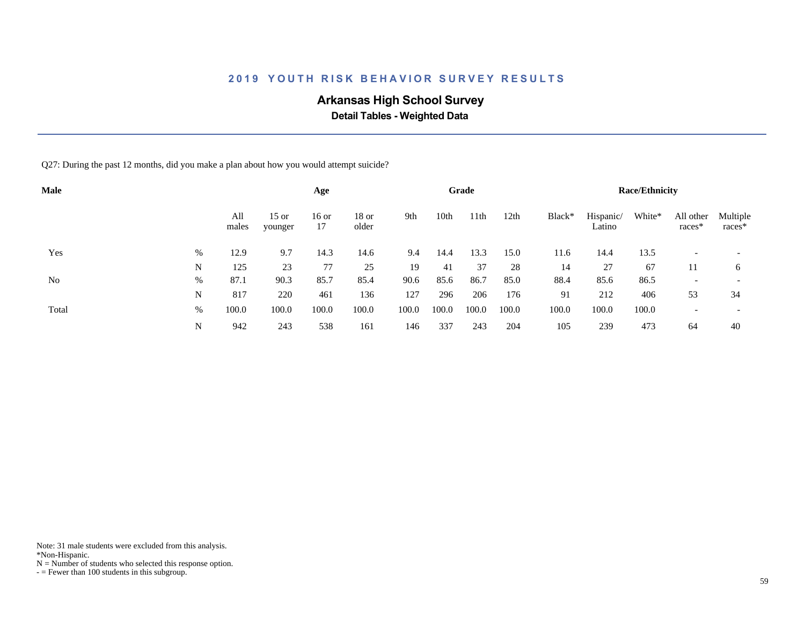# **Arkansas High School Survey**

 **Detail Tables - Weighted Data**

Q27: During the past 12 months, did you make a plan about how you would attempt suicide?

| <b>Male</b> |   |              |                    | Age           |                  |       |       | Grade            |       |        |                     | <b>Race/Ethnicity</b> |                     |                          |
|-------------|---|--------------|--------------------|---------------|------------------|-------|-------|------------------|-------|--------|---------------------|-----------------------|---------------------|--------------------------|
|             |   | All<br>males | $15$ or<br>younger | $16$ or<br>17 | $18$ or<br>older | 9th   | 10th  | 11 <sup>th</sup> | 12th  | Black* | Hispanic/<br>Latino | White*                | All other<br>races* | Multiple<br>races*       |
| Yes         | % | 12.9         | 9.7                | 14.3          | 14.6             | 9.4   | 14.4  | 13.3             | 15.0  | 11.6   | 14.4                | 13.5                  |                     | $\overline{\phantom{a}}$ |
|             | N | 125          | 23                 | 77            | 25               | 19    | 41    | 37               | 28    | 14     | 27                  | 67                    | 11                  | 6                        |
| No          | % | 87.1         | 90.3               | 85.7          | 85.4             | 90.6  | 85.6  | 86.7             | 85.0  | 88.4   | 85.6                | 86.5                  |                     | $\overline{\phantom{a}}$ |
|             | N | 817          | 220                | 461           | 136              | 127   | 296   | 206              | 176   | 91     | 212                 | 406                   | 53                  | 34                       |
| Total       | % | 100.0        | 100.0              | 100.0         | 100.0            | 100.0 | 100.0 | 100.0            | 100.0 | 100.0  | 100.0               | 100.0                 |                     | $\overline{\phantom{0}}$ |
|             | N | 942          | 243                | 538           | 161              | 146   | 337   | 243              | 204   | 105    | 239                 | 473                   | 64                  | 40                       |

Note: 31 male students were excluded from this analysis.

\*Non-Hispanic.

 $N =$  Number of students who selected this response option.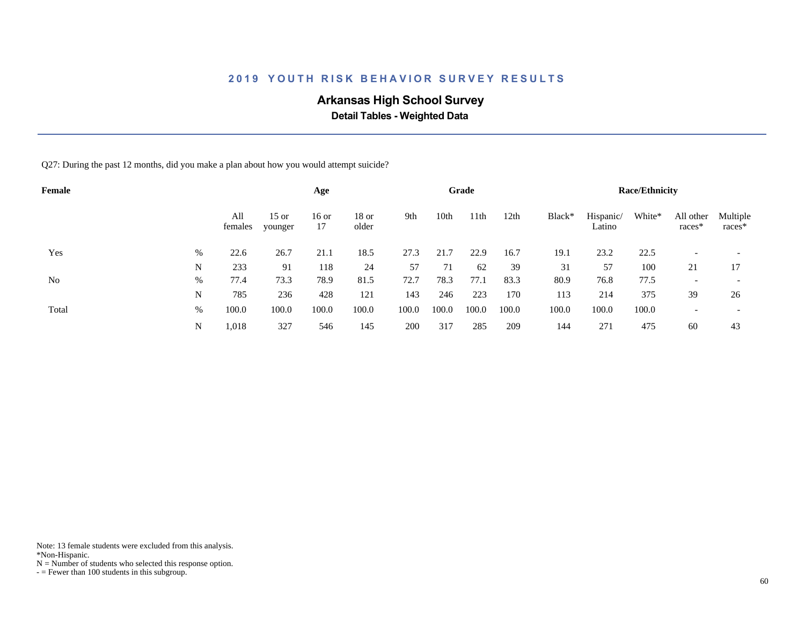# **Arkansas High School Survey**

 **Detail Tables - Weighted Data**

Q27: During the past 12 months, did you make a plan about how you would attempt suicide?

| Female |   |                |                    | Age           |                |       |       | Grade |       |        |                     | <b>Race/Ethnicity</b> |                          |                          |
|--------|---|----------------|--------------------|---------------|----------------|-------|-------|-------|-------|--------|---------------------|-----------------------|--------------------------|--------------------------|
|        |   | All<br>females | $15$ or<br>younger | $16$ or<br>17 | 18 or<br>older | 9th   | 10th  | 11th  | 12th  | Black* | Hispanic/<br>Latino | White*                | All other<br>races*      | Multiple<br>races*       |
| Yes    | % | 22.6           | 26.7               | 21.1          | 18.5           | 27.3  | 21.7  | 22.9  | 16.7  | 19.1   | 23.2                | 22.5                  |                          |                          |
|        | N | 233            | 91                 | 118           | 24             | 57    | 71    | 62    | 39    | 31     | 57                  | 100                   | 21                       | 17                       |
| No     | % | 77.4           | 73.3               | 78.9          | 81.5           | 72.7  | 78.3  | 77.1  | 83.3  | 80.9   | 76.8                | 77.5                  | $\overline{\phantom{0}}$ | $\overline{\phantom{a}}$ |
|        | N | 785            | 236                | 428           | 121            | 143   | 246   | 223   | 170   | 113    | 214                 | 375                   | 39                       | 26                       |
| Total  | % | 100.0          | 100.0              | 100.0         | 100.0          | 100.0 | 100.0 | 100.0 | 100.0 | 100.0  | 100.0               | 100.0                 |                          | $\overline{\phantom{a}}$ |
|        | N | 1,018          | 327                | 546           | 145            | 200   | 317   | 285   | 209   | 144    | 271                 | 475                   | 60                       | 43                       |

Note: 13 female students were excluded from this analysis.

\*Non-Hispanic.

 $N =$  Number of students who selected this response option.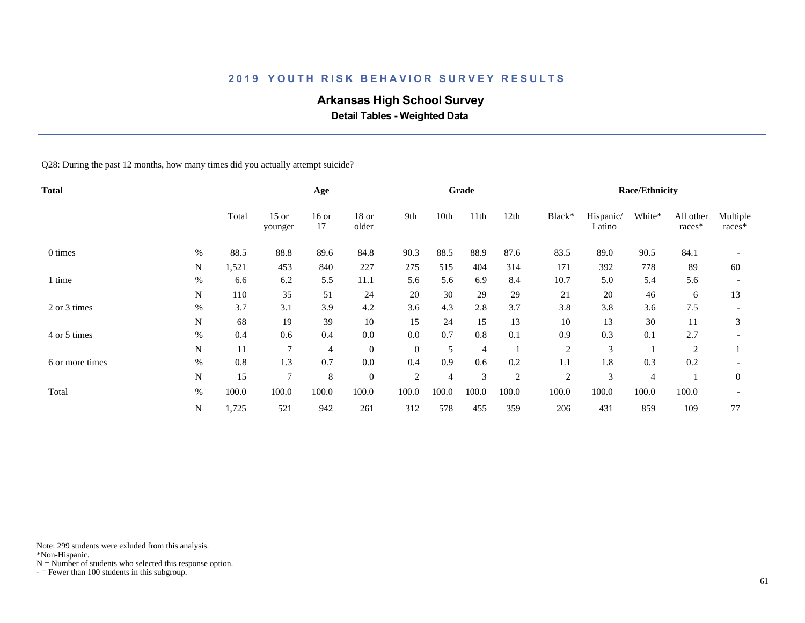# **Arkansas High School Survey**

 **Detail Tables - Weighted Data**

Q28: During the past 12 months, how many times did you actually attempt suicide?

| Total           |      |       |                    | Age            |                |                |       | Grade          |                |                |                     | <b>Race/Ethnicity</b> |                     |                    |
|-----------------|------|-------|--------------------|----------------|----------------|----------------|-------|----------------|----------------|----------------|---------------------|-----------------------|---------------------|--------------------|
|                 |      | Total | $15$ or<br>younger | $16$ or<br>17  | 18 or<br>older | 9th            | 10th  | 11th           | 12th           | Black*         | Hispanic/<br>Latino | White*                | All other<br>races* | Multiple<br>races* |
| 0 times         | $\%$ | 88.5  | 88.8               | 89.6           | 84.8           | 90.3           | 88.5  | 88.9           | 87.6           | 83.5           | 89.0                | 90.5                  | 84.1                |                    |
|                 | N    | 1,521 | 453                | 840            | 227            | 275            | 515   | 404            | 314            | 171            | 392                 | 778                   | 89                  | 60                 |
| 1 time          | $\%$ | 6.6   | 6.2                | 5.5            | 11.1           | 5.6            | 5.6   | 6.9            | 8.4            | 10.7           | 5.0                 | 5.4                   | 5.6                 |                    |
|                 | N    | 110   | 35                 | 51             | 24             | 20             | 30    | 29             | 29             | 21             | 20                  | 46                    | 6                   | 13                 |
| 2 or 3 times    | $\%$ | 3.7   | 3.1                | 3.9            | 4.2            | 3.6            | 4.3   | 2.8            | 3.7            | 3.8            | 3.8                 | 3.6                   | 7.5                 |                    |
|                 | N    | 68    | 19                 | 39             | $10\,$         | 15             | 24    | 15             | 13             | 10             | 13                  | 30                    | 11                  | 3                  |
| 4 or 5 times    | $\%$ | 0.4   | 0.6                | 0.4            | 0.0            | 0.0            | 0.7   | 0.8            | 0.1            | 0.9            | 0.3                 | 0.1                   | 2.7                 |                    |
|                 | N    | 11    | $\overline{7}$     | $\overline{4}$ | $\mathbf{0}$   | $\theta$       | 5     | $\overline{4}$ |                | $\overline{2}$ | 3                   |                       | $\overline{c}$      |                    |
| 6 or more times | $\%$ | 0.8   | 1.3                | 0.7            | 0.0            | 0.4            | 0.9   | 0.6            | 0.2            | 1.1            | 1.8                 | 0.3                   | 0.2                 |                    |
|                 | N    | 15    | $\overline{7}$     | 8              | $\overline{0}$ | $\overline{2}$ | 4     | 3              | $\overline{2}$ | $\overline{2}$ | 3                   | $\overline{4}$        |                     | $\mathbf{0}$       |
| Total           | $\%$ | 100.0 | 100.0              | 100.0          | 100.0          | 100.0          | 100.0 | 100.0          | 100.0          | 100.0          | 100.0               | 100.0                 | 100.0               |                    |
|                 | N    | 1,725 | 521                | 942            | 261            | 312            | 578   | 455            | 359            | 206            | 431                 | 859                   | 109                 | 77                 |

Note: 299 students were exluded from this analysis.

\*Non-Hispanic.

 $N =$  Number of students who selected this response option.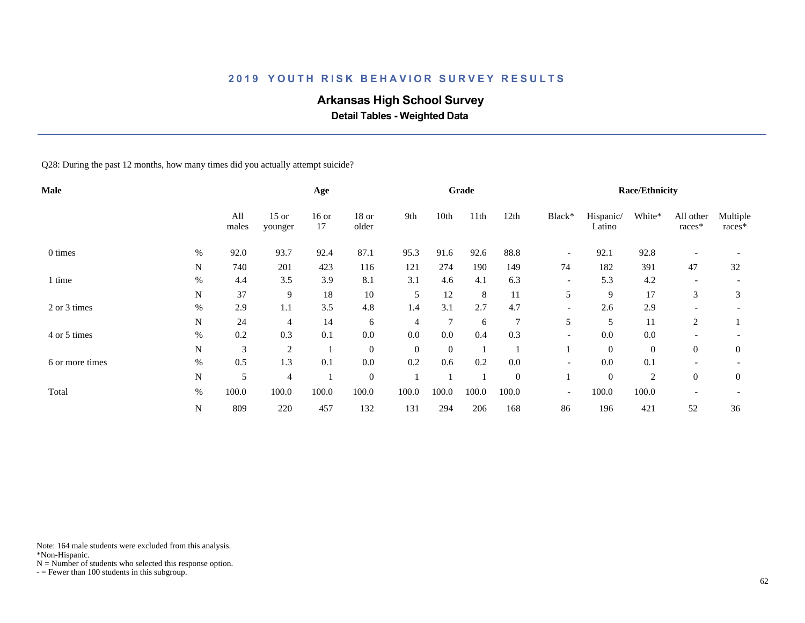# **Arkansas High School Survey**

 **Detail Tables - Weighted Data**

Q28: During the past 12 months, how many times did you actually attempt suicide?

| Male            |           |              |                    | Age           |                  |                |          | Grade   |                  |                          |                     | <b>Race/Ethnicity</b> |                          |                    |
|-----------------|-----------|--------------|--------------------|---------------|------------------|----------------|----------|---------|------------------|--------------------------|---------------------|-----------------------|--------------------------|--------------------|
|                 |           | All<br>males | $15$ or<br>younger | $16$ or<br>17 | 18 or<br>older   | 9th            | 10th     | 11th    | 12th             | Black*                   | Hispanic/<br>Latino | White*                | All other<br>races*      | Multiple<br>races* |
| 0 times         | $\%$      | 92.0         | 93.7               | 92.4          | 87.1             | 95.3           | 91.6     | 92.6    | 88.8             | $\overline{\phantom{a}}$ | 92.1                | 92.8                  |                          |                    |
|                 | N         | 740          | 201                | 423           | 116              | 121            | 274      | 190     | 149              | 74                       | 182                 | 391                   | 47                       | 32                 |
| 1 time          | $\%$      | 4.4          | 3.5                | 3.9           | 8.1              | 3.1            | 4.6      | 4.1     | 6.3              | $\overline{\phantom{a}}$ | 5.3                 | 4.2                   |                          |                    |
|                 | N         | 37           | 9                  | 18            | $10\,$           | 5              | 12       | $\,8\,$ | 11               | 5                        | 9                   | 17                    | 3                        | 3                  |
| 2 or 3 times    | $\%$      | 2.9          | 1.1                | 3.5           | 4.8              | 1.4            | 3.1      | 2.7     | 4.7              | $\overline{\phantom{a}}$ | 2.6                 | 2.9                   | $\overline{\phantom{0}}$ |                    |
|                 | N         | 24           | 4                  | 14            | 6                | $\overline{4}$ | 7        | 6       | 7                | 5                        | 5                   | 11                    | 2                        |                    |
| 4 or 5 times    | $\%$      | 0.2          | 0.3                | 0.1           | 0.0              | 0.0            | 0.0      | 0.4     | 0.3              | $\overline{\phantom{a}}$ | 0.0                 | 0.0                   |                          |                    |
|                 | ${\bf N}$ | 3            | $\overline{c}$     |               | $\overline{0}$   | $\overline{0}$ | $\theta$ |         |                  |                          | $\mathbf{0}$        | $\boldsymbol{0}$      | $\overline{0}$           | $\overline{0}$     |
| 6 or more times | $\%$      | 0.5          | 1.3                | 0.1           | $0.0\,$          | 0.2            | 0.6      | 0.2     | 0.0              | $\overline{\phantom{a}}$ | 0.0                 | 0.1                   |                          |                    |
|                 | N         | 5            | 4                  |               | $\boldsymbol{0}$ |                |          |         | $\boldsymbol{0}$ |                          | $\mathbf{0}$        | $\overline{2}$        | $\overline{0}$           | $\overline{0}$     |
| Total           | $\%$      | 100.0        | 100.0              | 100.0         | 100.0            | 100.0          | 100.0    | 100.0   | 100.0            | $\overline{\phantom{a}}$ | 100.0               | 100.0                 |                          |                    |
|                 | ${\bf N}$ | 809          | 220                | 457           | 132              | 131            | 294      | 206     | 168              | 86                       | 196                 | 421                   | 52                       | 36                 |

Note: 164 male students were excluded from this analysis.

\*Non-Hispanic.

 $N =$  Number of students who selected this response option.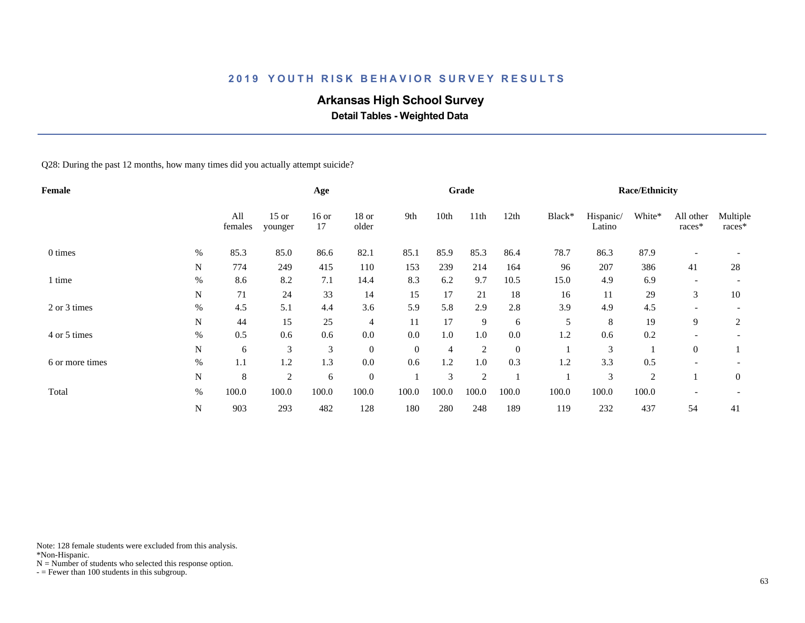# **Arkansas High School Survey**

 **Detail Tables - Weighted Data**

Q28: During the past 12 months, how many times did you actually attempt suicide?

| Female          |             |                |                    | Age           |                |          |       | Grade          |                |        |                     | <b>Race/Ethnicity</b> |                          |                    |
|-----------------|-------------|----------------|--------------------|---------------|----------------|----------|-------|----------------|----------------|--------|---------------------|-----------------------|--------------------------|--------------------|
|                 |             | All<br>females | $15$ or<br>younger | $16$ or<br>17 | 18 or<br>older | 9th      | 10th  | 11th           | 12th           | Black* | Hispanic/<br>Latino | White*                | All other<br>races*      | Multiple<br>races* |
| 0 times         | $\%$        | 85.3           | 85.0               | 86.6          | 82.1           | 85.1     | 85.9  | 85.3           | 86.4           | 78.7   | 86.3                | 87.9                  | $\overline{\phantom{a}}$ |                    |
|                 | N           | 774            | 249                | 415           | 110            | 153      | 239   | 214            | 164            | 96     | 207                 | 386                   | 41                       | 28                 |
| 1 time          | $\%$        | 8.6            | 8.2                | 7.1           | 14.4           | 8.3      | 6.2   | 9.7            | 10.5           | 15.0   | 4.9                 | 6.9                   | $\overline{\phantom{a}}$ |                    |
|                 | N           | 71             | 24                 | 33            | 14             | 15       | 17    | 21             | 18             | 16     | 11                  | 29                    | 3                        | 10                 |
| 2 or 3 times    | $\%$        | 4.5            | 5.1                | 4.4           | 3.6            | 5.9      | 5.8   | 2.9            | 2.8            | 3.9    | 4.9                 | 4.5                   |                          |                    |
|                 | N           | 44             | 15                 | 25            | $\overline{4}$ | 11       | 17    | 9              | 6              | 5      | 8                   | 19                    | 9                        | 2                  |
| 4 or 5 times    | $\%$        | 0.5            | 0.6                | 0.6           | 0.0            | 0.0      | 1.0   | 1.0            | 0.0            | 1.2    | 0.6                 | 0.2                   |                          |                    |
|                 | N           | 6              | 3                  | 3             | $\overline{0}$ | $\theta$ | 4     | $\overline{2}$ | $\overline{0}$ |        | 3                   |                       | $\theta$                 |                    |
| 6 or more times | $\%$        | 1.1            | 1.2                | 1.3           | $0.0\,$        | 0.6      | 1.2   | 1.0            | 0.3            | 1.2    | 3.3                 | 0.5                   |                          |                    |
|                 | N           | 8              | $\overline{2}$     | 6             | $\overline{0}$ |          | 3     | $\overline{2}$ |                |        | 3                   | $\overline{2}$        |                          | $\mathbf{0}$       |
| Total           | $\%$        | 100.0          | 100.0              | 100.0         | 100.0          | 100.0    | 100.0 | 100.0          | 100.0          | 100.0  | 100.0               | 100.0                 |                          |                    |
|                 | $\mathbf N$ | 903            | 293                | 482           | 128            | 180      | 280   | 248            | 189            | 119    | 232                 | 437                   | 54                       | 41                 |

Note: 128 female students were excluded from this analysis.

\*Non-Hispanic.

 $N =$  Number of students who selected this response option.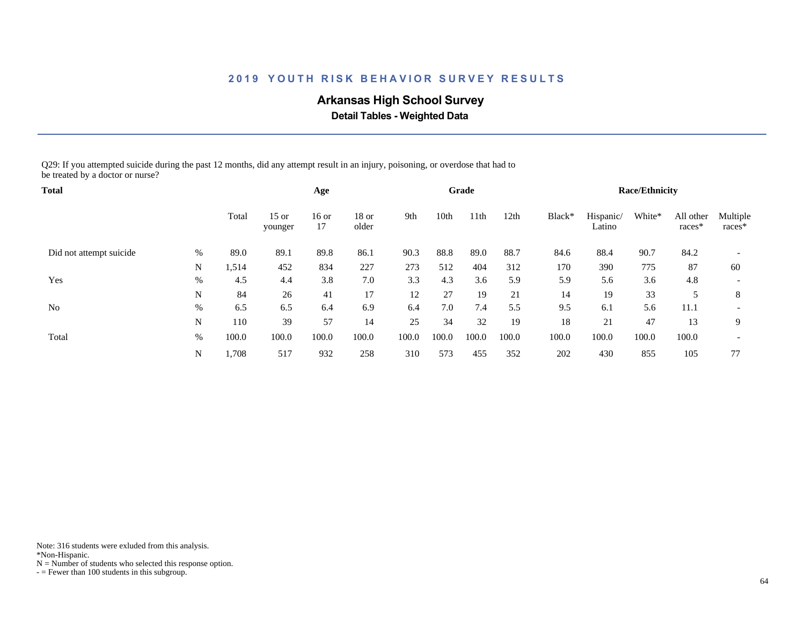# **Arkansas High School Survey**

 **Detail Tables - Weighted Data**

Q29: If you attempted suicide during the past 12 months, did any attempt result in an injury, poisoning, or overdose that had to be treated by a doctor or nurse?

| Total                   |      |       |                    | Age           |                  |       |       | Grade |       |        |                     | <b>Race/Ethnicity</b> |                       |                          |
|-------------------------|------|-------|--------------------|---------------|------------------|-------|-------|-------|-------|--------|---------------------|-----------------------|-----------------------|--------------------------|
|                         |      | Total | $15$ or<br>younger | $16$ or<br>17 | $18$ or<br>older | 9th   | 10th  | 11th  | 12th  | Black* | Hispanic/<br>Latino | White*                | All other<br>$races*$ | Multiple<br>races*       |
| Did not attempt suicide | $\%$ | 89.0  | 89.1               | 89.8          | 86.1             | 90.3  | 88.8  | 89.0  | 88.7  | 84.6   | 88.4                | 90.7                  | 84.2                  |                          |
|                         | N    | 1,514 | 452                | 834           | 227              | 273   | 512   | 404   | 312   | 170    | 390                 | 775                   | 87                    | 60                       |
| Yes                     | %    | 4.5   | 4.4                | 3.8           | 7.0              | 3.3   | 4.3   | 3.6   | 5.9   | 5.9    | 5.6                 | 3.6                   | 4.8                   |                          |
|                         | N    | 84    | 26                 | 41            | 17               | 12    | 27    | 19    | 21    | 14     | 19                  | 33                    |                       | 8                        |
| No                      | %    | 6.5   | 6.5                | 6.4           | 6.9              | 6.4   | 7.0   | 7.4   | 5.5   | 9.5    | 6.1                 | 5.6                   | 11.1                  |                          |
|                         | N    | 110   | 39                 | 57            | 14               | 25    | 34    | 32    | 19    | 18     | 21                  | 47                    | 13                    | 9                        |
| Total                   | %    | 100.0 | 100.0              | 100.0         | 100.0            | 100.0 | 100.0 | 100.0 | 100.0 | 100.0  | 100.0               | 100.0                 | 100.0                 | $\overline{\phantom{a}}$ |
|                         | N    | 1,708 | 517                | 932           | 258              | 310   | 573   | 455   | 352   | 202    | 430                 | 855                   | 105                   | 77                       |

Note: 316 students were exluded from this analysis.

\*Non-Hispanic.

 $N =$  Number of students who selected this response option.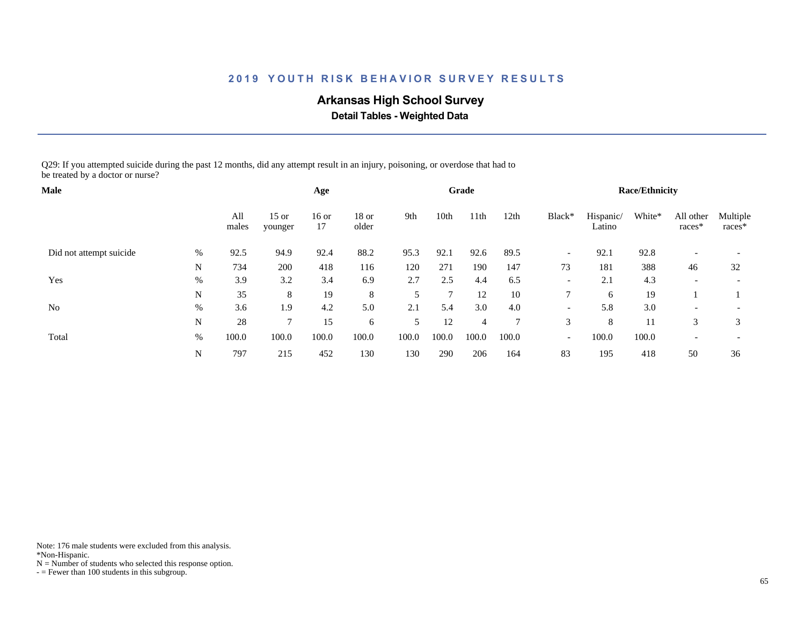# **Arkansas High School Survey**

 **Detail Tables - Weighted Data**

Q29: If you attempted suicide during the past 12 months, did any attempt result in an injury, poisoning, or overdose that had to be treated by a doctor or nurse?

| <b>Male</b>             |      |              |                    | Age           |                |       |       | Grade |        |                          |                     | <b>Race/Ethnicity</b> |                          |                          |
|-------------------------|------|--------------|--------------------|---------------|----------------|-------|-------|-------|--------|--------------------------|---------------------|-----------------------|--------------------------|--------------------------|
|                         |      | All<br>males | $15$ or<br>younger | $16$ or<br>17 | 18 or<br>older | 9th   | 10th  | 11th  | 12th   | Black*                   | Hispanic/<br>Latino | White*                | All other<br>races*      | Multiple<br>races*       |
| Did not attempt suicide | $\%$ | 92.5         | 94.9               | 92.4          | 88.2           | 95.3  | 92.1  | 92.6  | 89.5   | $\overline{\phantom{a}}$ | 92.1                | 92.8                  |                          |                          |
|                         | N    | 734          | 200                | 418           | 116            | 120   | 271   | 190   | 147    | 73                       | 181                 | 388                   | 46                       | 32                       |
| Yes                     | %    | 3.9          | 3.2                | 3.4           | 6.9            | 2.7   | 2.5   | 4.4   | 6.5    | $\overline{\phantom{a}}$ | 2.1                 | 4.3                   |                          |                          |
|                         | N    | 35           | 8                  | 19            | 8              | 5     | 7     | 12    | 10     | 7                        | 6                   | 19                    |                          |                          |
| N <sub>0</sub>          | %    | 3.6          | 1.9                | 4.2           | 5.0            | 2.1   | 5.4   | 3.0   | 4.0    | $\overline{\phantom{a}}$ | 5.8                 | 3.0                   | $\overline{\phantom{0}}$ |                          |
|                         | N    | 28           | $\mathcal{I}$      | 15            | 6              | 5     | 12    | 4     | $\tau$ | 3                        | 8                   | 11                    | 3                        | 3                        |
| Total                   | %    | 100.0        | 100.0              | 100.0         | 100.0          | 100.0 | 100.0 | 100.0 | 100.0  | $\overline{\phantom{a}}$ | 100.0               | 100.0                 | $\overline{\phantom{0}}$ | $\overline{\phantom{a}}$ |
|                         | N    | 797          | 215                | 452           | 130            | 130   | 290   | 206   | 164    | 83                       | 195                 | 418                   | 50                       | 36                       |

Note: 176 male students were excluded from this analysis.

\*Non-Hispanic.

 $N =$  Number of students who selected this response option.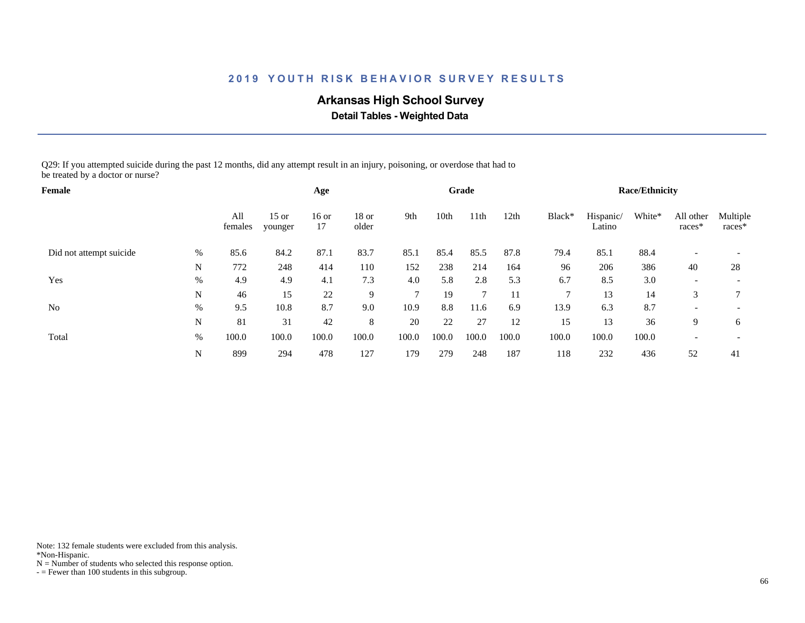# **Arkansas High School Survey**

 **Detail Tables - Weighted Data**

Q29: If you attempted suicide during the past 12 months, did any attempt result in an injury, poisoning, or overdose that had to be treated by a doctor or nurse?

| Female                  |      |                |                    | Age         |                  |               |       | Grade            |       |        |                     | <b>Race/Ethnicity</b> |                     |                          |
|-------------------------|------|----------------|--------------------|-------------|------------------|---------------|-------|------------------|-------|--------|---------------------|-----------------------|---------------------|--------------------------|
|                         |      | All<br>females | $15$ or<br>younger | 16 or<br>17 | $18$ or<br>older | 9th           | 10th  | 11 <sup>th</sup> | 12th  | Black* | Hispanic/<br>Latino | White*                | All other<br>races* | Multiple<br>$races*$     |
| Did not attempt suicide | %    | 85.6           | 84.2               | 87.1        | 83.7             | 85.1          | 85.4  | 85.5             | 87.8  | 79.4   | 85.1                | 88.4                  |                     |                          |
|                         | N    | 772            | 248                | 414         | 110              | 152           | 238   | 214              | 164   | 96     | 206                 | 386                   | 40                  | 28                       |
| Yes                     | $\%$ | 4.9            | 4.9                | 4.1         | 7.3              | 4.0           | 5.8   | 2.8              | 5.3   | 6.7    | 8.5                 | 3.0                   |                     |                          |
|                         | N    | 46             | 15                 | 22          | 9                | $\mathcal{I}$ | 19    | $7\phantom{.0}$  | 11    | ⇁      | 13                  | 14                    | 3                   |                          |
| N <sub>0</sub>          | %    | 9.5            | 10.8               | 8.7         | 9.0              | 10.9          | 8.8   | 11.6             | 6.9   | 13.9   | 6.3                 | 8.7                   |                     | $\overline{\phantom{a}}$ |
|                         | N    | 81             | 31                 | 42          | 8                | 20            | 22    | 27               | 12    | 15     | 13                  | 36                    | 9                   | 6                        |
| Total                   | %    | 100.0          | 100.0              | 100.0       | 100.0            | 100.0         | 100.0 | 100.0            | 100.0 | 100.0  | 100.0               | 100.0                 |                     | $\overline{\phantom{a}}$ |
|                         | N    | 899            | 294                | 478         | 127              | 179           | 279   | 248              | 187   | 118    | 232                 | 436                   | 52                  | 41                       |

Note: 132 female students were excluded from this analysis.

\*Non-Hispanic.

 $N =$  Number of students who selected this response option.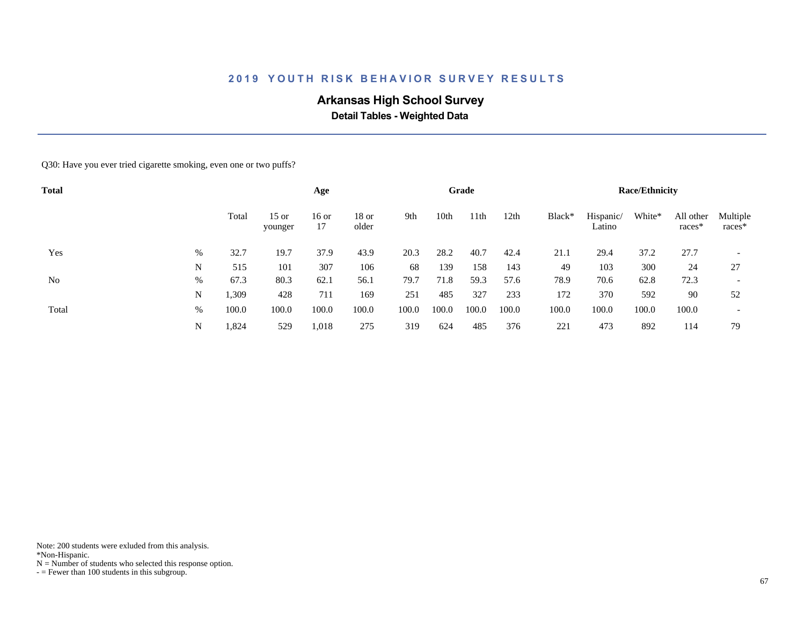# **Arkansas High School Survey**

 **Detail Tables - Weighted Data**

Q30: Have you ever tried cigarette smoking, even one or two puffs?

| <b>Total</b> |   |       |                    | Age           |                  |       |       | Grade |       |        |                     | <b>Race/Ethnicity</b> |                     |                          |
|--------------|---|-------|--------------------|---------------|------------------|-------|-------|-------|-------|--------|---------------------|-----------------------|---------------------|--------------------------|
|              |   | Total | $15$ or<br>younger | $16$ or<br>17 | $18$ or<br>older | 9th   | 10th  | 11th  | 12th  | Black* | Hispanic/<br>Latino | White*                | All other<br>races* | Multiple<br>$races*$     |
| Yes          | % | 32.7  | 19.7               | 37.9          | 43.9             | 20.3  | 28.2  | 40.7  | 42.4  | 21.1   | 29.4                | 37.2                  | 27.7                | $\overline{\phantom{a}}$ |
|              | N | 515   | 101                | 307           | 106              | 68    | 139   | 158   | 143   | 49     | 103                 | 300                   | 24                  | 27                       |
| No           | % | 67.3  | 80.3               | 62.1          | 56.1             | 79.7  | 71.8  | 59.3  | 57.6  | 78.9   | 70.6                | 62.8                  | 72.3                | $\overline{\phantom{a}}$ |
|              | N | 1,309 | 428                | 711           | 169              | 251   | 485   | 327   | 233   | 172    | 370                 | 592                   | 90                  | 52                       |
| Total        | % | 100.0 | 100.0              | 100.0         | 100.0            | 100.0 | 100.0 | 100.0 | 100.0 | 100.0  | 100.0               | 100.0                 | 100.0               | $\overline{\phantom{a}}$ |
|              | N | 1,824 | 529                | 1,018         | 275              | 319   | 624   | 485   | 376   | 221    | 473                 | 892                   | 114                 | 79                       |

Note: 200 students were exluded from this analysis.

\*Non-Hispanic.

 $N =$  Number of students who selected this response option.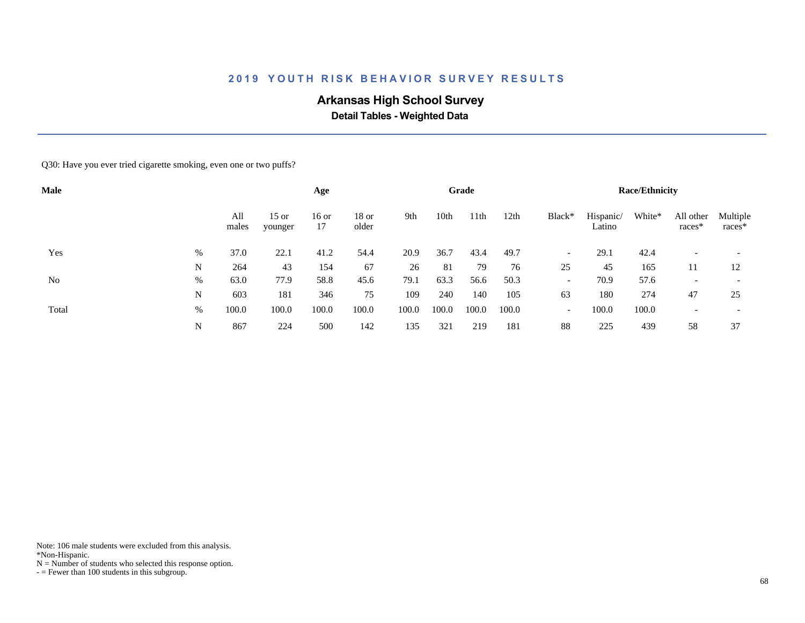# **Arkansas High School Survey**

 **Detail Tables - Weighted Data**

Q30: Have you ever tried cigarette smoking, even one or two puffs?

| <b>Male</b> |   |              |                    | Age           |                |       |       | Grade |       |                          |                     | <b>Race/Ethnicity</b> |                     |                          |
|-------------|---|--------------|--------------------|---------------|----------------|-------|-------|-------|-------|--------------------------|---------------------|-----------------------|---------------------|--------------------------|
|             |   | All<br>males | $15$ or<br>younger | $16$ or<br>17 | 18 or<br>older | 9th   | 10th  | 11th  | 12th  | Black*                   | Hispanic/<br>Latino | White*                | All other<br>races* | Multiple<br>races*       |
| Yes         | % | 37.0         | 22.1               | 41.2          | 54.4           | 20.9  | 36.7  | 43.4  | 49.7  | $\overline{\phantom{0}}$ | 29.1                | 42.4                  |                     | $\overline{\phantom{0}}$ |
|             | N | 264          | 43                 | 154           | 67             | 26    | 81    | 79    | 76    | 25                       | 45                  | 165                   | 11                  | 12                       |
| No          | % | 63.0         | 77.9               | 58.8          | 45.6           | 79.1  | 63.3  | 56.6  | 50.3  | $\overline{\phantom{a}}$ | 70.9                | 57.6                  |                     | $\overline{\phantom{a}}$ |
|             | N | 603          | 181                | 346           | 75             | 109   | 240   | 140   | 105   | 63                       | 180                 | 274                   | 47                  | 25                       |
| Total       | % | 100.0        | 100.0              | 100.0         | 100.0          | 100.0 | 100.0 | 100.0 | 100.0 | $\overline{\phantom{a}}$ | 100.0               | 100.0                 |                     | $\overline{\phantom{a}}$ |
|             | N | 867          | 224                | 500           | 142            | 135   | 321   | 219   | 181   | 88                       | 225                 | 439                   | 58                  | 37                       |

Note: 106 male students were excluded from this analysis.

\*Non-Hispanic.

 $N =$  Number of students who selected this response option.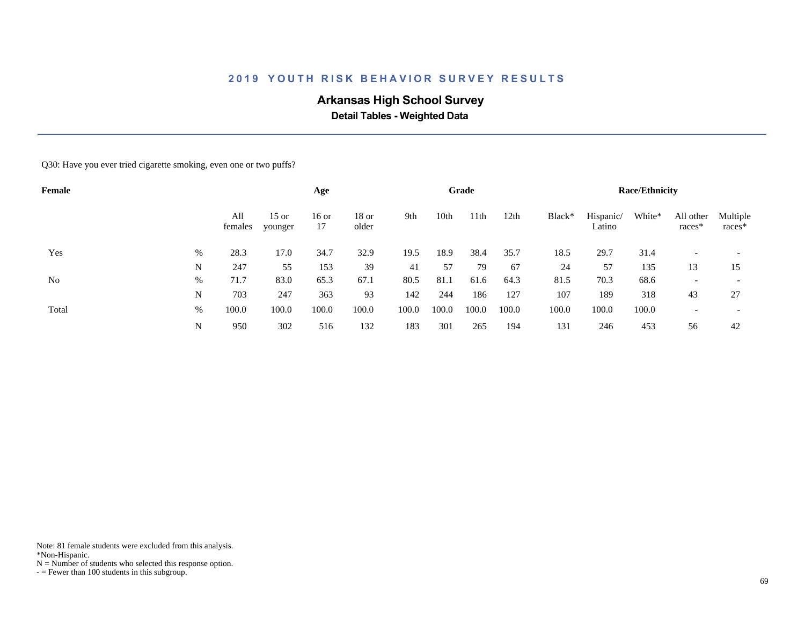# **Arkansas High School Survey**

 **Detail Tables - Weighted Data**

Q30: Have you ever tried cigarette smoking, even one or two puffs?

| Female |   |                |                    | Age         |                  |       |       | Grade |       |        |                     | <b>Race/Ethnicity</b> |                     |                          |
|--------|---|----------------|--------------------|-------------|------------------|-------|-------|-------|-------|--------|---------------------|-----------------------|---------------------|--------------------------|
|        |   | All<br>females | $15$ or<br>younger | 16 or<br>17 | $18$ or<br>older | 9th   | 10th  | 11th  | 12th  | Black* | Hispanic/<br>Latino | White*                | All other<br>races* | Multiple<br>races*       |
| Yes    | % | 28.3           | 17.0               | 34.7        | 32.9             | 19.5  | 18.9  | 38.4  | 35.7  | 18.5   | 29.7                | 31.4                  |                     |                          |
|        | N | 247            | 55                 | 153         | 39               | 41    | 57    | 79    | 67    | 24     | 57                  | 135                   | 13                  | 15                       |
| No     | % | 71.7           | 83.0               | 65.3        | 67.1             | 80.5  | 81.1  | 61.6  | 64.3  | 81.5   | 70.3                | 68.6                  |                     | $\overline{\phantom{a}}$ |
|        | N | 703            | 247                | 363         | 93               | 142   | 244   | 186   | 127   | 107    | 189                 | 318                   | 43                  | 27                       |
| Total  | % | 100.0          | 100.0              | 100.0       | 100.0            | 100.0 | 100.0 | 100.0 | 100.0 | 100.0  | 100.0               | 100.0                 |                     | $\overline{\phantom{a}}$ |
|        | N | 950            | 302                | 516         | 132              | 183   | 301   | 265   | 194   | 131    | 246                 | 453                   | 56                  | 42                       |

Note: 81 female students were excluded from this analysis.

\*Non-Hispanic.

 $N =$  Number of students who selected this response option.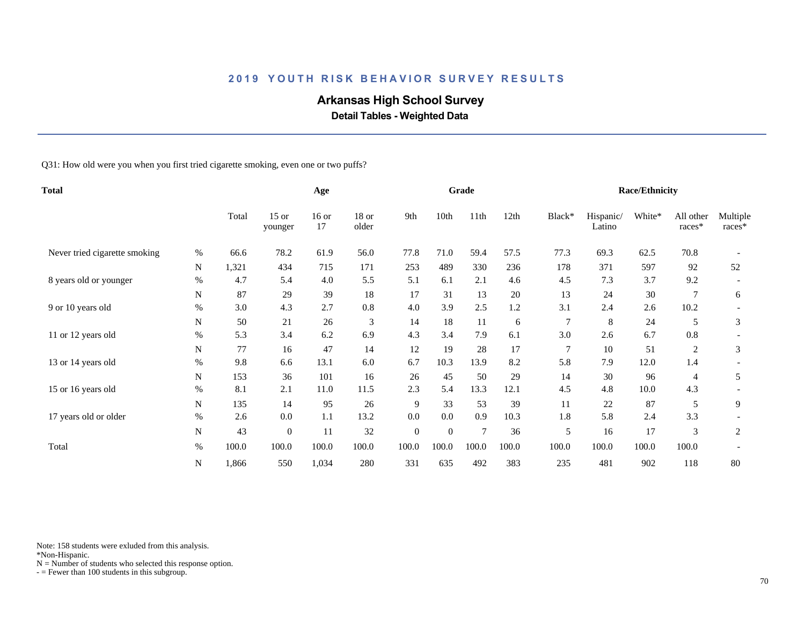# **Arkansas High School Survey**

 **Detail Tables - Weighted Data**

Q31: How old were you when you first tried cigarette smoking, even one or two puffs?

| <b>Total</b>                  |           |       | Age                |               |                  |              | Grade          |       |       |        | <b>Race/Ethnicity</b> |        |                     |                    |
|-------------------------------|-----------|-------|--------------------|---------------|------------------|--------------|----------------|-------|-------|--------|-----------------------|--------|---------------------|--------------------|
|                               |           | Total | $15$ or<br>younger | $16$ or<br>17 | $18$ or<br>older | 9th          | 10th           | 11th  | 12th  | Black* | Hispanic/<br>Latino   | White* | All other<br>races* | Multiple<br>races* |
| Never tried cigarette smoking | $\%$      | 66.6  | 78.2               | 61.9          | 56.0             | 77.8         | 71.0           | 59.4  | 57.5  | 77.3   | 69.3                  | 62.5   | 70.8                |                    |
|                               | N         | 1,321 | 434                | 715           | 171              | 253          | 489            | 330   | 236   | 178    | 371                   | 597    | 92                  | 52                 |
| 8 years old or younger        | $\%$      | 4.7   | 5.4                | 4.0           | 5.5              | 5.1          | 6.1            | 2.1   | 4.6   | 4.5    | 7.3                   | 3.7    | 9.2                 |                    |
|                               | N         | 87    | 29                 | 39            | 18               | 17           | 31             | 13    | 20    | 13     | 24                    | 30     | $\overline{7}$      | 6                  |
| 9 or 10 years old             | $\%$      | 3.0   | 4.3                | 2.7           | 0.8              | 4.0          | 3.9            | 2.5   | 1.2   | 3.1    | 2.4                   | 2.6    | 10.2                |                    |
|                               | N         | 50    | 21                 | 26            | 3                | 14           | 18             | 11    | 6     |        | 8                     | 24     | 5                   | 3                  |
| 11 or 12 years old            | $\%$      | 5.3   | 3.4                | 6.2           | 6.9              | 4.3          | 3.4            | 7.9   | 6.1   | 3.0    | 2.6                   | 6.7    | 0.8                 |                    |
|                               | N         | 77    | 16                 | 47            | 14               | 12           | 19             | 28    | 17    |        | 10                    | 51     | 2                   | 3                  |
| 13 or 14 years old            | %         | 9.8   | 6.6                | 13.1          | 6.0              | 6.7          | 10.3           | 13.9  | 8.2   | 5.8    | 7.9                   | 12.0   | 1.4                 |                    |
|                               | N         | 153   | 36                 | 101           | 16               | 26           | 45             | 50    | 29    | 14     | 30                    | 96     | 4                   | 5                  |
| 15 or 16 years old            | $\%$      | 8.1   | 2.1                | 11.0          | 11.5             | 2.3          | 5.4            | 13.3  | 12.1  | 4.5    | 4.8                   | 10.0   | 4.3                 |                    |
|                               | N         | 135   | 14                 | 95            | 26               | 9            | 33             | 53    | 39    | 11     | 22                    | 87     | 5                   | 9                  |
| 17 years old or older         | $\%$      | 2.6   | 0.0                | 1.1           | 13.2             | 0.0          | 0.0            | 0.9   | 10.3  | 1.8    | 5.8                   | 2.4    | 3.3                 |                    |
|                               | N         | 43    | $\overline{0}$     | 11            | 32               | $\mathbf{0}$ | $\overline{0}$ | 7     | 36    | 5      | 16                    | 17     | 3                   | 2                  |
| Total                         | $\%$      | 100.0 | 100.0              | 100.0         | 100.0            | 100.0        | 100.0          | 100.0 | 100.0 | 100.0  | 100.0                 | 100.0  | 100.0               |                    |
|                               | ${\bf N}$ | 1,866 | 550                | 1,034         | 280              | 331          | 635            | 492   | 383   | 235    | 481                   | 902    | 118                 | 80                 |

Note: 158 students were exluded from this analysis.

\*Non-Hispanic.

 $N =$  Number of students who selected this response option.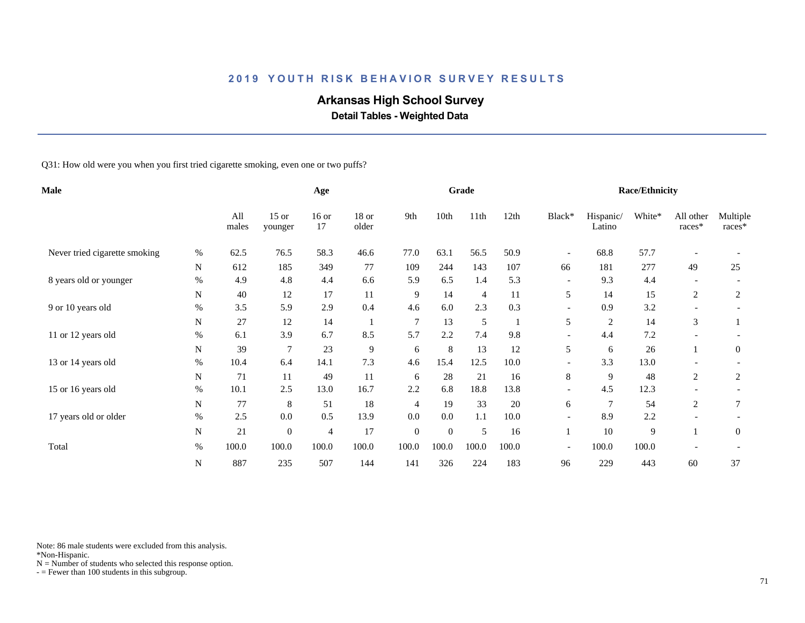# **Arkansas High School Survey**

 **Detail Tables - Weighted Data**

Q31: How old were you when you first tried cigarette smoking, even one or two puffs?

| <b>Male</b>                   |           |              |                    | Age           |                  |                  |                | Grade          |       |                          |                     | <b>Race/Ethnicity</b> |                     |                    |
|-------------------------------|-----------|--------------|--------------------|---------------|------------------|------------------|----------------|----------------|-------|--------------------------|---------------------|-----------------------|---------------------|--------------------|
|                               |           | All<br>males | $15$ or<br>younger | $16$ or<br>17 | $18$ or<br>older | 9th              | 10th           | 11th           | 12th  | Black*                   | Hispanic/<br>Latino | White*                | All other<br>races* | Multiple<br>races* |
| Never tried cigarette smoking | $\%$      | 62.5         | 76.5               | 58.3          | 46.6             | 77.0             | 63.1           | 56.5           | 50.9  | $\overline{\phantom{a}}$ | 68.8                | 57.7                  |                     |                    |
|                               | N         | 612          | 185                | 349           | 77               | 109              | 244            | 143            | 107   | 66                       | 181                 | 277                   | 49                  | 25                 |
| 8 years old or younger        | $\%$      | 4.9          | 4.8                | 4.4           | 6.6              | 5.9              | 6.5            | 1.4            | 5.3   | $\overline{\phantom{a}}$ | 9.3                 | 4.4                   |                     |                    |
|                               | N         | 40           | 12                 | 17            | 11               | 9                | 14             | $\overline{4}$ | 11    | 5                        | 14                  | 15                    | 2                   | 2                  |
| 9 or 10 years old             | %         | 3.5          | 5.9                | 2.9           | 0.4              | 4.6              | 6.0            | 2.3            | 0.3   | $\overline{\phantom{a}}$ | 0.9                 | 3.2                   |                     |                    |
|                               | N         | 27           | 12                 | 14            |                  | $\overline{7}$   | 13             | 5              |       | 5                        | 2                   | 14                    | 3                   |                    |
| 11 or 12 years old            | $\%$      | 6.1          | 3.9                | 6.7           | 8.5              | 5.7              | 2.2            | 7.4            | 9.8   |                          | 4.4                 | 7.2                   |                     |                    |
|                               | N         | 39           | 7                  | 23            | $\overline{9}$   | 6                | 8              | 13             | 12    | 5                        | 6                   | 26                    |                     | $\mathbf{0}$       |
| 13 or 14 years old            | %         | 10.4         | 6.4                | 14.1          | 7.3              | 4.6              | 15.4           | 12.5           | 10.0  |                          | 3.3                 | 13.0                  |                     |                    |
|                               | N         | 71           | 11                 | 49            | 11               | 6                | 28             | 21             | 16    | 8                        | 9                   | 48                    | 2                   | 2                  |
| 15 or 16 years old            | $\%$      | 10.1         | 2.5                | 13.0          | 16.7             | 2.2              | 6.8            | 18.8           | 13.8  | $\overline{\phantom{a}}$ | 4.5                 | 12.3                  |                     |                    |
|                               | N         | 77           | 8                  | 51            | 18               | $\overline{4}$   | 19             | 33             | 20    | 6                        | $\overline{7}$      | 54                    | 2                   | 7                  |
| 17 years old or older         | $\%$      | 2.5          | 0.0                | 0.5           | 13.9             | 0.0              | 0.0            | 1.1            | 10.0  | $\overline{\phantom{0}}$ | 8.9                 | 2.2                   |                     |                    |
|                               | ${\bf N}$ | 21           | $\overline{0}$     | 4             | 17               | $\boldsymbol{0}$ | $\overline{0}$ | 5              | 16    |                          | 10                  | 9                     |                     | $\overline{0}$     |
| Total                         | $\%$      | 100.0        | 100.0              | 100.0         | 100.0            | 100.0            | 100.0          | 100.0          | 100.0 | $\overline{\phantom{a}}$ | 100.0               | 100.0                 |                     |                    |
|                               | N         | 887          | 235                | 507           | 144              | 141              | 326            | 224            | 183   | 96                       | 229                 | 443                   | 60                  | 37                 |

Note: 86 male students were excluded from this analysis.

\*Non-Hispanic.

 $N =$  Number of students who selected this response option.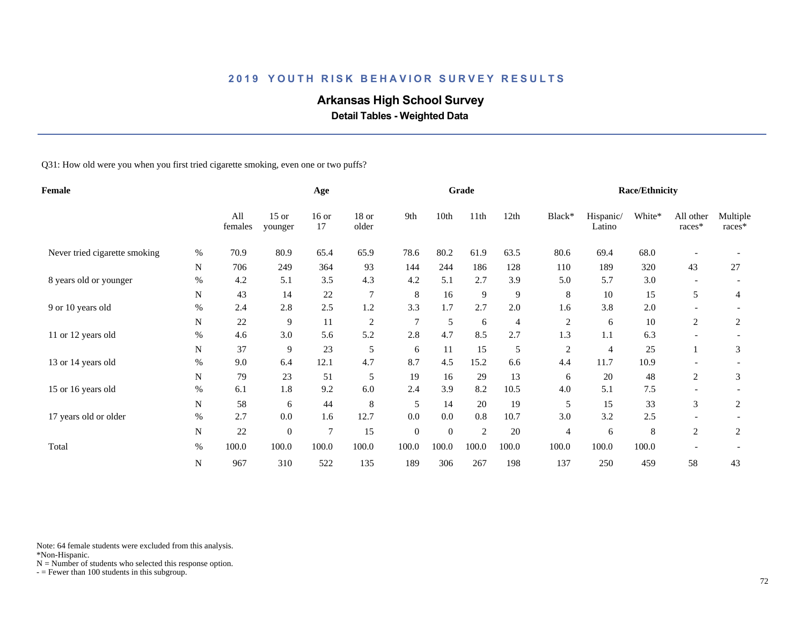# **Arkansas High School Survey**

 **Detail Tables - Weighted Data**

Q31: How old were you when you first tried cigarette smoking, even one or two puffs?

| Female                        |           |                |                    | Age           |                  |              |                | Grade          |       |                |                     | <b>Race/Ethnicity</b> |                     |                    |
|-------------------------------|-----------|----------------|--------------------|---------------|------------------|--------------|----------------|----------------|-------|----------------|---------------------|-----------------------|---------------------|--------------------|
|                               |           | All<br>females | $15$ or<br>younger | $16$ or<br>17 | $18$ or<br>older | 9th          | 10th           | 11th           | 12th  | Black*         | Hispanic/<br>Latino | White*                | All other<br>races* | Multiple<br>races* |
| Never tried cigarette smoking | %         | 70.9           | 80.9               | 65.4          | 65.9             | 78.6         | 80.2           | 61.9           | 63.5  | 80.6           | 69.4                | 68.0                  |                     |                    |
|                               | N         | 706            | 249                | 364           | 93               | 144          | 244            | 186            | 128   | 110            | 189                 | 320                   | 43                  | 27                 |
| 8 years old or younger        | $\%$      | 4.2            | 5.1                | 3.5           | 4.3              | 4.2          | 5.1            | 2.7            | 3.9   | 5.0            | 5.7                 | 3.0                   |                     |                    |
|                               | N         | 43             | 14                 | 22            | $\overline{7}$   | $\,8\,$      | 16             | 9              | 9     | 8              | 10                  | 15                    | 5                   | 4                  |
| 9 or 10 years old             | $\%$      | 2.4            | 2.8                | 2.5           | 1.2              | 3.3          | 1.7            | 2.7            | 2.0   | 1.6            | 3.8                 | 2.0                   |                     |                    |
|                               | N         | 22             | 9                  | 11            | $\overline{c}$   | 7            | 5              | 6              | 4     | $\overline{2}$ | 6                   | 10                    | 2                   | 2                  |
| 11 or 12 years old            | $\%$      | 4.6            | 3.0                | 5.6           | 5.2              | 2.8          | 4.7            | 8.5            | 2.7   | 1.3            | 1.1                 | 6.3                   |                     |                    |
|                               | N         | 37             | 9                  | 23            | 5                | 6            | 11             | 15             | 5     | $\overline{c}$ | 4                   | 25                    |                     | 3                  |
| 13 or 14 years old            | $\%$      | 9.0            | 6.4                | 12.1          | 4.7              | 8.7          | 4.5            | 15.2           | 6.6   | 4.4            | 11.7                | 10.9                  |                     |                    |
|                               | N         | 79             | 23                 | 51            | 5                | 19           | 16             | 29             | 13    | 6              | 20                  | 48                    | 2                   | 3                  |
| 15 or 16 years old            | $\%$      | 6.1            | 1.8                | 9.2           | 6.0              | 2.4          | 3.9            | 8.2            | 10.5  | 4.0            | 5.1                 | 7.5                   |                     |                    |
|                               | N         | 58             | 6                  | 44            | 8                | 5            | 14             | 20             | 19    | 5              | 15                  | 33                    | 3                   | 2                  |
| 17 years old or older         | $\%$      | 2.7            | 0.0                | 1.6           | 12.7             | 0.0          | 0.0            | 0.8            | 10.7  | 3.0            | 3.2                 | 2.5                   |                     |                    |
|                               | N         | 22             | $\overline{0}$     | 7             | 15               | $\mathbf{0}$ | $\overline{0}$ | $\overline{c}$ | 20    | $\overline{4}$ | 6                   | 8                     | 2                   | $\overline{2}$     |
| Total                         | $\%$      | 100.0          | 100.0              | 100.0         | 100.0            | 100.0        | 100.0          | 100.0          | 100.0 | 100.0          | 100.0               | 100.0                 |                     |                    |
|                               | ${\bf N}$ | 967            | 310                | 522           | 135              | 189          | 306            | 267            | 198   | 137            | 250                 | 459                   | 58                  | 43                 |

Note: 64 female students were excluded from this analysis.

\*Non-Hispanic.

 $N =$  Number of students who selected this response option.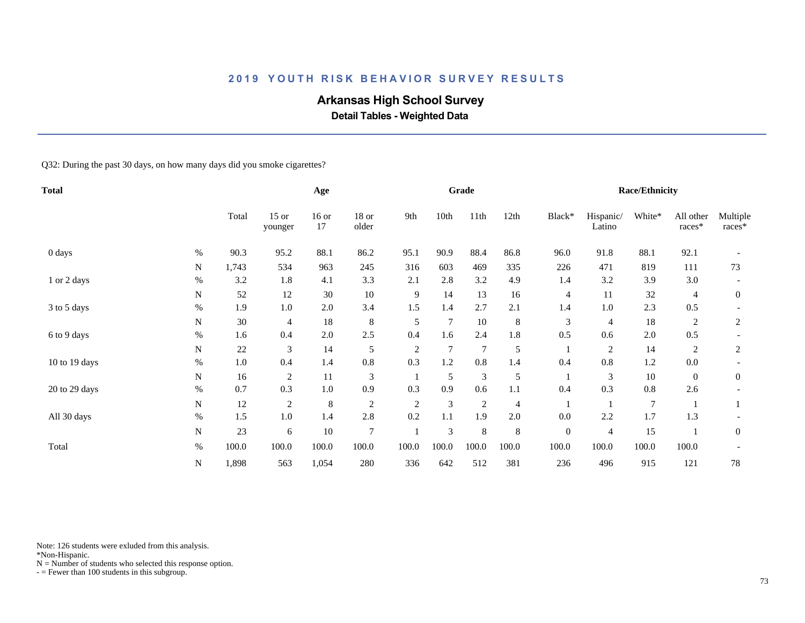## **Arkansas High School Survey**

 **Detail Tables - Weighted Data**

Q32: During the past 30 days, on how many days did you smoke cigarettes?

| <b>Total</b>  |           |       |                    | Age           |                |                |       | Grade          |                |                  |                     | <b>Race/Ethnicity</b> |                     |                      |
|---------------|-----------|-------|--------------------|---------------|----------------|----------------|-------|----------------|----------------|------------------|---------------------|-----------------------|---------------------|----------------------|
|               |           | Total | $15$ or<br>younger | $16$ or<br>17 | 18 or<br>older | 9th            | 10th  | 11th           | 12th           | Black*           | Hispanic/<br>Latino | White*                | All other<br>races* | Multiple<br>$races*$ |
| 0 days        | $\%$      | 90.3  | 95.2               | 88.1          | 86.2           | 95.1           | 90.9  | 88.4           | 86.8           | 96.0             | 91.8                | 88.1                  | 92.1                |                      |
|               | N         | 1,743 | 534                | 963           | 245            | 316            | 603   | 469            | 335            | 226              | 471                 | 819                   | 111                 | 73                   |
| 1 or 2 days   | $\%$      | 3.2   | 1.8                | 4.1           | 3.3            | 2.1            | 2.8   | 3.2            | 4.9            | 1.4              | 3.2                 | 3.9                   | 3.0                 |                      |
|               | N         | 52    | 12                 | 30            | $10\,$         | 9              | 14    | 13             | 16             | $\overline{4}$   | 11                  | 32                    | 4                   | $\overline{0}$       |
| 3 to 5 days   | $\%$      | 1.9   | 1.0                | 2.0           | 3.4            | 1.5            | 1.4   | 2.7            | 2.1            | 1.4              | 1.0                 | 2.3                   | 0.5                 |                      |
|               | N         | 30    | 4                  | 18            | 8              | 5              | 7     | 10             | 8              | 3                | 4                   | 18                    | 2                   | 2                    |
| 6 to 9 days   | $\%$      | 1.6   | 0.4                | 2.0           | 2.5            | 0.4            | 1.6   | 2.4            | 1.8            | 0.5              | 0.6                 | $2.0\,$               | 0.5                 |                      |
|               | N         | 22    | 3                  | 14            | 5              | $\overline{2}$ | 7     | $\overline{7}$ | 5              |                  | 2                   | 14                    | 2                   | 2                    |
| 10 to 19 days | %         | 1.0   | 0.4                | 1.4           | 0.8            | 0.3            | 1.2   | 0.8            | 1.4            | 0.4              | 0.8                 | 1.2                   | $0.0\,$             |                      |
|               | N         | 16    | $\sqrt{2}$         | 11            | 3              |                | 5     | $\mathfrak{Z}$ | 5              |                  | $\mathfrak{Z}$      | 10                    | $\overline{0}$      | $\mathbf{0}$         |
| 20 to 29 days | $\%$      | 0.7   | 0.3                | $1.0\,$       | 0.9            | 0.3            | 0.9   | 0.6            | 1.1            | 0.4              | 0.3                 | 0.8                   | 2.6                 |                      |
|               | ${\bf N}$ | 12    | $\overline{c}$     | $\,8\,$       | $\sqrt{2}$     | $\mathfrak{2}$ | 3     | $\overline{2}$ | $\overline{4}$ |                  |                     | $\overline{7}$        |                     |                      |
| All 30 days   | $\%$      | 1.5   | 1.0                | 1.4           | 2.8            | 0.2            | 1.1   | 1.9            | $2.0\,$        | 0.0              | 2.2                 | 1.7                   | 1.3                 |                      |
|               | ${\bf N}$ | 23    | 6                  | 10            | $\overline{7}$ |                | 3     | $\,$ 8 $\,$    | 8              | $\boldsymbol{0}$ | 4                   | 15                    |                     | $\overline{0}$       |
| Total         | $\%$      | 100.0 | 100.0              | 100.0         | 100.0          | 100.0          | 100.0 | 100.0          | 100.0          | 100.0            | 100.0               | 100.0                 | 100.0               |                      |
|               | N         | 1,898 | 563                | 1,054         | 280            | 336            | 642   | 512            | 381            | 236              | 496                 | 915                   | 121                 | 78                   |

Note: 126 students were exluded from this analysis.

\*Non-Hispanic.

 $N =$  Number of students who selected this response option.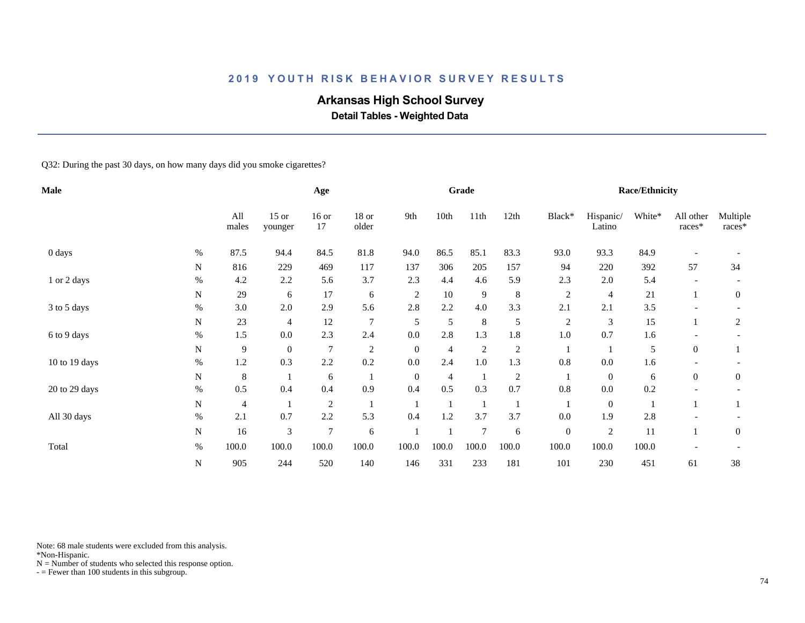## **Arkansas High School Survey**

 **Detail Tables - Weighted Data**

Q32: During the past 30 days, on how many days did you smoke cigarettes?

| Male          |           |              |                    | Age              |                |                |       | Grade          |                         |                  |                     | <b>Race/Ethnicity</b> |                     |                      |
|---------------|-----------|--------------|--------------------|------------------|----------------|----------------|-------|----------------|-------------------------|------------------|---------------------|-----------------------|---------------------|----------------------|
|               |           | All<br>males | $15$ or<br>younger | $16$ or<br>17    | 18 or<br>older | 9th            | 10th  | 11th           | 12th                    | Black*           | Hispanic/<br>Latino | White*                | All other<br>races* | Multiple<br>$races*$ |
| 0 days        | $\%$      | 87.5         | 94.4               | 84.5             | 81.8           | 94.0           | 86.5  | 85.1           | 83.3                    | 93.0             | 93.3                | 84.9                  |                     |                      |
|               | ${\bf N}$ | 816          | 229                | 469              | 117            | 137            | 306   | 205            | 157                     | 94               | 220                 | 392                   | 57                  | 34                   |
| 1 or 2 days   | $\%$      | 4.2          | 2.2                | 5.6              | 3.7            | 2.3            | 4.4   | 4.6            | 5.9                     | 2.3              | 2.0                 | 5.4                   |                     |                      |
|               | N         | 29           | 6                  | 17               | 6              | $\mathfrak{2}$ | 10    | $\overline{9}$ | 8                       | $\overline{c}$   | 4                   | 21                    |                     | $\overline{0}$       |
| 3 to 5 days   | $\%$      | 3.0          | 2.0                | 2.9              | 5.6            | 2.8            | 2.2   | 4.0            | 3.3                     | 2.1              | 2.1                 | 3.5                   |                     |                      |
|               | N         | 23           | 4                  | 12               | $\overline{7}$ | 5              | 5     | $\,$ 8 $\,$    | 5                       | $\overline{c}$   | 3                   | 15                    |                     | 2                    |
| 6 to 9 days   | $\%$      | 1.5          | 0.0                | 2.3              | 2.4            | 0.0            | 2.8   | 1.3            | 1.8                     | 1.0              | 0.7                 | 1.6                   |                     |                      |
|               | N         | 9            | $\boldsymbol{0}$   | $\overline{7}$   | $\overline{c}$ | $\mathbf{0}$   | 4     | $\overline{2}$ | $\overline{c}$          |                  |                     | 5                     | $\overline{0}$      |                      |
| 10 to 19 days | %         | 1.2          | 0.3                | 2.2              | 0.2            | 0.0            | 2.4   | 1.0            | 1.3                     | 0.8              | 0.0                 | 1.6                   |                     |                      |
|               | N         | 8            |                    | $\sqrt{6}$       |                | $\mathbf{0}$   | 4     | $\mathbf{1}$   | $\overline{\mathbf{c}}$ |                  | $\mathbf{0}$        | 6                     | $\overline{0}$      | $\mathbf{0}$         |
| 20 to 29 days | $\%$      | 0.5          | 0.4                | 0.4              | 0.9            | 0.4            | 0.5   | 0.3            | 0.7                     | $0.8\,$          | $0.0\,$             | 0.2                   |                     |                      |
|               | ${\bf N}$ | 4            |                    | $\boldsymbol{2}$ |                |                |       | $\mathbf{1}$   |                         |                  | $\boldsymbol{0}$    |                       |                     |                      |
| All 30 days   | $\%$      | 2.1          | 0.7                | 2.2              | 5.3            | 0.4            | 1.2   | 3.7            | 3.7                     | 0.0              | 1.9                 | 2.8                   |                     |                      |
|               | ${\bf N}$ | 16           | 3                  | $\overline{7}$   | 6              |                |       | 7              | 6                       | $\boldsymbol{0}$ | 2                   | 11                    |                     | $\boldsymbol{0}$     |
| Total         | $\%$      | 100.0        | 100.0              | 100.0            | 100.0          | 100.0          | 100.0 | 100.0          | 100.0                   | 100.0            | 100.0               | 100.0                 |                     |                      |
|               | ${\bf N}$ | 905          | 244                | 520              | 140            | 146            | 331   | 233            | 181                     | 101              | 230                 | 451                   | 61                  | 38                   |

Note: 68 male students were excluded from this analysis.

\*Non-Hispanic.

 $N =$  Number of students who selected this response option.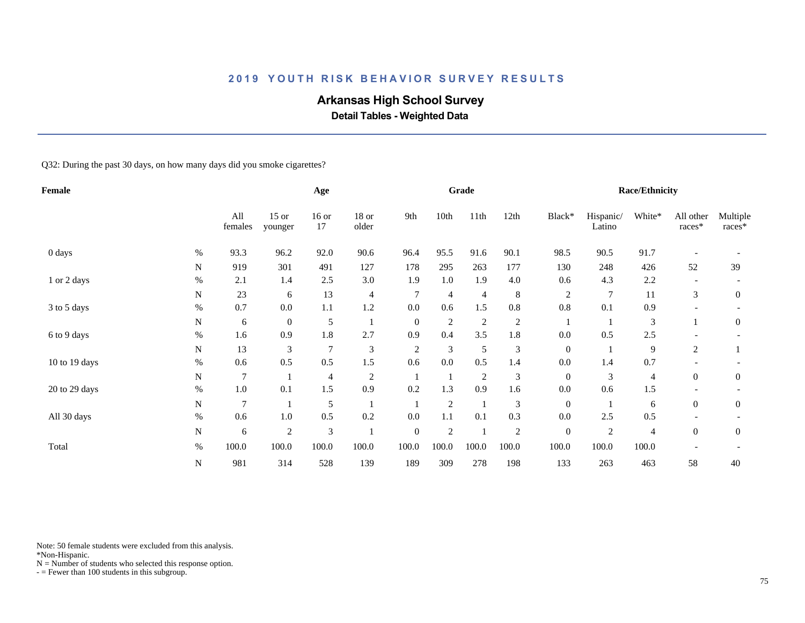## **Arkansas High School Survey**

 **Detail Tables - Weighted Data**

Q32: During the past 30 days, on how many days did you smoke cigarettes?

| <b>Female</b> |           |                |                    | Age            |                |                  |                | Grade          |         |                  |                     | <b>Race/Ethnicity</b> |                          |                    |
|---------------|-----------|----------------|--------------------|----------------|----------------|------------------|----------------|----------------|---------|------------------|---------------------|-----------------------|--------------------------|--------------------|
|               |           | All<br>females | $15$ or<br>younger | $16$ or<br>17  | 18 or<br>older | 9th              | 10th           | 11th           | 12th    | Black*           | Hispanic/<br>Latino | White*                | All other<br>$races*$    | Multiple<br>races* |
| 0 days        | $\%$      | 93.3           | 96.2               | 92.0           | 90.6           | 96.4             | 95.5           | 91.6           | 90.1    | 98.5             | 90.5                | 91.7                  |                          |                    |
|               | N         | 919            | 301                | 491            | 127            | 178              | 295            | 263            | 177     | 130              | 248                 | 426                   | 52                       | 39                 |
| 1 or 2 days   | $\%$      | 2.1            | 1.4                | 2.5            | 3.0            | 1.9              | 1.0            | 1.9            | 4.0     | 0.6              | 4.3                 | 2.2                   |                          |                    |
|               | N         | 23             | 6                  | 13             | $\overline{4}$ | $\overline{7}$   | 4              | $\overline{4}$ | $\,8\,$ | $\overline{2}$   | $\overline{7}$      | 11                    | 3                        | $\boldsymbol{0}$   |
| 3 to 5 days   | $\%$      | 0.7            | 0.0                | $1.1\,$        | 1.2            | 0.0              | 0.6            | 1.5            | 0.8     | 0.8              | 0.1                 | 0.9                   | $\overline{\phantom{0}}$ |                    |
|               | N         | 6              | $\boldsymbol{0}$   | 5              |                | $\mathbf{0}$     | $\overline{c}$ | $\overline{c}$ | 2       |                  |                     | 3                     |                          | 0                  |
| 6 to 9 days   | $\%$      | 1.6            | 0.9                | 1.8            | 2.7            | 0.9              | 0.4            | 3.5            | 1.8     | 0.0              | 0.5                 | 2.5                   |                          |                    |
|               | N         | 13             | 3                  | $\overline{7}$ | $\mathfrak{Z}$ | $\overline{c}$   | 3              | 5              | 3       | $\boldsymbol{0}$ |                     | 9                     | 2                        |                    |
| 10 to 19 days | $\%$      | 0.6            | 0.5                | 0.5            | 1.5            | 0.6              | 0.0            | 0.5            | 1.4     | 0.0              | 1.4                 | 0.7                   |                          |                    |
|               | N         | $\tau$         |                    | 4              | $\overline{2}$ |                  |                | $\overline{2}$ | 3       | $\boldsymbol{0}$ | 3                   | 4                     | $\boldsymbol{0}$         | $\boldsymbol{0}$   |
| 20 to 29 days | $\%$      | $1.0\,$        | 0.1                | 1.5            | 0.9            | 0.2              | 1.3            | 0.9            | 1.6     | $0.0\,$          | 0.6                 | 1.5                   |                          |                    |
|               | N         | 7              |                    | 5              |                |                  | $\sqrt{2}$     | -1             | 3       | $\mathbf{0}$     |                     | 6                     | $\overline{0}$           | $\boldsymbol{0}$   |
| All 30 days   | $\%$      | 0.6            | 1.0                | 0.5            | 0.2            | 0.0              | 1.1            | 0.1            | 0.3     | 0.0              | 2.5                 | 0.5                   |                          |                    |
|               | ${\bf N}$ | 6              | 2                  | $\mathfrak{Z}$ |                | $\boldsymbol{0}$ | $\overline{2}$ |                | 2       | $\boldsymbol{0}$ | $\overline{c}$      | 4                     | $\overline{0}$           | $\boldsymbol{0}$   |
| Total         | $\%$      | 100.0          | 100.0              | 100.0          | 100.0          | 100.0            | 100.0          | 100.0          | 100.0   | 100.0            | 100.0               | 100.0                 |                          |                    |
|               | ${\bf N}$ | 981            | 314                | 528            | 139            | 189              | 309            | 278            | 198     | 133              | 263                 | 463                   | 58                       | $40\,$             |

Note: 50 female students were excluded from this analysis.

\*Non-Hispanic.

 $N =$  Number of students who selected this response option.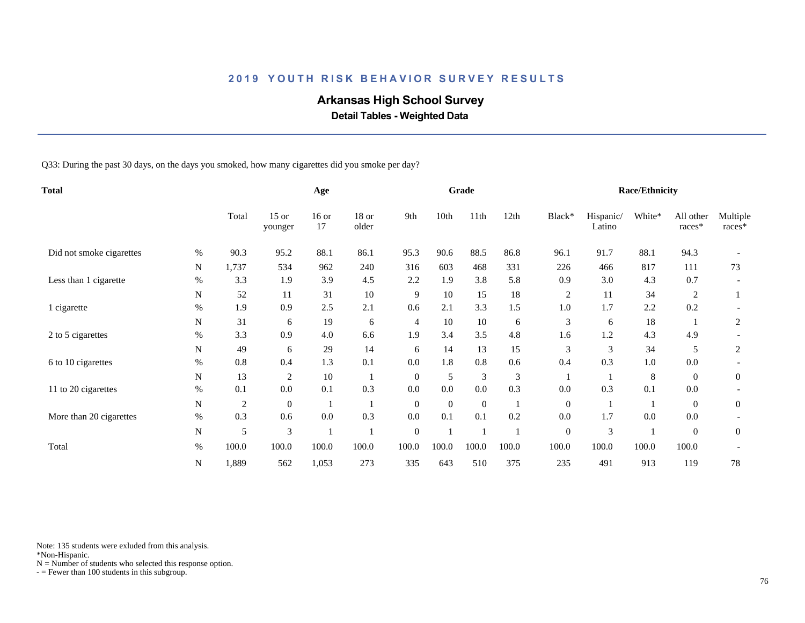## **Arkansas High School Survey**

 **Detail Tables - Weighted Data**

Q33: During the past 30 days, on the days you smoked, how many cigarettes did you smoke per day?

| Total                    |           |                | Age                |               |                |              | Grade        |                  |       |                  | <b>Race/Ethnicity</b> |         |                     |                    |
|--------------------------|-----------|----------------|--------------------|---------------|----------------|--------------|--------------|------------------|-------|------------------|-----------------------|---------|---------------------|--------------------|
|                          |           | Total          | $15$ or<br>younger | $16$ or<br>17 | 18 or<br>older | 9th          | 10th         | 11 <sup>th</sup> | 12th  | Black*           | Hispanic/<br>Latino   | White*  | All other<br>races* | Multiple<br>races* |
| Did not smoke cigarettes | $\%$      | 90.3           | 95.2               | 88.1          | 86.1           | 95.3         | 90.6         | 88.5             | 86.8  | 96.1             | 91.7                  | 88.1    | 94.3                |                    |
|                          | N         | 1,737          | 534                | 962           | 240            | 316          | 603          | 468              | 331   | 226              | 466                   | 817     | 111                 | 73                 |
| Less than 1 cigarette    | $\%$      | 3.3            | 1.9                | 3.9           | 4.5            | 2.2          | 1.9          | 3.8              | 5.8   | 0.9              | 3.0                   | 4.3     | 0.7                 |                    |
|                          | N         | 52             | 11                 | 31            | 10             | 9            | 10           | 15               | 18    | $\overline{c}$   | 11                    | 34      | 2                   |                    |
| 1 cigarette              | $\%$      | 1.9            | 0.9                | 2.5           | 2.1            | 0.6          | 2.1          | 3.3              | 1.5   | 1.0              | 1.7                   | 2.2     | 0.2                 |                    |
|                          | N         | 31             | 6                  | 19            | 6              | 4            | 10           | 10               | 6     | 3                | 6                     | 18      |                     | 2                  |
| 2 to 5 cigarettes        | $\%$      | 3.3            | 0.9                | 4.0           | 6.6            | 1.9          | 3.4          | 3.5              | 4.8   | 1.6              | 1.2                   | 4.3     | 4.9                 |                    |
|                          | N         | 49             | 6                  | 29            | 14             | 6            | 14           | 13               | 15    | 3                | 3                     | 34      | 5                   | 2                  |
| 6 to 10 cigarettes       | $\%$      | 0.8            | 0.4                | 1.3           | 0.1            | 0.0          | 1.8          | 0.8              | 0.6   | 0.4              | 0.3                   | 1.0     | 0.0                 |                    |
|                          | N         | 13             | $\overline{2}$     | 10            |                | $\mathbf{0}$ | 5            | $\mathfrak{Z}$   | 3     |                  |                       | $\,8\,$ | $\theta$            | $\overline{0}$     |
| 11 to 20 cigarettes      | $\%$      | 0.1            | 0.0                | 0.1           | 0.3            | 0.0          | 0.0          | 0.0              | 0.3   | 0.0              | 0.3                   | 0.1     | 0.0                 |                    |
|                          | ${\bf N}$ | $\overline{c}$ | $\mathbf{0}$       |               |                | $\mathbf{0}$ | $\mathbf{0}$ | $\overline{0}$   |       | $\boldsymbol{0}$ |                       |         | $\overline{0}$      | $\mathbf{0}$       |
| More than 20 cigarettes  | $\%$      | 0.3            | 0.6                | 0.0           | 0.3            | 0.0          | 0.1          | 0.1              | 0.2   | 0.0              | 1.7                   | 0.0     | 0.0                 |                    |
|                          | N         | 5              | 3                  |               |                | $\mathbf{0}$ |              |                  |       | $\overline{0}$   | 3                     |         | $\theta$            | $\overline{0}$     |
| Total                    | $\%$      | 100.0          | 100.0              | 100.0         | 100.0          | 100.0        | 100.0        | 100.0            | 100.0 | 100.0            | 100.0                 | 100.0   | 100.0               |                    |
|                          | N         | 1,889          | 562                | 1,053         | 273            | 335          | 643          | 510              | 375   | 235              | 491                   | 913     | 119                 | 78                 |

Note: 135 students were exluded from this analysis.

\*Non-Hispanic.

 $N =$  Number of students who selected this response option.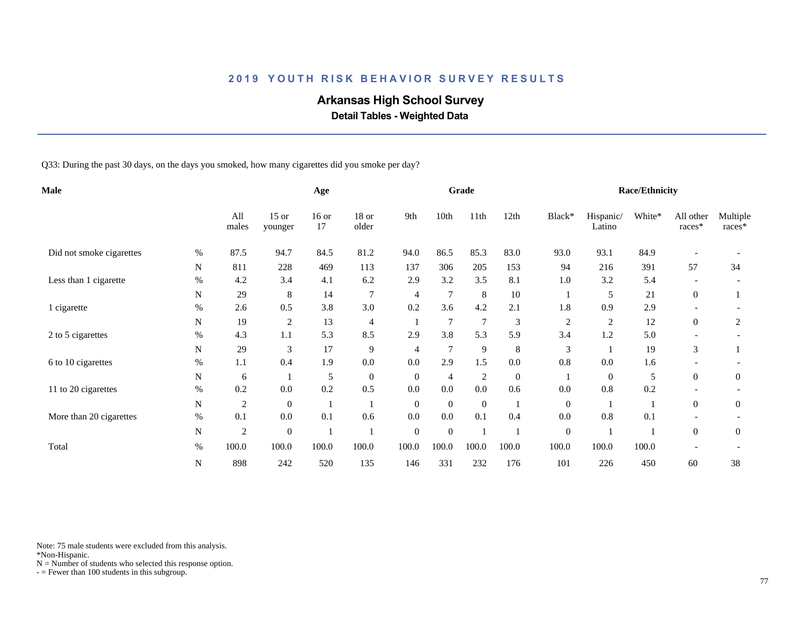## **Arkansas High School Survey**

 **Detail Tables - Weighted Data**

Q33: During the past 30 days, on the days you smoked, how many cigarettes did you smoke per day?

| Male                     |             |                |                    | Age           |                |                |                | Grade            |                  |                |                     | <b>Race/Ethnicity</b> |                          |                    |
|--------------------------|-------------|----------------|--------------------|---------------|----------------|----------------|----------------|------------------|------------------|----------------|---------------------|-----------------------|--------------------------|--------------------|
|                          |             | All<br>males   | $15$ or<br>younger | $16$ or<br>17 | 18 or<br>older | 9th            | 10th           | 11 <sup>th</sup> | 12th             | Black*         | Hispanic/<br>Latino | White*                | All other<br>races*      | Multiple<br>races* |
| Did not smoke cigarettes | $\%$        | 87.5           | 94.7               | 84.5          | 81.2           | 94.0           | 86.5           | 85.3             | 83.0             | 93.0           | 93.1                | 84.9                  |                          |                    |
|                          | $\mathbf N$ | 811            | 228                | 469           | 113            | 137            | 306            | 205              | 153              | 94             | 216                 | 391                   | 57                       | 34                 |
| Less than 1 cigarette    | $\%$        | 4.2            | 3.4                | 4.1           | 6.2            | 2.9            | 3.2            | 3.5              | 8.1              | 1.0            | 3.2                 | 5.4                   |                          |                    |
|                          | N           | 29             | 8                  | 14            | $\overline{7}$ | 4              | 7              | 8                | $10\,$           |                | 5                   | 21                    | $\overline{0}$           |                    |
| 1 cigarette              | $\%$        | 2.6            | 0.5                | 3.8           | 3.0            | 0.2            | 3.6            | 4.2              | 2.1              | 1.8            | 0.9                 | 2.9                   | $\overline{\phantom{0}}$ |                    |
|                          | N           | 19             | $\overline{c}$     | 13            | 4              |                | 7              | $\overline{7}$   | 3                | $\overline{c}$ | $\overline{2}$      | 12                    | $\boldsymbol{0}$         | 2                  |
| 2 to 5 cigarettes        | $\%$        | 4.3            | 1.1                | 5.3           | 8.5            | 2.9            | 3.8            | 5.3              | 5.9              | 3.4            | 1.2                 | 5.0                   |                          |                    |
|                          | N           | 29             | 3                  | 17            | 9              | $\overline{4}$ | $\overline{7}$ | 9                | 8                | 3              |                     | 19                    | 3                        |                    |
| 6 to 10 cigarettes       | $\%$        | 1.1            | 0.4                | 1.9           | $0.0\,$        | 0.0            | 2.9            | 1.5              | 0.0              | 0.8            | 0.0                 | 1.6                   |                          |                    |
|                          | N           | 6              |                    | 5             | $\mathbf{0}$   | $\mathbf{0}$   | 4              | $\overline{2}$   | $\boldsymbol{0}$ |                | $\boldsymbol{0}$    | 5                     | $\overline{0}$           | $\overline{0}$     |
| 11 to 20 cigarettes      | $\%$        | 0.2            | 0.0                | 0.2           | 0.5            | 0.0            | 0.0            | 0.0              | 0.6              | 0.0            | 0.8                 | 0.2                   |                          |                    |
|                          | N           | $\overline{c}$ | $\mathbf{0}$       |               |                | $\mathbf{0}$   | $\mathbf{0}$   | $\overline{0}$   |                  | $\mathbf{0}$   |                     |                       | $\overline{0}$           | $\overline{0}$     |
| More than 20 cigarettes  | $\%$        | 0.1            | 0.0                | 0.1           | 0.6            | 0.0            | 0.0            | 0.1              | 0.4              | 0.0            | 0.8                 | 0.1                   |                          |                    |
|                          | N           | $\sqrt{2}$     | $\theta$           |               |                | $\mathbf{0}$   | $\overline{0}$ |                  |                  | $\mathbf{0}$   |                     |                       | $\Omega$                 | $\overline{0}$     |
| Total                    | $\%$        | 100.0          | 100.0              | 100.0         | 100.0          | 100.0          | 100.0          | 100.0            | 100.0            | 100.0          | 100.0               | 100.0                 |                          |                    |
|                          | ${\bf N}$   | 898            | 242                | 520           | 135            | 146            | 331            | 232              | 176              | 101            | 226                 | 450                   | 60                       | 38                 |

Note: 75 male students were excluded from this analysis.

\*Non-Hispanic.

 $N =$  Number of students who selected this response option.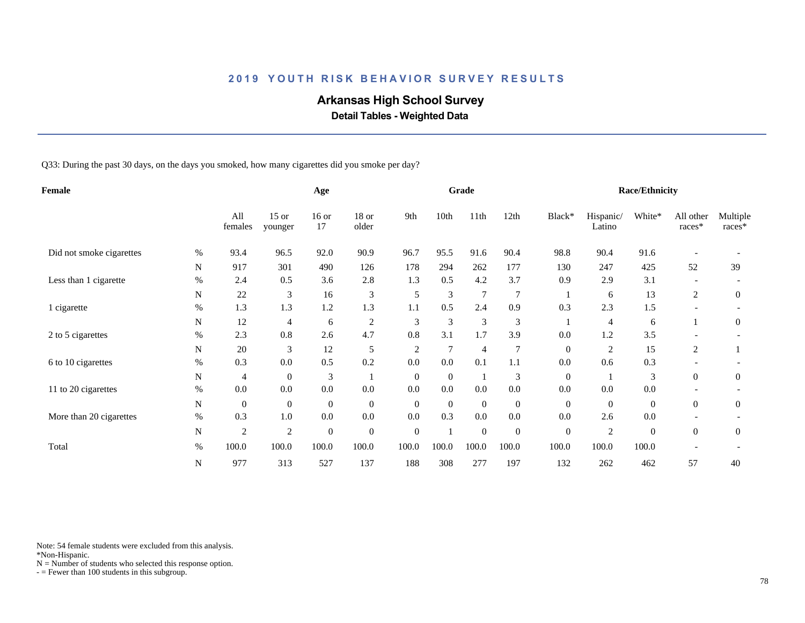## **Arkansas High School Survey**

 **Detail Tables - Weighted Data**

Q33: During the past 30 days, on the days you smoked, how many cigarettes did you smoke per day?

| Female                   |             |                |                    | Age              |                  |                  |          | Grade            |                  |                  |                     | <b>Race/Ethnicity</b> |                          |                    |
|--------------------------|-------------|----------------|--------------------|------------------|------------------|------------------|----------|------------------|------------------|------------------|---------------------|-----------------------|--------------------------|--------------------|
|                          |             | All<br>females | $15$ or<br>younger | $16$ or<br>17    | 18 or<br>older   | 9th              | 10th     | 11th             | 12th             | Black*           | Hispanic/<br>Latino | White*                | All other<br>races*      | Multiple<br>races* |
| Did not smoke cigarettes | $\%$        | 93.4           | 96.5               | 92.0             | 90.9             | 96.7             | 95.5     | 91.6             | 90.4             | 98.8             | 90.4                | 91.6                  |                          |                    |
|                          | $\mathbf N$ | 917            | 301                | 490              | 126              | 178              | 294      | 262              | 177              | 130              | 247                 | 425                   | 52                       | 39                 |
| Less than 1 cigarette    | %           | 2.4            | 0.5                | 3.6              | 2.8              | 1.3              | 0.5      | 4.2              | 3.7              | 0.9              | 2.9                 | 3.1                   |                          |                    |
|                          | N           | 22             | 3                  | 16               | 3                | 5                | 3        | $\overline{7}$   | $\overline{7}$   |                  | 6                   | 13                    | 2                        | $\mathbf{0}$       |
| 1 cigarette              | $\%$        | 1.3            | 1.3                | 1.2              | 1.3              | 1.1              | 0.5      | 2.4              | 0.9              | 0.3              | 2.3                 | 1.5                   | $\overline{\phantom{a}}$ |                    |
|                          | N           | 12             | 4                  | 6                | $\overline{c}$   | 3                | 3        | 3                | 3                |                  | 4                   | 6                     |                          | $\overline{0}$     |
| 2 to 5 cigarettes        | $\%$        | 2.3            | 0.8                | 2.6              | 4.7              | 0.8              | 3.1      | 1.7              | 3.9              | 0.0              | 1.2                 | 3.5                   |                          |                    |
|                          | N           | 20             | 3                  | 12               | 5                | $\overline{c}$   | 7        | $\overline{4}$   | 7                | $\mathbf{0}$     | 2                   | 15                    | 2                        |                    |
| 6 to 10 cigarettes       | $\%$        | 0.3            | 0.0                | 0.5              | 0.2              | 0.0              | 0.0      | 0.1              | 1.1              | 0.0              | 0.6                 | 0.3                   |                          |                    |
|                          | N           | 4              | $\boldsymbol{0}$   | 3                |                  | $\overline{0}$   | $\theta$ | -1               | 3                | $\mathbf{0}$     |                     | 3                     | $\overline{0}$           | $\overline{0}$     |
| 11 to 20 cigarettes      | $\%$        | 0.0            | 0.0                | $0.0\,$          | $0.0\,$          | 0.0              | 0.0      | $0.0\,$          | $0.0\,$          | 0.0              | $0.0\,$             | 0.0                   |                          |                    |
|                          | $\mathbf N$ | $\mathbf{0}$   | $\boldsymbol{0}$   | $\boldsymbol{0}$ | $\mathbf{0}$     | $\mathbf{0}$     | $\theta$ | $\overline{0}$   | $\boldsymbol{0}$ | $\overline{0}$   | $\mathbf{0}$        | $\overline{0}$        | $\overline{0}$           | $\overline{0}$     |
| More than 20 cigarettes  | $\%$        | 0.3            | $1.0\,$            | $0.0\,$          | $0.0\,$          | 0.0              | 0.3      | 0.0              | $0.0\,$          | 0.0              | 2.6                 | 0.0                   |                          |                    |
|                          | ${\bf N}$   | $\overline{2}$ | $\mathfrak{2}$     | $\boldsymbol{0}$ | $\boldsymbol{0}$ | $\boldsymbol{0}$ |          | $\boldsymbol{0}$ | $\boldsymbol{0}$ | $\boldsymbol{0}$ | $\overline{2}$      | $\boldsymbol{0}$      | $\Omega$                 | $\mathbf{0}$       |
| Total                    | $\%$        | 100.0          | 100.0              | 100.0            | 100.0            | 100.0            | 100.0    | 100.0            | 100.0            | 100.0            | 100.0               | 100.0                 |                          |                    |
|                          | ${\bf N}$   | 977            | 313                | 527              | 137              | 188              | 308      | 277              | 197              | 132              | 262                 | 462                   | 57                       | 40                 |

Note: 54 female students were excluded from this analysis.

\*Non-Hispanic.

 $N =$  Number of students who selected this response option.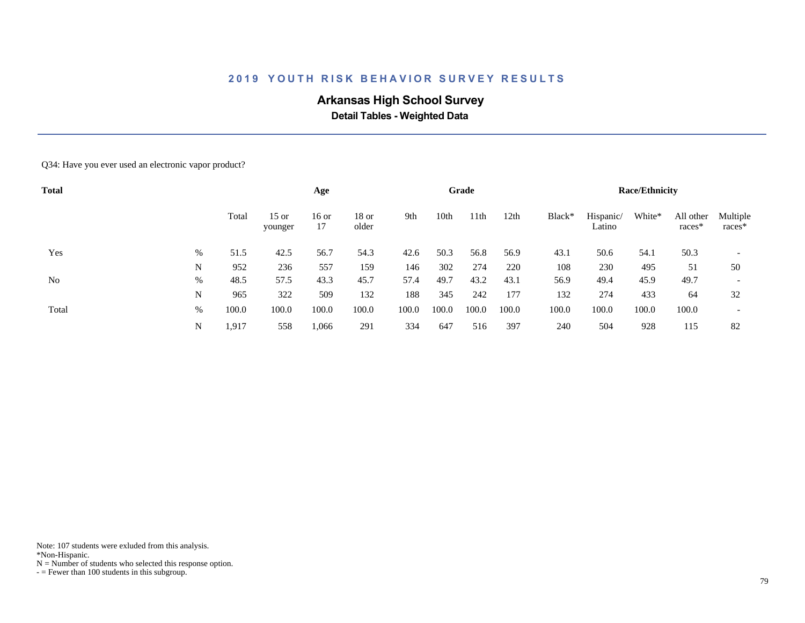## **Arkansas High School Survey**

 **Detail Tables - Weighted Data**

#### Q34: Have you ever used an electronic vapor product?

| <b>Total</b> |   |       |                    | Age           |                  |       |       | Grade            |       |        |                     | <b>Race/Ethnicity</b> |                     |                          |
|--------------|---|-------|--------------------|---------------|------------------|-------|-------|------------------|-------|--------|---------------------|-----------------------|---------------------|--------------------------|
|              |   | Total | $15$ or<br>younger | $16$ or<br>17 | $18$ or<br>older | 9th   | 10th  | 11 <sup>th</sup> | 12th  | Black* | Hispanic/<br>Latino | White*                | All other<br>races* | Multiple<br>races*       |
| Yes          | % | 51.5  | 42.5               | 56.7          | 54.3             | 42.6  | 50.3  | 56.8             | 56.9  | 43.1   | 50.6                | 54.1                  | 50.3                |                          |
|              | N | 952   | 236                | 557           | 159              | 146   | 302   | 274              | 220   | 108    | 230                 | 495                   | 51                  | 50                       |
| No           | % | 48.5  | 57.5               | 43.3          | 45.7             | 57.4  | 49.7  | 43.2             | 43.1  | 56.9   | 49.4                | 45.9                  | 49.7                | $\overline{\phantom{a}}$ |
|              | N | 965   | 322                | 509           | 132              | 188   | 345   | 242              | 177   | 132    | 274                 | 433                   | 64                  | 32                       |
| Total        | % | 100.0 | 100.0              | 100.0         | 100.0            | 100.0 | 100.0 | 100.0            | 100.0 | 100.0  | 100.0               | 100.0                 | 100.0               |                          |
|              | N | 1,917 | 558                | 1,066         | 291              | 334   | 647   | 516              | 397   | 240    | 504                 | 928                   | 115                 | 82                       |

Note: 107 students were exluded from this analysis.

\*Non-Hispanic.

 $N =$  Number of students who selected this response option.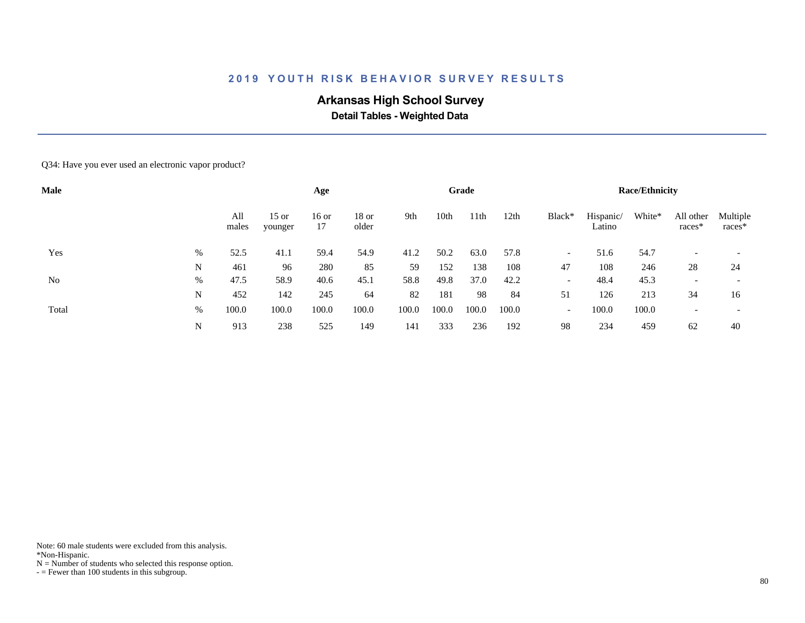## **Arkansas High School Survey**

 **Detail Tables - Weighted Data**

#### Q34: Have you ever used an electronic vapor product?

| <b>Male</b> |   |              |                    | Age           |                  |       |       | Grade |       |                          |                     | <b>Race/Ethnicity</b> |                     |                          |
|-------------|---|--------------|--------------------|---------------|------------------|-------|-------|-------|-------|--------------------------|---------------------|-----------------------|---------------------|--------------------------|
|             |   | All<br>males | $15$ or<br>younger | $16$ or<br>17 | $18$ or<br>older | 9th   | 10th  | 11th  | 12th  | Black*                   | Hispanic/<br>Latino | White*                | All other<br>races* | Multiple<br>races*       |
| Yes         | % | 52.5         | 41.1               | 59.4          | 54.9             | 41.2  | 50.2  | 63.0  | 57.8  | $\overline{\phantom{a}}$ | 51.6                | 54.7                  |                     |                          |
|             | N | 461          | 96                 | 280           | 85               | 59    | 152   | 138   | 108   | 47                       | 108                 | 246                   | 28                  | 24                       |
| No          | % | 47.5         | 58.9               | 40.6          | 45.1             | 58.8  | 49.8  | 37.0  | 42.2  | $\overline{\phantom{a}}$ | 48.4                | 45.3                  |                     | $\overline{\phantom{0}}$ |
|             | N | 452          | 142                | 245           | 64               | 82    | 181   | 98    | 84    | 51                       | 126                 | 213                   | 34                  | 16                       |
| Total       | % | 100.0        | 100.0              | 100.0         | 100.0            | 100.0 | 100.0 | 100.0 | 100.0 | $\overline{\phantom{a}}$ | 100.0               | 100.0                 |                     |                          |
|             | N | 913          | 238                | 525           | 149              | 141   | 333   | 236   | 192   | 98                       | 234                 | 459                   | 62                  | 40                       |

Note: 60 male students were excluded from this analysis.

\*Non-Hispanic.

 $N =$  Number of students who selected this response option.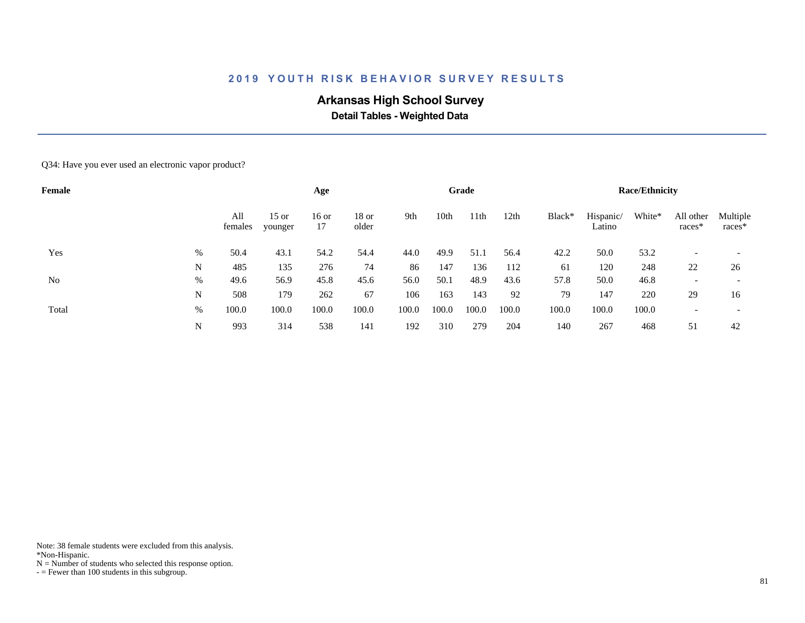## **Arkansas High School Survey**

 **Detail Tables - Weighted Data**

#### Q34: Have you ever used an electronic vapor product?

| <b>Female</b> |   |                |                    | Age           |                  |       |       | Grade |       |        |                     | <b>Race/Ethnicity</b> |                     |                          |
|---------------|---|----------------|--------------------|---------------|------------------|-------|-------|-------|-------|--------|---------------------|-----------------------|---------------------|--------------------------|
|               |   | All<br>females | $15$ or<br>younger | $16$ or<br>17 | $18$ or<br>older | 9th   | 10th  | 11th  | 12th  | Black* | Hispanic/<br>Latino | White*                | All other<br>races* | Multiple<br>races*       |
| Yes           | % | 50.4           | 43.1               | 54.2          | 54.4             | 44.0  | 49.9  | 51.1  | 56.4  | 42.2   | 50.0                | 53.2                  |                     |                          |
|               | N | 485            | 135                | 276           | 74               | 86    | 147   | 136   | 112   | 61     | 120                 | 248                   | 22                  | 26                       |
| No            | % | 49.6           | 56.9               | 45.8          | 45.6             | 56.0  | 50.1  | 48.9  | 43.6  | 57.8   | 50.0                | 46.8                  |                     | $\overline{\phantom{0}}$ |
|               | N | 508            | 179                | 262           | 67               | 106   | 163   | 143   | 92    | 79     | 147                 | 220                   | 29                  | 16                       |
| Total         | % | 100.0          | 100.0              | 100.0         | 100.0            | 100.0 | 100.0 | 100.0 | 100.0 | 100.0  | 100.0               | 100.0                 |                     |                          |
|               | N | 993            | 314                | 538           | 141              | 192   | 310   | 279   | 204   | 140    | 267                 | 468                   | 51                  | 42                       |

Note: 38 female students were excluded from this analysis.

\*Non-Hispanic.

 $N =$  Number of students who selected this response option.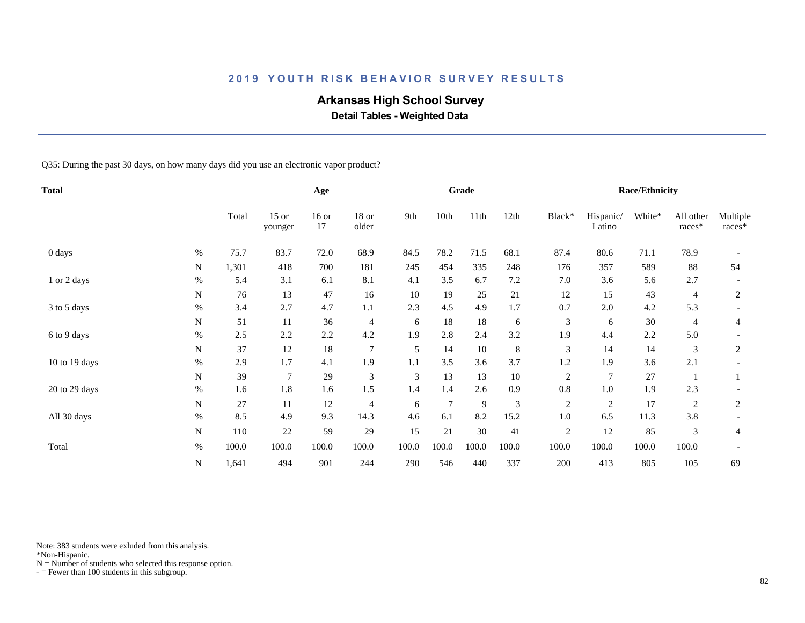## **Arkansas High School Survey**

 **Detail Tables - Weighted Data**

Q35: During the past 30 days, on how many days did you use an electronic vapor product?

| <b>Total</b>  |      |       |                    | Age           |                  |       |        | Grade |         |                |                     | <b>Race/Ethnicity</b> |                     |                    |
|---------------|------|-------|--------------------|---------------|------------------|-------|--------|-------|---------|----------------|---------------------|-----------------------|---------------------|--------------------|
|               |      | Total | $15$ or<br>younger | $16$ or<br>17 | $18$ or<br>older | 9th   | 10th   | 11th  | 12th    | Black*         | Hispanic/<br>Latino | White*                | All other<br>races* | Multiple<br>races* |
| 0 days        | $\%$ | 75.7  | 83.7               | 72.0          | 68.9             | 84.5  | 78.2   | 71.5  | 68.1    | 87.4           | 80.6                | 71.1                  | 78.9                |                    |
|               | N    | 1,301 | 418                | 700           | 181              | 245   | 454    | 335   | 248     | 176            | 357                 | 589                   | 88                  | 54                 |
| 1 or 2 days   | $\%$ | 5.4   | 3.1                | 6.1           | 8.1              | 4.1   | 3.5    | 6.7   | 7.2     | 7.0            | 3.6                 | 5.6                   | 2.7                 |                    |
|               | N    | 76    | 13                 | 47            | 16               | 10    | 19     | 25    | 21      | 12             | 15                  | 43                    | 4                   | 2                  |
| 3 to 5 days   | $\%$ | 3.4   | 2.7                | 4.7           | 1.1              | 2.3   | 4.5    | 4.9   | 1.7     | 0.7            | 2.0                 | 4.2                   | 5.3                 |                    |
|               | N    | 51    | 11                 | 36            | 4                | 6     | 18     | 18    | 6       | 3              | 6                   | 30                    | 4                   | 4                  |
| 6 to 9 days   | $\%$ | 2.5   | 2.2                | 2.2           | 4.2              | 1.9   | 2.8    | 2.4   | 3.2     | 1.9            | 4.4                 | 2.2                   | 5.0                 |                    |
|               | N    | 37    | 12                 | 18            | $\overline{7}$   | 5     | 14     | 10    | $\,8\,$ | $\mathfrak{Z}$ | 14                  | 14                    | 3                   | 2                  |
| 10 to 19 days | $\%$ | 2.9   | 1.7                | 4.1           | 1.9              | 1.1   | 3.5    | 3.6   | 3.7     | 1.2            | 1.9                 | 3.6                   | 2.1                 |                    |
|               | N    | 39    | 7                  | 29            | $\mathfrak{Z}$   | 3     | 13     | 13    | $10\,$  | $\overline{c}$ | 7                   | 27                    |                     |                    |
| 20 to 29 days | $\%$ | 1.6   | 1.8                | 1.6           | 1.5              | 1.4   | 1.4    | 2.6   | 0.9     | 0.8            | $1.0\,$             | 1.9                   | 2.3                 |                    |
|               | N    | 27    | 11                 | 12            | $\overline{4}$   | 6     | $\tau$ | 9     | 3       | $\overline{c}$ | $\overline{c}$      | 17                    | 2                   | 2                  |
| All 30 days   | $\%$ | 8.5   | 4.9                | 9.3           | 14.3             | 4.6   | 6.1    | 8.2   | 15.2    | 1.0            | 6.5                 | 11.3                  | 3.8                 |                    |
|               | N    | 110   | 22                 | 59            | 29               | 15    | 21     | 30    | 41      | $\overline{2}$ | 12                  | 85                    | 3                   | 4                  |
| Total         | $\%$ | 100.0 | 100.0              | 100.0         | 100.0            | 100.0 | 100.0  | 100.0 | 100.0   | 100.0          | 100.0               | 100.0                 | 100.0               |                    |
|               | N    | 1,641 | 494                | 901           | 244              | 290   | 546    | 440   | 337     | 200            | 413                 | 805                   | 105                 | 69                 |

Note: 383 students were exluded from this analysis.

\*Non-Hispanic.

 $N =$  Number of students who selected this response option.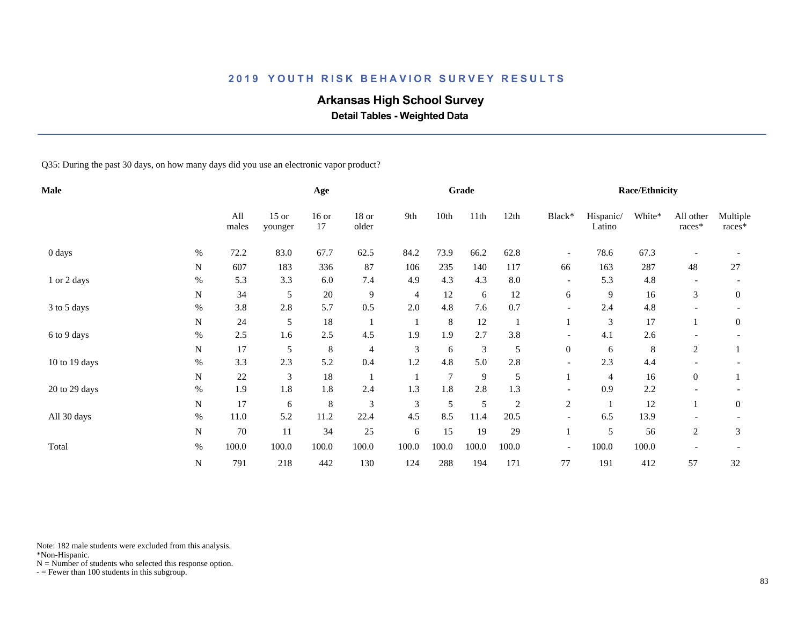## **Arkansas High School Survey**

 **Detail Tables - Weighted Data**

Q35: During the past 30 days, on how many days did you use an electronic vapor product?

| <b>Male</b>   |           |              |                    | Age           |                  |                |                | Grade         |                |                          |                     | <b>Race/Ethnicity</b> |                     |                      |
|---------------|-----------|--------------|--------------------|---------------|------------------|----------------|----------------|---------------|----------------|--------------------------|---------------------|-----------------------|---------------------|----------------------|
|               |           | All<br>males | $15$ or<br>younger | $16$ or<br>17 | $18$ or<br>older | 9th            | 10th           | 11th          | 12th           | Black*                   | Hispanic/<br>Latino | White*                | All other<br>races* | Multiple<br>$races*$ |
| 0 days        | $\%$      | 72.2         | 83.0               | 67.7          | 62.5             | 84.2           | 73.9           | 66.2          | 62.8           | $\overline{\phantom{a}}$ | 78.6                | 67.3                  |                     |                      |
|               | N         | 607          | 183                | 336           | 87               | 106            | 235            | 140           | 117            | 66                       | 163                 | 287                   | 48                  | $27\,$               |
| 1 or 2 days   | $\%$      | 5.3          | 3.3                | 6.0           | 7.4              | 4.9            | 4.3            | 4.3           | 8.0            | $\overline{\phantom{a}}$ | 5.3                 | 4.8                   |                     |                      |
|               | N         | 34           | 5                  | $20\,$        | $\overline{9}$   | $\overline{4}$ | 12             | 6             | 12             | 6                        | 9                   | 16                    | 3                   | $\overline{0}$       |
| 3 to 5 days   | $\%$      | 3.8          | 2.8                | 5.7           | 0.5              | 2.0            | 4.8            | 7.6           | 0.7            | $\overline{\phantom{a}}$ | 2.4                 | 4.8                   |                     |                      |
|               | N         | 24           | 5                  | 18            |                  |                | 8              | 12            |                |                          | 3                   | 17                    |                     | $\boldsymbol{0}$     |
| 6 to 9 days   | $\%$      | 2.5          | 1.6                | 2.5           | 4.5              | 1.9            | 1.9            | 2.7           | 3.8            |                          | 4.1                 | 2.6                   |                     |                      |
|               | N         | 17           | 5                  | $\,8\,$       | $\overline{4}$   | $\mathfrak{Z}$ | 6              | $\mathfrak 3$ | 5              | $\overline{0}$           | 6                   | 8                     | 2                   |                      |
| 10 to 19 days | $\%$      | 3.3          | 2.3                | 5.2           | 0.4              | 1.2            | 4.8            | 5.0           | 2.8            |                          | 2.3                 | 4.4                   |                     |                      |
|               | N         | 22           | 3                  | 18            |                  |                | $\overline{7}$ | 9             | 5              |                          | 4                   | 16                    | $\overline{0}$      |                      |
| 20 to 29 days | $\%$      | 1.9          | 1.8                | 1.8           | 2.4              | 1.3            | 1.8            | 2.8           | 1.3            | $\overline{\phantom{a}}$ | 0.9                 | 2.2                   |                     |                      |
|               | ${\bf N}$ | 17           | 6                  | $\,8\,$       | 3                | 3              | 5              | 5             | $\overline{c}$ | $\overline{c}$           |                     | 12                    |                     | $\overline{0}$       |
| All 30 days   | $\%$      | 11.0         | 5.2                | 11.2          | 22.4             | 4.5            | 8.5            | 11.4          | 20.5           |                          | 6.5                 | 13.9                  |                     |                      |
|               | ${\bf N}$ | $70\,$       | 11                 | 34            | 25               | 6              | 15             | 19            | 29             |                          | 5                   | 56                    | $\overline{c}$      | 3                    |
| Total         | $\%$      | 100.0        | 100.0              | 100.0         | 100.0            | 100.0          | 100.0          | 100.0         | 100.0          | $\overline{\phantom{a}}$ | 100.0               | 100.0                 |                     |                      |
|               | ${\bf N}$ | 791          | 218                | 442           | 130              | 124            | 288            | 194           | 171            | 77                       | 191                 | 412                   | 57                  | 32                   |

Note: 182 male students were excluded from this analysis.

\*Non-Hispanic.

 $N =$  Number of students who selected this response option.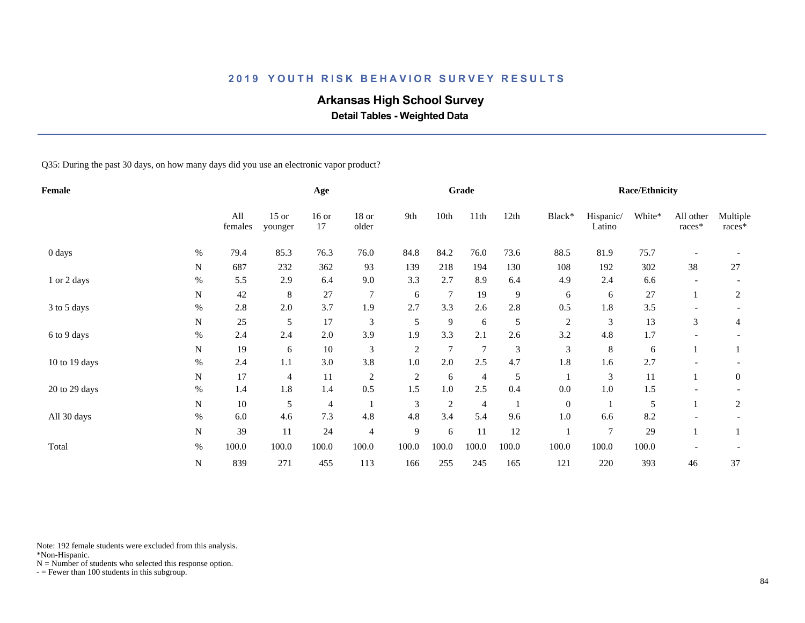## **Arkansas High School Survey**

 **Detail Tables - Weighted Data**

Q35: During the past 30 days, on how many days did you use an electronic vapor product?

| <b>Female</b> |           |                |                    | Age           |                |                |                | Grade          |       |                |                     | <b>Race/Ethnicity</b> |                     |                    |
|---------------|-----------|----------------|--------------------|---------------|----------------|----------------|----------------|----------------|-------|----------------|---------------------|-----------------------|---------------------|--------------------|
|               |           | All<br>females | $15$ or<br>younger | $16$ or<br>17 | 18 or<br>older | 9th            | 10th           | 11th           | 12th  | Black*         | Hispanic/<br>Latino | White*                | All other<br>races* | Multiple<br>races* |
| 0 days        | $\%$      | 79.4           | 85.3               | 76.3          | 76.0           | 84.8           | 84.2           | 76.0           | 73.6  | 88.5           | 81.9                | 75.7                  |                     |                    |
|               | N         | 687            | 232                | 362           | 93             | 139            | 218            | 194            | 130   | 108            | 192                 | 302                   | 38                  | 27                 |
| 1 or 2 days   | $\%$      | 5.5            | 2.9                | 6.4           | 9.0            | 3.3            | 2.7            | 8.9            | 6.4   | 4.9            | 2.4                 | 6.6                   |                     |                    |
|               | N         | 42             | 8                  | 27            | $\overline{7}$ | 6              | $\tau$         | 19             | 9     | 6              | 6                   | 27                    |                     | 2                  |
| 3 to 5 days   | $\%$      | 2.8            | 2.0                | 3.7           | 1.9            | 2.7            | 3.3            | 2.6            | 2.8   | 0.5            | 1.8                 | 3.5                   |                     |                    |
|               | N         | 25             | 5                  | 17            | 3              | 5              | 9              | 6              | 5     | $\overline{c}$ | 3                   | 13                    | 3                   | 4                  |
| 6 to 9 days   | $\%$      | 2.4            | 2.4                | 2.0           | 3.9            | 1.9            | 3.3            | 2.1            | 2.6   | 3.2            | 4.8                 | 1.7                   |                     |                    |
|               | N         | 19             | 6                  | 10            | $\mathfrak{Z}$ | $\overline{c}$ | 7              | $\overline{7}$ | 3     | 3              | $\,8\,$             | 6                     |                     |                    |
| 10 to 19 days | $\%$      | 2.4            | 1.1                | 3.0           | 3.8            | 1.0            | 2.0            | 2.5            | 4.7   | 1.8            | 1.6                 | 2.7                   |                     |                    |
|               | N         | 17             | 4                  | 11            | $\overline{c}$ | $\sqrt{2}$     | 6              | 4              | 5     |                | $\mathfrak{Z}$      | 11                    |                     | $\mathbf{0}$       |
| 20 to 29 days | $\%$      | 1.4            | 1.8                | 1.4           | 0.5            | 1.5            | $1.0\,$        | 2.5            | 0.4   | 0.0            | $1.0\,$             | 1.5                   |                     |                    |
|               | N         | $10\,$         | 5                  | 4             |                | 3              | $\overline{c}$ | $\overline{4}$ |       | $\mathbf{0}$   |                     | 5                     |                     | $\overline{c}$     |
| All 30 days   | $\%$      | 6.0            | 4.6                | 7.3           | 4.8            | 4.8            | 3.4            | 5.4            | 9.6   | 1.0            | 6.6                 | 8.2                   |                     |                    |
|               | ${\bf N}$ | 39             | 11                 | 24            | $\overline{4}$ | 9              | 6              | 11             | 12    |                | $\overline{7}$      | 29                    |                     |                    |
| Total         | $\%$      | 100.0          | 100.0              | 100.0         | 100.0          | 100.0          | 100.0          | 100.0          | 100.0 | 100.0          | 100.0               | 100.0                 |                     |                    |
|               | ${\bf N}$ | 839            | 271                | 455           | 113            | 166            | 255            | 245            | 165   | 121            | 220                 | 393                   | 46                  | 37                 |

Note: 192 female students were excluded from this analysis.

\*Non-Hispanic.

 $N =$  Number of students who selected this response option.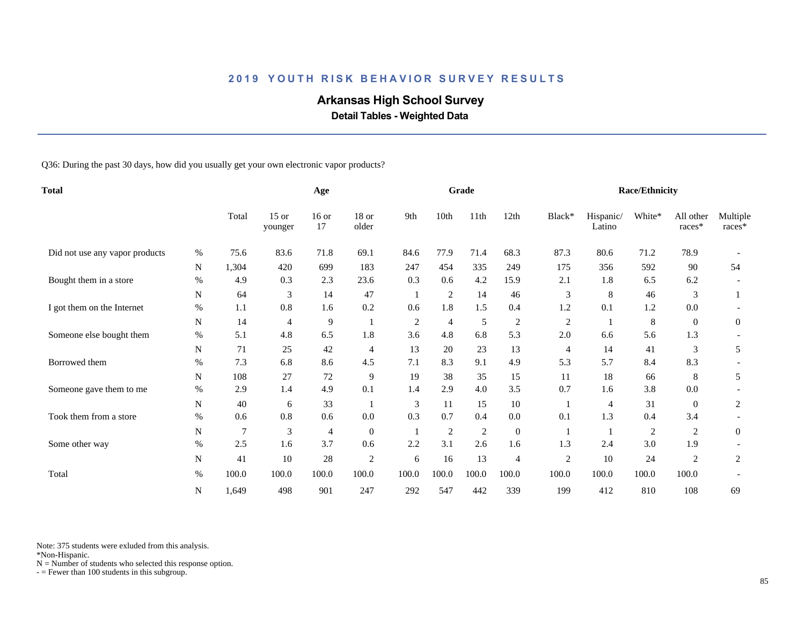## **Arkansas High School Survey**

 **Detail Tables - Weighted Data**

Q36: During the past 30 days, how did you usually get your own electronic vapor products?

| <b>Total</b>                   |      |                | Age                |               |                  |                | Grade          |              |                |            | Race/Ethnicity      |                |                     |                    |
|--------------------------------|------|----------------|--------------------|---------------|------------------|----------------|----------------|--------------|----------------|------------|---------------------|----------------|---------------------|--------------------|
|                                |      | Total          | $15$ or<br>younger | $16$ or<br>17 | $18$ or<br>older | 9th            | 10th           | 11th         | 12th           | Black*     | Hispanic/<br>Latino | White*         | All other<br>races* | Multiple<br>races* |
| Did not use any vapor products | $\%$ | 75.6           | 83.6               | 71.8          | 69.1             | 84.6           | 77.9           | 71.4         | 68.3           | 87.3       | 80.6                | 71.2           | 78.9                |                    |
|                                | N    | 1,304          | 420                | 699           | 183              | 247            | 454            | 335          | 249            | 175        | 356                 | 592            | 90                  | 54                 |
| Bought them in a store         | $\%$ | 4.9            | 0.3                | 2.3           | 23.6             | 0.3            | 0.6            | 4.2          | 15.9           | 2.1        | 1.8                 | 6.5            | 6.2                 |                    |
|                                | N    | 64             | 3                  | 14            | 47               |                | $\overline{c}$ | 14           | 46             | 3          | 8                   | 46             | 3                   |                    |
| I got them on the Internet     | %    | 1.1            | 0.8                | 1.6           | 0.2              | 0.6            | 1.8            | 1.5          | 0.4            | 1.2        | 0.1                 | 1.2            | 0.0                 |                    |
|                                | N    | 14             | $\overline{4}$     | 9             | 1                | $\overline{c}$ | $\overline{4}$ | 5            | $\overline{c}$ | $\sqrt{2}$ |                     | 8              | $\overline{0}$      | $\overline{0}$     |
| Someone else bought them       | $\%$ | 5.1            | 4.8                | 6.5           | 1.8              | 3.6            | 4.8            | 6.8          | 5.3            | 2.0        | 6.6                 | 5.6            | 1.3                 |                    |
|                                | N    | 71             | 25                 | 42            | 4                | 13             | 20             | 23           | 13             | 4          | 14                  | 41             | 3                   | 5                  |
| Borrowed them                  | $\%$ | 7.3            | 6.8                | 8.6           | 4.5              | 7.1            | 8.3            | 9.1          | 4.9            | 5.3        | 5.7                 | 8.4            | 8.3                 |                    |
|                                | N    | 108            | 27                 | 72            | 9                | 19             | 38             | 35           | 15             | 11         | 18                  | 66             | 8                   | 5                  |
| Someone gave them to me        | $\%$ | 2.9            | 1.4                | 4.9           | 0.1              | 1.4            | 2.9            | 4.0          | 3.5            | 0.7        | 1.6                 | 3.8            | 0.0                 |                    |
|                                | N    | 40             | 6                  | 33            |                  | 3              | 11             | 15           | 10             |            | 4                   | 31             | $\overline{0}$      | 2                  |
| Took them from a store         | $\%$ | 0.6            | 0.8                | 0.6           | 0.0              | 0.3            | 0.7            | 0.4          | $0.0\,$        | 0.1        | 1.3                 | 0.4            | 3.4                 |                    |
|                                | N    | $\overline{7}$ | 3                  | 4             | $\boldsymbol{0}$ |                | $\mathfrak{2}$ | $\mathbf{2}$ | $\mathbf{0}$   |            |                     | $\overline{2}$ | 2                   | $\overline{0}$     |
| Some other way                 | %    | 2.5            | 1.6                | 3.7           | 0.6              | 2.2            | 3.1            | 2.6          | 1.6            | 1.3        | 2.4                 | 3.0            | 1.9                 |                    |
|                                | N    | 41             | 10                 | 28            | $\overline{c}$   | 6              | 16             | 13           | 4              | $\sqrt{2}$ | 10                  | 24             | $\overline{2}$      | 2                  |
| Total                          | %    | 100.0          | 100.0              | 100.0         | 100.0            | 100.0          | 100.0          | 100.0        | 100.0          | 100.0      | 100.0               | 100.0          | 100.0               |                    |
|                                | N    | 1,649          | 498                | 901           | 247              | 292            | 547            | 442          | 339            | 199        | 412                 | 810            | 108                 | 69                 |

Note: 375 students were exluded from this analysis.

\*Non-Hispanic.

 $N =$  Number of students who selected this response option.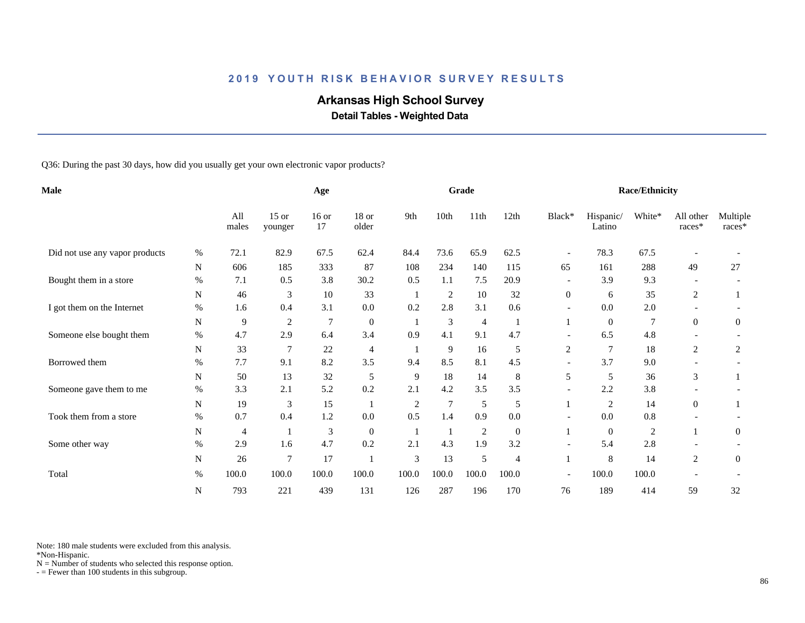## **Arkansas High School Survey**

 **Detail Tables - Weighted Data**

Q36: During the past 30 days, how did you usually get your own electronic vapor products?

| <b>Male</b>                    |             |                | Age                |               |                  |                | Grade          |                |              |                          | <b>Race/Ethnicity</b> |            |                     |                    |
|--------------------------------|-------------|----------------|--------------------|---------------|------------------|----------------|----------------|----------------|--------------|--------------------------|-----------------------|------------|---------------------|--------------------|
|                                |             | All<br>males   | $15$ or<br>younger | $16$ or<br>17 | $18$ or<br>older | 9th            | 10th           | 11th           | 12th         | Black*                   | Hispanic/<br>Latino   | White*     | All other<br>races* | Multiple<br>races* |
| Did not use any vapor products | %           | 72.1           | 82.9               | 67.5          | 62.4             | 84.4           | 73.6           | 65.9           | 62.5         | $\overline{\phantom{a}}$ | 78.3                  | 67.5       |                     |                    |
|                                | $\mathbf N$ | 606            | 185                | 333           | 87               | 108            | 234            | 140            | 115          | 65                       | 161                   | 288        | 49                  | 27                 |
| Bought them in a store         | $\%$        | 7.1            | 0.5                | 3.8           | 30.2             | 0.5            | 1.1            | 7.5            | 20.9         | $\overline{\phantom{a}}$ | 3.9                   | 9.3        |                     |                    |
|                                | N           | 46             | 3                  | 10            | 33               |                | $\overline{c}$ | 10             | 32           | $\overline{0}$           | 6                     | 35         | 2                   |                    |
| I got them on the Internet     | $\%$        | 1.6            | 0.4                | 3.1           | $0.0\,$          | 0.2            | 2.8            | 3.1            | 0.6          | $\overline{\phantom{a}}$ | 0.0                   | 2.0        |                     |                    |
|                                | $\mathbf N$ | 9              | 2                  | 7             | $\boldsymbol{0}$ | -1             | $\mathfrak{Z}$ | $\overline{4}$ | -1           |                          | $\overline{0}$        | 7          | $\Omega$            | $\overline{0}$     |
| Someone else bought them       | $\%$        | 4.7            | 2.9                | 6.4           | 3.4              | 0.9            | 4.1            | 9.1            | 4.7          | $\overline{\phantom{a}}$ | 6.5                   | 4.8        |                     |                    |
|                                | N           | 33             | 7                  | 22            | $\overline{4}$   |                | 9              | 16             | 5            | $\overline{c}$           | $\overline{7}$        | 18         | 2                   | 2                  |
| Borrowed them                  | $\%$        | 7.7            | 9.1                | 8.2           | 3.5              | 9.4            | 8.5            | 8.1            | 4.5          | $\overline{\phantom{a}}$ | 3.7                   | 9.0        |                     |                    |
|                                | ${\bf N}$   | 50             | 13                 | 32            | 5                | 9              | 18             | 14             | 8            | 5                        | 5                     | 36         | 3                   |                    |
| Someone gave them to me        | $\%$        | 3.3            | 2.1                | 5.2           | 0.2              | 2.1            | 4.2            | 3.5            | 3.5          | $\overline{\phantom{a}}$ | 2.2                   | 3.8        |                     |                    |
|                                | N           | 19             | 3                  | 15            |                  | $\overline{2}$ | $\overline{7}$ | 5              | 5            |                          | 2                     | 14         | $\overline{0}$      |                    |
| Took them from a store         | $\%$        | 0.7            | 0.4                | $1.2\,$       | 0.0              | 0.5            | 1.4            | 0.9            | 0.0          |                          | 0.0                   | $0.8\,$    |                     |                    |
|                                | $\mathbf N$ | $\overline{4}$ |                    | 3             | $\mathbf{0}$     |                |                | $\overline{2}$ | $\mathbf{0}$ |                          | $\overline{0}$        | $\sqrt{2}$ |                     | $\overline{0}$     |
| Some other way                 | $\%$        | 2.9            | 1.6                | 4.7           | 0.2              | 2.1            | 4.3            | 1.9            | 3.2          | $\overline{\phantom{a}}$ | 5.4                   | 2.8        |                     |                    |
|                                | $\mathbf N$ | 26             | $\overline{7}$     | 17            |                  | $\mathfrak{Z}$ | 13             | 5              | 4            | 1                        | 8                     | 14         | 2                   | $\overline{0}$     |
| Total                          | $\%$        | 100.0          | 100.0              | 100.0         | 100.0            | 100.0          | 100.0          | 100.0          | 100.0        | $\overline{\phantom{a}}$ | 100.0                 | 100.0      |                     |                    |
|                                | N           | 793            | 221                | 439           | 131              | 126            | 287            | 196            | 170          | 76                       | 189                   | 414        | 59                  | 32                 |

Note: 180 male students were excluded from this analysis.

\*Non-Hispanic.

 $N =$  Number of students who selected this response option.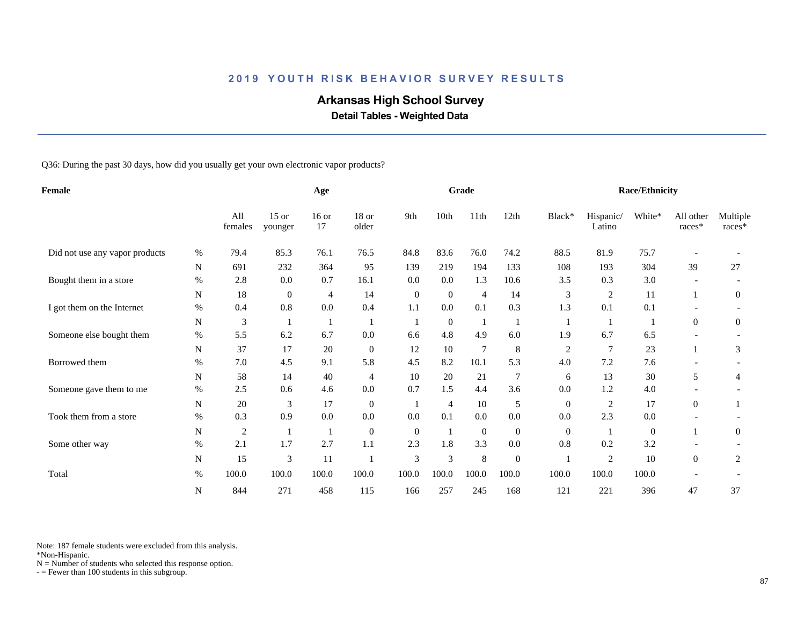## **Arkansas High School Survey**

 **Detail Tables - Weighted Data**

Q36: During the past 30 days, how did you usually get your own electronic vapor products?

| Female                         |           |                | Age                |               |                  |                | Grade          |                |                  |                  | Race/Ethnicity      |              |                          |                    |
|--------------------------------|-----------|----------------|--------------------|---------------|------------------|----------------|----------------|----------------|------------------|------------------|---------------------|--------------|--------------------------|--------------------|
|                                |           | All<br>females | $15$ or<br>younger | $16$ or<br>17 | 18 or<br>older   | 9th            | 10th           | 11th           | 12th             | Black*           | Hispanic/<br>Latino | White*       | All other<br>$races*$    | Multiple<br>races* |
| Did not use any vapor products | %         | 79.4           | 85.3               | 76.1          | 76.5             | 84.8           | 83.6           | 76.0           | 74.2             | 88.5             | 81.9                | 75.7         |                          |                    |
|                                | N         | 691            | 232                | 364           | 95               | 139            | 219            | 194            | 133              | 108              | 193                 | 304          | 39                       | 27                 |
| Bought them in a store         | $\%$      | 2.8            | 0.0                | 0.7           | 16.1             | 0.0            | 0.0            | 1.3            | 10.6             | 3.5              | 0.3                 | 3.0          | $\overline{\phantom{a}}$ |                    |
|                                | N         | 18             | $\mathbf{0}$       | 4             | 14               | $\mathbf{0}$   | $\mathbf{0}$   | $\overline{4}$ | 14               | 3                | $\overline{c}$      | 11           | $\mathbf{1}$             | $\boldsymbol{0}$   |
| I got them on the Internet     | $\%$      | 0.4            | 0.8                | 0.0           | 0.4              | 1.1            | 0.0            | 0.1            | 0.3              | 1.3              | 0.1                 | 0.1          |                          |                    |
|                                | ${\bf N}$ | 3              |                    | 1             | $\mathbf{1}$     | 1              | $\mathbf{0}$   | $\mathbf{1}$   |                  |                  |                     | -1           | $\overline{0}$           | $\overline{0}$     |
| Someone else bought them       | $\%$      | 5.5            | 6.2                | 6.7           | 0.0              | 6.6            | 4.8            | 4.9            | 6.0              | 1.9              | 6.7                 | 6.5          |                          |                    |
|                                | N         | 37             | 17                 | 20            | $\mathbf{0}$     | 12             | 10             | $\tau$         | 8                | $\boldsymbol{2}$ | 7                   | 23           |                          | 3                  |
| Borrowed them                  | $\%$      | 7.0            | 4.5                | 9.1           | 5.8              | 4.5            | 8.2            | 10.1           | 5.3              | 4.0              | 7.2                 | 7.6          |                          |                    |
|                                | N         | 58             | 14                 | $40\,$        | 4                | 10             | 20             | 21             | 7                | 6                | 13                  | 30           | 5                        | 4                  |
| Someone gave them to me        | $\%$      | 2.5            | 0.6                | 4.6           | 0.0              | 0.7            | 1.5            | 4.4            | 3.6              | 0.0              | 1.2                 | 4.0          |                          |                    |
|                                | N         | 20             | 3                  | 17            | $\boldsymbol{0}$ |                | $\overline{4}$ | 10             | 5                | $\overline{0}$   | $\overline{2}$      | 17           | $\overline{0}$           |                    |
| Took them from a store         | %         | 0.3            | 0.9                | 0.0           | 0.0              | 0.0            | 0.1            | 0.0            | 0.0              | 0.0              | 2.3                 | 0.0          |                          |                    |
|                                | N         | 2              |                    | -1            | $\boldsymbol{0}$ | $\overline{0}$ | 1              | $\mathbf{0}$   | $\overline{0}$   | $\overline{0}$   |                     | $\mathbf{0}$ |                          | $\overline{0}$     |
| Some other way                 | $\%$      | 2.1            | 1.7                | 2.7           | 1.1              | 2.3            | 1.8            | 3.3            | 0.0              | 0.8              | 0.2                 | 3.2          |                          |                    |
|                                | N         | 15             | 3                  | 11            |                  | $\mathfrak{Z}$ | 3              | $\,8\,$        | $\boldsymbol{0}$ |                  | $\overline{c}$      | 10           | $\overline{0}$           | 2                  |
| Total                          | $\%$      | 100.0          | 100.0              | 100.0         | 100.0            | 100.0          | 100.0          | 100.0          | 100.0            | 100.0            | 100.0               | 100.0        |                          |                    |
|                                | N         | 844            | 271                | 458           | 115              | 166            | 257            | 245            | 168              | 121              | 221                 | 396          | 47                       | 37                 |

Note: 187 female students were excluded from this analysis.

\*Non-Hispanic.

 $N =$  Number of students who selected this response option.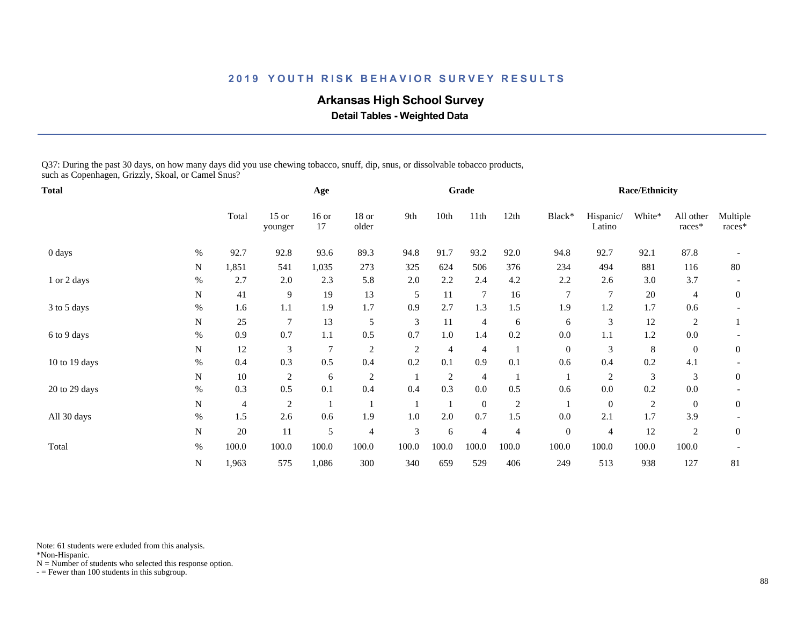## **Arkansas High School Survey**

 **Detail Tables - Weighted Data**

Q37: During the past 30 days, on how many days did you use chewing tobacco, snuff, dip, snus, or dissolvable tobacco products, such as Copenhagen, Grizzly, Skoal, or Camel Snus?

| Total         |             |        |                    | Age            |                  |                |                | Grade          |                |                  |                     | <b>Race/Ethnicity</b> |                     |                    |
|---------------|-------------|--------|--------------------|----------------|------------------|----------------|----------------|----------------|----------------|------------------|---------------------|-----------------------|---------------------|--------------------|
|               |             | Total  | $15$ or<br>younger | $16$ or<br>17  | $18$ or<br>older | 9th            | 10th           | 11th           | 12th           | Black*           | Hispanic/<br>Latino | White*                | All other<br>races* | Multiple<br>races* |
| 0 days        | $\%$        | 92.7   | 92.8               | 93.6           | 89.3             | 94.8           | 91.7           | 93.2           | 92.0           | 94.8             | 92.7                | 92.1                  | 87.8                |                    |
|               | N           | 1,851  | 541                | 1,035          | 273              | 325            | 624            | 506            | 376            | 234              | 494                 | 881                   | 116                 | 80                 |
| 1 or 2 days   | $\%$        | 2.7    | 2.0                | 2.3            | 5.8              | 2.0            | 2.2            | 2.4            | 4.2            | 2.2              | 2.6                 | 3.0                   | 3.7                 |                    |
|               | N           | 41     | 9                  | 19             | 13               | 5              | 11             | $\overline{7}$ | 16             | 7                | $\overline{7}$      | $20\,$                | 4                   | $\mathbf{0}$       |
| 3 to 5 days   | $\%$        | 1.6    | 1.1                | 1.9            | 1.7              | 0.9            | 2.7            | 1.3            | 1.5            | 1.9              | 1.2                 | 1.7                   | 0.6                 |                    |
|               | $\mathbf N$ | 25     | 7                  | 13             | 5                | 3              | 11             | $\overline{4}$ | 6              | 6                | 3                   | 12                    | 2                   |                    |
| 6 to 9 days   | $\%$        | 0.9    | 0.7                | $1.1\,$        | 0.5              | 0.7            | 1.0            | 1.4            | 0.2            | 0.0              | 1.1                 | 1.2                   | 0.0                 |                    |
|               | N           | 12     | 3                  | $\overline{7}$ | $\overline{c}$   | $\overline{2}$ | 4              | 4              |                | $\overline{0}$   | 3                   | 8                     | $\overline{0}$      | $\mathbf{0}$       |
| 10 to 19 days | $\%$        | 0.4    | 0.3                | 0.5            | 0.4              | 0.2            | 0.1            | 0.9            | 0.1            | 0.6              | 0.4                 | 0.2                   | 4.1                 |                    |
|               | N           | 10     | $\overline{c}$     | 6              | $\overline{c}$   |                | $\overline{c}$ | $\overline{4}$ |                |                  | 2                   | 3                     | 3                   | $\overline{0}$     |
| 20 to 29 days | $\%$        | 0.3    | 0.5                | 0.1            | 0.4              | 0.4            | 0.3            | $0.0\,$        | 0.5            | 0.6              | $0.0\,$             | 0.2                   | 0.0                 |                    |
|               | N           | 4      | 2                  |                |                  |                |                | $\mathbf{0}$   | $\overline{c}$ |                  | $\mathbf{0}$        | $\overline{c}$        | $\overline{0}$      | $\overline{0}$     |
| All 30 days   | $\%$        | 1.5    | 2.6                | 0.6            | 1.9              | 1.0            | 2.0            | 0.7            | 1.5            | 0.0              | 2.1                 | 1.7                   | 3.9                 |                    |
|               | $\mathbf N$ | $20\,$ | 11                 | 5              | $\overline{4}$   | $\mathfrak{Z}$ | 6              | $\overline{4}$ | $\overline{4}$ | $\boldsymbol{0}$ | 4                   | 12                    | 2                   | $\mathbf{0}$       |
| Total         | $\%$        | 100.0  | 100.0              | 100.0          | 100.0            | 100.0          | 100.0          | 100.0          | 100.0          | 100.0            | 100.0               | 100.0                 | 100.0               |                    |
|               | N           | 1,963  | 575                | 1,086          | 300              | 340            | 659            | 529            | 406            | 249              | 513                 | 938                   | 127                 | 81                 |

Note: 61 students were exluded from this analysis.

\*Non-Hispanic.

 $N =$  Number of students who selected this response option.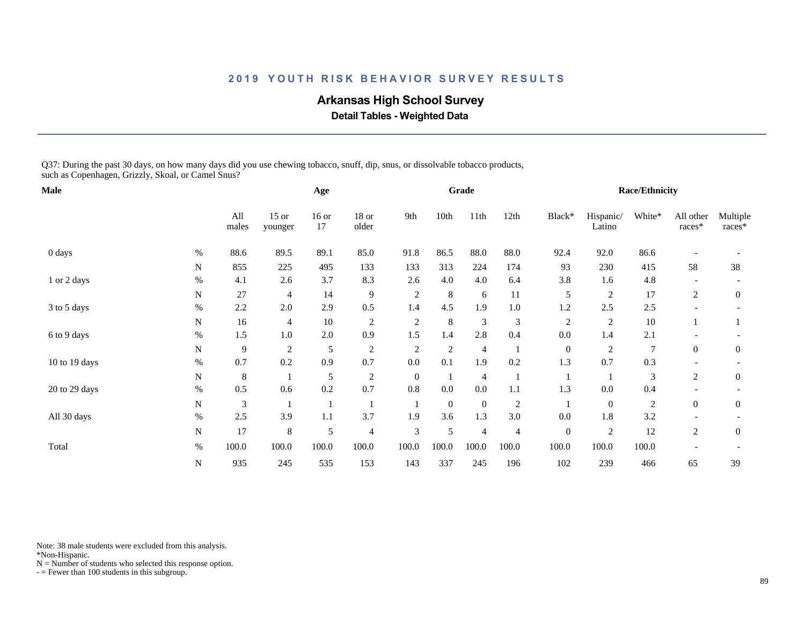## **Arkansas High School Survey**

 **Detail Tables - Weighted Data**

Q37: During the past 30 days, on how many days did you use chewing tobacco, snuff, dip, snus, or dissolvable tobacco products, such as Copenhagen, Grizzly, Skoal, or Camel Snus?

| Male          |             |              |                    | Age           |                  |                |                | Grade          |                |                  |                     | <b>Race/Ethnicity</b> |                     |                    |
|---------------|-------------|--------------|--------------------|---------------|------------------|----------------|----------------|----------------|----------------|------------------|---------------------|-----------------------|---------------------|--------------------|
|               |             | All<br>males | $15$ or<br>younger | $16$ or<br>17 | $18$ or<br>older | 9th            | 10th           | 11th           | 12th           | Black*           | Hispanic/<br>Latino | White*                | All other<br>races* | Multiple<br>races* |
| 0 days        | $\%$        | 88.6         | 89.5               | 89.1          | 85.0             | 91.8           | 86.5           | 88.0           | 88.0           | 92.4             | 92.0                | 86.6                  |                     |                    |
|               | N           | 855          | 225                | 495           | 133              | 133            | 313            | 224            | 174            | 93               | 230                 | 415                   | 58                  | 38                 |
| 1 or 2 days   | $\%$        | 4.1          | 2.6                | 3.7           | 8.3              | 2.6            | 4.0            | 4.0            | 6.4            | 3.8              | 1.6                 | 4.8                   |                     |                    |
|               | N           | $27\,$       | 4                  | 14            | 9                | $\sqrt{2}$     | 8              | 6              | 11             | 5                | $\overline{c}$      | 17                    | 2                   | $\mathbf{0}$       |
| 3 to 5 days   | $\%$        | 2.2          | 2.0                | 2.9           | 0.5              | 1.4            | 4.5            | 1.9            | $1.0\,$        | 1.2              | 2.5                 | 2.5                   |                     |                    |
|               | $\mathbf N$ | 16           | 4                  | 10            | $\sqrt{2}$       | $\overline{2}$ | 8              | $\mathfrak{Z}$ | 3              | $\mathfrak{2}$   | $\sqrt{2}$          | 10                    |                     |                    |
| 6 to 9 days   | $\%$        | 1.5          | 1.0                | 2.0           | 0.9              | 1.5            | 1.4            | 2.8            | 0.4            | 0.0              | 1.4                 | 2.1                   |                     |                    |
|               | N           | 9            | $\overline{c}$     | 5             | $\overline{c}$   | $\overline{2}$ | $\mathfrak{2}$ | $\overline{4}$ |                | $\mathbf{0}$     | $\overline{2}$      | 7                     | $\overline{0}$      | $\mathbf{0}$       |
| 10 to 19 days | $\%$        | 0.7          | 0.2                | 0.9           | 0.7              | 0.0            | 0.1            | 1.9            | 0.2            | 1.3              | 0.7                 | 0.3                   |                     |                    |
|               | N           | 8            |                    | 5             | $\overline{c}$   | $\theta$       |                | $\overline{4}$ |                |                  |                     | 3                     | 2                   | $\overline{0}$     |
| 20 to 29 days | $\%$        | 0.5          | 0.6                | 0.2           | 0.7              | $0.8\,$        | $0.0\,$        | $0.0\,$        | 1.1            | 1.3              | $0.0\,$             | 0.4                   |                     |                    |
|               | N           | 3            |                    |               |                  |                | $\theta$       | $\overline{0}$ | $\overline{c}$ |                  | $\mathbf{0}$        | $\overline{c}$        | $\overline{0}$      | $\overline{0}$     |
| All 30 days   | $\%$        | 2.5          | 3.9                | 1.1           | 3.7              | 1.9            | 3.6            | 1.3            | 3.0            | 0.0              | 1.8                 | 3.2                   |                     |                    |
|               | ${\bf N}$   | 17           | 8                  | 5             | $\overline{4}$   | 3              | 5              | $\overline{4}$ | 4              | $\boldsymbol{0}$ | $\sqrt{2}$          | 12                    | 2                   | $\overline{0}$     |
| Total         | $\%$        | 100.0        | 100.0              | 100.0         | 100.0            | 100.0          | 100.0          | 100.0          | 100.0          | 100.0            | 100.0               | 100.0                 |                     |                    |
|               | N           | 935          | 245                | 535           | 153              | 143            | 337            | 245            | 196            | 102              | 239                 | 466                   | 65                  | 39                 |

Note: 38 male students were excluded from this analysis.

\*Non-Hispanic.

 $N =$  Number of students who selected this response option.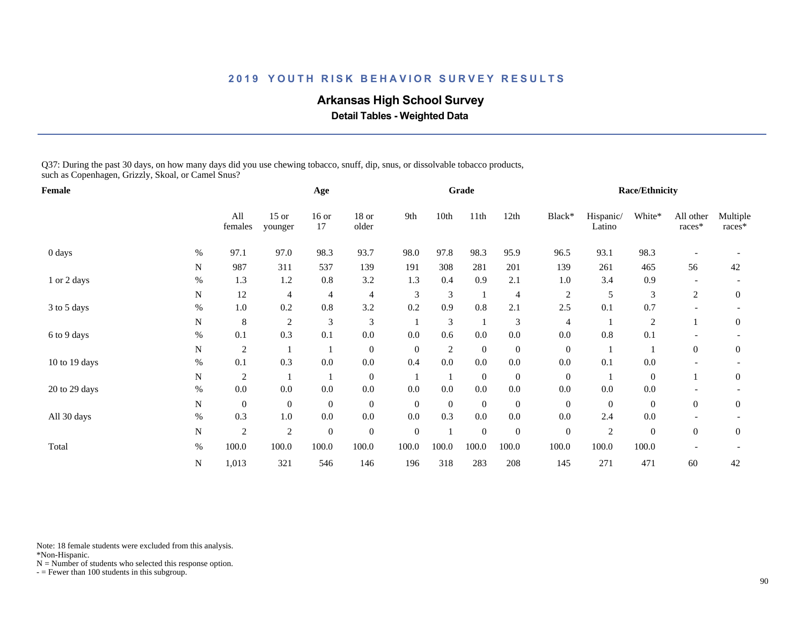## **Arkansas High School Survey**

 **Detail Tables - Weighted Data**

Q37: During the past 30 days, on how many days did you use chewing tobacco, snuff, dip, snus, or dissolvable tobacco products, such as Copenhagen, Grizzly, Skoal, or Camel Snus?

| Female        |             |                |                    | Age              |                  |                  |                | Grade            |                  |                  |                     | <b>Race/Ethnicity</b> |                     |                    |
|---------------|-------------|----------------|--------------------|------------------|------------------|------------------|----------------|------------------|------------------|------------------|---------------------|-----------------------|---------------------|--------------------|
|               |             | All<br>females | $15$ or<br>younger | $16$ or<br>17    | $18$ or<br>older | 9th              | 10th           | 11th             | 12th             | Black*           | Hispanic/<br>Latino | White*                | All other<br>races* | Multiple<br>races* |
| 0 days        | $\%$        | 97.1           | 97.0               | 98.3             | 93.7             | 98.0             | 97.8           | 98.3             | 95.9             | 96.5             | 93.1                | 98.3                  |                     |                    |
|               | N           | 987            | 311                | 537              | 139              | 191              | 308            | 281              | 201              | 139              | 261                 | 465                   | 56                  | 42                 |
| 1 or 2 days   | $\%$        | 1.3            | 1.2                | $0.8\,$          | 3.2              | 1.3              | 0.4            | 0.9              | 2.1              | 1.0              | 3.4                 | 0.9                   |                     |                    |
|               | N           | 12             | 4                  | 4                | $\overline{4}$   | 3                | 3              | $\mathbf{1}$     | 4                | $\overline{c}$   | 5                   | 3                     | 2                   | $\mathbf{0}$       |
| 3 to 5 days   | $\%$        | 1.0            | 0.2                | 0.8              | 3.2              | 0.2              | 0.9            | 0.8              | 2.1              | 2.5              | 0.1                 | 0.7                   |                     |                    |
|               | ${\bf N}$   | $8\phantom{1}$ | $\mathfrak{2}$     | 3                | 3                |                  | 3              |                  | 3                | 4                |                     | $\sqrt{2}$            |                     | $\mathbf{0}$       |
| 6 to 9 days   | $\%$        | 0.1            | 0.3                | 0.1              | $0.0\,$          | 0.0              | 0.6            | $0.0\,$          | $0.0\,$          | 0.0              | 0.8                 | 0.1                   |                     |                    |
|               | N           | $\overline{c}$ |                    |                  | $\boldsymbol{0}$ | $\theta$         | $\mathfrak{2}$ | $\overline{0}$   | $\boldsymbol{0}$ | $\mathbf{0}$     |                     |                       | $\overline{0}$      | $\mathbf{0}$       |
| 10 to 19 days | $\%$        | 0.1            | 0.3                | 0.0              | 0.0              | 0.4              | 0.0            | 0.0              | 0.0              | 0.0              | 0.1                 | 0.0                   |                     |                    |
|               | N           | $\overline{2}$ |                    |                  | $\boldsymbol{0}$ |                  |                | $\overline{0}$   | $\boldsymbol{0}$ | $\overline{0}$   |                     | $\overline{0}$        |                     | $\overline{0}$     |
| 20 to 29 days | $\%$        | $0.0\,$        | $0.0\,$            | $0.0\,$          | $0.0\,$          | 0.0              | 0.0            | $0.0\,$          | $0.0\,$          | 0.0              | $0.0\,$             | 0.0                   |                     |                    |
|               | N           | $\mathbf{0}$   | $\mathbf{0}$       | $\boldsymbol{0}$ | $\mathbf{0}$     | $\mathbf{0}$     | $\theta$       | $\overline{0}$   | $\boldsymbol{0}$ | $\overline{0}$   | $\mathbf{0}$        | $\boldsymbol{0}$      | $\overline{0}$      | $\overline{0}$     |
| All 30 days   | $\%$        | 0.3            | 1.0                | $0.0\,$          | $0.0\,$          | 0.0              | 0.3            | $0.0\,$          | $0.0\,$          | 0.0              | 2.4                 | 0.0                   |                     |                    |
|               | $\mathbf N$ | $\overline{c}$ | $\sqrt{2}$         | $\boldsymbol{0}$ | $\boldsymbol{0}$ | $\boldsymbol{0}$ |                | $\boldsymbol{0}$ | $\boldsymbol{0}$ | $\boldsymbol{0}$ | $\sqrt{2}$          | $\boldsymbol{0}$      | $\overline{0}$      | $\overline{0}$     |
| Total         | $\%$        | 100.0          | 100.0              | 100.0            | 100.0            | 100.0            | 100.0          | 100.0            | 100.0            | 100.0            | 100.0               | 100.0                 |                     |                    |
|               | N           | 1,013          | 321                | 546              | 146              | 196              | 318            | 283              | 208              | 145              | 271                 | 471                   | 60                  | 42                 |

Note: 18 female students were excluded from this analysis.

\*Non-Hispanic.

 $N =$  Number of students who selected this response option.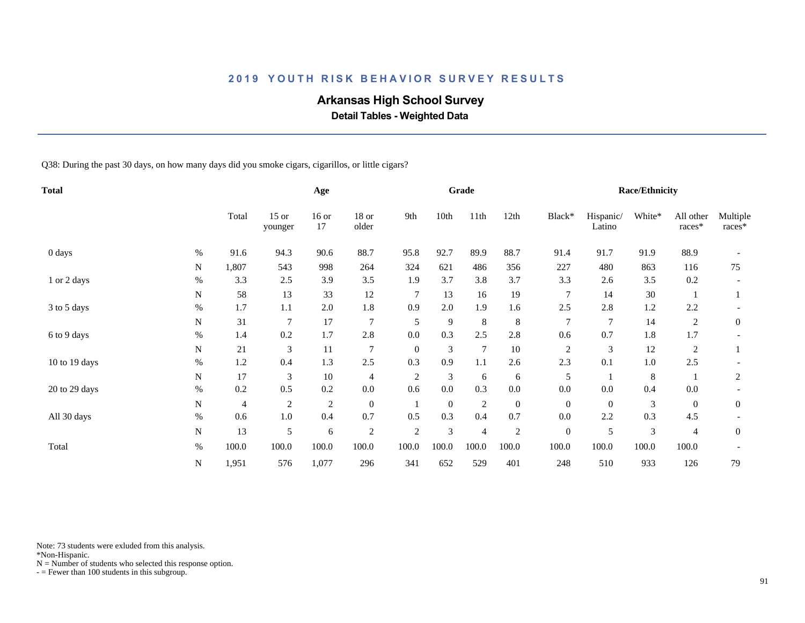## **Arkansas High School Survey**

 **Detail Tables - Weighted Data**

Q38: During the past 30 days, on how many days did you smoke cigars, cigarillos, or little cigars?

| <b>Total</b>  |           |       |                    | Age           |                |                |          | Grade          |                  |                  |                     | <b>Race/Ethnicity</b> |                     |                    |
|---------------|-----------|-------|--------------------|---------------|----------------|----------------|----------|----------------|------------------|------------------|---------------------|-----------------------|---------------------|--------------------|
|               |           | Total | $15$ or<br>younger | $16$ or<br>17 | 18 or<br>older | 9th            | 10th     | 11th           | 12th             | Black*           | Hispanic/<br>Latino | White*                | All other<br>races* | Multiple<br>races* |
| 0 days        | $\%$      | 91.6  | 94.3               | 90.6          | 88.7           | 95.8           | 92.7     | 89.9           | 88.7             | 91.4             | 91.7                | 91.9                  | 88.9                |                    |
|               | ${\bf N}$ | 1,807 | 543                | 998           | 264            | 324            | 621      | 486            | 356              | 227              | 480                 | 863                   | 116                 | 75                 |
| 1 or 2 days   | $\%$      | 3.3   | 2.5                | 3.9           | 3.5            | 1.9            | 3.7      | 3.8            | 3.7              | 3.3              | 2.6                 | 3.5                   | 0.2                 |                    |
|               | N         | 58    | 13                 | 33            | 12             | $\overline{7}$ | 13       | 16             | 19               | $\overline{7}$   | 14                  | $30\,$                |                     |                    |
| 3 to 5 days   | $\%$      | 1.7   | 1.1                | 2.0           | 1.8            | 0.9            | 2.0      | 1.9            | 1.6              | 2.5              | 2.8                 | 1.2                   | 2.2                 |                    |
|               | N         | 31    | 7                  | 17            | $\overline{7}$ | 5              | 9        | 8              | 8                | 7                | 7                   | 14                    | 2                   | $\overline{0}$     |
| 6 to 9 days   | $\%$      | 1.4   | 0.2                | 1.7           | 2.8            | 0.0            | 0.3      | 2.5            | 2.8              | 0.6              | 0.7                 | 1.8                   | 1.7                 |                    |
|               | N         | 21    | 3                  | 11            | $\overline{7}$ | $\mathbf{0}$   | 3        | $\overline{7}$ | $10\,$           | $\overline{c}$   | 3                   | 12                    | $\overline{c}$      |                    |
| 10 to 19 days | $\%$      | 1.2   | 0.4                | 1.3           | 2.5            | 0.3            | 0.9      | 1.1            | 2.6              | 2.3              | 0.1                 | $1.0\,$               | 2.5                 |                    |
|               | N         | 17    | 3                  | 10            | 4              | $\overline{2}$ | 3        | 6              | 6                | 5                |                     | 8                     |                     | $\overline{2}$     |
| 20 to 29 days | $\%$      | 0.2   | 0.5                | 0.2           | $0.0\,$        | 0.6            | 0.0      | 0.3            | $0.0\,$          | 0.0              | $0.0\,$             | 0.4                   | $0.0\,$             |                    |
|               | N         | 4     | $\overline{c}$     | $\sqrt{2}$    | $\mathbf{0}$   |                | $\theta$ | $\overline{2}$ | $\boldsymbol{0}$ | $\overline{0}$   | $\mathbf{0}$        | 3                     | $\overline{0}$      | $\mathbf{0}$       |
| All 30 days   | $\%$      | 0.6   | $1.0\,$            | 0.4           | 0.7            | 0.5            | 0.3      | 0.4            | 0.7              | 0.0              | 2.2                 | 0.3                   | 4.5                 |                    |
|               | N         | 13    | 5                  | 6             | $\overline{2}$ | $\overline{2}$ | 3        | $\overline{4}$ | $\overline{c}$   | $\boldsymbol{0}$ | 5                   | $\mathfrak{Z}$        | 4                   | $\mathbf{0}$       |
| Total         | $\%$      | 100.0 | 100.0              | 100.0         | 100.0          | 100.0          | 100.0    | 100.0          | 100.0            | 100.0            | 100.0               | 100.0                 | 100.0               |                    |
|               | N         | 1,951 | 576                | 1,077         | 296            | 341            | 652      | 529            | 401              | 248              | 510                 | 933                   | 126                 | 79                 |

Note: 73 students were exluded from this analysis.

\*Non-Hispanic.

 $N =$  Number of students who selected this response option.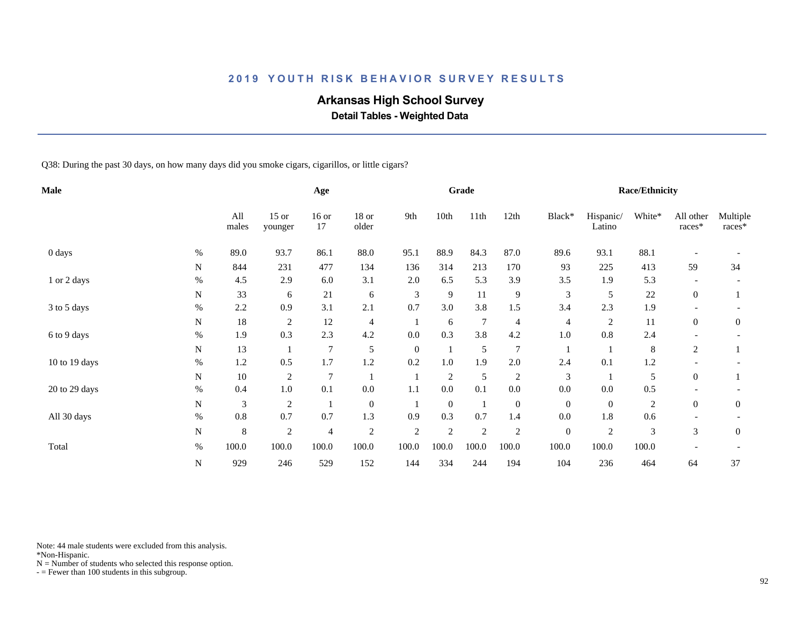## **Arkansas High School Survey**

 **Detail Tables - Weighted Data**

Q38: During the past 30 days, on how many days did you smoke cigars, cigarillos, or little cigars?

| <b>Male</b>   |           |              |                    | Age            |                  |                |              | Grade         |                |                  |                     | <b>Race/Ethnicity</b> |                     |                    |
|---------------|-----------|--------------|--------------------|----------------|------------------|----------------|--------------|---------------|----------------|------------------|---------------------|-----------------------|---------------------|--------------------|
|               |           | All<br>males | $15$ or<br>younger | $16$ or<br>17  | 18 or<br>older   | 9th            | 10th         | 11th          | 12th           | Black*           | Hispanic/<br>Latino | White*                | All other<br>races* | Multiple<br>races* |
| 0 days        | $\%$      | 89.0         | 93.7               | 86.1           | 88.0             | 95.1           | 88.9         | 84.3          | 87.0           | 89.6             | 93.1                | 88.1                  |                     |                    |
|               | N         | 844          | 231                | 477            | 134              | 136            | 314          | 213           | 170            | 93               | 225                 | 413                   | 59                  | 34                 |
| 1 or 2 days   | $\%$      | 4.5          | 2.9                | 6.0            | 3.1              | 2.0            | 6.5          | 5.3           | 3.9            | 3.5              | 1.9                 | 5.3                   |                     |                    |
|               | N         | 33           | 6                  | 21             | 6                | 3              | 9            | 11            | 9              | 3                | 5                   | $22\,$                | $\overline{0}$      |                    |
| 3 to 5 days   | $\%$      | 2.2          | 0.9                | 3.1            | 2.1              | 0.7            | 3.0          | 3.8           | 1.5            | 3.4              | 2.3                 | 1.9                   |                     |                    |
|               | N         | 18           | $\overline{c}$     | 12             | 4                |                | 6            | 7             | 4              | 4                | $\overline{c}$      | 11                    | $\overline{0}$      | $\boldsymbol{0}$   |
| 6 to 9 days   | $\%$      | 1.9          | 0.3                | 2.3            | 4.2              | 0.0            | 0.3          | 3.8           | 4.2            | 1.0              | 0.8                 | 2.4                   |                     |                    |
|               | N         | 13           |                    | 7              | 5                | $\mathbf{0}$   |              | $\mathfrak s$ | $\overline{7}$ |                  |                     | 8                     | 2                   |                    |
| 10 to 19 days | $\%$      | $1.2\,$      | 0.5                | 1.7            | 1.2              | 0.2            | $1.0\,$      | 1.9           | $2.0$          | 2.4              | 0.1                 | 1.2                   |                     |                    |
|               | N         | $10\,$       | $\overline{c}$     | 7              |                  |                | 2            | 5             | $\overline{c}$ | $\mathfrak 3$    |                     | 5                     | $\overline{0}$      |                    |
| 20 to 29 days | $\%$      | 0.4          | $1.0\,$            | 0.1            | 0.0              | 1.1            | $0.0\,$      | 0.1           | $0.0\,$        | 0.0              | $0.0\,$             | 0.5                   |                     |                    |
|               | N         | 3            | $\overline{c}$     | 1              | $\boldsymbol{0}$ |                | $\mathbf{0}$ | $\mathbf{1}$  | $\overline{0}$ | $\overline{0}$   | $\mathbf{0}$        | $\overline{c}$        | $\overline{0}$      | $\overline{0}$     |
| All 30 days   | $\%$      | $0.8\,$      | 0.7                | 0.7            | 1.3              | 0.9            | 0.3          | 0.7           | 1.4            | 0.0              | 1.8                 | 0.6                   |                     |                    |
|               | ${\bf N}$ | 8            | $\mathfrak{2}$     | $\overline{4}$ | $\overline{c}$   | $\overline{2}$ | 2            | $\sqrt{2}$    | $\mathfrak{2}$ | $\boldsymbol{0}$ | $\overline{2}$      | 3                     | 3                   | $\overline{0}$     |
| Total         | $\%$      | 100.0        | 100.0              | 100.0          | 100.0            | 100.0          | 100.0        | 100.0         | 100.0          | 100.0            | 100.0               | 100.0                 |                     |                    |
|               | ${\bf N}$ | 929          | 246                | 529            | 152              | 144            | 334          | 244           | 194            | 104              | 236                 | 464                   | 64                  | 37                 |

Note: 44 male students were excluded from this analysis.

\*Non-Hispanic.

 $N =$  Number of students who selected this response option.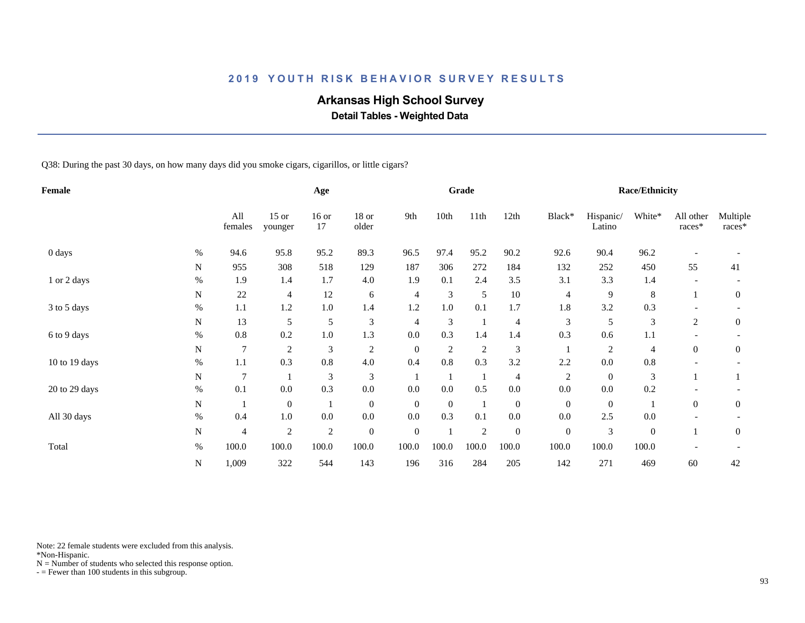## **Arkansas High School Survey**

 **Detail Tables - Weighted Data**

Q38: During the past 30 days, on how many days did you smoke cigars, cigarillos, or little cigars?

| Female        |             |                |                    | Age           |                  |                  |                | Grade          |                  |                  |                     | <b>Race/Ethnicity</b> |                     |                    |
|---------------|-------------|----------------|--------------------|---------------|------------------|------------------|----------------|----------------|------------------|------------------|---------------------|-----------------------|---------------------|--------------------|
|               |             | All<br>females | $15$ or<br>younger | $16$ or<br>17 | 18 or<br>older   | 9th              | 10th           | 11th           | 12th             | Black*           | Hispanic/<br>Latino | White*                | All other<br>races* | Multiple<br>races* |
| 0 days        | %           | 94.6           | 95.8               | 95.2          | 89.3             | 96.5             | 97.4           | 95.2           | 90.2             | 92.6             | 90.4                | 96.2                  |                     |                    |
|               | N           | 955            | 308                | 518           | 129              | 187              | 306            | 272            | 184              | 132              | 252                 | 450                   | 55                  | 41                 |
| 1 or 2 days   | $\%$        | 1.9            | 1.4                | 1.7           | 4.0              | 1.9              | 0.1            | 2.4            | 3.5              | 3.1              | 3.3                 | 1.4                   |                     |                    |
|               | N           | $22\,$         | 4                  | 12            | 6                | $\overline{4}$   | 3              | $\mathfrak s$  | $10\,$           | $\overline{4}$   | 9                   | 8                     |                     | $\mathbf{0}$       |
| 3 to 5 days   | $\%$        | 1.1            | 1.2                | $1.0\,$       | 1.4              | 1.2              | 1.0            | 0.1            | 1.7              | 1.8              | 3.2                 | 0.3                   |                     |                    |
|               | N           | 13             | 5                  | 5             | 3                | 4                | 3              | $\mathbf{1}$   | 4                | 3                | 5                   | 3                     | 2                   | $\mathbf{0}$       |
| 6 to 9 days   | $\%$        | 0.8            | 0.2                | $1.0\,$       | 1.3              | 0.0              | 0.3            | 1.4            | 1.4              | 0.3              | 0.6                 | 1.1                   |                     |                    |
|               | N           | $\tau$         | $\overline{c}$     | 3             | $\overline{c}$   | $\mathbf{0}$     | $\overline{2}$ | $\overline{2}$ | 3                |                  | 2                   | $\overline{4}$        | $\mathbf{0}$        | $\mathbf{0}$       |
| 10 to 19 days | $\%$        | 1.1            | 0.3                | 0.8           | 4.0              | 0.4              | 0.8            | 0.3            | 3.2              | 2.2              | $0.0\,$             | $0.8\,$               |                     |                    |
|               | $\mathbf N$ | $\overline{7}$ |                    | 3             | 3                |                  |                |                | 4                | $\sqrt{2}$       | $\mathbf{0}$        | 3                     |                     |                    |
| 20 to 29 days | $\%$        | 0.1            | 0.0                | 0.3           | $0.0\,$          | 0.0              | 0.0            | 0.5            | $0.0\,$          | 0.0              | $0.0\,$             | 0.2                   |                     |                    |
|               | ${\bf N}$   |                | $\mathbf{0}$       |               | $\boldsymbol{0}$ | $\mathbf{0}$     | $\mathbf{0}$   | $\mathbf{1}$   | $\boldsymbol{0}$ | $\mathbf{0}$     | $\mathbf{0}$        |                       | $\mathbf{0}$        | $\mathbf{0}$       |
| All 30 days   | $\%$        | 0.4            | 1.0                | 0.0           | $0.0\,$          | 0.0              | 0.3            | 0.1            | $0.0\,$          | 0.0              | 2.5                 | 0.0                   |                     |                    |
|               | $\mathbf N$ | $\overline{4}$ | $\sqrt{2}$         | $\sqrt{2}$    | $\boldsymbol{0}$ | $\boldsymbol{0}$ |                | $\sqrt{2}$     | $\boldsymbol{0}$ | $\boldsymbol{0}$ | 3                   | $\boldsymbol{0}$      |                     | $\boldsymbol{0}$   |
| Total         | $\%$        | 100.0          | 100.0              | 100.0         | 100.0            | 100.0            | 100.0          | 100.0          | 100.0            | 100.0            | 100.0               | 100.0                 |                     |                    |
|               | N           | 1,009          | 322                | 544           | 143              | 196              | 316            | 284            | 205              | 142              | 271                 | 469                   | 60                  | 42                 |

Note: 22 female students were excluded from this analysis.

\*Non-Hispanic.

 $N =$  Number of students who selected this response option.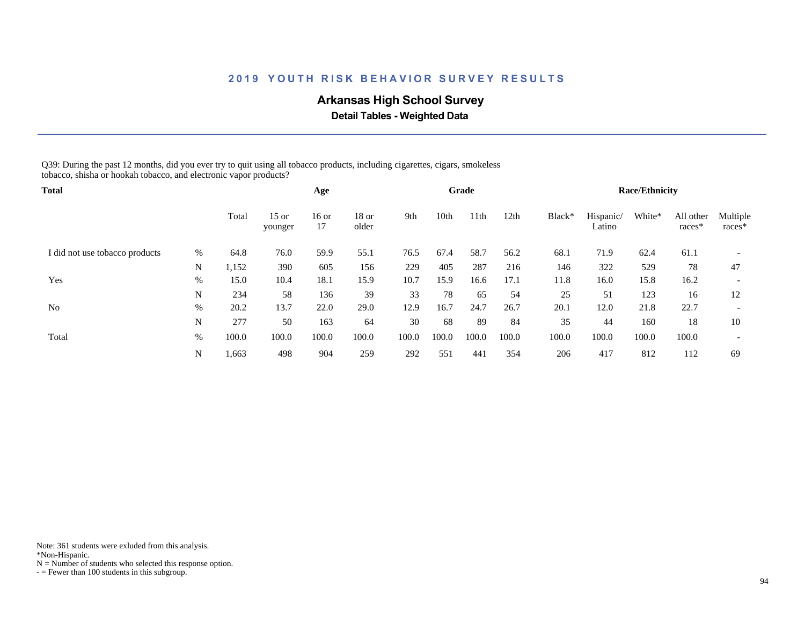## **Arkansas High School Survey**

 **Detail Tables - Weighted Data**

Q39: During the past 12 months, did you ever try to quit using all tobacco products, including cigarettes, cigars, smokeless tobacco, shisha or hookah tobacco, and electronic vapor products?

| Total                          |      |       |                    | Age         |                  |       |       | Grade |       |        |                     | <b>Race/Ethnicity</b> |                       |                    |
|--------------------------------|------|-------|--------------------|-------------|------------------|-------|-------|-------|-------|--------|---------------------|-----------------------|-----------------------|--------------------|
|                                |      | Total | $15$ or<br>younger | 16 or<br>17 | $18$ or<br>older | 9th   | 10th  | 11th  | 12th  | Black* | Hispanic/<br>Latino | White*                | All other<br>$races*$ | Multiple<br>races* |
| I did not use tobacco products | %    | 64.8  | 76.0               | 59.9        | 55.1             | 76.5  | 67.4  | 58.7  | 56.2  | 68.1   | 71.9                | 62.4                  | 61.1                  |                    |
|                                | N    | 1,152 | 390                | 605         | 156              | 229   | 405   | 287   | 216   | 146    | 322                 | 529                   | 78                    | 47                 |
| Yes                            | $\%$ | 15.0  | 10.4               | 18.1        | 15.9             | 10.7  | 15.9  | 16.6  | 17.1  | 11.8   | 16.0                | 15.8                  | 16.2                  |                    |
|                                | N    | 234   | 58                 | 136         | 39               | 33    | 78    | 65    | 54    | 25     | 51                  | 123                   | 16                    | 12                 |
| N <sub>0</sub>                 | %    | 20.2  | 13.7               | 22.0        | 29.0             | 12.9  | 16.7  | 24.7  | 26.7  | 20.1   | 12.0                | 21.8                  | 22.7                  |                    |
|                                | N    | 277   | 50                 | 163         | 64               | 30    | 68    | 89    | 84    | 35     | 44                  | 160                   | 18                    | 10                 |
| Total                          | %    | 100.0 | 100.0              | 100.0       | 100.0            | 100.0 | 100.0 | 100.0 | 100.0 | 100.0  | 100.0               | 100.0                 | 100.0                 |                    |
|                                | N    | 1,663 | 498                | 904         | 259              | 292   | 551   | 441   | 354   | 206    | 417                 | 812                   | 112                   | 69                 |

Note: 361 students were exluded from this analysis.

\*Non-Hispanic.

 $N =$  Number of students who selected this response option.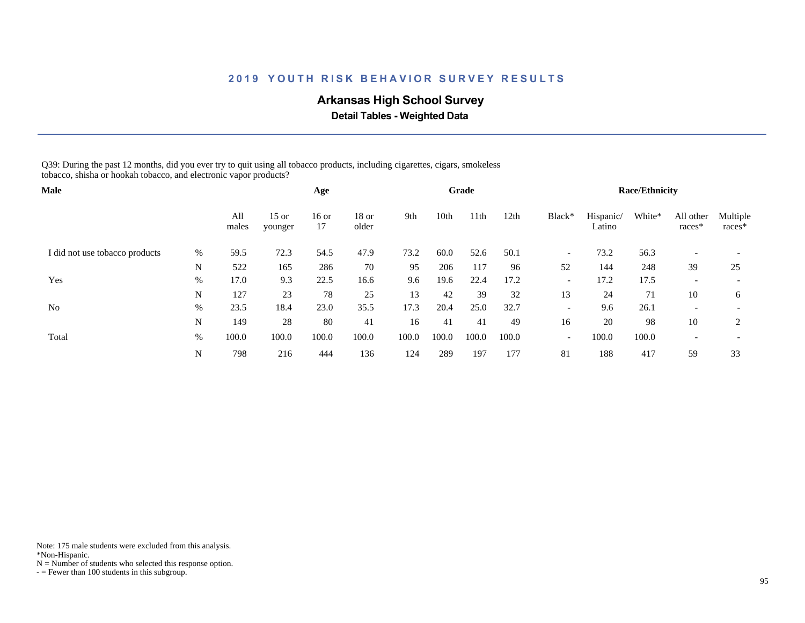## **Arkansas High School Survey**

 **Detail Tables - Weighted Data**

Q39: During the past 12 months, did you ever try to quit using all tobacco products, including cigarettes, cigars, smokeless tobacco, shisha or hookah tobacco, and electronic vapor products?

| <b>Male</b>                    |      |              |                    | Age           |                  |       |       | Grade |       |                          |                     | <b>Race/Ethnicity</b> |                          |                          |
|--------------------------------|------|--------------|--------------------|---------------|------------------|-------|-------|-------|-------|--------------------------|---------------------|-----------------------|--------------------------|--------------------------|
|                                |      | All<br>males | $15$ or<br>younger | $16$ or<br>17 | $18$ or<br>older | 9th   | 10th  | 11th  | 12th  | Black*                   | Hispanic/<br>Latino | White*                | All other<br>races*      | Multiple<br>$races*$     |
| I did not use tobacco products | $\%$ | 59.5         | 72.3               | 54.5          | 47.9             | 73.2  | 60.0  | 52.6  | 50.1  | $\overline{\phantom{a}}$ | 73.2                | 56.3                  | $\overline{\phantom{0}}$ |                          |
|                                | N    | 522          | 165                | 286           | 70               | 95    | 206   | 117   | 96    | 52                       | 144                 | 248                   | 39                       | 25                       |
| Yes                            | $\%$ | 17.0         | 9.3                | 22.5          | 16.6             | 9.6   | 19.6  | 22.4  | 17.2  | $\overline{\phantom{a}}$ | 17.2                | 17.5                  | $\overline{\phantom{0}}$ | $\overline{\phantom{0}}$ |
|                                | N    | 127          | 23                 | 78            | 25               | 13    | 42    | 39    | 32    | 13                       | 24                  | 71                    | 10                       | 6                        |
| N <sub>o</sub>                 | $\%$ | 23.5         | 18.4               | 23.0          | 35.5             | 17.3  | 20.4  | 25.0  | 32.7  | $\overline{\phantom{a}}$ | 9.6                 | 26.1                  | $\overline{\phantom{0}}$ |                          |
|                                | N    | 149          | 28                 | 80            | 41               | 16    | 41    | 41    | 49    | 16                       | 20                  | 98                    | 10                       | 2                        |
| Total                          | %    | 100.0        | 100.0              | 100.0         | 100.0            | 100.0 | 100.0 | 100.0 | 100.0 | $\overline{\phantom{a}}$ | 100.0               | 100.0                 | $\overline{\phantom{0}}$ | $\overline{\phantom{0}}$ |
|                                | N    | 798          | 216                | 444           | 136              | 124   | 289   | 197   | 177   | 81                       | 188                 | 417                   | 59                       | 33                       |

Note: 175 male students were excluded from this analysis.

\*Non-Hispanic.

 $N =$  Number of students who selected this response option.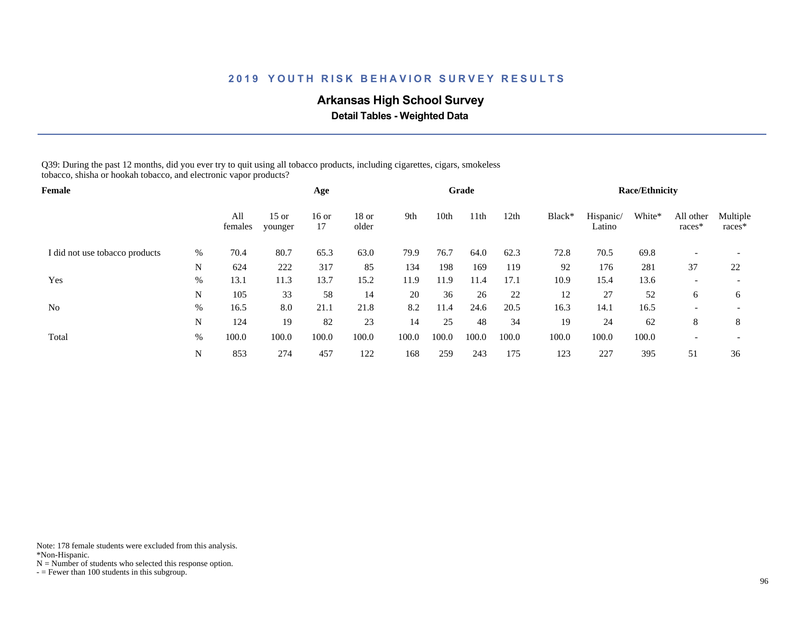## **Arkansas High School Survey**

 **Detail Tables - Weighted Data**

Q39: During the past 12 months, did you ever try to quit using all tobacco products, including cigarettes, cigars, smokeless tobacco, shisha or hookah tobacco, and electronic vapor products?

| <b>Female</b>                  |      |                |                    | Age           |                  |       |       | Grade |       |        |                     | <b>Race/Ethnicity</b> |                          |                          |
|--------------------------------|------|----------------|--------------------|---------------|------------------|-------|-------|-------|-------|--------|---------------------|-----------------------|--------------------------|--------------------------|
|                                |      | All<br>females | $15$ or<br>younger | $16$ or<br>17 | $18$ or<br>older | 9th   | 10th  | 11th  | 12th  | Black* | Hispanic/<br>Latino | White*                | All other<br>races*      | Multiple<br>races*       |
| I did not use tobacco products | $\%$ | 70.4           | 80.7               | 65.3          | 63.0             | 79.9  | 76.7  | 64.0  | 62.3  | 72.8   | 70.5                | 69.8                  |                          |                          |
|                                | N    | 624            | 222                | 317           | 85               | 134   | 198   | 169   | 119   | 92     | 176                 | 281                   | 37                       | 22                       |
| Yes                            | $\%$ | 13.1           | 11.3               | 13.7          | 15.2             | 11.9  | 11.9  | 11.4  | 17.1  | 10.9   | 15.4                | 13.6                  | $\overline{\phantom{0}}$ | $\overline{\phantom{0}}$ |
|                                | N    | 105            | 33                 | 58            | 14               | 20    | 36    | 26    | 22    | 12     | 27                  | 52                    | 6                        | 6                        |
| N <sub>o</sub>                 | $\%$ | 16.5           | 8.0                | 21.1          | 21.8             | 8.2   | 11.4  | 24.6  | 20.5  | 16.3   | 14.1                | 16.5                  |                          |                          |
|                                | N    | 124            | 19                 | 82            | 23               | 14    | 25    | 48    | 34    | 19     | 24                  | 62                    | 8                        | 8                        |
| Total                          | %    | 100.0          | 100.0              | 100.0         | 100.0            | 100.0 | 100.0 | 100.0 | 100.0 | 100.0  | 100.0               | 100.0                 |                          | $\overline{\phantom{a}}$ |
|                                | N    | 853            | 274                | 457           | 122              | 168   | 259   | 243   | 175   | 123    | 227                 | 395                   | 51                       | 36                       |

Note: 178 female students were excluded from this analysis.

\*Non-Hispanic.

 $N =$  Number of students who selected this response option.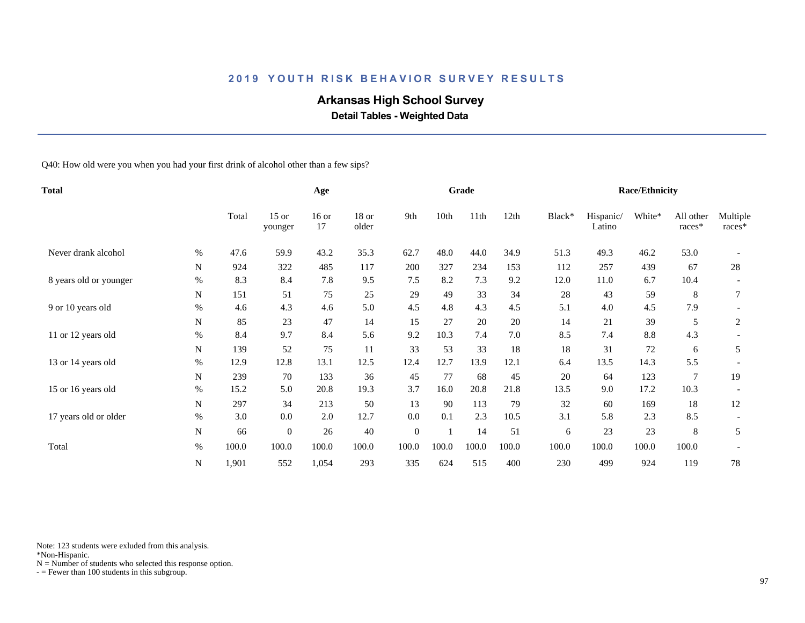## **Arkansas High School Survey**

 **Detail Tables - Weighted Data**

Q40: How old were you when you had your first drink of alcohol other than a few sips?

| <b>Total</b>           |           |       | Age                |               |                |                  | Grade |       |       |        | <b>Race/Ethnicity</b> |        |                     |                    |
|------------------------|-----------|-------|--------------------|---------------|----------------|------------------|-------|-------|-------|--------|-----------------------|--------|---------------------|--------------------|
|                        |           | Total | $15$ or<br>younger | $16$ or<br>17 | 18 or<br>older | 9th              | 10th  | 11th  | 12th  | Black* | Hispanic/<br>Latino   | White* | All other<br>races* | Multiple<br>races* |
| Never drank alcohol    | $\%$      | 47.6  | 59.9               | 43.2          | 35.3           | 62.7             | 48.0  | 44.0  | 34.9  | 51.3   | 49.3                  | 46.2   | 53.0                |                    |
|                        | N         | 924   | 322                | 485           | 117            | 200              | 327   | 234   | 153   | 112    | 257                   | 439    | 67                  | 28                 |
| 8 years old or younger | $\%$      | 8.3   | 8.4                | 7.8           | 9.5            | 7.5              | 8.2   | 7.3   | 9.2   | 12.0   | 11.0                  | 6.7    | 10.4                |                    |
|                        | N         | 151   | 51                 | 75            | 25             | 29               | 49    | 33    | 34    | 28     | 43                    | 59     | 8                   |                    |
| 9 or 10 years old      | %         | 4.6   | 4.3                | 4.6           | 5.0            | 4.5              | 4.8   | 4.3   | 4.5   | 5.1    | 4.0                   | 4.5    | 7.9                 |                    |
|                        | N         | 85    | 23                 | 47            | 14             | 15               | 27    | 20    | 20    | 14     | 21                    | 39     | 5                   | 2                  |
| 11 or 12 years old     | $\%$      | 8.4   | 9.7                | 8.4           | 5.6            | 9.2              | 10.3  | 7.4   | 7.0   | 8.5    | 7.4                   | 8.8    | 4.3                 |                    |
|                        | N         | 139   | 52                 | 75            | 11             | 33               | 53    | 33    | 18    | 18     | 31                    | 72     | 6                   | 5                  |
| 13 or 14 years old     | %         | 12.9  | 12.8               | 13.1          | 12.5           | 12.4             | 12.7  | 13.9  | 12.1  | 6.4    | 13.5                  | 14.3   | 5.5                 |                    |
|                        | N         | 239   | 70                 | 133           | 36             | 45               | 77    | 68    | 45    | 20     | 64                    | 123    | $\tau$              | 19                 |
| 15 or 16 years old     | $\%$      | 15.2  | 5.0                | 20.8          | 19.3           | 3.7              | 16.0  | 20.8  | 21.8  | 13.5   | 9.0                   | 17.2   | 10.3                |                    |
|                        | ${\bf N}$ | 297   | 34                 | 213           | 50             | 13               | 90    | 113   | 79    | 32     | 60                    | 169    | 18                  | 12                 |
| 17 years old or older  | $\%$      | 3.0   | 0.0                | 2.0           | 12.7           | 0.0              | 0.1   | 2.3   | 10.5  | 3.1    | 5.8                   | 2.3    | 8.5                 |                    |
|                        | ${\bf N}$ | 66    | $\theta$           | 26            | 40             | $\boldsymbol{0}$ |       | 14    | 51    | 6      | 23                    | 23     | 8                   | 5                  |
| Total                  | $\%$      | 100.0 | 100.0              | 100.0         | 100.0          | 100.0            | 100.0 | 100.0 | 100.0 | 100.0  | 100.0                 | 100.0  | 100.0               |                    |
|                        | N         | 1,901 | 552                | 1,054         | 293            | 335              | 624   | 515   | 400   | 230    | 499                   | 924    | 119                 | 78                 |

Note: 123 students were exluded from this analysis.

\*Non-Hispanic.

 $N =$  Number of students who selected this response option.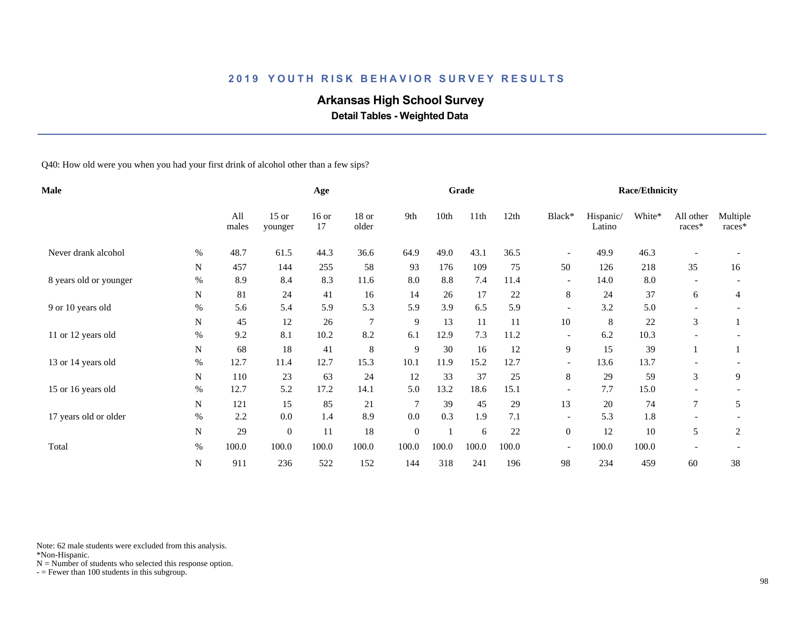## **Arkansas High School Survey**

 **Detail Tables - Weighted Data**

Q40: How old were you when you had your first drink of alcohol other than a few sips?

| Male                   |             |              |                    | Age           |                  |                |       | Grade |       |                          |                     | <b>Race/Ethnicity</b> |                          |                    |
|------------------------|-------------|--------------|--------------------|---------------|------------------|----------------|-------|-------|-------|--------------------------|---------------------|-----------------------|--------------------------|--------------------|
|                        |             | All<br>males | $15$ or<br>younger | $16$ or<br>17 | $18$ or<br>older | 9th            | 10th  | 11th  | 12th  | Black*                   | Hispanic/<br>Latino | White*                | All other<br>races*      | Multiple<br>races* |
| Never drank alcohol    | %           | 48.7         | 61.5               | 44.3          | 36.6             | 64.9           | 49.0  | 43.1  | 36.5  | $\overline{\phantom{a}}$ | 49.9                | 46.3                  |                          |                    |
|                        | $\mathbf N$ | 457          | 144                | 255           | 58               | 93             | 176   | 109   | 75    | 50                       | 126                 | 218                   | 35                       | 16                 |
| 8 years old or younger | $\%$        | 8.9          | 8.4                | 8.3           | 11.6             | 8.0            | 8.8   | 7.4   | 11.4  | $\overline{\phantom{a}}$ | 14.0                | 8.0                   | $\overline{\phantom{a}}$ |                    |
|                        | N           | 81           | 24                 | 41            | 16               | 14             | 26    | 17    | 22    | 8                        | 24                  | 37                    | 6                        | 4                  |
| 9 or 10 years old      | $\%$        | 5.6          | 5.4                | 5.9           | 5.3              | 5.9            | 3.9   | 6.5   | 5.9   | $\overline{\phantom{a}}$ | 3.2                 | 5.0                   | $\overline{\phantom{a}}$ |                    |
|                        | N           | 45           | 12                 | 26            | $\overline{7}$   | 9              | 13    | 11    | 11    | 10                       | 8                   | 22                    | 3                        |                    |
| 11 or 12 years old     | $\%$        | 9.2          | 8.1                | 10.2          | 8.2              | 6.1            | 12.9  | 7.3   | 11.2  |                          | 6.2                 | 10.3                  |                          |                    |
|                        | N           | 68           | 18                 | 41            | $\,8\,$          | 9              | 30    | 16    | 12    | 9                        | 15                  | 39                    |                          |                    |
| 13 or 14 years old     | $\%$        | 12.7         | 11.4               | 12.7          | 15.3             | 10.1           | 11.9  | 15.2  | 12.7  | $\overline{\phantom{a}}$ | 13.6                | 13.7                  |                          |                    |
|                        | N           | 110          | 23                 | 63            | 24               | 12             | 33    | 37    | 25    | 8                        | 29                  | 59                    | 3                        | 9                  |
| 15 or 16 years old     | $\%$        | 12.7         | 5.2                | 17.2          | 14.1             | 5.0            | 13.2  | 18.6  | 15.1  | $\overline{\phantom{a}}$ | 7.7                 | 15.0                  |                          |                    |
|                        | N           | 121          | 15                 | 85            | 21               | $\overline{7}$ | 39    | 45    | 29    | 13                       | 20                  | 74                    | 7                        | 5                  |
| 17 years old or older  | $\%$        | 2.2          | 0.0                | 1.4           | 8.9              | 0.0            | 0.3   | 1.9   | 7.1   | $\overline{\phantom{a}}$ | 5.3                 | 1.8                   |                          |                    |
|                        | N           | 29           | $\overline{0}$     | 11            | 18               | $\mathbf{0}$   |       | 6     | 22    | $\boldsymbol{0}$         | 12                  | 10                    | 5                        | 2                  |
| Total                  | $\%$        | 100.0        | 100.0              | 100.0         | 100.0            | 100.0          | 100.0 | 100.0 | 100.0 | $\overline{\phantom{a}}$ | 100.0               | 100.0                 |                          |                    |
|                        | ${\bf N}$   | 911          | 236                | 522           | 152              | 144            | 318   | 241   | 196   | 98                       | 234                 | 459                   | 60                       | 38                 |

Note: 62 male students were excluded from this analysis.

\*Non-Hispanic.

 $N =$  Number of students who selected this response option.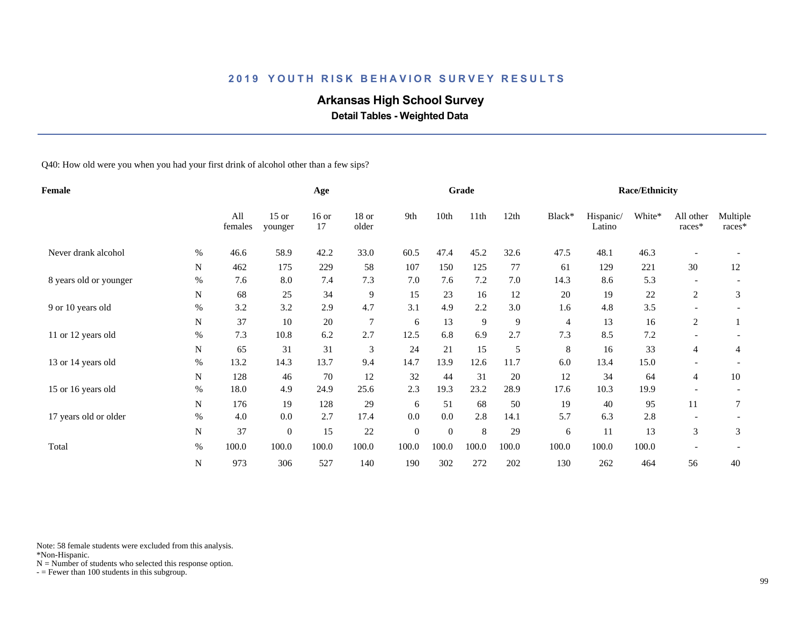## **Arkansas High School Survey**

 **Detail Tables - Weighted Data**

Q40: How old were you when you had your first drink of alcohol other than a few sips?

| Female                 |             |                |                    | Age           |                  |                  |          | Grade |       |                |                     | <b>Race/Ethnicity</b> |                          |                    |
|------------------------|-------------|----------------|--------------------|---------------|------------------|------------------|----------|-------|-------|----------------|---------------------|-----------------------|--------------------------|--------------------|
|                        |             | All<br>females | $15$ or<br>younger | $16$ or<br>17 | $18$ or<br>older | 9th              | 10th     | 11th  | 12th  | Black*         | Hispanic/<br>Latino | White*                | All other<br>races*      | Multiple<br>races* |
| Never drank alcohol    | $\%$        | 46.6           | 58.9               | 42.2          | 33.0             | 60.5             | 47.4     | 45.2  | 32.6  | 47.5           | 48.1                | 46.3                  |                          |                    |
|                        | $\mathbf N$ | 462            | 175                | 229           | 58               | 107              | 150      | 125   | 77    | 61             | 129                 | 221                   | 30                       | 12                 |
| 8 years old or younger | $\%$        | 7.6            | 8.0                | 7.4           | 7.3              | 7.0              | 7.6      | 7.2   | 7.0   | 14.3           | 8.6                 | 5.3                   |                          |                    |
|                        | N           | 68             | 25                 | 34            | 9                | 15               | 23       | 16    | 12    | 20             | 19                  | 22                    | 2                        | 3                  |
| 9 or 10 years old      | $\%$        | 3.2            | 3.2                | 2.9           | 4.7              | 3.1              | 4.9      | 2.2   | 3.0   | 1.6            | 4.8                 | 3.5                   | $\overline{\phantom{a}}$ |                    |
|                        | N           | 37             | 10                 | 20            | $\overline{7}$   | 6                | 13       | 9     | 9     | $\overline{4}$ | 13                  | 16                    | 2                        |                    |
| 11 or 12 years old     | $\%$        | 7.3            | 10.8               | 6.2           | 2.7              | 12.5             | 6.8      | 6.9   | 2.7   | 7.3            | 8.5                 | $7.2\,$               |                          |                    |
|                        | N           | 65             | 31                 | 31            | 3                | 24               | 21       | 15    | 5     | 8              | 16                  | 33                    | $\overline{4}$           | 4                  |
| 13 or 14 years old     | %           | 13.2           | 14.3               | 13.7          | 9.4              | 14.7             | 13.9     | 12.6  | 11.7  | 6.0            | 13.4                | 15.0                  |                          |                    |
|                        | N           | 128            | 46                 | 70            | 12               | 32               | 44       | 31    | 20    | 12             | 34                  | 64                    | 4                        | 10                 |
| 15 or 16 years old     | $\%$        | 18.0           | 4.9                | 24.9          | 25.6             | 2.3              | 19.3     | 23.2  | 28.9  | 17.6           | 10.3                | 19.9                  |                          |                    |
|                        | N           | 176            | 19                 | 128           | 29               | 6                | 51       | 68    | 50    | 19             | 40                  | 95                    | 11                       | 7                  |
| 17 years old or older  | $\%$        | 4.0            | 0.0                | 2.7           | 17.4             | 0.0              | 0.0      | 2.8   | 14.1  | 5.7            | 6.3                 | 2.8                   |                          |                    |
|                        | N           | 37             | $\theta$           | 15            | 22               | $\boldsymbol{0}$ | $\theta$ | 8     | 29    | 6              | 11                  | 13                    | 3                        | 3                  |
| Total                  | $\%$        | 100.0          | 100.0              | 100.0         | 100.0            | 100.0            | 100.0    | 100.0 | 100.0 | 100.0          | 100.0               | 100.0                 |                          |                    |
|                        | ${\bf N}$   | 973            | 306                | 527           | 140              | 190              | 302      | 272   | 202   | 130            | 262                 | 464                   | 56                       | 40                 |

Note: 58 female students were excluded from this analysis.

\*Non-Hispanic.

 $N =$  Number of students who selected this response option.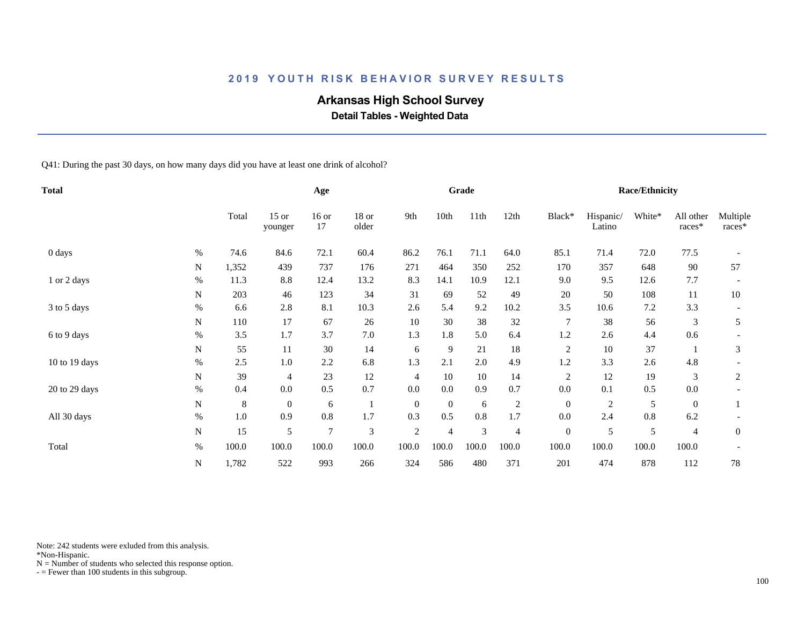## **Arkansas High School Survey**

 **Detail Tables - Weighted Data**

Q41: During the past 30 days, on how many days did you have at least one drink of alcohol?

| <b>Total</b>  |           |       |                    | Age            |                  |                |                | Grade          |                |                  |                     | <b>Race/Ethnicity</b> |                     |                    |
|---------------|-----------|-------|--------------------|----------------|------------------|----------------|----------------|----------------|----------------|------------------|---------------------|-----------------------|---------------------|--------------------|
|               |           | Total | $15$ or<br>younger | $16$ or<br>17  | $18$ or<br>older | 9th            | 10th           | 11th           | 12th           | Black*           | Hispanic/<br>Latino | White*                | All other<br>races* | Multiple<br>races* |
| 0 days        | $\%$      | 74.6  | 84.6               | 72.1           | 60.4             | 86.2           | 76.1           | 71.1           | 64.0           | 85.1             | 71.4                | 72.0                  | 77.5                |                    |
|               | N         | 1,352 | 439                | 737            | 176              | 271            | 464            | 350            | 252            | 170              | 357                 | 648                   | 90                  | 57                 |
| 1 or 2 days   | $\%$      | 11.3  | 8.8                | 12.4           | 13.2             | 8.3            | 14.1           | 10.9           | 12.1           | 9.0              | 9.5                 | 12.6                  | 7.7                 |                    |
|               | N         | 203   | 46                 | 123            | 34               | 31             | 69             | 52             | 49             | 20               | 50                  | 108                   | 11                  | 10                 |
| 3 to 5 days   | %         | 6.6   | 2.8                | 8.1            | 10.3             | 2.6            | 5.4            | 9.2            | 10.2           | 3.5              | 10.6                | 7.2                   | 3.3                 |                    |
|               | N         | 110   | 17                 | 67             | 26               | 10             | 30             | 38             | 32             | 7                | 38                  | 56                    | 3                   | 5                  |
| 6 to 9 days   | $\%$      | 3.5   | 1.7                | 3.7            | 7.0              | 1.3            | 1.8            | 5.0            | 6.4            | 1.2              | 2.6                 | 4.4                   | 0.6                 |                    |
|               | N         | 55    | 11                 | 30             | 14               | 6              | 9              | 21             | 18             | $\overline{c}$   | $10\,$              | 37                    |                     | 3                  |
| 10 to 19 days | $\%$      | 2.5   | 1.0                | 2.2            | 6.8              | 1.3            | 2.1            | 2.0            | 4.9            | 1.2              | 3.3                 | 2.6                   | 4.8                 |                    |
|               | N         | 39    | 4                  | 23             | 12               | $\overline{4}$ | 10             | 10             | 14             | $\sqrt{2}$       | 12                  | 19                    | 3                   | 2                  |
| 20 to 29 days | $\%$      | 0.4   | $0.0\,$            | 0.5            | 0.7              | $0.0\,$        | 0.0            | 0.9            | 0.7            | 0.0              | 0.1                 | 0.5                   | $0.0\,$             |                    |
|               | ${\bf N}$ | 8     | $\boldsymbol{0}$   | 6              |                  | $\overline{0}$ | $\overline{0}$ | 6              | $\overline{c}$ | $\mathbf{0}$     | 2                   | 5                     | $\overline{0}$      |                    |
| All 30 days   | $\%$      | 1.0   | 0.9                | 0.8            | 1.7              | 0.3            | 0.5            | 0.8            | 1.7            | 0.0              | 2.4                 | 0.8                   | 6.2                 |                    |
|               | ${\bf N}$ | 15    | 5                  | $\overline{7}$ | 3                | $\sqrt{2}$     | 4              | $\mathfrak{Z}$ | 4              | $\boldsymbol{0}$ | 5                   | 5                     | $\overline{4}$      | $\overline{0}$     |
| Total         | $\%$      | 100.0 | 100.0              | 100.0          | 100.0            | 100.0          | 100.0          | 100.0          | 100.0          | 100.0            | 100.0               | 100.0                 | 100.0               |                    |
|               | ${\bf N}$ | 1,782 | 522                | 993            | 266              | 324            | 586            | 480            | 371            | 201              | 474                 | 878                   | 112                 | 78                 |

Note: 242 students were exluded from this analysis.

\*Non-Hispanic.

 $N =$  Number of students who selected this response option.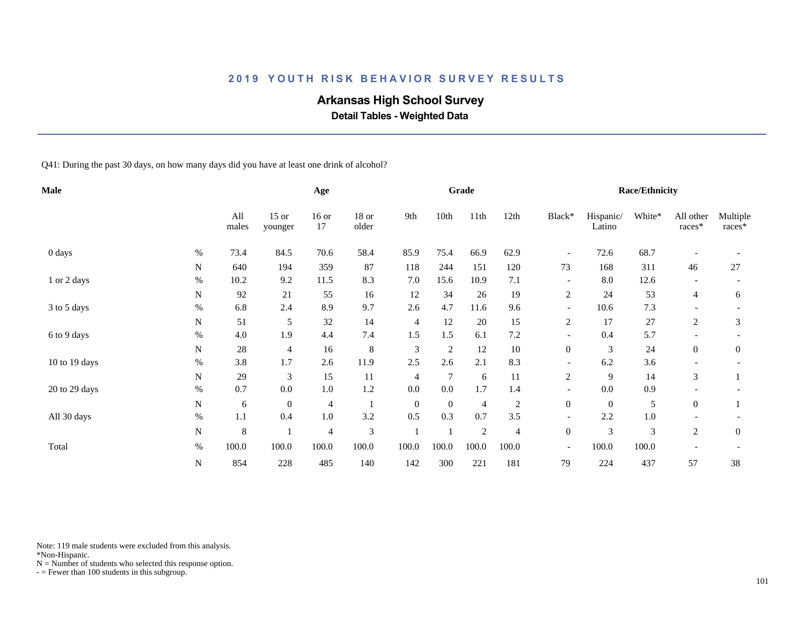## **Arkansas High School Survey**

 **Detail Tables - Weighted Data**

Q41: During the past 30 days, on how many days did you have at least one drink of alcohol?

| <b>Male</b>   |           |              |                    | Age            |                |                |                | Grade          |                |                          |                     | <b>Race/Ethnicity</b> |                     |                      |
|---------------|-----------|--------------|--------------------|----------------|----------------|----------------|----------------|----------------|----------------|--------------------------|---------------------|-----------------------|---------------------|----------------------|
|               |           | All<br>males | $15$ or<br>younger | $16$ or<br>17  | 18 or<br>older | 9th            | 10th           | 11th           | 12th           | Black*                   | Hispanic/<br>Latino | White*                | All other<br>races* | Multiple<br>$races*$ |
| 0 days        | $\%$      | 73.4         | 84.5               | 70.6           | 58.4           | 85.9           | 75.4           | 66.9           | 62.9           | $\overline{\phantom{a}}$ | 72.6                | 68.7                  |                     |                      |
|               | N         | 640          | 194                | 359            | 87             | 118            | 244            | 151            | 120            | 73                       | 168                 | 311                   | 46                  | 27                   |
| 1 or 2 days   | $\%$      | 10.2         | 9.2                | 11.5           | 8.3            | 7.0            | 15.6           | 10.9           | 7.1            | $\overline{\phantom{a}}$ | 8.0                 | 12.6                  |                     |                      |
|               | ${\bf N}$ | 92           | 21                 | 55             | 16             | 12             | 34             | 26             | 19             | $\overline{c}$           | 24                  | 53                    | $\overline{4}$      | 6                    |
| 3 to 5 days   | $\%$      | 6.8          | 2.4                | 8.9            | 9.7            | 2.6            | 4.7            | 11.6           | 9.6            | $\overline{\phantom{a}}$ | 10.6                | 7.3                   |                     |                      |
|               | N         | 51           | 5                  | 32             | 14             | $\overline{4}$ | 12             | 20             | 15             | 2                        | 17                  | 27                    | 2                   | 3                    |
| 6 to 9 days   | $\%$      | 4.0          | 1.9                | 4.4            | 7.4            | 1.5            | 1.5            | 6.1            | 7.2            |                          | 0.4                 | 5.7                   |                     |                      |
|               | N         | 28           | 4                  | 16             | 8              | 3              | $\overline{c}$ | 12             | 10             | $\boldsymbol{0}$         | 3                   | 24                    | $\boldsymbol{0}$    | $\boldsymbol{0}$     |
| 10 to 19 days | $\%$      | 3.8          | 1.7                | 2.6            | 11.9           | 2.5            | 2.6            | 2.1            | 8.3            |                          | 6.2                 | 3.6                   |                     |                      |
|               | N         | 29           | 3                  | 15             | 11             | $\overline{4}$ | $\tau$         | 6              | 11             | 2                        | 9                   | 14                    | 3                   |                      |
| 20 to 29 days | $\%$      | 0.7          | $0.0\,$            | $1.0\,$        | 1.2            | $0.0\,$        | $0.0\,$        | 1.7            | 1.4            | $\overline{\phantom{a}}$ | $0.0\,$             | 0.9                   |                     |                      |
|               | N         | 6            | $\overline{0}$     | $\overline{4}$ |                | $\mathbf{0}$   | $\overline{0}$ | $\overline{4}$ | $\overline{c}$ | $\overline{0}$           | $\mathbf{0}$        | 5                     | $\overline{0}$      |                      |
| All 30 days   | $\%$      | $1.1\,$      | 0.4                | $1.0\,$        | 3.2            | 0.5            | 0.3            | 0.7            | 3.5            | $\overline{\phantom{a}}$ | 2.2                 | $1.0\,$               |                     |                      |
|               | ${\bf N}$ | 8            |                    | $\overline{4}$ | 3              |                |                | $\overline{2}$ | 4              | $\mathbf{0}$             | 3                   | 3                     | $\overline{c}$      | $\overline{0}$       |
| Total         | $\%$      | 100.0        | 100.0              | 100.0          | 100.0          | 100.0          | 100.0          | 100.0          | 100.0          | $\overline{\phantom{a}}$ | 100.0               | 100.0                 |                     |                      |
|               | ${\bf N}$ | 854          | 228                | 485            | 140            | 142            | 300            | 221            | 181            | 79                       | 224                 | 437                   | 57                  | 38                   |

Note: 119 male students were excluded from this analysis.

\*Non-Hispanic.

 $N =$  Number of students who selected this response option.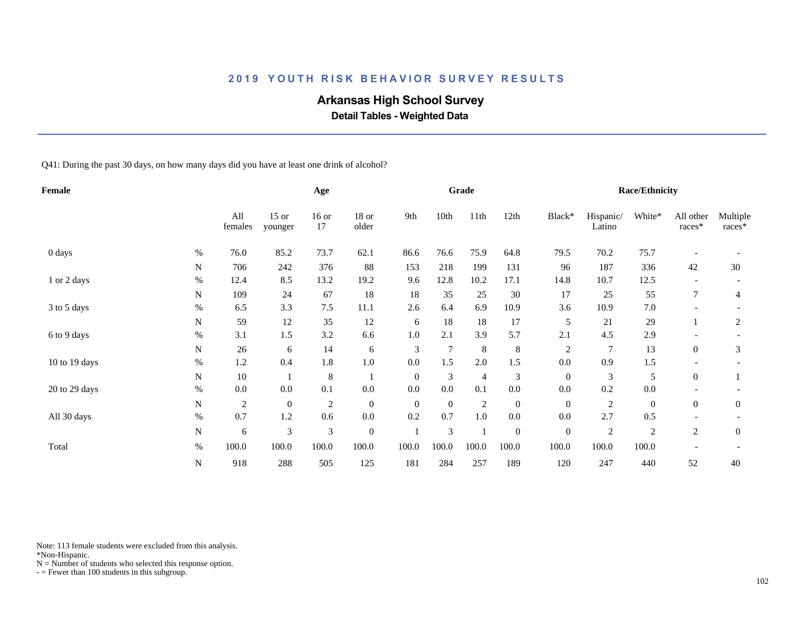## **Arkansas High School Survey**

 **Detail Tables - Weighted Data**

Q41: During the past 30 days, on how many days did you have at least one drink of alcohol?

| <b>Female</b> |           |                |                    | Age                         |                  |                |          | Grade          |                  |                  |                     | <b>Race/Ethnicity</b> |                     |                    |
|---------------|-----------|----------------|--------------------|-----------------------------|------------------|----------------|----------|----------------|------------------|------------------|---------------------|-----------------------|---------------------|--------------------|
|               |           | All<br>females | $15$ or<br>younger | $16$ or<br>17               | 18 or<br>older   | 9th            | 10th     | 11th           | 12th             | Black*           | Hispanic/<br>Latino | White*                | All other<br>races* | Multiple<br>races* |
| 0 days        | $\%$      | 76.0           | 85.2               | 73.7                        | 62.1             | 86.6           | 76.6     | 75.9           | 64.8             | 79.5             | 70.2                | 75.7                  |                     |                    |
|               | N         | 706            | 242                | 376                         | 88               | 153            | 218      | 199            | 131              | 96               | 187                 | 336                   | 42                  | 30                 |
| 1 or 2 days   | $\%$      | 12.4           | 8.5                | 13.2                        | 19.2             | 9.6            | 12.8     | 10.2           | 17.1             | 14.8             | 10.7                | 12.5                  |                     |                    |
|               | N         | 109            | 24                 | 67                          | 18               | 18             | 35       | 25             | $30\,$           | 17               | 25                  | 55                    |                     | 4                  |
| 3 to 5 days   | $\%$      | 6.5            | 3.3                | 7.5                         | 11.1             | 2.6            | 6.4      | 6.9            | 10.9             | 3.6              | 10.9                | 7.0                   |                     |                    |
|               | N         | 59             | 12                 | 35                          | 12               | 6              | 18       | 18             | 17               | 5                | 21                  | 29                    |                     | 2                  |
| 6 to 9 days   | $\%$      | 3.1            | 1.5                | 3.2                         | 6.6              | 1.0            | 2.1      | 3.9            | 5.7              | 2.1              | 4.5                 | 2.9                   |                     |                    |
|               | N         | 26             | 6                  | 14                          | 6                | 3              | 7        | $8\phantom{1}$ | $\,8\,$          | $\overline{c}$   | 7                   | 13                    | $\overline{0}$      | 3                  |
| 10 to 19 days | $\%$      | 1.2            | 0.4                | 1.8                         | $1.0\,$          | 0.0            | 1.5      | 2.0            | 1.5              | 0.0              | 0.9                 | 1.5                   |                     |                    |
|               | N         | $10\,$         |                    | $\,8\,$                     |                  | $\overline{0}$ | 3        | $\overline{4}$ | 3                | $\mathbf{0}$     | $\mathfrak{Z}$      | 5                     | $\overline{0}$      |                    |
| 20 to 29 days | $\%$      | $0.0\,$        | 0.0                | 0.1                         | $0.0\,$          | 0.0            | 0.0      | 0.1            | $0.0\,$          | 0.0              | 0.2                 | $0.0\,$               |                     |                    |
|               | N         | $\overline{c}$ | $\mathbf{0}$       | $\overline{2}$              | $\mathbf{0}$     | $\overline{0}$ | $\theta$ | $\sqrt{2}$     | $\boldsymbol{0}$ | $\mathbf{0}$     | $\overline{c}$      | $\boldsymbol{0}$      | $\overline{0}$      | $\mathbf{0}$       |
| All 30 days   | $\%$      | 0.7            | 1.2                | 0.6                         | $0.0\,$          | 0.2            | 0.7      | $1.0\,$        | $0.0\,$          | 0.0              | 2.7                 | 0.5                   |                     |                    |
|               | ${\bf N}$ | 6              | $\mathfrak{Z}$     | $\ensuremath{\mathfrak{Z}}$ | $\boldsymbol{0}$ |                | 3        |                | $\boldsymbol{0}$ | $\boldsymbol{0}$ | $\sqrt{2}$          | $\mathfrak{2}$        | $\overline{c}$      | $\boldsymbol{0}$   |
| Total         | $\%$      | 100.0          | 100.0              | 100.0                       | 100.0            | 100.0          | 100.0    | 100.0          | 100.0            | 100.0            | 100.0               | 100.0                 |                     |                    |
|               | ${\bf N}$ | 918            | 288                | 505                         | 125              | 181            | 284      | 257            | 189              | 120              | 247                 | 440                   | 52                  | 40                 |

Note: 113 female students were excluded from this analysis.

\*Non-Hispanic.

 $N =$  Number of students who selected this response option.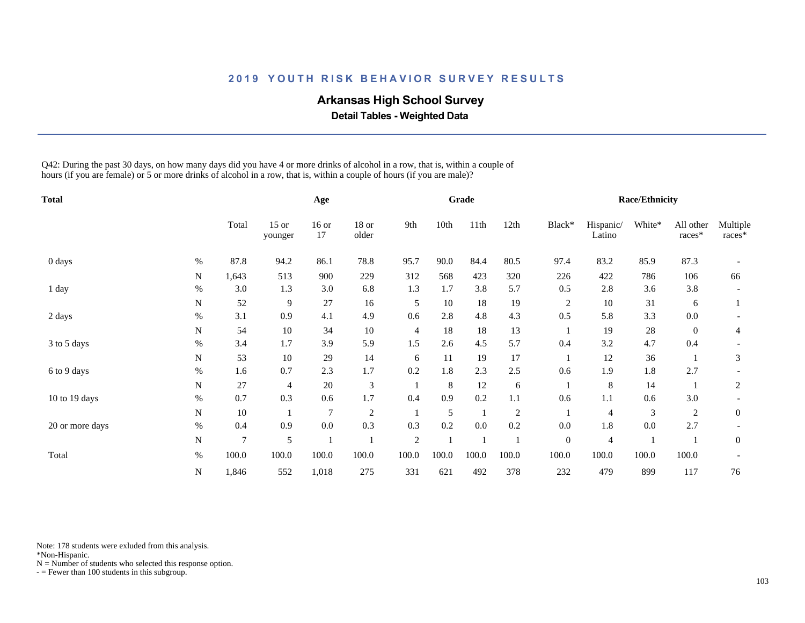# **Arkansas High School Survey**

 **Detail Tables - Weighted Data**

Q42: During the past 30 days, on how many days did you have 4 or more drinks of alcohol in a row, that is, within a couple of hours (if you are female) or 5 or more drinks of alcohol in a row, that is, within a couple of hours (if you are male)?

| <b>Total</b>    |             |       |                    | Age            |                |                |       | Grade |                |                |                     | <b>Race/Ethnicity</b> |                     |                    |
|-----------------|-------------|-------|--------------------|----------------|----------------|----------------|-------|-------|----------------|----------------|---------------------|-----------------------|---------------------|--------------------|
|                 |             | Total | $15$ or<br>younger | $16$ or<br>17  | 18 or<br>older | 9th            | 10th  | 11th  | 12th           | Black*         | Hispanic/<br>Latino | White*                | All other<br>races* | Multiple<br>races* |
| 0 days          | $\%$        | 87.8  | 94.2               | 86.1           | 78.8           | 95.7           | 90.0  | 84.4  | 80.5           | 97.4           | 83.2                | 85.9                  | 87.3                |                    |
|                 | N           | 1,643 | 513                | 900            | 229            | 312            | 568   | 423   | 320            | 226            | 422                 | 786                   | 106                 | 66                 |
| 1 day           | $\%$        | 3.0   | 1.3                | 3.0            | 6.8            | 1.3            | 1.7   | 3.8   | 5.7            | 0.5            | 2.8                 | 3.6                   | 3.8                 |                    |
|                 | N           | 52    | 9                  | 27             | 16             | 5              | 10    | 18    | 19             | $\overline{2}$ | 10                  | 31                    | 6                   |                    |
| 2 days          | $\%$        | 3.1   | 0.9                | 4.1            | 4.9            | 0.6            | 2.8   | 4.8   | 4.3            | 0.5            | 5.8                 | 3.3                   | $0.0\,$             |                    |
|                 | $\mathbf N$ | 54    | 10                 | 34             | 10             | $\overline{4}$ | 18    | 18    | 13             |                | 19                  | $28\,$                | $\overline{0}$      | 4                  |
| 3 to 5 days     | $\%$        | 3.4   | 1.7                | 3.9            | 5.9            | 1.5            | 2.6   | 4.5   | 5.7            | 0.4            | 3.2                 | 4.7                   | 0.4                 |                    |
|                 | ${\bf N}$   | 53    | 10                 | 29             | 14             | 6              | 11    | 19    | 17             |                | 12                  | 36                    |                     | 3                  |
| 6 to 9 days     | $\%$        | 1.6   | 0.7                | 2.3            | 1.7            | 0.2            | 1.8   | 2.3   | 2.5            | 0.6            | 1.9                 | 1.8                   | 2.7                 |                    |
|                 | N           | 27    | 4                  | 20             | 3              |                | 8     | 12    | 6              |                | 8                   | 14                    |                     | $\overline{2}$     |
| 10 to 19 days   | $\%$        | 0.7   | 0.3                | 0.6            | 1.7            | 0.4            | 0.9   | 0.2   | 1.1            | 0.6            | 1.1                 | 0.6                   | 3.0                 |                    |
|                 | N           | 10    |                    | $\overline{7}$ | $\mathfrak{2}$ |                | 5     |       | $\overline{2}$ |                | 4                   | $\mathfrak{Z}$        | 2                   | $\mathbf{0}$       |
| 20 or more days | $\%$        | 0.4   | 0.9                | 0.0            | 0.3            | 0.3            | 0.2   | 0.0   | 0.2            | 0.0            | 1.8                 | 0.0                   | 2.7                 |                    |
|                 | ${\bf N}$   | 7     | 5                  |                |                | $\overline{2}$ |       |       |                | $\mathbf{0}$   | 4                   |                       |                     | $\overline{0}$     |
| Total           | $\%$        | 100.0 | 100.0              | 100.0          | 100.0          | 100.0          | 100.0 | 100.0 | 100.0          | 100.0          | 100.0               | 100.0                 | 100.0               |                    |
|                 | N           | 1,846 | 552                | 1,018          | 275            | 331            | 621   | 492   | 378            | 232            | 479                 | 899                   | 117                 | 76                 |

Note: 178 students were exluded from this analysis.

\*Non-Hispanic.

 $N =$  Number of students who selected this response option.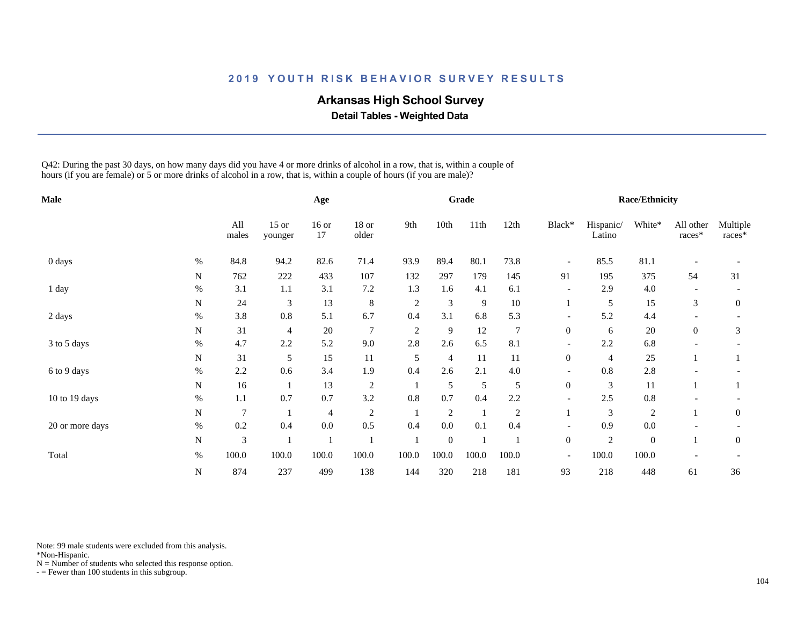## **Arkansas High School Survey**

 **Detail Tables - Weighted Data**

Q42: During the past 30 days, on how many days did you have 4 or more drinks of alcohol in a row, that is, within a couple of hours (if you are female) or 5 or more drinks of alcohol in a row, that is, within a couple of hours (if you are male)?

| Male            |           |                |                    | Age            |                  |                |              | Grade          |                |                          |                     | <b>Race/Ethnicity</b> |                     |                    |
|-----------------|-----------|----------------|--------------------|----------------|------------------|----------------|--------------|----------------|----------------|--------------------------|---------------------|-----------------------|---------------------|--------------------|
|                 |           | All<br>males   | $15$ or<br>younger | $16$ or<br>17  | $18$ or<br>older | 9th            | 10th         | 11th           | 12th           | Black*                   | Hispanic/<br>Latino | White*                | All other<br>races* | Multiple<br>races* |
| 0 days          | $\%$      | 84.8           | 94.2               | 82.6           | 71.4             | 93.9           | 89.4         | 80.1           | 73.8           | $\overline{\phantom{a}}$ | 85.5                | 81.1                  |                     |                    |
|                 | ${\bf N}$ | 762            | 222                | 433            | 107              | 132            | 297          | 179            | 145            | 91                       | 195                 | 375                   | 54                  | 31                 |
| 1 day           | $\%$      | 3.1            | 1.1                | 3.1            | $7.2\,$          | 1.3            | 1.6          | 4.1            | 6.1            | $\overline{\phantom{a}}$ | 2.9                 | 4.0                   |                     |                    |
|                 | ${\bf N}$ | 24             | 3                  | 13             | $\,8\,$          | $\overline{2}$ | 3            | 9              | $10\,$         |                          | 5                   | 15                    | 3                   | $\mathbf{0}$       |
| 2 days          | $\%$      | 3.8            | 0.8                | 5.1            | 6.7              | 0.4            | 3.1          | 6.8            | 5.3            | $\overline{\phantom{a}}$ | 5.2                 | 4.4                   |                     |                    |
|                 | N         | 31             | 4                  | 20             | $\overline{7}$   | $\overline{2}$ | 9            | 12             | $\overline{7}$ | $\boldsymbol{0}$         | 6                   | 20                    | $\overline{0}$      | 3                  |
| 3 to 5 days     | $\%$      | 4.7            | 2.2                | 5.2            | 9.0              | 2.8            | 2.6          | 6.5            | 8.1            |                          | 2.2                 | 6.8                   |                     |                    |
|                 | N         | 31             | 5                  | 15             | 11               | 5              | 4            | 11             | 11             | $\boldsymbol{0}$         | 4                   | 25                    |                     |                    |
| 6 to 9 days     | %         | 2.2            | 0.6                | 3.4            | 1.9              | 0.4            | 2.6          | 2.1            | 4.0            | $\overline{\phantom{a}}$ | 0.8                 | 2.8                   |                     |                    |
|                 | N         | 16             |                    | 13             | $\sqrt{2}$       |                | 5            | $\mathfrak s$  | 5              | $\boldsymbol{0}$         | 3                   | 11                    |                     |                    |
| 10 to 19 days   | $\%$      | $1.1\,$        | 0.7                | 0.7            | 3.2              | 0.8            | 0.7          | 0.4            | 2.2            |                          | 2.5                 | $0.8\,$               |                     |                    |
|                 | N         | $\overline{7}$ |                    | $\overline{4}$ | $\overline{c}$   |                | $\sqrt{2}$   | $\overline{1}$ | $\overline{c}$ |                          | 3                   | 2                     |                     | $\overline{0}$     |
| 20 or more days | $\%$      | 0.2            | 0.4                | 0.0            | 0.5              | 0.4            | 0.0          | 0.1            | 0.4            |                          | 0.9                 | 0.0                   |                     |                    |
|                 | N         | 3              |                    |                |                  |                | $\mathbf{0}$ |                |                | $\boldsymbol{0}$         | $\overline{c}$      | $\mathbf{0}$          |                     | $\mathbf{0}$       |
| Total           | $\%$      | 100.0          | 100.0              | 100.0          | 100.0            | 100.0          | 100.0        | 100.0          | 100.0          | $\overline{\phantom{a}}$ | 100.0               | 100.0                 |                     |                    |
|                 | N         | 874            | 237                | 499            | 138              | 144            | 320          | 218            | 181            | 93                       | 218                 | 448                   | 61                  | 36                 |

Note: 99 male students were excluded from this analysis.

\*Non-Hispanic.

 $N =$  Number of students who selected this response option.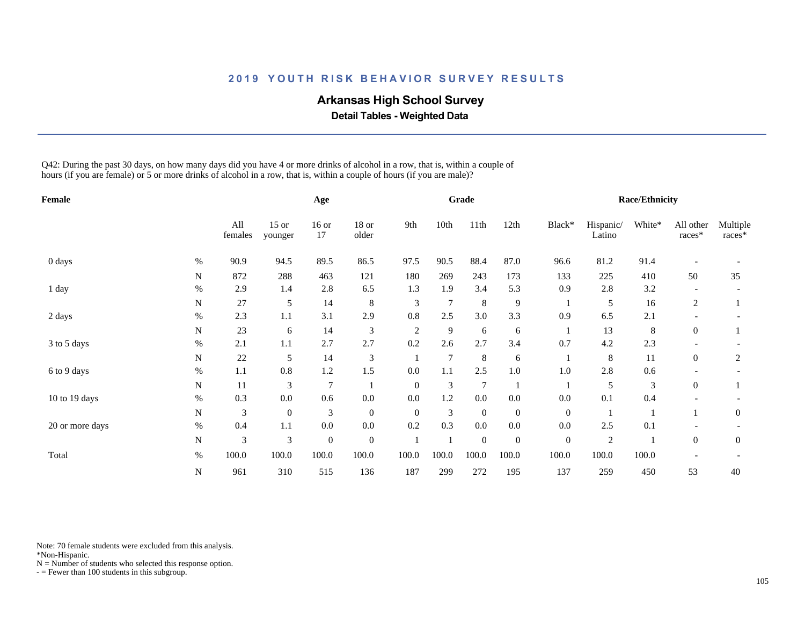# **Arkansas High School Survey**

 **Detail Tables - Weighted Data**

Q42: During the past 30 days, on how many days did you have 4 or more drinks of alcohol in a row, that is, within a couple of hours (if you are female) or 5 or more drinks of alcohol in a row, that is, within a couple of hours (if you are male)?

| Female          |           |                |                    | Age              |                  |                |                | Grade            |                  |                |                     | <b>Race/Ethnicity</b> |                     |                    |
|-----------------|-----------|----------------|--------------------|------------------|------------------|----------------|----------------|------------------|------------------|----------------|---------------------|-----------------------|---------------------|--------------------|
|                 |           | All<br>females | $15$ or<br>younger | $16$ or<br>17    | $18$ or<br>older | 9th            | 10th           | 11th             | 12th             | Black*         | Hispanic/<br>Latino | White*                | All other<br>races* | Multiple<br>races* |
| 0 days          | $\%$      | 90.9           | 94.5               | 89.5             | 86.5             | 97.5           | 90.5           | 88.4             | 87.0             | 96.6           | 81.2                | 91.4                  |                     |                    |
|                 | ${\bf N}$ | 872            | 288                | 463              | 121              | 180            | 269            | 243              | 173              | 133            | 225                 | 410                   | 50                  | 35                 |
| 1 day           | $\%$      | 2.9            | 1.4                | 2.8              | 6.5              | 1.3            | 1.9            | 3.4              | 5.3              | 0.9            | 2.8                 | 3.2                   |                     |                    |
|                 | ${\bf N}$ | 27             | 5                  | 14               | $\,8\,$          | 3              | 7              | $\,8\,$          | 9                |                | 5                   | 16                    | 2                   |                    |
| 2 days          | $\%$      | 2.3            | 1.1                | 3.1              | 2.9              | 0.8            | 2.5            | 3.0              | 3.3              | 0.9            | 6.5                 | 2.1                   |                     |                    |
|                 | N         | 23             | 6                  | 14               | 3                | $\overline{2}$ | 9              | 6                | 6                | -1             | 13                  | $\,8\,$               | $\overline{0}$      |                    |
| 3 to 5 days     | $\%$      | 2.1            | 1.1                | 2.7              | 2.7              | 0.2            | 2.6            | 2.7              | 3.4              | 0.7            | 4.2                 | 2.3                   |                     |                    |
|                 | N         | 22             | 5                  | 14               | $\mathfrak{Z}$   |                | $\overline{7}$ | $\,8\,$          | 6                |                | 8                   | 11                    | $\overline{0}$      | 2                  |
| 6 to 9 days     | %         | 1.1            | 0.8                | 1.2              | 1.5              | 0.0            | 1.1            | 2.5              | $1.0\,$          | 1.0            | 2.8                 | 0.6                   |                     |                    |
|                 | N         | 11             | 3                  | $\overline{7}$   |                  | $\theta$       | 3              | $\overline{7}$   |                  |                | 5                   | 3                     | $\overline{0}$      |                    |
| 10 to 19 days   | $\%$      | 0.3            | 0.0                | 0.6              | 0.0              | 0.0            | 1.2            | 0.0              | $0.0\,$          | 0.0            | 0.1                 | 0.4                   |                     |                    |
|                 | ${\bf N}$ | 3              | $\mathbf{0}$       | $\mathfrak{Z}$   | $\mathbf{0}$     | $\theta$       | 3              | $\boldsymbol{0}$ | $\boldsymbol{0}$ | $\overline{0}$ |                     |                       |                     | $\overline{0}$     |
| 20 or more days | $\%$      | 0.4            | 1.1                | 0.0              | 0.0              | 0.2            | 0.3            | 0.0              | $0.0\,$          | 0.0            | 2.5                 | 0.1                   |                     |                    |
|                 | N         | 3              | 3                  | $\boldsymbol{0}$ | $\mathbf{0}$     |                |                | $\mathbf{0}$     | $\boldsymbol{0}$ | $\mathbf{0}$   | $\overline{2}$      |                       | $\overline{0}$      | $\mathbf{0}$       |
| Total           | $\%$      | 100.0          | 100.0              | 100.0            | 100.0            | 100.0          | 100.0          | 100.0            | 100.0            | 100.0          | 100.0               | 100.0                 |                     |                    |
|                 | N         | 961            | 310                | 515              | 136              | 187            | 299            | 272              | 195              | 137            | 259                 | 450                   | 53                  | 40                 |

Note: 70 female students were excluded from this analysis.

\*Non-Hispanic.

 $N =$  Number of students who selected this response option.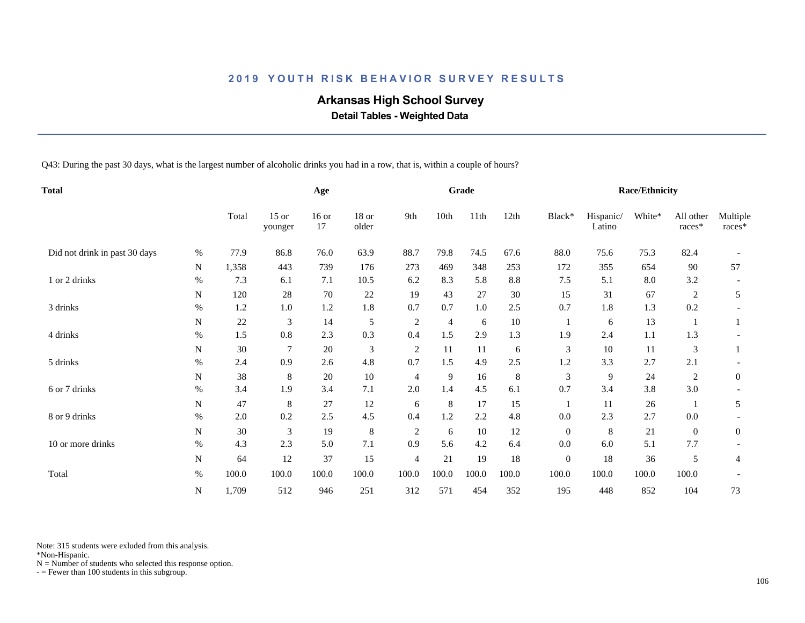## **Arkansas High School Survey**

 **Detail Tables - Weighted Data**

Q43: During the past 30 days, what is the largest number of alcoholic drinks you had in a row, that is, within a couple of hours?

| <b>Total</b>                  |             |       | Age                |               |                  |                | Grade   |         |         |              | <b>Race/Ethnicity</b> |        |                     |                    |
|-------------------------------|-------------|-------|--------------------|---------------|------------------|----------------|---------|---------|---------|--------------|-----------------------|--------|---------------------|--------------------|
|                               |             | Total | $15$ or<br>younger | $16$ or<br>17 | $18$ or<br>older | 9th            | 10th    | 11th    | 12th    | Black*       | Hispanic/<br>Latino   | White* | All other<br>races* | Multiple<br>races* |
| Did not drink in past 30 days | %           | 77.9  | 86.8               | 76.0          | 63.9             | 88.7           | 79.8    | 74.5    | 67.6    | 88.0         | 75.6                  | 75.3   | 82.4                |                    |
|                               | N           | 1,358 | 443                | 739           | 176              | 273            | 469     | 348     | 253     | 172          | 355                   | 654    | 90                  | 57                 |
| 1 or 2 drinks                 | $\%$        | 7.3   | 6.1                | 7.1           | 10.5             | 6.2            | 8.3     | 5.8     | 8.8     | 7.5          | 5.1                   | 8.0    | 3.2                 |                    |
|                               | ${\bf N}$   | 120   | 28                 | 70            | 22               | 19             | 43      | 27      | 30      | 15           | 31                    | 67     | 2                   | 5                  |
| 3 drinks                      | $\%$        | 1.2   | 1.0                | 1.2           | 1.8              | 0.7            | 0.7     | $1.0\,$ | $2.5\,$ | 0.7          | 1.8                   | 1.3    | 0.2                 |                    |
|                               | N           | 22    | 3                  | 14            | 5                | $\sqrt{2}$     | 4       | 6       | $10\,$  |              | 6                     | 13     |                     |                    |
| 4 drinks                      | %           | 1.5   | 0.8                | 2.3           | 0.3              | 0.4            | 1.5     | 2.9     | 1.3     | 1.9          | 2.4                   | 1.1    | 1.3                 |                    |
|                               | N           | 30    | 7                  | 20            | $\mathfrak{Z}$   | 2              | 11      | 11      | 6       | 3            | 10                    | 11     | 3                   |                    |
| 5 drinks                      | %           | 2.4   | 0.9                | 2.6           | 4.8              | 0.7            | 1.5     | 4.9     | 2.5     | 1.2          | 3.3                   | 2.7    | 2.1                 |                    |
|                               | N           | 38    | 8                  | 20            | 10               | 4              | 9       | 16      | 8       | 3            | 9                     | 24     | 2                   | $\mathbf{0}$       |
| 6 or 7 drinks                 | %           | 3.4   | 1.9                | 3.4           | 7.1              | 2.0            | 1.4     | 4.5     | 6.1     | 0.7          | 3.4                   | 3.8    | 3.0                 |                    |
|                               | ${\bf N}$   | 47    | 8                  | 27            | 12               | 6              | $\,8\,$ | 17      | 15      | $\mathbf{1}$ | 11                    | 26     |                     | 5                  |
| 8 or 9 drinks                 | $\%$        | 2.0   | 0.2                | 2.5           | 4.5              | 0.4            | 1.2     | 2.2     | 4.8     | $0.0\,$      | 2.3                   | 2.7    | 0.0                 |                    |
|                               | N           | 30    | 3                  | 19            | $\,8\,$          | $\overline{c}$ | 6       | 10      | 12      | $\mathbf{0}$ | 8                     | 21     | $\mathbf{0}$        | $\boldsymbol{0}$   |
| 10 or more drinks             | $\%$        | 4.3   | 2.3                | 5.0           | 7.1              | 0.9            | 5.6     | 4.2     | 6.4     | 0.0          | 6.0                   | 5.1    | 7.7                 |                    |
|                               | $\mathbf N$ | 64    | 12                 | 37            | 15               | $\overline{4}$ | 21      | 19      | 18      | $\mathbf{0}$ | 18                    | 36     | 5                   | 4                  |
| Total                         | $\%$        | 100.0 | 100.0              | 100.0         | 100.0            | 100.0          | 100.0   | 100.0   | 100.0   | 100.0        | 100.0                 | 100.0  | 100.0               |                    |
|                               | N           | 1,709 | 512                | 946           | 251              | 312            | 571     | 454     | 352     | 195          | 448                   | 852    | 104                 | 73                 |

Note: 315 students were exluded from this analysis.

\*Non-Hispanic.

 $N =$  Number of students who selected this response option.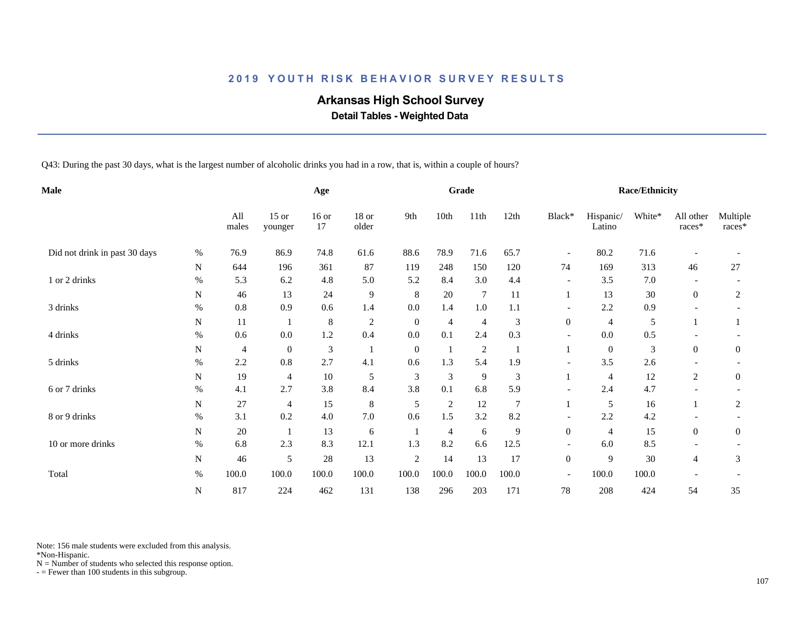## **Arkansas High School Survey**

 **Detail Tables - Weighted Data**

Q43: During the past 30 days, what is the largest number of alcoholic drinks you had in a row, that is, within a couple of hours?

| <b>Male</b>                   |           |                | Age                |                             |                |              | Grade          |                |                |                          | <b>Race/Ethnicity</b> |        |                       |                    |
|-------------------------------|-----------|----------------|--------------------|-----------------------------|----------------|--------------|----------------|----------------|----------------|--------------------------|-----------------------|--------|-----------------------|--------------------|
|                               |           | All<br>males   | $15$ or<br>younger | $16$ or<br>17               | 18 or<br>older | 9th          | 10th           | 11th           | 12th           | Black*                   | Hispanic/<br>Latino   | White* | All other<br>$races*$ | Multiple<br>races* |
| Did not drink in past 30 days | %         | 76.9           | 86.9               | 74.8                        | 61.6           | 88.6         | 78.9           | 71.6           | 65.7           | $\overline{\phantom{a}}$ | 80.2                  | 71.6   |                       |                    |
|                               | N         | 644            | 196                | 361                         | 87             | 119          | 248            | 150            | 120            | 74                       | 169                   | 313    | 46                    | 27                 |
| 1 or 2 drinks                 | $\%$      | 5.3            | 6.2                | 4.8                         | 5.0            | 5.2          | 8.4            | 3.0            | 4.4            | $\overline{\phantom{a}}$ | 3.5                   | 7.0    |                       |                    |
|                               | N         | 46             | 13                 | 24                          | 9              | 8            | 20             | $\tau$         | 11             |                          | 13                    | 30     | $\overline{0}$        | 2                  |
| 3 drinks                      | $\%$      | $0.8\,$        | 0.9                | 0.6                         | 1.4            | 0.0          | 1.4            | 1.0            | 1.1            |                          | 2.2                   | 0.9    |                       |                    |
|                               | N         | 11             |                    | 8                           | $\overline{2}$ | $\mathbf{0}$ | $\overline{4}$ | $\overline{4}$ | 3              | $\overline{0}$           | $\overline{4}$        | 5      |                       |                    |
| 4 drinks                      | $\%$      | 0.6            | $0.0\,$            | 1.2                         | 0.4            | 0.0          | 0.1            | 2.4            | 0.3            | $\overline{\phantom{a}}$ | 0.0                   | 0.5    |                       |                    |
|                               | N         | $\overline{4}$ | $\mathbf{0}$       | $\ensuremath{\mathfrak{Z}}$ | $\mathbf{1}$   | $\mathbf{0}$ |                | $\overline{2}$ |                |                          | $\mathbf{0}$          | 3      | $\boldsymbol{0}$      | $\boldsymbol{0}$   |
| 5 drinks                      | $\%$      | 2.2            | 0.8                | 2.7                         | 4.1            | 0.6          | 1.3            | 5.4            | 1.9            |                          | 3.5                   | 2.6    |                       |                    |
|                               | N         | 19             | 4                  | 10                          | 5              | 3            | 3              | 9              | 3              |                          | $\overline{4}$        | 12     | $\overline{c}$        | $\overline{0}$     |
| 6 or 7 drinks                 | $\%$      | 4.1            | 2.7                | 3.8                         | 8.4            | 3.8          | 0.1            | 6.8            | 5.9            | $\overline{\phantom{a}}$ | 2.4                   | 4.7    |                       |                    |
|                               | N         | 27             | $\overline{4}$     | 15                          | $\,8\,$        | 5            | $\sqrt{2}$     | 12             | $\overline{7}$ |                          | 5                     | 16     |                       | 2                  |
| 8 or 9 drinks                 | $\%$      | 3.1            | 0.2                | 4.0                         | 7.0            | 0.6          | 1.5            | 3.2            | 8.2            |                          | 2.2                   | 4.2    |                       |                    |
|                               | N         | $20\,$         |                    | 13                          | 6              |              | 4              | 6              | 9              | $\overline{0}$           | $\overline{4}$        | 15     | $\overline{0}$        | $\overline{0}$     |
| 10 or more drinks             | $\%$      | 6.8            | 2.3                | 8.3                         | 12.1           | 1.3          | 8.2            | 6.6            | 12.5           | $\overline{\phantom{a}}$ | 6.0                   | 8.5    |                       |                    |
|                               | ${\bf N}$ | 46             | 5                  | 28                          | 13             | $\sqrt{2}$   | 14             | 13             | 17             | $\mathbf{0}$             | 9                     | 30     | 4                     | 3                  |
| Total                         | $\%$      | 100.0          | 100.0              | 100.0                       | 100.0          | 100.0        | 100.0          | 100.0          | 100.0          | $\overline{\phantom{a}}$ | 100.0                 | 100.0  |                       |                    |
|                               | N         | 817            | 224                | 462                         | 131            | 138          | 296            | 203            | 171            | 78                       | 208                   | 424    | 54                    | 35                 |

Note: 156 male students were excluded from this analysis.

\*Non-Hispanic.

 $N =$  Number of students who selected this response option.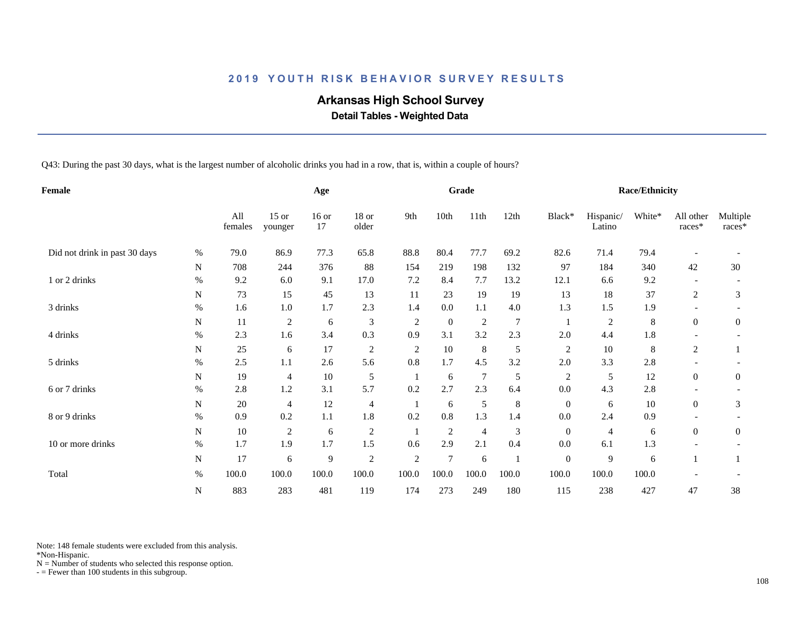## **Arkansas High School Survey**

 **Detail Tables - Weighted Data**

Q43: During the past 30 days, what is the largest number of alcoholic drinks you had in a row, that is, within a couple of hours?

| Female                        |           |                | Age                |                |                  |                | Grade            |                |                |                  | <b>Race/Ethnicity</b> |         |                          |                    |
|-------------------------------|-----------|----------------|--------------------|----------------|------------------|----------------|------------------|----------------|----------------|------------------|-----------------------|---------|--------------------------|--------------------|
|                               |           | All<br>females | $15$ or<br>younger | $16$ or<br>17  | $18$ or<br>older | 9th            | 10th             | 11th           | 12th           | Black*           | Hispanic/<br>Latino   | White*  | All other<br>races*      | Multiple<br>races* |
| Did not drink in past 30 days | %         | 79.0           | 86.9               | 77.3           | 65.8             | 88.8           | 80.4             | 77.7           | 69.2           | 82.6             | 71.4                  | 79.4    |                          |                    |
|                               | N         | 708            | 244                | 376            | 88               | 154            | 219              | 198            | 132            | 97               | 184                   | 340     | 42                       | 30                 |
| 1 or 2 drinks                 | $\%$      | 9.2            | 6.0                | 9.1            | 17.0             | 7.2            | 8.4              | 7.7            | 13.2           | 12.1             | 6.6                   | 9.2     |                          |                    |
|                               | N         | 73             | 15                 | 45             | 13               | 11             | 23               | 19             | 19             | 13               | 18                    | 37      | 2                        | 3                  |
| 3 drinks                      | $\%$      | 1.6            | 1.0                | 1.7            | 2.3              | 1.4            | 0.0              | 1.1            | 4.0            | 1.3              | 1.5                   | 1.9     |                          |                    |
|                               | N         | 11             | $\mathfrak{2}$     | $\sqrt{6}$     | 3                | $\overline{2}$ | $\boldsymbol{0}$ | 2              | $\overline{7}$ |                  | $\sqrt{2}$            | $\,8\,$ | $\overline{0}$           | $\overline{0}$     |
| 4 drinks                      | $\%$      | 2.3            | 1.6                | 3.4            | 0.3              | 0.9            | 3.1              | 3.2            | 2.3            | 2.0              | 4.4                   | 1.8     |                          |                    |
|                               | N         | 25             | 6                  | 17             | $\overline{c}$   | $\overline{c}$ | 10               | 8              | 5              | $\overline{c}$   | $10\,$                | 8       | 2                        |                    |
| 5 drinks                      | %         | 2.5            | 1.1                | 2.6            | 5.6              | 0.8            | 1.7              | 4.5            | 3.2            | 2.0              | 3.3                   | 2.8     |                          |                    |
|                               | N         | 19             | 4                  | 10             | 5                | -1             | 6                | $\tau$         | 5              | $\overline{c}$   | 5                     | 12      | $\overline{0}$           | $\mathbf{0}$       |
| 6 or 7 drinks                 | $\%$      | 2.8            | 1.2                | 3.1            | 5.7              | 0.2            | 2.7              | 2.3            | 6.4            | 0.0              | 4.3                   | 2.8     |                          |                    |
|                               | N         | 20             | 4                  | 12             | $\overline{4}$   | $\mathbf{1}$   | 6                | $\mathfrak s$  | $\,8\,$        | $\boldsymbol{0}$ | 6                     | 10      | $\overline{0}$           | 3                  |
| 8 or 9 drinks                 | $\%$      | 0.9            | 0.2                | $1.1\,$        | 1.8              | 0.2            | $0.8\,$          | 1.3            | 1.4            | $0.0\,$          | 2.4                   | 0.9     |                          |                    |
|                               | N         | $10\,$         | 2                  | 6              | $\overline{c}$   |                | $\mathfrak{2}$   | $\overline{4}$ | 3              | $\mathbf{0}$     | 4                     | 6       | $\overline{0}$           | $\overline{0}$     |
| 10 or more drinks             | %         | 1.7            | 1.9                | 1.7            | 1.5              | 0.6            | 2.9              | 2.1            | 0.4            | 0.0              | 6.1                   | 1.3     | $\overline{\phantom{a}}$ |                    |
|                               | ${\bf N}$ | 17             | 6                  | $\overline{9}$ | $\overline{2}$   | $\overline{2}$ | $\tau$           | 6              |                | $\boldsymbol{0}$ | 9                     | 6       |                          |                    |
| Total                         | $\%$      | 100.0          | 100.0              | 100.0          | 100.0            | 100.0          | 100.0            | 100.0          | 100.0          | 100.0            | 100.0                 | 100.0   |                          |                    |
|                               | N         | 883            | 283                | 481            | 119              | 174            | 273              | 249            | 180            | 115              | 238                   | 427     | 47                       | 38                 |

Note: 148 female students were excluded from this analysis.

\*Non-Hispanic.

 $N =$  Number of students who selected this response option.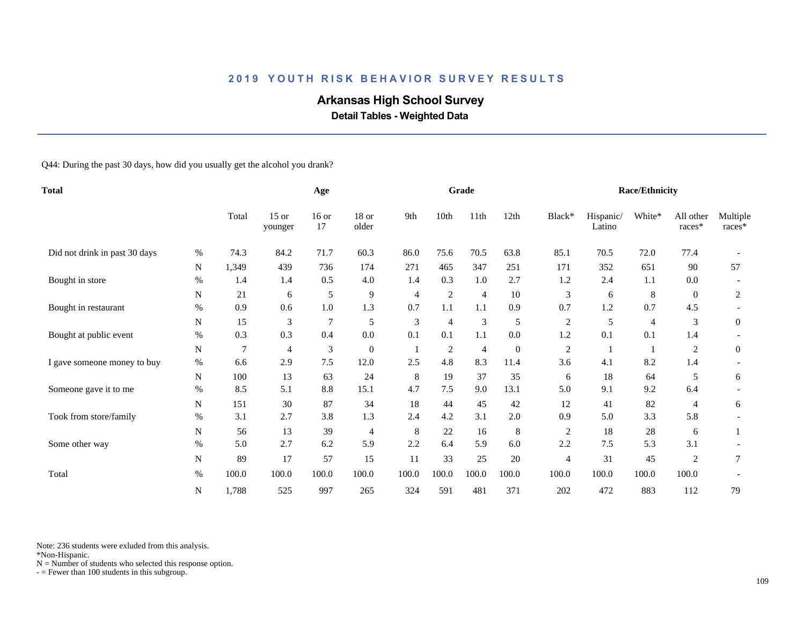# **Arkansas High School Survey**

 **Detail Tables - Weighted Data**

Q44: During the past 30 days, how did you usually get the alcohol you drank?

| <b>Total</b>                  |             |                | Age                |                |                |       | Grade          |                |                  |                | <b>Race/Ethnicity</b> |                |                     |                    |
|-------------------------------|-------------|----------------|--------------------|----------------|----------------|-------|----------------|----------------|------------------|----------------|-----------------------|----------------|---------------------|--------------------|
|                               |             | Total          | $15$ or<br>younger | $16$ or<br>17  | 18 or<br>older | 9th   | 10th           | 11th           | 12th             | Black*         | Hispanic/<br>Latino   | White*         | All other<br>races* | Multiple<br>races* |
| Did not drink in past 30 days | %           | 74.3           | 84.2               | 71.7           | 60.3           | 86.0  | 75.6           | 70.5           | 63.8             | 85.1           | 70.5                  | 72.0           | 77.4                |                    |
|                               | N           | 1,349          | 439                | 736            | 174            | 271   | 465            | 347            | 251              | 171            | 352                   | 651            | 90                  | 57                 |
| Bought in store               | $\%$        | 1.4            | 1.4                | 0.5            | 4.0            | 1.4   | 0.3            | 1.0            | 2.7              | 1.2            | 2.4                   | 1.1            | 0.0                 |                    |
|                               | ${\bf N}$   | 21             | 6                  | 5              | 9              | 4     | $\mathfrak{2}$ | $\overline{4}$ | 10               | 3              | 6                     | $\,8\,$        | $\overline{0}$      | $\overline{c}$     |
| Bought in restaurant          | $\%$        | 0.9            | 0.6                | 1.0            | 1.3            | 0.7   | 1.1            | 1.1            | 0.9              | 0.7            | 1.2                   | 0.7            | 4.5                 |                    |
|                               | N           | 15             | 3                  | $\overline{7}$ | 5              | 3     | 4              | 3              | 5                | $\overline{c}$ | 5                     | $\overline{4}$ | 3                   | $\overline{0}$     |
| Bought at public event        | $\%$        | 0.3            | 0.3                | 0.4            | 0.0            | 0.1   | 0.1            | 1.1            | $0.0\,$          | 1.2            | 0.1                   | 0.1            | 1.4                 |                    |
|                               | N           | $\overline{7}$ | 4                  | $\mathfrak{Z}$ | $\mathbf{0}$   | -1    | $\overline{2}$ | $\overline{4}$ | $\boldsymbol{0}$ | 2              |                       |                | 2                   | $\mathbf{0}$       |
| I gave someone money to buy   | $\%$        | 6.6            | 2.9                | 7.5            | 12.0           | 2.5   | 4.8            | 8.3            | 11.4             | 3.6            | 4.1                   | 8.2            | 1.4                 |                    |
|                               | N           | 100            | 13                 | 63             | 24             | 8     | 19             | 37             | 35               | 6              | 18                    | 64             | 5                   | 6                  |
| Someone gave it to me         | $\%$        | 8.5            | 5.1                | 8.8            | 15.1           | 4.7   | 7.5            | 9.0            | 13.1             | 5.0            | 9.1                   | 9.2            | 6.4                 |                    |
|                               | ${\bf N}$   | 151            | 30                 | 87             | 34             | 18    | 44             | 45             | 42               | 12             | 41                    | 82             | 4                   | 6                  |
| Took from store/family        | $\%$        | 3.1            | 2.7                | 3.8            | 1.3            | 2.4   | 4.2            | 3.1            | 2.0              | 0.9            | 5.0                   | 3.3            | 5.8                 |                    |
|                               | N           | 56             | 13                 | 39             | $\overline{4}$ | 8     | $22\,$         | 16             | 8                | $\overline{c}$ | 18                    | 28             | 6                   |                    |
| Some other way                | %           | 5.0            | 2.7                | 6.2            | 5.9            | 2.2   | 6.4            | 5.9            | 6.0              | 2.2            | 7.5                   | 5.3            | 3.1                 |                    |
|                               | $\mathbf N$ | 89             | 17                 | 57             | 15             | 11    | 33             | 25             | 20               | $\overline{4}$ | 31                    | 45             | 2                   | 7                  |
| Total                         | $\%$        | 100.0          | 100.0              | 100.0          | 100.0          | 100.0 | 100.0          | 100.0          | 100.0            | 100.0          | 100.0                 | 100.0          | 100.0               |                    |
|                               | N           | 1,788          | 525                | 997            | 265            | 324   | 591            | 481            | 371              | 202            | 472                   | 883            | 112                 | 79                 |

Note: 236 students were exluded from this analysis.

\*Non-Hispanic.

 $N =$  Number of students who selected this response option.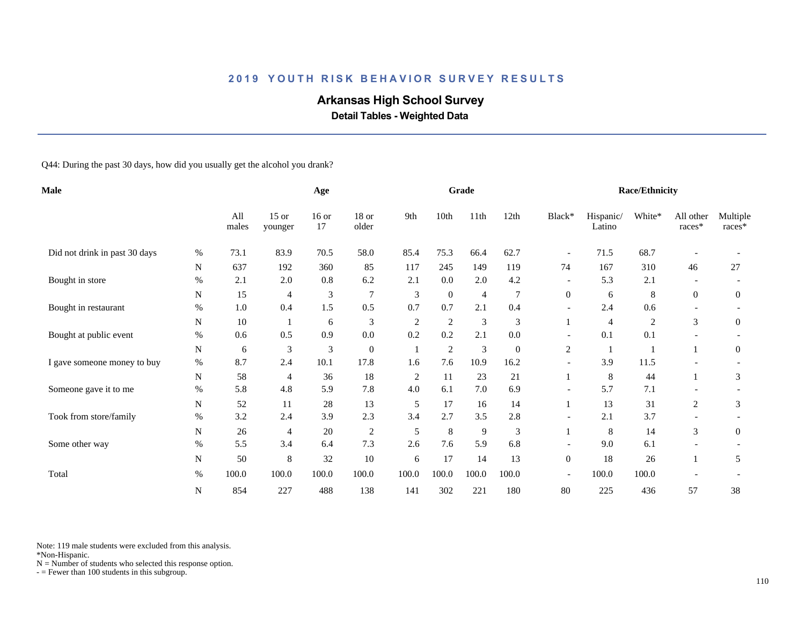# **Arkansas High School Survey**

 **Detail Tables - Weighted Data**

Q44: During the past 30 days, how did you usually get the alcohol you drank?

| <b>Male</b>                   |           |              | Age                |                             |                  |                | Grade        |                |                |                          | <b>Race/Ethnicity</b> |                |                          |                    |
|-------------------------------|-----------|--------------|--------------------|-----------------------------|------------------|----------------|--------------|----------------|----------------|--------------------------|-----------------------|----------------|--------------------------|--------------------|
|                               |           | All<br>males | $15$ or<br>younger | $16$ or<br>17               | 18 or<br>older   | 9th            | 10th         | 11th           | 12th           | Black*                   | Hispanic/<br>Latino   | White*         | All other<br>races*      | Multiple<br>races* |
| Did not drink in past 30 days | $\%$      | 73.1         | 83.9               | 70.5                        | 58.0             | 85.4           | 75.3         | 66.4           | 62.7           | $\overline{\phantom{a}}$ | 71.5                  | 68.7           |                          |                    |
|                               | N         | 637          | 192                | 360                         | 85               | 117            | 245          | 149            | 119            | 74                       | 167                   | 310            | 46                       | 27                 |
| Bought in store               | %         | 2.1          | 2.0                | 0.8                         | 6.2              | 2.1            | 0.0          | 2.0            | 4.2            | $\overline{\phantom{a}}$ | 5.3                   | 2.1            | $\overline{\phantom{0}}$ |                    |
|                               | ${\bf N}$ | 15           | 4                  | $\ensuremath{\mathfrak{Z}}$ | $7\phantom{.0}$  | 3              | $\mathbf{0}$ | $\overline{4}$ | $\overline{7}$ | $\mathbf{0}$             | 6                     | 8              | $\boldsymbol{0}$         | $\boldsymbol{0}$   |
| Bought in restaurant          | $\%$      | 1.0          | 0.4                | 1.5                         | 0.5              | 0.7            | 0.7          | 2.1            | 0.4            |                          | 2.4                   | 0.6            |                          |                    |
|                               | N         | $10\,$       |                    | 6                           | 3                | $\sqrt{2}$     | $\sqrt{2}$   | $\mathfrak{Z}$ | 3              |                          | $\overline{4}$        | $\overline{c}$ | 3                        | $\overline{0}$     |
| Bought at public event        | $\%$      | 0.6          | 0.5                | 0.9                         | 0.0              | 0.2            | 0.2          | 2.1            | 0.0            | $\overline{\phantom{a}}$ | 0.1                   | 0.1            | $\overline{\phantom{a}}$ |                    |
|                               | N         | 6            | 3                  | 3                           | $\boldsymbol{0}$ | $\mathbf{1}$   | $\sqrt{2}$   | $\mathfrak{Z}$ | $\mathbf{0}$   | $\sqrt{2}$               |                       |                |                          | $\boldsymbol{0}$   |
| I gave someone money to buy   | $\%$      | 8.7          | 2.4                | 10.1                        | 17.8             | 1.6            | 7.6          | 10.9           | 16.2           |                          | 3.9                   | 11.5           |                          |                    |
|                               | N         | 58           | 4                  | 36                          | 18               | $\overline{c}$ | 11           | 23             | 21             |                          | 8                     | 44             |                          | 3                  |
| Someone gave it to me         | $\%$      | 5.8          | 4.8                | 5.9                         | 7.8              | 4.0            | 6.1          | 7.0            | 6.9            | $\overline{\phantom{a}}$ | 5.7                   | 7.1            |                          |                    |
|                               | N         | 52           | 11                 | 28                          | 13               | 5              | 17           | 16             | 14             |                          | 13                    | 31             | 2                        | 3                  |
| Took from store/family        | $\%$      | 3.2          | 2.4                | 3.9                         | 2.3              | 3.4            | 2.7          | 3.5            | 2.8            | $\overline{a}$           | 2.1                   | 3.7            |                          |                    |
|                               | N         | 26           | $\overline{4}$     | $20\,$                      | $\overline{c}$   | 5              | $\,8\,$      | $\overline{9}$ | 3              |                          | 8                     | 14             | 3                        | $\overline{0}$     |
| Some other way                | %         | 5.5          | 3.4                | 6.4                         | 7.3              | 2.6            | 7.6          | 5.9            | 6.8            | $\overline{\phantom{a}}$ | 9.0                   | 6.1            | $\overline{\phantom{a}}$ |                    |
|                               | N         | 50           | 8                  | 32                          | 10               | 6              | 17           | 14             | 13             | $\mathbf{0}$             | 18                    | 26             |                          | 5                  |
| Total                         | $\%$      | 100.0        | 100.0              | 100.0                       | 100.0            | 100.0          | 100.0        | 100.0          | 100.0          | $\overline{\phantom{a}}$ | 100.0                 | 100.0          |                          |                    |
|                               | ${\bf N}$ | 854          | 227                | 488                         | 138              | 141            | 302          | 221            | 180            | 80                       | 225                   | 436            | 57                       | 38                 |

Note: 119 male students were excluded from this analysis.

\*Non-Hispanic.

 $N =$  Number of students who selected this response option.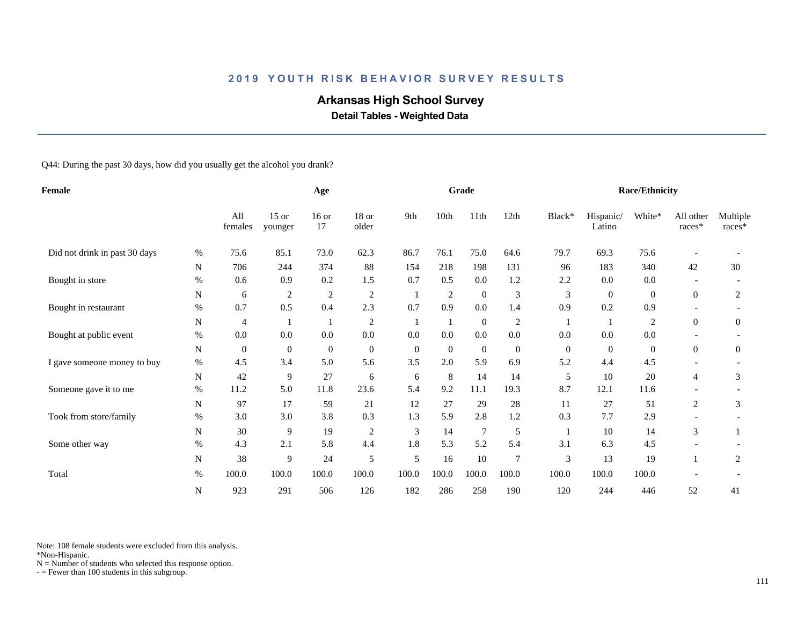# **Arkansas High School Survey**

 **Detail Tables - Weighted Data**

Q44: During the past 30 days, how did you usually get the alcohol you drank?

| Female                        |           |                  | Age                |                  |                |              | Grade          |                  |                |               | Race/Ethnicity      |                |                       |                    |
|-------------------------------|-----------|------------------|--------------------|------------------|----------------|--------------|----------------|------------------|----------------|---------------|---------------------|----------------|-----------------------|--------------------|
|                               |           | All<br>females   | $15$ or<br>younger | $16$ or<br>17    | 18 or<br>older | 9th          | 10th           | 11th             | 12th           | Black*        | Hispanic/<br>Latino | White*         | All other<br>$races*$ | Multiple<br>races* |
| Did not drink in past 30 days | %         | 75.6             | 85.1               | 73.0             | 62.3           | 86.7         | 76.1           | 75.0             | 64.6           | 79.7          | 69.3                | 75.6           |                       |                    |
|                               | N         | 706              | 244                | 374              | 88             | 154          | 218            | 198              | 131            | 96            | 183                 | 340            | 42                    | 30                 |
| Bought in store               | $\%$      | 0.6              | 0.9                | 0.2              | 1.5            | 0.7          | 0.5            | 0.0              | 1.2            | 2.2           | 0.0                 | 0.0            |                       |                    |
|                               | N         | 6                | $\boldsymbol{2}$   | $\boldsymbol{2}$ | $\overline{2}$ |              | $\overline{c}$ | $\boldsymbol{0}$ | 3              | 3             | $\mathbf{0}$        | $\mathbf{0}$   | $\boldsymbol{0}$      | 2                  |
| Bought in restaurant          | $\%$      | 0.7              | 0.5                | 0.4              | 2.3            | 0.7          | 0.9            | 0.0              | 1.4            | 0.9           | 0.2                 | 0.9            |                       |                    |
|                               | ${\bf N}$ | 4                |                    | $\mathbf{1}$     | $\overline{2}$ | 1            | 1              | $\mathbf{0}$     | $\sqrt{2}$     |               |                     | $\overline{2}$ | $\theta$              | $\overline{0}$     |
| Bought at public event        | $\%$      | 0.0              | 0.0                | 0.0              | $0.0\,$        | 0.0          | 0.0            | 0.0              | 0.0            | 0.0           | 0.0                 | 0.0            |                       |                    |
|                               | N         | $\boldsymbol{0}$ | $\boldsymbol{0}$   | $\mathbf{0}$     | $\mathbf{0}$   | $\mathbf{0}$ | $\mathbf{0}$   | $\mathbf{0}$     | $\overline{0}$ | $\mathbf{0}$  | $\mathbf{0}$        | $\mathbf{0}$   | $\boldsymbol{0}$      | $\overline{0}$     |
| I gave someone money to buy   | $\%$      | 4.5              | 3.4                | 5.0              | 5.6            | 3.5          | 2.0            | 5.9              | 6.9            | 5.2           | 4.4                 | 4.5            |                       |                    |
|                               | N         | 42               | 9                  | 27               | 6              | 6            | 8              | 14               | 14             | 5             | 10                  | $20\,$         | 4                     | 3                  |
| Someone gave it to me         | $\%$      | 11.2             | 5.0                | 11.8             | 23.6           | 5.4          | 9.2            | 11.1             | 19.3           | 8.7           | 12.1                | 11.6           |                       |                    |
|                               | N         | 97               | 17                 | 59               | 21             | 12           | 27             | 29               | 28             | 11            | 27                  | 51             | $\overline{c}$        | 3                  |
| Took from store/family        | %         | 3.0              | 3.0                | 3.8              | 0.3            | 1.3          | 5.9            | 2.8              | 1.2            | 0.3           | 7.7                 | 2.9            |                       |                    |
|                               | N         | 30               | 9                  | 19               | $\overline{c}$ | 3            | 14             | $\tau$           | 5              |               | 10                  | 14             | 3                     |                    |
| Some other way                | $\%$      | 4.3              | 2.1                | 5.8              | 4.4            | 1.8          | 5.3            | 5.2              | 5.4            | 3.1           | 6.3                 | 4.5            |                       |                    |
|                               | N         | 38               | 9                  | 24               | 5              | 5            | 16             | 10               | $\overline{7}$ | $\mathfrak 3$ | 13                  | 19             |                       | 2                  |
| Total                         | $\%$      | 100.0            | 100.0              | 100.0            | 100.0          | 100.0        | 100.0          | 100.0            | 100.0          | 100.0         | 100.0               | 100.0          |                       |                    |
|                               | N         | 923              | 291                | 506              | 126            | 182          | 286            | 258              | 190            | 120           | 244                 | 446            | 52                    | 41                 |

Note: 108 female students were excluded from this analysis.

\*Non-Hispanic.

 $N =$  Number of students who selected this response option.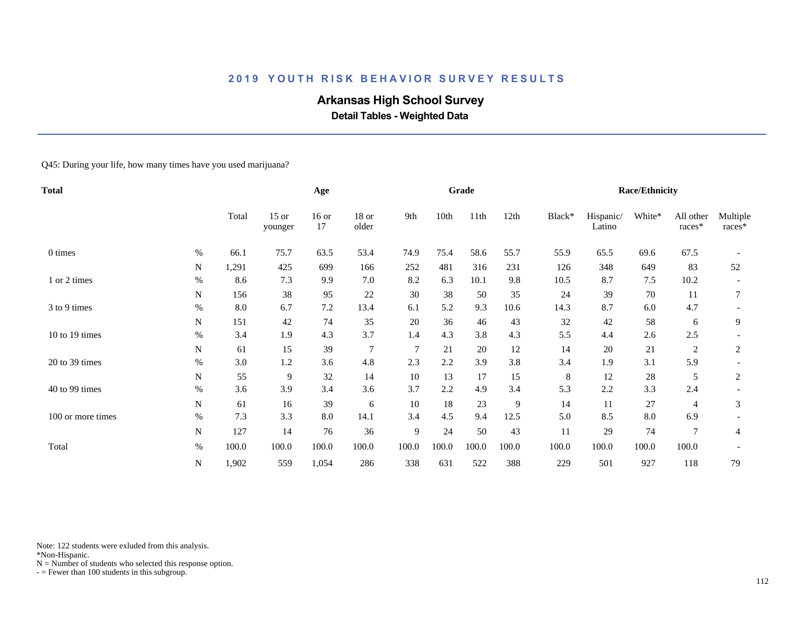# **Arkansas High School Survey**

 **Detail Tables - Weighted Data**

#### Q45: During your life, how many times have you used marijuana?

| Total             |           |       |                    | Age           |                  |                |       | Grade |       |        |                     | <b>Race/Ethnicity</b> |                     |                    |
|-------------------|-----------|-------|--------------------|---------------|------------------|----------------|-------|-------|-------|--------|---------------------|-----------------------|---------------------|--------------------|
|                   |           | Total | $15$ or<br>younger | $16$ or<br>17 | $18$ or<br>older | 9th            | 10th  | 11th  | 12th  | Black* | Hispanic/<br>Latino | White*                | All other<br>races* | Multiple<br>races* |
| 0 times           | $\%$      | 66.1  | 75.7               | 63.5          | 53.4             | 74.9           | 75.4  | 58.6  | 55.7  | 55.9   | 65.5                | 69.6                  | 67.5                |                    |
|                   | N         | 1,291 | 425                | 699           | 166              | 252            | 481   | 316   | 231   | 126    | 348                 | 649                   | 83                  | 52                 |
| 1 or 2 times      | $\%$      | 8.6   | 7.3                | 9.9           | 7.0              | 8.2            | 6.3   | 10.1  | 9.8   | 10.5   | 8.7                 | 7.5                   | 10.2                |                    |
|                   | N         | 156   | 38                 | 95            | 22               | 30             | 38    | 50    | 35    | 24     | 39                  | 70                    | 11                  |                    |
| 3 to 9 times      | $\%$      | 8.0   | 6.7                | 7.2           | 13.4             | 6.1            | 5.2   | 9.3   | 10.6  | 14.3   | 8.7                 | 6.0                   | 4.7                 |                    |
|                   | N         | 151   | 42                 | 74            | 35               | 20             | 36    | 46    | 43    | 32     | 42                  | 58                    | 6                   | 9                  |
| 10 to 19 times    | $\%$      | 3.4   | 1.9                | 4.3           | 3.7              | 1.4            | 4.3   | 3.8   | 4.3   | 5.5    | 4.4                 | 2.6                   | 2.5                 |                    |
|                   | N         | 61    | 15                 | 39            | $\overline{7}$   | $\overline{7}$ | 21    | 20    | 12    | 14     | 20                  | 21                    | 2                   | 2                  |
| 20 to 39 times    | $\%$      | 3.0   | 1.2                | 3.6           | 4.8              | 2.3            | 2.2   | 3.9   | 3.8   | 3.4    | 1.9                 | 3.1                   | 5.9                 |                    |
|                   | N         | 55    | 9                  | 32            | 14               | 10             | 13    | 17    | 15    | 8      | 12                  | 28                    | 5                   | 2                  |
| 40 to 99 times    | $\%$      | 3.6   | 3.9                | 3.4           | 3.6              | 3.7            | 2.2   | 4.9   | 3.4   | 5.3    | 2.2                 | 3.3                   | 2.4                 |                    |
|                   | ${\bf N}$ | 61    | 16                 | 39            | 6                | 10             | 18    | 23    | 9     | 14     | 11                  | 27                    | 4                   | 3                  |
| 100 or more times | $\%$      | 7.3   | 3.3                | 8.0           | 14.1             | 3.4            | 4.5   | 9.4   | 12.5  | 5.0    | 8.5                 | $8.0\,$               | 6.9                 |                    |
|                   | ${\bf N}$ | 127   | 14                 | 76            | 36               | 9              | 24    | 50    | 43    | 11     | 29                  | 74                    | $\overline{7}$      | 4                  |
| Total             | $\%$      | 100.0 | 100.0              | 100.0         | 100.0            | 100.0          | 100.0 | 100.0 | 100.0 | 100.0  | 100.0               | 100.0                 | 100.0               |                    |
|                   | ${\bf N}$ | 1,902 | 559                | 1,054         | 286              | 338            | 631   | 522   | 388   | 229    | 501                 | 927                   | 118                 | 79                 |

Note: 122 students were exluded from this analysis.

\*Non-Hispanic.

 $N =$  Number of students who selected this response option.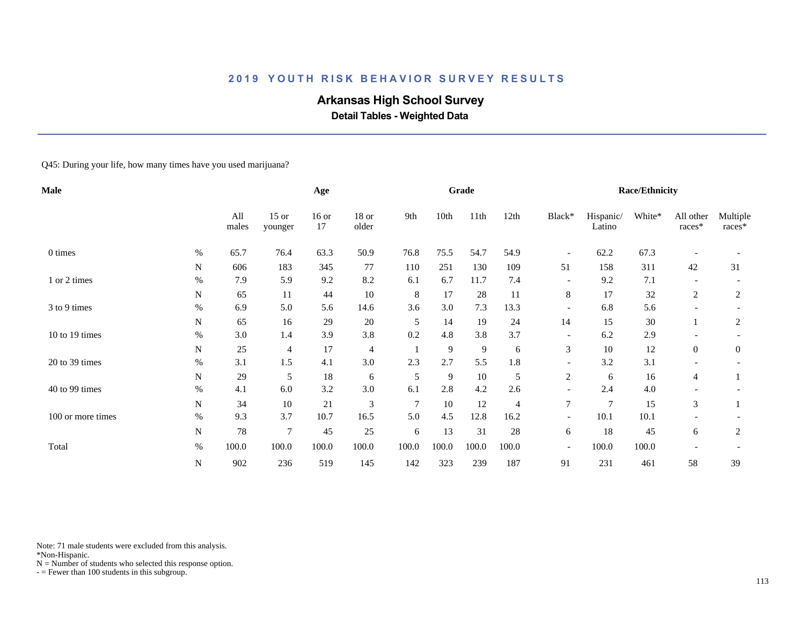# **Arkansas High School Survey**

 **Detail Tables - Weighted Data**

#### Q45: During your life, how many times have you used marijuana?

| Male              |             |              |                    | Age           |                |       |       | Grade          |       |                          |                     | <b>Race/Ethnicity</b> |                     |                    |
|-------------------|-------------|--------------|--------------------|---------------|----------------|-------|-------|----------------|-------|--------------------------|---------------------|-----------------------|---------------------|--------------------|
|                   |             | All<br>males | $15$ or<br>younger | $16$ or<br>17 | 18 or<br>older | 9th   | 10th  | 11th           | 12th  | Black*                   | Hispanic/<br>Latino | White*                | All other<br>races* | Multiple<br>races* |
| 0 times           | %           | 65.7         | 76.4               | 63.3          | 50.9           | 76.8  | 75.5  | 54.7           | 54.9  | $\overline{\phantom{a}}$ | 62.2                | 67.3                  |                     |                    |
|                   | N           | 606          | 183                | 345           | 77             | 110   | 251   | 130            | 109   | 51                       | 158                 | 311                   | 42                  | 31                 |
| 1 or 2 times      | $\%$        | 7.9          | 5.9                | 9.2           | 8.2            | 6.1   | 6.7   | 11.7           | 7.4   | $\overline{\phantom{a}}$ | 9.2                 | 7.1                   |                     |                    |
|                   | N           | 65           | 11                 | 44            | 10             | 8     | 17    | 28             | 11    | 8                        | 17                  | 32                    | 2                   | 2                  |
| 3 to 9 times      | $\%$        | 6.9          | 5.0                | 5.6           | 14.6           | 3.6   | 3.0   | 7.3            | 13.3  | $\overline{\phantom{a}}$ | 6.8                 | 5.6                   |                     |                    |
|                   | $\mathbf N$ | 65           | 16                 | 29            | 20             | 5     | 14    | 19             | 24    | 14                       | 15                  | 30                    |                     | 2                  |
| 10 to 19 times    | $\%$        | 3.0          | 1.4                | 3.9           | 3.8            | 0.2   | 4.8   | 3.8            | 3.7   | $\overline{\phantom{a}}$ | 6.2                 | 2.9                   |                     |                    |
|                   | ${\bf N}$   | 25           | 4                  | 17            | $\overline{4}$ |       | 9     | $\overline{9}$ | 6     | 3                        | 10                  | 12                    | $\overline{0}$      | 0                  |
| 20 to 39 times    | $\%$        | 3.1          | 1.5                | 4.1           | 3.0            | 2.3   | 2.7   | 5.5            | 1.8   |                          | 3.2                 | 3.1                   |                     |                    |
|                   | N           | 29           | 5                  | 18            | 6              | 5     | 9     | 10             | 5     | 2                        | 6                   | 16                    | 4                   |                    |
| 40 to 99 times    | $\%$        | 4.1          | 6.0                | 3.2           | 3.0            | 6.1   | 2.8   | 4.2            | 2.6   |                          | 2.4                 | 4.0                   |                     |                    |
|                   | N           | 34           | 10                 | 21            | 3              | 7     | 10    | 12             | 4     | $\overline{7}$           | $\overline{7}$      | 15                    | 3                   |                    |
| 100 or more times | $\%$        | 9.3          | 3.7                | 10.7          | 16.5           | 5.0   | 4.5   | 12.8           | 16.2  | $\overline{\phantom{a}}$ | 10.1                | 10.1                  |                     |                    |
|                   | ${\bf N}$   | 78           | $\overline{7}$     | 45            | 25             | 6     | 13    | 31             | 28    | 6                        | 18                  | 45                    | 6                   | 2                  |
| Total             | $\%$        | 100.0        | 100.0              | 100.0         | 100.0          | 100.0 | 100.0 | 100.0          | 100.0 | $\overline{\phantom{a}}$ | 100.0               | 100.0                 |                     |                    |
|                   | ${\bf N}$   | 902          | 236                | 519           | 145            | 142   | 323   | 239            | 187   | 91                       | 231                 | 461                   | 58                  | 39                 |

Note: 71 male students were excluded from this analysis.

\*Non-Hispanic.

 $N =$  Number of students who selected this response option.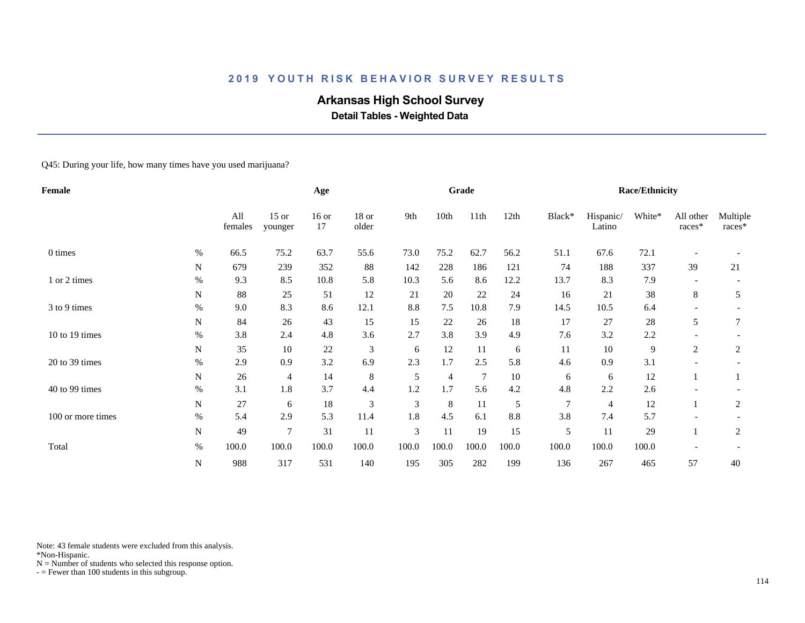# **Arkansas High School Survey**

 **Detail Tables - Weighted Data**

Q45: During your life, how many times have you used marijuana?

| Female            |           |                |                    | Age           |                  |                |       | Grade |         |                |                     | <b>Race/Ethnicity</b> |                          |                    |
|-------------------|-----------|----------------|--------------------|---------------|------------------|----------------|-------|-------|---------|----------------|---------------------|-----------------------|--------------------------|--------------------|
|                   |           | All<br>females | $15$ or<br>younger | $16$ or<br>17 | $18$ or<br>older | 9th            | 10th  | 11th  | 12th    | Black*         | Hispanic/<br>Latino | White*                | All other<br>races*      | Multiple<br>races* |
| 0 times           | %         | 66.5           | 75.2               | 63.7          | 55.6             | 73.0           | 75.2  | 62.7  | 56.2    | 51.1           | 67.6                | 72.1                  |                          |                    |
|                   | N         | 679            | 239                | 352           | 88               | 142            | 228   | 186   | 121     | 74             | 188                 | 337                   | 39                       | 21                 |
| 1 or 2 times      | $\%$      | 9.3            | 8.5                | 10.8          | 5.8              | 10.3           | 5.6   | 8.6   | 12.2    | 13.7           | 8.3                 | 7.9                   |                          |                    |
|                   | N         | 88             | 25                 | 51            | 12               | 21             | 20    | 22    | 24      | 16             | 21                  | 38                    | 8                        | 5                  |
| 3 to 9 times      | $\%$      | 9.0            | 8.3                | 8.6           | 12.1             | 8.8            | 7.5   | 10.8  | 7.9     | 14.5           | 10.5                | 6.4                   | $\overline{\phantom{a}}$ |                    |
|                   | N         | 84             | 26                 | 43            | 15               | 15             | 22    | 26    | 18      | 17             | 27                  | 28                    | 5                        | 7                  |
| 10 to 19 times    | $\%$      | 3.8            | 2.4                | 4.8           | 3.6              | 2.7            | 3.8   | 3.9   | 4.9     | 7.6            | 3.2                 | 2.2                   |                          |                    |
|                   | N         | 35             | 10                 | $22\,$        | 3                | 6              | 12    | 11    | 6       | 11             | 10                  | 9                     | 2                        | 2                  |
| 20 to 39 times    | $\%$      | 2.9            | 0.9                | 3.2           | 6.9              | 2.3            | 1.7   | 2.5   | 5.8     | 4.6            | 0.9                 | 3.1                   |                          |                    |
|                   | N         | 26             | 4                  | 14            | 8                | 5              | 4     | 7     | 10      | 6              | 6                   | 12                    |                          |                    |
| 40 to 99 times    | $\%$      | 3.1            | 1.8                | 3.7           | 4.4              | 1.2            | 1.7   | 5.6   | 4.2     | 4.8            | 2.2                 | 2.6                   |                          |                    |
|                   | N         | 27             | 6                  | 18            | 3                | 3              | 8     | 11    | 5       | $\overline{7}$ | $\overline{4}$      | 12                    |                          | 2                  |
| 100 or more times | $\%$      | 5.4            | 2.9                | 5.3           | 11.4             | 1.8            | 4.5   | 6.1   | $8.8\,$ | 3.8            | 7.4                 | 5.7                   |                          |                    |
|                   | ${\bf N}$ | 49             | $\overline{7}$     | 31            | 11               | $\mathfrak{Z}$ | 11    | 19    | 15      | 5              | 11                  | 29                    |                          | 2                  |
| Total             | $\%$      | 100.0          | 100.0              | 100.0         | 100.0            | 100.0          | 100.0 | 100.0 | 100.0   | 100.0          | 100.0               | 100.0                 |                          |                    |
|                   | ${\bf N}$ | 988            | 317                | 531           | 140              | 195            | 305   | 282   | 199     | 136            | 267                 | 465                   | 57                       | 40                 |

Note: 43 female students were excluded from this analysis.

\*Non-Hispanic.

 $N =$  Number of students who selected this response option.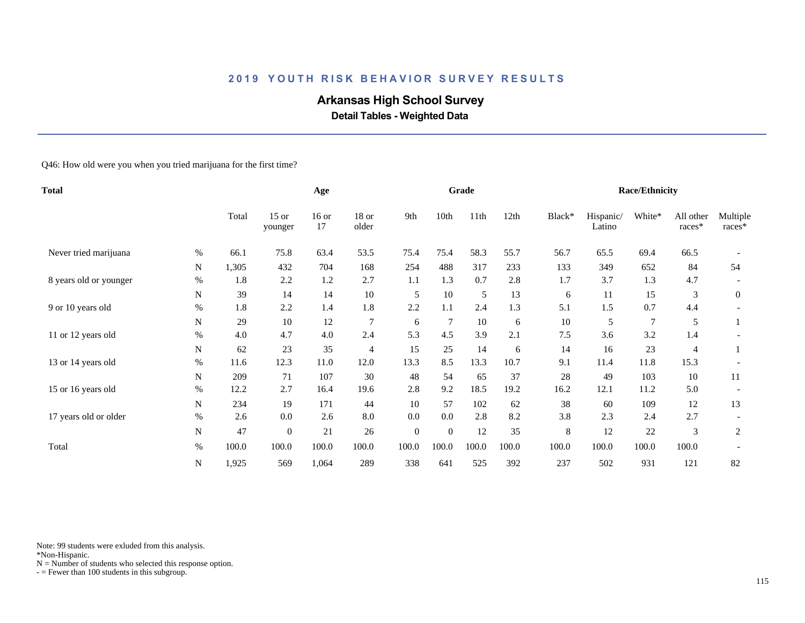# **Arkansas High School Survey**

 **Detail Tables - Weighted Data**

Q46: How old were you when you tried marijuana for the first time?

| Total                  |      |       | Age                |               |                |                  | Grade          |       |       |        | <b>Race/Ethnicity</b> |                |                     |                      |
|------------------------|------|-------|--------------------|---------------|----------------|------------------|----------------|-------|-------|--------|-----------------------|----------------|---------------------|----------------------|
|                        |      | Total | $15$ or<br>younger | $16$ or<br>17 | 18 or<br>older | 9th              | 10th           | 11th  | 12th  | Black* | Hispanic/<br>Latino   | White*         | All other<br>races* | Multiple<br>$races*$ |
| Never tried marijuana  | $\%$ | 66.1  | 75.8               | 63.4          | 53.5           | 75.4             | 75.4           | 58.3  | 55.7  | 56.7   | 65.5                  | 69.4           | 66.5                |                      |
|                        | N    | 1,305 | 432                | 704           | 168            | 254              | 488            | 317   | 233   | 133    | 349                   | 652            | 84                  | 54                   |
| 8 years old or younger | $\%$ | 1.8   | 2.2                | 1.2           | 2.7            | 1.1              | 1.3            | 0.7   | 2.8   | 1.7    | 3.7                   | 1.3            | 4.7                 |                      |
|                        | N    | 39    | 14                 | 14            | 10             | 5                | 10             | 5     | 13    | 6      | 11                    | 15             | 3                   | $\boldsymbol{0}$     |
| 9 or 10 years old      | $\%$ | 1.8   | 2.2                | 1.4           | 1.8            | 2.2              | 1.1            | 2.4   | 1.3   | 5.1    | 1.5                   | 0.7            | 4.4                 |                      |
|                        | N    | 29    | 10                 | 12            | 7              | 6                | 7              | 10    | 6     | 10     | 5                     | $\overline{7}$ | 5                   | 1                    |
| 11 or 12 years old     | $\%$ | 4.0   | 4.7                | 4.0           | 2.4            | 5.3              | 4.5            | 3.9   | 2.1   | 7.5    | 3.6                   | 3.2            | 1.4                 |                      |
|                        | N    | 62    | 23                 | 35            | $\overline{4}$ | 15               | 25             | 14    | 6     | 14     | 16                    | 23             | 4                   |                      |
| 13 or 14 years old     | $\%$ | 11.6  | 12.3               | 11.0          | 12.0           | 13.3             | 8.5            | 13.3  | 10.7  | 9.1    | 11.4                  | 11.8           | 15.3                |                      |
|                        | N    | 209   | 71                 | 107           | 30             | 48               | 54             | 65    | 37    | 28     | 49                    | 103            | 10                  | 11                   |
| 15 or 16 years old     | $\%$ | 12.2  | 2.7                | 16.4          | 19.6           | 2.8              | 9.2            | 18.5  | 19.2  | 16.2   | 12.1                  | 11.2           | 5.0                 |                      |
|                        | N    | 234   | 19                 | 171           | 44             | 10               | 57             | 102   | 62    | 38     | 60                    | 109            | 12                  | 13                   |
| 17 years old or older  | $\%$ | 2.6   | 0.0                | 2.6           | 8.0            | 0.0              | 0.0            | 2.8   | 8.2   | 3.8    | 2.3                   | 2.4            | 2.7                 |                      |
|                        | N    | 47    | $\overline{0}$     | 21            | 26             | $\boldsymbol{0}$ | $\overline{0}$ | 12    | 35    | 8      | 12                    | $22\,$         | 3                   | 2                    |
| Total                  | $\%$ | 100.0 | 100.0              | 100.0         | 100.0          | 100.0            | 100.0          | 100.0 | 100.0 | 100.0  | 100.0                 | 100.0          | 100.0               |                      |
|                        | N    | 1,925 | 569                | 1,064         | 289            | 338              | 641            | 525   | 392   | 237    | 502                   | 931            | 121                 | 82                   |

Note: 99 students were exluded from this analysis.

\*Non-Hispanic.

 $N =$  Number of students who selected this response option.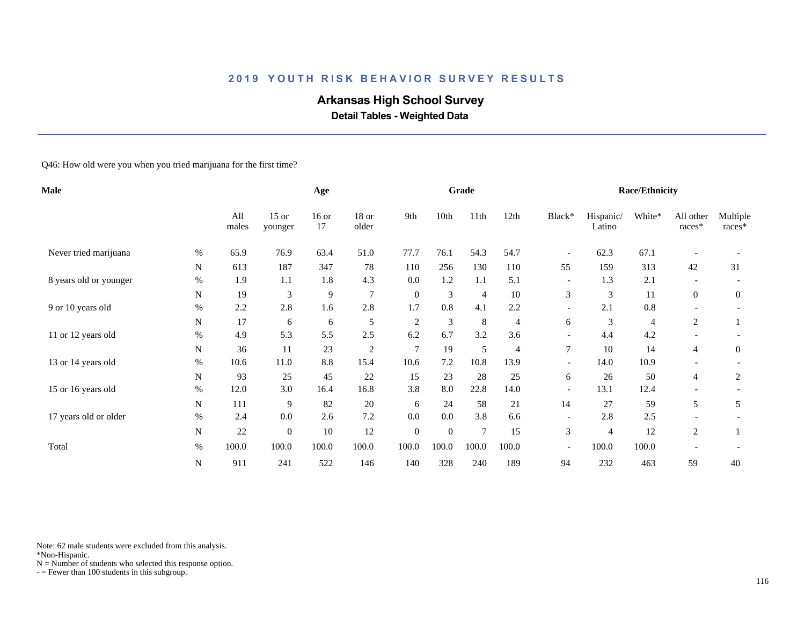# **Arkansas High School Survey**

 **Detail Tables - Weighted Data**

Q46: How old were you when you tried marijuana for the first time?

| <b>Male</b>            |             |              |                    | Age           |                |                |                | Grade          |       |                          |                     | <b>Race/Ethnicity</b> |                          |                      |
|------------------------|-------------|--------------|--------------------|---------------|----------------|----------------|----------------|----------------|-------|--------------------------|---------------------|-----------------------|--------------------------|----------------------|
|                        |             | All<br>males | $15$ or<br>younger | $16$ or<br>17 | 18 or<br>older | 9th            | 10th           | 11th           | 12th  | Black*                   | Hispanic/<br>Latino | White*                | All other<br>races*      | Multiple<br>$races*$ |
| Never tried marijuana  | %           | 65.9         | 76.9               | 63.4          | 51.0           | 77.7           | 76.1           | 54.3           | 54.7  | $\overline{\phantom{a}}$ | 62.3                | 67.1                  |                          |                      |
|                        | $\mathbf N$ | 613          | 187                | 347           | 78             | 110            | 256            | 130            | 110   | 55                       | 159                 | 313                   | 42                       | 31                   |
| 8 years old or younger | $\%$        | 1.9          | 1.1                | 1.8           | 4.3            | 0.0            | 1.2            | 1.1            | 5.1   | $\overline{\phantom{a}}$ | 1.3                 | 2.1                   |                          |                      |
|                        | N           | 19           | 3                  | 9             | $\overline{7}$ | $\mathbf{0}$   | 3              | $\overline{4}$ | 10    | 3                        | 3                   | 11                    | $\overline{0}$           | $\overline{0}$       |
| 9 or 10 years old      | $\%$        | 2.2          | 2.8                | 1.6           | 2.8            | 1.7            | 0.8            | 4.1            | 2.2   | $\overline{\phantom{a}}$ | 2.1                 | 0.8                   | $\overline{\phantom{0}}$ |                      |
|                        | N           | 17           | 6                  | 6             | 5              | $\overline{c}$ | $\mathfrak{Z}$ | $\,8\,$        | 4     | 6                        | 3                   | 4                     | 2                        |                      |
| 11 or 12 years old     | $\%$        | 4.9          | 5.3                | 5.5           | 2.5            | 6.2            | 6.7            | 3.2            | 3.6   |                          | 4.4                 | 4.2                   |                          |                      |
|                        | N           | 36           | 11                 | 23            | $\sqrt{2}$     | 7              | 19             | $\mathfrak s$  | 4     | $\overline{7}$           | 10                  | 14                    | 4                        | $\boldsymbol{0}$     |
| 13 or 14 years old     | $\%$        | 10.6         | 11.0               | 8.8           | 15.4           | 10.6           | 7.2            | 10.8           | 13.9  | $\overline{a}$           | 14.0                | 10.9                  |                          |                      |
|                        | N           | 93           | 25                 | 45            | 22             | 15             | 23             | 28             | 25    | 6                        | 26                  | 50                    | 4                        | 2                    |
| 15 or 16 years old     | $\%$        | 12.0         | 3.0                | 16.4          | 16.8           | 3.8            | 8.0            | 22.8           | 14.0  | $\overline{\phantom{a}}$ | 13.1                | 12.4                  |                          |                      |
|                        | N           | 111          | 9                  | 82            | 20             | 6              | 24             | 58             | 21    | 14                       | 27                  | 59                    | 5                        | 5                    |
| 17 years old or older  | $\%$        | 2.4          | 0.0                | 2.6           | 7.2            | 0.0            | 0.0            | 3.8            | 6.6   | $\overline{\phantom{a}}$ | 2.8                 | 2.5                   |                          |                      |
|                        | N           | 22           | $\overline{0}$     | 10            | 12             | $\mathbf{0}$   | $\theta$       | $\tau$         | 15    | 3                        | $\overline{4}$      | 12                    | 2                        |                      |
| Total                  | $\%$        | 100.0        | 100.0              | 100.0         | 100.0          | 100.0          | 100.0          | 100.0          | 100.0 | $\overline{\phantom{a}}$ | 100.0               | 100.0                 |                          |                      |
|                        | ${\bf N}$   | 911          | 241                | 522           | 146            | 140            | 328            | 240            | 189   | 94                       | 232                 | 463                   | 59                       | 40                   |

Note: 62 male students were excluded from this analysis.

\*Non-Hispanic.

 $N =$  Number of students who selected this response option.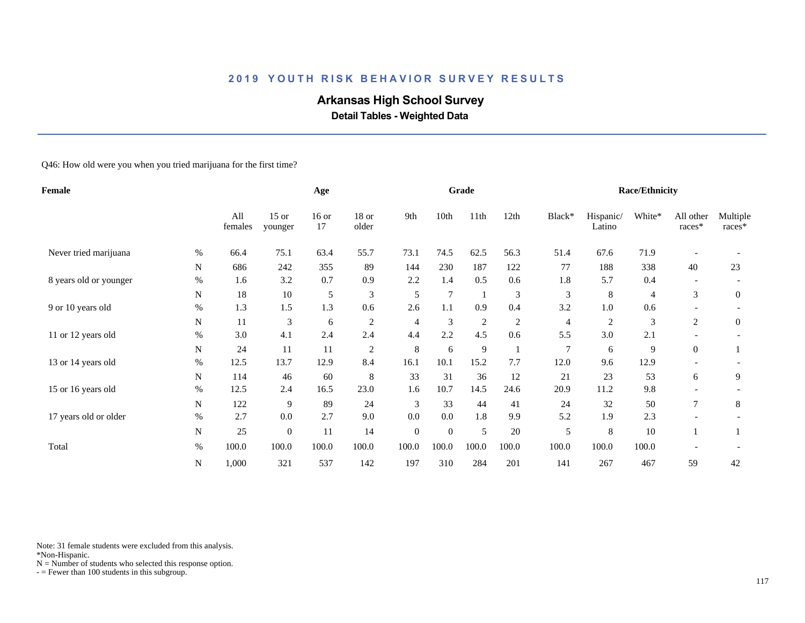# **Arkansas High School Survey**

 **Detail Tables - Weighted Data**

Q46: How old were you when you tried marijuana for the first time?

| Female                 |           |                |                    | Age           |                |                  |          | Grade          |                |                |                     | <b>Race/Ethnicity</b> |                          |                    |
|------------------------|-----------|----------------|--------------------|---------------|----------------|------------------|----------|----------------|----------------|----------------|---------------------|-----------------------|--------------------------|--------------------|
|                        |           | All<br>females | $15$ or<br>younger | $16$ or<br>17 | 18 or<br>older | 9th              | 10th     | 11th           | 12th           | Black*         | Hispanic/<br>Latino | White*                | All other<br>races*      | Multiple<br>races* |
| Never tried marijuana  | %         | 66.4           | 75.1               | 63.4          | 55.7           | 73.1             | 74.5     | 62.5           | 56.3           | 51.4           | 67.6                | 71.9                  |                          |                    |
|                        | N         | 686            | 242                | 355           | 89             | 144              | 230      | 187            | 122            | 77             | 188                 | 338                   | 40                       | 23                 |
| 8 years old or younger | $\%$      | 1.6            | 3.2                | 0.7           | 0.9            | 2.2              | 1.4      | 0.5            | 0.6            | 1.8            | 5.7                 | 0.4                   |                          |                    |
|                        | N         | 18             | $10\,$             | 5             | $\mathfrak{Z}$ | 5                | 7        |                | 3              | $\mathfrak{Z}$ | $\,8\,$             | 4                     | 3                        | $\overline{0}$     |
| 9 or 10 years old      | $\%$      | 1.3            | 1.5                | 1.3           | 0.6            | 2.6              | 1.1      | 0.9            | 0.4            | 3.2            | 1.0                 | 0.6                   | $\overline{\phantom{a}}$ |                    |
|                        | N         | 11             | 3                  | 6             | $\overline{c}$ | 4                | 3        | $\overline{c}$ | $\overline{c}$ | $\overline{4}$ | $\overline{c}$      | 3                     | 2                        | $\boldsymbol{0}$   |
| 11 or 12 years old     | $\%$      | 3.0            | 4.1                | 2.4           | 2.4            | 4.4              | 2.2      | 4.5            | 0.6            | 5.5            | 3.0                 | 2.1                   |                          |                    |
|                        | N         | 24             | 11                 | 11            | $\overline{c}$ | 8                | 6        | 9              |                | $\overline{7}$ | 6                   | 9                     | $\overline{0}$           |                    |
| 13 or 14 years old     | $\%$      | 12.5           | 13.7               | 12.9          | 8.4            | 16.1             | 10.1     | 15.2           | 7.7            | 12.0           | 9.6                 | 12.9                  |                          |                    |
|                        | N         | 114            | 46                 | 60            | $\,8\,$        | 33               | 31       | 36             | 12             | 21             | 23                  | 53                    | 6                        | 9                  |
| 15 or 16 years old     | $\%$      | 12.5           | 2.4                | 16.5          | 23.0           | 1.6              | 10.7     | 14.5           | 24.6           | 20.9           | 11.2                | 9.8                   |                          |                    |
|                        | N         | 122            | 9                  | 89            | 24             | 3                | 33       | 44             | 41             | 24             | 32                  | 50                    | 7                        | $\,8\,$            |
| 17 years old or older  | $\%$      | 2.7            | 0.0                | 2.7           | 9.0            | 0.0              | 0.0      | 1.8            | 9.9            | 5.2            | 1.9                 | 2.3                   |                          |                    |
|                        | ${\bf N}$ | 25             | $\mathbf{0}$       | 11            | 14             | $\boldsymbol{0}$ | $\theta$ | $\mathfrak s$  | 20             | 5              | 8                   | 10                    |                          |                    |
| Total                  | $\%$      | 100.0          | 100.0              | 100.0         | 100.0          | 100.0            | 100.0    | 100.0          | 100.0          | 100.0          | 100.0               | 100.0                 |                          |                    |
|                        | N         | 1,000          | 321                | 537           | 142            | 197              | 310      | 284            | 201            | 141            | 267                 | 467                   | 59                       | 42                 |

Note: 31 female students were excluded from this analysis.

\*Non-Hispanic.

 $N =$  Number of students who selected this response option.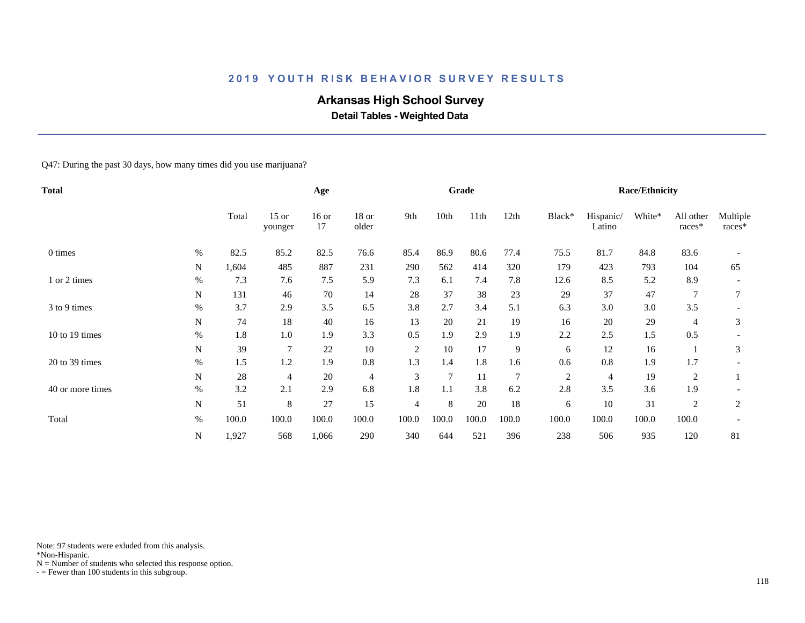# **Arkansas High School Survey**

 **Detail Tables - Weighted Data**

#### Q47: During the past 30 days, how many times did you use marijuana?

| <b>Total</b>     |             |       |                    | Age           |                  |                |       | Grade |                |                |                     | <b>Race/Ethnicity</b> |                     |                    |
|------------------|-------------|-------|--------------------|---------------|------------------|----------------|-------|-------|----------------|----------------|---------------------|-----------------------|---------------------|--------------------|
|                  |             | Total | $15$ or<br>younger | $16$ or<br>17 | $18$ or<br>older | 9th            | 10th  | 11th  | 12th           | Black*         | Hispanic/<br>Latino | White*                | All other<br>races* | Multiple<br>races* |
| 0 times          | $\%$        | 82.5  | 85.2               | 82.5          | 76.6             | 85.4           | 86.9  | 80.6  | 77.4           | 75.5           | 81.7                | 84.8                  | 83.6                |                    |
|                  | N           | 1,604 | 485                | 887           | 231              | 290            | 562   | 414   | 320            | 179            | 423                 | 793                   | 104                 | 65                 |
| 1 or 2 times     | $\%$        | 7.3   | 7.6                | 7.5           | 5.9              | 7.3            | 6.1   | 7.4   | 7.8            | 12.6           | 8.5                 | 5.2                   | 8.9                 |                    |
|                  | $\mathbf N$ | 131   | 46                 | 70            | 14               | 28             | 37    | 38    | 23             | 29             | 37                  | 47                    |                     |                    |
| 3 to 9 times     | $\%$        | 3.7   | 2.9                | 3.5           | 6.5              | 3.8            | 2.7   | 3.4   | 5.1            | 6.3            | 3.0                 | 3.0                   | 3.5                 |                    |
|                  | ${\bf N}$   | 74    | 18                 | 40            | 16               | 13             | 20    | 21    | 19             | 16             | 20                  | 29                    | 4                   | 3                  |
| 10 to 19 times   | $\%$        | 1.8   | 1.0                | 1.9           | 3.3              | 0.5            | 1.9   | 2.9   | 1.9            | 2.2            | 2.5                 | 1.5                   | 0.5                 |                    |
|                  | N           | 39    | $\overline{7}$     | 22            | 10               | $\overline{2}$ | 10    | 17    | 9              | 6              | 12                  | 16                    |                     | 3                  |
| 20 to 39 times   | $\%$        | 1.5   | 1.2                | 1.9           | 0.8              | 1.3            | 1.4   | 1.8   | 1.6            | 0.6            | 0.8                 | 1.9                   | 1.7                 |                    |
|                  | N           | 28    | 4                  | 20            | $\overline{4}$   | 3              | 7     | 11    | $\overline{7}$ | $\overline{c}$ | 4                   | 19                    | 2                   |                    |
| 40 or more times | $\%$        | 3.2   | 2.1                | 2.9           | 6.8              | 1.8            | 1.1   | 3.8   | 6.2            | 2.8            | 3.5                 | 3.6                   | 1.9                 |                    |
|                  | N           | 51    | 8                  | 27            | 15               | $\overline{4}$ | 8     | 20    | 18             | 6              | 10                  | 31                    | 2                   | $\overline{2}$     |
| Total            | $\%$        | 100.0 | 100.0              | 100.0         | 100.0            | 100.0          | 100.0 | 100.0 | 100.0          | 100.0          | 100.0               | 100.0                 | 100.0               |                    |
|                  | N           | 1,927 | 568                | 1,066         | 290              | 340            | 644   | 521   | 396            | 238            | 506                 | 935                   | 120                 | 81                 |

Note: 97 students were exluded from this analysis.

\*Non-Hispanic.

 $N =$  Number of students who selected this response option.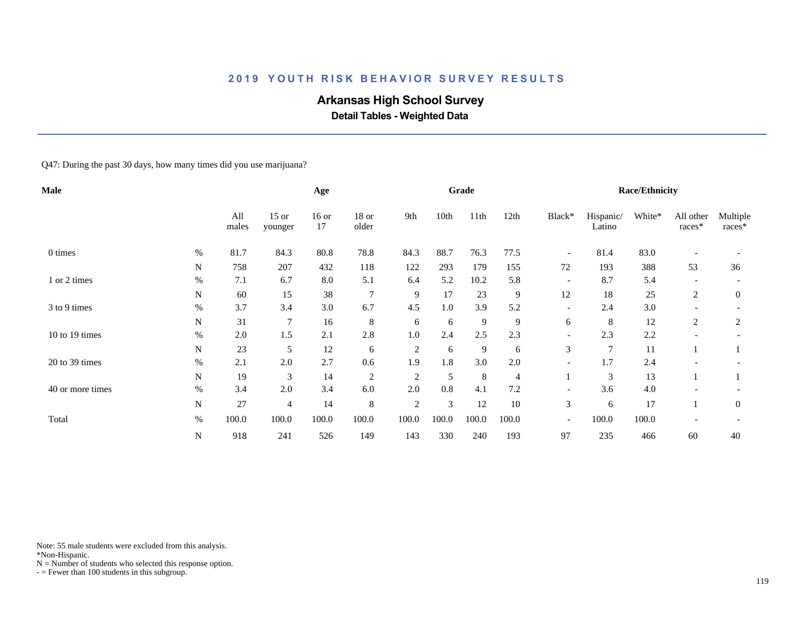# **Arkansas High School Survey**

 **Detail Tables - Weighted Data**

#### Q47: During the past 30 days, how many times did you use marijuana?

| Male             |           |              |                    | Age           |                  |                |       | Grade |       |                          |                     | <b>Race/Ethnicity</b> |                          |                    |
|------------------|-----------|--------------|--------------------|---------------|------------------|----------------|-------|-------|-------|--------------------------|---------------------|-----------------------|--------------------------|--------------------|
|                  |           | All<br>males | $15$ or<br>younger | $16$ or<br>17 | $18$ or<br>older | 9th            | 10th  | 11th  | 12th  | Black*                   | Hispanic/<br>Latino | White*                | All other<br>races*      | Multiple<br>races* |
| 0 times          | $\%$      | 81.7         | 84.3               | 80.8          | 78.8             | 84.3           | 88.7  | 76.3  | 77.5  | $\overline{\phantom{a}}$ | 81.4                | 83.0                  |                          |                    |
|                  | N         | 758          | 207                | 432           | 118              | 122            | 293   | 179   | 155   | 72                       | 193                 | 388                   | 53                       | 36                 |
| 1 or 2 times     | $\%$      | 7.1          | 6.7                | 8.0           | 5.1              | 6.4            | 5.2   | 10.2  | 5.8   | $\overline{\phantom{a}}$ | 8.7                 | 5.4                   | $\overline{\phantom{a}}$ |                    |
|                  | N         | 60           | 15                 | 38            | $\overline{7}$   | 9              | 17    | 23    | 9     | 12                       | 18                  | 25                    | 2                        | $\overline{0}$     |
| 3 to 9 times     | $\%$      | 3.7          | 3.4                | 3.0           | 6.7              | 4.5            | 1.0   | 3.9   | 5.2   | $\overline{\phantom{a}}$ | 2.4                 | 3.0                   | $\overline{\phantom{a}}$ |                    |
|                  | ${\bf N}$ | 31           | 7                  | 16            | 8                | 6              | 6     | 9     | 9     | 6                        | 8                   | 12                    | 2                        | 2                  |
| 10 to 19 times   | $\%$      | 2.0          | 1.5                | 2.1           | 2.8              | 1.0            | 2.4   | 2.5   | 2.3   | $\overline{\phantom{a}}$ | 2.3                 | 2.2                   |                          |                    |
|                  | N         | 23           | 5                  | 12            | 6                | $\overline{c}$ | 6     | 9     | 6     | 3                        | $\overline{7}$      | 11                    |                          |                    |
| 20 to 39 times   | $\%$      | 2.1          | 2.0                | 2.7           | 0.6              | 1.9            | 1.8   | 3.0   | 2.0   | $\overline{\phantom{a}}$ | 1.7                 | 2.4                   |                          |                    |
|                  | N         | 19           | 3                  | 14            | $\overline{c}$   | $\overline{c}$ | 5     | 8     | 4     |                          | 3                   | 13                    |                          |                    |
| 40 or more times | $\%$      | 3.4          | 2.0                | 3.4           | 6.0              | 2.0            | 0.8   | 4.1   | 7.2   | $\overline{\phantom{a}}$ | 3.6                 | 4.0                   |                          |                    |
|                  | N         | 27           | $\overline{4}$     | 14            | 8                | $\overline{c}$ | 3     | 12    | 10    | $\mathfrak{Z}$           | 6                   | 17                    |                          | $\overline{0}$     |
| Total            | $\%$      | 100.0        | 100.0              | 100.0         | 100.0            | 100.0          | 100.0 | 100.0 | 100.0 | $\overline{\phantom{a}}$ | 100.0               | 100.0                 |                          |                    |
|                  | N         | 918          | 241                | 526           | 149              | 143            | 330   | 240   | 193   | 97                       | 235                 | 466                   | 60                       | 40                 |

Note: 55 male students were excluded from this analysis.

\*Non-Hispanic.

 $N =$  Number of students who selected this response option.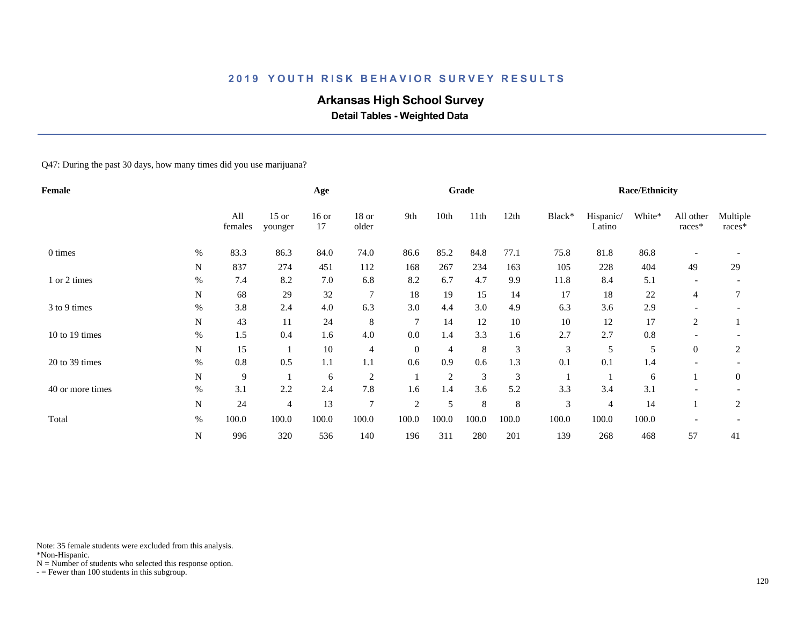# **Arkansas High School Survey**

 **Detail Tables - Weighted Data**

Q47: During the past 30 days, how many times did you use marijuana?

| Female           |           |                |                    | Age           |                 |                |                | Grade |         |        |                     | <b>Race/Ethnicity</b> |                          |                    |
|------------------|-----------|----------------|--------------------|---------------|-----------------|----------------|----------------|-------|---------|--------|---------------------|-----------------------|--------------------------|--------------------|
|                  |           | All<br>females | $15$ or<br>younger | $16$ or<br>17 | 18 or<br>older  | 9th            | 10th           | 11th  | 12th    | Black* | Hispanic/<br>Latino | White*                | All other<br>races*      | Multiple<br>races* |
| 0 times          | $\%$      | 83.3           | 86.3               | 84.0          | 74.0            | 86.6           | 85.2           | 84.8  | 77.1    | 75.8   | 81.8                | 86.8                  |                          |                    |
|                  | N         | 837            | 274                | 451           | 112             | 168            | 267            | 234   | 163     | 105    | 228                 | 404                   | 49                       | 29                 |
| 1 or 2 times     | $\%$      | 7.4            | 8.2                | 7.0           | 6.8             | 8.2            | 6.7            | 4.7   | 9.9     | 11.8   | 8.4                 | 5.1                   | $\overline{\phantom{a}}$ |                    |
|                  | N         | 68             | 29                 | 32            | $7\phantom{.0}$ | 18             | 19             | 15    | 14      | 17     | 18                  | 22                    | $\overline{4}$           | 7                  |
| 3 to 9 times     | $\%$      | 3.8            | 2.4                | 4.0           | 6.3             | 3.0            | 4.4            | 3.0   | 4.9     | 6.3    | 3.6                 | 2.9                   |                          |                    |
|                  | N         | 43             | 11                 | 24            | 8               | 7              | 14             | 12    | $10\,$  | 10     | 12                  | 17                    | 2                        |                    |
| 10 to 19 times   | $\%$      | 1.5            | 0.4                | 1.6           | 4.0             | 0.0            | 1.4            | 3.3   | 1.6     | 2.7    | 2.7                 | $0.8\,$               |                          |                    |
|                  | N         | 15             |                    | 10            | $\overline{4}$  | $\overline{0}$ | 4              | 8     | 3       | 3      | 5                   | 5                     | $\theta$                 | 2                  |
| 20 to 39 times   | $\%$      | 0.8            | 0.5                | 1.1           | 1.1             | 0.6            | 0.9            | 0.6   | 1.3     | 0.1    | 0.1                 | 1.4                   |                          |                    |
|                  | N         | 9              |                    | 6             | $\overline{c}$  |                | $\overline{2}$ | 3     | 3       |        |                     | 6                     |                          | $\mathbf{0}$       |
| 40 or more times | $\%$      | 3.1            | 2.2                | 2.4           | 7.8             | 1.6            | 1.4            | 3.6   | 5.2     | 3.3    | 3.4                 | 3.1                   |                          |                    |
|                  | N         | 24             | 4                  | 13            | $\overline{7}$  | $\overline{c}$ | 5              | 8     | $\,8\,$ | 3      | $\overline{4}$      | 14                    |                          | 2                  |
| Total            | $\%$      | 100.0          | 100.0              | 100.0         | 100.0           | 100.0          | 100.0          | 100.0 | 100.0   | 100.0  | 100.0               | 100.0                 |                          |                    |
|                  | ${\bf N}$ | 996            | 320                | 536           | 140             | 196            | 311            | 280   | 201     | 139    | 268                 | 468                   | 57                       | 41                 |

Note: 35 female students were excluded from this analysis.

\*Non-Hispanic.

 $N =$  Number of students who selected this response option.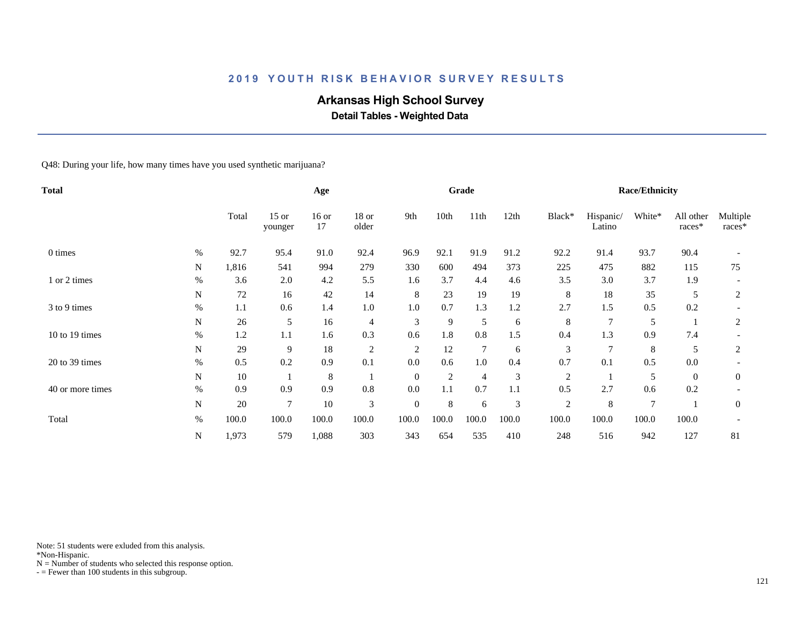# **Arkansas High School Survey**

 **Detail Tables - Weighted Data**

Q48: During your life, how many times have you used synthetic marijuana?

| <b>Total</b>     |             |       |                    | Age           |                  |                |                | Grade           |       |                |                     | <b>Race/Ethnicity</b> |                     |                    |
|------------------|-------------|-------|--------------------|---------------|------------------|----------------|----------------|-----------------|-------|----------------|---------------------|-----------------------|---------------------|--------------------|
|                  |             | Total | $15$ or<br>younger | $16$ or<br>17 | $18$ or<br>older | 9th            | 10th           | 11th            | 12th  | Black*         | Hispanic/<br>Latino | White*                | All other<br>races* | Multiple<br>races* |
| 0 times          | $\%$        | 92.7  | 95.4               | 91.0          | 92.4             | 96.9           | 92.1           | 91.9            | 91.2  | 92.2           | 91.4                | 93.7                  | 90.4                |                    |
|                  | $\mathbf N$ | 1,816 | 541                | 994           | 279              | 330            | 600            | 494             | 373   | 225            | 475                 | 882                   | 115                 | 75                 |
| 1 or 2 times     | $\%$        | 3.6   | 2.0                | 4.2           | 5.5              | 1.6            | 3.7            | 4.4             | 4.6   | 3.5            | 3.0                 | 3.7                   | 1.9                 |                    |
|                  | $\mathbf N$ | 72    | 16                 | 42            | 14               | 8              | 23             | 19              | 19    | 8              | 18                  | 35                    | 5                   | 2                  |
| 3 to 9 times     | $\%$        | 1.1   | 0.6                | 1.4           | $1.0\,$          | 1.0            | 0.7            | 1.3             | 1.2   | 2.7            | 1.5                 | 0.5                   | 0.2                 |                    |
|                  | $\mathbf N$ | 26    | 5                  | 16            | 4                | 3              | 9              | 5               | 6     | 8              | $\overline{7}$      | 5                     |                     | $\overline{2}$     |
| 10 to 19 times   | $\%$        | 1.2   | 1.1                | 1.6           | 0.3              | 0.6            | 1.8            | 0.8             | 1.5   | 0.4            | 1.3                 | 0.9                   | 7.4                 |                    |
|                  | $\mathbf N$ | 29    | 9                  | 18            | $\overline{c}$   | $\overline{2}$ | 12             | $7\phantom{.0}$ | 6     | 3              | $\overline{7}$      | 8                     | 5                   | $\overline{2}$     |
| 20 to 39 times   | $\%$        | 0.5   | 0.2                | 0.9           | 0.1              | 0.0            | 0.6            | $1.0\,$         | 0.4   | 0.7            | 0.1                 | 0.5                   | 0.0                 |                    |
|                  | $\mathbf N$ | 10    |                    | $\,8\,$       |                  | $\theta$       | $\overline{2}$ | 4               | 3     | $\overline{2}$ |                     | 5                     | $\overline{0}$      | $\overline{0}$     |
| 40 or more times | $\%$        | 0.9   | 0.9                | 0.9           | 0.8              | 0.0            | 1.1            | 0.7             | 1.1   | 0.5            | 2.7                 | 0.6                   | 0.2                 |                    |
|                  | $\mathbf N$ | 20    | $\overline{7}$     | 10            | 3                | $\mathbf{0}$   | 8              | 6               | 3     | $\overline{c}$ | 8                   | $\overline{7}$        |                     | $\mathbf{0}$       |
| Total            | $\%$        | 100.0 | 100.0              | 100.0         | 100.0            | 100.0          | 100.0          | 100.0           | 100.0 | 100.0          | 100.0               | 100.0                 | 100.0               |                    |
|                  | ${\bf N}$   | 1,973 | 579                | 1,088         | 303              | 343            | 654            | 535             | 410   | 248            | 516                 | 942                   | 127                 | 81                 |

Note: 51 students were exluded from this analysis.

\*Non-Hispanic.

 $N =$  Number of students who selected this response option.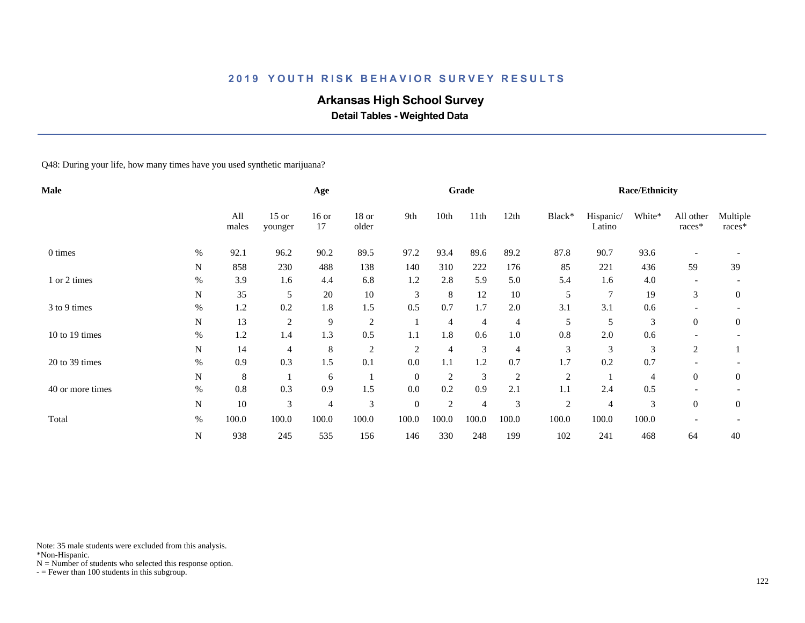# **Arkansas High School Survey**

 **Detail Tables - Weighted Data**

Q48: During your life, how many times have you used synthetic marijuana?

| Male             |             |              |                    | Age            |                  |                |                | Grade          |                |                |                     | <b>Race/Ethnicity</b> |                          |                    |
|------------------|-------------|--------------|--------------------|----------------|------------------|----------------|----------------|----------------|----------------|----------------|---------------------|-----------------------|--------------------------|--------------------|
|                  |             | All<br>males | $15$ or<br>younger | $16$ or<br>17  | $18$ or<br>older | 9th            | 10th           | 11th           | 12th           | Black*         | Hispanic/<br>Latino | White*                | All other<br>races*      | Multiple<br>races* |
| 0 times          | $\%$        | 92.1         | 96.2               | 90.2           | 89.5             | 97.2           | 93.4           | 89.6           | 89.2           | 87.8           | 90.7                | 93.6                  |                          |                    |
|                  | $\mathbf N$ | 858          | 230                | 488            | 138              | 140            | 310            | 222            | 176            | 85             | 221                 | 436                   | 59                       | 39                 |
| 1 or 2 times     | $\%$        | 3.9          | 1.6                | 4.4            | 6.8              | 1.2            | 2.8            | 5.9            | 5.0            | 5.4            | 1.6                 | 4.0                   | $\overline{\phantom{a}}$ |                    |
|                  | $\mathbf N$ | 35           | 5                  | 20             | $10\,$           | 3              | 8              | 12             | 10             | 5              | $\overline{7}$      | 19                    | 3                        | $\overline{0}$     |
| 3 to 9 times     | $\%$        | 1.2          | 0.2                | 1.8            | 1.5              | 0.5            | 0.7            | 1.7            | 2.0            | 3.1            | 3.1                 | 0.6                   |                          |                    |
|                  | N           | 13           | $\overline{c}$     | 9              | $\overline{c}$   |                | 4              | 4              | 4              | 5              | 5                   | 3                     | $\overline{0}$           | $\overline{0}$     |
| 10 to 19 times   | $\%$        | 1.2          | 1.4                | 1.3            | 0.5              | 1.1            | 1.8            | 0.6            | $1.0\,$        | 0.8            | 2.0                 | 0.6                   |                          |                    |
|                  | N           | 14           | 4                  | $\,8\,$        | $\overline{c}$   | $\overline{2}$ | 4              | 3              | 4              | 3              | 3                   | 3                     | 2                        |                    |
| 20 to 39 times   | $\%$        | 0.9          | 0.3                | 1.5            | 0.1              | 0.0            | 1.1            | 1.2            | 0.7            | 1.7            | 0.2                 | 0.7                   |                          |                    |
|                  | $\mathbf N$ | 8            |                    | 6              |                  | $\mathbf{0}$   | $\overline{2}$ | 3              | $\overline{c}$ | $\overline{c}$ |                     | 4                     | $\theta$                 | $\overline{0}$     |
| 40 or more times | $\%$        | 0.8          | 0.3                | 0.9            | 1.5              | 0.0            | 0.2            | 0.9            | 2.1            | 1.1            | 2.4                 | 0.5                   |                          |                    |
|                  | N           | 10           | 3                  | $\overline{4}$ | 3                | $\mathbf{0}$   | $\overline{2}$ | $\overline{4}$ | 3              | $\overline{2}$ | $\overline{4}$      | 3                     | $\theta$                 | $\overline{0}$     |
| Total            | $\%$        | 100.0        | 100.0              | 100.0          | 100.0            | 100.0          | 100.0          | 100.0          | 100.0          | 100.0          | 100.0               | 100.0                 |                          |                    |
|                  | N           | 938          | 245                | 535            | 156              | 146            | 330            | 248            | 199            | 102            | 241                 | 468                   | 64                       | 40                 |

Note: 35 male students were excluded from this analysis.

\*Non-Hispanic.

 $N =$  Number of students who selected this response option.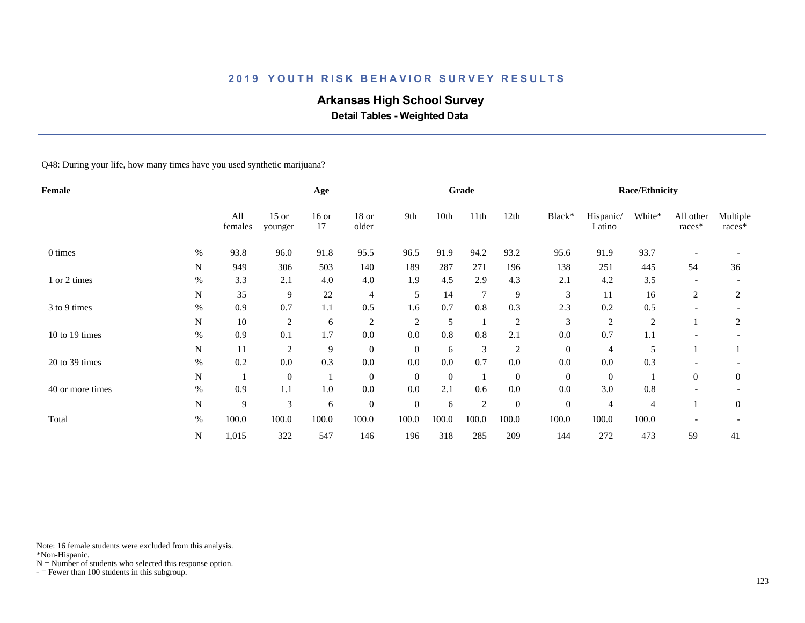# **Arkansas High School Survey**

 **Detail Tables - Weighted Data**

Q48: During your life, how many times have you used synthetic marijuana?

| Female           |             |                |                    | Age           |                  |                |              | Grade          |                |                  |                     | <b>Race/Ethnicity</b> |                          |                    |
|------------------|-------------|----------------|--------------------|---------------|------------------|----------------|--------------|----------------|----------------|------------------|---------------------|-----------------------|--------------------------|--------------------|
|                  |             | All<br>females | $15$ or<br>younger | $16$ or<br>17 | $18$ or<br>older | 9th            | 10th         | 11th           | 12th           | Black*           | Hispanic/<br>Latino | White*                | All other<br>races*      | Multiple<br>races* |
| 0 times          | $\%$        | 93.8           | 96.0               | 91.8          | 95.5             | 96.5           | 91.9         | 94.2           | 93.2           | 95.6             | 91.9                | 93.7                  |                          |                    |
|                  | $\mathbf N$ | 949            | 306                | 503           | 140              | 189            | 287          | 271            | 196            | 138              | 251                 | 445                   | 54                       | 36                 |
| 1 or 2 times     | $\%$        | 3.3            | 2.1                | 4.0           | 4.0              | 1.9            | 4.5          | 2.9            | 4.3            | 2.1              | 4.2                 | 3.5                   | $\overline{\phantom{a}}$ |                    |
|                  | N           | 35             | 9                  | 22            | $\overline{4}$   | 5              | 14           | 7              | 9              | 3                | 11                  | 16                    | 2                        | $\overline{2}$     |
| 3 to 9 times     | $\%$        | 0.9            | 0.7                | 1.1           | 0.5              | 1.6            | 0.7          | 0.8            | 0.3            | 2.3              | 0.2                 | 0.5                   |                          |                    |
|                  | $\mathbf N$ | 10             | $\overline{c}$     | 6             | 2                | $\overline{2}$ | 5            |                | $\overline{2}$ | 3                | $\overline{c}$      | 2                     |                          | 2                  |
| 10 to 19 times   | $\%$        | 0.9            | 0.1                | 1.7           | $0.0\,$          | 0.0            | 0.8          | 0.8            | 2.1            | 0.0              | 0.7                 | 1.1                   |                          |                    |
|                  | N           | 11             | $\overline{2}$     | 9             | $\overline{0}$   | $\mathbf{0}$   | 6            | 3              | $\overline{c}$ | $\boldsymbol{0}$ | 4                   | 5                     |                          |                    |
| 20 to 39 times   | $\%$        | 0.2            | 0.0                | 0.3           | 0.0              | 0.0            | 0.0          | 0.7            | 0.0            | 0.0              | 0.0                 | 0.3                   |                          |                    |
|                  | $\mathbf N$ | -1             | $\mathbf{0}$       |               | $\overline{0}$   | $\mathbf{0}$   | $\mathbf{0}$ |                | $\mathbf{0}$   | $\boldsymbol{0}$ | $\overline{0}$      |                       | $\overline{0}$           | $\overline{0}$     |
| 40 or more times | $\%$        | 0.9            | 1.1                | 1.0           | 0.0              | 0.0            | 2.1          | 0.6            | 0.0            | 0.0              | 3.0                 | 0.8                   |                          |                    |
|                  | ${\bf N}$   | 9              | 3                  | 6             | $\overline{0}$   | $\mathbf{0}$   | 6            | $\overline{2}$ | $\mathbf{0}$   | $\boldsymbol{0}$ | 4                   | $\overline{4}$        |                          | $\mathbf{0}$       |
| Total            | $\%$        | 100.0          | 100.0              | 100.0         | 100.0            | 100.0          | 100.0        | 100.0          | 100.0          | 100.0            | 100.0               | 100.0                 |                          |                    |
|                  | N           | 1,015          | 322                | 547           | 146              | 196            | 318          | 285            | 209            | 144              | 272                 | 473                   | 59                       | 41                 |

Note: 16 female students were excluded from this analysis.

\*Non-Hispanic.

 $N =$  Number of students who selected this response option.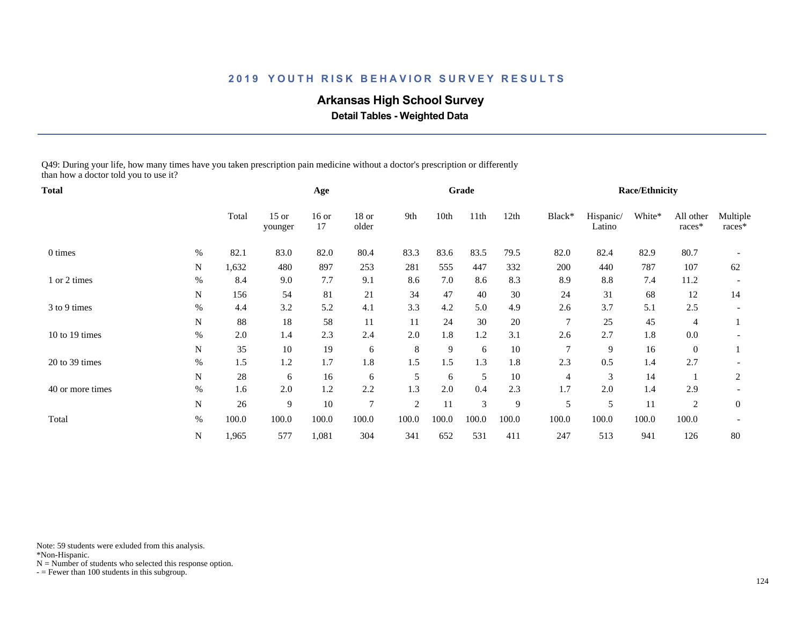# **Arkansas High School Survey**

 **Detail Tables - Weighted Data**

Q49: During your life, how many times have you taken prescription pain medicine without a doctor's prescription or differently than how a doctor told you to use it?

| Total            |             |       |                    | Age           |                  |                |       | Grade |       |                |                     | <b>Race/Ethnicity</b> |                     |                    |
|------------------|-------------|-------|--------------------|---------------|------------------|----------------|-------|-------|-------|----------------|---------------------|-----------------------|---------------------|--------------------|
|                  |             | Total | $15$ or<br>younger | $16$ or<br>17 | $18$ or<br>older | 9th            | 10th  | 11th  | 12th  | Black*         | Hispanic/<br>Latino | White*                | All other<br>races* | Multiple<br>races* |
| 0 times          | $\%$        | 82.1  | 83.0               | 82.0          | 80.4             | 83.3           | 83.6  | 83.5  | 79.5  | 82.0           | 82.4                | 82.9                  | 80.7                |                    |
|                  | ${\bf N}$   | 1,632 | 480                | 897           | 253              | 281            | 555   | 447   | 332   | 200            | 440                 | 787                   | 107                 | 62                 |
| 1 or 2 times     | $\%$        | 8.4   | 9.0                | 7.7           | 9.1              | 8.6            | 7.0   | 8.6   | 8.3   | 8.9            | $8.8\,$             | 7.4                   | 11.2                |                    |
|                  | N           | 156   | 54                 | 81            | 21               | 34             | 47    | 40    | 30    | 24             | 31                  | 68                    | 12                  | 14                 |
| 3 to 9 times     | $\%$        | 4.4   | 3.2                | 5.2           | 4.1              | 3.3            | 4.2   | 5.0   | 4.9   | 2.6            | 3.7                 | 5.1                   | 2.5                 |                    |
|                  | N           | 88    | 18                 | 58            | 11               | 11             | 24    | 30    | 20    | $\overline{7}$ | 25                  | 45                    | 4                   |                    |
| 10 to 19 times   | $\%$        | 2.0   | 1.4                | 2.3           | 2.4              | 2.0            | 1.8   | 1.2   | 3.1   | 2.6            | 2.7                 | 1.8                   | $0.0\,$             |                    |
|                  | ${\bf N}$   | 35    | 10                 | 19            | 6                | 8              | 9     | 6     | 10    | 7              | 9                   | 16                    | $\overline{0}$      |                    |
| 20 to 39 times   | $\%$        | 1.5   | 1.2                | 1.7           | 1.8              | 1.5            | 1.5   | 1.3   | 1.8   | 2.3            | 0.5                 | 1.4                   | 2.7                 |                    |
|                  | $\mathbf N$ | 28    | 6                  | 16            | 6                | 5              | 6     | 5     | 10    | 4              | 3                   | 14                    |                     | 2                  |
| 40 or more times | $\%$        | 1.6   | 2.0                | 1.2           | 2.2              | 1.3            | 2.0   | 0.4   | 2.3   | 1.7            | 2.0                 | 1.4                   | 2.9                 |                    |
|                  | N           | 26    | 9                  | 10            | 7                | $\overline{c}$ | 11    | 3     | 9     | 5              | 5                   | 11                    | 2                   | $\mathbf{0}$       |
| Total            | $\%$        | 100.0 | 100.0              | 100.0         | 100.0            | 100.0          | 100.0 | 100.0 | 100.0 | 100.0          | 100.0               | 100.0                 | 100.0               |                    |
|                  | N           | 1,965 | 577                | 1,081         | 304              | 341            | 652   | 531   | 411   | 247            | 513                 | 941                   | 126                 | 80                 |

Note: 59 students were exluded from this analysis.

\*Non-Hispanic.

 $N =$  Number of students who selected this response option.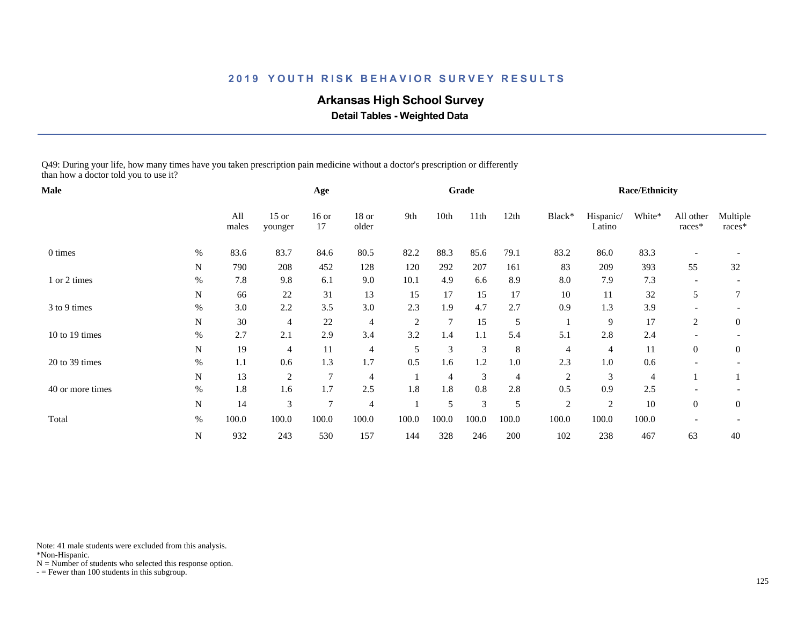# **Arkansas High School Survey**

 **Detail Tables - Weighted Data**

Q49: During your life, how many times have you taken prescription pain medicine without a doctor's prescription or differently than how a doctor told you to use it?

| Male             |             |              |                    | Age            |                  |                |                | Grade   |         |                |                     | <b>Race/Ethnicity</b> |                     |                    |
|------------------|-------------|--------------|--------------------|----------------|------------------|----------------|----------------|---------|---------|----------------|---------------------|-----------------------|---------------------|--------------------|
|                  |             | All<br>males | $15$ or<br>younger | $16$ or<br>17  | $18$ or<br>older | 9th            | 10th           | 11th    | 12th    | Black*         | Hispanic/<br>Latino | White*                | All other<br>races* | Multiple<br>races* |
| 0 times          | %           | 83.6         | 83.7               | 84.6           | 80.5             | 82.2           | 88.3           | 85.6    | 79.1    | 83.2           | 86.0                | 83.3                  |                     |                    |
|                  | N           | 790          | 208                | 452            | 128              | 120            | 292            | 207     | 161     | 83             | 209                 | 393                   | 55                  | 32                 |
| 1 or 2 times     | $\%$        | 7.8          | 9.8                | 6.1            | 9.0              | 10.1           | 4.9            | 6.6     | 8.9     | 8.0            | 7.9                 | 7.3                   |                     |                    |
|                  | N           | 66           | 22                 | 31             | 13               | 15             | 17             | 15      | 17      | 10             | 11                  | 32                    | 5                   | 7                  |
| 3 to 9 times     | $\%$        | 3.0          | 2.2                | 3.5            | 3.0              | 2.3            | 1.9            | 4.7     | 2.7     | 0.9            | 1.3                 | 3.9                   |                     |                    |
|                  | N           | 30           | 4                  | 22             | $\overline{4}$   | $\overline{2}$ | $\overline{7}$ | 15      | 5       |                | 9                   | 17                    | 2                   | $\boldsymbol{0}$   |
| 10 to 19 times   | $\%$        | 2.7          | 2.1                | 2.9            | 3.4              | 3.2            | 1.4            | 1.1     | 5.4     | 5.1            | 2.8                 | 2.4                   |                     |                    |
|                  | N           | 19           | 4                  | 11             | 4                | 5              | 3              | 3       | 8       | $\overline{4}$ | 4                   | 11                    | $\overline{0}$      | $\boldsymbol{0}$   |
| 20 to 39 times   | $\%$        | 1.1          | 0.6                | 1.3            | 1.7              | 0.5            | 1.6            | 1.2     | $1.0\,$ | 2.3            | $1.0\,$             | 0.6                   |                     |                    |
|                  | N           | 13           | 2                  | 7              | $\overline{4}$   |                | $\overline{4}$ | 3       | 4       | $\overline{c}$ | 3                   | $\overline{4}$        |                     |                    |
| 40 or more times | $\%$        | 1.8          | 1.6                | 1.7            | 2.5              | 1.8            | 1.8            | $0.8\,$ | 2.8     | 0.5            | 0.9                 | 2.5                   |                     |                    |
|                  | $\mathbf N$ | 14           | 3                  | $\overline{7}$ | $\overline{4}$   |                | 5              | 3       | 5       | $\overline{2}$ | $\overline{2}$      | 10                    | $\overline{0}$      | $\mathbf{0}$       |
| Total            | $\%$        | 100.0        | 100.0              | 100.0          | 100.0            | 100.0          | 100.0          | 100.0   | 100.0   | 100.0          | 100.0               | 100.0                 |                     |                    |
|                  | ${\bf N}$   | 932          | 243                | 530            | 157              | 144            | 328            | 246     | 200     | 102            | 238                 | 467                   | 63                  | 40                 |

Note: 41 male students were excluded from this analysis.

\*Non-Hispanic.

 $N =$  Number of students who selected this response option.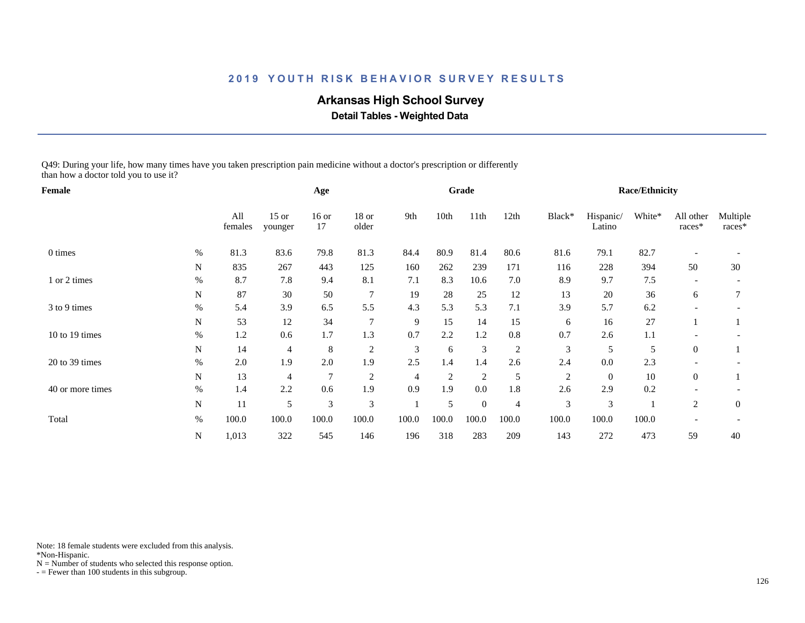# **Arkansas High School Survey**

 **Detail Tables - Weighted Data**

Q49: During your life, how many times have you taken prescription pain medicine without a doctor's prescription or differently than how a doctor told you to use it?

| Female           |      |                |                    | Age           |                  |                |                | Grade            |                |                |                     | <b>Race/Ethnicity</b> |                     |                    |
|------------------|------|----------------|--------------------|---------------|------------------|----------------|----------------|------------------|----------------|----------------|---------------------|-----------------------|---------------------|--------------------|
|                  |      | All<br>females | $15$ or<br>younger | $16$ or<br>17 | $18$ or<br>older | 9th            | 10th           | 11th             | 12th           | Black*         | Hispanic/<br>Latino | White*                | All other<br>races* | Multiple<br>races* |
| 0 times          | %    | 81.3           | 83.6               | 79.8          | 81.3             | 84.4           | 80.9           | 81.4             | 80.6           | 81.6           | 79.1                | 82.7                  |                     |                    |
|                  | N    | 835            | 267                | 443           | 125              | 160            | 262            | 239              | 171            | 116            | 228                 | 394                   | 50                  | 30                 |
| 1 or 2 times     | $\%$ | 8.7            | 7.8                | 9.4           | 8.1              | 7.1            | 8.3            | 10.6             | 7.0            | 8.9            | 9.7                 | $7.5$                 |                     |                    |
|                  | N    | 87             | 30                 | 50            | $\overline{7}$   | 19             | 28             | 25               | 12             | 13             | 20                  | 36                    | 6                   | 7                  |
| 3 to 9 times     | $\%$ | 5.4            | 3.9                | 6.5           | 5.5              | 4.3            | 5.3            | 5.3              | 7.1            | 3.9            | 5.7                 | 6.2                   |                     |                    |
|                  | N    | 53             | 12                 | 34            | $\overline{7}$   | 9              | 15             | 14               | 15             | 6              | 16                  | 27                    |                     |                    |
| 10 to 19 times   | $\%$ | 1.2            | 0.6                | 1.7           | 1.3              | 0.7            | 2.2            | 1.2              | $0.8\,$        | 0.7            | 2.6                 | 1.1                   |                     |                    |
|                  | N    | 14             | 4                  | 8             | $\sqrt{2}$       | 3              | 6              | 3                | $\overline{c}$ | 3              | 5                   | 5                     | $\overline{0}$      |                    |
| 20 to 39 times   | $\%$ | 2.0            | 1.9                | $2.0\,$       | 1.9              | 2.5            | 1.4            | 1.4              | 2.6            | 2.4            | $0.0\,$             | 2.3                   |                     |                    |
|                  | N    | 13             | 4                  | 7             | $\overline{c}$   | $\overline{4}$ | $\overline{2}$ | $\overline{2}$   | 5              | $\overline{c}$ | $\mathbf{0}$        | $10\,$                | $\overline{0}$      |                    |
| 40 or more times | $\%$ | 1.4            | 2.2                | 0.6           | 1.9              | 0.9            | 1.9            | 0.0              | 1.8            | 2.6            | 2.9                 | 0.2                   |                     |                    |
|                  | N    | 11             | 5                  | 3             | $\mathfrak{Z}$   |                | 5              | $\boldsymbol{0}$ | $\overline{4}$ | 3              | 3                   |                       | 2                   | $\mathbf{0}$       |
| Total            | $\%$ | 100.0          | 100.0              | 100.0         | 100.0            | 100.0          | 100.0          | 100.0            | 100.0          | 100.0          | 100.0               | 100.0                 |                     |                    |
|                  | N    | 1,013          | 322                | 545           | 146              | 196            | 318            | 283              | 209            | 143            | 272                 | 473                   | 59                  | 40                 |

Note: 18 female students were excluded from this analysis.

\*Non-Hispanic.

 $N =$  Number of students who selected this response option.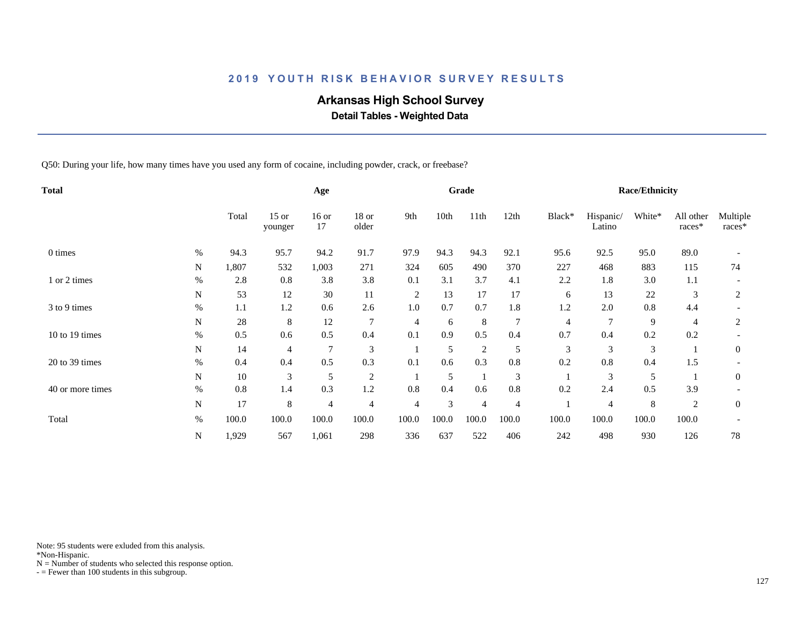# **Arkansas High School Survey**

 **Detail Tables - Weighted Data**

Q50: During your life, how many times have you used any form of cocaine, including powder, crack, or freebase?

| Total            |      |       |                    | Age            |                |                |       | Grade          |                |        |                     | <b>Race/Ethnicity</b> |                     |                    |
|------------------|------|-------|--------------------|----------------|----------------|----------------|-------|----------------|----------------|--------|---------------------|-----------------------|---------------------|--------------------|
|                  |      | Total | $15$ or<br>younger | $16$ or<br>17  | 18 or<br>older | 9th            | 10th  | 11th           | 12th           | Black* | Hispanic/<br>Latino | White*                | All other<br>races* | Multiple<br>races* |
| 0 times          | $\%$ | 94.3  | 95.7               | 94.2           | 91.7           | 97.9           | 94.3  | 94.3           | 92.1           | 95.6   | 92.5                | 95.0                  | 89.0                |                    |
|                  | N    | 1,807 | 532                | 1,003          | 271            | 324            | 605   | 490            | 370            | 227    | 468                 | 883                   | 115                 | 74                 |
| 1 or 2 times     | $\%$ | 2.8   | 0.8                | 3.8            | 3.8            | 0.1            | 3.1   | 3.7            | 4.1            | 2.2    | 1.8                 | 3.0                   | 1.1                 |                    |
|                  | N    | 53    | 12                 | 30             | 11             | $\overline{c}$ | 13    | 17             | 17             | 6      | 13                  | 22                    | 3                   | 2                  |
| 3 to 9 times     | $\%$ | 1.1   | 1.2                | 0.6            | 2.6            | 1.0            | 0.7   | 0.7            | 1.8            | 1.2    | 2.0                 | 0.8                   | 4.4                 |                    |
|                  | N    | 28    | 8                  | 12             | 7              | 4              | 6     | 8              | 7              | 4      | 7                   | 9                     | 4                   | 2                  |
| 10 to 19 times   | $\%$ | 0.5   | 0.6                | 0.5            | 0.4            | 0.1            | 0.9   | 0.5            | 0.4            | 0.7    | 0.4                 | 0.2                   | 0.2                 |                    |
|                  | N    | 14    | 4                  | $\overline{7}$ | 3              |                | 5     | $\overline{c}$ | 5              | 3      | 3                   | 3                     |                     | $\mathbf{0}$       |
| 20 to 39 times   | $\%$ | 0.4   | 0.4                | 0.5            | 0.3            | 0.1            | 0.6   | 0.3            | 0.8            | 0.2    | $0.8\,$             | 0.4                   | 1.5                 |                    |
|                  | N    | 10    | 3                  | 5              | $\sqrt{2}$     |                | 5     |                | 3              |        | 3                   | 5                     |                     | $\mathbf{0}$       |
| 40 or more times | $\%$ | 0.8   | 1.4                | 0.3            | 1.2            | 0.8            | 0.4   | 0.6            | 0.8            | 0.2    | 2.4                 | 0.5                   | 3.9                 |                    |
|                  | N    | 17    | 8                  | 4              | $\overline{4}$ | 4              | 3     | 4              | $\overline{4}$ |        | 4                   | 8                     | 2                   | $\mathbf{0}$       |
| Total            | $\%$ | 100.0 | 100.0              | 100.0          | 100.0          | 100.0          | 100.0 | 100.0          | 100.0          | 100.0  | 100.0               | 100.0                 | 100.0               |                    |
|                  | N    | 1,929 | 567                | 1,061          | 298            | 336            | 637   | 522            | 406            | 242    | 498                 | 930                   | 126                 | 78                 |

Note: 95 students were exluded from this analysis.

\*Non-Hispanic.

 $N =$  Number of students who selected this response option.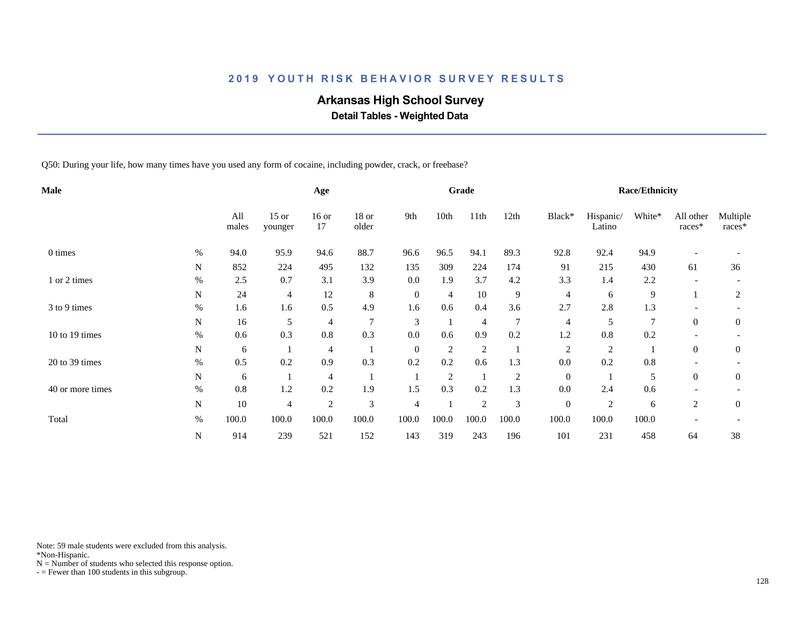# **Arkansas High School Survey**

 **Detail Tables - Weighted Data**

Q50: During your life, how many times have you used any form of cocaine, including powder, crack, or freebase?

| Male             |           |              |                    | Age            |                  |                |                | Grade          |                |                  |                     | <b>Race/Ethnicity</b> |                     |                    |
|------------------|-----------|--------------|--------------------|----------------|------------------|----------------|----------------|----------------|----------------|------------------|---------------------|-----------------------|---------------------|--------------------|
|                  |           | All<br>males | $15$ or<br>younger | $16$ or<br>17  | $18$ or<br>older | 9th            | 10th           | 11th           | 12th           | Black*           | Hispanic/<br>Latino | White*                | All other<br>races* | Multiple<br>races* |
| 0 times          | $\%$      | 94.0         | 95.9               | 94.6           | 88.7             | 96.6           | 96.5           | 94.1           | 89.3           | 92.8             | 92.4                | 94.9                  |                     |                    |
|                  | N         | 852          | 224                | 495            | 132              | 135            | 309            | 224            | 174            | 91               | 215                 | 430                   | 61                  | 36                 |
| 1 or 2 times     | $\%$      | 2.5          | 0.7                | 3.1            | 3.9              | 0.0            | 1.9            | 3.7            | 4.2            | 3.3              | 1.4                 | 2.2                   |                     |                    |
|                  | ${\bf N}$ | 24           | 4                  | 12             | 8                | $\mathbf{0}$   | 4              | 10             | 9              | 4                | 6                   | 9                     |                     | 2                  |
| 3 to 9 times     | $\%$      | 1.6          | 1.6                | 0.5            | 4.9              | 1.6            | 0.6            | 0.4            | 3.6            | 2.7              | 2.8                 | 1.3                   |                     |                    |
|                  | N         | 16           | 5                  | 4              | 7                | 3              |                | $\overline{4}$ | $\overline{7}$ | 4                | 5                   | $\overline{7}$        | $\overline{0}$      | $\mathbf{0}$       |
| 10 to 19 times   | $\%$      | 0.6          | 0.3                | 0.8            | 0.3              | 0.0            | 0.6            | 0.9            | 0.2            | 1.2              | 0.8                 | 0.2                   |                     |                    |
|                  | N         | 6            |                    | 4              |                  | $\theta$       | $\overline{2}$ | $\overline{2}$ |                | $\overline{c}$   | $\overline{c}$      |                       | $\overline{0}$      | $\boldsymbol{0}$   |
| 20 to 39 times   | $\%$      | 0.5          | 0.2                | 0.9            | 0.3              | 0.2            | 0.2            | 0.6            | 1.3            | 0.0              | 0.2                 | 0.8                   |                     |                    |
|                  | N         | 6            |                    | 4              |                  |                | $\overline{2}$ |                | $\overline{c}$ | $\mathbf{0}$     |                     | 5                     | $\overline{0}$      | $\boldsymbol{0}$   |
| 40 or more times | $\%$      | 0.8          | 1.2                | 0.2            | 1.9              | 1.5            | 0.3            | 0.2            | 1.3            | 0.0              | 2.4                 | 0.6                   |                     |                    |
|                  | N         | $10\,$       | 4                  | $\overline{c}$ | 3                | $\overline{4}$ |                | $\overline{c}$ | 3              | $\boldsymbol{0}$ | $\overline{2}$      | 6                     | 2                   | $\boldsymbol{0}$   |
| Total            | $\%$      | 100.0        | 100.0              | 100.0          | 100.0            | 100.0          | 100.0          | 100.0          | 100.0          | 100.0            | 100.0               | 100.0                 |                     |                    |
|                  | ${\bf N}$ | 914          | 239                | 521            | 152              | 143            | 319            | 243            | 196            | 101              | 231                 | 458                   | 64                  | 38                 |

Note: 59 male students were excluded from this analysis.

\*Non-Hispanic.

 $N =$  Number of students who selected this response option.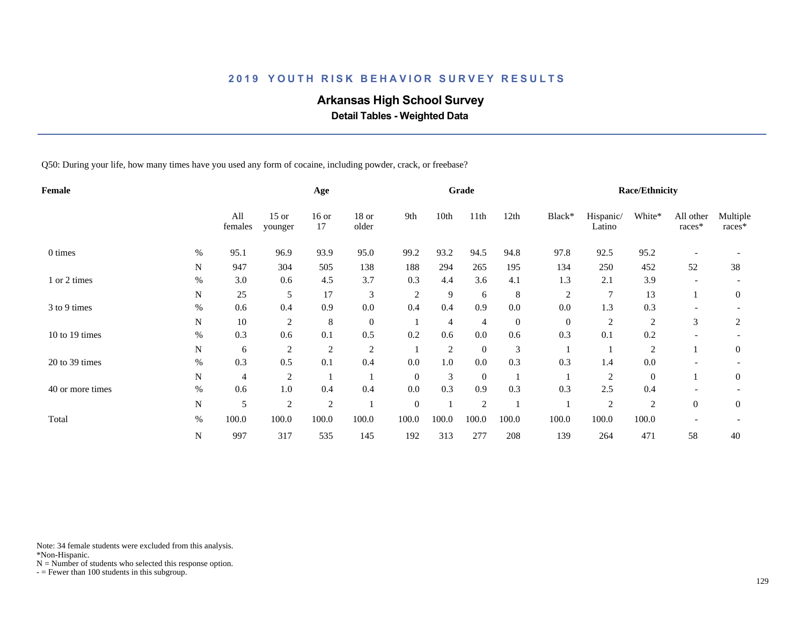# **Arkansas High School Survey**

 **Detail Tables - Weighted Data**

Q50: During your life, how many times have you used any form of cocaine, including powder, crack, or freebase?

| Female           |      |                |                    | Age           |                |                |                | Grade          |              |                  |                     | <b>Race/Ethnicity</b> |                     |                    |
|------------------|------|----------------|--------------------|---------------|----------------|----------------|----------------|----------------|--------------|------------------|---------------------|-----------------------|---------------------|--------------------|
|                  |      | All<br>females | $15$ or<br>younger | $16$ or<br>17 | 18 or<br>older | 9th            | 10th           | 11th           | 12th         | Black*           | Hispanic/<br>Latino | White*                | All other<br>races* | Multiple<br>races* |
| 0 times          | $\%$ | 95.1           | 96.9               | 93.9          | 95.0           | 99.2           | 93.2           | 94.5           | 94.8         | 97.8             | 92.5                | 95.2                  |                     |                    |
|                  | N    | 947            | 304                | 505           | 138            | 188            | 294            | 265            | 195          | 134              | 250                 | 452                   | 52                  | 38                 |
| 1 or 2 times     | $\%$ | 3.0            | 0.6                | 4.5           | 3.7            | 0.3            | 4.4            | 3.6            | 4.1          | 1.3              | 2.1                 | 3.9                   |                     |                    |
|                  | N    | 25             | 5                  | 17            | 3              | $\overline{c}$ | 9              | 6              | 8            | $\overline{2}$   | 7                   | 13                    |                     | $\overline{0}$     |
| 3 to 9 times     | $\%$ | 0.6            | 0.4                | 0.9           | 0.0            | 0.4            | 0.4            | 0.9            | 0.0          | 0.0              | 1.3                 | 0.3                   |                     |                    |
|                  | N    | 10             | $\overline{c}$     | 8             | $\overline{0}$ |                | 4              | 4              | $\mathbf{0}$ | $\boldsymbol{0}$ | $\overline{2}$      | $\sqrt{2}$            | 3                   | 2                  |
| 10 to 19 times   | $\%$ | 0.3            | 0.6                | 0.1           | 0.5            | 0.2            | 0.6            | $0.0\,$        | 0.6          | 0.3              | 0.1                 | 0.2                   |                     |                    |
|                  | N    | 6              | $\overline{c}$     | 2             | $\overline{c}$ |                | $\overline{2}$ | $\overline{0}$ | 3            |                  |                     | $\overline{c}$        |                     | $\mathbf{0}$       |
| 20 to 39 times   | $\%$ | 0.3            | 0.5                | 0.1           | 0.4            | 0.0            | 1.0            | $0.0\,$        | 0.3          | 0.3              | 1.4                 | 0.0                   |                     |                    |
|                  | N    | 4              | $\overline{c}$     |               |                | $\theta$       | 3              | $\overline{0}$ |              |                  | $\overline{2}$      | $\overline{0}$        |                     | $\mathbf{0}$       |
| 40 or more times | $\%$ | 0.6            | 1.0                | 0.4           | 0.4            | 0.0            | 0.3            | 0.9            | 0.3          | 0.3              | 2.5                 | 0.4                   |                     |                    |
|                  | N    | 5              | $\overline{2}$     | $\sqrt{2}$    |                | $\mathbf{0}$   |                | $\overline{2}$ |              |                  | $\overline{2}$      | 2                     | $\overline{0}$      | $\boldsymbol{0}$   |
| Total            | $\%$ | 100.0          | 100.0              | 100.0         | 100.0          | 100.0          | 100.0          | 100.0          | 100.0        | 100.0            | 100.0               | 100.0                 |                     |                    |
|                  | N    | 997            | 317                | 535           | 145            | 192            | 313            | 277            | 208          | 139              | 264                 | 471                   | 58                  | 40                 |

Note: 34 female students were excluded from this analysis.

\*Non-Hispanic.

 $N =$  Number of students who selected this response option.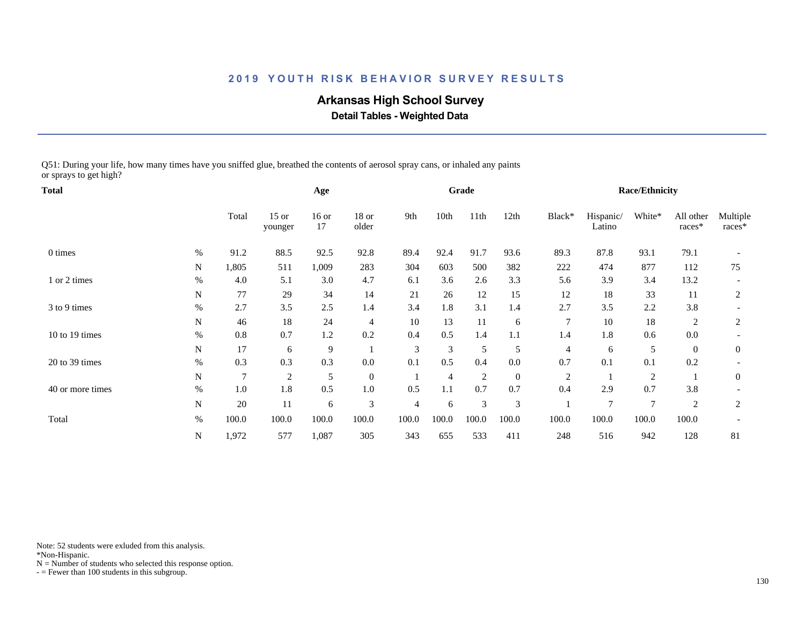# **Arkansas High School Survey**

 **Detail Tables - Weighted Data**

Q51: During your life, how many times have you sniffed glue, breathed the contents of aerosol spray cans, or inhaled any paints or sprays to get high?

| Total            |      |                |                    | Age           |                |       |                | Grade          |                  |                |                     | <b>Race/Ethnicity</b> |                     |                    |
|------------------|------|----------------|--------------------|---------------|----------------|-------|----------------|----------------|------------------|----------------|---------------------|-----------------------|---------------------|--------------------|
|                  |      | Total          | $15$ or<br>younger | $16$ or<br>17 | 18 or<br>older | 9th   | 10th           | 11th           | 12th             | Black*         | Hispanic/<br>Latino | White*                | All other<br>races* | Multiple<br>races* |
| 0 times          | $\%$ | 91.2           | 88.5               | 92.5          | 92.8           | 89.4  | 92.4           | 91.7           | 93.6             | 89.3           | 87.8                | 93.1                  | 79.1                |                    |
|                  | N    | 1,805          | 511                | 1,009         | 283            | 304   | 603            | 500            | 382              | 222            | 474                 | 877                   | 112                 | 75                 |
| 1 or 2 times     | $\%$ | 4.0            | 5.1                | 3.0           | 4.7            | 6.1   | 3.6            | 2.6            | 3.3              | 5.6            | 3.9                 | 3.4                   | 13.2                |                    |
|                  | N    | 77             | 29                 | 34            | 14             | 21    | 26             | 12             | 15               | 12             | 18                  | 33                    | 11                  | 2                  |
| 3 to 9 times     | $\%$ | 2.7            | 3.5                | 2.5           | 1.4            | 3.4   | 1.8            | 3.1            | 1.4              | 2.7            | 3.5                 | 2.2                   | 3.8                 |                    |
|                  | N    | 46             | 18                 | 24            | $\overline{4}$ | 10    | 13             | 11             | 6                | 7              | 10                  | 18                    | 2                   | 2                  |
| 10 to 19 times   | $\%$ | 0.8            | 0.7                | 1.2           | 0.2            | 0.4   | 0.5            | 1.4            | 1.1              | 1.4            | 1.8                 | 0.6                   | 0.0                 |                    |
|                  | N    | 17             | 6                  | 9             |                | 3     | 3              | 5              | 5                | 4              | 6                   | 5                     | $\boldsymbol{0}$    | $\boldsymbol{0}$   |
| 20 to 39 times   | $\%$ | 0.3            | 0.3                | 0.3           | $0.0\,$        | 0.1   | 0.5            | 0.4            | $0.0\,$          | 0.7            | 0.1                 | 0.1                   | 0.2                 |                    |
|                  | N    | $\overline{7}$ | $\overline{c}$     | 5             | $\mathbf{0}$   |       | $\overline{4}$ | $\overline{2}$ | $\boldsymbol{0}$ | $\overline{c}$ |                     | $\overline{c}$        |                     | $\mathbf{0}$       |
| 40 or more times | $\%$ | 1.0            | 1.8                | 0.5           | 1.0            | 0.5   | 1.1            | 0.7            | 0.7              | 0.4            | 2.9                 | 0.7                   | 3.8                 |                    |
|                  | N    | 20             | 11                 | 6             | 3              | 4     | 6              | 3              | 3                |                | 7                   | 7                     | $\overline{2}$      | 2                  |
| Total            | $\%$ | 100.0          | 100.0              | 100.0         | 100.0          | 100.0 | 100.0          | 100.0          | 100.0            | 100.0          | 100.0               | 100.0                 | 100.0               |                    |
|                  | N    | 1,972          | 577                | 1,087         | 305            | 343   | 655            | 533            | 411              | 248            | 516                 | 942                   | 128                 | 81                 |

Note: 52 students were exluded from this analysis.

\*Non-Hispanic.

 $N =$  Number of students who selected this response option.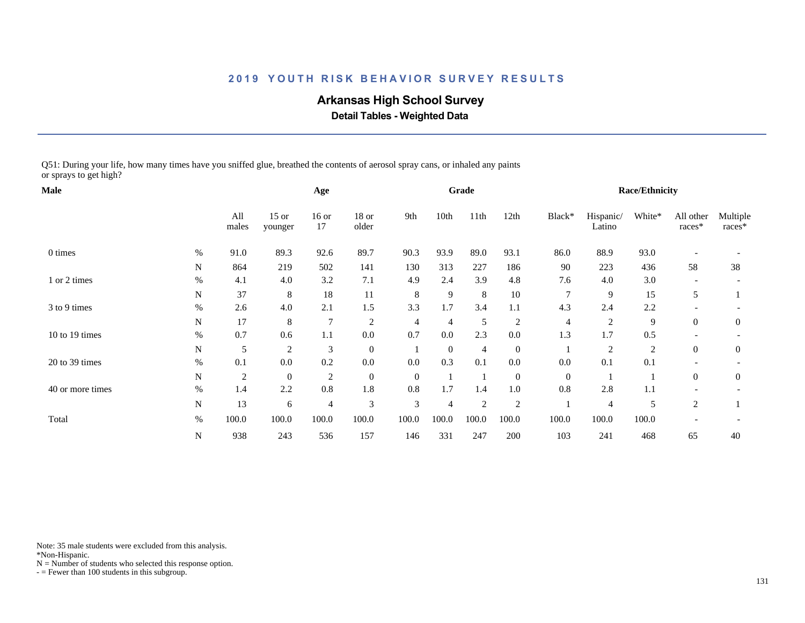# **Arkansas High School Survey**

 **Detail Tables - Weighted Data**

Q51: During your life, how many times have you sniffed glue, breathed the contents of aerosol spray cans, or inhaled any paints or sprays to get high?

| <b>Male</b>      |           |                |                    | Age            |                  |              |                | Grade          |                  |                |                     | Race/Ethnicity |                     |                    |
|------------------|-----------|----------------|--------------------|----------------|------------------|--------------|----------------|----------------|------------------|----------------|---------------------|----------------|---------------------|--------------------|
|                  |           | All<br>males   | $15$ or<br>younger | $16$ or<br>17  | $18$ or<br>older | 9th          | 10th           | 11th           | 12th             | Black*         | Hispanic/<br>Latino | White*         | All other<br>races* | Multiple<br>races* |
| 0 times          | $\%$      | 91.0           | 89.3               | 92.6           | 89.7             | 90.3         | 93.9           | 89.0           | 93.1             | 86.0           | 88.9                | 93.0           |                     |                    |
|                  | N         | 864            | 219                | 502            | 141              | 130          | 313            | 227            | 186              | 90             | 223                 | 436            | 58                  | 38                 |
| 1 or 2 times     | $\%$      | 4.1            | 4.0                | 3.2            | 7.1              | 4.9          | 2.4            | 3.9            | 4.8              | 7.6            | 4.0                 | 3.0            |                     |                    |
|                  | N         | 37             | 8                  | 18             | 11               | 8            | 9              | 8              | $10\,$           | 7              | 9                   | 15             | 5                   |                    |
| 3 to 9 times     | $\%$      | 2.6            | 4.0                | 2.1            | 1.5              | 3.3          | 1.7            | 3.4            | 1.1              | 4.3            | 2.4                 | 2.2            |                     |                    |
|                  | N         | 17             | 8                  | 7              | $\overline{2}$   | 4            | $\overline{4}$ | 5              | $\overline{2}$   | $\overline{4}$ | $\overline{c}$      | 9              | $\overline{0}$      | $\boldsymbol{0}$   |
| 10 to 19 times   | $\%$      | 0.7            | 0.6                | 1.1            | $0.0\,$          | 0.7          | 0.0            | 2.3            | $0.0\,$          | 1.3            | 1.7                 | 0.5            |                     |                    |
|                  | N         | 5              | $\overline{2}$     | 3              | $\mathbf{0}$     |              | $\mathbf{0}$   | $\overline{4}$ | $\mathbf{0}$     |                | 2                   | 2              | $\overline{0}$      | $\boldsymbol{0}$   |
| 20 to 39 times   | $\%$      | 0.1            | 0.0                | 0.2            | $0.0\,$          | 0.0          | 0.3            | 0.1            | $0.0\,$          | 0.0            | 0.1                 | 0.1            |                     |                    |
|                  | ${\bf N}$ | $\overline{c}$ | $\mathbf{0}$       | $\overline{c}$ | $\mathbf{0}$     | $\mathbf{0}$ |                |                | $\boldsymbol{0}$ | $\overline{0}$ |                     |                | $\overline{0}$      | $\boldsymbol{0}$   |
| 40 or more times | $\%$      | 1.4            | 2.2                | $0.8\,$        | 1.8              | 0.8          | 1.7            | 1.4            | 1.0              | 0.8            | 2.8                 | 1.1            |                     |                    |
|                  | N         | 13             | 6                  | $\overline{4}$ | 3                | 3            | 4              | 2              | 2                |                | 4                   | 5              | 2                   |                    |
| Total            | $\%$      | 100.0          | 100.0              | 100.0          | 100.0            | 100.0        | 100.0          | 100.0          | 100.0            | 100.0          | 100.0               | 100.0          |                     |                    |
|                  | N         | 938            | 243                | 536            | 157              | 146          | 331            | 247            | 200              | 103            | 241                 | 468            | 65                  | 40                 |

Note: 35 male students were excluded from this analysis.

\*Non-Hispanic.

 $N =$  Number of students who selected this response option.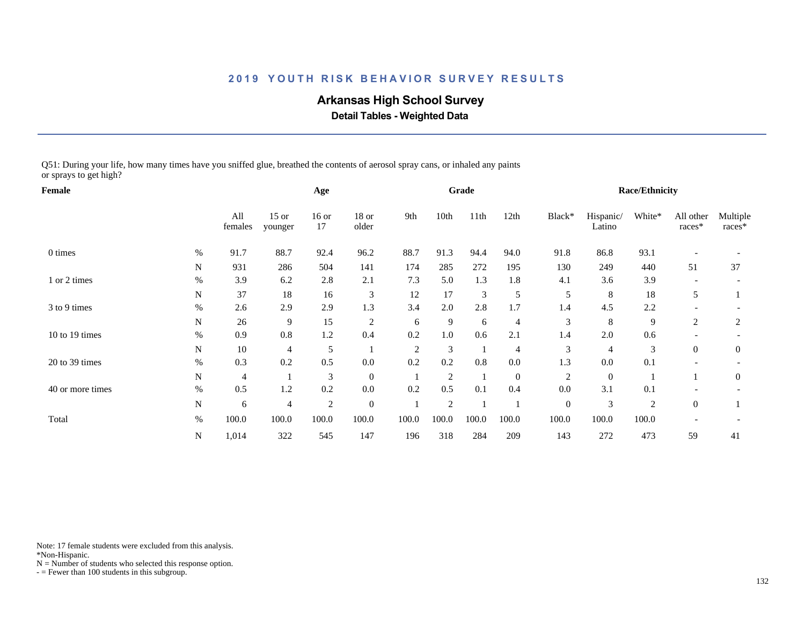# **Arkansas High School Survey**

 **Detail Tables - Weighted Data**

Q51: During your life, how many times have you sniffed glue, breathed the contents of aerosol spray cans, or inhaled any paints or sprays to get high?

| Female           |      |                |                    | Age            |                  |       |                | Grade |                  |                  |                     | <b>Race/Ethnicity</b> |                     |                    |
|------------------|------|----------------|--------------------|----------------|------------------|-------|----------------|-------|------------------|------------------|---------------------|-----------------------|---------------------|--------------------|
|                  |      | All<br>females | $15$ or<br>younger | $16$ or<br>17  | $18$ or<br>older | 9th   | 10th           | 11th  | 12th             | Black*           | Hispanic/<br>Latino | White*                | All other<br>races* | Multiple<br>races* |
| 0 times          | $\%$ | 91.7           | 88.7               | 92.4           | 96.2             | 88.7  | 91.3           | 94.4  | 94.0             | 91.8             | 86.8                | 93.1                  |                     |                    |
|                  | N    | 931            | 286                | 504            | 141              | 174   | 285            | 272   | 195              | 130              | 249                 | 440                   | 51                  | 37                 |
| 1 or 2 times     | $\%$ | 3.9            | 6.2                | 2.8            | 2.1              | 7.3   | 5.0            | 1.3   | 1.8              | 4.1              | 3.6                 | 3.9                   |                     |                    |
|                  | N    | 37             | 18                 | 16             | $\mathfrak{Z}$   | 12    | 17             | 3     | 5                | 5                | 8                   | 18                    | 5                   |                    |
| 3 to 9 times     | $\%$ | 2.6            | 2.9                | 2.9            | 1.3              | 3.4   | 2.0            | 2.8   | 1.7              | 1.4              | 4.5                 | 2.2                   |                     |                    |
|                  | N    | 26             | 9                  | 15             | $\overline{c}$   | 6     | 9              | 6     | $\overline{4}$   | 3                | 8                   | 9                     | 2                   | 2                  |
| 10 to 19 times   | $\%$ | 0.9            | 0.8                | 1.2            | 0.4              | 0.2   | 1.0            | 0.6   | 2.1              | 1.4              | 2.0                 | 0.6                   |                     |                    |
|                  | N    | 10             | 4                  | 5              |                  | 2     | 3              |       | $\overline{4}$   | 3                | 4                   | 3                     | $\overline{0}$      | $\boldsymbol{0}$   |
| 20 to 39 times   | $\%$ | 0.3            | 0.2                | 0.5            | $0.0\,$          | 0.2   | 0.2            | 0.8   | $0.0\,$          | 1.3              | $0.0\,$             | 0.1                   |                     |                    |
|                  | N    | $\overline{4}$ |                    | 3              | $\overline{0}$   |       | $\overline{2}$ |       | $\boldsymbol{0}$ | $\overline{c}$   | $\boldsymbol{0}$    |                       |                     | $\mathbf{0}$       |
| 40 or more times | $\%$ | 0.5            | 1.2                | 0.2            | $0.0\,$          | 0.2   | 0.5            | 0.1   | 0.4              | 0.0              | 3.1                 | 0.1                   |                     |                    |
|                  | N    | 6              | 4                  | $\overline{c}$ | $\overline{0}$   |       | 2              |       |                  | $\boldsymbol{0}$ | 3                   | $\overline{2}$        | $\overline{0}$      |                    |
| Total            | $\%$ | 100.0          | 100.0              | 100.0          | 100.0            | 100.0 | 100.0          | 100.0 | 100.0            | 100.0            | 100.0               | 100.0                 |                     |                    |
|                  | N    | 1,014          | 322                | 545            | 147              | 196   | 318            | 284   | 209              | 143              | 272                 | 473                   | 59                  | 41                 |

Note: 17 female students were excluded from this analysis.

\*Non-Hispanic.

 $N =$  Number of students who selected this response option.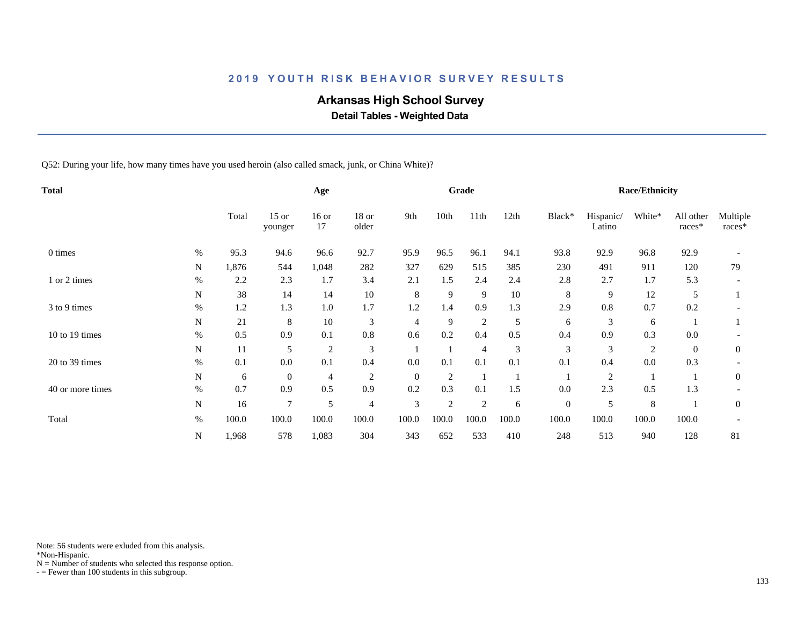# **Arkansas High School Survey**

 **Detail Tables - Weighted Data**

Q52: During your life, how many times have you used heroin (also called smack, junk, or China White)?

| <b>Total</b>     |             |       |                    | Age            |                  |              |                | Grade          |       |              |                     | <b>Race/Ethnicity</b> |                     |                    |
|------------------|-------------|-------|--------------------|----------------|------------------|--------------|----------------|----------------|-------|--------------|---------------------|-----------------------|---------------------|--------------------|
|                  |             | Total | $15$ or<br>younger | $16$ or<br>17  | $18$ or<br>older | 9th          | 10th           | 11th           | 12th  | Black*       | Hispanic/<br>Latino | White*                | All other<br>races* | Multiple<br>races* |
| 0 times          | $\%$        | 95.3  | 94.6               | 96.6           | 92.7             | 95.9         | 96.5           | 96.1           | 94.1  | 93.8         | 92.9                | 96.8                  | 92.9                |                    |
|                  | N           | 1,876 | 544                | 1,048          | 282              | 327          | 629            | 515            | 385   | 230          | 491                 | 911                   | 120                 | 79                 |
| 1 or 2 times     | $\%$        | 2.2   | 2.3                | 1.7            | 3.4              | 2.1          | 1.5            | 2.4            | 2.4   | 2.8          | 2.7                 | 1.7                   | 5.3                 |                    |
|                  | N           | 38    | 14                 | 14             | $10\,$           | 8            | 9              | 9              | 10    | 8            | 9                   | 12                    | 5                   |                    |
| 3 to 9 times     | $\%$        | 1.2   | 1.3                | $1.0\,$        | 1.7              | 1.2          | 1.4            | 0.9            | 1.3   | 2.9          | $0.8\,$             | 0.7                   | 0.2                 |                    |
|                  | $\mathbf N$ | 21    | 8                  | 10             | 3                | 4            | 9              | $\overline{2}$ | 5     | 6            | 3                   | 6                     |                     |                    |
| 10 to 19 times   | $\%$        | 0.5   | 0.9                | 0.1            | 0.8              | 0.6          | 0.2            | 0.4            | 0.5   | 0.4          | 0.9                 | 0.3                   | 0.0                 |                    |
|                  | $\mathbf N$ | 11    | 5                  | $\overline{c}$ | 3                |              |                | 4              | 3     | 3            | 3                   | $\overline{2}$        | $\overline{0}$      | $\overline{0}$     |
| $20$ to 39 times | $\%$        | 0.1   | $0.0\,$            | 0.1            | 0.4              | 0.0          | 0.1            | 0.1            | 0.1   | 0.1          | 0.4                 | 0.0                   | 0.3                 |                    |
|                  | N           | 6     | $\mathbf{0}$       | 4              | $\overline{2}$   | $\mathbf{0}$ | $\overline{2}$ |                |       |              | 2                   |                       |                     | $\overline{0}$     |
| 40 or more times | $\%$        | 0.7   | 0.9                | 0.5            | 0.9              | 0.2          | 0.3            | 0.1            | 1.5   | 0.0          | 2.3                 | 0.5                   | 1.3                 |                    |
|                  | N           | 16    | 7                  | 5              | 4                | 3            | $\overline{2}$ | $\overline{2}$ | 6     | $\mathbf{0}$ | 5                   | 8                     |                     | $\mathbf{0}$       |
| Total            | $\%$        | 100.0 | 100.0              | 100.0          | 100.0            | 100.0        | 100.0          | 100.0          | 100.0 | 100.0        | 100.0               | 100.0                 | 100.0               |                    |
|                  | N           | 1,968 | 578                | 1,083          | 304              | 343          | 652            | 533            | 410   | 248          | 513                 | 940                   | 128                 | 81                 |

Note: 56 students were exluded from this analysis.

\*Non-Hispanic.

 $N =$  Number of students who selected this response option.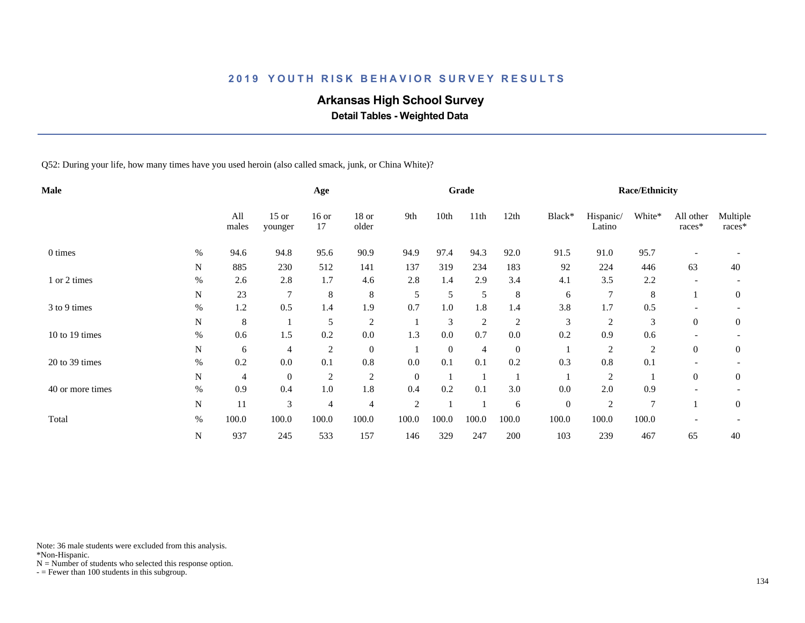# **Arkansas High School Survey**

 **Detail Tables - Weighted Data**

Q52: During your life, how many times have you used heroin (also called smack, junk, or China White)?

| Male             |      |              |                    | Age            |                |                |              | Grade          |              |              |                     | <b>Race/Ethnicity</b> |                     |                    |
|------------------|------|--------------|--------------------|----------------|----------------|----------------|--------------|----------------|--------------|--------------|---------------------|-----------------------|---------------------|--------------------|
|                  |      | All<br>males | $15$ or<br>younger | $16$ or<br>17  | 18 or<br>older | 9th            | 10th         | 11th           | 12th         | Black*       | Hispanic/<br>Latino | White*                | All other<br>races* | Multiple<br>races* |
| 0 times          | $\%$ | 94.6         | 94.8               | 95.6           | 90.9           | 94.9           | 97.4         | 94.3           | 92.0         | 91.5         | 91.0                | 95.7                  |                     |                    |
|                  | N    | 885          | 230                | 512            | 141            | 137            | 319          | 234            | 183          | 92           | 224                 | 446                   | 63                  | 40                 |
| 1 or 2 times     | $\%$ | 2.6          | 2.8                | 1.7            | 4.6            | 2.8            | 1.4          | 2.9            | 3.4          | 4.1          | 3.5                 | 2.2                   |                     |                    |
|                  | N    | 23           | 7                  | $\,8\,$        | 8              | 5              | 5            | 5              | 8            | 6            | 7                   | 8                     |                     | $\overline{0}$     |
| 3 to 9 times     | $\%$ | 1.2          | 0.5                | 1.4            | 1.9            | 0.7            | 1.0          | 1.8            | 1.4          | 3.8          | 1.7                 | 0.5                   |                     |                    |
|                  | N    | 8            |                    | 5              | $\overline{c}$ |                | 3            | $\overline{c}$ | 2            | 3            | 2                   | 3                     | $\overline{0}$      | $\theta$           |
| 10 to 19 times   | $\%$ | 0.6          | 1.5                | 0.2            | $0.0\,$        | 1.3            | 0.0          | 0.7            | 0.0          | 0.2          | 0.9                 | 0.6                   |                     |                    |
|                  | N    | 6            | 4                  | $\overline{c}$ | $\mathbf{0}$   |                | $\mathbf{0}$ | 4              | $\mathbf{0}$ |              | 2                   | $\overline{2}$        | $\overline{0}$      | $\theta$           |
| 20 to 39 times   | $\%$ | 0.2          | 0.0                | 0.1            | $0.8\,$        | 0.0            | 0.1          | 0.1            | 0.2          | 0.3          | $0.8\,$             | 0.1                   |                     |                    |
|                  | N    | 4            | $\boldsymbol{0}$   | $\overline{c}$ | $\overline{c}$ | $\theta$       |              |                |              |              | 2                   |                       | $\overline{0}$      | $\theta$           |
| 40 or more times | $\%$ | 0.9          | 0.4                | 1.0            | 1.8            | 0.4            | 0.2          | 0.1            | 3.0          | 0.0          | 2.0                 | 0.9                   |                     |                    |
|                  | N    | 11           | 3                  | $\overline{4}$ | $\overline{4}$ | $\overline{c}$ |              |                | 6            | $\mathbf{0}$ | 2                   | $\overline{7}$        |                     | $\theta$           |
| Total            | $\%$ | 100.0        | 100.0              | 100.0          | 100.0          | 100.0          | 100.0        | 100.0          | 100.0        | 100.0        | 100.0               | 100.0                 |                     |                    |
|                  | N    | 937          | 245                | 533            | 157            | 146            | 329          | 247            | 200          | 103          | 239                 | 467                   | 65                  | 40                 |

Note: 36 male students were excluded from this analysis.

\*Non-Hispanic.

 $N =$  Number of students who selected this response option.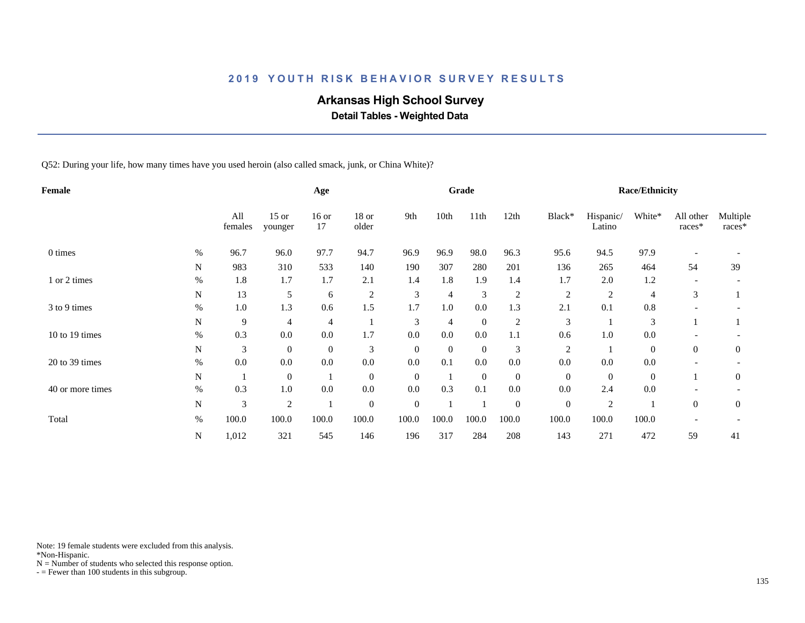# **Arkansas High School Survey**

 **Detail Tables - Weighted Data**

Q52: During your life, how many times have you used heroin (also called smack, junk, or China White)?

| Female           |      |                |                    | Age            |                  |                |                | Grade          |                  |                |                     | <b>Race/Ethnicity</b> |                     |                    |
|------------------|------|----------------|--------------------|----------------|------------------|----------------|----------------|----------------|------------------|----------------|---------------------|-----------------------|---------------------|--------------------|
|                  |      | All<br>females | $15$ or<br>younger | $16$ or<br>17  | $18$ or<br>older | 9th            | 10th           | 11th           | 12th             | Black*         | Hispanic/<br>Latino | White*                | All other<br>races* | Multiple<br>races* |
| 0 times          | %    | 96.7           | 96.0               | 97.7           | 94.7             | 96.9           | 96.9           | 98.0           | 96.3             | 95.6           | 94.5                | 97.9                  |                     |                    |
|                  | N    | 983            | 310                | 533            | 140              | 190            | 307            | 280            | 201              | 136            | 265                 | 464                   | 54                  | 39                 |
| 1 or 2 times     | $\%$ | 1.8            | 1.7                | 1.7            | 2.1              | 1.4            | 1.8            | 1.9            | 1.4              | 1.7            | 2.0                 | 1.2                   |                     |                    |
|                  | N    | 13             | 5                  | 6              | $\boldsymbol{2}$ | 3              | 4              | 3              | $\overline{c}$   | $\overline{c}$ | $\overline{c}$      | 4                     | 3                   |                    |
| 3 to 9 times     | $\%$ | 1.0            | 1.3                | 0.6            | 1.5              | 1.7            | 1.0            | $0.0\,$        | 1.3              | 2.1            | 0.1                 | 0.8                   |                     |                    |
|                  | N    | 9              | $\overline{4}$     | 4              |                  | 3              | $\overline{4}$ | $\overline{0}$ | $\overline{c}$   | 3              |                     | 3                     |                     |                    |
| 10 to 19 times   | $\%$ | 0.3            | 0.0                | $0.0\,$        | 1.7              | 0.0            | 0.0            | 0.0            | 1.1              | 0.6            | $1.0\,$             | 0.0                   |                     |                    |
|                  | N    | 3              | $\mathbf{0}$       | $\overline{0}$ | 3                | $\theta$       | $\theta$       | $\overline{0}$ | 3                | $\overline{c}$ |                     | $\overline{0}$        | $\theta$            | $\mathbf{0}$       |
| 20 to 39 times   | $\%$ | 0.0            | 0.0                | 0.0            | $0.0\,$          | 0.0            | 0.1            | $0.0\,$        | $0.0\,$          | 0.0            | 0.0                 | 0.0                   |                     |                    |
|                  | N    | $\perp$        | $\boldsymbol{0}$   |                | $\overline{0}$   | $\overline{0}$ |                | $\overline{0}$ | $\mathbf{0}$     | $\mathbf{0}$   | $\overline{0}$      | $\overline{0}$        |                     | $\overline{0}$     |
| 40 or more times | %    | 0.3            | 1.0                | 0.0            | 0.0              | 0.0            | 0.3            | 0.1            | 0.0              | 0.0            | 2.4                 | 0.0                   |                     |                    |
|                  | N    | 3              | $\overline{2}$     |                | $\overline{0}$   | $\mathbf{0}$   |                |                | $\boldsymbol{0}$ | $\mathbf{0}$   | 2                   |                       | $\theta$            | $\mathbf{0}$       |
| Total            | $\%$ | 100.0          | 100.0              | 100.0          | 100.0            | 100.0          | 100.0          | 100.0          | 100.0            | 100.0          | 100.0               | 100.0                 |                     |                    |
|                  | N    | 1,012          | 321                | 545            | 146              | 196            | 317            | 284            | 208              | 143            | 271                 | 472                   | 59                  | 41                 |

Note: 19 female students were excluded from this analysis.

\*Non-Hispanic.

 $N =$  Number of students who selected this response option.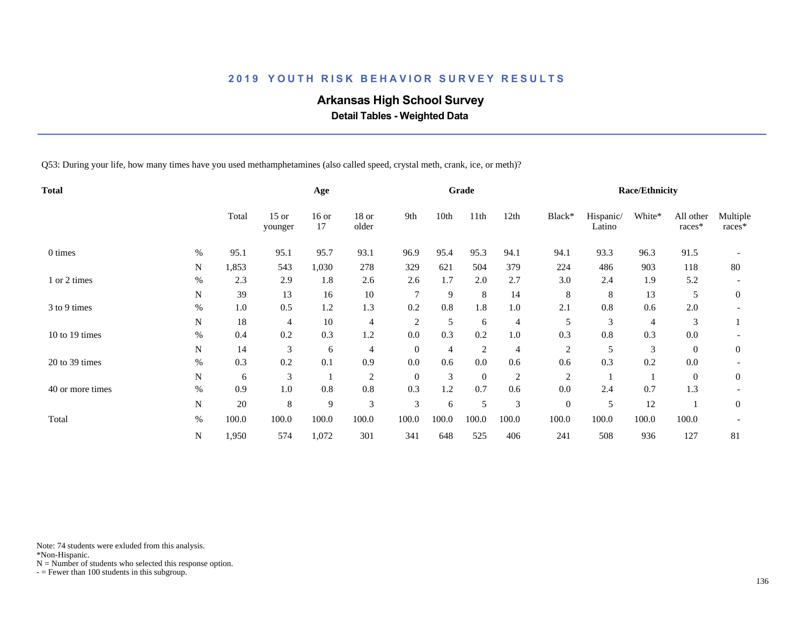# **Arkansas High School Survey**

 **Detail Tables - Weighted Data**

Q53: During your life, how many times have you used methamphetamines (also called speed, crystal meth, crank, ice, or meth)?

| Total            |      |       |                    | Age           |                  |                |                | Grade        |                |                  |                     | <b>Race/Ethnicity</b> |                     |                    |
|------------------|------|-------|--------------------|---------------|------------------|----------------|----------------|--------------|----------------|------------------|---------------------|-----------------------|---------------------|--------------------|
|                  |      | Total | $15$ or<br>younger | $16$ or<br>17 | $18$ or<br>older | 9th            | 10th           | 11th         | 12th           | Black*           | Hispanic/<br>Latino | White*                | All other<br>races* | Multiple<br>races* |
| 0 times          | $\%$ | 95.1  | 95.1               | 95.7          | 93.1             | 96.9           | 95.4           | 95.3         | 94.1           | 94.1             | 93.3                | 96.3                  | 91.5                |                    |
|                  | N    | 1,853 | 543                | 1,030         | 278              | 329            | 621            | 504          | 379            | 224              | 486                 | 903                   | 118                 | 80                 |
| 1 or 2 times     | $\%$ | 2.3   | 2.9                | 1.8           | 2.6              | 2.6            | 1.7            | 2.0          | 2.7            | 3.0              | 2.4                 | 1.9                   | 5.2                 |                    |
|                  | N    | 39    | 13                 | 16            | $10\,$           | 7              | 9              | 8            | 14             | 8                | 8                   | 13                    | 5                   | $\overline{0}$     |
| 3 to 9 times     | %    | 1.0   | 0.5                | 1.2           | 1.3              | 0.2            | 0.8            | 1.8          | 1.0            | 2.1              | 0.8                 | 0.6                   | 2.0                 |                    |
|                  | N    | 18    | 4                  | $10\,$        | 4                | $\overline{2}$ | 5              | 6            | $\overline{4}$ | 5                | 3                   | $\overline{4}$        | 3                   |                    |
| 10 to 19 times   | $\%$ | 0.4   | 0.2                | 0.3           | 1.2              | 0.0            | 0.3            | 0.2          | 1.0            | 0.3              | 0.8                 | 0.3                   | 0.0                 |                    |
|                  | N    | 14    | 3                  | 6             | $\overline{4}$   | $\theta$       | $\overline{4}$ | 2            | 4              | 2                | 5                   | 3                     | $\overline{0}$      | $\boldsymbol{0}$   |
| 20 to 39 times   | %    | 0.3   | 0.2                | 0.1           | 0.9              | 0.0            | 0.6            | 0.0          | 0.6            | 0.6              | 0.3                 | 0.2                   | 0.0                 |                    |
|                  | N    | 6     | 3                  |               | $\overline{2}$   | $\overline{0}$ | 3              | $\mathbf{0}$ | $\overline{c}$ | $\overline{c}$   |                     |                       | $\boldsymbol{0}$    | $\mathbf{0}$       |
| 40 or more times | $\%$ | 0.9   | 1.0                | 0.8           | 0.8              | 0.3            | 1.2            | 0.7          | 0.6            | 0.0              | 2.4                 | 0.7                   | 1.3                 |                    |
|                  | N    | 20    | 8                  | 9             | 3                | 3              | 6              | 5            | 3              | $\boldsymbol{0}$ | 5                   | 12                    |                     | $\mathbf{0}$       |
| Total            | $\%$ | 100.0 | 100.0              | 100.0         | 100.0            | 100.0          | 100.0          | 100.0        | 100.0          | 100.0            | 100.0               | 100.0                 | 100.0               |                    |
|                  | N    | 1,950 | 574                | 1,072         | 301              | 341            | 648            | 525          | 406            | 241              | 508                 | 936                   | 127                 | 81                 |

Note: 74 students were exluded from this analysis.

\*Non-Hispanic.

 $N =$  Number of students who selected this response option.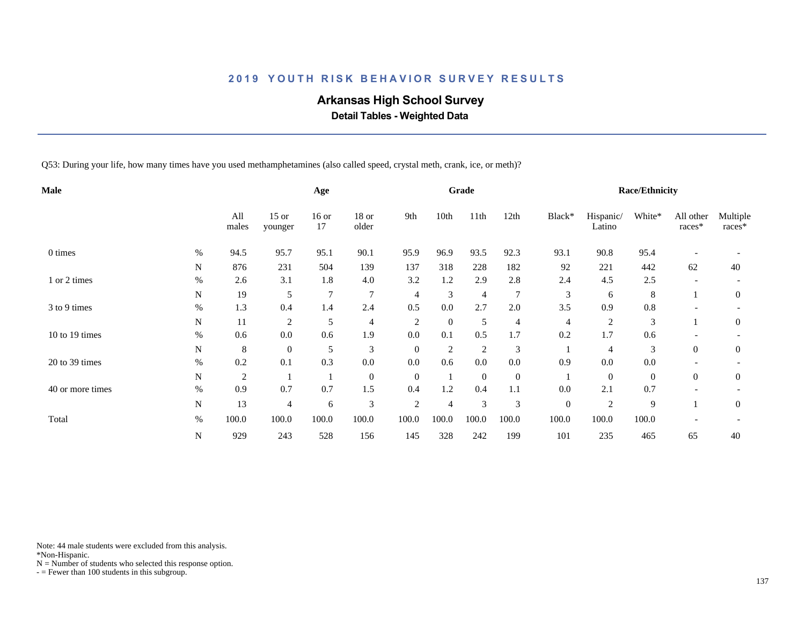# **Arkansas High School Survey**

 **Detail Tables - Weighted Data**

Q53: During your life, how many times have you used methamphetamines (also called speed, crystal meth, crank, ice, or meth)?

| Male             |           |                |                    | Age           |                  |                |                | Grade          |                  |                  |                     | <b>Race/Ethnicity</b> |                     |                    |
|------------------|-----------|----------------|--------------------|---------------|------------------|----------------|----------------|----------------|------------------|------------------|---------------------|-----------------------|---------------------|--------------------|
|                  |           | All<br>males   | $15$ or<br>younger | $16$ or<br>17 | $18$ or<br>older | 9th            | 10th           | 11th           | 12th             | Black*           | Hispanic/<br>Latino | White*                | All other<br>races* | Multiple<br>races* |
| 0 times          | $\%$      | 94.5           | 95.7               | 95.1          | 90.1             | 95.9           | 96.9           | 93.5           | 92.3             | 93.1             | 90.8                | 95.4                  |                     |                    |
|                  | ${\bf N}$ | 876            | 231                | 504           | 139              | 137            | 318            | 228            | 182              | 92               | 221                 | 442                   | 62                  | 40                 |
| 1 or 2 times     | $\%$      | 2.6            | 3.1                | 1.8           | 4.0              | 3.2            | 1.2            | 2.9            | 2.8              | 2.4              | 4.5                 | 2.5                   |                     |                    |
|                  | N         | 19             | 5                  | 7             | $\tau$           | 4              | 3              | $\overline{4}$ | $\overline{7}$   | 3                | 6                   | 8                     |                     | $\overline{0}$     |
| 3 to 9 times     | $\%$      | 1.3            | 0.4                | 1.4           | 2.4              | 0.5            | 0.0            | 2.7            | $2.0\,$          | 3.5              | 0.9                 | 0.8                   |                     |                    |
|                  | N         | 11             | $\overline{c}$     | 5             | $\overline{4}$   | $\overline{2}$ | $\theta$       | 5              | 4                | 4                | $\overline{2}$      | 3                     |                     | $\overline{0}$     |
| 10 to 19 times   | $\%$      | 0.6            | 0.0                | 0.6           | 1.9              | 0.0            | 0.1            | 0.5            | 1.7              | 0.2              | 1.7                 | 0.6                   |                     |                    |
|                  | N         | 8              | $\boldsymbol{0}$   | 5             | 3                | $\mathbf{0}$   | $\overline{2}$ | 2              | 3                |                  | 4                   | 3                     | $\overline{0}$      | $\boldsymbol{0}$   |
| 20 to 39 times   | $\%$      | 0.2            | 0.1                | 0.3           | $0.0\,$          | 0.0            | 0.6            | 0.0            | 0.0              | 0.9              | 0.0                 | $0.0\,$               |                     |                    |
|                  | N         | $\overline{c}$ |                    |               | $\overline{0}$   | $\overline{0}$ |                | $\mathbf{0}$   | $\boldsymbol{0}$ |                  | $\mathbf{0}$        | $\mathbf{0}$          | $\overline{0}$      | $\boldsymbol{0}$   |
| 40 or more times | $\%$      | 0.9            | 0.7                | 0.7           | 1.5              | 0.4            | 1.2            | 0.4            | 1.1              | 0.0              | 2.1                 | 0.7                   |                     |                    |
|                  | N         | 13             | 4                  | 6             | 3                | $\overline{2}$ | $\overline{4}$ | 3              | 3                | $\boldsymbol{0}$ | $\overline{2}$      | 9                     |                     | $\boldsymbol{0}$   |
| Total            | $\%$      | 100.0          | 100.0              | 100.0         | 100.0            | 100.0          | 100.0          | 100.0          | 100.0            | 100.0            | 100.0               | 100.0                 |                     |                    |
|                  | N         | 929            | 243                | 528           | 156              | 145            | 328            | 242            | 199              | 101              | 235                 | 465                   | 65                  | 40                 |

Note: 44 male students were excluded from this analysis.

\*Non-Hispanic.

 $N =$  Number of students who selected this response option.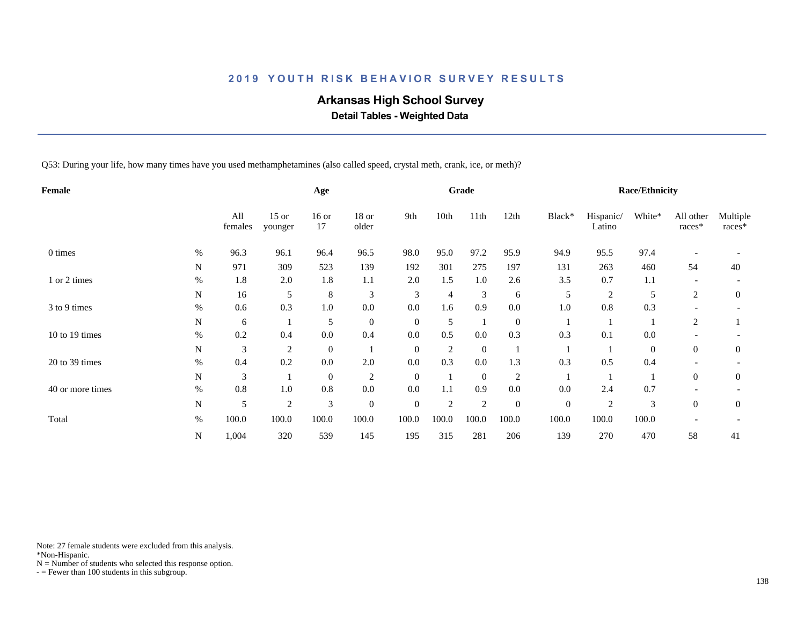# **Arkansas High School Survey**

 **Detail Tables - Weighted Data**

Q53: During your life, how many times have you used methamphetamines (also called speed, crystal meth, crank, ice, or meth)?

| Female           |      |                |                    | Age              |                |                |                | Grade          |                |                  |                     | <b>Race/Ethnicity</b> |                     |                    |
|------------------|------|----------------|--------------------|------------------|----------------|----------------|----------------|----------------|----------------|------------------|---------------------|-----------------------|---------------------|--------------------|
|                  |      | All<br>females | $15$ or<br>younger | $16$ or<br>17    | 18 or<br>older | 9th            | 10th           | 11th           | 12th           | Black*           | Hispanic/<br>Latino | White*                | All other<br>races* | Multiple<br>races* |
| 0 times          | $\%$ | 96.3           | 96.1               | 96.4             | 96.5           | 98.0           | 95.0           | 97.2           | 95.9           | 94.9             | 95.5                | 97.4                  |                     |                    |
|                  | N    | 971            | 309                | 523              | 139            | 192            | 301            | 275            | 197            | 131              | 263                 | 460                   | 54                  | 40                 |
| 1 or 2 times     | $\%$ | 1.8            | 2.0                | 1.8              | 1.1            | 2.0            | 1.5            | $1.0\,$        | 2.6            | 3.5              | 0.7                 | 1.1                   |                     |                    |
|                  | N    | 16             | 5                  | $\,8\,$          | 3              | 3              | 4              | 3              | 6              | 5                | $\overline{2}$      | 5                     | 2                   | $\overline{0}$     |
| 3 to 9 times     | $\%$ | 0.6            | 0.3                | $1.0\,$          | 0.0            | 0.0            | 1.6            | 0.9            | $0.0\,$        | 1.0              | 0.8                 | 0.3                   |                     |                    |
|                  | N    | 6              |                    | 5                | $\mathbf{0}$   | $\overline{0}$ | 5              | -1             | $\mathbf{0}$   |                  |                     |                       | 2                   |                    |
| 10 to 19 times   | $\%$ | 0.2            | 0.4                | 0.0              | 0.4            | 0.0            | 0.5            | $0.0\,$        | 0.3            | 0.3              | 0.1                 | $0.0\,$               |                     |                    |
|                  | N    | 3              | $\overline{c}$     | $\boldsymbol{0}$ |                | $\mathbf{0}$   | $\overline{c}$ | $\overline{0}$ |                |                  |                     | $\mathbf{0}$          | $\overline{0}$      | $\boldsymbol{0}$   |
| 20 to 39 times   | $\%$ | 0.4            | 0.2                | 0.0              | 2.0            | 0.0            | 0.3            | 0.0            | 1.3            | 0.3              | 0.5                 | 0.4                   |                     |                    |
|                  | N    | 3              |                    | $\overline{0}$   | 2              | $\theta$       |                | $\overline{0}$ | $\overline{2}$ |                  |                     |                       | $\overline{0}$      | $\boldsymbol{0}$   |
| 40 or more times | $\%$ | 0.8            | 1.0                | $0.8\,$          | 0.0            | 0.0            | 1.1            | 0.9            | 0.0            | 0.0              | 2.4                 | 0.7                   |                     |                    |
|                  | N    | 5              | $\overline{c}$     | 3                | $\mathbf{0}$   | $\mathbf{0}$   | $\overline{2}$ | $\overline{2}$ | $\mathbf{0}$   | $\boldsymbol{0}$ | $\overline{2}$      | 3                     | $\overline{0}$      | $\boldsymbol{0}$   |
| Total            | $\%$ | 100.0          | 100.0              | 100.0            | 100.0          | 100.0          | 100.0          | 100.0          | 100.0          | 100.0            | 100.0               | 100.0                 |                     |                    |
|                  | N    | 1,004          | 320                | 539              | 145            | 195            | 315            | 281            | 206            | 139              | 270                 | 470                   | 58                  | 41                 |

Note: 27 female students were excluded from this analysis.

\*Non-Hispanic.

 $N =$  Number of students who selected this response option.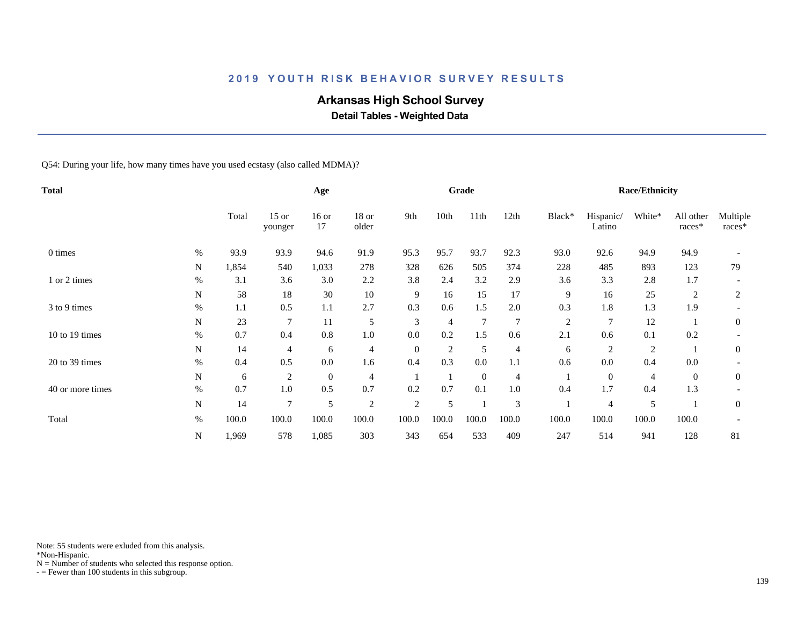# **Arkansas High School Survey**

 **Detail Tables - Weighted Data**

Q54: During your life, how many times have you used ecstasy (also called MDMA)?

| Total            |           |       |                    | Age              |                |                |                | Grade          |                |                |                     | <b>Race/Ethnicity</b> |                     |                    |
|------------------|-----------|-------|--------------------|------------------|----------------|----------------|----------------|----------------|----------------|----------------|---------------------|-----------------------|---------------------|--------------------|
|                  |           | Total | $15$ or<br>younger | $16$ or<br>17    | 18 or<br>older | 9th            | 10th           | 11th           | 12th           | Black*         | Hispanic/<br>Latino | White*                | All other<br>races* | Multiple<br>races* |
| 0 times          | $\%$      | 93.9  | 93.9               | 94.6             | 91.9           | 95.3           | 95.7           | 93.7           | 92.3           | 93.0           | 92.6                | 94.9                  | 94.9                |                    |
|                  | N         | 1,854 | 540                | 1,033            | 278            | 328            | 626            | 505            | 374            | 228            | 485                 | 893                   | 123                 | 79                 |
| 1 or 2 times     | $\%$      | 3.1   | 3.6                | 3.0              | 2.2            | 3.8            | 2.4            | 3.2            | 2.9            | 3.6            | 3.3                 | 2.8                   | 1.7                 |                    |
|                  | N         | 58    | 18                 | 30               | $10\,$         | 9              | 16             | 15             | 17             | 9              | 16                  | 25                    | 2                   | 2                  |
| 3 to 9 times     | $\%$      | 1.1   | 0.5                | 1.1              | 2.7            | 0.3            | 0.6            | 1.5            | 2.0            | 0.3            | 1.8                 | 1.3                   | 1.9                 |                    |
|                  | N         | 23    | 7                  | 11               | 5              | 3              | 4              | $\overline{7}$ | $\overline{7}$ | $\overline{c}$ | 7                   | 12                    |                     | $\mathbf{0}$       |
| 10 to 19 times   | $\%$      | 0.7   | 0.4                | 0.8              | $1.0\,$        | 0.0            | 0.2            | 1.5            | 0.6            | 2.1            | 0.6                 | 0.1                   | 0.2                 |                    |
|                  | N         | 14    | 4                  | 6                | $\overline{4}$ | $\mathbf{0}$   | $\overline{c}$ | 5              | 4              | 6              | $\overline{c}$      | $\overline{c}$        |                     | $\overline{0}$     |
| 20 to 39 times   | $\%$      | 0.4   | 0.5                | 0.0              | 1.6            | 0.4            | 0.3            | 0.0            | 1.1            | 0.6            | $0.0\,$             | 0.4                   | 0.0                 |                    |
|                  | N         | 6     | $\overline{c}$     | $\boldsymbol{0}$ | $\overline{4}$ |                |                | $\mathbf{0}$   | 4              |                | $\mathbf{0}$        | 4                     | $\overline{0}$      | $\overline{0}$     |
| 40 or more times | $\%$      | 0.7   | 1.0                | 0.5              | 0.7            | 0.2            | 0.7            | 0.1            | 1.0            | 0.4            | 1.7                 | 0.4                   | 1.3                 |                    |
|                  | N         | 14    | 7                  | 5                | $\overline{c}$ | $\overline{c}$ | 5              |                | 3              |                | 4                   | 5                     |                     | $\overline{0}$     |
| Total            | $\%$      | 100.0 | 100.0              | 100.0            | 100.0          | 100.0          | 100.0          | 100.0          | 100.0          | 100.0          | 100.0               | 100.0                 | 100.0               |                    |
|                  | ${\bf N}$ | 1,969 | 578                | 1,085            | 303            | 343            | 654            | 533            | 409            | 247            | 514                 | 941                   | 128                 | 81                 |

Note: 55 students were exluded from this analysis.

\*Non-Hispanic.

 $N =$  Number of students who selected this response option.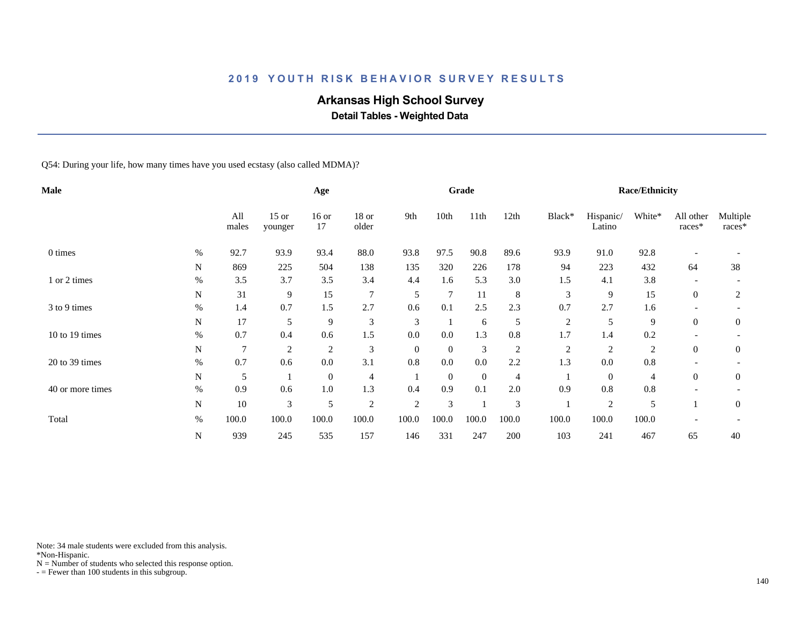# **Arkansas High School Survey**

 **Detail Tables - Weighted Data**

Q54: During your life, how many times have you used ecstasy (also called MDMA)?

| <b>Male</b>      |           |              |                    | Age              |                |                |          | Grade          |         |                |                     | <b>Race/Ethnicity</b> |                     |                    |
|------------------|-----------|--------------|--------------------|------------------|----------------|----------------|----------|----------------|---------|----------------|---------------------|-----------------------|---------------------|--------------------|
|                  |           | All<br>males | $15$ or<br>younger | $16$ or<br>17    | 18 or<br>older | 9th            | 10th     | 11th           | 12th    | Black*         | Hispanic/<br>Latino | White*                | All other<br>races* | Multiple<br>races* |
| 0 times          | $\%$      | 92.7         | 93.9               | 93.4             | 88.0           | 93.8           | 97.5     | 90.8           | 89.6    | 93.9           | 91.0                | 92.8                  |                     |                    |
|                  | N         | 869          | 225                | 504              | 138            | 135            | 320      | 226            | 178     | 94             | 223                 | 432                   | 64                  | 38                 |
| 1 or 2 times     | $\%$      | 3.5          | 3.7                | 3.5              | 3.4            | 4.4            | 1.6      | 5.3            | 3.0     | 1.5            | 4.1                 | 3.8                   |                     |                    |
|                  | N         | 31           | 9                  | 15               | $\overline{7}$ | 5              | 7        | 11             | 8       | 3              | 9                   | 15                    | $\overline{0}$      | $\overline{2}$     |
| 3 to 9 times     | $\%$      | 1.4          | 0.7                | 1.5              | 2.7            | 0.6            | 0.1      | 2.5            | 2.3     | 0.7            | 2.7                 | 1.6                   |                     |                    |
|                  | N         | 17           | 5                  | 9                | 3              | 3              |          | 6              | 5       | $\overline{c}$ | 5                   | 9                     | $\theta$            | $\mathbf{0}$       |
| 10 to 19 times   | $\%$      | 0.7          | 0.4                | 0.6              | 1.5            | 0.0            | 0.0      | 1.3            | $0.8\,$ | 1.7            | 1.4                 | 0.2                   |                     |                    |
|                  | N         | 7            | $\overline{c}$     | $\overline{c}$   | $\mathfrak{Z}$ | $\theta$       | $\theta$ | 3              | 2       | $\overline{c}$ | $\overline{c}$      | $\overline{2}$        | $\overline{0}$      | $\overline{0}$     |
| 20 to 39 times   | $\%$      | 0.7          | 0.6                | 0.0              | 3.1            | 0.8            | 0.0      | $0.0\,$        | 2.2     | 1.3            | 0.0                 | $0.8\,$               |                     |                    |
|                  | N         | 5            |                    | $\boldsymbol{0}$ | 4              |                | $\theta$ | $\overline{0}$ | 4       |                | $\mathbf{0}$        | 4                     | $\overline{0}$      | $\boldsymbol{0}$   |
| 40 or more times | $\%$      | 0.9          | 0.6                | 1.0              | 1.3            | 0.4            | 0.9      | 0.1            | 2.0     | 0.9            | 0.8                 | 0.8                   |                     |                    |
|                  | N         | 10           | 3                  | 5                | $\overline{2}$ | $\overline{2}$ | 3        |                | 3       |                | $\overline{c}$      | 5                     |                     | $\mathbf{0}$       |
| Total            | $\%$      | 100.0        | 100.0              | 100.0            | 100.0          | 100.0          | 100.0    | 100.0          | 100.0   | 100.0          | 100.0               | 100.0                 |                     |                    |
|                  | ${\bf N}$ | 939          | 245                | 535              | 157            | 146            | 331      | 247            | 200     | 103            | 241                 | 467                   | 65                  | 40                 |

Note: 34 male students were excluded from this analysis.

\*Non-Hispanic.

 $N =$  Number of students who selected this response option.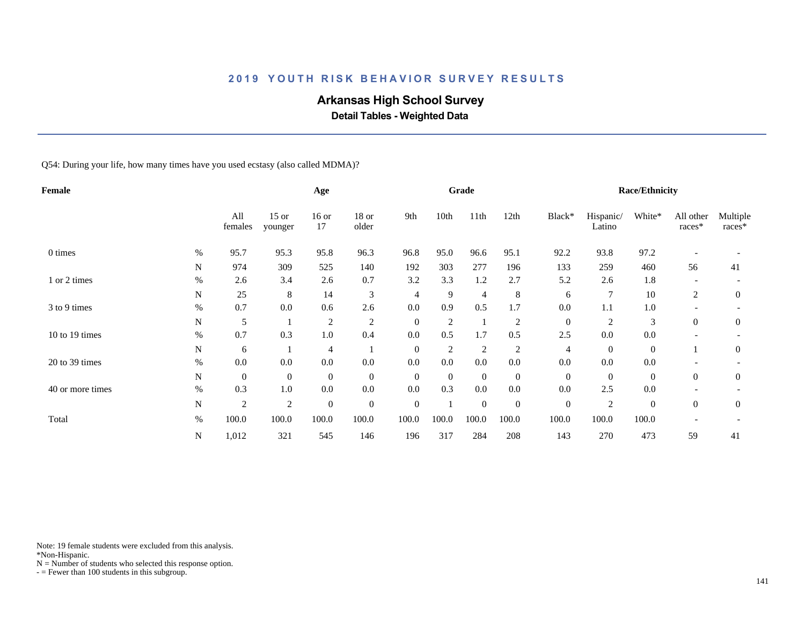# **Arkansas High School Survey**

 **Detail Tables - Weighted Data**

Q54: During your life, how many times have you used ecstasy (also called MDMA)?

| Female           |             |                |                    | Age              |                |                  |                | Grade            |                |                  |                     | <b>Race/Ethnicity</b> |                          |                    |
|------------------|-------------|----------------|--------------------|------------------|----------------|------------------|----------------|------------------|----------------|------------------|---------------------|-----------------------|--------------------------|--------------------|
|                  |             | All<br>females | $15$ or<br>younger | $16$ or<br>17    | 18 or<br>older | 9th              | 10th           | 11th             | 12th           | Black*           | Hispanic/<br>Latino | White*                | All other<br>races*      | Multiple<br>races* |
| 0 times          | $\%$        | 95.7           | 95.3               | 95.8             | 96.3           | 96.8             | 95.0           | 96.6             | 95.1           | 92.2             | 93.8                | 97.2                  |                          |                    |
|                  | $\mathbf N$ | 974            | 309                | 525              | 140            | 192              | 303            | 277              | 196            | 133              | 259                 | 460                   | 56                       | 41                 |
| 1 or 2 times     | $\%$        | 2.6            | 3.4                | 2.6              | 0.7            | 3.2              | 3.3            | 1.2              | 2.7            | 5.2              | 2.6                 | 1.8                   |                          |                    |
|                  | $\mathbf N$ | 25             | 8                  | 14               | 3              | 4                | 9              | 4                | 8              | 6                | 7                   | 10                    | 2                        | $\overline{0}$     |
| 3 to 9 times     | $\%$        | 0.7            | 0.0                | 0.6              | 2.6            | 0.0              | 0.9            | 0.5              | 1.7            | 0.0              | 1.1                 | 1.0                   |                          |                    |
|                  | $\mathbf N$ | 5              |                    | $\boldsymbol{2}$ | $\overline{c}$ | $\boldsymbol{0}$ | $\overline{2}$ |                  | $\overline{2}$ | $\boldsymbol{0}$ | $\overline{c}$      | 3                     | $\overline{0}$           | $\mathbf{0}$       |
| 10 to 19 times   | $\%$        | 0.7            | 0.3                | 1.0              | 0.4            | 0.0              | 0.5            | 1.7              | 0.5            | 2.5              | 0.0                 | 0.0                   |                          |                    |
|                  | $\mathbf N$ | 6              |                    | 4                |                | $\theta$         | $\overline{c}$ | $\overline{c}$   | 2              | 4                | $\overline{0}$      | $\boldsymbol{0}$      |                          | $\overline{0}$     |
| 20 to 39 times   | $\%$        | 0.0            | 0.0                | $0.0\,$          | 0.0            | 0.0              | 0.0            | 0.0              | $0.0\,$        | 0.0              | 0.0                 | 0.0                   |                          |                    |
|                  | N           | $\mathbf{0}$   | $\mathbf{0}$       | $\boldsymbol{0}$ | $\overline{0}$ | $\theta$         | $\theta$       | $\boldsymbol{0}$ | $\mathbf{0}$   | $\boldsymbol{0}$ | $\overline{0}$      | $\boldsymbol{0}$      | $\overline{0}$           | $\overline{0}$     |
| 40 or more times | $\%$        | 0.3            | 1.0                | 0.0              | 0.0            | 0.0              | 0.3            | 0.0              | 0.0            | 0.0              | 2.5                 | 0.0                   |                          |                    |
|                  | $\mathbf N$ | $\overline{c}$ | $\overline{2}$     | $\boldsymbol{0}$ | $\overline{0}$ | $\mathbf{0}$     |                | $\overline{0}$   | $\mathbf{0}$   | $\boldsymbol{0}$ | $\overline{c}$      | $\boldsymbol{0}$      | $\theta$                 | $\overline{0}$     |
| Total            | $\%$        | 100.0          | 100.0              | 100.0            | 100.0          | 100.0            | 100.0          | 100.0            | 100.0          | 100.0            | 100.0               | 100.0                 | $\overline{\phantom{a}}$ |                    |
|                  | ${\bf N}$   | 1,012          | 321                | 545              | 146            | 196              | 317            | 284              | 208            | 143              | 270                 | 473                   | 59                       | 41                 |

Note: 19 female students were excluded from this analysis.

\*Non-Hispanic.

 $N =$  Number of students who selected this response option.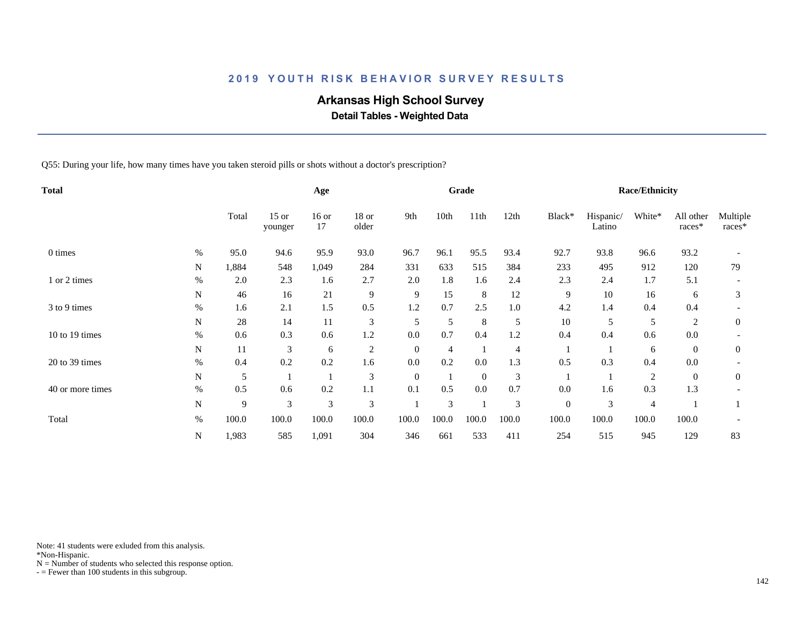# **Arkansas High School Survey**

 **Detail Tables - Weighted Data**

Q55: During your life, how many times have you taken steroid pills or shots without a doctor's prescription?

| <b>Total</b>     |           |       |                    | Age           |                  |                |       | Grade          |       |              |                     | <b>Race/Ethnicity</b> |                     |                    |
|------------------|-----------|-------|--------------------|---------------|------------------|----------------|-------|----------------|-------|--------------|---------------------|-----------------------|---------------------|--------------------|
|                  |           | Total | $15$ or<br>younger | $16$ or<br>17 | $18$ or<br>older | 9th            | 10th  | 11th           | 12th  | Black*       | Hispanic/<br>Latino | White*                | All other<br>races* | Multiple<br>races* |
| 0 times          | $\%$      | 95.0  | 94.6               | 95.9          | 93.0             | 96.7           | 96.1  | 95.5           | 93.4  | 92.7         | 93.8                | 96.6                  | 93.2                |                    |
|                  | N         | 1,884 | 548                | 1,049         | 284              | 331            | 633   | 515            | 384   | 233          | 495                 | 912                   | 120                 | 79                 |
| 1 or 2 times     | $\%$      | 2.0   | 2.3                | 1.6           | 2.7              | 2.0            | 1.8   | 1.6            | 2.4   | 2.3          | 2.4                 | 1.7                   | 5.1                 |                    |
|                  | N         | 46    | 16                 | 21            | 9                | 9              | 15    | 8              | 12    | 9            | 10                  | 16                    | 6                   | 3                  |
| 3 to 9 times     | $\%$      | 1.6   | 2.1                | 1.5           | 0.5              | 1.2            | 0.7   | 2.5            | 1.0   | 4.2          | 1.4                 | 0.4                   | 0.4                 |                    |
|                  | ${\bf N}$ | 28    | 14                 | 11            | $\mathfrak{Z}$   | 5              | 5     | 8              | 5     | 10           | 5                   | 5                     | $\overline{2}$      | $\overline{0}$     |
| 10 to 19 times   | $\%$      | 0.6   | 0.3                | 0.6           | 1.2              | 0.0            | 0.7   | 0.4            | 1.2   | 0.4          | 0.4                 | 0.6                   | 0.0                 |                    |
|                  | N         | 11    | 3                  | 6             | $\overline{c}$   | $\overline{0}$ | 4     |                | 4     |              |                     | 6                     | $\overline{0}$      | $\overline{0}$     |
| $20$ to 39 times | $\%$      | 0.4   | 0.2                | 0.2           | 1.6              | 0.0            | 0.2   | 0.0            | 1.3   | 0.5          | 0.3                 | 0.4                   | 0.0                 |                    |
|                  | N         | 5     |                    |               | 3                | $\mathbf{0}$   |       | $\overline{0}$ | 3     |              |                     | 2                     | $\overline{0}$      | $\overline{0}$     |
| 40 or more times | $\%$      | 0.5   | 0.6                | 0.2           | 1.1              | 0.1            | 0.5   | 0.0            | 0.7   | 0.0          | 1.6                 | 0.3                   | 1.3                 |                    |
|                  | N         | 9     | 3                  | 3             | 3                |                | 3     |                | 3     | $\mathbf{0}$ | 3                   | 4                     |                     |                    |
| Total            | $\%$      | 100.0 | 100.0              | 100.0         | 100.0            | 100.0          | 100.0 | 100.0          | 100.0 | 100.0        | 100.0               | 100.0                 | 100.0               |                    |
|                  | N         | 1,983 | 585                | 1,091         | 304              | 346            | 661   | 533            | 411   | 254          | 515                 | 945                   | 129                 | 83                 |

Note: 41 students were exluded from this analysis.

\*Non-Hispanic.

 $N =$  Number of students who selected this response option.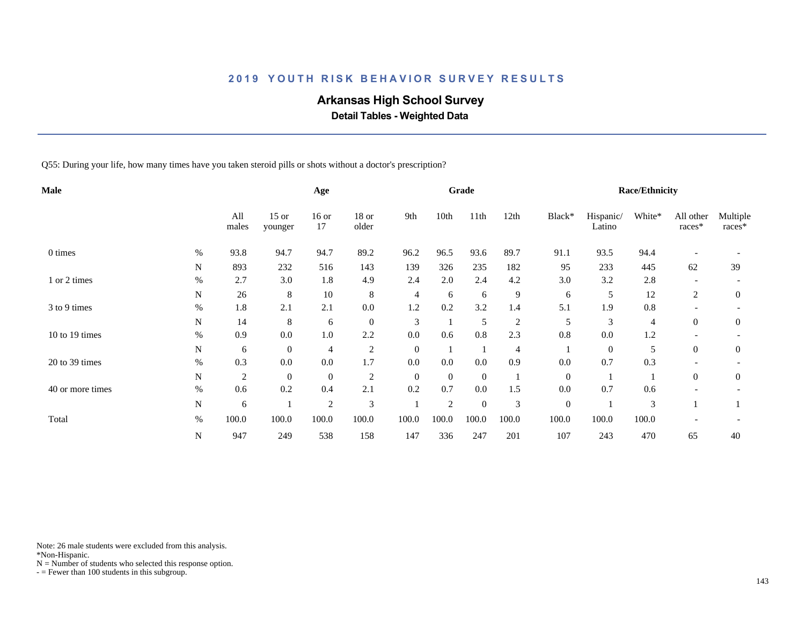# **Arkansas High School Survey**

 **Detail Tables - Weighted Data**

Q55: During your life, how many times have you taken steroid pills or shots without a doctor's prescription?

| Male             |           |              |                    | Age              |                  |              |                | Grade            |                |              |                     | <b>Race/Ethnicity</b> |                     |                    |
|------------------|-----------|--------------|--------------------|------------------|------------------|--------------|----------------|------------------|----------------|--------------|---------------------|-----------------------|---------------------|--------------------|
|                  |           | All<br>males | $15$ or<br>younger | $16$ or<br>17    | $18$ or<br>older | 9th          | 10th           | 11th             | 12th           | Black*       | Hispanic/<br>Latino | White*                | All other<br>races* | Multiple<br>races* |
| 0 times          | $\%$      | 93.8         | 94.7               | 94.7             | 89.2             | 96.2         | 96.5           | 93.6             | 89.7           | 91.1         | 93.5                | 94.4                  |                     |                    |
|                  | N         | 893          | 232                | 516              | 143              | 139          | 326            | 235              | 182            | 95           | 233                 | 445                   | 62                  | 39                 |
| 1 or 2 times     | $\%$      | 2.7          | 3.0                | 1.8              | 4.9              | 2.4          | 2.0            | 2.4              | 4.2            | 3.0          | 3.2                 | 2.8                   |                     |                    |
|                  | N         | 26           | 8                  | 10               | 8                | 4            | 6              | 6                | 9              | 6            | 5                   | 12                    | 2                   | $\overline{0}$     |
| 3 to 9 times     | $\%$      | 1.8          | 2.1                | 2.1              | $0.0\,$          | 1.2          | 0.2            | 3.2              | 1.4            | 5.1          | 1.9                 | $0.8\,$               |                     |                    |
|                  | N         | 14           | 8                  | 6                | $\mathbf{0}$     | 3            |                | 5                | $\overline{2}$ | 5            | 3                   | 4                     | $\overline{0}$      | $\overline{0}$     |
| 10 to 19 times   | $\%$      | 0.9          | 0.0                | 1.0              | 2.2              | 0.0          | 0.6            | 0.8              | 2.3            | 0.8          | 0.0                 | 1.2                   |                     |                    |
|                  | N         | 6            | $\overline{0}$     | 4                | $\overline{c}$   | $\mathbf{0}$ |                |                  | 4              |              | $\overline{0}$      | 5                     | $\overline{0}$      | $\overline{0}$     |
| $20$ to 39 times | $\%$      | 0.3          | $0.0\,$            | 0.0              | 1.7              | 0.0          | 0.0            | 0.0              | 0.9            | 0.0          | 0.7                 | 0.3                   |                     |                    |
|                  | N         | 2            | $\boldsymbol{0}$   | $\boldsymbol{0}$ | $\overline{2}$   | $\mathbf{0}$ | $\overline{0}$ | $\overline{0}$   |                | $\mathbf{0}$ |                     |                       | $\overline{0}$      | $\overline{0}$     |
| 40 or more times | $\%$      | 0.6          | 0.2                | 0.4              | 2.1              | 0.2          | 0.7            | 0.0              | 1.5            | 0.0          | 0.7                 | 0.6                   |                     |                    |
|                  | N         | 6            |                    | $\overline{c}$   | 3                |              | 2              | $\boldsymbol{0}$ | 3              | $\mathbf{0}$ |                     | 3                     |                     |                    |
| Total            | $\%$      | 100.0        | 100.0              | 100.0            | 100.0            | 100.0        | 100.0          | 100.0            | 100.0          | 100.0        | 100.0               | 100.0                 |                     |                    |
|                  | ${\bf N}$ | 947          | 249                | 538              | 158              | 147          | 336            | 247              | 201            | 107          | 243                 | 470                   | 65                  | 40                 |

Note: 26 male students were excluded from this analysis.

\*Non-Hispanic.

 $N =$  Number of students who selected this response option.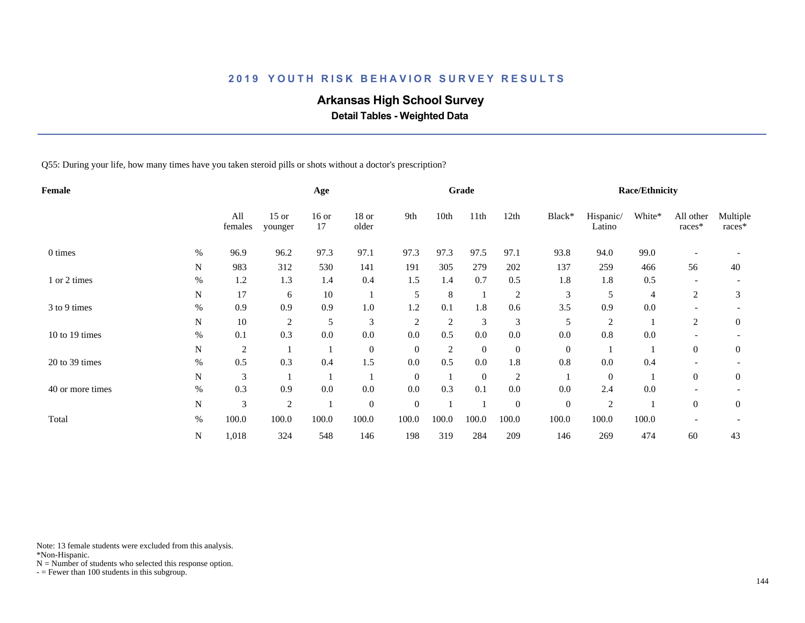# **Arkansas High School Survey**

 **Detail Tables - Weighted Data**

Q55: During your life, how many times have you taken steroid pills or shots without a doctor's prescription?

| <b>Female</b>    |           |                |                    | Age           |                  |                |                | Grade          |                  |                |                     | <b>Race/Ethnicity</b> |                     |                    |
|------------------|-----------|----------------|--------------------|---------------|------------------|----------------|----------------|----------------|------------------|----------------|---------------------|-----------------------|---------------------|--------------------|
|                  |           | All<br>females | $15$ or<br>younger | $16$ or<br>17 | 18 or<br>older   | 9th            | 10th           | 11th           | 12th             | Black*         | Hispanic/<br>Latino | White*                | All other<br>races* | Multiple<br>races* |
| 0 times          | $\%$      | 96.9           | 96.2               | 97.3          | 97.1             | 97.3           | 97.3           | 97.5           | 97.1             | 93.8           | 94.0                | 99.0                  |                     |                    |
|                  | N         | 983            | 312                | 530           | 141              | 191            | 305            | 279            | 202              | 137            | 259                 | 466                   | 56                  | 40                 |
| 1 or 2 times     | $\%$      | 1.2            | 1.3                | 1.4           | 0.4              | 1.5            | 1.4            | 0.7            | 0.5              | 1.8            | 1.8                 | 0.5                   |                     |                    |
|                  | N         | 17             | 6                  | 10            |                  | 5              | 8              |                | $\overline{2}$   | 3              | 5                   | 4                     | 2                   | 3                  |
| 3 to 9 times     | $\%$      | 0.9            | 0.9                | 0.9           | $1.0\,$          | 1.2            | 0.1            | 1.8            | 0.6              | 3.5            | 0.9                 | 0.0                   |                     |                    |
|                  | N         | 10             | $\overline{c}$     | 5             | 3                | $\overline{2}$ | $\overline{c}$ | 3              | 3                | 5              | $\overline{c}$      |                       | 2                   | $\mathbf{0}$       |
| 10 to 19 times   | $\%$      | 0.1            | 0.3                | 0.0           | 0.0              | 0.0            | 0.5            | 0.0            | 0.0              | 0.0            | $0.8\,$             | 0.0                   |                     |                    |
|                  | N         | $\overline{2}$ |                    |               | $\mathbf{0}$     | $\overline{0}$ | $\overline{c}$ | $\overline{0}$ | $\boldsymbol{0}$ | $\overline{0}$ |                     |                       | $\overline{0}$      | $\overline{0}$     |
| 20 to 39 times   | $\%$      | 0.5            | 0.3                | 0.4           | 1.5              | 0.0            | 0.5            | 0.0            | 1.8              | 0.8            | $0.0\,$             | 0.4                   |                     |                    |
|                  | N         | 3              |                    |               |                  | $\mathbf{0}$   |                | $\mathbf{0}$   | $\overline{2}$   |                | $\overline{0}$      |                       | $\overline{0}$      | $\overline{0}$     |
| 40 or more times | $\%$      | 0.3            | 0.9                | 0.0           | 0.0              | 0.0            | 0.3            | 0.1            | 0.0              | 0.0            | 2.4                 | 0.0                   |                     |                    |
|                  | N         | 3              | 2                  |               | $\boldsymbol{0}$ | $\mathbf{0}$   |                |                | $\boldsymbol{0}$ | $\mathbf{0}$   | $\overline{c}$      |                       | $\boldsymbol{0}$    | $\overline{0}$     |
| Total            | $\%$      | 100.0          | 100.0              | 100.0         | 100.0            | 100.0          | 100.0          | 100.0          | 100.0            | 100.0          | 100.0               | 100.0                 |                     |                    |
|                  | ${\bf N}$ | 1,018          | 324                | 548           | 146              | 198            | 319            | 284            | 209              | 146            | 269                 | 474                   | 60                  | 43                 |

Note: 13 female students were excluded from this analysis.

\*Non-Hispanic.

 $N =$  Number of students who selected this response option.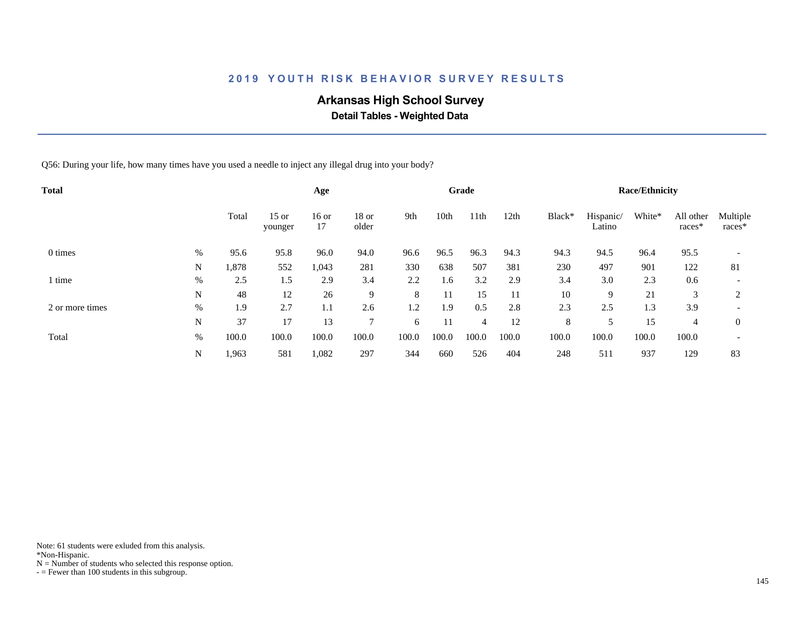# **Arkansas High School Survey**

 **Detail Tables - Weighted Data**

Q56: During your life, how many times have you used a needle to inject any illegal drug into your body?

| Total           |      |       |                    | Age           |                  |       |       | Grade            |       |        |                     | <b>Race/Ethnicity</b> |                     |                          |
|-----------------|------|-------|--------------------|---------------|------------------|-------|-------|------------------|-------|--------|---------------------|-----------------------|---------------------|--------------------------|
|                 |      | Total | $15$ or<br>younger | $16$ or<br>17 | $18$ or<br>older | 9th   | 10th  | 11 <sup>th</sup> | 12th  | Black* | Hispanic/<br>Latino | White*                | All other<br>races* | Multiple<br>races*       |
| 0 times         | $\%$ | 95.6  | 95.8               | 96.0          | 94.0             | 96.6  | 96.5  | 96.3             | 94.3  | 94.3   | 94.5                | 96.4                  | 95.5                |                          |
|                 | N    | 1,878 | 552                | 1,043         | 281              | 330   | 638   | 507              | 381   | 230    | 497                 | 901                   | 122                 | 81                       |
| 1 time          | $\%$ | 2.5   | 1.5                | 2.9           | 3.4              | 2.2   | 1.6   | 3.2              | 2.9   | 3.4    | 3.0                 | 2.3                   | 0.6                 |                          |
|                 | N    | 48    | 12                 | 26            | 9                | 8     | 11    | 15               | 11    | 10     | 9                   | 21                    | 3                   | 2                        |
| 2 or more times | $\%$ | 1.9   | 2.7                | 1.1           | 2.6              | 1.2   | 1.9   | 0.5              | 2.8   | 2.3    | 2.5                 | 1.3                   | 3.9                 | $\overline{\phantom{a}}$ |
|                 | N    | 37    | 17                 | 13            | $\mathcal{I}$    | 6     | 11    | 4                | 12    | 8      | 5                   | 15                    | 4                   | $\theta$                 |
| Total           | %    | 100.0 | 100.0              | 100.0         | 100.0            | 100.0 | 100.0 | 100.0            | 100.0 | 100.0  | 100.0               | 100.0                 | 100.0               | $\overline{\phantom{a}}$ |
|                 | N    | 1,963 | 581                | 1,082         | 297              | 344   | 660   | 526              | 404   | 248    | 511                 | 937                   | 129                 | 83                       |

Note: 61 students were exluded from this analysis.

\*Non-Hispanic.

 $N =$  Number of students who selected this response option.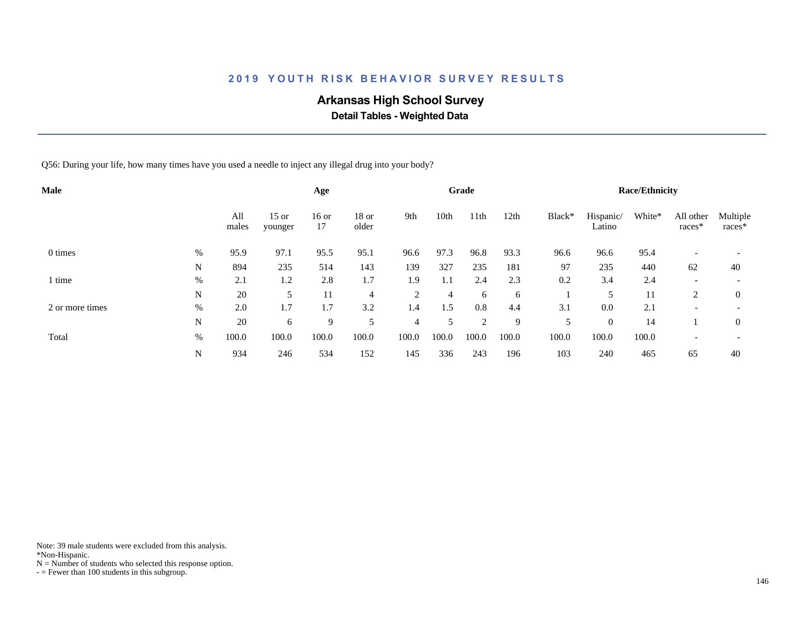# **Arkansas High School Survey**

 **Detail Tables - Weighted Data**

Q56: During your life, how many times have you used a needle to inject any illegal drug into your body?

| <b>Male</b>     |      |              |                    | Age           |                |                |       | Grade |       |        |                     | <b>Race/Ethnicity</b> |                          |                          |
|-----------------|------|--------------|--------------------|---------------|----------------|----------------|-------|-------|-------|--------|---------------------|-----------------------|--------------------------|--------------------------|
|                 |      | All<br>males | $15$ or<br>younger | $16$ or<br>17 | 18 or<br>older | 9th            | 10th  | 11th  | 12th  | Black* | Hispanic/<br>Latino | White*                | All other<br>races*      | Multiple<br>races*       |
| 0 times         | %    | 95.9         | 97.1               | 95.5          | 95.1           | 96.6           | 97.3  | 96.8  | 93.3  | 96.6   | 96.6                | 95.4                  |                          |                          |
|                 | N    | 894          | 235                | 514           | 143            | 139            | 327   | 235   | 181   | 97     | 235                 | 440                   | 62                       | 40                       |
| time            | %    | 2.1          | 1.2                | 2.8           | 1.7            | 1.9            | 1.1   | 2.4   | 2.3   | 0.2    | 3.4                 | 2.4                   | $\overline{\phantom{0}}$ | $\overline{\phantom{a}}$ |
|                 | N    | 20           | 5                  | 11            | $\overline{4}$ | $\overline{2}$ | 4     | 6     | 6     |        |                     | 11                    | 2                        | $\overline{0}$           |
| 2 or more times | $\%$ | 2.0          | 1.7                | 1.7           | 3.2            | 1.4            | 1.5   | 0.8   | 4.4   | 3.1    | 0.0                 | 2.1                   | -                        | $\overline{\phantom{a}}$ |
|                 | N    | 20           | 6                  | 9             | 5              | $\overline{4}$ | 5     | 2     | 9     | 5      | $\overline{0}$      | 14                    |                          | $\overline{0}$           |
| Total           | $\%$ | 100.0        | 100.0              | 100.0         | 100.0          | 100.0          | 100.0 | 100.0 | 100.0 | 100.0  | 100.0               | 100.0                 |                          |                          |
|                 | N    | 934          | 246                | 534           | 152            | 145            | 336   | 243   | 196   | 103    | 240                 | 465                   | 65                       | 40                       |

Note: 39 male students were excluded from this analysis.

\*Non-Hispanic.

 $N =$  Number of students who selected this response option.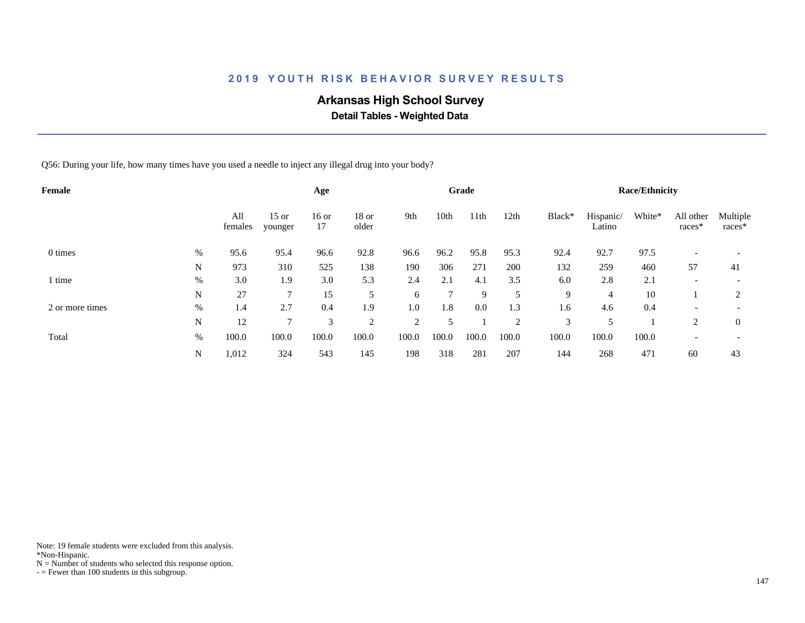# **Arkansas High School Survey**

 **Detail Tables - Weighted Data**

Q56: During your life, how many times have you used a needle to inject any illegal drug into your body?

| <b>Female</b>   |      |                |                    | Age           |                  |       |              | Grade |                |        |                     | <b>Race/Ethnicity</b> |                          |                          |
|-----------------|------|----------------|--------------------|---------------|------------------|-------|--------------|-------|----------------|--------|---------------------|-----------------------|--------------------------|--------------------------|
|                 |      | All<br>females | $15$ or<br>younger | $16$ or<br>17 | $18$ or<br>older | 9th   | 10th         | 11th  | 12th           | Black* | Hispanic/<br>Latino | White*                | All other<br>races*      | Multiple<br>races*       |
| 0 times         | $\%$ | 95.6           | 95.4               | 96.6          | 92.8             | 96.6  | 96.2         | 95.8  | 95.3           | 92.4   | 92.7                | 97.5                  |                          |                          |
|                 | N    | 973            | 310                | 525           | 138              | 190   | 306          | 271   | 200            | 132    | 259                 | 460                   | 57                       | 41                       |
| 1 time          | %    | 3.0            | 1.9                | 3.0           | 5.3              | 2.4   | 2.1          | 4.1   | 3.5            | 6.0    | 2.8                 | 2.1                   | $\overline{\phantom{0}}$ | $\overline{\phantom{a}}$ |
|                 | N    | 27             |                    | 15            | 5                | 6     | $\mathbf{r}$ | 9     | 5              | 9      | 4                   | 10                    |                          | 2                        |
| 2 or more times | %    | 1.4            | 2.7                | 0.4           | 1.9              | 1.0   | 1.8          | 0.0   | 1.3            | 1.6    | 4.6                 | 0.4                   | $\overline{\phantom{0}}$ |                          |
|                 | N    | 12             | 7                  | 3             | $\overline{2}$   | 2     |              |       | $\overline{2}$ | 3      | 5                   |                       | $\overline{c}$           | $\theta$                 |
| Total           | $\%$ | 100.0          | 100.0              | 100.0         | 100.0            | 100.0 | 100.0        | 100.0 | 100.0          | 100.0  | 100.0               | 100.0                 | $\overline{\phantom{0}}$ | $\overline{\phantom{a}}$ |
|                 | N    | 1,012          | 324                | 543           | 145              | 198   | 318          | 281   | 207            | 144    | 268                 | 471                   | 60                       | 43                       |

Note: 19 female students were excluded from this analysis.

\*Non-Hispanic.

 $N =$  Number of students who selected this response option.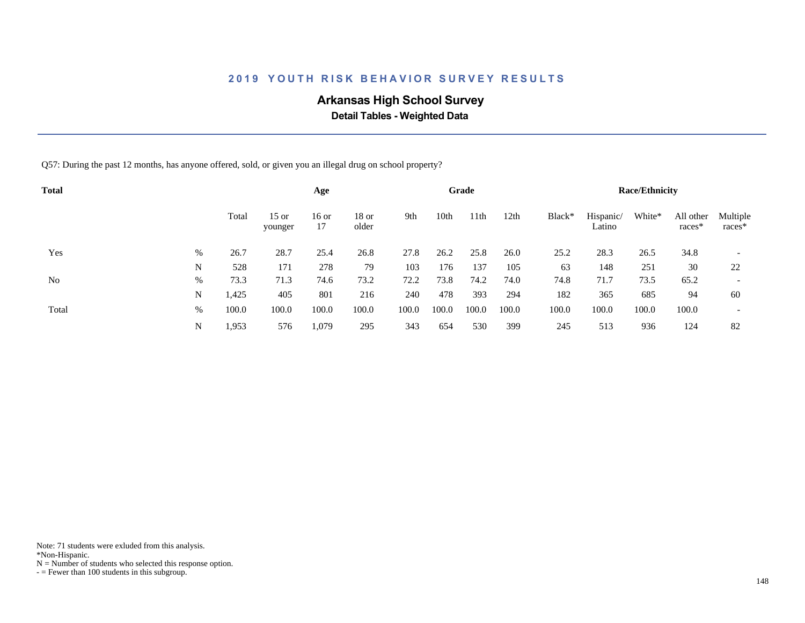# **Arkansas High School Survey**

 **Detail Tables - Weighted Data**

Q57: During the past 12 months, has anyone offered, sold, or given you an illegal drug on school property?

| <b>Total</b> |   |       |                    | Age           |                |       |       | Grade |       |        |                     | <b>Race/Ethnicity</b> |                     |                          |
|--------------|---|-------|--------------------|---------------|----------------|-------|-------|-------|-------|--------|---------------------|-----------------------|---------------------|--------------------------|
| Yes          |   | Total | $15$ or<br>younger | $16$ or<br>17 | 18 or<br>older | 9th   | 10th  | 11th  | 12th  | Black* | Hispanic/<br>Latino | White*                | All other<br>races* | Multiple<br>races*       |
|              | % | 26.7  | 28.7               | 25.4          | 26.8           | 27.8  | 26.2  | 25.8  | 26.0  | 25.2   | 28.3                | 26.5                  | 34.8                |                          |
|              | N | 528   | 171                | 278           | 79             | 103   | 176   | 137   | 105   | 63     | 148                 | 251                   | 30                  | 22                       |
| No           | % | 73.3  | 71.3               | 74.6          | 73.2           | 72.2  | 73.8  | 74.2  | 74.0  | 74.8   | 71.7                | 73.5                  | 65.2                | $\overline{\phantom{a}}$ |
|              | N | 1,425 | 405                | 801           | 216            | 240   | 478   | 393   | 294   | 182    | 365                 | 685                   | 94                  | 60                       |
| Total        | % | 100.0 | 100.0              | 100.0         | 100.0          | 100.0 | 100.0 | 100.0 | 100.0 | 100.0  | 100.0               | 100.0                 | 100.0               | $\overline{\phantom{a}}$ |
|              | N | 1,953 | 576                | 1,079         | 295            | 343   | 654   | 530   | 399   | 245    | 513                 | 936                   | 124                 | 82                       |

Note: 71 students were exluded from this analysis.

\*Non-Hispanic.

 $N =$  Number of students who selected this response option.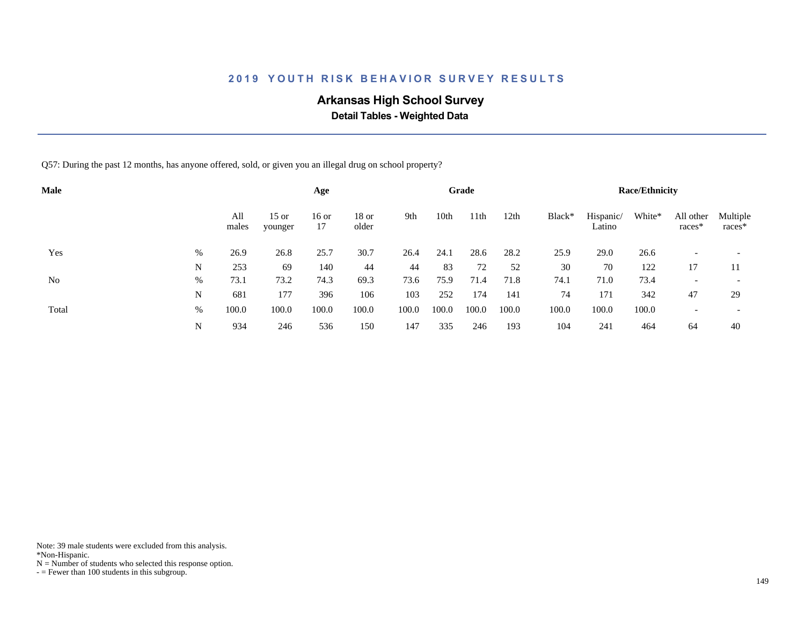# **Arkansas High School Survey**

 **Detail Tables - Weighted Data**

Q57: During the past 12 months, has anyone offered, sold, or given you an illegal drug on school property?

| <b>Male</b> |   |              |                    | Age           |                  |       |       | Grade            |       |        |                     | <b>Race/Ethnicity</b> |                       |                          |
|-------------|---|--------------|--------------------|---------------|------------------|-------|-------|------------------|-------|--------|---------------------|-----------------------|-----------------------|--------------------------|
|             |   | All<br>males | $15$ or<br>younger | $16$ or<br>17 | $18$ or<br>older | 9th   | 10th  | 11 <sup>th</sup> | 12th  | Black* | Hispanic/<br>Latino | White*                | All other<br>$races*$ | Multiple<br>$races*$     |
| Yes         | % | 26.9         | 26.8               | 25.7          | 30.7             | 26.4  | 24.1  | 28.6             | 28.2  | 25.9   | 29.0                | 26.6                  |                       |                          |
|             | N | 253          | 69                 | 140           | 44               | 44    | 83    | 72               | 52    | 30     | 70                  | 122                   | 17                    | 11                       |
| No          | % | 73.1         | 73.2               | 74.3          | 69.3             | 73.6  | 75.9  | 71.4             | 71.8  | 74.1   | 71.0                | 73.4                  |                       | $\overline{\phantom{a}}$ |
|             | N | 681          | 177                | 396           | 106              | 103   | 252   | 174              | 141   | 74     | 171                 | 342                   | 47                    | 29                       |
| Total       | % | 100.0        | 100.0              | 100.0         | 100.0            | 100.0 | 100.0 | 100.0            | 100.0 | 100.0  | 100.0               | 100.0                 |                       | $\overline{\phantom{0}}$ |
|             | N | 934          | 246                | 536           | 150              | 147   | 335   | 246              | 193   | 104    | 241                 | 464                   | 64                    | 40                       |

Note: 39 male students were excluded from this analysis.

\*Non-Hispanic.

 $N =$  Number of students who selected this response option.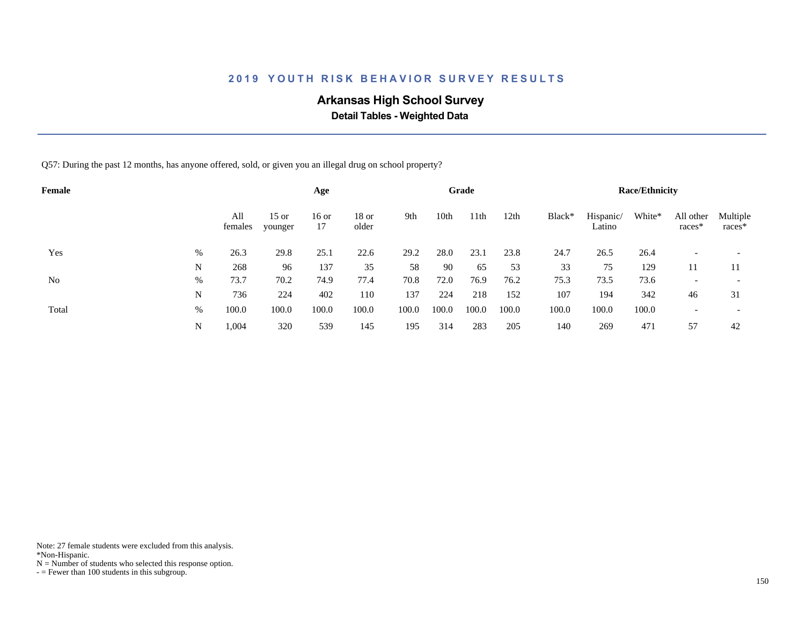# **Arkansas High School Survey**

 **Detail Tables - Weighted Data**

Q57: During the past 12 months, has anyone offered, sold, or given you an illegal drug on school property?

| Female |   |                |                    | Age           |                |       |       | Grade |       |        |                     | <b>Race/Ethnicity</b> |                       |                          |
|--------|---|----------------|--------------------|---------------|----------------|-------|-------|-------|-------|--------|---------------------|-----------------------|-----------------------|--------------------------|
|        |   | All<br>females | $15$ or<br>younger | $16$ or<br>17 | 18 or<br>older | 9th   | 10th  | 11th  | 12th  | Black* | Hispanic/<br>Latino | White*                | All other<br>$races*$ | Multiple<br>$races*$     |
| Yes    | % | 26.3           | 29.8               | 25.1          | 22.6           | 29.2  | 28.0  | 23.1  | 23.8  | 24.7   | 26.5                | 26.4                  |                       |                          |
|        | N | 268            | 96                 | 137           | 35             | 58    | 90    | 65    | 53    | 33     | 75                  | 129                   | 11                    | 11                       |
| No     | % | 73.7           | 70.2               | 74.9          | 77.4           | 70.8  | 72.0  | 76.9  | 76.2  | 75.3   | 73.5                | 73.6                  |                       | $\overline{\phantom{a}}$ |
|        | N | 736            | 224                | 402           | 110            | 137   | 224   | 218   | 152   | 107    | 194                 | 342                   | 46                    | 31                       |
| Total  | % | 100.0          | 100.0              | 100.0         | 100.0          | 100.0 | 100.0 | 100.0 | 100.0 | 100.0  | 100.0               | 100.0                 |                       | $\overline{\phantom{0}}$ |
|        | N | 1,004          | 320                | 539           | 145            | 195   | 314   | 283   | 205   | 140    | 269                 | 471                   | 57                    | 42                       |

Note: 27 female students were excluded from this analysis.

\*Non-Hispanic.

 $N =$  Number of students who selected this response option.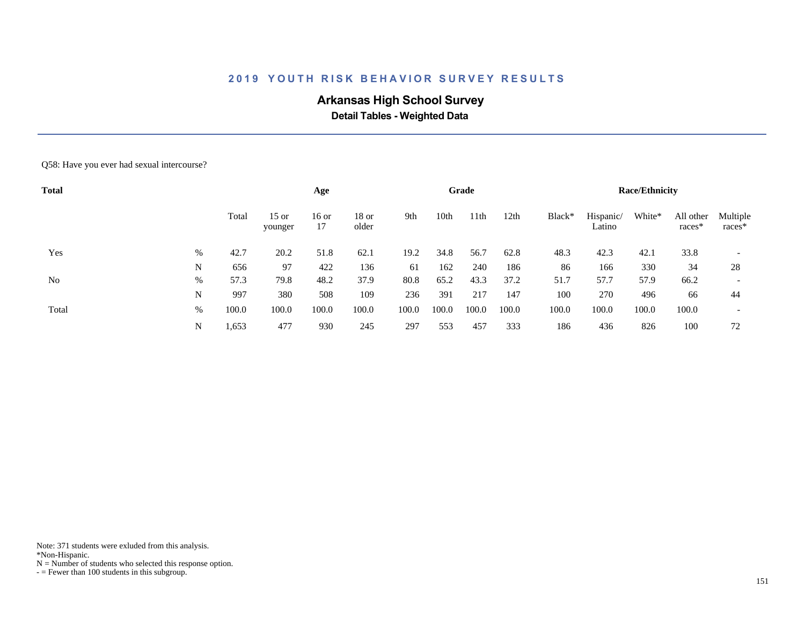# **Arkansas High School Survey**

 **Detail Tables - Weighted Data**

#### Q58: Have you ever had sexual intercourse?

| <b>Total</b> |   |       |                    | Age           |                  |       |       | Grade            |       |        |                     | <b>Race/Ethnicity</b> |                     |                          |
|--------------|---|-------|--------------------|---------------|------------------|-------|-------|------------------|-------|--------|---------------------|-----------------------|---------------------|--------------------------|
|              |   | Total | $15$ or<br>younger | $16$ or<br>17 | $18$ or<br>older | 9th   | 10th  | 11 <sup>th</sup> | 12th  | Black* | Hispanic/<br>Latino | White*                | All other<br>races* | Multiple<br>races*       |
| Yes          | % | 42.7  | 20.2               | 51.8          | 62.1             | 19.2  | 34.8  | 56.7             | 62.8  | 48.3   | 42.3                | 42.1                  | 33.8                |                          |
|              | N | 656   | 97                 | 422           | 136              | 61    | 162   | 240              | 186   | 86     | 166                 | 330                   | 34                  | 28                       |
| No           | % | 57.3  | 79.8               | 48.2          | 37.9             | 80.8  | 65.2  | 43.3             | 37.2  | 51.7   | 57.7                | 57.9                  | 66.2                | $\overline{\phantom{0}}$ |
|              | N | 997   | 380                | 508           | 109              | 236   | 391   | 217              | 147   | 100    | 270                 | 496                   | 66                  | 44                       |
| Total        | % | 100.0 | 100.0              | 100.0         | 100.0            | 100.0 | 100.0 | 100.0            | 100.0 | 100.0  | 100.0               | 100.0                 | 100.0               | $\overline{\phantom{a}}$ |
|              | N | .,653 | 477                | 930           | 245              | 297   | 553   | 457              | 333   | 186    | 436                 | 826                   | 100                 | 72                       |

Note: 371 students were exluded from this analysis.

\*Non-Hispanic.

 $N =$  Number of students who selected this response option.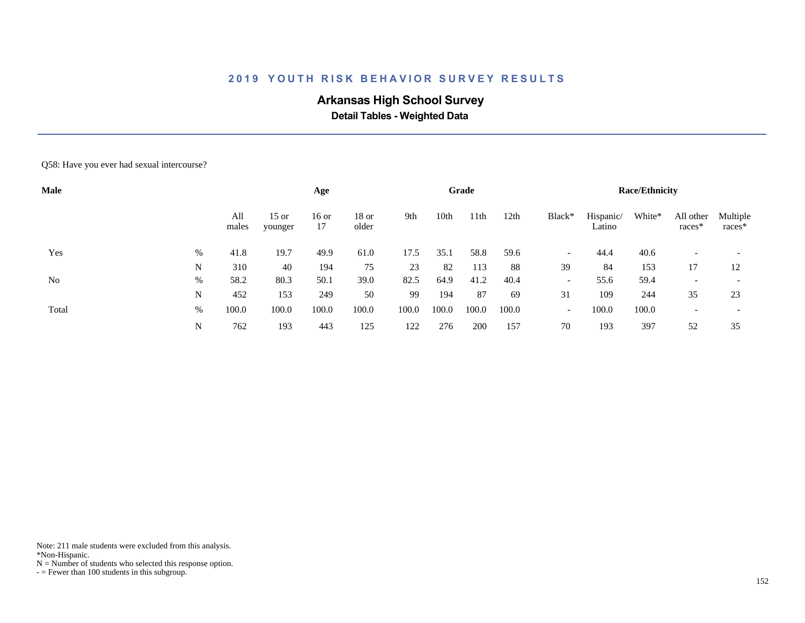# **Arkansas High School Survey**

 **Detail Tables - Weighted Data**

#### Q58: Have you ever had sexual intercourse?

| <b>Male</b> |      |              |                    | Age           |                  |       |                  | Grade |       |                          |                     | <b>Race/Ethnicity</b> |                     |                    |
|-------------|------|--------------|--------------------|---------------|------------------|-------|------------------|-------|-------|--------------------------|---------------------|-----------------------|---------------------|--------------------|
|             |      | All<br>males | $15$ or<br>younger | $16$ or<br>17 | $18$ or<br>older | 9th   | 10 <sub>th</sub> | 11th  | 12th  | Black*                   | Hispanic/<br>Latino | White*                | All other<br>races* | Multiple<br>races* |
| Yes         | $\%$ | 41.8         | 19.7               | 49.9          | 61.0             | 17.5  | 35.1             | 58.8  | 59.6  | $\overline{\phantom{a}}$ | 44.4                | 40.6                  |                     |                    |
|             | N    | 310          | 40                 | 194           | 75               | 23    | 82               | 113   | 88    | 39                       | 84                  | 153                   | 17                  | 12                 |
| No          | $\%$ | 58.2         | 80.3               | 50.1          | 39.0             | 82.5  | 64.9             | 41.2  | 40.4  | $\overline{\phantom{0}}$ | 55.6                | 59.4                  |                     |                    |
|             | N    | 452          | 153                | 249           | 50               | 99    | 194              | 87    | 69    | 31                       | 109                 | 244                   | 35                  | 23                 |
| Total       | %    | 100.0        | 100.0              | 100.0         | 100.0            | 100.0 | 100.0            | 100.0 | 100.0 | $\overline{\phantom{a}}$ | 100.0               | 100.0                 |                     |                    |
|             | N    | 762          | 193                | 443           | 125              | 122   | 276              | 200   | 157   | 70                       | 193                 | 397                   | 52                  | 35                 |

Note: 211 male students were excluded from this analysis.

\*Non-Hispanic.

 $N =$  Number of students who selected this response option.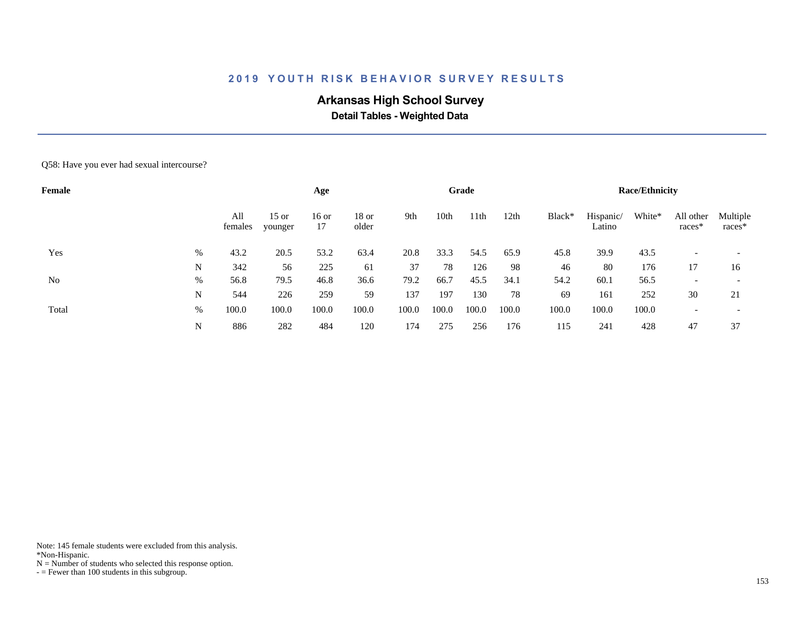# **Arkansas High School Survey**

 **Detail Tables - Weighted Data**

#### Q58: Have you ever had sexual intercourse?

| Female |      |                |                    | Age           |                  |       |       | Grade |       |        |                     | <b>Race/Ethnicity</b> |                     |                          |
|--------|------|----------------|--------------------|---------------|------------------|-------|-------|-------|-------|--------|---------------------|-----------------------|---------------------|--------------------------|
|        |      | All<br>females | $15$ or<br>younger | $16$ or<br>17 | $18$ or<br>older | 9th   | 10th  | 11th  | 12th  | Black* | Hispanic/<br>Latino | White*                | All other<br>races* | Multiple<br>races*       |
| Yes    | $\%$ | 43.2           | 20.5               | 53.2          | 63.4             | 20.8  | 33.3  | 54.5  | 65.9  | 45.8   | 39.9                | 43.5                  |                     |                          |
|        | N    | 342            | 56                 | 225           | 61               | 37    | 78    | 126   | 98    | 46     | 80                  | 176                   | 17                  | 16                       |
| No     | %    | 56.8           | 79.5               | 46.8          | 36.6             | 79.2  | 66.7  | 45.5  | 34.1  | 54.2   | 60.1                | 56.5                  |                     | $\overline{\phantom{0}}$ |
|        | N    | 544            | 226                | 259           | 59               | 137   | 197   | 130   | 78    | 69     | 161                 | 252                   | 30                  | 21                       |
| Total  | %    | 100.0          | 100.0              | 100.0         | 100.0            | 100.0 | 100.0 | 100.0 | 100.0 | 100.0  | 100.0               | 100.0                 |                     |                          |
|        | N    | 886            | 282                | 484           | 120              | 174   | 275   | 256   | 176   | 115    | 241                 | 428                   | 47                  | 37                       |

Note: 145 female students were excluded from this analysis.

\*Non-Hispanic.

 $N =$  Number of students who selected this response option.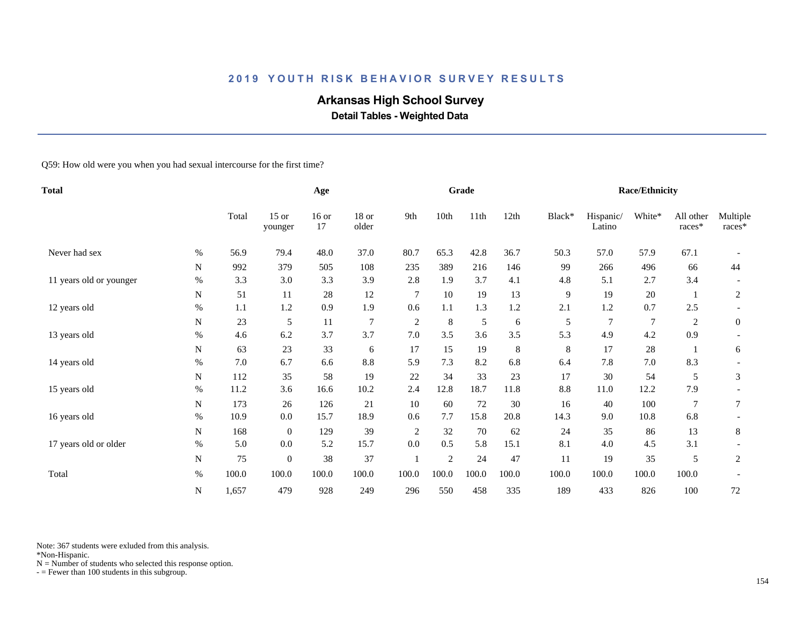# **Arkansas High School Survey**

 **Detail Tables - Weighted Data**

Q59: How old were you when you had sexual intercourse for the first time?

| <b>Total</b>            |           |       | Age                |               |                  |                | Grade          |               |       |        | <b>Race/Ethnicity</b> |                |                     |                    |
|-------------------------|-----------|-------|--------------------|---------------|------------------|----------------|----------------|---------------|-------|--------|-----------------------|----------------|---------------------|--------------------|
|                         |           | Total | $15$ or<br>younger | $16$ or<br>17 | $18$ or<br>older | 9th            | 10th           | 11th          | 12th  | Black* | Hispanic/<br>Latino   | White*         | All other<br>races* | Multiple<br>races* |
| Never had sex           | $\%$      | 56.9  | 79.4               | 48.0          | 37.0             | 80.7           | 65.3           | 42.8          | 36.7  | 50.3   | 57.0                  | 57.9           | 67.1                |                    |
|                         | N         | 992   | 379                | 505           | 108              | 235            | 389            | 216           | 146   | 99     | 266                   | 496            | 66                  | 44                 |
| 11 years old or younger | $\%$      | 3.3   | 3.0                | 3.3           | 3.9              | 2.8            | 1.9            | 3.7           | 4.1   | 4.8    | 5.1                   | 2.7            | 3.4                 |                    |
|                         | ${\bf N}$ | 51    | 11                 | 28            | 12               | $\overline{7}$ | 10             | 19            | 13    | 9      | 19                    | 20             | -1                  | $\mathfrak{2}$     |
| 12 years old            | $\%$      | 1.1   | 1.2                | 0.9           | 1.9              | 0.6            | 1.1            | 1.3           | 1.2   | 2.1    | 1.2                   | 0.7            | 2.5                 |                    |
|                         | N         | 23    | 5                  | 11            | 7                | $\sqrt{2}$     | $\,8\,$        | $\mathfrak s$ | 6     | 5      | $\overline{7}$        | $\overline{7}$ | 2                   | $\boldsymbol{0}$   |
| 13 years old            | %         | 4.6   | 6.2                | 3.7           | 3.7              | 7.0            | 3.5            | 3.6           | 3.5   | 5.3    | 4.9                   | 4.2            | 0.9                 |                    |
|                         | N         | 63    | 23                 | 33            | 6                | 17             | 15             | 19            | 8     | 8      | 17                    | 28             |                     | 6                  |
| 14 years old            | $\%$      | 7.0   | 6.7                | 6.6           | 8.8              | 5.9            | 7.3            | 8.2           | 6.8   | 6.4    | 7.8                   | 7.0            | 8.3                 |                    |
|                         | N         | 112   | 35                 | 58            | 19               | 22             | 34             | 33            | 23    | 17     | 30                    | 54             | 5                   | 3                  |
| 15 years old            | $\%$      | 11.2  | 3.6                | 16.6          | 10.2             | 2.4            | 12.8           | 18.7          | 11.8  | 8.8    | 11.0                  | 12.2           | 7.9                 |                    |
|                         | ${\bf N}$ | 173   | 26                 | 126           | 21               | 10             | 60             | 72            | 30    | 16     | 40                    | 100            | $\overline{7}$      | $\tau$             |
| 16 years old            | $\%$      | 10.9  | 0.0                | 15.7          | 18.9             | 0.6            | 7.7            | 15.8          | 20.8  | 14.3   | 9.0                   | 10.8           | 6.8                 |                    |
|                         | N         | 168   | $\mathbf{0}$       | 129           | 39               | $\overline{c}$ | 32             | 70            | 62    | 24     | 35                    | 86             | 13                  | 8                  |
| 17 years old or older   | $\%$      | 5.0   | 0.0                | 5.2           | 15.7             | 0.0            | 0.5            | 5.8           | 15.1  | 8.1    | 4.0                   | 4.5            | 3.1                 |                    |
|                         | N         | 75    | $\overline{0}$     | 38            | 37               |                | $\overline{c}$ | 24            | 47    | 11     | 19                    | 35             | 5                   | 2                  |
| Total                   | $\%$      | 100.0 | 100.0              | 100.0         | 100.0            | 100.0          | 100.0          | 100.0         | 100.0 | 100.0  | 100.0                 | 100.0          | 100.0               |                    |
|                         | N         | 1,657 | 479                | 928           | 249              | 296            | 550            | 458           | 335   | 189    | 433                   | 826            | 100                 | 72                 |

Note: 367 students were exluded from this analysis.

\*Non-Hispanic.

 $N =$  Number of students who selected this response option.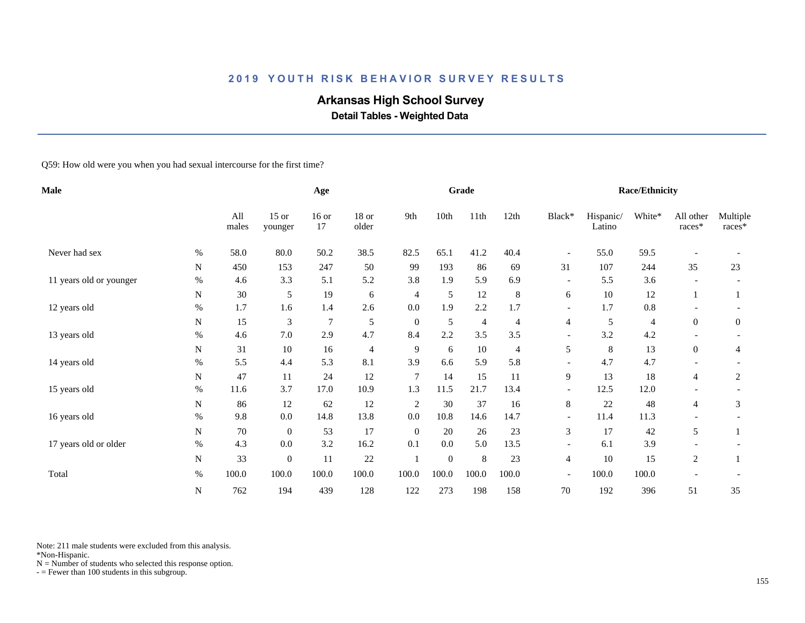# **Arkansas High School Survey**

 **Detail Tables - Weighted Data**

Q59: How old were you when you had sexual intercourse for the first time?

| <b>Male</b>             |             |              | Age                |               |                |                | Grade        |                |         |                          | <b>Race/Ethnicity</b> |         |                     |                    |
|-------------------------|-------------|--------------|--------------------|---------------|----------------|----------------|--------------|----------------|---------|--------------------------|-----------------------|---------|---------------------|--------------------|
|                         |             | All<br>males | $15$ or<br>younger | $16$ or<br>17 | 18 or<br>older | 9th            | 10th         | 11th           | 12th    | Black*                   | Hispanic/<br>Latino   | White*  | All other<br>races* | Multiple<br>races* |
| Never had sex           | $\%$        | 58.0         | 80.0               | 50.2          | 38.5           | 82.5           | 65.1         | 41.2           | 40.4    | $\overline{\phantom{a}}$ | 55.0                  | 59.5    |                     |                    |
|                         | $\mathbf N$ | 450          | 153                | 247           | 50             | 99             | 193          | 86             | 69      | 31                       | 107                   | 244     | 35                  | 23                 |
| 11 years old or younger | $\%$        | 4.6          | 3.3                | 5.1           | 5.2            | 3.8            | 1.9          | 5.9            | 6.9     | $\overline{\phantom{a}}$ | 5.5                   | 3.6     |                     |                    |
|                         | ${\bf N}$   | 30           | 5                  | 19            | 6              | $\overline{4}$ | 5            | 12             | $\,8\,$ | 6                        | 10                    | 12      | -1                  |                    |
| 12 years old            | $\%$        | 1.7          | 1.6                | 1.4           | 2.6            | 0.0            | 1.9          | 2.2            | 1.7     |                          | 1.7                   | $0.8\,$ |                     |                    |
|                         | N           | 15           | 3                  | 7             | 5              | $\theta$       | 5            | $\overline{4}$ | 4       | 4                        | 5                     | 4       | $\overline{0}$      | $\overline{0}$     |
| 13 years old            | $\%$        | 4.6          | 7.0                | 2.9           | 4.7            | 8.4            | 2.2          | 3.5            | 3.5     | $\overline{\phantom{a}}$ | 3.2                   | 4.2     |                     |                    |
|                         | N           | 31           | 10                 | 16            | $\overline{4}$ | 9              | 6            | 10             | 4       | 5                        | 8                     | 13      | $\overline{0}$      | 4                  |
| 14 years old            | %           | 5.5          | 4.4                | 5.3           | 8.1            | 3.9            | 6.6          | 5.9            | 5.8     |                          | 4.7                   | 4.7     |                     |                    |
|                         | N           | 47           | 11                 | 24            | 12             | $\overline{7}$ | 14           | 15             | 11      | 9                        | 13                    | 18      | $\overline{4}$      | 2                  |
| 15 years old            | $\%$        | 11.6         | 3.7                | 17.0          | 10.9           | 1.3            | 11.5         | 21.7           | 13.4    | $\overline{\phantom{a}}$ | 12.5                  | 12.0    |                     |                    |
|                         | ${\bf N}$   | 86           | 12                 | 62            | 12             | $\overline{2}$ | 30           | 37             | 16      | 8                        | 22                    | 48      | 4                   | 3                  |
| 16 years old            | $\%$        | 9.8          | 0.0                | 14.8          | 13.8           | 0.0            | 10.8         | 14.6           | 14.7    | $\overline{\phantom{a}}$ | 11.4                  | 11.3    |                     |                    |
|                         | $\mathbf N$ | 70           | $\mathbf{0}$       | 53            | 17             | $\overline{0}$ | 20           | 26             | 23      | 3                        | 17                    | 42      | 5                   |                    |
| 17 years old or older   | $\%$        | 4.3          | 0.0                | 3.2           | 16.2           | 0.1            | 0.0          | 5.0            | 13.5    | $\overline{\phantom{a}}$ | 6.1                   | 3.9     |                     |                    |
|                         | $\mathbf N$ | 33           | $\overline{0}$     | 11            | 22             |                | $\mathbf{0}$ | $\,8\,$        | 23      | $\overline{4}$           | 10                    | 15      | 2                   |                    |
| Total                   | $\%$        | 100.0        | 100.0              | 100.0         | 100.0          | 100.0          | 100.0        | 100.0          | 100.0   | $\overline{\phantom{a}}$ | 100.0                 | 100.0   |                     |                    |
|                         | ${\bf N}$   | 762          | 194                | 439           | 128            | 122            | 273          | 198            | 158     | 70                       | 192                   | 396     | 51                  | 35                 |

Note: 211 male students were excluded from this analysis.

\*Non-Hispanic.

 $N =$  Number of students who selected this response option.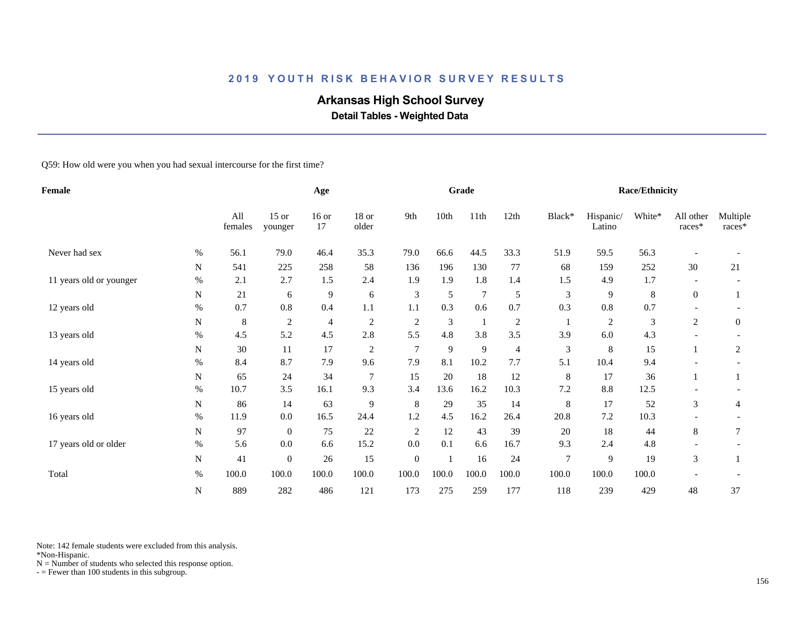# **Arkansas High School Survey**

 **Detail Tables - Weighted Data**

Q59: How old were you when you had sexual intercourse for the first time?

| Female                  |           |                | Age                |                |                |                  | Grade |                |                |                | Race/Ethnicity      |        |                       |                    |
|-------------------------|-----------|----------------|--------------------|----------------|----------------|------------------|-------|----------------|----------------|----------------|---------------------|--------|-----------------------|--------------------|
|                         |           | All<br>females | $15$ or<br>younger | $16$ or<br>17  | 18 or<br>older | 9th              | 10th  | 11th           | 12th           | Black*         | Hispanic/<br>Latino | White* | All other<br>$races*$ | Multiple<br>races* |
| Never had sex           | $\%$      | 56.1           | 79.0               | 46.4           | 35.3           | 79.0             | 66.6  | 44.5           | 33.3           | 51.9           | 59.5                | 56.3   |                       |                    |
|                         | N         | 541            | 225                | 258            | 58             | 136              | 196   | 130            | 77             | 68             | 159                 | 252    | 30                    | 21                 |
| 11 years old or younger | $\%$      | 2.1            | 2.7                | 1.5            | 2.4            | 1.9              | 1.9   | 1.8            | 1.4            | 1.5            | 4.9                 | 1.7    |                       |                    |
|                         | N         | 21             | 6                  | $\overline{9}$ | 6              | 3                | 5     | $\overline{7}$ | 5              | 3              | 9                   | 8      | $\boldsymbol{0}$      |                    |
| 12 years old            | $\%$      | 0.7            | 0.8                | 0.4            | 1.1            | 1.1              | 0.3   | 0.6            | 0.7            | 0.3            | 0.8                 | 0.7    |                       |                    |
|                         | ${\bf N}$ | 8              | $\sqrt{2}$         | 4              | $\overline{c}$ | $\overline{2}$   | 3     | $\mathbf{1}$   | $\sqrt{2}$     |                | $\overline{c}$      | 3      | $\overline{c}$        | $\overline{0}$     |
| 13 years old            | $\%$      | 4.5            | 5.2                | 4.5            | 2.8            | 5.5              | 4.8   | 3.8            | 3.5            | 3.9            | 6.0                 | 4.3    |                       |                    |
|                         | N         | 30             | 11                 | 17             | $\overline{c}$ | $\overline{7}$   | 9     | 9              | $\overline{4}$ | 3              | 8                   | 15     |                       | 2                  |
| 14 years old            | $\%$      | 8.4            | 8.7                | 7.9            | 9.6            | 7.9              | 8.1   | 10.2           | 7.7            | 5.1            | 10.4                | 9.4    |                       |                    |
|                         | N         | 65             | 24                 | 34             | $\overline{7}$ | 15               | 20    | 18             | 12             | 8              | 17                  | 36     | 1                     |                    |
| 15 years old            | $\%$      | 10.7           | 3.5                | 16.1           | 9.3            | 3.4              | 13.6  | 16.2           | 10.3           | 7.2            | 8.8                 | 12.5   |                       |                    |
|                         | N         | 86             | 14                 | 63             | 9              | 8                | 29    | 35             | 14             | 8              | 17                  | 52     | 3                     | 4                  |
| 16 years old            | %         | 11.9           | $0.0\,$            | 16.5           | 24.4           | 1.2              | 4.5   | 16.2           | 26.4           | 20.8           | 7.2                 | 10.3   |                       |                    |
|                         | N         | 97             | $\overline{0}$     | 75             | 22             | $\overline{c}$   | 12    | 43             | 39             | 20             | 18                  | 44     | 8                     | 7                  |
| 17 years old or older   | $\%$      | 5.6            | 0.0                | 6.6            | 15.2           | 0.0              | 0.1   | 6.6            | 16.7           | 9.3            | 2.4                 | 4.8    |                       |                    |
|                         | N         | 41             | $\overline{0}$     | 26             | 15             | $\boldsymbol{0}$ |       | 16             | 24             | $\overline{7}$ | 9                   | 19     | $\mathfrak{Z}$        |                    |
| Total                   | $\%$      | 100.0          | 100.0              | 100.0          | 100.0          | 100.0            | 100.0 | 100.0          | 100.0          | 100.0          | 100.0               | 100.0  |                       |                    |
|                         | ${\bf N}$ | 889            | 282                | 486            | 121            | 173              | 275   | 259            | 177            | 118            | 239                 | 429    | 48                    | 37                 |

Note: 142 female students were excluded from this analysis.

\*Non-Hispanic.

 $N =$  Number of students who selected this response option.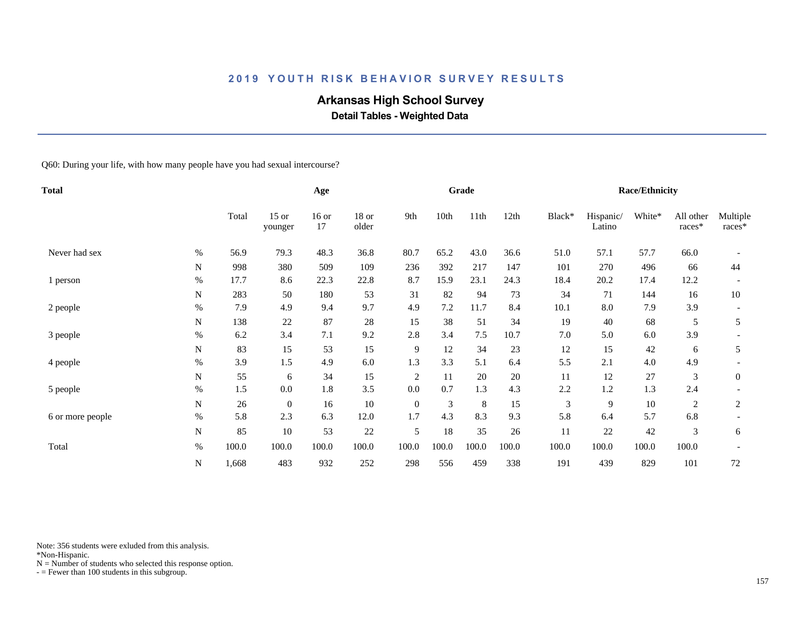# **Arkansas High School Survey**

 **Detail Tables - Weighted Data**

Q60: During your life, with how many people have you had sexual intercourse?

| <b>Total</b>     |           |       |                    | Age           |                |                |       | Grade |       |        |                     | <b>Race/Ethnicity</b> |                     |                      |
|------------------|-----------|-------|--------------------|---------------|----------------|----------------|-------|-------|-------|--------|---------------------|-----------------------|---------------------|----------------------|
|                  |           | Total | $15$ or<br>younger | $16$ or<br>17 | 18 or<br>older | 9th            | 10th  | 11th  | 12th  | Black* | Hispanic/<br>Latino | White*                | All other<br>races* | Multiple<br>$races*$ |
| Never had sex    | $\%$      | 56.9  | 79.3               | 48.3          | 36.8           | 80.7           | 65.2  | 43.0  | 36.6  | 51.0   | 57.1                | 57.7                  | 66.0                |                      |
|                  | N         | 998   | 380                | 509           | 109            | 236            | 392   | 217   | 147   | 101    | 270                 | 496                   | 66                  | 44                   |
| 1 person         | $\%$      | 17.7  | 8.6                | 22.3          | 22.8           | 8.7            | 15.9  | 23.1  | 24.3  | 18.4   | 20.2                | 17.4                  | 12.2                |                      |
|                  | N         | 283   | 50                 | 180           | 53             | 31             | 82    | 94    | 73    | 34     | 71                  | 144                   | 16                  | 10                   |
| 2 people         | %         | 7.9   | 4.9                | 9.4           | 9.7            | 4.9            | 7.2   | 11.7  | 8.4   | 10.1   | 8.0                 | 7.9                   | 3.9                 |                      |
|                  | N         | 138   | 22                 | 87            | 28             | 15             | 38    | 51    | 34    | 19     | 40                  | 68                    | 5                   | 5                    |
| 3 people         | $\%$      | 6.2   | 3.4                | $7.1\,$       | 9.2            | 2.8            | 3.4   | 7.5   | 10.7  | 7.0    | 5.0                 | $6.0\,$               | 3.9                 |                      |
|                  | N         | 83    | 15                 | 53            | 15             | 9              | 12    | 34    | 23    | 12     | 15                  | 42                    | 6                   | 5                    |
| 4 people         | $\%$      | 3.9   | 1.5                | 4.9           | 6.0            | 1.3            | 3.3   | 5.1   | 6.4   | 5.5    | 2.1                 | 4.0                   | 4.9                 |                      |
|                  | N         | 55    | 6                  | 34            | 15             | $\overline{2}$ | 11    | 20    | 20    | 11     | 12                  | 27                    | 3                   | $\mathbf{0}$         |
| 5 people         | $\%$      | 1.5   | 0.0                | 1.8           | 3.5            | 0.0            | 0.7   | 1.3   | 4.3   | 2.2    | 1.2                 | 1.3                   | 2.4                 |                      |
|                  | ${\bf N}$ | 26    | $\mathbf{0}$       | 16            | 10             | $\overline{0}$ | 3     | 8     | 15    | 3      | 9                   | $10\,$                | $\mathfrak{2}$      | $\overline{c}$       |
| 6 or more people | $\%$      | 5.8   | 2.3                | 6.3           | 12.0           | 1.7            | 4.3   | 8.3   | 9.3   | 5.8    | 6.4                 | 5.7                   | 6.8                 |                      |
|                  | ${\bf N}$ | 85    | 10                 | 53            | 22             | 5              | 18    | 35    | 26    | 11     | 22                  | 42                    | 3                   | 6                    |
| Total            | $\%$      | 100.0 | 100.0              | 100.0         | 100.0          | 100.0          | 100.0 | 100.0 | 100.0 | 100.0  | 100.0               | 100.0                 | 100.0               |                      |
|                  | ${\bf N}$ | 1,668 | 483                | 932           | 252            | 298            | 556   | 459   | 338   | 191    | 439                 | 829                   | 101                 | 72                   |

Note: 356 students were exluded from this analysis.

\*Non-Hispanic.

 $N =$  Number of students who selected this response option.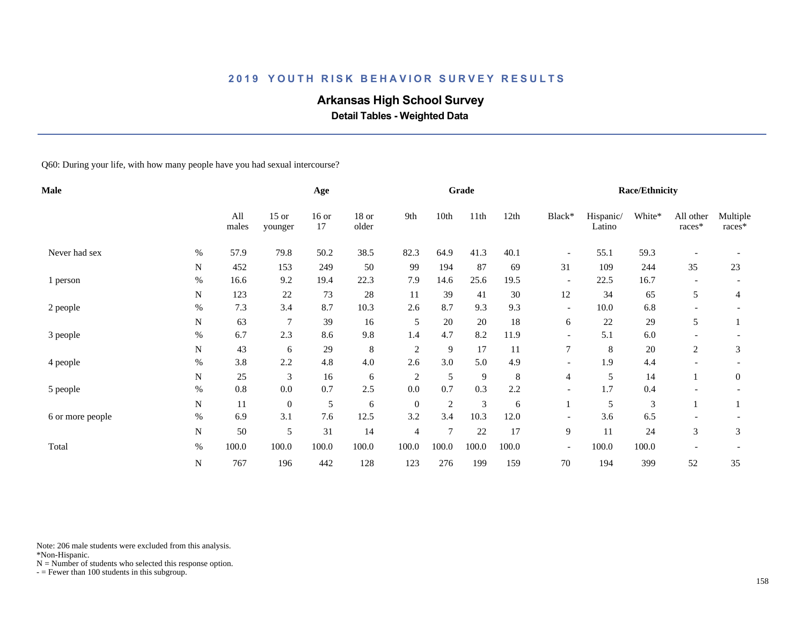# **Arkansas High School Survey**

 **Detail Tables - Weighted Data**

Q60: During your life, with how many people have you had sexual intercourse?

| Male             |           |              |                    | Age           |                |                |                | Grade          |       |                          |                     | <b>Race/Ethnicity</b> |                     |                      |
|------------------|-----------|--------------|--------------------|---------------|----------------|----------------|----------------|----------------|-------|--------------------------|---------------------|-----------------------|---------------------|----------------------|
|                  |           | All<br>males | $15$ or<br>younger | $16$ or<br>17 | 18 or<br>older | 9th            | 10th           | 11th           | 12th  | Black*                   | Hispanic/<br>Latino | White*                | All other<br>races* | Multiple<br>$races*$ |
| Never had sex    | $\%$      | 57.9         | 79.8               | 50.2          | 38.5           | 82.3           | 64.9           | 41.3           | 40.1  | $\overline{\phantom{a}}$ | 55.1                | 59.3                  |                     |                      |
|                  | N         | 452          | 153                | 249           | 50             | 99             | 194            | 87             | 69    | 31                       | 109                 | 244                   | 35                  | 23                   |
| 1 person         | $\%$      | 16.6         | 9.2                | 19.4          | 22.3           | 7.9            | 14.6           | 25.6           | 19.5  | $\overline{\phantom{a}}$ | 22.5                | 16.7                  |                     |                      |
|                  | N         | 123          | 22                 | 73            | 28             | 11             | 39             | 41             | 30    | 12                       | 34                  | 65                    | 5                   | 4                    |
| 2 people         | %         | 7.3          | 3.4                | 8.7           | 10.3           | 2.6            | 8.7            | 9.3            | 9.3   | $\overline{\phantom{a}}$ | 10.0                | 6.8                   |                     |                      |
|                  | N         | 63           | 7                  | 39            | 16             | 5              | 20             | 20             | 18    | 6                        | 22                  | 29                    | 5                   |                      |
| 3 people         | $\%$      | 6.7          | 2.3                | 8.6           | 9.8            | 1.4            | 4.7            | 8.2            | 11.9  |                          | 5.1                 | $6.0\,$               |                     |                      |
|                  | N         | 43           | 6                  | 29            | $\,8\,$        | $\overline{2}$ | 9              | 17             | 11    | $\tau$                   | $\,8\,$             | 20                    | 2                   | 3                    |
| 4 people         | %         | 3.8          | 2.2                | 4.8           | 4.0            | 2.6            | 3.0            | 5.0            | 4.9   |                          | 1.9                 | 4.4                   |                     |                      |
|                  | N         | 25           | 3                  | 16            | 6              | $\sqrt{2}$     | 5              | 9              | 8     | $\overline{4}$           | 5                   | 14                    |                     | $\mathbf{0}$         |
| 5 people         | $\%$      | 0.8          | 0.0                | 0.7           | 2.5            | 0.0            | 0.7            | 0.3            | 2.2   | $\overline{\phantom{a}}$ | 1.7                 | 0.4                   |                     |                      |
|                  | ${\bf N}$ | 11           | $\boldsymbol{0}$   | 5             | 6              | $\mathbf{0}$   | $\mathfrak{2}$ | $\mathfrak{Z}$ | 6     |                          | 5                   | 3                     |                     |                      |
| 6 or more people | $\%$      | 6.9          | 3.1                | 7.6           | 12.5           | 3.2            | 3.4            | 10.3           | 12.0  | $\overline{\phantom{0}}$ | 3.6                 | 6.5                   |                     |                      |
|                  | ${\bf N}$ | 50           | 5                  | 31            | 14             | 4              | $\overline{7}$ | 22             | 17    | 9                        | 11                  | $24\,$                | 3                   | 3                    |
| Total            | $\%$      | 100.0        | 100.0              | 100.0         | 100.0          | 100.0          | 100.0          | 100.0          | 100.0 | $\overline{\phantom{a}}$ | 100.0               | 100.0                 |                     |                      |
|                  | ${\bf N}$ | 767          | 196                | 442           | 128            | 123            | 276            | 199            | 159   | 70                       | 194                 | 399                   | 52                  | 35                   |

Note: 206 male students were excluded from this analysis.

\*Non-Hispanic.

 $N =$  Number of students who selected this response option.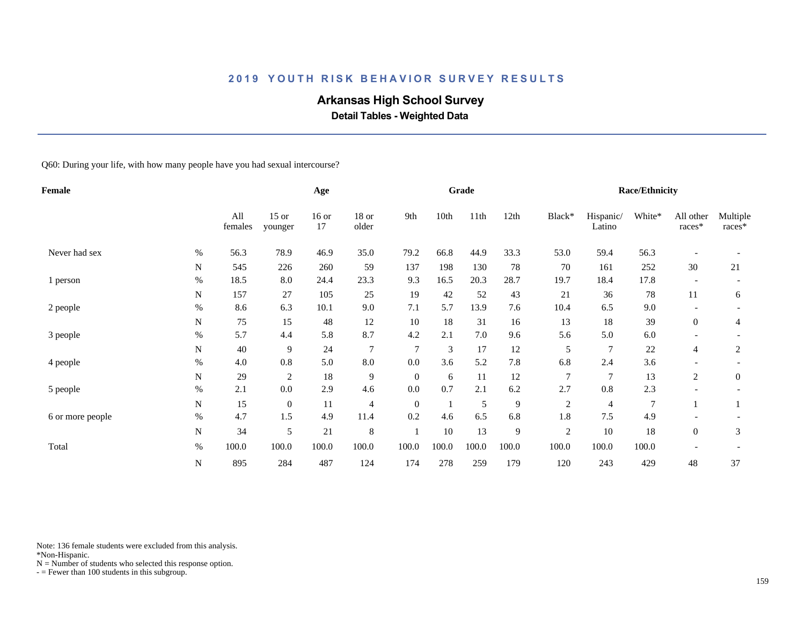# **Arkansas High School Survey**

 **Detail Tables - Weighted Data**

Q60: During your life, with how many people have you had sexual intercourse?

| <b>Female</b>    |             |                |                    | Age           |                  |              |       | Grade |       |                |                     | Race/Ethnicity |                          |                    |
|------------------|-------------|----------------|--------------------|---------------|------------------|--------------|-------|-------|-------|----------------|---------------------|----------------|--------------------------|--------------------|
|                  |             | All<br>females | $15$ or<br>younger | $16$ or<br>17 | $18$ or<br>older | 9th          | 10th  | 11th  | 12th  | Black*         | Hispanic/<br>Latino | White*         | All other<br>races*      | Multiple<br>races* |
| Never had sex    | $\%$        | 56.3           | 78.9               | 46.9          | 35.0             | 79.2         | 66.8  | 44.9  | 33.3  | 53.0           | 59.4                | 56.3           |                          |                    |
|                  | $\mathbf N$ | 545            | 226                | 260           | 59               | 137          | 198   | 130   | 78    | 70             | 161                 | 252            | 30                       | 21                 |
| 1 person         | $\%$        | 18.5           | 8.0                | 24.4          | 23.3             | 9.3          | 16.5  | 20.3  | 28.7  | 19.7           | 18.4                | 17.8           | $\overline{\phantom{a}}$ |                    |
|                  | N           | 157            | 27                 | 105           | 25               | 19           | 42    | 52    | 43    | 21             | 36                  | 78             | 11                       | 6                  |
| 2 people         | $\%$        | 8.6            | 6.3                | 10.1          | 9.0              | 7.1          | 5.7   | 13.9  | 7.6   | 10.4           | 6.5                 | 9.0            | $\overline{\phantom{a}}$ |                    |
|                  | N           | 75             | 15                 | 48            | 12               | 10           | 18    | 31    | 16    | 13             | 18                  | 39             | $\overline{0}$           | 4                  |
| 3 people         | $\%$        | 5.7            | 4.4                | 5.8           | 8.7              | 4.2          | 2.1   | 7.0   | 9.6   | 5.6            | 5.0                 | 6.0            |                          |                    |
|                  | N           | 40             | 9                  | 24            | $\overline{7}$   | 7            | 3     | 17    | 12    | 5              | $\overline{7}$      | $22\,$         | 4                        | $\overline{c}$     |
| 4 people         | $\%$        | 4.0            | 0.8                | 5.0           | 8.0              | 0.0          | 3.6   | 5.2   | 7.8   | 6.8            | 2.4                 | 3.6            |                          |                    |
|                  | N           | 29             | $\overline{c}$     | 18            | 9                | $\mathbf{0}$ | 6     | 11    | 12    | $\overline{7}$ | 7                   | 13             | 2                        | $\boldsymbol{0}$   |
| 5 people         | $\%$        | 2.1            | 0.0                | 2.9           | 4.6              | 0.0          | 0.7   | 2.1   | 6.2   | 2.7            | 0.8                 | 2.3            | $\overline{\phantom{a}}$ |                    |
|                  | ${\bf N}$   | 15             | $\mathbf{0}$       | 11            | 4                | $\mathbf{0}$ |       | 5     | 9     | $\overline{c}$ | 4                   | $\overline{7}$ |                          | 1                  |
| 6 or more people | $\%$        | 4.7            | 1.5                | 4.9           | 11.4             | 0.2          | 4.6   | 6.5   | 6.8   | 1.8            | 7.5                 | 4.9            |                          |                    |
|                  | ${\bf N}$   | 34             | 5                  | 21            | 8                |              | 10    | 13    | 9     | $\sqrt{2}$     | 10                  | 18             | $\overline{0}$           | 3                  |
| Total            | $\%$        | 100.0          | 100.0              | 100.0         | 100.0            | 100.0        | 100.0 | 100.0 | 100.0 | 100.0          | 100.0               | 100.0          |                          |                    |
|                  | ${\bf N}$   | 895            | 284                | 487           | 124              | 174          | 278   | 259   | 179   | 120            | 243                 | 429            | 48                       | 37                 |

Note: 136 female students were excluded from this analysis.

\*Non-Hispanic.

 $N =$  Number of students who selected this response option.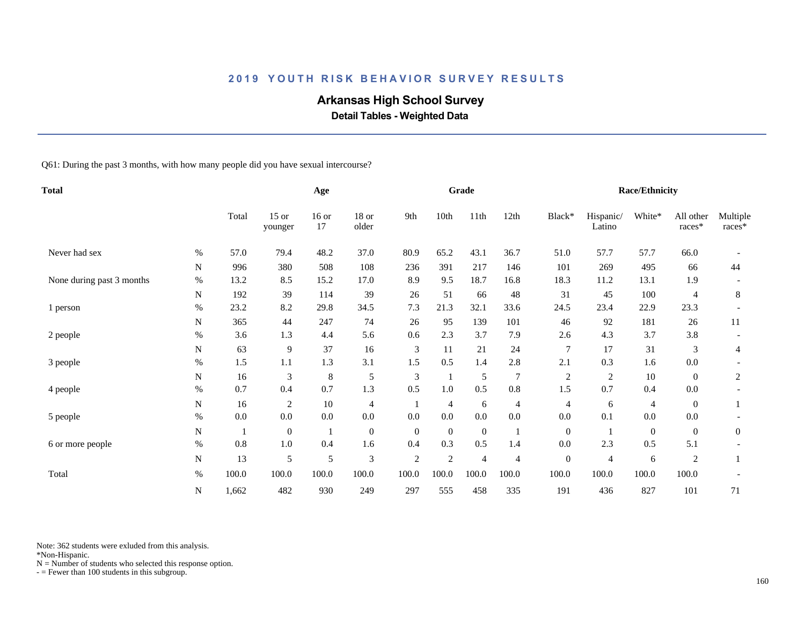# **Arkansas High School Survey**

 **Detail Tables - Weighted Data**

Q61: During the past 3 months, with how many people did you have sexual intercourse?

| <b>Total</b>              |           |       | Age                |               |                  |              | Grade          |                  |                |                  | <b>Race/Ethnicity</b> |              |                       |                    |
|---------------------------|-----------|-------|--------------------|---------------|------------------|--------------|----------------|------------------|----------------|------------------|-----------------------|--------------|-----------------------|--------------------|
|                           |           | Total | $15$ or<br>younger | $16$ or<br>17 | 18 or<br>older   | 9th          | 10th           | 11th             | 12th           | Black*           | Hispanic/<br>Latino   | White*       | All other<br>$races*$ | Multiple<br>races* |
| Never had sex             | $\%$      | 57.0  | 79.4               | 48.2          | 37.0             | 80.9         | 65.2           | 43.1             | 36.7           | 51.0             | 57.7                  | 57.7         | 66.0                  |                    |
|                           | N         | 996   | 380                | 508           | 108              | 236          | 391            | 217              | 146            | 101              | 269                   | 495          | 66                    | 44                 |
| None during past 3 months | $\%$      | 13.2  | 8.5                | 15.2          | 17.0             | 8.9          | 9.5            | 18.7             | 16.8           | 18.3             | 11.2                  | 13.1         | 1.9                   |                    |
|                           | N         | 192   | 39                 | 114           | 39               | 26           | 51             | 66               | 48             | 31               | 45                    | 100          | 4                     | 8                  |
| 1 person                  | $\%$      | 23.2  | 8.2                | 29.8          | 34.5             | 7.3          | 21.3           | 32.1             | 33.6           | 24.5             | 23.4                  | 22.9         | 23.3                  |                    |
|                           | N         | 365   | 44                 | 247           | 74               | 26           | 95             | 139              | 101            | 46               | 92                    | 181          | 26                    | 11                 |
| 2 people                  | %         | 3.6   | 1.3                | 4.4           | 5.6              | 0.6          | 2.3            | 3.7              | 7.9            | 2.6              | 4.3                   | 3.7          | 3.8                   |                    |
|                           | N         | 63    | 9                  | 37            | 16               | 3            | 11             | 21               | 24             | 7                | 17                    | 31           | 3                     | 4                  |
| 3 people                  | $\%$      | 1.5   | 1.1                | 1.3           | 3.1              | 1.5          | 0.5            | 1.4              | 2.8            | 2.1              | 0.3                   | 1.6          | 0.0                   |                    |
|                           | N         | 16    | 3                  | $\,$ 8 $\,$   | 5                | 3            |                | 5                | $\overline{7}$ | $\overline{2}$   | 2                     | $10\,$       | $\overline{0}$        | 2                  |
| 4 people                  | $\%$      | 0.7   | 0.4                | 0.7           | 1.3              | 0.5          | $1.0\,$        | 0.5              | 0.8            | 1.5              | 0.7                   | 0.4          | 0.0                   |                    |
|                           | ${\bf N}$ | 16    | $\sqrt{2}$         | 10            | 4                |              | $\overline{4}$ | 6                | $\overline{4}$ | 4                | 6                     | 4            | $\overline{0}$        |                    |
| 5 people                  | $\%$      | 0.0   | $0.0\,$            | 0.0           | 0.0              | $0.0\,$      | $0.0\,$        | 0.0              | 0.0            | 0.0              | 0.1                   | $0.0\,$      | 0.0                   |                    |
|                           | N         |       | $\boldsymbol{0}$   |               | $\boldsymbol{0}$ | $\mathbf{0}$ | $\mathbf{0}$   | $\boldsymbol{0}$ |                | $\boldsymbol{0}$ |                       | $\mathbf{0}$ | $\overline{0}$        | $\boldsymbol{0}$   |
| 6 or more people          | $\%$      | 0.8   | 1.0                | 0.4           | 1.6              | 0.4          | 0.3            | 0.5              | 1.4            | 0.0              | 2.3                   | 0.5          | 5.1                   |                    |
|                           | ${\bf N}$ | 13    | $\mathfrak s$      | 5             | 3                | $\sqrt{2}$   | 2              | $\overline{4}$   | $\overline{4}$ | $\boldsymbol{0}$ | 4                     | 6            | $\overline{c}$        | 1                  |
| Total                     | $\%$      | 100.0 | 100.0              | 100.0         | 100.0            | 100.0        | 100.0          | 100.0            | 100.0          | 100.0            | 100.0                 | 100.0        | 100.0                 |                    |
|                           | N         | 1,662 | 482                | 930           | 249              | 297          | 555            | 458              | 335            | 191              | 436                   | 827          | 101                   | 71                 |

Note: 362 students were exluded from this analysis.

\*Non-Hispanic.

 $N =$  Number of students who selected this response option.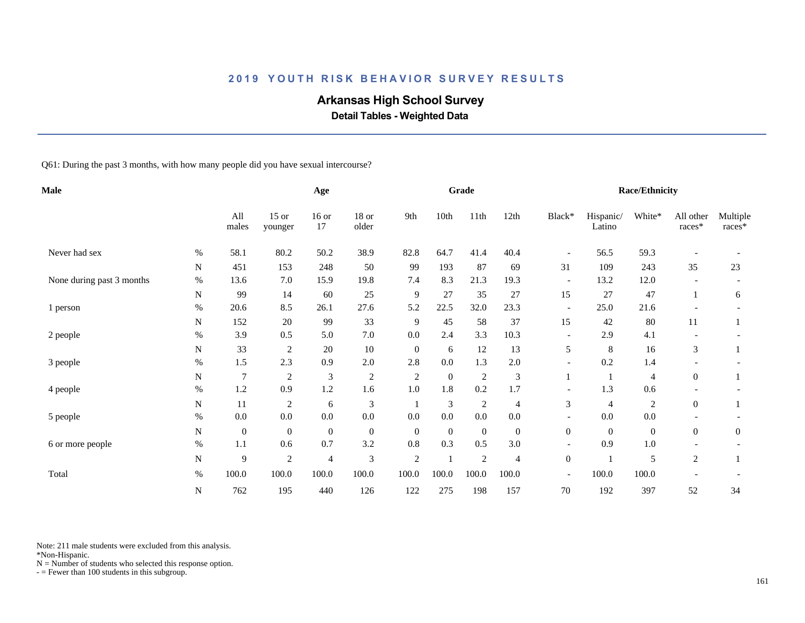# **Arkansas High School Survey**

 **Detail Tables - Weighted Data**

Q61: During the past 3 months, with how many people did you have sexual intercourse?

| <b>Male</b>               |             |                | Age                |                |                |                | Grade          |                |                  |                          | <b>Race/Ethnicity</b> |                |                     |                    |
|---------------------------|-------------|----------------|--------------------|----------------|----------------|----------------|----------------|----------------|------------------|--------------------------|-----------------------|----------------|---------------------|--------------------|
|                           |             | All<br>males   | $15$ or<br>younger | $16$ or<br>17  | 18 or<br>older | 9th            | 10th           | 11th           | 12th             | Black*                   | Hispanic/<br>Latino   | White*         | All other<br>races* | Multiple<br>races* |
| Never had sex             | $\%$        | 58.1           | 80.2               | 50.2           | 38.9           | 82.8           | 64.7           | 41.4           | 40.4             | $\overline{\phantom{a}}$ | 56.5                  | 59.3           |                     |                    |
|                           | ${\bf N}$   | 451            | 153                | 248            | 50             | 99             | 193            | 87             | 69               | 31                       | 109                   | 243            | 35                  | 23                 |
| None during past 3 months | $\%$        | 13.6           | 7.0                | 15.9           | 19.8           | 7.4            | 8.3            | 21.3           | 19.3             | $\overline{\phantom{a}}$ | 13.2                  | 12.0           |                     |                    |
|                           | N           | 99             | 14                 | 60             | 25             | 9              | 27             | 35             | 27               | 15                       | 27                    | 47             | -1                  | 6                  |
| 1 person                  | $\%$        | 20.6           | 8.5                | 26.1           | 27.6           | 5.2            | 22.5           | 32.0           | 23.3             | $\overline{\phantom{a}}$ | 25.0                  | 21.6           |                     |                    |
|                           | N           | 152            | 20                 | 99             | 33             | 9              | 45             | 58             | 37               | 15                       | 42                    | $80\,$         | 11                  |                    |
| 2 people                  | $\%$        | 3.9            | 0.5                | 5.0            | 7.0            | 0.0            | 2.4            | 3.3            | 10.3             | $\overline{\phantom{a}}$ | 2.9                   | 4.1            |                     |                    |
|                           | N           | 33             | $\overline{c}$     | $20\,$         | $10\,$         | $\mathbf{0}$   | 6              | 12             | 13               | 5                        | $\,8\,$               | 16             | 3                   |                    |
| 3 people                  | $\%$        | 1.5            | 2.3                | 0.9            | 2.0            | 2.8            | $0.0\,$        | 1.3            | 2.0              | $\overline{\phantom{a}}$ | 0.2                   | 1.4            |                     |                    |
|                           | $\mathbf N$ | $\overline{7}$ | 2                  | $\mathfrak{Z}$ | $\overline{c}$ | $\overline{2}$ | $\overline{0}$ | $\overline{2}$ | 3                |                          |                       | 4              | $\overline{0}$      |                    |
| 4 people                  | $\%$        | $1.2\,$        | 0.9                | $1.2\,$        | 1.6            | $1.0\,$        | 1.8            | 0.2            | 1.7              | $\overline{\phantom{a}}$ | 1.3                   | 0.6            |                     |                    |
|                           | N           | 11             | $\sqrt{2}$         | 6              | 3              |                | 3              | $\overline{2}$ | $\overline{4}$   | 3                        | $\overline{4}$        | $\overline{c}$ | $\overline{0}$      |                    |
| 5 people                  | $\%$        | $0.0\,$        | $0.0\,$            | $0.0\,$        | $0.0\,$        | 0.0            | 0.0            | $0.0\,$        | 0.0              |                          | 0.0                   | 0.0            |                     |                    |
|                           | N           | $\mathbf{0}$   | $\boldsymbol{0}$   | $\mathbf{0}$   | $\mathbf{0}$   | $\mathbf{0}$   | $\overline{0}$ | $\mathbf{0}$   | $\boldsymbol{0}$ | $\overline{0}$           | $\overline{0}$        | $\mathbf{0}$   | $\overline{0}$      | $\overline{0}$     |
| 6 or more people          | $\%$        | 1.1            | 0.6                | 0.7            | 3.2            | 0.8            | 0.3            | 0.5            | 3.0              | $\overline{\phantom{a}}$ | 0.9                   | 1.0            |                     |                    |
|                           | ${\bf N}$   | 9              | $\mathfrak{2}$     | 4              | 3              | $\sqrt{2}$     |                | $\overline{2}$ | $\overline{4}$   | $\boldsymbol{0}$         | -1                    | 5              | $\overline{c}$      |                    |
| Total                     | $\%$        | 100.0          | 100.0              | 100.0          | 100.0          | 100.0          | 100.0          | 100.0          | 100.0            | $\overline{\phantom{a}}$ | 100.0                 | 100.0          |                     |                    |
|                           | N           | 762            | 195                | 440            | 126            | 122            | 275            | 198            | 157              | 70                       | 192                   | 397            | 52                  | 34                 |

Note: 211 male students were excluded from this analysis.

\*Non-Hispanic.

 $N =$  Number of students who selected this response option.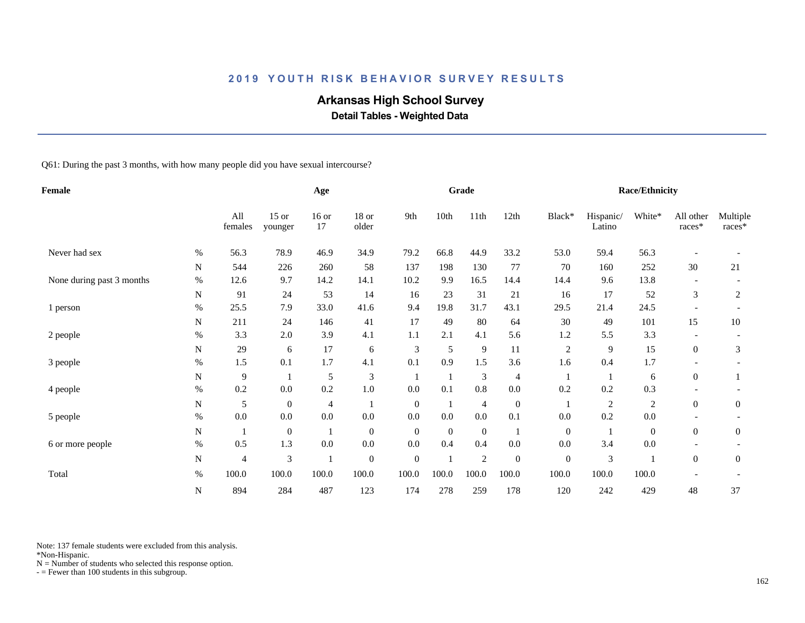# **Arkansas High School Survey**

 **Detail Tables - Weighted Data**

Q61: During the past 3 months, with how many people did you have sexual intercourse?

| Female                    |           |                |                    | Age           |                  |                  |              | Grade          |                  |                  |                     | Race/Ethnicity |                     |                    |
|---------------------------|-----------|----------------|--------------------|---------------|------------------|------------------|--------------|----------------|------------------|------------------|---------------------|----------------|---------------------|--------------------|
|                           |           | All<br>females | $15$ or<br>younger | $16$ or<br>17 | $18$ or<br>older | 9th              | 10th         | 11th           | 12th             | Black*           | Hispanic/<br>Latino | White*         | All other<br>races* | Multiple<br>races* |
| Never had sex             | $\%$      | 56.3           | 78.9               | 46.9          | 34.9             | 79.2             | 66.8         | 44.9           | 33.2             | 53.0             | 59.4                | 56.3           |                     |                    |
|                           | N         | 544            | 226                | 260           | 58               | 137              | 198          | 130            | 77               | 70               | 160                 | 252            | 30                  | 21                 |
| None during past 3 months | $\%$      | 12.6           | 9.7                | 14.2          | 14.1             | 10.2             | 9.9          | 16.5           | 14.4             | 14.4             | 9.6                 | 13.8           |                     |                    |
|                           | N         | 91             | 24                 | 53            | 14               | 16               | 23           | 31             | 21               | 16               | 17                  | 52             | $\mathfrak{Z}$      | 2                  |
| 1 person                  | $\%$      | 25.5           | 7.9                | 33.0          | 41.6             | 9.4              | 19.8         | 31.7           | 43.1             | 29.5             | 21.4                | 24.5           |                     |                    |
|                           | N         | 211            | 24                 | 146           | 41               | 17               | 49           | 80             | 64               | 30               | 49                  | 101            | 15                  | 10                 |
| 2 people                  | $\%$      | 3.3            | 2.0                | 3.9           | 4.1              | 1.1              | 2.1          | 4.1            | 5.6              | 1.2              | 5.5                 | 3.3            |                     |                    |
|                           | N         | 29             | 6                  | 17            | 6                | 3                | 5            | $\overline{9}$ | 11               | $\overline{c}$   | 9                   | 15             | $\boldsymbol{0}$    | 3                  |
| 3 people                  | $\%$      | 1.5            | 0.1                | 1.7           | 4.1              | 0.1              | 0.9          | 1.5            | 3.6              | 1.6              | 0.4                 | 1.7            |                     |                    |
|                           | N         | 9              |                    | 5             | 3                |                  |              | 3              | 4                |                  |                     | 6              | $\overline{0}$      |                    |
| 4 people                  | $\%$      | 0.2            | 0.0                | 0.2           | $1.0\,$          | $0.0\,$          | 0.1          | 0.8            | $0.0\,$          | 0.2              | 0.2                 | 0.3            |                     |                    |
|                           | ${\bf N}$ | 5              | $\boldsymbol{0}$   | 4             |                  | $\mathbf{0}$     |              | $\overline{4}$ | $\boldsymbol{0}$ |                  | $\overline{c}$      | $\overline{c}$ | $\overline{0}$      | $\boldsymbol{0}$   |
| 5 people                  | $\%$      | 0.0            | $0.0\,$            | 0.0           | $0.0\,$          | 0.0              | $0.0\,$      | 0.0            | 0.1              | $0.0\,$          | 0.2                 | 0.0            |                     |                    |
|                           | N         |                | $\boldsymbol{0}$   |               | $\boldsymbol{0}$ | $\mathbf{0}$     | $\mathbf{0}$ | $\mathbf{0}$   |                  | $\mathbf{0}$     |                     | $\mathbf{0}$   | $\boldsymbol{0}$    | $\overline{0}$     |
| 6 or more people          | %         | 0.5            | 1.3                | 0.0           | $0.0\,$          | 0.0              | 0.4          | 0.4            | 0.0              | 0.0              | 3.4                 | 0.0            |                     |                    |
|                           | ${\bf N}$ | $\overline{4}$ | 3                  | $\mathbf 1$   | $\boldsymbol{0}$ | $\boldsymbol{0}$ |              | $\sqrt{2}$     | $\overline{0}$   | $\boldsymbol{0}$ | 3                   |                | $\overline{0}$      | $\mathbf{0}$       |
| Total                     | $\%$      | 100.0          | 100.0              | 100.0         | 100.0            | 100.0            | 100.0        | 100.0          | 100.0            | 100.0            | 100.0               | 100.0          |                     |                    |
|                           | N         | 894            | 284                | 487           | 123              | 174              | 278          | 259            | 178              | 120              | 242                 | 429            | 48                  | 37                 |

Note: 137 female students were excluded from this analysis.

\*Non-Hispanic.

 $N =$  Number of students who selected this response option.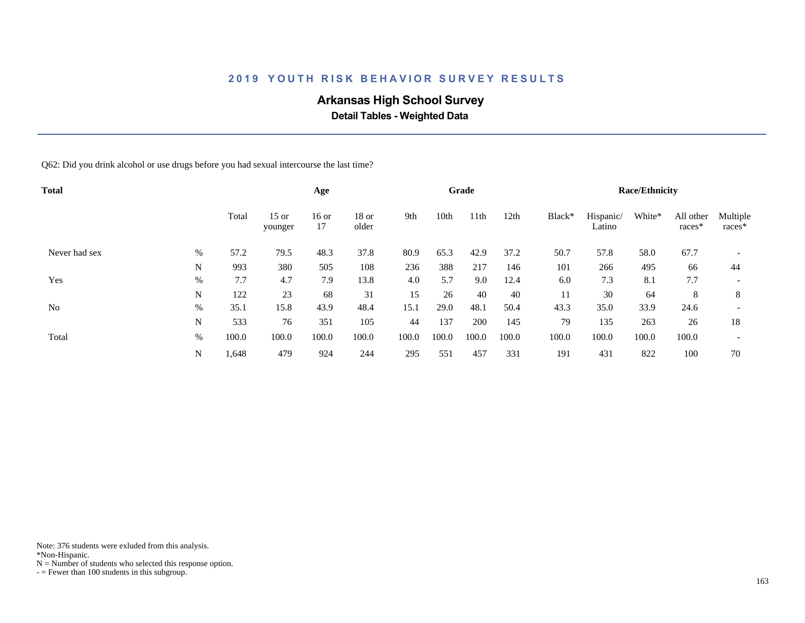# **Arkansas High School Survey**

 **Detail Tables - Weighted Data**

Q62: Did you drink alcohol or use drugs before you had sexual intercourse the last time?

| <b>Total</b>   |      |       |                    | Age         |                  |       |       | Grade            |       |        |                     | <b>Race/Ethnicity</b> |                     |                          |
|----------------|------|-------|--------------------|-------------|------------------|-------|-------|------------------|-------|--------|---------------------|-----------------------|---------------------|--------------------------|
|                |      | Total | $15$ or<br>younger | 16 or<br>17 | $18$ or<br>older | 9th   | 10th  | 11 <sup>th</sup> | 12th  | Black* | Hispanic/<br>Latino | White*                | All other<br>races* | Multiple<br>races*       |
| Never had sex  | %    | 57.2  | 79.5               | 48.3        | 37.8             | 80.9  | 65.3  | 42.9             | 37.2  | 50.7   | 57.8                | 58.0                  | 67.7                |                          |
|                | N    | 993   | 380                | 505         | 108              | 236   | 388   | 217              | 146   | 101    | 266                 | 495                   | 66                  | 44                       |
| Yes            | %    | 7.7   | 4.7                | 7.9         | 13.8             | 4.0   | 5.7   | 9.0              | 12.4  | 6.0    | 7.3                 | 8.1                   | 7.7                 | $\overline{\phantom{a}}$ |
|                | N    | 122   | 23                 | 68          | 31               | 15    | 26    | 40               | 40    | 11     | 30                  | 64                    | 8                   | 8                        |
| N <sub>0</sub> | $\%$ | 35.1  | 15.8               | 43.9        | 48.4             | 15.1  | 29.0  | 48.1             | 50.4  | 43.3   | 35.0                | 33.9                  | 24.6                | $\overline{\phantom{a}}$ |
|                | N    | 533   | 76                 | 351         | 105              | 44    | 137   | 200              | 145   | 79     | 135                 | 263                   | 26                  | 18                       |
| Total          | %    | 100.0 | 100.0              | 100.0       | 100.0            | 100.0 | 100.0 | 100.0            | 100.0 | 100.0  | 100.0               | 100.0                 | 100.0               | $\overline{\phantom{0}}$ |
|                | N    | 1,648 | 479                | 924         | 244              | 295   | 551   | 457              | 331   | 191    | 431                 | 822                   | 100                 | 70                       |

Note: 376 students were exluded from this analysis.

\*Non-Hispanic.

 $N =$  Number of students who selected this response option.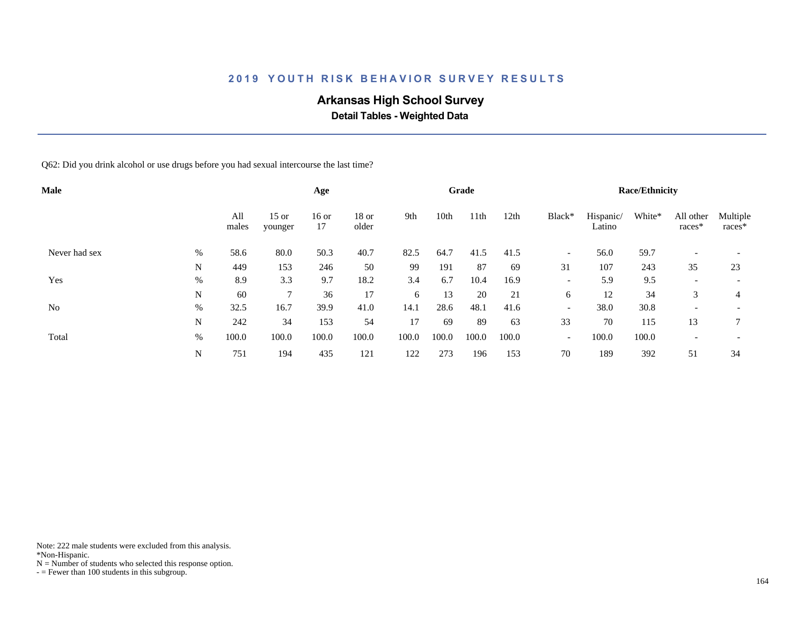# **Arkansas High School Survey**

 **Detail Tables - Weighted Data**

Q62: Did you drink alcohol or use drugs before you had sexual intercourse the last time?

| <b>Male</b>    |      |              |                    | Age           |                  |       |       | Grade            |       |                          |                     | <b>Race/Ethnicity</b> |                          |                          |
|----------------|------|--------------|--------------------|---------------|------------------|-------|-------|------------------|-------|--------------------------|---------------------|-----------------------|--------------------------|--------------------------|
|                |      | All<br>males | $15$ or<br>younger | $16$ or<br>17 | $18$ or<br>older | 9th   | 10th  | 11 <sup>th</sup> | 12th  | Black*                   | Hispanic/<br>Latino | White*                | All other<br>races*      | Multiple<br>races*       |
| Never had sex  | $\%$ | 58.6         | 80.0               | 50.3          | 40.7             | 82.5  | 64.7  | 41.5             | 41.5  | $\overline{\phantom{a}}$ | 56.0                | 59.7                  | $\overline{\phantom{0}}$ |                          |
|                | N    | 449          | 153                | 246           | 50               | 99    | 191   | 87               | 69    | 31                       | 107                 | 243                   | 35                       | 23                       |
| Yes            | $\%$ | 8.9          | 3.3                | 9.7           | 18.2             | 3.4   | 6.7   | 10.4             | 16.9  | $\overline{\phantom{a}}$ | 5.9                 | 9.5                   | $\overline{\phantom{0}}$ | $\overline{\phantom{0}}$ |
|                | N    | 60           | ⇁                  | 36            | 17               | 6     | 13    | 20               | 21    | 6                        | 12                  | 34                    | 3                        | 4                        |
| N <sub>0</sub> | %    | 32.5         | 16.7               | 39.9          | 41.0             | 14.1  | 28.6  | 48.1             | 41.6  | $\overline{\phantom{a}}$ | 38.0                | 30.8                  | $\overline{\phantom{0}}$ | $\overline{\phantom{0}}$ |
|                | N    | 242          | 34                 | 153           | 54               | 17    | 69    | 89               | 63    | 33                       | 70                  | 115                   | 13                       | 7                        |
| Total          | %    | 100.0        | 100.0              | 100.0         | 100.0            | 100.0 | 100.0 | 100.0            | 100.0 | $\overline{\phantom{a}}$ | 100.0               | 100.0                 | $\overline{\phantom{0}}$ | $\overline{\phantom{a}}$ |
|                | N    | 751          | 194                | 435           | 121              | 122   | 273   | 196              | 153   | 70                       | 189                 | 392                   | 51                       | 34                       |

Note: 222 male students were excluded from this analysis.

\*Non-Hispanic.

 $N =$  Number of students who selected this response option.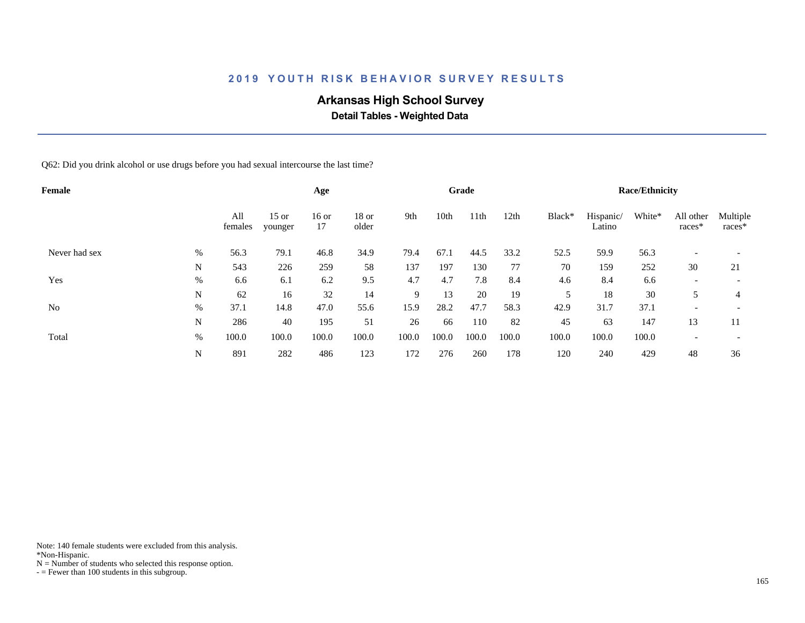# **Arkansas High School Survey**

 **Detail Tables - Weighted Data**

Q62: Did you drink alcohol or use drugs before you had sexual intercourse the last time?

| Female        |      |                |                    | Age           |                  |       |       | Grade            |       |        |                     | <b>Race/Ethnicity</b> |                          |                          |
|---------------|------|----------------|--------------------|---------------|------------------|-------|-------|------------------|-------|--------|---------------------|-----------------------|--------------------------|--------------------------|
|               |      | All<br>females | $15$ or<br>younger | $16$ or<br>17 | $18$ or<br>older | 9th   | 10th  | 11 <sup>th</sup> | 12th  | Black* | Hispanic/<br>Latino | White*                | All other<br>races*      | Multiple<br>races*       |
| Never had sex | $\%$ | 56.3           | 79.1               | 46.8          | 34.9             | 79.4  | 67.1  | 44.5             | 33.2  | 52.5   | 59.9                | 56.3                  | $\overline{\phantom{0}}$ | $\overline{\phantom{a}}$ |
|               | N    | 543            | 226                | 259           | 58               | 137   | 197   | 130              | 77    | 70     | 159                 | 252                   | 30                       | 21                       |
| Yes           | $\%$ | 6.6            | 6.1                | 6.2           | 9.5              | 4.7   | 4.7   | 7.8              | 8.4   | 4.6    | 8.4                 | 6.6                   | $\overline{\phantom{0}}$ |                          |
|               | N    | 62             | 16                 | 32            | 14               | 9     | 13    | 20               | 19    | 5      | 18                  | 30                    |                          | 4                        |
| No            | %    | 37.1           | 14.8               | 47.0          | 55.6             | 15.9  | 28.2  | 47.7             | 58.3  | 42.9   | 31.7                | 37.1                  |                          | $\overline{\phantom{a}}$ |
|               | N    | 286            | 40                 | 195           | 51               | 26    | 66    | 110              | 82    | 45     | 63                  | 147                   | 13                       | 11                       |
| Total         | %    | 100.0          | 100.0              | 100.0         | 100.0            | 100.0 | 100.0 | 100.0            | 100.0 | 100.0  | 100.0               | 100.0                 |                          | $\overline{\phantom{0}}$ |
|               | N    | 891            | 282                | 486           | 123              | 172   | 276   | 260              | 178   | 120    | 240                 | 429                   | 48                       | 36                       |

Note: 140 female students were excluded from this analysis.

\*Non-Hispanic.

 $N =$  Number of students who selected this response option.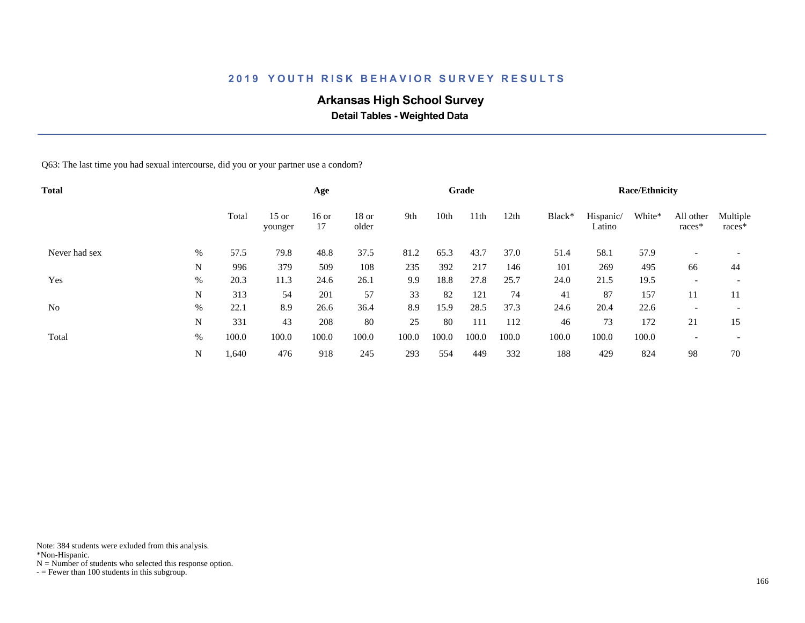# **Arkansas High School Survey**

 **Detail Tables - Weighted Data**

Q63: The last time you had sexual intercourse, did you or your partner use a condom?

| <b>Total</b>   |      |       |                    | Age           |                  |       |       | Grade            |       |        |                     | <b>Race/Ethnicity</b> |                          |                          |
|----------------|------|-------|--------------------|---------------|------------------|-------|-------|------------------|-------|--------|---------------------|-----------------------|--------------------------|--------------------------|
|                |      | Total | $15$ or<br>younger | $16$ or<br>17 | $18$ or<br>older | 9th   | 10th  | 11 <sup>th</sup> | 12th  | Black* | Hispanic/<br>Latino | White*                | All other<br>races*      | Multiple<br>races*       |
| Never had sex  | $\%$ | 57.5  | 79.8               | 48.8          | 37.5             | 81.2  | 65.3  | 43.7             | 37.0  | 51.4   | 58.1                | 57.9                  | $\overline{\phantom{0}}$ |                          |
|                | N    | 996   | 379                | 509           | 108              | 235   | 392   | 217              | 146   | 101    | 269                 | 495                   | 66                       | 44                       |
| Yes            | $\%$ | 20.3  | 11.3               | 24.6          | 26.1             | 9.9   | 18.8  | 27.8             | 25.7  | 24.0   | 21.5                | 19.5                  | $\overline{\phantom{0}}$ |                          |
|                | N    | 313   | 54                 | 201           | 57               | 33    | 82    | 121              | 74    | 41     | 87                  | 157                   | 11                       | 11                       |
| N <sub>0</sub> | %    | 22.1  | 8.9                | 26.6          | 36.4             | 8.9   | 15.9  | 28.5             | 37.3  | 24.6   | 20.4                | 22.6                  | $\overline{\phantom{0}}$ |                          |
|                | N    | 331   | 43                 | 208           | 80               | 25    | 80    | 111              | 112   | 46     | 73                  | 172                   | 21                       | 15                       |
| Total          | %    | 100.0 | 100.0              | 100.0         | 100.0            | 100.0 | 100.0 | 100.0            | 100.0 | 100.0  | 100.0               | 100.0                 |                          | $\overline{\phantom{0}}$ |
|                | N    | 1,640 | 476                | 918           | 245              | 293   | 554   | 449              | 332   | 188    | 429                 | 824                   | 98                       | 70                       |

Note: 384 students were exluded from this analysis.

\*Non-Hispanic.

 $N =$  Number of students who selected this response option.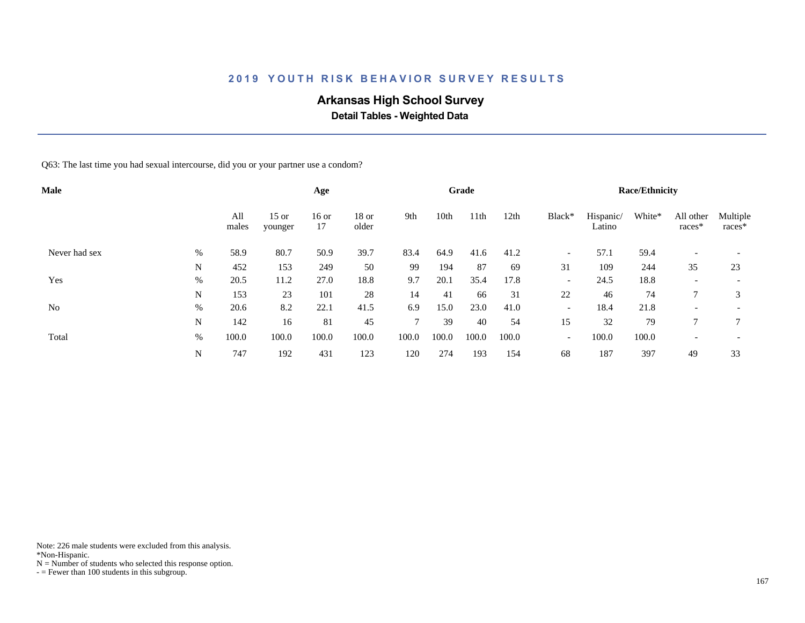# **Arkansas High School Survey**

 **Detail Tables - Weighted Data**

Q63: The last time you had sexual intercourse, did you or your partner use a condom?

| <b>Male</b>    |      |              |                    | Age           |                  |               |       | Grade            |       |                          |                     | <b>Race/Ethnicity</b> |                          |                          |
|----------------|------|--------------|--------------------|---------------|------------------|---------------|-------|------------------|-------|--------------------------|---------------------|-----------------------|--------------------------|--------------------------|
|                |      | All<br>males | $15$ or<br>younger | $16$ or<br>17 | $18$ or<br>older | 9th           | 10th  | 11 <sup>th</sup> | 12th  | Black*                   | Hispanic/<br>Latino | White*                | All other<br>races*      | Multiple<br>races*       |
| Never had sex  | $\%$ | 58.9         | 80.7               | 50.9          | 39.7             | 83.4          | 64.9  | 41.6             | 41.2  | $\overline{\phantom{a}}$ | 57.1                | 59.4                  | $\overline{\phantom{0}}$ |                          |
|                | N    | 452          | 153                | 249           | 50               | 99            | 194   | 87               | 69    | 31                       | 109                 | 244                   | 35                       | 23                       |
| Yes            | $\%$ | 20.5         | 11.2               | 27.0          | 18.8             | 9.7           | 20.1  | 35.4             | 17.8  | $\overline{\phantom{a}}$ | 24.5                | 18.8                  | $\overline{\phantom{0}}$ | $\overline{\phantom{a}}$ |
|                | N    | 153          | 23                 | 101           | 28               | 14            | 41    | 66               | 31    | 22                       | 46                  | 74                    |                          | 3                        |
| N <sub>0</sub> | %    | 20.6         | 8.2                | 22.1          | 41.5             | 6.9           | 15.0  | 23.0             | 41.0  | $\overline{\phantom{a}}$ | 18.4                | 21.8                  | $\overline{\phantom{0}}$ | $\overline{\phantom{0}}$ |
|                | N    | 142          | 16                 | 81            | 45               | $\mathcal{I}$ | 39    | 40               | 54    | 15                       | 32                  | 79                    | 7                        | $\mathcal{I}$            |
| Total          | %    | 100.0        | 100.0              | 100.0         | 100.0            | 100.0         | 100.0 | 100.0            | 100.0 | $\overline{\phantom{a}}$ | 100.0               | 100.0                 | $\overline{\phantom{0}}$ | $\overline{\phantom{a}}$ |
|                | N    | 747          | 192                | 431           | 123              | 120           | 274   | 193              | 154   | 68                       | 187                 | 397                   | 49                       | 33                       |

Note: 226 male students were excluded from this analysis.

\*Non-Hispanic.

 $N =$  Number of students who selected this response option.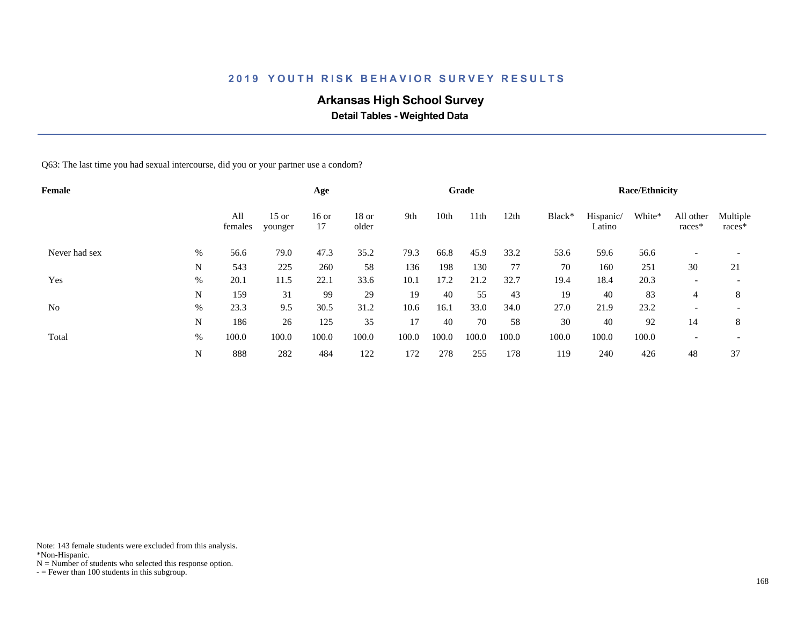# **Arkansas High School Survey**

 **Detail Tables - Weighted Data**

Q63: The last time you had sexual intercourse, did you or your partner use a condom?

| Female         |      |                |                    | Age           |                  |       |       | Grade |       |        |                     | <b>Race/Ethnicity</b> |                          |                          |
|----------------|------|----------------|--------------------|---------------|------------------|-------|-------|-------|-------|--------|---------------------|-----------------------|--------------------------|--------------------------|
|                |      | All<br>females | $15$ or<br>younger | $16$ or<br>17 | $18$ or<br>older | 9th   | 10th  | 11th  | 12th  | Black* | Hispanic/<br>Latino | White*                | All other<br>races*      | Multiple<br>races*       |
| Never had sex  | $\%$ | 56.6           | 79.0               | 47.3          | 35.2             | 79.3  | 66.8  | 45.9  | 33.2  | 53.6   | 59.6                | 56.6                  | $\overline{\phantom{0}}$ |                          |
|                | N    | 543            | 225                | 260           | 58               | 136   | 198   | 130   | 77    | 70     | 160                 | 251                   | 30                       | 21                       |
| Yes            | $\%$ | 20.1           | 11.5               | 22.1          | 33.6             | 10.1  | 17.2  | 21.2  | 32.7  | 19.4   | 18.4                | 20.3                  | $\overline{\phantom{0}}$ | $\overline{\phantom{a}}$ |
|                | N    | 159            | 31                 | 99            | 29               | 19    | 40    | 55    | 43    | 19     | 40                  | 83                    | 4                        | 8                        |
| N <sub>0</sub> | %    | 23.3           | 9.5                | 30.5          | 31.2             | 10.6  | 16.1  | 33.0  | 34.0  | 27.0   | 21.9                | 23.2                  |                          | $\overline{\phantom{0}}$ |
|                | N    | 186            | 26                 | 125           | 35               | 17    | 40    | 70    | 58    | 30     | 40                  | 92                    | 14                       | 8                        |
| Total          | %    | 100.0          | 100.0              | 100.0         | 100.0            | 100.0 | 100.0 | 100.0 | 100.0 | 100.0  | 100.0               | 100.0                 | $\overline{\phantom{0}}$ | $\overline{\phantom{0}}$ |
|                | N    | 888            | 282                | 484           | 122              | 172   | 278   | 255   | 178   | 119    | 240                 | 426                   | 48                       | 37                       |

Note: 143 female students were excluded from this analysis.

\*Non-Hispanic.

 $N =$  Number of students who selected this response option.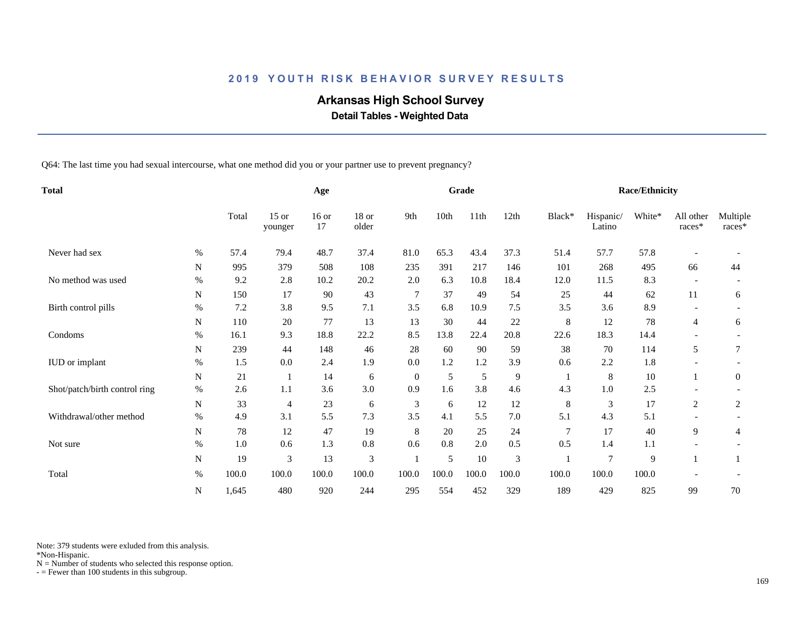# **Arkansas High School Survey**

 **Detail Tables - Weighted Data**

Q64: The last time you had sexual intercourse, what one method did you or your partner use to prevent pregnancy?

| <b>Total</b>                  |      |       |                    | Age           |                |                |       | Grade  |        |        |                     | <b>Race/Ethnicity</b> |                          |                    |
|-------------------------------|------|-------|--------------------|---------------|----------------|----------------|-------|--------|--------|--------|---------------------|-----------------------|--------------------------|--------------------|
|                               |      | Total | $15$ or<br>younger | $16$ or<br>17 | 18 or<br>older | 9th            | 10th  | 11th   | 12th   | Black* | Hispanic/<br>Latino | White*                | All other<br>races*      | Multiple<br>races* |
| Never had sex                 | %    | 57.4  | 79.4               | 48.7          | 37.4           | 81.0           | 65.3  | 43.4   | 37.3   | 51.4   | 57.7                | 57.8                  |                          |                    |
|                               | N    | 995   | 379                | 508           | 108            | 235            | 391   | 217    | 146    | 101    | 268                 | 495                   | 66                       | 44                 |
| No method was used            | %    | 9.2   | 2.8                | 10.2          | 20.2           | 2.0            | 6.3   | 10.8   | 18.4   | 12.0   | 11.5                | 8.3                   | $\overline{\phantom{a}}$ |                    |
|                               | N    | 150   | 17                 | 90            | 43             | $\overline{7}$ | 37    | 49     | 54     | 25     | 44                  | 62                    | 11                       | 6                  |
| Birth control pills           | $\%$ | 7.2   | 3.8                | 9.5           | 7.1            | 3.5            | 6.8   | 10.9   | 7.5    | 3.5    | 3.6                 | 8.9                   |                          |                    |
|                               | N    | 110   | 20                 | 77            | 13             | 13             | 30    | 44     | $22\,$ | 8      | 12                  | 78                    | 4                        | 6                  |
| Condoms                       | $\%$ | 16.1  | 9.3                | 18.8          | 22.2           | 8.5            | 13.8  | 22.4   | 20.8   | 22.6   | 18.3                | 14.4                  |                          |                    |
|                               | N    | 239   | 44                 | 148           | 46             | 28             | 60    | 90     | 59     | 38     | 70                  | 114                   | 5                        | 7                  |
| <b>IUD</b> or implant         | %    | 1.5   | 0.0                | 2.4           | 1.9            | 0.0            | 1.2   | 1.2    | 3.9    | 0.6    | 2.2                 | 1.8                   |                          |                    |
|                               | N    | 21    |                    | 14            | 6              | $\overline{0}$ | 5     | 5      | 9      |        | 8                   | 10                    |                          | $\overline{0}$     |
| Shot/patch/birth control ring | $\%$ | 2.6   | 1.1                | 3.6           | 3.0            | 0.9            | 1.6   | 3.8    | 4.6    | 4.3    | 1.0                 | 2.5                   |                          |                    |
|                               | N    | 33    | $\overline{4}$     | 23            | 6              | 3              | 6     | 12     | 12     | 8      | 3                   | 17                    | 2                        | 2                  |
| Withdrawal/other method       | $\%$ | 4.9   | 3.1                | 5.5           | 7.3            | 3.5            | 4.1   | 5.5    | 7.0    | 5.1    | 4.3                 | 5.1                   |                          |                    |
|                               | N    | 78    | 12                 | 47            | 19             | 8              | 20    | 25     | 24     | 7      | 17                  | 40                    | 9                        | 4                  |
| Not sure                      | $\%$ | 1.0   | 0.6                | 1.3           | $0.8\,$        | 0.6            | 0.8   | 2.0    | 0.5    | 0.5    | 1.4                 | 1.1                   | $\overline{\phantom{a}}$ |                    |
|                               | N    | 19    | 3                  | 13            | 3              |                | 5     | $10\,$ | 3      |        | $\overline{7}$      | 9                     |                          |                    |
| Total                         | $\%$ | 100.0 | 100.0              | 100.0         | 100.0          | 100.0          | 100.0 | 100.0  | 100.0  | 100.0  | 100.0               | 100.0                 |                          |                    |
|                               | N    | 1,645 | 480                | 920           | 244            | 295            | 554   | 452    | 329    | 189    | 429                 | 825                   | 99                       | 70                 |

Note: 379 students were exluded from this analysis.

\*Non-Hispanic.

 $N =$  Number of students who selected this response option.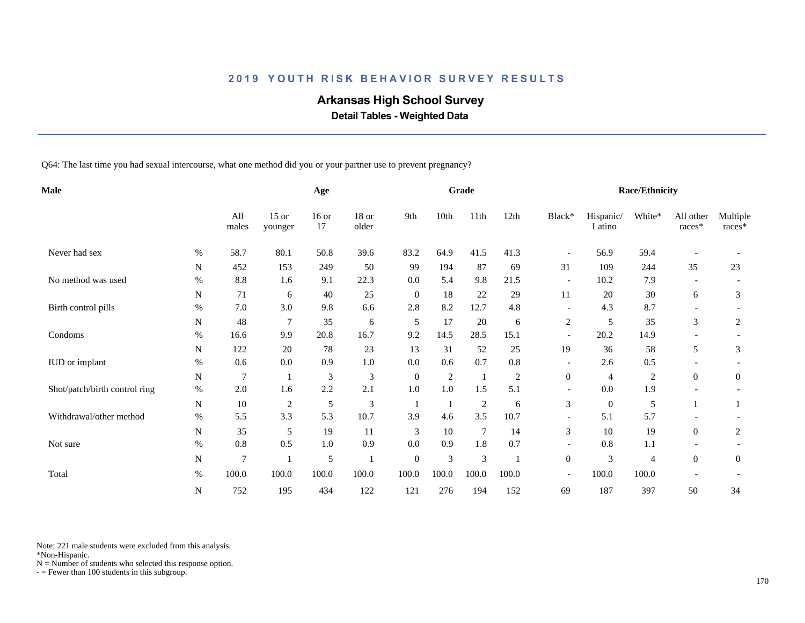# **Arkansas High School Survey**

 **Detail Tables - Weighted Data**

Q64: The last time you had sexual intercourse, what one method did you or your partner use to prevent pregnancy?

| <b>Male</b>                   |           |              |                    | Age           |                  |                  |       | Grade          |       |                          |                     | <b>Race/Ethnicity</b> |                     |                    |
|-------------------------------|-----------|--------------|--------------------|---------------|------------------|------------------|-------|----------------|-------|--------------------------|---------------------|-----------------------|---------------------|--------------------|
|                               |           | All<br>males | $15$ or<br>younger | $16$ or<br>17 | $18$ or<br>older | 9th              | 10th  | 11th           | 12th  | Black*                   | Hispanic/<br>Latino | White*                | All other<br>races* | Multiple<br>races* |
| Never had sex                 | $\%$      | 58.7         | 80.1               | 50.8          | 39.6             | 83.2             | 64.9  | 41.5           | 41.3  | $\overline{\phantom{a}}$ | 56.9                | 59.4                  |                     |                    |
|                               | N         | 452          | 153                | 249           | 50               | 99               | 194   | 87             | 69    | 31                       | 109                 | 244                   | 35                  | 23                 |
| No method was used            | $\%$      | 8.8          | 1.6                | 9.1           | 22.3             | 0.0              | 5.4   | 9.8            | 21.5  | $\overline{\phantom{a}}$ | 10.2                | 7.9                   |                     |                    |
|                               | N         | 71           | 6                  | $40\,$        | 25               | $\mathbf{0}$     | 18    | 22             | 29    | 11                       | 20                  | 30                    | 6                   | 3                  |
| Birth control pills           | $\%$      | 7.0          | 3.0                | 9.8           | 6.6              | 2.8              | 8.2   | 12.7           | 4.8   |                          | 4.3                 | 8.7                   |                     |                    |
|                               | N         | 48           | $\overline{7}$     | 35            | 6                | 5                | 17    | 20             | 6     | $\overline{c}$           | 5                   | 35                    | 3                   | 2                  |
| Condoms                       | $\%$      | 16.6         | 9.9                | 20.8          | 16.7             | 9.2              | 14.5  | 28.5           | 15.1  | $\overline{\phantom{a}}$ | 20.2                | 14.9                  |                     |                    |
|                               | N         | 122          | 20                 | 78            | 23               | 13               | 31    | 52             | 25    | 19                       | 36                  | 58                    | 5                   | 3                  |
| IUD or implant                | $\%$      | 0.6          | 0.0                | 0.9           | $1.0\,$          | 0.0              | 0.6   | 0.7            | 0.8   | $\overline{\phantom{a}}$ | 2.6                 | 0.5                   |                     |                    |
|                               | N         | 7            |                    | 3             | 3                | $\theta$         | 2     | $\mathbf{1}$   | 2     | $\overline{0}$           | $\overline{4}$      | $\overline{c}$        | $\overline{0}$      | $\overline{0}$     |
| Shot/patch/birth control ring | $\%$      | $2.0$        | 1.6                | 2.2           | 2.1              | 1.0              | 1.0   | 1.5            | 5.1   | $\overline{\phantom{a}}$ | 0.0                 | 1.9                   |                     |                    |
|                               | ${\bf N}$ | $10\,$       | $\sqrt{2}$         | 5             | 3                | 1                | 1     | $\overline{2}$ | 6     | $\mathfrak 3$            | $\mathbf{0}$        | 5                     |                     |                    |
| Withdrawal/other method       | $\%$      | 5.5          | 3.3                | 5.3           | 10.7             | 3.9              | 4.6   | 3.5            | 10.7  |                          | 5.1                 | 5.7                   |                     |                    |
|                               | N         | 35           | 5                  | 19            | 11               | 3                | 10    | 7              | 14    | 3                        | 10                  | 19                    | $\boldsymbol{0}$    | 2                  |
| Not sure                      | %         | 0.8          | 0.5                | 1.0           | 0.9              | 0.0              | 0.9   | 1.8            | 0.7   | $\overline{\phantom{a}}$ | 0.8                 | $1.1\,$               |                     |                    |
|                               | ${\bf N}$ | 7            |                    | $\mathfrak s$ |                  | $\boldsymbol{0}$ | 3     | $\mathfrak{Z}$ |       | $\mathbf{0}$             | 3                   | 4                     | $\overline{0}$      | $\mathbf{0}$       |
| Total                         | $\%$      | 100.0        | 100.0              | 100.0         | 100.0            | 100.0            | 100.0 | 100.0          | 100.0 | $\overline{\phantom{a}}$ | 100.0               | 100.0                 |                     |                    |
|                               | N         | 752          | 195                | 434           | 122              | 121              | 276   | 194            | 152   | 69                       | 187                 | 397                   | 50                  | 34                 |

Note: 221 male students were excluded from this analysis.

\*Non-Hispanic.

 $N =$  Number of students who selected this response option.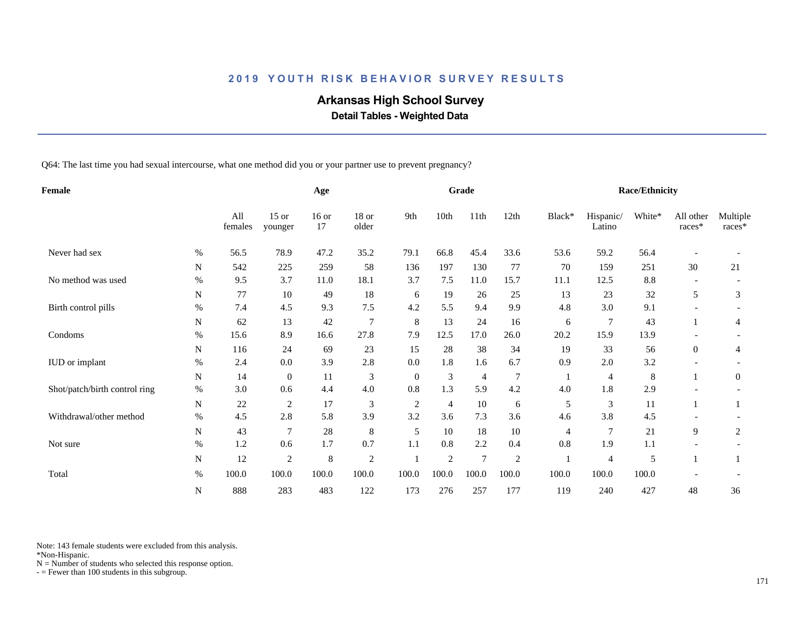# **Arkansas High School Survey**

 **Detail Tables - Weighted Data**

Q64: The last time you had sexual intercourse, what one method did you or your partner use to prevent pregnancy?

| Female                        |           |                |                    | Age           |                  |                |                | Grade           |                |        |                     | <b>Race/Ethnicity</b> |                     |                    |
|-------------------------------|-----------|----------------|--------------------|---------------|------------------|----------------|----------------|-----------------|----------------|--------|---------------------|-----------------------|---------------------|--------------------|
|                               |           | All<br>females | $15$ or<br>younger | $16$ or<br>17 | $18$ or<br>older | 9th            | 10th           | 11th            | 12th           | Black* | Hispanic/<br>Latino | White*                | All other<br>races* | Multiple<br>races* |
| Never had sex                 | $\%$      | 56.5           | 78.9               | 47.2          | 35.2             | 79.1           | 66.8           | 45.4            | 33.6           | 53.6   | 59.2                | 56.4                  |                     |                    |
|                               | N         | 542            | 225                | 259           | 58               | 136            | 197            | 130             | 77             | 70     | 159                 | 251                   | 30                  | 21                 |
| No method was used            | $\%$      | 9.5            | 3.7                | 11.0          | 18.1             | 3.7            | 7.5            | 11.0            | 15.7           | 11.1   | 12.5                | 8.8                   |                     |                    |
|                               | N         | 77             | 10                 | 49            | 18               | 6              | 19             | 26              | 25             | 13     | 23                  | 32                    | 5                   | 3                  |
| Birth control pills           | $\%$      | 7.4            | 4.5                | 9.3           | 7.5              | 4.2            | 5.5            | 9.4             | 9.9            | 4.8    | 3.0                 | 9.1                   |                     |                    |
|                               | N         | 62             | 13                 | 42            | $\overline{7}$   | 8              | 13             | 24              | 16             | 6      | $\overline{7}$      | 43                    |                     | 4                  |
| Condoms                       | $\%$      | 15.6           | 8.9                | 16.6          | 27.8             | 7.9            | 12.5           | 17.0            | 26.0           | 20.2   | 15.9                | 13.9                  |                     |                    |
|                               | N         | 116            | 24                 | 69            | 23               | 15             | 28             | 38              | 34             | 19     | 33                  | 56                    | $\overline{0}$      | 4                  |
| IUD or implant                | $\%$      | 2.4            | 0.0                | 3.9           | 2.8              | 0.0            | 1.8            | 1.6             | 6.7            | 0.9    | 2.0                 | 3.2                   |                     |                    |
|                               | N         | 14             | $\overline{0}$     | 11            | 3                | $\overline{0}$ | 3              | $\overline{4}$  | 7              |        | $\overline{4}$      | 8                     |                     | 0                  |
| Shot/patch/birth control ring | $\%$      | 3.0            | 0.6                | 4.4           | $4.0$            | 0.8            | 1.3            | 5.9             | 4.2            | 4.0    | 1.8                 | 2.9                   |                     |                    |
|                               | N         | 22             | $\mathfrak{2}$     | 17            | 3                | $\overline{c}$ | $\overline{4}$ | 10              | 6              | 5      | 3                   | 11                    |                     |                    |
| Withdrawal/other method       | $\%$      | 4.5            | 2.8                | 5.8           | 3.9              | 3.2            | 3.6            | 7.3             | 3.6            | 4.6    | 3.8                 | 4.5                   |                     |                    |
|                               | N         | 43             | 7                  | 28            | $\,8\,$          | 5              | 10             | 18              | 10             | 4      | $\overline{7}$      | 21                    | 9                   | 2                  |
| Not sure                      | %         | 1.2            | 0.6                | 1.7           | 0.7              | 1.1            | 0.8            | 2.2             | 0.4            | 0.8    | 1.9                 | 1.1                   |                     |                    |
|                               | ${\bf N}$ | 12             | $\mathfrak{2}$     | $\,$ 8 $\,$   | $\sqrt{2}$       |                | $\mathfrak{2}$ | $7\phantom{.0}$ | $\mathfrak{2}$ |        | 4                   | 5                     |                     | 1                  |
| Total                         | $\%$      | 100.0          | 100.0              | 100.0         | 100.0            | 100.0          | 100.0          | 100.0           | 100.0          | 100.0  | 100.0               | 100.0                 |                     |                    |
|                               | N         | 888            | 283                | 483           | 122              | 173            | 276            | 257             | 177            | 119    | 240                 | 427                   | 48                  | 36                 |

Note: 143 female students were excluded from this analysis.

\*Non-Hispanic.

 $N =$  Number of students who selected this response option.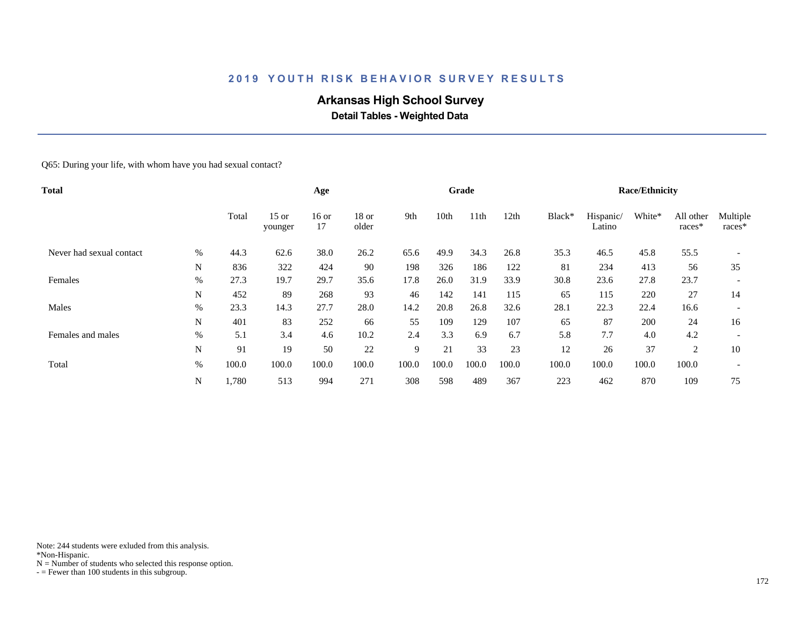# **Arkansas High School Survey**

 **Detail Tables - Weighted Data**

#### Q65: During your life, with whom have you had sexual contact?

| Total                    |      |       | Age                |               |                  |       | Grade |       |       |        | <b>Race/Ethnicity</b> |        |                     |                    |
|--------------------------|------|-------|--------------------|---------------|------------------|-------|-------|-------|-------|--------|-----------------------|--------|---------------------|--------------------|
|                          |      | Total | $15$ or<br>younger | $16$ or<br>17 | $18$ or<br>older | 9th   | 10th  | 11th  | 12th  | Black* | Hispanic/<br>Latino   | White* | All other<br>races* | Multiple<br>races* |
| Never had sexual contact | $\%$ | 44.3  | 62.6               | 38.0          | 26.2             | 65.6  | 49.9  | 34.3  | 26.8  | 35.3   | 46.5                  | 45.8   | 55.5                |                    |
|                          | N    | 836   | 322                | 424           | 90               | 198   | 326   | 186   | 122   | 81     | 234                   | 413    | 56                  | 35                 |
| Females                  | $\%$ | 27.3  | 19.7               | 29.7          | 35.6             | 17.8  | 26.0  | 31.9  | 33.9  | 30.8   | 23.6                  | 27.8   | 23.7                |                    |
|                          | N    | 452   | 89                 | 268           | 93               | 46    | 142   | 141   | 115   | 65     | 115                   | 220    | 27                  | 14                 |
| Males                    | $\%$ | 23.3  | 14.3               | 27.7          | 28.0             | 14.2  | 20.8  | 26.8  | 32.6  | 28.1   | 22.3                  | 22.4   | 16.6                |                    |
|                          | N    | 401   | 83                 | 252           | 66               | 55    | 109   | 129   | 107   | 65     | 87                    | 200    | 24                  | 16                 |
| Females and males        | %    | 5.1   | 3.4                | 4.6           | 10.2             | 2.4   | 3.3   | 6.9   | 6.7   | 5.8    | 7.7                   | 4.0    | 4.2                 |                    |
|                          | N    | 91    | 19                 | 50            | 22               | 9     | 21    | 33    | 23    | 12     | 26                    | 37     | 2                   | 10                 |
| Total                    | $\%$ | 100.0 | 100.0              | 100.0         | 100.0            | 100.0 | 100.0 | 100.0 | 100.0 | 100.0  | 100.0                 | 100.0  | 100.0               |                    |
|                          | N    | 1,780 | 513                | 994           | 271              | 308   | 598   | 489   | 367   | 223    | 462                   | 870    | 109                 | 75                 |

Note: 244 students were exluded from this analysis.

\*Non-Hispanic.

 $N =$  Number of students who selected this response option.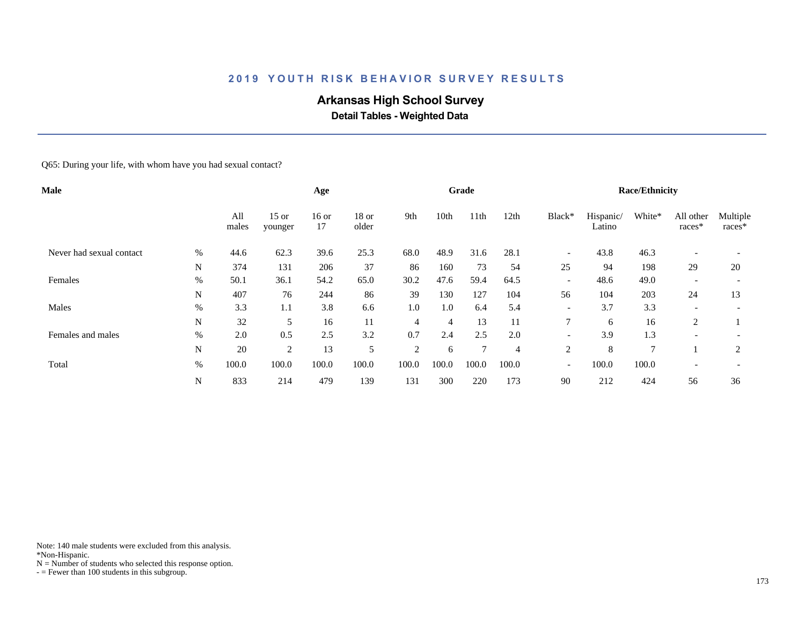# **Arkansas High School Survey**

 **Detail Tables - Weighted Data**

#### Q65: During your life, with whom have you had sexual contact?

| <b>Male</b>              |      |              |                    | Age           |                  |                |                | Grade            |       |                          |                     | <b>Race/Ethnicity</b> |                     |                    |
|--------------------------|------|--------------|--------------------|---------------|------------------|----------------|----------------|------------------|-------|--------------------------|---------------------|-----------------------|---------------------|--------------------|
|                          |      | All<br>males | $15$ or<br>younger | $16$ or<br>17 | $18$ or<br>older | 9th            | 10th           | 11 <sup>th</sup> | 12th  | Black*                   | Hispanic/<br>Latino | White*                | All other<br>races* | Multiple<br>races* |
| Never had sexual contact | $\%$ | 44.6         | 62.3               | 39.6          | 25.3             | 68.0           | 48.9           | 31.6             | 28.1  | $\overline{\phantom{a}}$ | 43.8                | 46.3                  |                     |                    |
|                          | N    | 374          | 131                | 206           | 37               | 86             | 160            | 73               | 54    | 25                       | 94                  | 198                   | 29                  | 20                 |
| Females                  | $\%$ | 50.1         | 36.1               | 54.2          | 65.0             | 30.2           | 47.6           | 59.4             | 64.5  | $\overline{\phantom{a}}$ | 48.6                | 49.0                  |                     |                    |
|                          | N    | 407          | 76                 | 244           | 86               | 39             | 130            | 127              | 104   | 56                       | 104                 | 203                   | 24                  | 13                 |
| Males                    | $\%$ | 3.3          | 1.1                | 3.8           | 6.6              | 1.0            | 1.0            | 6.4              | 5.4   | $\overline{\phantom{a}}$ | 3.7                 | 3.3                   |                     |                    |
|                          | N    | 32           | 5                  | 16            | 11               | $\overline{4}$ | $\overline{4}$ | 13               | 11    | $\overline{7}$           | 6                   | 16                    | 2                   |                    |
| Females and males        | $\%$ | 2.0          | 0.5                | 2.5           | 3.2              | 0.7            | 2.4            | 2.5              | 2.0   | $\overline{\phantom{0}}$ | 3.9                 | 1.3                   |                     |                    |
|                          | N    | 20           | $\overline{c}$     | 13            | 5                | 2              | 6              | 7                | 4     | 2                        | 8                   | 7                     |                     | 2                  |
| Total                    | $\%$ | 100.0        | 100.0              | 100.0         | 100.0            | 100.0          | 100.0          | 100.0            | 100.0 | $\overline{\phantom{a}}$ | 100.0               | 100.0                 |                     |                    |
|                          | N    | 833          | 214                | 479           | 139              | 131            | 300            | 220              | 173   | 90                       | 212                 | 424                   | 56                  | 36                 |

Note: 140 male students were excluded from this analysis.

\*Non-Hispanic.

 $N =$  Number of students who selected this response option.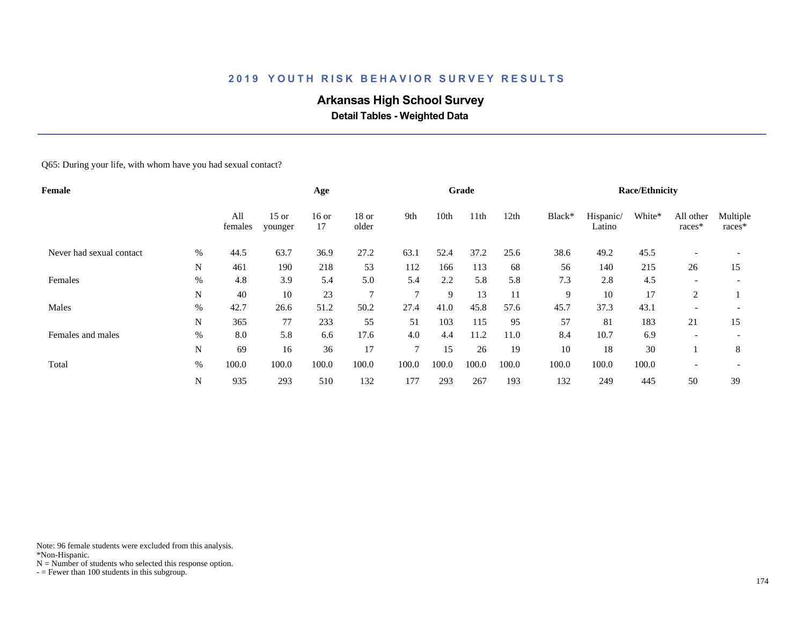# **Arkansas High School Survey**

 **Detail Tables - Weighted Data**

#### Q65: During your life, with whom have you had sexual contact?

| <b>Female</b>            |      |                |                    | Age           |                  |               |       | Grade |       |        |                     | <b>Race/Ethnicity</b> |                     |                    |
|--------------------------|------|----------------|--------------------|---------------|------------------|---------------|-------|-------|-------|--------|---------------------|-----------------------|---------------------|--------------------|
|                          |      | All<br>females | $15$ or<br>younger | $16$ or<br>17 | $18$ or<br>older | 9th           | 10th  | 11th  | 12th  | Black* | Hispanic/<br>Latino | White*                | All other<br>races* | Multiple<br>races* |
| Never had sexual contact | %    | 44.5           | 63.7               | 36.9          | 27.2             | 63.1          | 52.4  | 37.2  | 25.6  | 38.6   | 49.2                | 45.5                  |                     |                    |
|                          | N    | 461            | 190                | 218           | 53               | 112           | 166   | 113   | 68    | 56     | 140                 | 215                   | 26                  | 15                 |
| Females                  | %    | 4.8            | 3.9                | 5.4           | 5.0              | 5.4           | 2.2   | 5.8   | 5.8   | 7.3    | 2.8                 | 4.5                   |                     |                    |
|                          | N    | 40             | 10                 | 23            | $\overline{7}$   | $\mathbf{r}$  | 9     | 13    | 11    | 9      | 10                  | 17                    | 2                   |                    |
| Males                    | $\%$ | 42.7           | 26.6               | 51.2          | 50.2             | 27.4          | 41.0  | 45.8  | 57.6  | 45.7   | 37.3                | 43.1                  |                     |                    |
|                          | N    | 365            | 77                 | 233           | 55               | 51            | 103   | 115   | 95    | 57     | 81                  | 183                   | 21                  | 15                 |
| Females and males        | $\%$ | 8.0            | 5.8                | 6.6           | 17.6             | 4.0           | 4.4   | 11.2  | 11.0  | 8.4    | 10.7                | 6.9                   |                     |                    |
|                          | N    | 69             | 16                 | 36            | 17               | $\mathcal{I}$ | 15    | 26    | 19    | 10     | 18                  | 30                    |                     | 8                  |
| Total                    | $\%$ | 100.0          | 100.0              | 100.0         | 100.0            | 100.0         | 100.0 | 100.0 | 100.0 | 100.0  | 100.0               | 100.0                 |                     |                    |
|                          | N    | 935            | 293                | 510           | 132              | 177           | 293   | 267   | 193   | 132    | 249                 | 445                   | 50                  | 39                 |

Note: 96 female students were excluded from this analysis.

\*Non-Hispanic.

 $N =$  Number of students who selected this response option.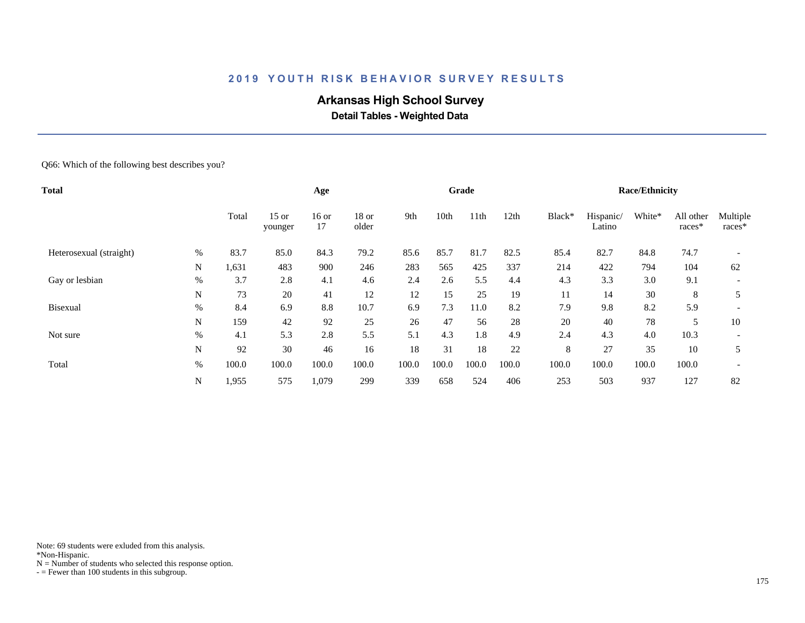# **Arkansas High School Survey**

 **Detail Tables - Weighted Data**

#### Q66: Which of the following best describes you?

| Total                   |      |       |                    | Age           |                |       |       | Grade |       |        |                     | <b>Race/Ethnicity</b> |                     |                          |
|-------------------------|------|-------|--------------------|---------------|----------------|-------|-------|-------|-------|--------|---------------------|-----------------------|---------------------|--------------------------|
|                         |      | Total | $15$ or<br>younger | $16$ or<br>17 | 18 or<br>older | 9th   | 10th  | 11th  | 12th  | Black* | Hispanic/<br>Latino | White*                | All other<br>races* | Multiple<br>races*       |
| Heterosexual (straight) | $\%$ | 83.7  | 85.0               | 84.3          | 79.2           | 85.6  | 85.7  | 81.7  | 82.5  | 85.4   | 82.7                | 84.8                  | 74.7                |                          |
|                         | N    | 1,631 | 483                | 900           | 246            | 283   | 565   | 425   | 337   | 214    | 422                 | 794                   | 104                 | 62                       |
| Gay or lesbian          | $\%$ | 3.7   | 2.8                | 4.1           | 4.6            | 2.4   | 2.6   | 5.5   | 4.4   | 4.3    | 3.3                 | 3.0                   | 9.1                 |                          |
|                         | N    | 73    | 20                 | 41            | 12             | 12    | 15    | 25    | 19    | 11     | 14                  | 30                    | 8                   |                          |
| <b>Bisexual</b>         | %    | 8.4   | 6.9                | 8.8           | 10.7           | 6.9   | 7.3   | 11.0  | 8.2   | 7.9    | 9.8                 | 8.2                   | 5.9                 | $\overline{\phantom{a}}$ |
|                         | N    | 159   | 42                 | 92            | 25             | 26    | 47    | 56    | 28    | 20     | 40                  | 78                    | 5                   | 10                       |
| Not sure                | $\%$ | 4.1   | 5.3                | 2.8           | 5.5            | 5.1   | 4.3   | 1.8   | 4.9   | 2.4    | 4.3                 | 4.0                   | 10.3                |                          |
|                         | N    | 92    | 30                 | 46            | 16             | 18    | 31    | 18    | 22    | 8      | 27                  | 35                    | 10                  | 5                        |
| Total                   | $\%$ | 100.0 | 100.0              | 100.0         | 100.0          | 100.0 | 100.0 | 100.0 | 100.0 | 100.0  | 100.0               | 100.0                 | 100.0               |                          |
|                         | N    | 1,955 | 575                | 1,079         | 299            | 339   | 658   | 524   | 406   | 253    | 503                 | 937                   | 127                 | 82                       |

Note: 69 students were exluded from this analysis.

\*Non-Hispanic.

 $N =$  Number of students who selected this response option.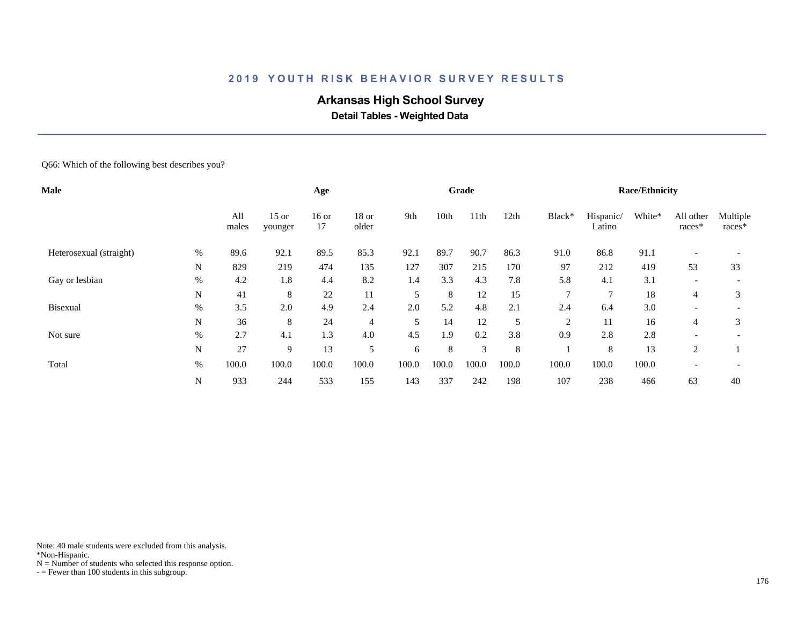# **Arkansas High School Survey**

 **Detail Tables - Weighted Data**

#### Q66: Which of the following best describes you?

| Male                    |      |              | Age                |               |                |       | Grade |       |       |              | <b>Race/Ethnicity</b> |        |                     |                      |
|-------------------------|------|--------------|--------------------|---------------|----------------|-------|-------|-------|-------|--------------|-----------------------|--------|---------------------|----------------------|
|                         |      | All<br>males | $15$ or<br>younger | $16$ or<br>17 | 18 or<br>older | 9th   | 10th  | 11th  | 12th  | Black*       | Hispanic/<br>Latino   | White* | All other<br>races* | Multiple<br>$races*$ |
| Heterosexual (straight) | $\%$ | 89.6         | 92.1               | 89.5          | 85.3           | 92.1  | 89.7  | 90.7  | 86.3  | 91.0         | 86.8                  | 91.1   |                     |                      |
|                         | N    | 829          | 219                | 474           | 135            | 127   | 307   | 215   | 170   | 97           | 212                   | 419    | 53                  | 33                   |
| Gay or lesbian          | $\%$ | 4.2          | 1.8                | 4.4           | 8.2            | 1.4   | 3.3   | 4.3   | 7.8   | 5.8          | 4.1                   | 3.1    |                     |                      |
|                         | N    | 41           | 8                  | 22            | 11             | 5     | 8     | 12    | 15    | $\mathbf{r}$ | $\mathbf{r}$          | 18     | 4                   | 3                    |
| <b>Bisexual</b>         | $\%$ | 3.5          | 2.0                | 4.9           | 2.4            | 2.0   | 5.2   | 4.8   | 2.1   | 2.4          | 6.4                   | 3.0    | -                   |                      |
|                         | N    | 36           | 8                  | 24            | $\overline{4}$ | 5     | 14    | 12    | 5     | 2            | 11                    | 16     | 4                   | 3                    |
| Not sure                | $\%$ | 2.7          | 4.1                | 1.3           | 4.0            | 4.5   | 1.9   | 0.2   | 3.8   | 0.9          | 2.8                   | 2.8    | -                   |                      |
|                         | N    | 27           | 9                  | 13            | 5              | 6     | 8     | 3     | 8     |              | 8                     | 13     | 2                   |                      |
| Total                   | $\%$ | 100.0        | 100.0              | 100.0         | 100.0          | 100.0 | 100.0 | 100.0 | 100.0 | 100.0        | 100.0                 | 100.0  |                     |                      |
|                         | N    | 933          | 244                | 533           | 155            | 143   | 337   | 242   | 198   | 107          | 238                   | 466    | 63                  | 40                   |

Note: 40 male students were excluded from this analysis.

\*Non-Hispanic.

 $N =$  Number of students who selected this response option.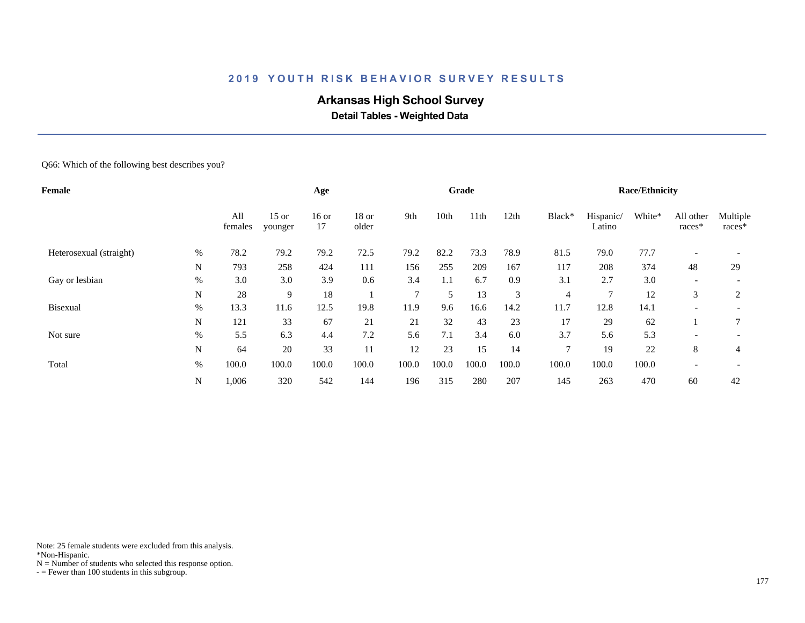# **Arkansas High School Survey**

 **Detail Tables - Weighted Data**

#### Q66: Which of the following best describes you?

| Female                  |      |                |                    | Age           |                  |              |       | Grade            |       |               |                     | <b>Race/Ethnicity</b> |                          |                    |
|-------------------------|------|----------------|--------------------|---------------|------------------|--------------|-------|------------------|-------|---------------|---------------------|-----------------------|--------------------------|--------------------|
|                         |      | All<br>females | $15$ or<br>younger | $16$ or<br>17 | $18$ or<br>older | 9th          | 10th  | 11 <sup>th</sup> | 12th  | Black*        | Hispanic/<br>Latino | White*                | All other<br>races*      | Multiple<br>races* |
| Heterosexual (straight) | $\%$ | 78.2           | 79.2               | 79.2          | 72.5             | 79.2         | 82.2  | 73.3             | 78.9  | 81.5          | 79.0                | 77.7                  |                          |                    |
|                         | N    | 793            | 258                | 424           | 111              | 156          | 255   | 209              | 167   | 117           | 208                 | 374                   | 48                       | 29                 |
| Gay or lesbian          | $\%$ | 3.0            | 3.0                | 3.9           | 0.6              | 3.4          | 1.1   | 6.7              | 0.9   | 3.1           | 2.7                 | 3.0                   | $\overline{\phantom{a}}$ |                    |
|                         | N    | 28             | 9                  | 18            |                  | $\mathbf{r}$ | 5     | 13               | 3     | 4             | 7                   | 12                    | 3                        | 2                  |
| <b>Bisexual</b>         | %    | 13.3           | 11.6               | 12.5          | 19.8             | 11.9         | 9.6   | 16.6             | 14.2  | 11.7          | 12.8                | 14.1                  |                          |                    |
|                         | N    | 121            | 33                 | 67            | 21               | 21           | 32    | 43               | 23    | 17            | 29                  | 62                    |                          | $\overline{7}$     |
| Not sure                | $\%$ | 5.5            | 6.3                | 4.4           | 7.2              | 5.6          | 7.1   | 3.4              | 6.0   | 3.7           | 5.6                 | 5.3                   | $\overline{\phantom{0}}$ |                    |
|                         | N    | 64             | 20                 | 33            | 11               | 12           | 23    | 15               | 14    | $\mathcal{I}$ | 19                  | 22                    | 8                        | 4                  |
| Total                   | $\%$ | 100.0          | 100.0              | 100.0         | 100.0            | 100.0        | 100.0 | 100.0            | 100.0 | 100.0         | 100.0               | 100.0                 | $\overline{\phantom{0}}$ |                    |
|                         | N    | 1,006          | 320                | 542           | 144              | 196          | 315   | 280              | 207   | 145           | 263                 | 470                   | 60                       | 42                 |

Note: 25 female students were excluded from this analysis.

\*Non-Hispanic.

 $N =$  Number of students who selected this response option.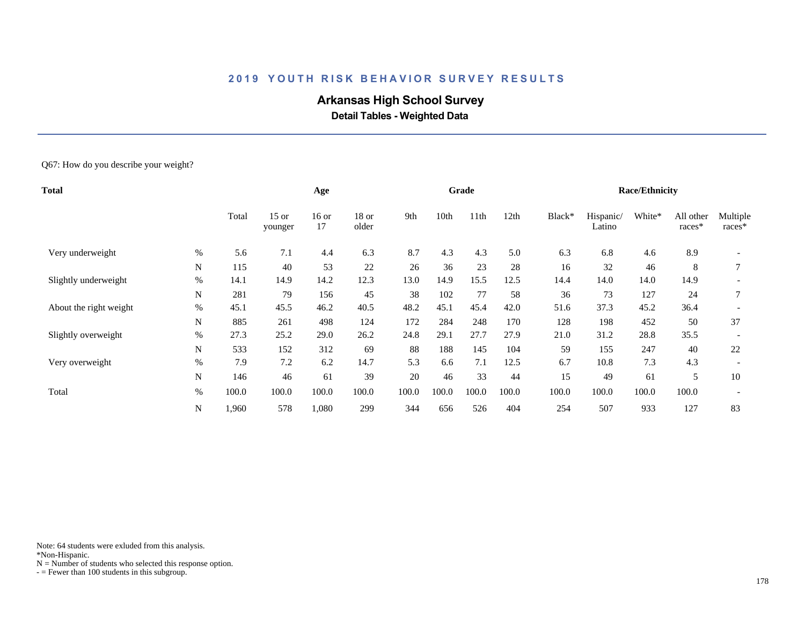# **Arkansas High School Survey**

 **Detail Tables - Weighted Data**

Q67: How do you describe your weight?

| <b>Total</b>           |             |       |                    | Age           |                  |       |       | Grade |       |        |                     | <b>Race/Ethnicity</b> |                     |                    |
|------------------------|-------------|-------|--------------------|---------------|------------------|-------|-------|-------|-------|--------|---------------------|-----------------------|---------------------|--------------------|
|                        |             | Total | $15$ or<br>younger | $16$ or<br>17 | $18$ or<br>older | 9th   | 10th  | 11th  | 12th  | Black* | Hispanic/<br>Latino | White*                | All other<br>races* | Multiple<br>races* |
| Very underweight       | $\%$        | 5.6   | 7.1                | 4.4           | 6.3              | 8.7   | 4.3   | 4.3   | 5.0   | 6.3    | 6.8                 | 4.6                   | 8.9                 |                    |
|                        | N           | 115   | 40                 | 53            | 22               | 26    | 36    | 23    | 28    | 16     | 32                  | 46                    | 8                   | 7                  |
| Slightly underweight   | $\%$        | 14.1  | 14.9               | 14.2          | 12.3             | 13.0  | 14.9  | 15.5  | 12.5  | 14.4   | 14.0                | 14.0                  | 14.9                |                    |
|                        | $\mathbf N$ | 281   | 79                 | 156           | 45               | 38    | 102   | 77    | 58    | 36     | 73                  | 127                   | 24                  |                    |
| About the right weight | $\%$        | 45.1  | 45.5               | 46.2          | 40.5             | 48.2  | 45.1  | 45.4  | 42.0  | 51.6   | 37.3                | 45.2                  | 36.4                |                    |
|                        | N           | 885   | 261                | 498           | 124              | 172   | 284   | 248   | 170   | 128    | 198                 | 452                   | 50                  | 37                 |
| Slightly overweight    | $\%$        | 27.3  | 25.2               | 29.0          | 26.2             | 24.8  | 29.1  | 27.7  | 27.9  | 21.0   | 31.2                | 28.8                  | 35.5                |                    |
|                        | N           | 533   | 152                | 312           | 69               | 88    | 188   | 145   | 104   | 59     | 155                 | 247                   | 40                  | 22                 |
| Very overweight        | $\%$        | 7.9   | 7.2                | 6.2           | 14.7             | 5.3   | 6.6   | 7.1   | 12.5  | 6.7    | 10.8                | 7.3                   | 4.3                 |                    |
|                        | N           | 146   | 46                 | 61            | 39               | 20    | 46    | 33    | 44    | 15     | 49                  | 61                    | 5                   | 10                 |
| Total                  | $\%$        | 100.0 | 100.0              | 100.0         | 100.0            | 100.0 | 100.0 | 100.0 | 100.0 | 100.0  | 100.0               | 100.0                 | 100.0               |                    |
|                        | ${\bf N}$   | 1,960 | 578                | 1,080         | 299              | 344   | 656   | 526   | 404   | 254    | 507                 | 933                   | 127                 | 83                 |

Note: 64 students were exluded from this analysis.

\*Non-Hispanic.

 $N =$  Number of students who selected this response option.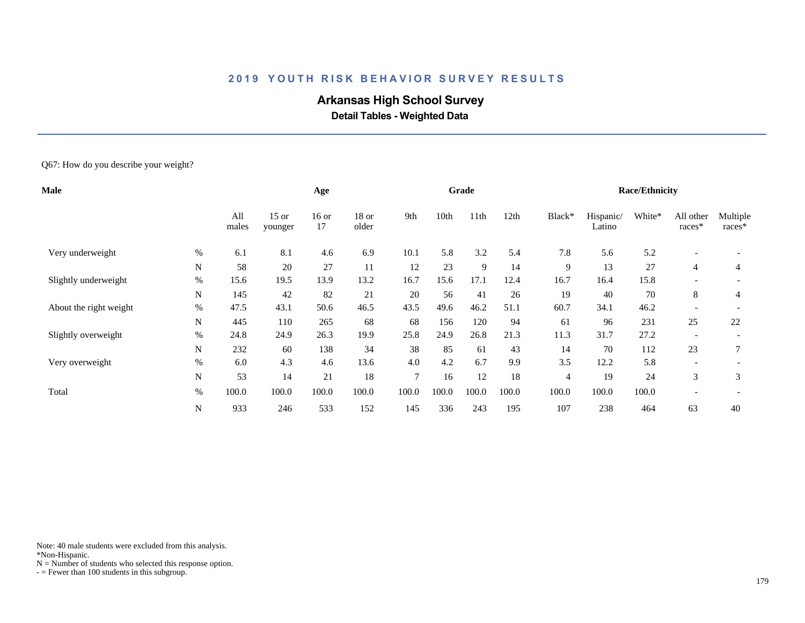# **Arkansas High School Survey**

 **Detail Tables - Weighted Data**

Q67: How do you describe your weight?

| <b>Male</b>            |             |              |                    | Age           |                  |        |       | Grade |       |                |                     | <b>Race/Ethnicity</b> |                     |                    |
|------------------------|-------------|--------------|--------------------|---------------|------------------|--------|-------|-------|-------|----------------|---------------------|-----------------------|---------------------|--------------------|
|                        |             | All<br>males | $15$ or<br>younger | $16$ or<br>17 | $18$ or<br>older | 9th    | 10th  | 11th  | 12th  | Black*         | Hispanic/<br>Latino | White*                | All other<br>races* | Multiple<br>races* |
| Very underweight       | $\%$        | 6.1          | 8.1                | 4.6           | 6.9              | 10.1   | 5.8   | 3.2   | 5.4   | 7.8            | 5.6                 | 5.2                   |                     |                    |
|                        | N           | 58           | 20                 | 27            | 11               | 12     | 23    | 9     | 14    | 9              | 13                  | 27                    | $\overline{4}$      | 4                  |
| Slightly underweight   | $\%$        | 15.6         | 19.5               | 13.9          | 13.2             | 16.7   | 15.6  | 17.1  | 12.4  | 16.7           | 16.4                | 15.8                  |                     |                    |
|                        | $\mathbf N$ | 145          | 42                 | 82            | 21               | 20     | 56    | 41    | 26    | 19             | 40                  | 70                    | 8                   | $\overline{4}$     |
| About the right weight | $\%$        | 47.5         | 43.1               | 50.6          | 46.5             | 43.5   | 49.6  | 46.2  | 51.1  | 60.7           | 34.1                | 46.2                  |                     |                    |
|                        | N           | 445          | 110                | 265           | 68               | 68     | 156   | 120   | 94    | 61             | 96                  | 231                   | 25                  | 22                 |
| Slightly overweight    | $\%$        | 24.8         | 24.9               | 26.3          | 19.9             | 25.8   | 24.9  | 26.8  | 21.3  | 11.3           | 31.7                | 27.2                  |                     |                    |
|                        | N           | 232          | 60                 | 138           | 34               | 38     | 85    | 61    | 43    | 14             | 70                  | 112                   | 23                  |                    |
| Very overweight        | $\%$        | 6.0          | 4.3                | 4.6           | 13.6             | 4.0    | 4.2   | 6.7   | 9.9   | 3.5            | 12.2                | 5.8                   |                     |                    |
|                        | N           | 53           | 14                 | 21            | 18               | $\tau$ | 16    | 12    | 18    | $\overline{4}$ | 19                  | 24                    | 3                   | 3                  |
| Total                  | $\%$        | 100.0        | 100.0              | 100.0         | 100.0            | 100.0  | 100.0 | 100.0 | 100.0 | 100.0          | 100.0               | 100.0                 |                     |                    |
|                        | ${\bf N}$   | 933          | 246                | 533           | 152              | 145    | 336   | 243   | 195   | 107            | 238                 | 464                   | 63                  | 40                 |

Note: 40 male students were excluded from this analysis.

\*Non-Hispanic.

 $N =$  Number of students who selected this response option.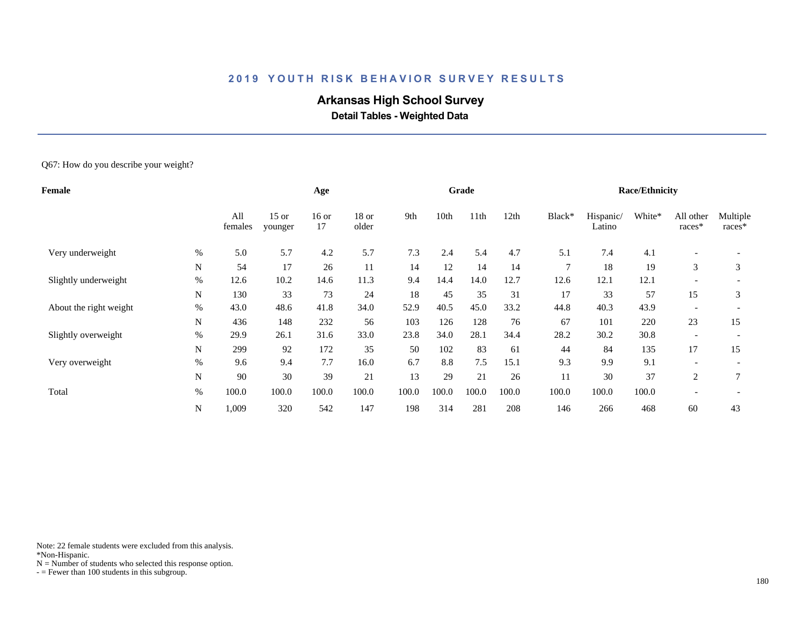# **Arkansas High School Survey**

 **Detail Tables - Weighted Data**

Q67: How do you describe your weight?

| <b>Female</b> |                |                    | Age           |                  |       |       |                  |       |        |                     |        |                          |                       |
|---------------|----------------|--------------------|---------------|------------------|-------|-------|------------------|-------|--------|---------------------|--------|--------------------------|-----------------------|
|               | All<br>females | $15$ or<br>younger | $16$ or<br>17 | $18$ or<br>older | 9th   | 10th  | 11 <sup>th</sup> | 12th  | Black* | Hispanic/<br>Latino | White* | All other<br>races*      | Multiple<br>races*    |
| $\%$          | 5.0            | 5.7                | 4.2           | 5.7              | 7.3   | 2.4   | 5.4              | 4.7   | 5.1    | 7.4                 | 4.1    | $\overline{\phantom{a}}$ |                       |
| N             | 54             | 17                 | 26            | 11               | 14    | 12    | 14               | 14    | $\tau$ | 18                  | 19     | 3                        | 3                     |
| $\%$          | 12.6           | 10.2               | 14.6          | 11.3             | 9.4   | 14.4  | 14.0             | 12.7  | 12.6   | 12.1                | 12.1   | $\overline{\phantom{a}}$ |                       |
| N             | 130            | 33                 | 73            | 24               | 18    | 45    | 35               | 31    | 17     | 33                  | 57     | 15                       | 3                     |
| $\%$          | 43.0           | 48.6               | 41.8          | 34.0             | 52.9  | 40.5  | 45.0             | 33.2  | 44.8   | 40.3                | 43.9   |                          |                       |
| N             | 436            | 148                | 232           | 56               | 103   | 126   | 128              | 76    | 67     | 101                 | 220    | 23                       | 15                    |
| $\%$          | 29.9           | 26.1               | 31.6          | 33.0             | 23.8  | 34.0  | 28.1             | 34.4  | 28.2   | 30.2                | 30.8   | $\overline{\phantom{a}}$ |                       |
| ${\bf N}$     | 299            | 92                 | 172           | 35               | 50    | 102   | 83               | 61    | 44     | 84                  | 135    | 17                       | 15                    |
| $\%$          | 9.6            | 9.4                | 7.7           | 16.0             | 6.7   | 8.8   | 7.5              | 15.1  | 9.3    | 9.9                 | 9.1    |                          |                       |
| N             | 90             | 30                 | 39            | 21               | 13    | 29    | 21               | 26    | 11     | 30                  | 37     | 2                        | $\mathcal{L}$         |
| $\%$          | 100.0          | 100.0              | 100.0         | 100.0            | 100.0 | 100.0 | 100.0            | 100.0 | 100.0  | 100.0               | 100.0  |                          |                       |
| N             | 1,009          | 320                | 542           | 147              | 198   | 314   | 281              | 208   | 146    | 266                 | 468    | 60                       | 43                    |
|               |                |                    |               |                  |       |       |                  | Grade |        |                     |        |                          | <b>Race/Ethnicity</b> |

Note: 22 female students were excluded from this analysis.

\*Non-Hispanic.

 $N =$  Number of students who selected this response option.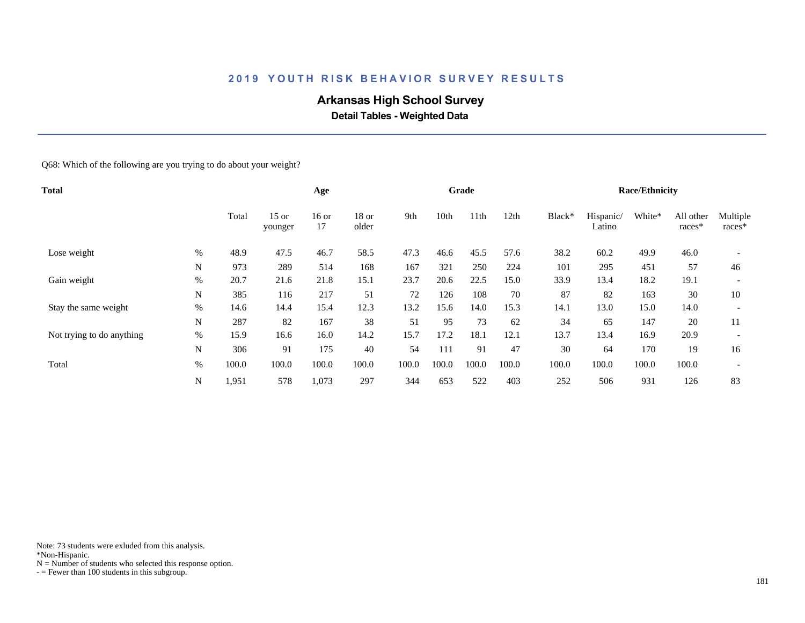# **Arkansas High School Survey**

 **Detail Tables - Weighted Data**

Q68: Which of the following are you trying to do about your weight?

| <b>Total</b>              |      |       |                    | Age         |                  |       |       | Grade |       |        |                     | <b>Race/Ethnicity</b> |                     |                          |
|---------------------------|------|-------|--------------------|-------------|------------------|-------|-------|-------|-------|--------|---------------------|-----------------------|---------------------|--------------------------|
|                           |      | Total | $15$ or<br>younger | 16 or<br>17 | $18$ or<br>older | 9th   | 10th  | 11th  | 12th  | Black* | Hispanic/<br>Latino | White*                | All other<br>races* | Multiple<br>races*       |
| Lose weight               | $\%$ | 48.9  | 47.5               | 46.7        | 58.5             | 47.3  | 46.6  | 45.5  | 57.6  | 38.2   | 60.2                | 49.9                  | 46.0                |                          |
|                           | N    | 973   | 289                | 514         | 168              | 167   | 321   | 250   | 224   | 101    | 295                 | 451                   | 57                  | 46                       |
| Gain weight               | $\%$ | 20.7  | 21.6               | 21.8        | 15.1             | 23.7  | 20.6  | 22.5  | 15.0  | 33.9   | 13.4                | 18.2                  | 19.1                |                          |
|                           | N    | 385   | 116                | 217         | 51               | 72    | 126   | 108   | 70    | 87     | 82                  | 163                   | 30                  | 10                       |
| Stay the same weight      | $\%$ | 14.6  | 14.4               | 15.4        | 12.3             | 13.2  | 15.6  | 14.0  | 15.3  | 14.1   | 13.0                | 15.0                  | 14.0                | $\overline{\phantom{a}}$ |
|                           | N    | 287   | 82                 | 167         | 38               | 51    | 95    | 73    | 62    | 34     | 65                  | 147                   | 20                  | 11                       |
| Not trying to do anything | $\%$ | 15.9  | 16.6               | 16.0        | 14.2             | 15.7  | 17.2  | 18.1  | 12.1  | 13.7   | 13.4                | 16.9                  | 20.9                |                          |
|                           | N    | 306   | 91                 | 175         | 40               | 54    | 111   | 91    | 47    | 30     | 64                  | 170                   | 19                  | 16                       |
| Total                     | $\%$ | 100.0 | 100.0              | 100.0       | 100.0            | 100.0 | 100.0 | 100.0 | 100.0 | 100.0  | 100.0               | 100.0                 | 100.0               |                          |
|                           | N    | 1,951 | 578                | 1,073       | 297              | 344   | 653   | 522   | 403   | 252    | 506                 | 931                   | 126                 | 83                       |

Note: 73 students were exluded from this analysis.

\*Non-Hispanic.

 $N =$  Number of students who selected this response option.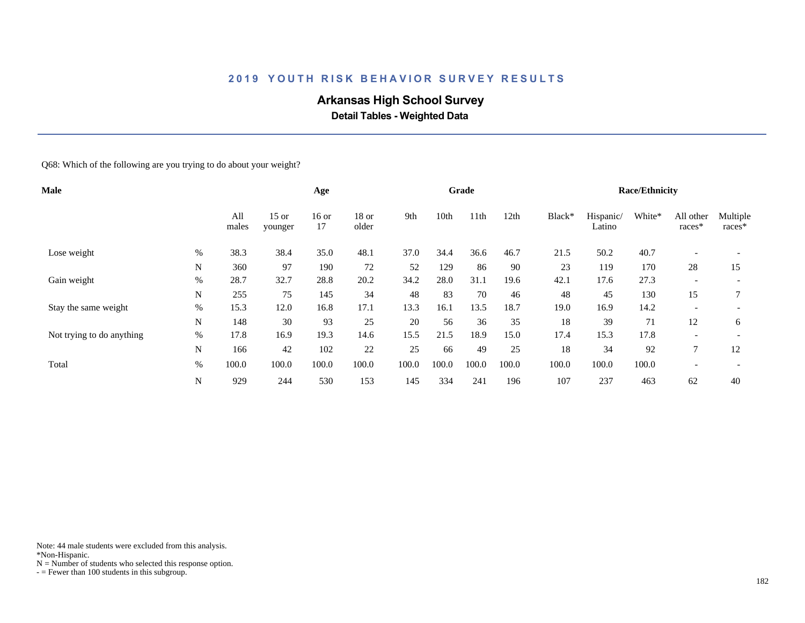# **Arkansas High School Survey**

 **Detail Tables - Weighted Data**

Q68: Which of the following are you trying to do about your weight?

| <b>Male</b>               |      |              |                    | Age         |                  |       |       | Grade |       |        |                     | <b>Race/Ethnicity</b> |                          |                          |
|---------------------------|------|--------------|--------------------|-------------|------------------|-------|-------|-------|-------|--------|---------------------|-----------------------|--------------------------|--------------------------|
|                           |      | All<br>males | $15$ or<br>younger | 16 or<br>17 | $18$ or<br>older | 9th   | 10th  | 11th  | 12th  | Black* | Hispanic/<br>Latino | White*                | All other<br>races*      | Multiple<br>races*       |
| Lose weight               | $\%$ | 38.3         | 38.4               | 35.0        | 48.1             | 37.0  | 34.4  | 36.6  | 46.7  | 21.5   | 50.2                | 40.7                  |                          |                          |
|                           | N    | 360          | 97                 | 190         | 72               | 52    | 129   | 86    | 90    | 23     | 119                 | 170                   | 28                       | 15                       |
| Gain weight               | $\%$ | 28.7         | 32.7               | 28.8        | 20.2             | 34.2  | 28.0  | 31.1  | 19.6  | 42.1   | 17.6                | 27.3                  | $\overline{\phantom{a}}$ |                          |
|                           | N    | 255          | 75                 | 145         | 34               | 48    | 83    | 70    | 46    | 48     | 45                  | 130                   | 15                       |                          |
| Stay the same weight      | $\%$ | 15.3         | 12.0               | 16.8        | 17.1             | 13.3  | 16.1  | 13.5  | 18.7  | 19.0   | 16.9                | 14.2                  | $\overline{\phantom{a}}$ | $\overline{\phantom{a}}$ |
|                           | N    | 148          | 30                 | 93          | 25               | 20    | 56    | 36    | 35    | 18     | 39                  | 71                    | 12                       | 6                        |
| Not trying to do anything | $\%$ | 17.8         | 16.9               | 19.3        | 14.6             | 15.5  | 21.5  | 18.9  | 15.0  | 17.4   | 15.3                | 17.8                  | $\overline{\phantom{0}}$ | $\overline{\phantom{a}}$ |
|                           | N    | 166          | 42                 | 102         | 22               | 25    | 66    | 49    | 25    | 18     | 34                  | 92                    | $\mathcal{I}$            | 12                       |
| Total                     | $\%$ | 100.0        | 100.0              | 100.0       | 100.0            | 100.0 | 100.0 | 100.0 | 100.0 | 100.0  | 100.0               | 100.0                 | $\overline{\phantom{0}}$ |                          |
|                           | N    | 929          | 244                | 530         | 153              | 145   | 334   | 241   | 196   | 107    | 237                 | 463                   | 62                       | 40                       |

Note: 44 male students were excluded from this analysis.

\*Non-Hispanic.

 $N =$  Number of students who selected this response option.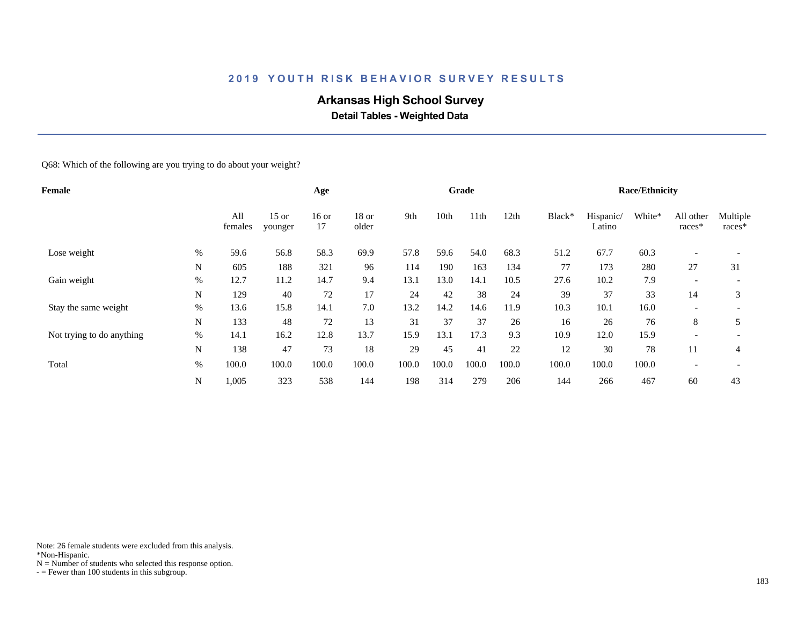# **Arkansas High School Survey**

 **Detail Tables - Weighted Data**

Q68: Which of the following are you trying to do about your weight?

| <b>Female</b>             |      |                |                    | Age         |                  |       |       | Grade |       |        |                     | <b>Race/Ethnicity</b> |                          |                    |
|---------------------------|------|----------------|--------------------|-------------|------------------|-------|-------|-------|-------|--------|---------------------|-----------------------|--------------------------|--------------------|
|                           |      | All<br>females | $15$ or<br>younger | 16 or<br>17 | $18$ or<br>older | 9th   | 10th  | 11th  | 12th  | Black* | Hispanic/<br>Latino | White*                | All other<br>races*      | Multiple<br>races* |
| Lose weight               | %    | 59.6           | 56.8               | 58.3        | 69.9             | 57.8  | 59.6  | 54.0  | 68.3  | 51.2   | 67.7                | 60.3                  |                          |                    |
|                           | N    | 605            | 188                | 321         | 96               | 114   | 190   | 163   | 134   | 77     | 173                 | 280                   | 27                       | 31                 |
| Gain weight               | $\%$ | 12.7           | 11.2               | 14.7        | 9.4              | 13.1  | 13.0  | 14.1  | 10.5  | 27.6   | 10.2                | 7.9                   | $\overline{\phantom{a}}$ |                    |
|                           | N    | 129            | 40                 | 72          | 17               | 24    | 42    | 38    | 24    | 39     | 37                  | 33                    | 14                       | 3                  |
| Stay the same weight      | $\%$ | 13.6           | 15.8               | 14.1        | 7.0              | 13.2  | 14.2  | 14.6  | 11.9  | 10.3   | 10.1                | 16.0                  | $\overline{\phantom{a}}$ |                    |
|                           | N    | 133            | 48                 | 72          | 13               | 31    | 37    | 37    | 26    | 16     | 26                  | 76                    | 8                        | 5                  |
| Not trying to do anything | $\%$ | 14.1           | 16.2               | 12.8        | 13.7             | 15.9  | 13.1  | 17.3  | 9.3   | 10.9   | 12.0                | 15.9                  | $\overline{\phantom{0}}$ |                    |
|                           | N    | 138            | 47                 | 73          | 18               | 29    | 45    | 41    | 22    | 12     | 30                  | 78                    | 11                       | 4                  |
| Total                     | $\%$ | 100.0          | 100.0              | 100.0       | 100.0            | 100.0 | 100.0 | 100.0 | 100.0 | 100.0  | 100.0               | 100.0                 | $\overline{\phantom{0}}$ |                    |
|                           | N    | 1,005          | 323                | 538         | 144              | 198   | 314   | 279   | 206   | 144    | 266                 | 467                   | 60                       | 43                 |

Note: 26 female students were excluded from this analysis.

\*Non-Hispanic.

 $N =$  Number of students who selected this response option.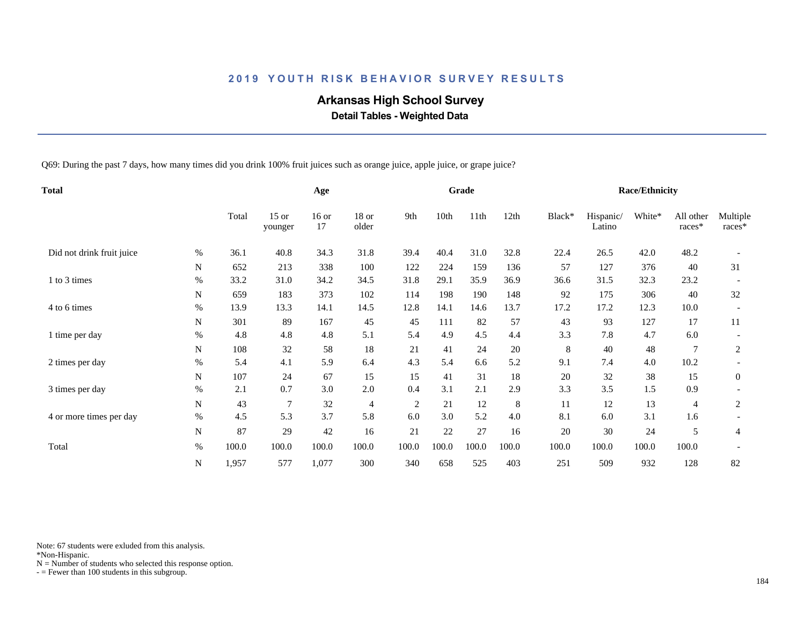# **Arkansas High School Survey**

 **Detail Tables - Weighted Data**

Q69: During the past 7 days, how many times did you drink 100% fruit juices such as orange juice, apple juice, or grape juice?

| <b>Total</b>              |             |       |                    | Age           |                |                |       | Grade |       |        |                     | <b>Race/Ethnicity</b> |                     |                    |
|---------------------------|-------------|-------|--------------------|---------------|----------------|----------------|-------|-------|-------|--------|---------------------|-----------------------|---------------------|--------------------|
|                           |             |       | $15$ or<br>younger | $16$ or<br>17 | 18 or<br>older | 9th            | 10th  | 11th  | 12th  | Black* | Hispanic/<br>Latino | White*                | All other<br>races* | Multiple<br>races* |
| Did not drink fruit juice | $\%$        | 36.1  | 40.8               | 34.3          | 31.8           | 39.4           | 40.4  | 31.0  | 32.8  | 22.4   | 26.5                | 42.0                  | 48.2                |                    |
|                           | $\mathbf N$ | 652   | 213                | 338           | 100            | 122            | 224   | 159   | 136   | 57     | 127                 | 376                   | 40                  | 31                 |
| 1 to 3 times              | $\%$        | 33.2  | 31.0               | 34.2          | 34.5           | 31.8           | 29.1  | 35.9  | 36.9  | 36.6   | 31.5                | 32.3                  | 23.2                |                    |
|                           | N           | 659   | 183                | 373           | 102            | 114            | 198   | 190   | 148   | 92     | 175                 | 306                   | 40                  | 32                 |
| 4 to 6 times              | %           | 13.9  | 13.3               | 14.1          | 14.5           | 12.8           | 14.1  | 14.6  | 13.7  | 17.2   | 17.2                | 12.3                  | 10.0                |                    |
|                           | N           | 301   | 89                 | 167           | 45             | 45             | 111   | 82    | 57    | 43     | 93                  | 127                   | 17                  | 11                 |
| 1 time per day            | $\%$        | 4.8   | 4.8                | 4.8           | 5.1            | 5.4            | 4.9   | 4.5   | 4.4   | 3.3    | 7.8                 | 4.7                   | 6.0                 |                    |
|                           | N           | 108   | 32                 | 58            | 18             | 21             | 41    | 24    | 20    | 8      | 40                  | 48                    |                     | 2                  |
| 2 times per day           | %           | 5.4   | 4.1                | 5.9           | 6.4            | 4.3            | 5.4   | 6.6   | 5.2   | 9.1    | 7.4                 | 4.0                   | 10.2                |                    |
|                           | N           | 107   | 24                 | 67            | 15             | 15             | 41    | 31    | 18    | 20     | 32                  | 38                    | 15                  | $\mathbf{0}$       |
| 3 times per day           | $\%$        | 2.1   | 0.7                | 3.0           | 2.0            | 0.4            | 3.1   | 2.1   | 2.9   | 3.3    | 3.5                 | 1.5                   | 0.9                 |                    |
|                           | ${\bf N}$   | 43    | 7                  | 32            | 4              | $\overline{2}$ | 21    | 12    | 8     | 11     | 12                  | 13                    | 4                   | $\overline{2}$     |
| 4 or more times per day   | $\%$        | 4.5   | 5.3                | 3.7           | 5.8            | 6.0            | 3.0   | 5.2   | 4.0   | 8.1    | 6.0                 | 3.1                   | 1.6                 |                    |
|                           | ${\bf N}$   | 87    | 29                 | 42            | 16             | 21             | 22    | 27    | 16    | 20     | 30                  | $24\,$                | 5                   | 4                  |
| Total                     | $\%$        | 100.0 | 100.0              | 100.0         | 100.0          | 100.0          | 100.0 | 100.0 | 100.0 | 100.0  | 100.0               | 100.0                 | 100.0               |                    |
|                           | N           | 1,957 | 577                | 1,077         | 300            | 340            | 658   | 525   | 403   | 251    | 509                 | 932                   | 128                 | 82                 |

Note: 67 students were exluded from this analysis.

\*Non-Hispanic.

 $N =$  Number of students who selected this response option.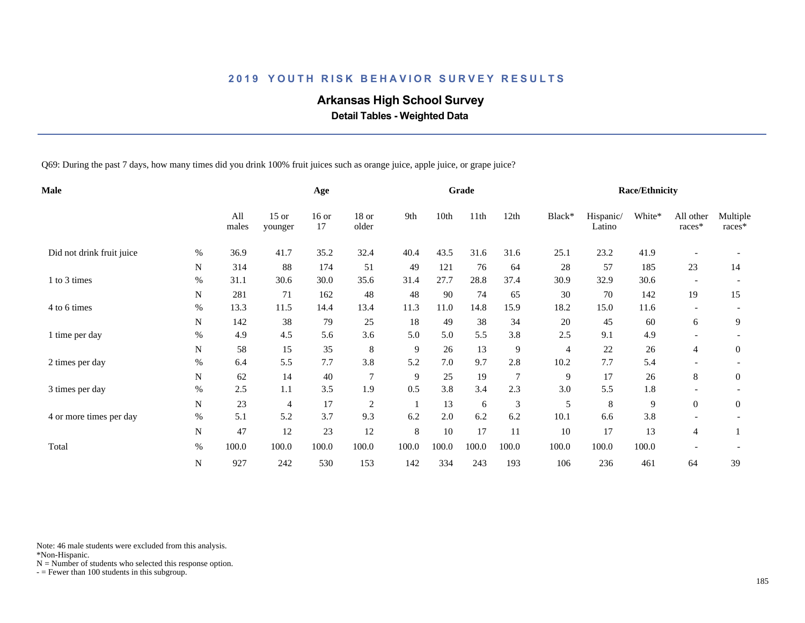# **Arkansas High School Survey**

 **Detail Tables - Weighted Data**

Q69: During the past 7 days, how many times did you drink 100% fruit juices such as orange juice, apple juice, or grape juice?

| Male                      |             |              |                    | Age           |                  |         |       | Grade |                |                |                     | <b>Race/Ethnicity</b> |                          |                    |
|---------------------------|-------------|--------------|--------------------|---------------|------------------|---------|-------|-------|----------------|----------------|---------------------|-----------------------|--------------------------|--------------------|
|                           |             | All<br>males | $15$ or<br>younger | $16$ or<br>17 | $18$ or<br>older | 9th     | 10th  | 11th  | 12th           | Black*         | Hispanic/<br>Latino | White*                | All other<br>races*      | Multiple<br>races* |
| Did not drink fruit juice | $\%$        | 36.9         | 41.7               | 35.2          | 32.4             | 40.4    | 43.5  | 31.6  | 31.6           | 25.1           | 23.2                | 41.9                  |                          |                    |
|                           | N           | 314          | 88                 | 174           | 51               | 49      | 121   | 76    | 64             | 28             | 57                  | 185                   | 23                       | 14                 |
| 1 to 3 times              | %           | 31.1         | 30.6               | 30.0          | 35.6             | 31.4    | 27.7  | 28.8  | 37.4           | 30.9           | 32.9                | 30.6                  |                          |                    |
|                           | N           | 281          | 71                 | 162           | 48               | 48      | 90    | 74    | 65             | 30             | 70                  | 142                   | 19                       | 15                 |
| 4 to 6 times              | $\%$        | 13.3         | 11.5               | 14.4          | 13.4             | 11.3    | 11.0  | 14.8  | 15.9           | 18.2           | 15.0                | 11.6                  | $\overline{\phantom{a}}$ |                    |
|                           | N           | 142          | 38                 | 79            | 25               | 18      | 49    | 38    | 34             | 20             | 45                  | 60                    | 6                        | 9                  |
| 1 time per day            | $\%$        | 4.9          | 4.5                | 5.6           | 3.6              | 5.0     | 5.0   | 5.5   | 3.8            | 2.5            | 9.1                 | 4.9                   |                          |                    |
|                           | N           | 58           | 15                 | 35            | 8                | 9       | 26    | 13    | 9              | $\overline{4}$ | 22                  | 26                    | $\overline{4}$           | $\mathbf{0}$       |
| 2 times per day           | $\%$        | 6.4          | 5.5                | 7.7           | 3.8              | 5.2     | 7.0   | 9.7   | 2.8            | 10.2           | 7.7                 | 5.4                   |                          |                    |
|                           | N           | 62           | 14                 | 40            | $\overline{7}$   | 9       | 25    | 19    | $\overline{7}$ | 9              | 17                  | 26                    | 8                        | $\theta$           |
| 3 times per day           | $\%$        | 2.5          | 1.1                | 3.5           | 1.9              | 0.5     | 3.8   | 3.4   | 2.3            | 3.0            | 5.5                 | 1.8                   |                          |                    |
|                           | $\mathbf N$ | 23           | 4                  | 17            | $\overline{c}$   | -1      | 13    | 6     | 3              | 5              | 8                   | 9                     | $\overline{0}$           | $\mathbf{0}$       |
| 4 or more times per day   | $\%$        | 5.1          | 5.2                | 3.7           | 9.3              | 6.2     | 2.0   | 6.2   | 6.2            | 10.1           | 6.6                 | 3.8                   |                          |                    |
|                           | ${\bf N}$   | 47           | 12                 | 23            | 12               | $\,8\,$ | 10    | 17    | 11             | 10             | 17                  | 13                    | $\overline{4}$           |                    |
| Total                     | $\%$        | 100.0        | 100.0              | 100.0         | 100.0            | 100.0   | 100.0 | 100.0 | 100.0          | 100.0          | 100.0               | 100.0                 |                          |                    |
|                           | ${\bf N}$   | 927          | 242                | 530           | 153              | 142     | 334   | 243   | 193            | 106            | 236                 | 461                   | 64                       | 39                 |

Note: 46 male students were excluded from this analysis.

\*Non-Hispanic.

 $N =$  Number of students who selected this response option.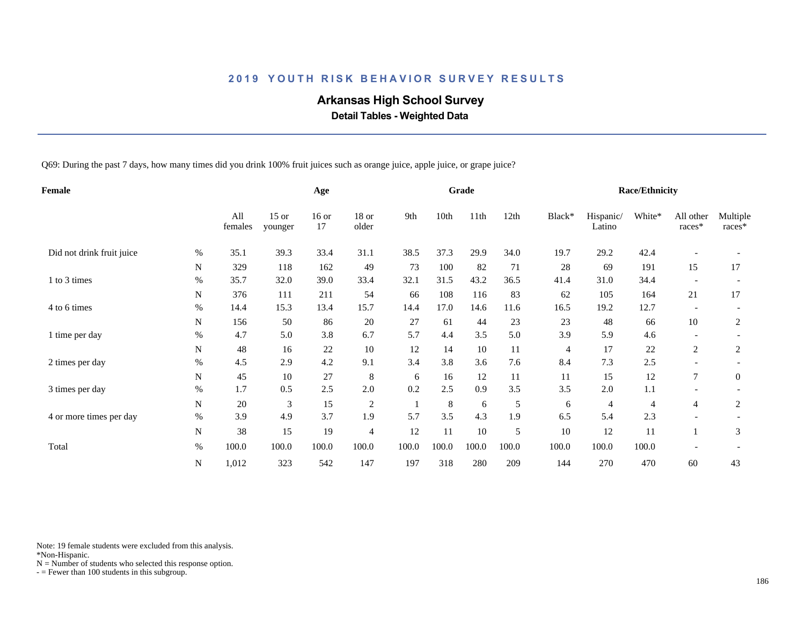# **Arkansas High School Survey**

 **Detail Tables - Weighted Data**

Q69: During the past 7 days, how many times did you drink 100% fruit juices such as orange juice, apple juice, or grape juice?

| Female                    |             |                |                    | Age           |                  |       |       | Grade |       |                |                     | <b>Race/Ethnicity</b> |                          |                    |
|---------------------------|-------------|----------------|--------------------|---------------|------------------|-------|-------|-------|-------|----------------|---------------------|-----------------------|--------------------------|--------------------|
|                           |             | All<br>females | $15$ or<br>younger | $16$ or<br>17 | $18$ or<br>older | 9th   | 10th  | 11th  | 12th  | Black*         | Hispanic/<br>Latino | White*                | All other<br>races*      | Multiple<br>races* |
| Did not drink fruit juice | $\%$        | 35.1           | 39.3               | 33.4          | 31.1             | 38.5  | 37.3  | 29.9  | 34.0  | 19.7           | 29.2                | 42.4                  |                          |                    |
|                           | $\mathbf N$ | 329            | 118                | 162           | 49               | 73    | 100   | 82    | 71    | 28             | 69                  | 191                   | 15                       | 17                 |
| 1 to 3 times              | %           | 35.7           | 32.0               | 39.0          | 33.4             | 32.1  | 31.5  | 43.2  | 36.5  | 41.4           | 31.0                | 34.4                  |                          |                    |
|                           | N           | 376            | 111                | 211           | 54               | 66    | 108   | 116   | 83    | 62             | 105                 | 164                   | 21                       | 17                 |
| 4 to 6 times              | $\%$        | 14.4           | 15.3               | 13.4          | 15.7             | 14.4  | 17.0  | 14.6  | 11.6  | 16.5           | 19.2                | 12.7                  | $\overline{\phantom{a}}$ |                    |
|                           | N           | 156            | 50                 | 86            | 20               | 27    | 61    | 44    | 23    | 23             | 48                  | 66                    | 10                       | 2                  |
| 1 time per day            | $\%$        | 4.7            | 5.0                | 3.8           | 6.7              | 5.7   | 4.4   | 3.5   | 5.0   | 3.9            | 5.9                 | 4.6                   |                          |                    |
|                           | N           | 48             | 16                 | 22            | 10               | 12    | 14    | 10    | 11    | $\overline{4}$ | 17                  | 22                    | $\overline{c}$           | 2                  |
| 2 times per day           | $\%$        | 4.5            | 2.9                | 4.2           | 9.1              | 3.4   | 3.8   | 3.6   | 7.6   | 8.4            | 7.3                 | 2.5                   |                          |                    |
|                           | N           | 45             | 10                 | 27            | 8                | 6     | 16    | 12    | 11    | 11             | 15                  | 12                    | $\overline{7}$           | $\overline{0}$     |
| 3 times per day           | $\%$        | 1.7            | 0.5                | 2.5           | 2.0              | 0.2   | 2.5   | 0.9   | 3.5   | 3.5            | 2.0                 | 1.1                   |                          |                    |
|                           | $\mathbf N$ | 20             | 3                  | 15            | $\overline{c}$   |       | 8     | 6     | 5     | 6              | $\overline{4}$      | 4                     | $\overline{4}$           | $\overline{c}$     |
| 4 or more times per day   | $\%$        | 3.9            | 4.9                | 3.7           | 1.9              | 5.7   | 3.5   | 4.3   | 1.9   | 6.5            | 5.4                 | 2.3                   |                          |                    |
|                           | ${\bf N}$   | 38             | 15                 | 19            | $\overline{4}$   | 12    | 11    | 10    | 5     | 10             | 12                  | 11                    |                          | 3                  |
| Total                     | $\%$        | 100.0          | 100.0              | 100.0         | 100.0            | 100.0 | 100.0 | 100.0 | 100.0 | 100.0          | 100.0               | 100.0                 |                          |                    |
|                           | ${\bf N}$   | 1,012          | 323                | 542           | 147              | 197   | 318   | 280   | 209   | 144            | 270                 | 470                   | 60                       | 43                 |

Note: 19 female students were excluded from this analysis.

\*Non-Hispanic.

 $N =$  Number of students who selected this response option.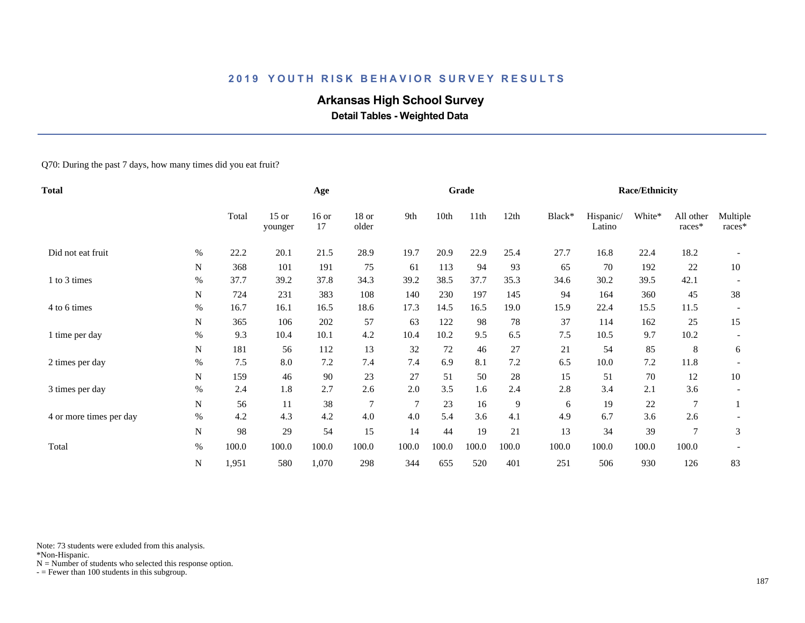# **Arkansas High School Survey**

 **Detail Tables - Weighted Data**

Q70: During the past 7 days, how many times did you eat fruit?

| <b>Total</b>            |           |       |                    | Age           |                |                |       | Grade |       |        |                     | <b>Race/Ethnicity</b> |                     |                    |
|-------------------------|-----------|-------|--------------------|---------------|----------------|----------------|-------|-------|-------|--------|---------------------|-----------------------|---------------------|--------------------|
|                         |           | Total | $15$ or<br>younger | $16$ or<br>17 | 18 or<br>older | 9th            | 10th  | 11th  | 12th  | Black* | Hispanic/<br>Latino | White*                | All other<br>races* | Multiple<br>races* |
| Did not eat fruit       | $\%$      | 22.2  | 20.1               | 21.5          | 28.9           | 19.7           | 20.9  | 22.9  | 25.4  | 27.7   | 16.8                | 22.4                  | 18.2                |                    |
|                         | N         | 368   | 101                | 191           | 75             | 61             | 113   | 94    | 93    | 65     | 70                  | 192                   | $22\,$              | 10                 |
| 1 to 3 times            | $\%$      | 37.7  | 39.2               | 37.8          | 34.3           | 39.2           | 38.5  | 37.7  | 35.3  | 34.6   | 30.2                | 39.5                  | 42.1                |                    |
|                         | N         | 724   | 231                | 383           | 108            | 140            | 230   | 197   | 145   | 94     | 164                 | 360                   | 45                  | 38                 |
| 4 to 6 times            | $\%$      | 16.7  | 16.1               | 16.5          | 18.6           | 17.3           | 14.5  | 16.5  | 19.0  | 15.9   | 22.4                | 15.5                  | 11.5                |                    |
|                         | N         | 365   | 106                | 202           | 57             | 63             | 122   | 98    | 78    | 37     | 114                 | 162                   | 25                  | 15                 |
| 1 time per day          | $\%$      | 9.3   | 10.4               | 10.1          | 4.2            | 10.4           | 10.2  | 9.5   | 6.5   | $7.5$  | 10.5                | 9.7                   | 10.2                |                    |
|                         | N         | 181   | 56                 | 112           | 13             | 32             | 72    | 46    | 27    | 21     | 54                  | 85                    | 8                   | 6                  |
| 2 times per day         | $\%$      | 7.5   | 8.0                | 7.2           | 7.4            | 7.4            | 6.9   | 8.1   | 7.2   | 6.5    | 10.0                | 7.2                   | 11.8                |                    |
|                         | N         | 159   | 46                 | 90            | 23             | 27             | 51    | 50    | 28    | 15     | 51                  | 70                    | 12                  | 10                 |
| 3 times per day         | $\%$      | 2.4   | 1.8                | 2.7           | 2.6            | 2.0            | 3.5   | 1.6   | 2.4   | 2.8    | 3.4                 | 2.1                   | 3.6                 |                    |
|                         | ${\bf N}$ | 56    | 11                 | 38            | $\overline{7}$ | $\overline{7}$ | 23    | 16    | 9     | 6      | 19                  | 22                    | $\overline{7}$      |                    |
| 4 or more times per day | $\%$      | 4.2   | 4.3                | 4.2           | 4.0            | 4.0            | 5.4   | 3.6   | 4.1   | 4.9    | 6.7                 | 3.6                   | 2.6                 |                    |
|                         | ${\bf N}$ | 98    | 29                 | 54            | 15             | 14             | 44    | 19    | 21    | 13     | 34                  | 39                    | $\overline{7}$      | 3                  |
| Total                   | $\%$      | 100.0 | 100.0              | 100.0         | 100.0          | 100.0          | 100.0 | 100.0 | 100.0 | 100.0  | 100.0               | 100.0                 | 100.0               |                    |
|                         | N         | 1,951 | 580                | 1,070         | 298            | 344            | 655   | 520   | 401   | 251    | 506                 | 930                   | 126                 | 83                 |

Note: 73 students were exluded from this analysis.

\*Non-Hispanic.

 $N =$  Number of students who selected this response option.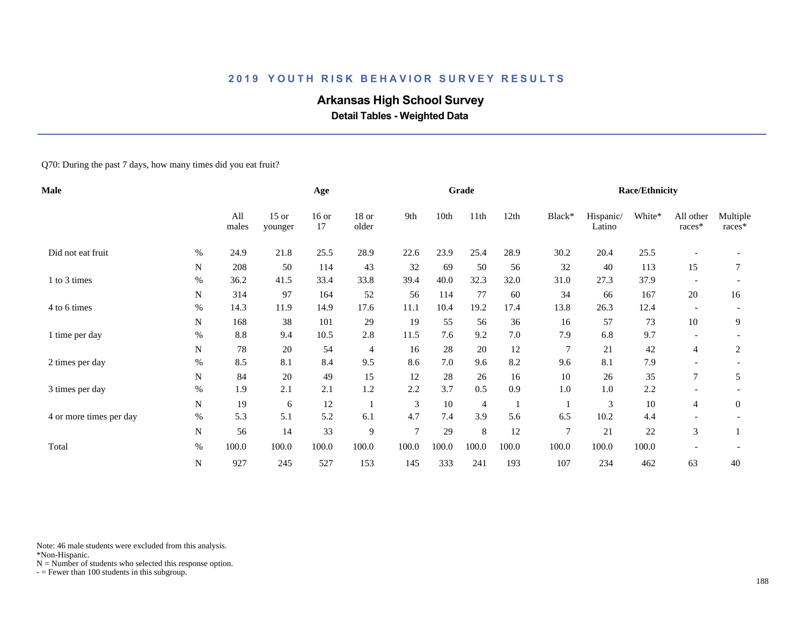# **Arkansas High School Survey**

 **Detail Tables - Weighted Data**

Q70: During the past 7 days, how many times did you eat fruit?

| <b>Male</b>             |           |              |                    | Age           |                |        |       | Grade   |       |                |                     | <b>Race/Ethnicity</b> |                          |                      |
|-------------------------|-----------|--------------|--------------------|---------------|----------------|--------|-------|---------|-------|----------------|---------------------|-----------------------|--------------------------|----------------------|
|                         |           | All<br>males | $15$ or<br>younger | $16$ or<br>17 | 18 or<br>older | 9th    | 10th  | 11th    | 12th  | Black*         | Hispanic/<br>Latino | White*                | All other<br>races*      | Multiple<br>$races*$ |
| Did not eat fruit       | $\%$      | 24.9         | 21.8               | 25.5          | 28.9           | 22.6   | 23.9  | 25.4    | 28.9  | 30.2           | 20.4                | 25.5                  |                          |                      |
|                         | N         | 208          | 50                 | 114           | 43             | 32     | 69    | 50      | 56    | 32             | 40                  | 113                   | 15                       | 7                    |
| 1 to 3 times            | $\%$      | 36.2         | 41.5               | 33.4          | 33.8           | 39.4   | 40.0  | 32.3    | 32.0  | 31.0           | 27.3                | 37.9                  |                          |                      |
|                         | N         | 314          | 97                 | 164           | 52             | 56     | 114   | 77      | 60    | 34             | 66                  | 167                   | 20                       | 16                   |
| 4 to 6 times            | $\%$      | 14.3         | 11.9               | 14.9          | 17.6           | 11.1   | 10.4  | 19.2    | 17.4  | 13.8           | 26.3                | 12.4                  | $\overline{\phantom{a}}$ |                      |
|                         | N         | 168          | 38                 | 101           | 29             | 19     | 55    | 56      | 36    | 16             | 57                  | 73                    | 10                       | 9                    |
| 1 time per day          | $\%$      | 8.8          | 9.4                | 10.5          | 2.8            | 11.5   | 7.6   | 9.2     | 7.0   | 7.9            | 6.8                 | 9.7                   |                          |                      |
|                         | N         | 78           | 20                 | 54            | $\overline{4}$ | 16     | 28    | 20      | 12    | $\tau$         | 21                  | 42                    | 4                        | 2                    |
| 2 times per day         | $\%$      | 8.5          | 8.1                | 8.4           | 9.5            | 8.6    | 7.0   | 9.6     | 8.2   | 9.6            | 8.1                 | 7.9                   |                          |                      |
|                         | N         | 84           | 20                 | 49            | 15             | 12     | 28    | 26      | 16    | 10             | 26                  | 35                    | 7                        | 5                    |
| 3 times per day         | $\%$      | 1.9          | 2.1                | 2.1           | 1.2            | 2.2    | 3.7   | 0.5     | 0.9   | 1.0            | 1.0                 | 2.2                   |                          |                      |
|                         | N         | 19           | 6                  | 12            | $\mathbf{1}$   | 3      | 10    | 4       |       |                | 3                   | 10                    | 4                        | $\mathbf{0}$         |
| 4 or more times per day | $\%$      | 5.3          | 5.1                | 5.2           | 6.1            | 4.7    | 7.4   | 3.9     | 5.6   | 6.5            | 10.2                | 4.4                   |                          |                      |
|                         | ${\bf N}$ | 56           | 14                 | 33            | 9              | $\tau$ | 29    | $\,8\,$ | 12    | $\overline{7}$ | 21                  | $22\,$                | 3                        |                      |
| Total                   | $\%$      | 100.0        | 100.0              | 100.0         | 100.0          | 100.0  | 100.0 | 100.0   | 100.0 | 100.0          | 100.0               | 100.0                 |                          |                      |
|                         | ${\bf N}$ | 927          | 245                | 527           | 153            | 145    | 333   | 241     | 193   | 107            | 234                 | 462                   | 63                       | 40                   |

Note: 46 male students were excluded from this analysis.

\*Non-Hispanic.

 $N =$  Number of students who selected this response option.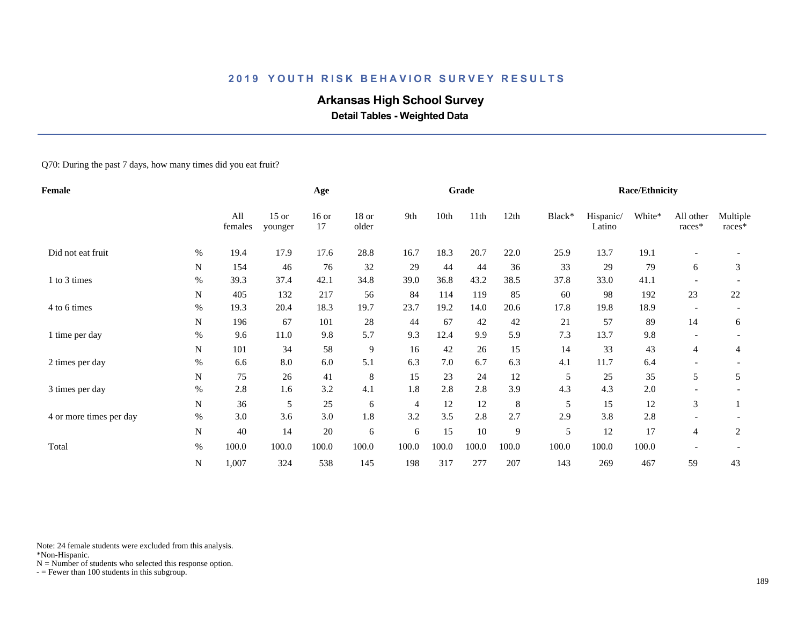# **Arkansas High School Survey**

 **Detail Tables - Weighted Data**

Q70: During the past 7 days, how many times did you eat fruit?

| Female                  |           |                |                    | Age           |                |       |       | Grade |         |        |                     | <b>Race/Ethnicity</b> |                          |                    |
|-------------------------|-----------|----------------|--------------------|---------------|----------------|-------|-------|-------|---------|--------|---------------------|-----------------------|--------------------------|--------------------|
|                         |           | All<br>females | $15$ or<br>younger | $16$ or<br>17 | 18 or<br>older | 9th   | 10th  | 11th  | 12th    | Black* | Hispanic/<br>Latino | White*                | All other<br>races*      | Multiple<br>races* |
| Did not eat fruit       | $\%$      | 19.4           | 17.9               | 17.6          | 28.8           | 16.7  | 18.3  | 20.7  | 22.0    | 25.9   | 13.7                | 19.1                  |                          |                    |
|                         | N         | 154            | 46                 | 76            | 32             | 29    | 44    | 44    | 36      | 33     | 29                  | 79                    | 6                        | 3                  |
| 1 to 3 times            | $\%$      | 39.3           | 37.4               | 42.1          | 34.8           | 39.0  | 36.8  | 43.2  | 38.5    | 37.8   | 33.0                | 41.1                  |                          |                    |
|                         | N         | 405            | 132                | 217           | 56             | 84    | 114   | 119   | 85      | 60     | 98                  | 192                   | $23\,$                   | 22                 |
| 4 to 6 times            | $\%$      | 19.3           | 20.4               | 18.3          | 19.7           | 23.7  | 19.2  | 14.0  | 20.6    | 17.8   | 19.8                | 18.9                  | $\overline{\phantom{a}}$ |                    |
|                         | N         | 196            | 67                 | 101           | 28             | 44    | 67    | 42    | 42      | 21     | 57                  | 89                    | 14                       | 6                  |
| 1 time per day          | $\%$      | 9.6            | 11.0               | 9.8           | 5.7            | 9.3   | 12.4  | 9.9   | 5.9     | 7.3    | 13.7                | 9.8                   |                          |                    |
|                         | N         | 101            | 34                 | 58            | $\overline{9}$ | 16    | 42    | 26    | 15      | 14     | 33                  | 43                    | 4                        | 4                  |
| 2 times per day         | $\%$      | 6.6            | 8.0                | 6.0           | 5.1            | 6.3   | 7.0   | 6.7   | 6.3     | 4.1    | 11.7                | 6.4                   |                          |                    |
|                         | N         | 75             | 26                 | 41            | $\,8\,$        | 15    | 23    | 24    | 12      | 5      | 25                  | 35                    | 5                        | 5                  |
| 3 times per day         | $\%$      | 2.8            | 1.6                | 3.2           | 4.1            | 1.8   | 2.8   | 2.8   | 3.9     | 4.3    | 4.3                 | 2.0                   |                          |                    |
|                         | ${\bf N}$ | 36             | 5                  | 25            | 6              | 4     | 12    | 12    | $\,8\,$ | 5      | 15                  | 12                    | 3                        |                    |
| 4 or more times per day | $\%$      | 3.0            | 3.6                | 3.0           | 1.8            | 3.2   | 3.5   | 2.8   | 2.7     | 2.9    | 3.8                 | 2.8                   |                          |                    |
|                         | N         | 40             | 14                 | 20            | 6              | 6     | 15    | 10    | 9       | 5      | 12                  | 17                    | $\overline{4}$           | 2                  |
| Total                   | $\%$      | 100.0          | 100.0              | 100.0         | 100.0          | 100.0 | 100.0 | 100.0 | 100.0   | 100.0  | 100.0               | 100.0                 |                          |                    |
|                         | N         | 1,007          | 324                | 538           | 145            | 198   | 317   | 277   | 207     | 143    | 269                 | 467                   | 59                       | 43                 |

Note: 24 female students were excluded from this analysis.

\*Non-Hispanic.

 $N =$  Number of students who selected this response option.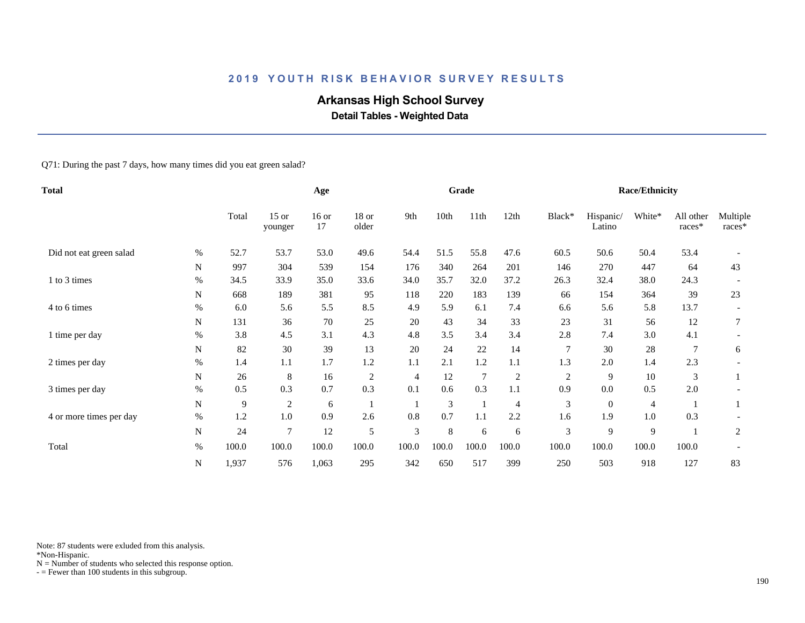# **Arkansas High School Survey**

 **Detail Tables - Weighted Data**

Q71: During the past 7 days, how many times did you eat green salad?

| <b>Total</b>            |           |       |                    | Age           |                |                |       | Grade          |                |                |                     | <b>Race/Ethnicity</b> |                     |                    |
|-------------------------|-----------|-------|--------------------|---------------|----------------|----------------|-------|----------------|----------------|----------------|---------------------|-----------------------|---------------------|--------------------|
|                         |           | Total | $15$ or<br>younger | $16$ or<br>17 | 18 or<br>older | 9th            | 10th  | 11th           | 12th           | Black*         | Hispanic/<br>Latino | White*                | All other<br>races* | Multiple<br>races* |
| Did not eat green salad | $\%$      | 52.7  | 53.7               | 53.0          | 49.6           | 54.4           | 51.5  | 55.8           | 47.6           | 60.5           | 50.6                | 50.4                  | 53.4                |                    |
|                         | N         | 997   | 304                | 539           | 154            | 176            | 340   | 264            | 201            | 146            | 270                 | 447                   | 64                  | 43                 |
| 1 to 3 times            | %         | 34.5  | 33.9               | 35.0          | 33.6           | 34.0           | 35.7  | 32.0           | 37.2           | 26.3           | 32.4                | 38.0                  | 24.3                |                    |
|                         | N         | 668   | 189                | 381           | 95             | 118            | 220   | 183            | 139            | 66             | 154                 | 364                   | 39                  | 23                 |
| 4 to 6 times            | $\%$      | 6.0   | 5.6                | 5.5           | 8.5            | 4.9            | 5.9   | 6.1            | 7.4            | 6.6            | 5.6                 | 5.8                   | 13.7                |                    |
|                         | N         | 131   | 36                 | 70            | 25             | 20             | 43    | 34             | 33             | 23             | 31                  | 56                    | 12                  | 7                  |
| 1 time per day          | $\%$      | 3.8   | 4.5                | 3.1           | 4.3            | 4.8            | 3.5   | 3.4            | 3.4            | 2.8            | 7.4                 | 3.0                   | 4.1                 |                    |
|                         | N         | 82    | 30                 | 39            | 13             | 20             | 24    | 22             | 14             | $\tau$         | 30                  | 28                    |                     | 6                  |
| 2 times per day         | %         | 1.4   | 1.1                | 1.7           | 1.2            | 1.1            | 2.1   | 1.2            | 1.1            | 1.3            | 2.0                 | 1.4                   | 2.3                 |                    |
|                         | N         | 26    | 8                  | 16            | $\sqrt{2}$     | 4              | 12    | $\overline{7}$ | $\sqrt{2}$     | $\overline{2}$ | 9                   | 10                    | 3                   |                    |
| 3 times per day         | $\%$      | 0.5   | 0.3                | 0.7           | 0.3            | 0.1            | 0.6   | 0.3            | 1.1            | 0.9            | $0.0\,$             | 0.5                   | 2.0                 |                    |
|                         | ${\bf N}$ | 9     | $\overline{c}$     | 6             |                |                | 3     |                | $\overline{4}$ | 3              | $\mathbf{0}$        | 4                     |                     |                    |
| 4 or more times per day | $\%$      | 1.2   | 1.0                | 0.9           | 2.6            | 0.8            | 0.7   | 1.1            | 2.2            | 1.6            | 1.9                 | 1.0                   | 0.3                 |                    |
|                         | ${\bf N}$ | 24    | $\overline{7}$     | 12            | 5              | $\mathfrak{Z}$ | 8     | 6              | 6              | $\mathfrak{Z}$ | 9                   | 9                     |                     | $\overline{2}$     |
| Total                   | $\%$      | 100.0 | 100.0              | 100.0         | 100.0          | 100.0          | 100.0 | 100.0          | 100.0          | 100.0          | 100.0               | 100.0                 | 100.0               |                    |
|                         | N         | 1,937 | 576                | 1,063         | 295            | 342            | 650   | 517            | 399            | 250            | 503                 | 918                   | 127                 | 83                 |

Note: 87 students were exluded from this analysis.

\*Non-Hispanic.

 $N =$  Number of students who selected this response option.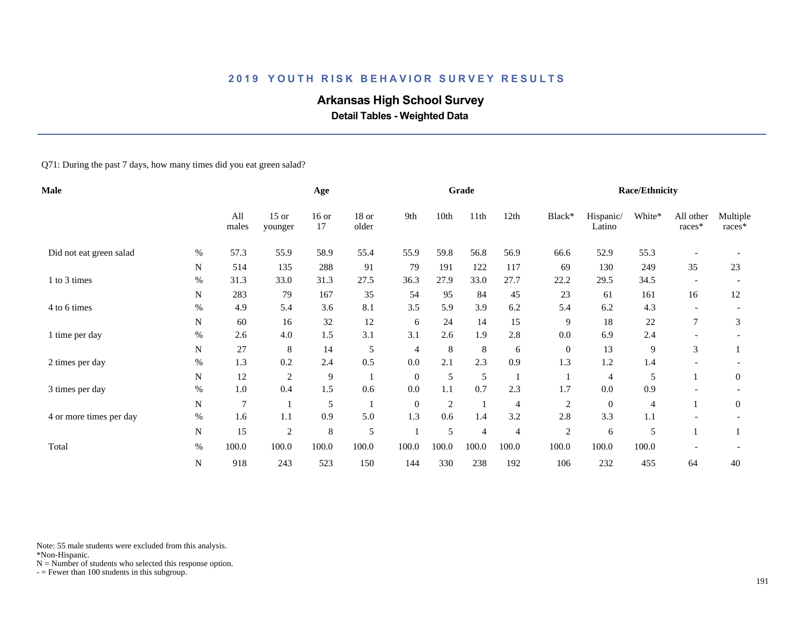# **Arkansas High School Survey**

 **Detail Tables - Weighted Data**

Q71: During the past 7 days, how many times did you eat green salad?

| Male                    |           |                |                    | Age           |                |              |                | Grade          |                |                |                     | <b>Race/Ethnicity</b> |                          |                    |
|-------------------------|-----------|----------------|--------------------|---------------|----------------|--------------|----------------|----------------|----------------|----------------|---------------------|-----------------------|--------------------------|--------------------|
|                         |           | All<br>males   | $15$ or<br>younger | $16$ or<br>17 | 18 or<br>older | 9th          | 10th           | 11th           | 12th           | Black*         | Hispanic/<br>Latino | White*                | All other<br>races*      | Multiple<br>races* |
| Did not eat green salad | $\%$      | 57.3           | 55.9               | 58.9          | 55.4           | 55.9         | 59.8           | 56.8           | 56.9           | 66.6           | 52.9                | 55.3                  |                          |                    |
|                         | N         | 514            | 135                | 288           | 91             | 79           | 191            | 122            | 117            | 69             | 130                 | 249                   | 35                       | 23                 |
| 1 to 3 times            | $\%$      | 31.3           | 33.0               | 31.3          | 27.5           | 36.3         | 27.9           | 33.0           | 27.7           | 22.2           | 29.5                | 34.5                  |                          |                    |
|                         | N         | 283            | 79                 | 167           | 35             | 54           | 95             | 84             | 45             | 23             | 61                  | 161                   | 16                       | 12                 |
| 4 to 6 times            | $\%$      | 4.9            | 5.4                | 3.6           | 8.1            | 3.5          | 5.9            | 3.9            | 6.2            | 5.4            | 6.2                 | 4.3                   | $\overline{\phantom{a}}$ |                    |
|                         | N         | 60             | 16                 | 32            | 12             | 6            | 24             | 14             | 15             | 9              | 18                  | 22                    | 7                        | 3                  |
| 1 time per day          | $\%$      | 2.6            | 4.0                | 1.5           | 3.1            | 3.1          | 2.6            | 1.9            | 2.8            | 0.0            | 6.9                 | 2.4                   |                          |                    |
|                         | N         | 27             | 8                  | 14            | 5              | 4            | 8              | $\,8\,$        | 6              | $\mathbf{0}$   | 13                  | 9                     | 3                        |                    |
| 2 times per day         | $\%$      | 1.3            | 0.2                | 2.4           | 0.5            | 0.0          | 2.1            | 2.3            | 0.9            | 1.3            | 1.2                 | 1.4                   |                          |                    |
|                         | N         | 12             | $\mathfrak{2}$     | 9             |                | $\mathbf{0}$ | 5              | 5              |                |                | 4                   | 5                     |                          | $\mathbf{0}$       |
| 3 times per day         | $\%$      | 1.0            | 0.4                | 1.5           | 0.6            | 0.0          | 1.1            | 0.7            | 2.3            | 1.7            | 0.0                 | 0.9                   |                          |                    |
|                         | ${\bf N}$ | $\overline{7}$ |                    | 5             |                | $\mathbf{0}$ | $\mathfrak{2}$ | $\mathbf{1}$   | $\overline{4}$ | $\mathfrak{2}$ | $\mathbf{0}$        | 4                     |                          | $\overline{0}$     |
| 4 or more times per day | $\%$      | 1.6            | 1.1                | 0.9           | 5.0            | 1.3          | 0.6            | 1.4            | 3.2            | 2.8            | 3.3                 | 1.1                   |                          |                    |
|                         | ${\bf N}$ | 15             | $\sqrt{2}$         | $\,8\,$       | 5              |              | 5              | $\overline{4}$ | $\overline{4}$ | $\sqrt{2}$     | 6                   | 5                     |                          |                    |
| Total                   | $\%$      | 100.0          | 100.0              | 100.0         | 100.0          | 100.0        | 100.0          | 100.0          | 100.0          | 100.0          | 100.0               | 100.0                 |                          |                    |
|                         | N         | 918            | 243                | 523           | 150            | 144          | 330            | 238            | 192            | 106            | 232                 | 455                   | 64                       | 40                 |

Note: 55 male students were excluded from this analysis.

\*Non-Hispanic.

 $N =$  Number of students who selected this response option.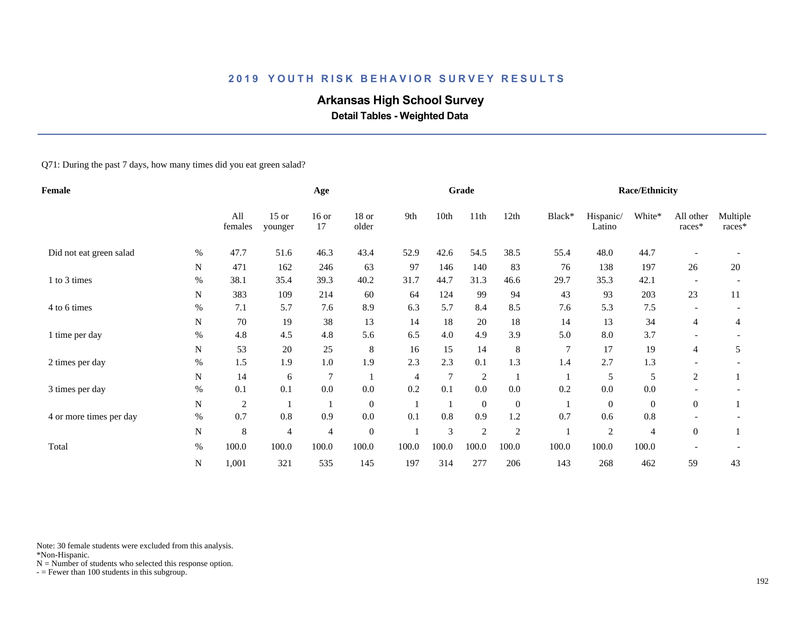# **Arkansas High School Survey**

 **Detail Tables - Weighted Data**

Q71: During the past 7 days, how many times did you eat green salad?

| <b>Female</b>           |           |                |                    | Age            |                  |       |        | Grade          |                |                |                     | <b>Race/Ethnicity</b> |                          |                    |
|-------------------------|-----------|----------------|--------------------|----------------|------------------|-------|--------|----------------|----------------|----------------|---------------------|-----------------------|--------------------------|--------------------|
|                         |           | All<br>females | $15$ or<br>younger | $16$ or<br>17  | 18 or<br>older   | 9th   | 10th   | 11th           | 12th           | Black*         | Hispanic/<br>Latino | White*                | All other<br>races*      | Multiple<br>races* |
| Did not eat green salad | $\%$      | 47.7           | 51.6               | 46.3           | 43.4             | 52.9  | 42.6   | 54.5           | 38.5           | 55.4           | 48.0                | 44.7                  |                          |                    |
|                         | N         | 471            | 162                | 246            | 63               | 97    | 146    | 140            | 83             | 76             | 138                 | 197                   | 26                       | 20                 |
| 1 to 3 times            | $\%$      | 38.1           | 35.4               | 39.3           | 40.2             | 31.7  | 44.7   | 31.3           | 46.6           | 29.7           | 35.3                | 42.1                  |                          |                    |
|                         | N         | 383            | 109                | 214            | 60               | 64    | 124    | 99             | 94             | 43             | 93                  | 203                   | 23                       | 11                 |
| 4 to 6 times            | $\%$      | 7.1            | 5.7                | 7.6            | 8.9              | 6.3   | 5.7    | 8.4            | 8.5            | 7.6            | 5.3                 | 7.5                   | $\overline{\phantom{a}}$ |                    |
|                         | N         | 70             | 19                 | 38             | 13               | 14    | 18     | 20             | 18             | 14             | 13                  | 34                    | 4                        | 4                  |
| 1 time per day          | $\%$      | 4.8            | 4.5                | 4.8            | 5.6              | 6.5   | 4.0    | 4.9            | 3.9            | 5.0            | $8.0\,$             | 3.7                   |                          |                    |
|                         | N         | 53             | 20                 | 25             | 8                | 16    | 15     | 14             | 8              | $\overline{7}$ | 17                  | 19                    | 4                        | 5                  |
| 2 times per day         | $\%$      | 1.5            | 1.9                | 1.0            | 1.9              | 2.3   | 2.3    | 0.1            | 1.3            | 1.4            | 2.7                 | 1.3                   |                          |                    |
|                         | N         | 14             | 6                  | $\overline{7}$ |                  | 4     | $\tau$ | $\sqrt{2}$     |                |                | 5                   | 5                     | 2                        |                    |
| 3 times per day         | $\%$      | 0.1            | 0.1                | $0.0\,$        | $0.0\,$          | 0.2   | 0.1    | $0.0\,$        | 0.0            | 0.2            | 0.0                 | $0.0\,$               |                          |                    |
|                         | ${\bf N}$ | $\mathfrak{2}$ |                    | -1             | $\boldsymbol{0}$ | -1    |        | $\overline{0}$ | $\mathbf{0}$   | -1             | $\mathbf{0}$        | $\boldsymbol{0}$      | $\overline{0}$           |                    |
| 4 or more times per day | $\%$      | 0.7            | 0.8                | 0.9            | $0.0\,$          | 0.1   | 0.8    | 0.9            | 1.2            | 0.7            | 0.6                 | 0.8                   |                          |                    |
|                         | ${\bf N}$ | 8              | 4                  | 4              | $\boldsymbol{0}$ |       | 3      | $\overline{2}$ | $\overline{c}$ |                | 2                   | 4                     | $\overline{0}$           |                    |
| Total                   | $\%$      | 100.0          | 100.0              | 100.0          | 100.0            | 100.0 | 100.0  | 100.0          | 100.0          | 100.0          | 100.0               | 100.0                 |                          |                    |
|                         | N         | 1,001          | 321                | 535            | 145              | 197   | 314    | 277            | 206            | 143            | 268                 | 462                   | 59                       | 43                 |

Note: 30 female students were excluded from this analysis.

\*Non-Hispanic.

 $N =$  Number of students who selected this response option.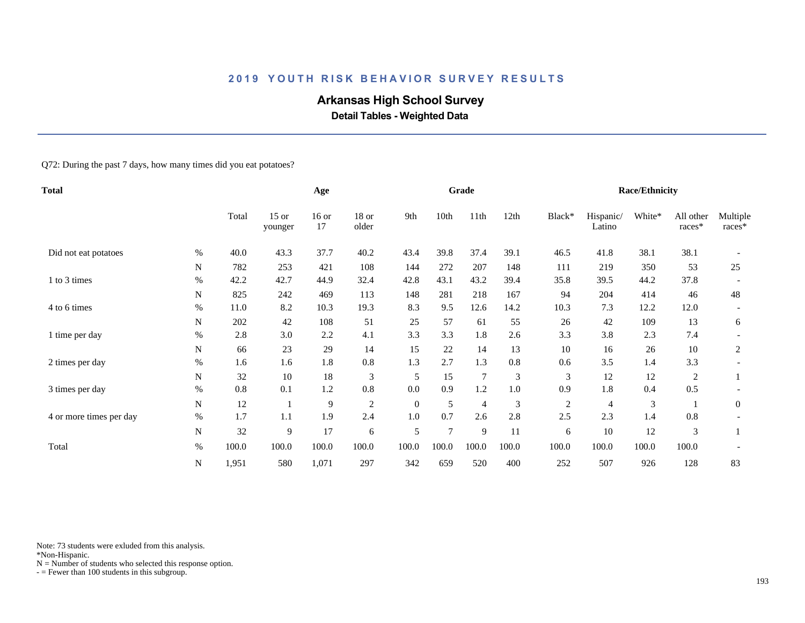# **Arkansas High School Survey**

 **Detail Tables - Weighted Data**

Q72: During the past 7 days, how many times did you eat potatoes?

| <b>Total</b>            |           |       | Age                |               |                |          | Grade  |                |         |                | <b>Race/Ethnicity</b> |        |                     |                    |
|-------------------------|-----------|-------|--------------------|---------------|----------------|----------|--------|----------------|---------|----------------|-----------------------|--------|---------------------|--------------------|
|                         |           | Total | $15$ or<br>younger | $16$ or<br>17 | 18 or<br>older | 9th      | 10th   | 11th           | 12th    | Black*         | Hispanic/<br>Latino   | White* | All other<br>races* | Multiple<br>races* |
| Did not eat potatoes    | %         | 40.0  | 43.3               | 37.7          | 40.2           | 43.4     | 39.8   | 37.4           | 39.1    | 46.5           | 41.8                  | 38.1   | 38.1                |                    |
|                         | N         | 782   | 253                | 421           | 108            | 144      | 272    | 207            | 148     | 111            | 219                   | 350    | 53                  | 25                 |
| 1 to 3 times            | $\%$      | 42.2  | 42.7               | 44.9          | 32.4           | 42.8     | 43.1   | 43.2           | 39.4    | 35.8           | 39.5                  | 44.2   | 37.8                |                    |
|                         | N         | 825   | 242                | 469           | 113            | 148      | 281    | 218            | 167     | 94             | 204                   | 414    | 46                  | 48                 |
| 4 to 6 times            | %         | 11.0  | 8.2                | 10.3          | 19.3           | 8.3      | 9.5    | 12.6           | 14.2    | 10.3           | 7.3                   | 12.2   | 12.0                |                    |
|                         | N         | 202   | 42                 | 108           | 51             | 25       | 57     | 61             | 55      | 26             | 42                    | 109    | 13                  | 6                  |
| 1 time per day          | $\%$      | 2.8   | 3.0                | 2.2           | 4.1            | 3.3      | 3.3    | 1.8            | 2.6     | 3.3            | 3.8                   | 2.3    | 7.4                 |                    |
|                         | N         | 66    | 23                 | 29            | 14             | 15       | 22     | 14             | 13      | 10             | 16                    | 26     | 10                  | $\overline{c}$     |
| 2 times per day         | %         | 1.6   | 1.6                | 1.8           | 0.8            | 1.3      | 2.7    | 1.3            | 0.8     | 0.6            | 3.5                   | 1.4    | 3.3                 |                    |
|                         | N         | 32    | 10                 | 18            | $\mathfrak{Z}$ | 5        | 15     | $\overline{7}$ | 3       | 3              | 12                    | 12     | 2                   |                    |
| 3 times per day         | $\%$      | 0.8   | 0.1                | 1.2           | $0.8\,$        | 0.0      | 0.9    | 1.2            | $1.0\,$ | 0.9            | $1.8\,$               | 0.4    | 0.5                 |                    |
|                         | ${\bf N}$ | 12    |                    | 9             | $\mathfrak{2}$ | $\theta$ | 5      | $\overline{4}$ | 3       | $\overline{c}$ | 4                     | 3      |                     | $\mathbf{0}$       |
| 4 or more times per day | $\%$      | 1.7   | 1.1                | 1.9           | 2.4            | 1.0      | 0.7    | 2.6            | 2.8     | 2.5            | 2.3                   | 1.4    | 0.8                 |                    |
|                         | ${\bf N}$ | 32    | 9                  | 17            | 6              | 5        | $\tau$ | 9              | 11      | 6              | 10                    | 12     | 3                   |                    |
| Total                   | $\%$      | 100.0 | 100.0              | 100.0         | 100.0          | 100.0    | 100.0  | 100.0          | 100.0   | 100.0          | 100.0                 | 100.0  | 100.0               |                    |
|                         | N         | 1,951 | 580                | 1,071         | 297            | 342      | 659    | 520            | 400     | 252            | 507                   | 926    | 128                 | 83                 |

Note: 73 students were exluded from this analysis.

\*Non-Hispanic.

 $N =$  Number of students who selected this response option.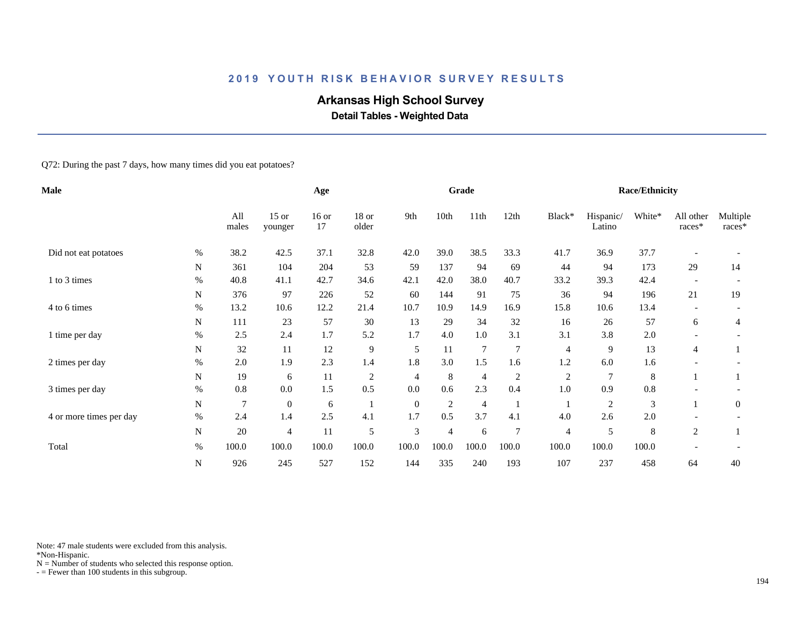# **Arkansas High School Survey**

 **Detail Tables - Weighted Data**

Q72: During the past 7 days, how many times did you eat potatoes?

| <b>Male</b>             |           |                |                    | Age           |                |                |                | Grade          |                |                |                     | <b>Race/Ethnicity</b> |                     |                      |
|-------------------------|-----------|----------------|--------------------|---------------|----------------|----------------|----------------|----------------|----------------|----------------|---------------------|-----------------------|---------------------|----------------------|
|                         |           | All<br>males   | $15$ or<br>younger | $16$ or<br>17 | 18 or<br>older | 9th            | 10th           | 11th           | 12th           | Black*         | Hispanic/<br>Latino | White*                | All other<br>races* | Multiple<br>$races*$ |
| Did not eat potatoes    | $\%$      | 38.2           | 42.5               | 37.1          | 32.8           | 42.0           | 39.0           | 38.5           | 33.3           | 41.7           | 36.9                | 37.7                  |                     |                      |
|                         | N         | 361            | 104                | 204           | 53             | 59             | 137            | 94             | 69             | 44             | 94                  | 173                   | 29                  | 14                   |
| 1 to 3 times            | $\%$      | 40.8           | 41.1               | 42.7          | 34.6           | 42.1           | 42.0           | 38.0           | 40.7           | 33.2           | 39.3                | 42.4                  |                     |                      |
|                         | N         | 376            | 97                 | 226           | 52             | 60             | 144            | 91             | 75             | 36             | 94                  | 196                   | 21                  | 19                   |
| 4 to 6 times            | $\%$      | 13.2           | 10.6               | 12.2          | 21.4           | 10.7           | 10.9           | 14.9           | 16.9           | 15.8           | 10.6                | 13.4                  |                     |                      |
|                         | N         | 111            | 23                 | 57            | 30             | 13             | 29             | 34             | 32             | 16             | 26                  | 57                    | 6                   | 4                    |
| 1 time per day          | $\%$      | 2.5            | 2.4                | 1.7           | 5.2            | 1.7            | 4.0            | 1.0            | 3.1            | 3.1            | 3.8                 | 2.0                   |                     |                      |
|                         | N         | 32             | 11                 | 12            | 9              | 5              | 11             | $\tau$         | 7              | $\overline{4}$ | 9                   | 13                    | 4                   |                      |
| 2 times per day         | $\%$      | $2.0\,$        | 1.9                | 2.3           | 1.4            | 1.8            | 3.0            | 1.5            | 1.6            | 1.2            | 6.0                 | 1.6                   |                     |                      |
|                         | N         | 19             | 6                  | 11            | $\overline{c}$ | 4              | 8              | $\overline{4}$ | $\overline{c}$ | $\overline{c}$ | $\overline{7}$      | 8                     |                     |                      |
| 3 times per day         | $\%$      | 0.8            | 0.0                | 1.5           | 0.5            | 0.0            | 0.6            | 2.3            | 0.4            | 1.0            | 0.9                 | 0.8                   |                     |                      |
|                         | N         | $\overline{7}$ | $\overline{0}$     | 6             |                | $\theta$       | 2              | 4              |                |                | $\overline{c}$      | 3                     |                     | $\mathbf{0}$         |
| 4 or more times per day | $\%$      | 2.4            | 1.4                | 2.5           | 4.1            | 1.7            | 0.5            | 3.7            | 4.1            | 4.0            | 2.6                 | 2.0                   |                     |                      |
|                         | ${\bf N}$ | $20\,$         | 4                  | 11            | 5              | $\mathfrak{Z}$ | $\overline{4}$ | 6              | $\overline{7}$ | 4              | 5                   | 8                     | $\overline{c}$      |                      |
| Total                   | $\%$      | 100.0          | 100.0              | 100.0         | 100.0          | 100.0          | 100.0          | 100.0          | 100.0          | 100.0          | 100.0               | 100.0                 |                     |                      |
|                         | ${\bf N}$ | 926            | 245                | 527           | 152            | 144            | 335            | 240            | 193            | 107            | 237                 | 458                   | 64                  | 40                   |

Note: 47 male students were excluded from this analysis.

\*Non-Hispanic.

 $N =$  Number of students who selected this response option.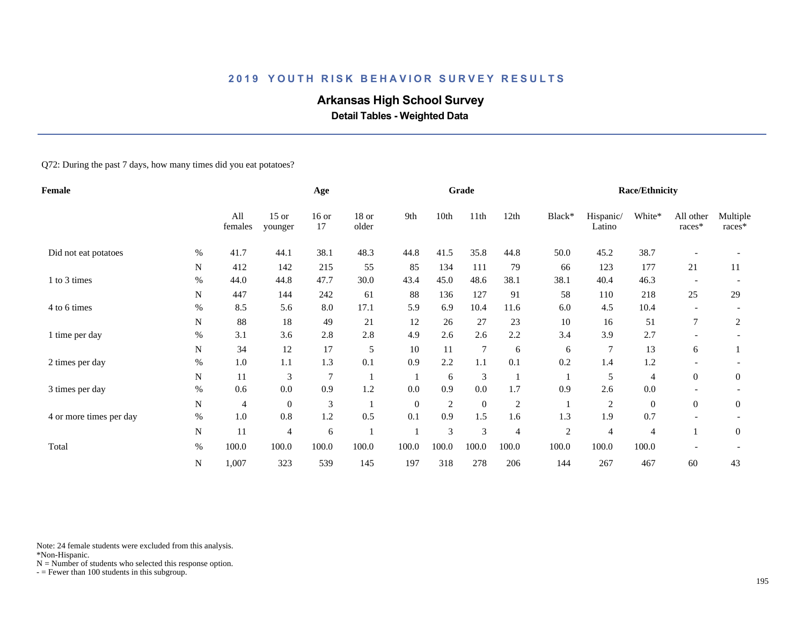# **Arkansas High School Survey**

 **Detail Tables - Weighted Data**

Q72: During the past 7 days, how many times did you eat potatoes?

| Female                  |           |                |                    | Age           |                |          |                | Grade          |                |            |                     | <b>Race/Ethnicity</b> |                     |                      |
|-------------------------|-----------|----------------|--------------------|---------------|----------------|----------|----------------|----------------|----------------|------------|---------------------|-----------------------|---------------------|----------------------|
|                         |           | All<br>females | $15$ or<br>younger | $16$ or<br>17 | 18 or<br>older | 9th      | 10th           | 11th           | 12th           | Black*     | Hispanic/<br>Latino | White*                | All other<br>races* | Multiple<br>$races*$ |
| Did not eat potatoes    | %         | 41.7           | 44.1               | 38.1          | 48.3           | 44.8     | 41.5           | 35.8           | 44.8           | 50.0       | 45.2                | 38.7                  |                     |                      |
|                         | N         | 412            | 142                | 215           | 55             | 85       | 134            | 111            | 79             | 66         | 123                 | 177                   | 21                  | 11                   |
| 1 to 3 times            | $\%$      | 44.0           | 44.8               | 47.7          | 30.0           | 43.4     | 45.0           | 48.6           | 38.1           | 38.1       | 40.4                | 46.3                  |                     |                      |
|                         | N         | 447            | 144                | 242           | 61             | 88       | 136            | 127            | 91             | 58         | 110                 | 218                   | 25                  | 29                   |
| 4 to 6 times            | $\%$      | 8.5            | 5.6                | 8.0           | 17.1           | 5.9      | 6.9            | 10.4           | 11.6           | 6.0        | 4.5                 | 10.4                  |                     |                      |
|                         | N         | 88             | 18                 | 49            | 21             | 12       | 26             | 27             | 23             | 10         | 16                  | 51                    | 7                   | 2                    |
| 1 time per day          | $\%$      | 3.1            | 3.6                | 2.8           | 2.8            | 4.9      | 2.6            | 2.6            | 2.2            | 3.4        | 3.9                 | 2.7                   |                     |                      |
|                         | N         | 34             | 12                 | 17            | 5              | 10       | 11             | $\tau$         | 6              | 6          | 7                   | 13                    | 6                   |                      |
| 2 times per day         | $\%$      | 1.0            | 1.1                | 1.3           | 0.1            | 0.9      | 2.2            | 1.1            | 0.1            | 0.2        | 1.4                 | 1.2                   |                     |                      |
|                         | N         | 11             | $\mathfrak{Z}$     | 7             |                |          | 6              | 3              |                |            | 5                   | $\overline{4}$        | $\overline{0}$      | $\boldsymbol{0}$     |
| 3 times per day         | $\%$      | 0.6            | 0.0                | 0.9           | 1.2            | 0.0      | 0.9            | 0.0            | 1.7            | 0.9        | 2.6                 | 0.0                   |                     |                      |
|                         | N         | 4              | $\mathbf{0}$       | 3             |                | $\theta$ | $\overline{c}$ | $\overline{0}$ | $\overline{c}$ |            | 2                   | $\boldsymbol{0}$      | $\overline{0}$      | $\boldsymbol{0}$     |
| 4 or more times per day | $\%$      | 1.0            | 0.8                | 1.2           | 0.5            | 0.1      | 0.9            | 1.5            | 1.6            | 1.3        | 1.9                 | 0.7                   |                     |                      |
|                         | ${\bf N}$ | 11             | 4                  | 6             |                |          | 3              | $\mathfrak{Z}$ | 4              | $\sqrt{2}$ | 4                   | $\overline{4}$        |                     | $\overline{0}$       |
| Total                   | $\%$      | 100.0          | 100.0              | 100.0         | 100.0          | 100.0    | 100.0          | 100.0          | 100.0          | 100.0      | 100.0               | 100.0                 |                     |                      |
|                         | N         | 1,007          | 323                | 539           | 145            | 197      | 318            | 278            | 206            | 144        | 267                 | 467                   | 60                  | 43                   |

Note: 24 female students were excluded from this analysis.

\*Non-Hispanic.

 $N =$  Number of students who selected this response option.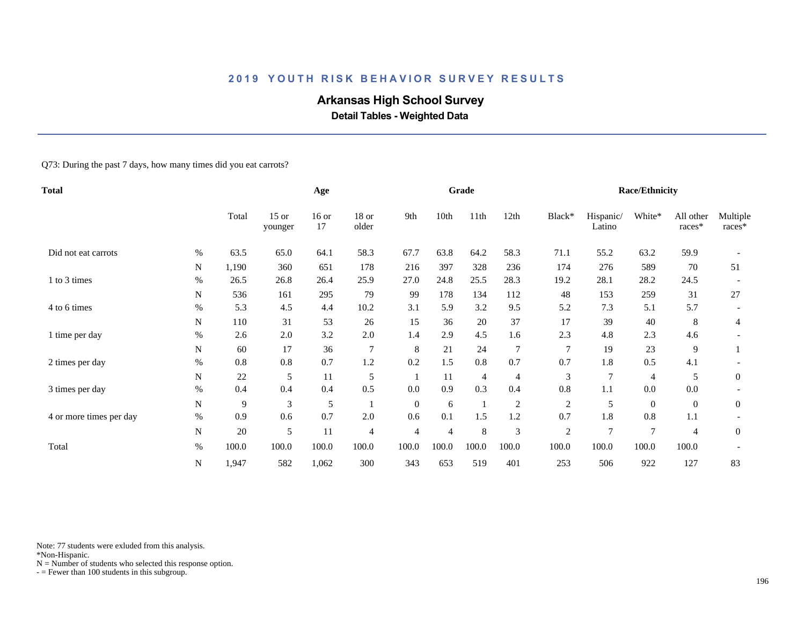# **Arkansas High School Survey**

 **Detail Tables - Weighted Data**

#### Q73: During the past 7 days, how many times did you eat carrots?

| Total                   |           |       |                    | Age           |                |              |       | Grade          |                |                |                     | <b>Race/Ethnicity</b> |                     |                    |
|-------------------------|-----------|-------|--------------------|---------------|----------------|--------------|-------|----------------|----------------|----------------|---------------------|-----------------------|---------------------|--------------------|
|                         |           | Total | $15$ or<br>younger | $16$ or<br>17 | 18 or<br>older | 9th          | 10th  | 11th           | 12th           | Black*         | Hispanic/<br>Latino | White*                | All other<br>races* | Multiple<br>races* |
| Did not eat carrots     | %         | 63.5  | 65.0               | 64.1          | 58.3           | 67.7         | 63.8  | 64.2           | 58.3           | 71.1           | 55.2                | 63.2                  | 59.9                |                    |
|                         | N         | 1,190 | 360                | 651           | 178            | 216          | 397   | 328            | 236            | 174            | 276                 | 589                   | 70                  | 51                 |
| 1 to 3 times            | %         | 26.5  | 26.8               | 26.4          | 25.9           | 27.0         | 24.8  | 25.5           | 28.3           | 19.2           | 28.1                | 28.2                  | 24.5                |                    |
|                         | N         | 536   | 161                | 295           | 79             | 99           | 178   | 134            | 112            | 48             | 153                 | 259                   | 31                  | 27                 |
| 4 to 6 times            | $\%$      | 5.3   | 4.5                | 4.4           | 10.2           | 3.1          | 5.9   | 3.2            | 9.5            | 5.2            | 7.3                 | 5.1                   | 5.7                 |                    |
|                         | N         | 110   | 31                 | 53            | 26             | 15           | 36    | 20             | 37             | 17             | 39                  | 40                    | 8                   | $\overline{4}$     |
| 1 time per day          | $\%$      | 2.6   | 2.0                | 3.2           | 2.0            | 1.4          | 2.9   | 4.5            | 1.6            | 2.3            | 4.8                 | 2.3                   | 4.6                 |                    |
|                         | N         | 60    | 17                 | 36            | $\overline{7}$ | 8            | 21    | 24             | 7              | $\tau$         | 19                  | 23                    | 9                   |                    |
| 2 times per day         | $\%$      | 0.8   | 0.8                | 0.7           | 1.2            | 0.2          | 1.5   | 0.8            | 0.7            | 0.7            | 1.8                 | 0.5                   | 4.1                 |                    |
|                         | N         | 22    | 5                  | 11            | 5              |              | 11    | $\overline{4}$ | $\overline{4}$ | 3              | 7                   | 4                     | 5                   | $\overline{0}$     |
| 3 times per day         | $\%$      | 0.4   | 0.4                | 0.4           | 0.5            | 0.0          | 0.9   | 0.3            | 0.4            | 0.8            | 1.1                 | 0.0                   | 0.0                 |                    |
|                         | ${\bf N}$ | 9     | 3                  | 5             |                | $\mathbf{0}$ | 6     | $\mathbf{1}$   | $\overline{c}$ | $\overline{2}$ | 5                   | $\boldsymbol{0}$      | $\overline{0}$      | $\mathbf{0}$       |
| 4 or more times per day | $\%$      | 0.9   | 0.6                | 0.7           | $2.0\,$        | 0.6          | 0.1   | 1.5            | 1.2            | 0.7            | 1.8                 | 0.8                   | 1.1                 |                    |
|                         | ${\bf N}$ | 20    | 5                  | 11            | 4              | 4            | 4     | 8              | 3              | $\sqrt{2}$     | $\overline{7}$      | $\overline{7}$        | 4                   | $\boldsymbol{0}$   |
| Total                   | $\%$      | 100.0 | 100.0              | 100.0         | 100.0          | 100.0        | 100.0 | 100.0          | 100.0          | 100.0          | 100.0               | 100.0                 | 100.0               |                    |
|                         | ${\bf N}$ | 1,947 | 582                | 1,062         | 300            | 343          | 653   | 519            | 401            | 253            | 506                 | 922                   | 127                 | 83                 |

Note: 77 students were exluded from this analysis.

\*Non-Hispanic.

 $N =$  Number of students who selected this response option.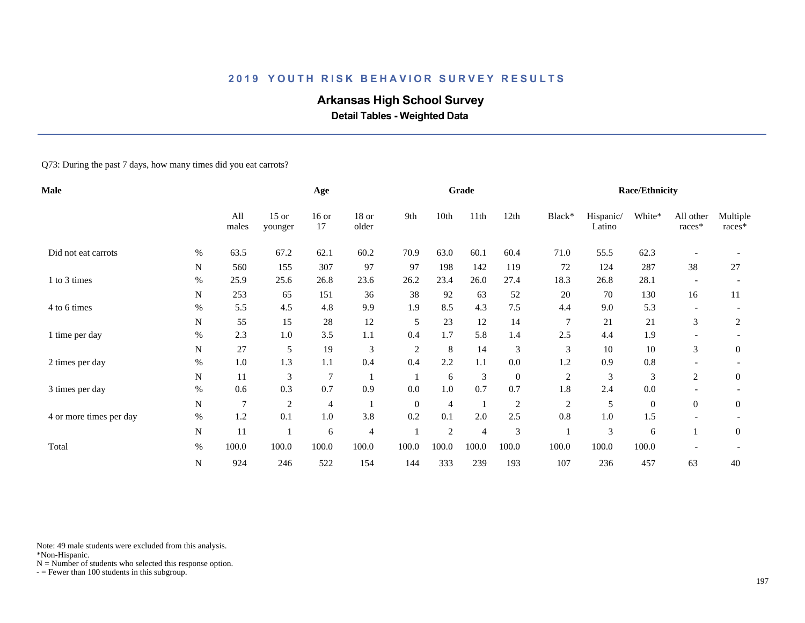# **Arkansas High School Survey**

 **Detail Tables - Weighted Data**

#### Q73: During the past 7 days, how many times did you eat carrots?

| <b>Male</b>             |           |                |                    | Age           |                |                  |                | Grade |                |                |                     | <b>Race/Ethnicity</b> |                          |                    |
|-------------------------|-----------|----------------|--------------------|---------------|----------------|------------------|----------------|-------|----------------|----------------|---------------------|-----------------------|--------------------------|--------------------|
|                         |           | All<br>males   | $15$ or<br>younger | $16$ or<br>17 | 18 or<br>older | 9th              | 10th           | 11th  | 12th           | Black*         | Hispanic/<br>Latino | White*                | All other<br>races*      | Multiple<br>races* |
| Did not eat carrots     | %         | 63.5           | 67.2               | 62.1          | 60.2           | 70.9             | 63.0           | 60.1  | 60.4           | 71.0           | 55.5                | 62.3                  |                          |                    |
|                         | N         | 560            | 155                | 307           | 97             | 97               | 198            | 142   | 119            | 72             | 124                 | 287                   | 38                       | 27                 |
| 1 to 3 times            | %         | 25.9           | 25.6               | 26.8          | 23.6           | 26.2             | 23.4           | 26.0  | 27.4           | 18.3           | 26.8                | 28.1                  |                          |                    |
|                         | N         | 253            | 65                 | 151           | 36             | 38               | 92             | 63    | 52             | 20             | 70                  | 130                   | 16                       | 11                 |
| 4 to 6 times            | $\%$      | 5.5            | 4.5                | 4.8           | 9.9            | 1.9              | 8.5            | 4.3   | 7.5            | 4.4            | 9.0                 | 5.3                   | $\overline{\phantom{a}}$ |                    |
|                         | N         | 55             | 15                 | 28            | 12             | 5                | 23             | 12    | 14             | $\overline{7}$ | 21                  | 21                    | 3                        | 2                  |
| 1 time per day          | $\%$      | 2.3            | $1.0\,$            | 3.5           | 1.1            | 0.4              | 1.7            | 5.8   | 1.4            | 2.5            | 4.4                 | 1.9                   |                          |                    |
|                         | N         | 27             | 5                  | 19            | 3              | $\boldsymbol{2}$ | 8              | 14    | 3              | 3              | 10                  | 10                    | 3                        | $\boldsymbol{0}$   |
| 2 times per day         | $\%$      | $1.0\,$        | 1.3                | 1.1           | 0.4            | 0.4              | 2.2            | 1.1   | 0.0            | 1.2            | 0.9                 | 0.8                   |                          |                    |
|                         | N         | 11             | 3                  | 7             |                |                  | 6              | 3     | $\mathbf{0}$   | $\overline{c}$ | 3                   | 3                     | 2                        | $\boldsymbol{0}$   |
| 3 times per day         | $\%$      | 0.6            | 0.3                | 0.7           | 0.9            | 0.0              | 1.0            | 0.7   | 0.7            | 1.8            | 2.4                 | 0.0                   |                          |                    |
|                         | ${\bf N}$ | $\overline{7}$ | $\mathfrak{2}$     | 4             |                | $\mathbf{0}$     | $\overline{4}$ | - 1   | $\overline{2}$ | $\mathfrak{2}$ | 5                   | $\boldsymbol{0}$      | $\overline{0}$           | $\mathbf{0}$       |
| 4 or more times per day | $\%$      | 1.2            | 0.1                | $1.0\,$       | 3.8            | 0.2              | 0.1            | 2.0   | 2.5            | 0.8            | $1.0\,$             | 1.5                   |                          |                    |
|                         | ${\bf N}$ | 11             |                    | 6             | 4              |                  | 2              | 4     | 3              |                | 3                   | 6                     |                          | $\boldsymbol{0}$   |
| Total                   | $\%$      | 100.0          | 100.0              | 100.0         | 100.0          | 100.0            | 100.0          | 100.0 | 100.0          | 100.0          | 100.0               | 100.0                 |                          |                    |
|                         | ${\bf N}$ | 924            | 246                | 522           | 154            | 144              | 333            | 239   | 193            | 107            | 236                 | 457                   | 63                       | 40                 |

Note: 49 male students were excluded from this analysis.

\*Non-Hispanic.

 $N =$  Number of students who selected this response option.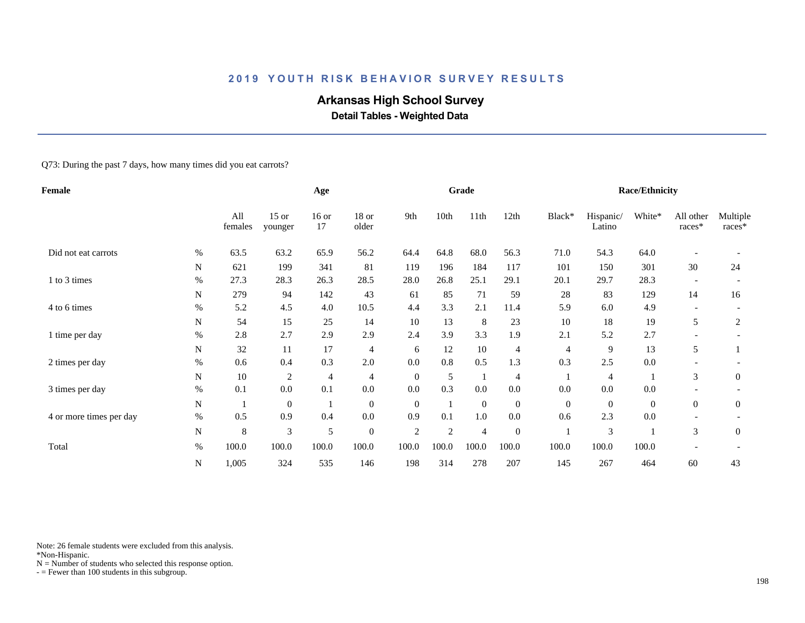# **Arkansas High School Survey**

 **Detail Tables - Weighted Data**

#### Q73: During the past 7 days, how many times did you eat carrots?

| Female                  |           |                |                    | Age           |                  |                  |                | Grade          |                  |                  |                     | <b>Race/Ethnicity</b> |                          |                    |
|-------------------------|-----------|----------------|--------------------|---------------|------------------|------------------|----------------|----------------|------------------|------------------|---------------------|-----------------------|--------------------------|--------------------|
|                         |           | All<br>females | $15$ or<br>younger | $16$ or<br>17 | 18 or<br>older   | 9th              | 10th           | 11th           | 12th             | Black*           | Hispanic/<br>Latino | White*                | All other<br>races*      | Multiple<br>races* |
| Did not eat carrots     | $\%$      | 63.5           | 63.2               | 65.9          | 56.2             | 64.4             | 64.8           | 68.0           | 56.3             | 71.0             | 54.3                | 64.0                  |                          |                    |
|                         | N         | 621            | 199                | 341           | 81               | 119              | 196            | 184            | 117              | 101              | 150                 | 301                   | 30                       | 24                 |
| 1 to 3 times            | %         | 27.3           | 28.3               | 26.3          | 28.5             | 28.0             | 26.8           | 25.1           | 29.1             | 20.1             | 29.7                | 28.3                  |                          |                    |
|                         | N         | 279            | 94                 | 142           | 43               | 61               | 85             | 71             | 59               | 28               | 83                  | 129                   | 14                       | 16                 |
| 4 to 6 times            | $\%$      | 5.2            | 4.5                | 4.0           | 10.5             | 4.4              | 3.3            | 2.1            | 11.4             | 5.9              | 6.0                 | 4.9                   | $\overline{\phantom{a}}$ |                    |
|                         | N         | 54             | 15                 | 25            | 14               | 10               | 13             | 8              | 23               | 10               | 18                  | 19                    | 5                        | 2                  |
| 1 time per day          | $\%$      | 2.8            | 2.7                | 2.9           | 2.9              | 2.4              | 3.9            | 3.3            | 1.9              | 2.1              | 5.2                 | 2.7                   |                          |                    |
|                         | N         | 32             | 11                 | 17            | $\overline{4}$   | 6                | 12             | 10             | $\overline{4}$   | $\overline{4}$   | 9                   | 13                    | 5                        |                    |
| 2 times per day         | $\%$      | 0.6            | 0.4                | 0.3           | 2.0              | 0.0              | 0.8            | 0.5            | 1.3              | 0.3              | 2.5                 | 0.0                   |                          |                    |
|                         | N         | 10             | $\overline{c}$     | 4             | $\overline{4}$   | $\mathbf{0}$     | 5              | $\mathbf{1}$   | $\overline{4}$   |                  | 4                   |                       | 3                        | $\mathbf{0}$       |
| 3 times per day         | $\%$      | 0.1            | 0.0                | 0.1           | 0.0              | 0.0              | 0.3            | 0.0            | 0.0              | 0.0              | 0.0                 | 0.0                   |                          |                    |
|                         | ${\bf N}$ | $\perp$        | $\boldsymbol{0}$   | -1            | $\boldsymbol{0}$ | $\mathbf{0}$     |                | $\mathbf{0}$   | $\boldsymbol{0}$ | $\boldsymbol{0}$ | $\overline{0}$      | $\mathbf{0}$          | $\overline{0}$           | $\mathbf{0}$       |
| 4 or more times per day | $\%$      | 0.5            | 0.9                | 0.4           | $0.0\,$          | 0.9              | 0.1            | 1.0            | 0.0              | 0.6              | 2.3                 | 0.0                   |                          |                    |
|                         | ${\bf N}$ | $\,8\,$        | 3                  | 5             | $\boldsymbol{0}$ | $\boldsymbol{2}$ | $\mathfrak{2}$ | $\overline{4}$ | $\boldsymbol{0}$ |                  | 3                   |                       | 3                        | $\overline{0}$     |
| Total                   | $\%$      | 100.0          | 100.0              | 100.0         | 100.0            | 100.0            | 100.0          | 100.0          | 100.0            | 100.0            | 100.0               | 100.0                 |                          |                    |
|                         | N         | 1,005          | 324                | 535           | 146              | 198              | 314            | 278            | 207              | 145              | 267                 | 464                   | 60                       | 43                 |

Note: 26 female students were excluded from this analysis.

\*Non-Hispanic.

 $N =$  Number of students who selected this response option.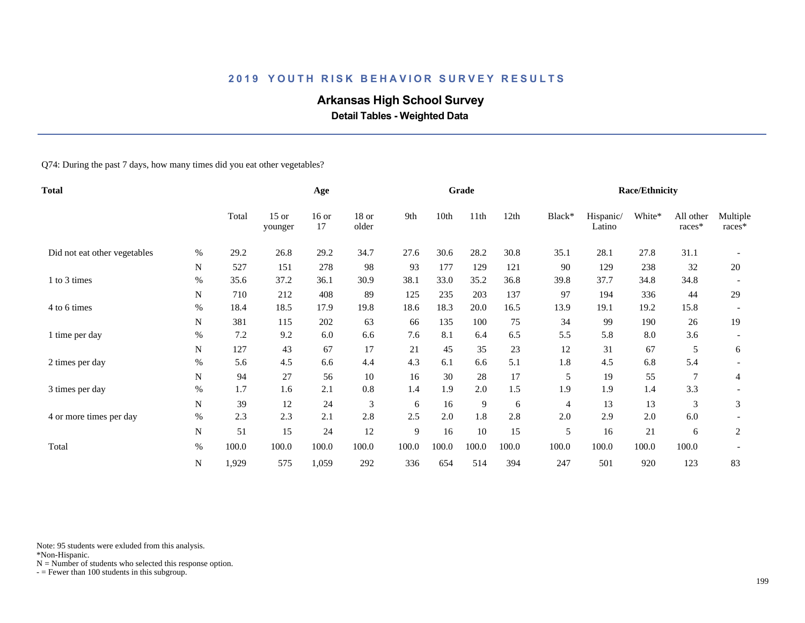# **Arkansas High School Survey**

 **Detail Tables - Weighted Data**

Q74: During the past 7 days, how many times did you eat other vegetables?

| <b>Total</b>                 |           |       | Age                |               |                |       | Grade |       |       |        | <b>Race/Ethnicity</b> |        |                     |                    |
|------------------------------|-----------|-------|--------------------|---------------|----------------|-------|-------|-------|-------|--------|-----------------------|--------|---------------------|--------------------|
|                              |           | Total | $15$ or<br>younger | $16$ or<br>17 | 18 or<br>older | 9th   | 10th  | 11th  | 12th  | Black* | Hispanic/<br>Latino   | White* | All other<br>races* | Multiple<br>races* |
| Did not eat other vegetables | %         | 29.2  | 26.8               | 29.2          | 34.7           | 27.6  | 30.6  | 28.2  | 30.8  | 35.1   | 28.1                  | 27.8   | 31.1                |                    |
|                              | N         | 527   | 151                | 278           | 98             | 93    | 177   | 129   | 121   | 90     | 129                   | 238    | 32                  | 20                 |
| 1 to 3 times                 | $\%$      | 35.6  | 37.2               | 36.1          | 30.9           | 38.1  | 33.0  | 35.2  | 36.8  | 39.8   | 37.7                  | 34.8   | 34.8                |                    |
|                              | N         | 710   | 212                | 408           | 89             | 125   | 235   | 203   | 137   | 97     | 194                   | 336    | 44                  | 29                 |
| 4 to 6 times                 | %         | 18.4  | 18.5               | 17.9          | 19.8           | 18.6  | 18.3  | 20.0  | 16.5  | 13.9   | 19.1                  | 19.2   | 15.8                |                    |
|                              | N         | 381   | 115                | 202           | 63             | 66    | 135   | 100   | 75    | 34     | 99                    | 190    | 26                  | 19                 |
| 1 time per day               | $\%$      | 7.2   | 9.2                | 6.0           | 6.6            | 7.6   | 8.1   | 6.4   | 6.5   | 5.5    | 5.8                   | 8.0    | 3.6                 |                    |
|                              | N         | 127   | 43                 | 67            | 17             | 21    | 45    | 35    | 23    | 12     | 31                    | 67     | 5                   | 6                  |
| 2 times per day              | %         | 5.6   | 4.5                | 6.6           | 4.4            | 4.3   | 6.1   | 6.6   | 5.1   | 1.8    | 4.5                   | 6.8    | 5.4                 |                    |
|                              | N         | 94    | 27                 | 56            | 10             | 16    | 30    | 28    | 17    | 5      | 19                    | 55     | $\tau$              | 4                  |
| 3 times per day              | $\%$      | 1.7   | 1.6                | 2.1           | $0.8\,$        | 1.4   | 1.9   | 2.0   | 1.5   | 1.9    | 1.9                   | 1.4    | 3.3                 |                    |
|                              | ${\bf N}$ | 39    | 12                 | 24            | 3              | 6     | 16    | 9     | 6     | 4      | 13                    | 13     | 3                   | 3                  |
| 4 or more times per day      | $\%$      | 2.3   | 2.3                | 2.1           | 2.8            | 2.5   | 2.0   | 1.8   | 2.8   | 2.0    | 2.9                   | 2.0    | 6.0                 |                    |
|                              | ${\bf N}$ | 51    | 15                 | 24            | 12             | 9     | 16    | 10    | 15    | 5      | 16                    | 21     | 6                   | 2                  |
| Total                        | $\%$      | 100.0 | 100.0              | 100.0         | 100.0          | 100.0 | 100.0 | 100.0 | 100.0 | 100.0  | 100.0                 | 100.0  | 100.0               |                    |
|                              | N         | 1,929 | 575                | 1,059         | 292            | 336   | 654   | 514   | 394   | 247    | 501                   | 920    | 123                 | 83                 |

Note: 95 students were exluded from this analysis.

\*Non-Hispanic.

 $N =$  Number of students who selected this response option.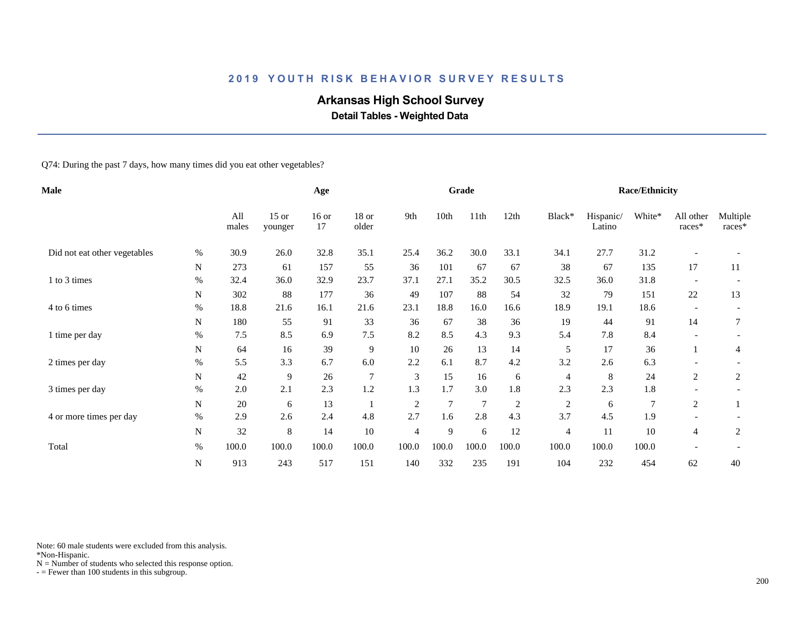# **Arkansas High School Survey**

 **Detail Tables - Weighted Data**

Q74: During the past 7 days, how many times did you eat other vegetables?

| Male                         |           |              |                    | Age           |                |                |       | Grade           |                |                |                     | <b>Race/Ethnicity</b> |                          |                    |
|------------------------------|-----------|--------------|--------------------|---------------|----------------|----------------|-------|-----------------|----------------|----------------|---------------------|-----------------------|--------------------------|--------------------|
|                              |           | All<br>males | $15$ or<br>younger | $16$ or<br>17 | 18 or<br>older | 9th            | 10th  | 11th            | 12th           | Black*         | Hispanic/<br>Latino | White*                | All other<br>races*      | Multiple<br>races* |
| Did not eat other vegetables | %         | 30.9         | 26.0               | 32.8          | 35.1           | 25.4           | 36.2  | 30.0            | 33.1           | 34.1           | 27.7                | 31.2                  |                          |                    |
|                              | N         | 273          | 61                 | 157           | 55             | 36             | 101   | 67              | 67             | 38             | 67                  | 135                   | 17                       | 11                 |
| 1 to 3 times                 | $\%$      | 32.4         | 36.0               | 32.9          | 23.7           | 37.1           | 27.1  | 35.2            | 30.5           | 32.5           | 36.0                | 31.8                  |                          |                    |
|                              | N         | 302          | 88                 | 177           | 36             | 49             | 107   | 88              | 54             | 32             | 79                  | 151                   | 22                       | 13                 |
| 4 to 6 times                 | %         | 18.8         | 21.6               | 16.1          | 21.6           | 23.1           | 18.8  | 16.0            | 16.6           | 18.9           | 19.1                | 18.6                  | $\overline{\phantom{a}}$ |                    |
|                              | N         | 180          | 55                 | 91            | 33             | 36             | 67    | 38              | 36             | 19             | 44                  | 91                    | 14                       | 7                  |
| 1 time per day               | $\%$      | 7.5          | 8.5                | 6.9           | 7.5            | 8.2            | 8.5   | 4.3             | 9.3            | 5.4            | 7.8                 | 8.4                   |                          |                    |
|                              | N         | 64           | 16                 | 39            | $\overline{9}$ | 10             | 26    | 13              | 14             | 5              | 17                  | 36                    |                          | 4                  |
| 2 times per day              | %         | 5.5          | 3.3                | 6.7           | 6.0            | 2.2            | 6.1   | 8.7             | 4.2            | 3.2            | 2.6                 | 6.3                   |                          |                    |
|                              | N         | 42           | 9                  | 26            | $\overline{7}$ | 3              | 15    | 16              | 6              | 4              | 8                   | 24                    | 2                        | $\overline{2}$     |
| 3 times per day              | $\%$      | 2.0          | 2.1                | 2.3           | 1.2            | 1.3            | 1.7   | 3.0             | 1.8            | 2.3            | 2.3                 | 1.8                   |                          |                    |
|                              | ${\bf N}$ | 20           | 6                  | 13            |                | $\overline{2}$ | 7     | $7\phantom{.0}$ | $\overline{2}$ | 2              | 6                   | $\overline{7}$        | 2                        |                    |
| 4 or more times per day      | $\%$      | 2.9          | 2.6                | 2.4           | 4.8            | 2.7            | 1.6   | 2.8             | 4.3            | 3.7            | 4.5                 | 1.9                   |                          |                    |
|                              | ${\bf N}$ | 32           | 8                  | 14            | 10             | 4              | 9     | 6               | 12             | $\overline{4}$ | 11                  | 10                    | $\overline{4}$           | 2                  |
| Total                        | $\%$      | 100.0        | 100.0              | 100.0         | 100.0          | 100.0          | 100.0 | 100.0           | 100.0          | 100.0          | 100.0               | 100.0                 |                          |                    |
|                              | ${\bf N}$ | 913          | 243                | 517           | 151            | 140            | 332   | 235             | 191            | 104            | 232                 | 454                   | 62                       | 40                 |

Note: 60 male students were excluded from this analysis.

\*Non-Hispanic.

 $N =$  Number of students who selected this response option.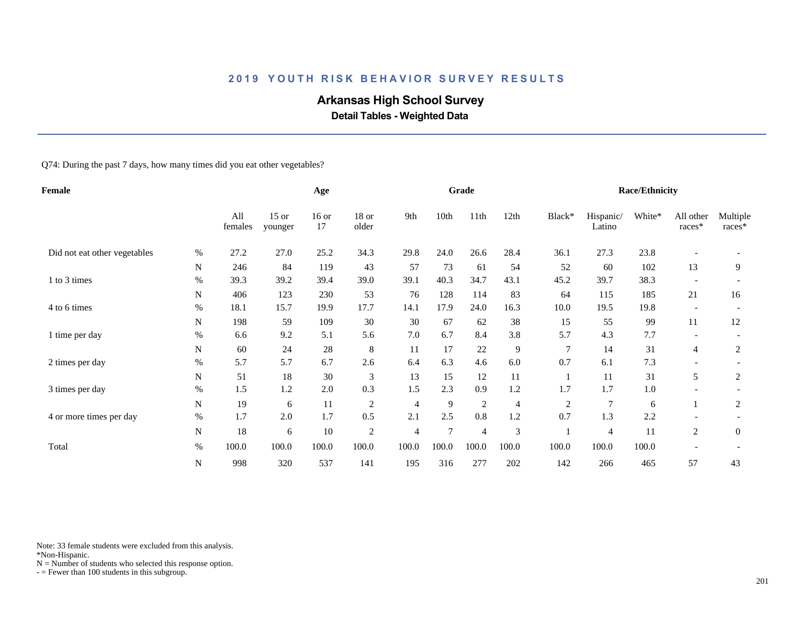# **Arkansas High School Survey**

 **Detail Tables - Weighted Data**

Q74: During the past 7 days, how many times did you eat other vegetables?

| Female                       |             |                |                    | Age           |                  |                |        | Grade          |       |                |                     | <b>Race/Ethnicity</b> |                          |                    |
|------------------------------|-------------|----------------|--------------------|---------------|------------------|----------------|--------|----------------|-------|----------------|---------------------|-----------------------|--------------------------|--------------------|
|                              |             | All<br>females | $15$ or<br>younger | $16$ or<br>17 | $18$ or<br>older | 9th            | 10th   | 11th           | 12th  | Black*         | Hispanic/<br>Latino | White*                | All other<br>races*      | Multiple<br>races* |
| Did not eat other vegetables | %           | 27.2           | 27.0               | 25.2          | 34.3             | 29.8           | 24.0   | 26.6           | 28.4  | 36.1           | 27.3                | 23.8                  |                          |                    |
|                              | N           | 246            | 84                 | 119           | 43               | 57             | 73     | 61             | 54    | 52             | 60                  | 102                   | 13                       | 9                  |
| 1 to 3 times                 | $\%$        | 39.3           | 39.2               | 39.4          | 39.0             | 39.1           | 40.3   | 34.7           | 43.1  | 45.2           | 39.7                | 38.3                  |                          |                    |
|                              | N           | 406            | 123                | 230           | 53               | 76             | 128    | 114            | 83    | 64             | 115                 | 185                   | 21                       | 16                 |
| 4 to 6 times                 | $\%$        | 18.1           | 15.7               | 19.9          | 17.7             | 14.1           | 17.9   | 24.0           | 16.3  | 10.0           | 19.5                | 19.8                  | $\overline{\phantom{a}}$ |                    |
|                              | N           | 198            | 59                 | 109           | 30               | 30             | 67     | 62             | 38    | 15             | 55                  | 99                    | 11                       | 12                 |
| 1 time per day               | $\%$        | 6.6            | 9.2                | 5.1           | 5.6              | 7.0            | 6.7    | 8.4            | 3.8   | 5.7            | 4.3                 | 7.7                   |                          |                    |
|                              | N           | 60             | 24                 | 28            | 8                | 11             | 17     | 22             | 9     | $\overline{7}$ | 14                  | 31                    | 4                        | 2                  |
| 2 times per day              | $\%$        | 5.7            | 5.7                | 6.7           | 2.6              | 6.4            | 6.3    | 4.6            | 6.0   | 0.7            | 6.1                 | 7.3                   |                          |                    |
|                              | N           | 51             | 18                 | 30            | 3                | 13             | 15     | 12             | 11    |                | 11                  | 31                    | 5                        | $\overline{c}$     |
| 3 times per day              | $\%$        | 1.5            | 1.2                | 2.0           | 0.3              | 1.5            | 2.3    | 0.9            | 1.2   | 1.7            | 1.7                 | 1.0                   |                          |                    |
|                              | $\mathbf N$ | 19             | 6                  | 11            | $\overline{c}$   | $\overline{4}$ | 9      | $\overline{2}$ | 4     | $\overline{c}$ | 7                   | 6                     |                          | $\overline{c}$     |
| 4 or more times per day      | $\%$        | 1.7            | 2.0                | 1.7           | 0.5              | 2.1            | 2.5    | 0.8            | 1.2   | 0.7            | 1.3                 | 2.2                   |                          |                    |
|                              | ${\bf N}$   | 18             | 6                  | 10            | $\sqrt{2}$       | 4              | $\tau$ | $\overline{4}$ | 3     |                | 4                   | 11                    | $\overline{c}$           | $\overline{0}$     |
| Total                        | $\%$        | 100.0          | 100.0              | 100.0         | 100.0            | 100.0          | 100.0  | 100.0          | 100.0 | 100.0          | 100.0               | 100.0                 |                          |                    |
|                              | ${\bf N}$   | 998            | 320                | 537           | 141              | 195            | 316    | 277            | 202   | 142            | 266                 | 465                   | 57                       | 43                 |

Note: 33 female students were excluded from this analysis.

\*Non-Hispanic.

 $N =$  Number of students who selected this response option.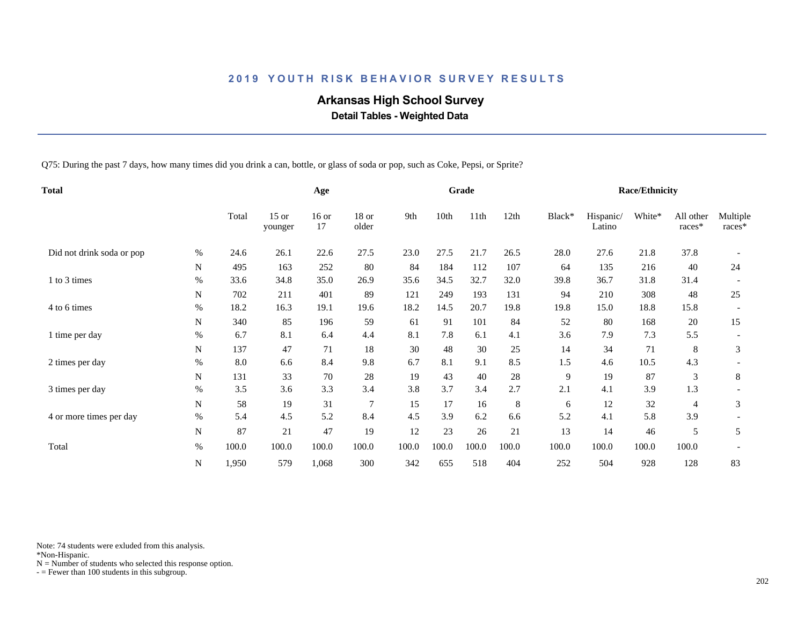# **Arkansas High School Survey**

 **Detail Tables - Weighted Data**

Q75: During the past 7 days, how many times did you drink a can, bottle, or glass of soda or pop, such as Coke, Pepsi, or Sprite?

| <b>Total</b>              |           |       | Age                |               |                |       | Grade |       |       |        | <b>Race/Ethnicity</b> |        |                     |                    |
|---------------------------|-----------|-------|--------------------|---------------|----------------|-------|-------|-------|-------|--------|-----------------------|--------|---------------------|--------------------|
|                           |           | Total | $15$ or<br>younger | $16$ or<br>17 | 18 or<br>older | 9th   | 10th  | 11th  | 12th  | Black* | Hispanic/<br>Latino   | White* | All other<br>races* | Multiple<br>races* |
| Did not drink soda or pop | %         | 24.6  | 26.1               | 22.6          | 27.5           | 23.0  | 27.5  | 21.7  | 26.5  | 28.0   | 27.6                  | 21.8   | 37.8                |                    |
|                           | N         | 495   | 163                | 252           | 80             | 84    | 184   | 112   | 107   | 64     | 135                   | 216    | 40                  | 24                 |
| 1 to 3 times              | %         | 33.6  | 34.8               | 35.0          | 26.9           | 35.6  | 34.5  | 32.7  | 32.0  | 39.8   | 36.7                  | 31.8   | 31.4                |                    |
|                           | N         | 702   | 211                | 401           | 89             | 121   | 249   | 193   | 131   | 94     | 210                   | 308    | 48                  | 25                 |
| 4 to 6 times              | %         | 18.2  | 16.3               | 19.1          | 19.6           | 18.2  | 14.5  | 20.7  | 19.8  | 19.8   | 15.0                  | 18.8   | 15.8                |                    |
|                           | N         | 340   | 85                 | 196           | 59             | 61    | 91    | 101   | 84    | 52     | 80                    | 168    | 20                  | 15                 |
| 1 time per day            | $\%$      | 6.7   | 8.1                | 6.4           | 4.4            | 8.1   | 7.8   | 6.1   | 4.1   | 3.6    | 7.9                   | 7.3    | 5.5                 |                    |
|                           | N         | 137   | 47                 | 71            | 18             | 30    | 48    | 30    | 25    | 14     | 34                    | 71     | 8                   | 3                  |
| 2 times per day           | %         | 8.0   | 6.6                | 8.4           | 9.8            | 6.7   | 8.1   | 9.1   | 8.5   | 1.5    | 4.6                   | 10.5   | 4.3                 |                    |
|                           | N         | 131   | 33                 | 70            | 28             | 19    | 43    | 40    | 28    | 9      | 19                    | 87     | 3                   | $\,8\,$            |
| 3 times per day           | $\%$      | 3.5   | 3.6                | 3.3           | 3.4            | 3.8   | 3.7   | 3.4   | 2.7   | 2.1    | 4.1                   | 3.9    | 1.3                 |                    |
|                           | ${\bf N}$ | 58    | 19                 | 31            | $\overline{7}$ | 15    | 17    | 16    | 8     | 6      | 12                    | 32     | 4                   | 3                  |
| 4 or more times per day   | $\%$      | 5.4   | 4.5                | 5.2           | 8.4            | 4.5   | 3.9   | 6.2   | 6.6   | 5.2    | 4.1                   | 5.8    | 3.9                 |                    |
|                           | ${\bf N}$ | 87    | 21                 | 47            | 19             | 12    | 23    | 26    | 21    | 13     | 14                    | 46     | 5                   | 5                  |
| Total                     | $\%$      | 100.0 | 100.0              | 100.0         | 100.0          | 100.0 | 100.0 | 100.0 | 100.0 | 100.0  | 100.0                 | 100.0  | 100.0               |                    |
|                           | ${\bf N}$ | 1,950 | 579                | 1,068         | 300            | 342   | 655   | 518   | 404   | 252    | 504                   | 928    | 128                 | 83                 |

Note: 74 students were exluded from this analysis.

\*Non-Hispanic.

 $N =$  Number of students who selected this response option.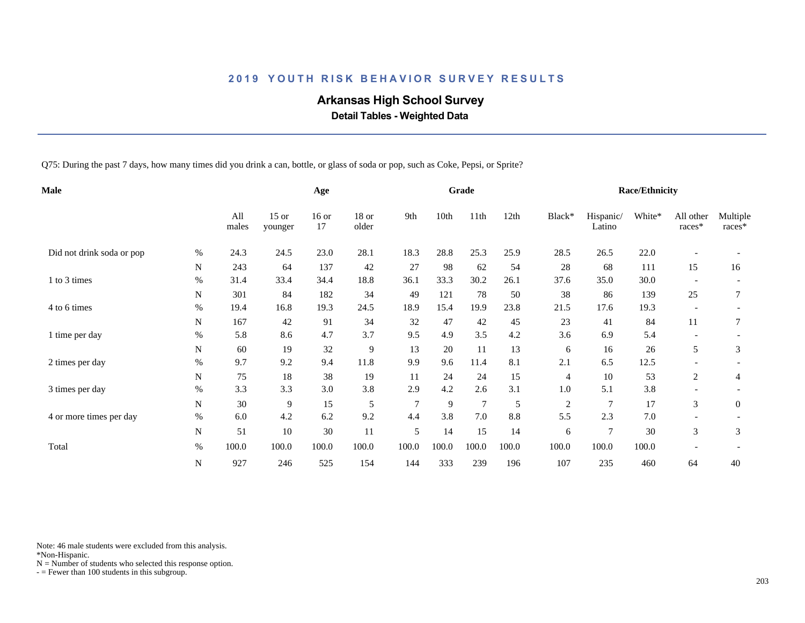# **Arkansas High School Survey**

 **Detail Tables - Weighted Data**

Q75: During the past 7 days, how many times did you drink a can, bottle, or glass of soda or pop, such as Coke, Pepsi, or Sprite?

| Male                      |             |              |                    | Age           |                  |        |       | Grade          |       |                |                     | <b>Race/Ethnicity</b> |                          |                    |
|---------------------------|-------------|--------------|--------------------|---------------|------------------|--------|-------|----------------|-------|----------------|---------------------|-----------------------|--------------------------|--------------------|
|                           |             | All<br>males | $15$ or<br>younger | $16$ or<br>17 | $18$ or<br>older | 9th    | 10th  | 11th           | 12th  | Black*         | Hispanic/<br>Latino | White*                | All other<br>races*      | Multiple<br>races* |
| Did not drink soda or pop | $\%$        | 24.3         | 24.5               | 23.0          | 28.1             | 18.3   | 28.8  | 25.3           | 25.9  | 28.5           | 26.5                | 22.0                  |                          |                    |
|                           | N           | 243          | 64                 | 137           | 42               | 27     | 98    | 62             | 54    | 28             | 68                  | 111                   | 15                       | 16                 |
| 1 to 3 times              | %           | 31.4         | 33.4               | 34.4          | 18.8             | 36.1   | 33.3  | 30.2           | 26.1  | 37.6           | 35.0                | 30.0                  |                          |                    |
|                           | N           | 301          | 84                 | 182           | 34               | 49     | 121   | 78             | 50    | 38             | 86                  | 139                   | 25                       |                    |
| 4 to 6 times              | $\%$        | 19.4         | 16.8               | 19.3          | 24.5             | 18.9   | 15.4  | 19.9           | 23.8  | 21.5           | 17.6                | 19.3                  | $\overline{\phantom{a}}$ |                    |
|                           | N           | 167          | 42                 | 91            | 34               | 32     | 47    | 42             | 45    | 23             | 41                  | 84                    | 11                       | 7                  |
| 1 time per day            | $\%$        | 5.8          | 8.6                | 4.7           | 3.7              | 9.5    | 4.9   | 3.5            | 4.2   | 3.6            | 6.9                 | 5.4                   |                          |                    |
|                           | N           | 60           | 19                 | 32            | 9                | 13     | 20    | 11             | 13    | 6              | 16                  | 26                    | 5                        | 3                  |
| 2 times per day           | $\%$        | 9.7          | 9.2                | 9.4           | 11.8             | 9.9    | 9.6   | 11.4           | 8.1   | 2.1            | 6.5                 | 12.5                  |                          |                    |
|                           | N           | 75           | 18                 | 38            | 19               | 11     | 24    | 24             | 15    | $\overline{4}$ | 10                  | 53                    | 2                        | 4                  |
| 3 times per day           | $\%$        | 3.3          | 3.3                | 3.0           | 3.8              | 2.9    | 4.2   | 2.6            | 3.1   | 1.0            | 5.1                 | 3.8                   |                          |                    |
|                           | $\mathbf N$ | 30           | 9                  | 15            | 5                | $\tau$ | 9     | $\overline{7}$ | 5     | $\overline{c}$ | $\overline{7}$      | 17                    | 3                        | $\mathbf{0}$       |
| 4 or more times per day   | $\%$        | 6.0          | 4.2                | 6.2           | 9.2              | 4.4    | 3.8   | 7.0            | 8.8   | 5.5            | 2.3                 | 7.0                   |                          |                    |
|                           | ${\bf N}$   | 51           | 10                 | 30            | 11               | 5      | 14    | 15             | 14    | 6              | $\overline{7}$      | 30                    | 3                        | 3                  |
| Total                     | $\%$        | 100.0        | 100.0              | 100.0         | 100.0            | 100.0  | 100.0 | 100.0          | 100.0 | 100.0          | 100.0               | 100.0                 |                          |                    |
|                           | ${\bf N}$   | 927          | 246                | 525           | 154              | 144    | 333   | 239            | 196   | 107            | 235                 | 460                   | 64                       | 40                 |

Note: 46 male students were excluded from this analysis.

\*Non-Hispanic.

 $N =$  Number of students who selected this response option.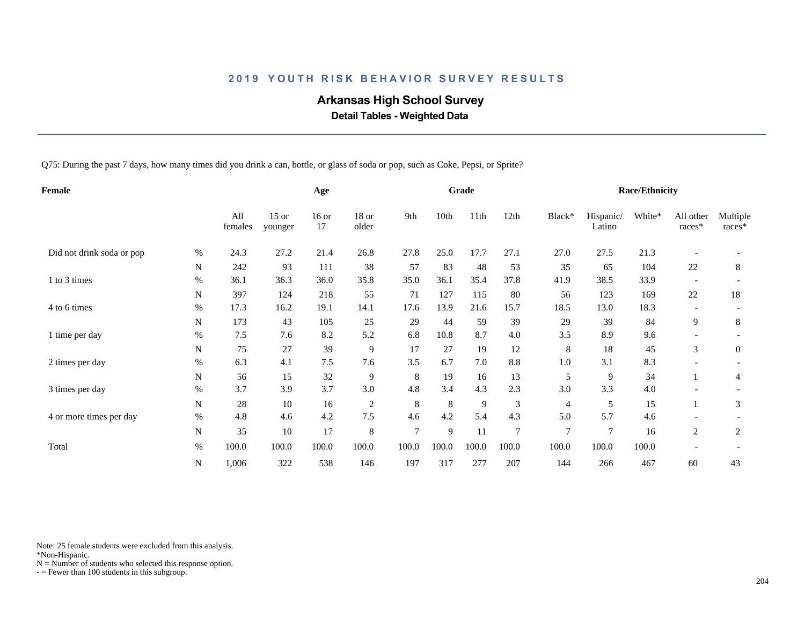# **Arkansas High School Survey**

 **Detail Tables - Weighted Data**

Q75: During the past 7 days, how many times did you drink a can, bottle, or glass of soda or pop, such as Coke, Pepsi, or Sprite?

| Female                    |             |                |                    | Age           |                |                |       | Grade |                |                |                     | <b>Race/Ethnicity</b> |                          |                    |
|---------------------------|-------------|----------------|--------------------|---------------|----------------|----------------|-------|-------|----------------|----------------|---------------------|-----------------------|--------------------------|--------------------|
|                           |             | All<br>females | $15$ or<br>younger | $16$ or<br>17 | 18 or<br>older | 9th            | 10th  | 11th  | 12th           | Black*         | Hispanic/<br>Latino | White*                | All other<br>races*      | Multiple<br>races* |
| Did not drink soda or pop | %           | 24.3           | 27.2               | 21.4          | 26.8           | 27.8           | 25.0  | 17.7  | 27.1           | 27.0           | 27.5                | 21.3                  |                          |                    |
|                           | $\mathbf N$ | 242            | 93                 | 111           | 38             | 57             | 83    | 48    | 53             | 35             | 65                  | 104                   | 22                       | 8                  |
| 1 to 3 times              | $\%$        | 36.1           | 36.3               | 36.0          | 35.8           | 35.0           | 36.1  | 35.4  | 37.8           | 41.9           | 38.5                | 33.9                  |                          |                    |
|                           | N           | 397            | 124                | 218           | 55             | 71             | 127   | 115   | 80             | 56             | 123                 | 169                   | $22\,$                   | 18                 |
| 4 to 6 times              | %           | 17.3           | 16.2               | 19.1          | 14.1           | 17.6           | 13.9  | 21.6  | 15.7           | 18.5           | 13.0                | 18.3                  | $\overline{\phantom{0}}$ |                    |
|                           | N           | 173            | 43                 | 105           | 25             | 29             | 44    | 59    | 39             | 29             | 39                  | 84                    | 9                        | 8                  |
| 1 time per day            | $\%$        | 7.5            | 7.6                | 8.2           | 5.2            | 6.8            | 10.8  | 8.7   | 4.0            | 3.5            | 8.9                 | 9.6                   |                          |                    |
|                           | N           | 75             | 27                 | 39            | 9              | 17             | 27    | 19    | 12             | 8              | 18                  | 45                    | 3                        | $\overline{0}$     |
| 2 times per day           | $\%$        | 6.3            | 4.1                | $7.5$         | 7.6            | 3.5            | 6.7   | 7.0   | 8.8            | 1.0            | 3.1                 | 8.3                   |                          |                    |
|                           | N           | 56             | 15                 | 32            | 9              | 8              | 19    | 16    | 13             | 5              | 9                   | 34                    |                          | 4                  |
| 3 times per day           | $\%$        | 3.7            | 3.9                | 3.7           | 3.0            | 4.8            | 3.4   | 4.3   | 2.3            | 3.0            | 3.3                 | 4.0                   |                          |                    |
|                           | $\mathbf N$ | 28             | 10                 | 16            | $\overline{c}$ | $\,8\,$        | 8     | 9     | 3              | 4              | 5                   | 15                    |                          | 3                  |
| 4 or more times per day   | $\%$        | 4.8            | 4.6                | 4.2           | 7.5            | 4.6            | 4.2   | 5.4   | 4.3            | 5.0            | 5.7                 | 4.6                   |                          |                    |
|                           | ${\bf N}$   | 35             | 10                 | 17            | 8              | $\overline{7}$ | 9     | 11    | $\overline{7}$ | $\overline{7}$ | $\overline{7}$      | 16                    | 2                        | $\overline{c}$     |
| Total                     | $\%$        | 100.0          | 100.0              | 100.0         | 100.0          | 100.0          | 100.0 | 100.0 | 100.0          | 100.0          | 100.0               | 100.0                 |                          |                    |
|                           | N           | 1,006          | 322                | 538           | 146            | 197            | 317   | 277   | 207            | 144            | 266                 | 467                   | 60                       | 43                 |

Note: 25 female students were excluded from this analysis.

\*Non-Hispanic.

 $N =$  Number of students who selected this response option.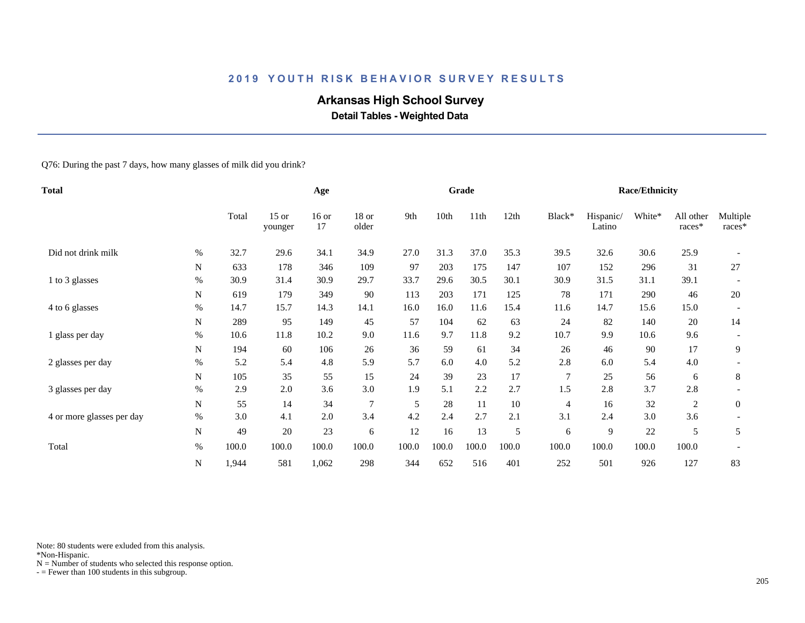# **Arkansas High School Survey**

 **Detail Tables - Weighted Data**

Q76: During the past 7 days, how many glasses of milk did you drink?

| Total                     |           |       |                    | Age           |                  |       |       | Grade |       |                |                     | <b>Race/Ethnicity</b> |                     |                    |
|---------------------------|-----------|-------|--------------------|---------------|------------------|-------|-------|-------|-------|----------------|---------------------|-----------------------|---------------------|--------------------|
|                           |           | Total | $15$ or<br>younger | $16$ or<br>17 | $18$ or<br>older | 9th   | 10th  | 11th  | 12th  | Black*         | Hispanic/<br>Latino | White*                | All other<br>races* | Multiple<br>races* |
| Did not drink milk        | $\%$      | 32.7  | 29.6               | 34.1          | 34.9             | 27.0  | 31.3  | 37.0  | 35.3  | 39.5           | 32.6                | 30.6                  | 25.9                |                    |
|                           | N         | 633   | 178                | 346           | 109              | 97    | 203   | 175   | 147   | 107            | 152                 | 296                   | 31                  | 27                 |
| 1 to 3 glasses            | $\%$      | 30.9  | 31.4               | 30.9          | 29.7             | 33.7  | 29.6  | 30.5  | 30.1  | 30.9           | 31.5                | 31.1                  | 39.1                |                    |
|                           | N         | 619   | 179                | 349           | 90               | 113   | 203   | 171   | 125   | 78             | 171                 | 290                   | 46                  | 20                 |
| 4 to 6 glasses            | $\%$      | 14.7  | 15.7               | 14.3          | 14.1             | 16.0  | 16.0  | 11.6  | 15.4  | 11.6           | 14.7                | 15.6                  | 15.0                |                    |
|                           | N         | 289   | 95                 | 149           | 45               | 57    | 104   | 62    | 63    | 24             | 82                  | 140                   | 20                  | 14                 |
| 1 glass per day           | $\%$      | 10.6  | 11.8               | 10.2          | 9.0              | 11.6  | 9.7   | 11.8  | 9.2   | 10.7           | 9.9                 | 10.6                  | 9.6                 |                    |
|                           | N         | 194   | 60                 | 106           | 26               | 36    | 59    | 61    | 34    | 26             | 46                  | 90                    | 17                  | 9                  |
| 2 glasses per day         | $\%$      | 5.2   | 5.4                | 4.8           | 5.9              | 5.7   | 6.0   | 4.0   | 5.2   | 2.8            | 6.0                 | 5.4                   | 4.0                 |                    |
|                           | N         | 105   | 35                 | 55            | 15               | 24    | 39    | 23    | 17    | 7              | 25                  | 56                    | 6                   | 8                  |
| 3 glasses per day         | $\%$      | 2.9   | 2.0                | 3.6           | 3.0              | 1.9   | 5.1   | 2.2   | 2.7   | 1.5            | 2.8                 | 3.7                   | 2.8                 |                    |
|                           | ${\bf N}$ | 55    | 14                 | 34            | $\overline{7}$   | 5     | 28    | 11    | 10    | $\overline{4}$ | 16                  | 32                    | $\sqrt{2}$          | $\mathbf{0}$       |
| 4 or more glasses per day | $\%$      | 3.0   | 4.1                | $2.0\,$       | 3.4              | 4.2   | 2.4   | 2.7   | 2.1   | 3.1            | 2.4                 | 3.0                   | 3.6                 |                    |
|                           | N         | 49    | 20                 | 23            | 6                | 12    | 16    | 13    | 5     | 6              | 9                   | 22                    | 5                   | 5                  |
| Total                     | $\%$      | 100.0 | 100.0              | 100.0         | 100.0            | 100.0 | 100.0 | 100.0 | 100.0 | 100.0          | 100.0               | 100.0                 | 100.0               |                    |
|                           | N         | 1,944 | 581                | 1,062         | 298              | 344   | 652   | 516   | 401   | 252            | 501                 | 926                   | 127                 | 83                 |

Note: 80 students were exluded from this analysis.

\*Non-Hispanic.

 $N =$  Number of students who selected this response option.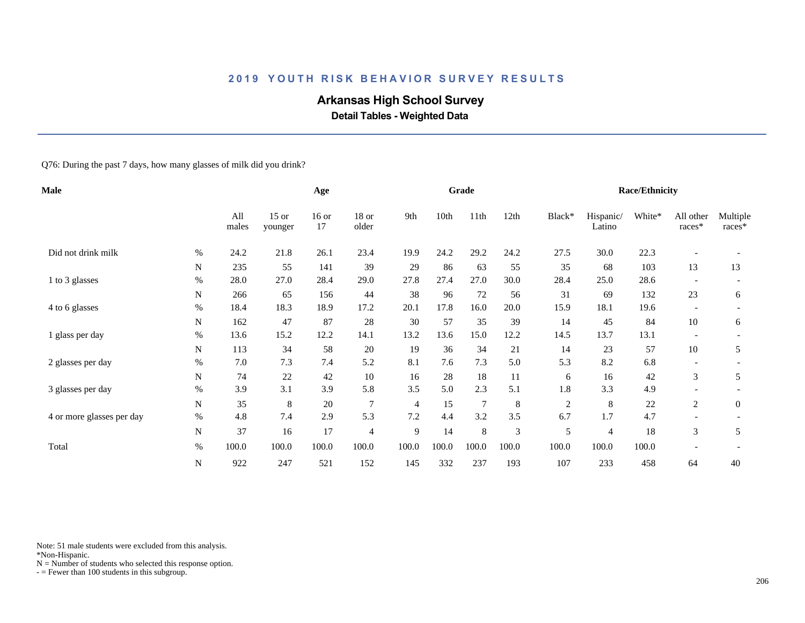# **Arkansas High School Survey**

 **Detail Tables - Weighted Data**

#### Q76: During the past 7 days, how many glasses of milk did you drink?

| Male                      |           |              | Age                |               |                  |       | Grade |                |       |            | <b>Race/Ethnicity</b> |        |                          |                    |
|---------------------------|-----------|--------------|--------------------|---------------|------------------|-------|-------|----------------|-------|------------|-----------------------|--------|--------------------------|--------------------|
|                           |           | All<br>males | $15$ or<br>younger | $16$ or<br>17 | $18$ or<br>older | 9th   | 10th  | 11th           | 12th  | Black*     | Hispanic/<br>Latino   | White* | All other<br>races*      | Multiple<br>races* |
| Did not drink milk        | $\%$      | 24.2         | 21.8               | 26.1          | 23.4             | 19.9  | 24.2  | 29.2           | 24.2  | 27.5       | 30.0                  | 22.3   |                          |                    |
|                           | N         | 235          | 55                 | 141           | 39               | 29    | 86    | 63             | 55    | 35         | 68                    | 103    | 13                       | 13                 |
| 1 to 3 glasses            | $\%$      | 28.0         | 27.0               | 28.4          | 29.0             | 27.8  | 27.4  | 27.0           | 30.0  | 28.4       | 25.0                  | 28.6   |                          |                    |
|                           | N         | 266          | 65                 | 156           | 44               | 38    | 96    | 72             | 56    | 31         | 69                    | 132    | 23                       | 6                  |
| 4 to 6 glasses            | $\%$      | 18.4         | 18.3               | 18.9          | 17.2             | 20.1  | 17.8  | 16.0           | 20.0  | 15.9       | 18.1                  | 19.6   | $\overline{\phantom{a}}$ |                    |
|                           | N         | 162          | 47                 | 87            | 28               | 30    | 57    | 35             | 39    | 14         | 45                    | 84     | 10                       | 6                  |
| 1 glass per day           | $\%$      | 13.6         | 15.2               | 12.2          | 14.1             | 13.2  | 13.6  | 15.0           | 12.2  | 14.5       | 13.7                  | 13.1   |                          |                    |
|                           | N         | 113          | 34                 | 58            | 20               | 19    | 36    | 34             | 21    | 14         | 23                    | 57     | 10                       | 5                  |
| 2 glasses per day         | $\%$      | 7.0          | 7.3                | 7.4           | 5.2              | 8.1   | 7.6   | 7.3            | 5.0   | 5.3        | 8.2                   | 6.8    |                          |                    |
|                           | N         | 74           | 22                 | 42            | 10               | 16    | 28    | 18             | 11    | 6          | 16                    | 42     | 3                        | 5                  |
| 3 glasses per day         | $\%$      | 3.9          | 3.1                | 3.9           | 5.8              | 3.5   | 5.0   | 2.3            | 5.1   | 1.8        | 3.3                   | 4.9    |                          |                    |
|                           | ${\bf N}$ | 35           | 8                  | 20            | $\overline{7}$   | 4     | 15    | $\overline{7}$ | 8     | $\sqrt{2}$ | $\,8\,$               | $22\,$ | 2                        | $\mathbf{0}$       |
| 4 or more glasses per day | $\%$      | 4.8          | 7.4                | 2.9           | 5.3              | 7.2   | 4.4   | 3.2            | 3.5   | 6.7        | 1.7                   | 4.7    |                          |                    |
|                           | ${\bf N}$ | 37           | 16                 | 17            | $\overline{4}$   | 9     | 14    | $\,$ 8 $\,$    | 3     | 5          | $\overline{4}$        | 18     | 3                        | 5                  |
| Total                     | $\%$      | 100.0        | 100.0              | 100.0         | 100.0            | 100.0 | 100.0 | 100.0          | 100.0 | 100.0      | 100.0                 | 100.0  |                          |                    |
|                           | ${\bf N}$ | 922          | 247                | 521           | 152              | 145   | 332   | 237            | 193   | 107        | 233                   | 458    | 64                       | 40                 |

Note: 51 male students were excluded from this analysis.

\*Non-Hispanic.

 $N =$  Number of students who selected this response option.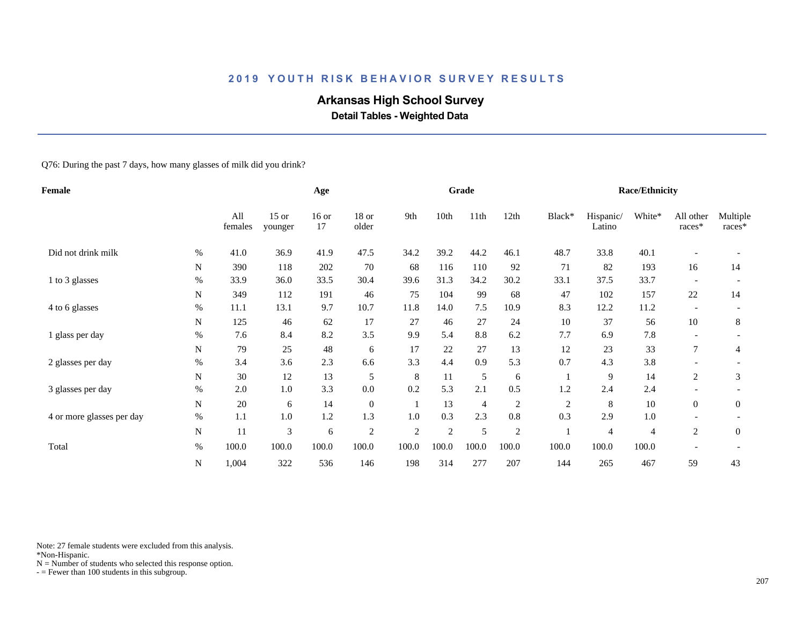# **Arkansas High School Survey**

 **Detail Tables - Weighted Data**

Q76: During the past 7 days, how many glasses of milk did you drink?

| <b>Female</b>             |           |                |                    | Age           |                |                |                | Grade          |                |            |                     | <b>Race/Ethnicity</b> |                          |                      |
|---------------------------|-----------|----------------|--------------------|---------------|----------------|----------------|----------------|----------------|----------------|------------|---------------------|-----------------------|--------------------------|----------------------|
|                           |           | All<br>females | $15$ or<br>younger | $16$ or<br>17 | 18 or<br>older | 9th            | 10th           | 11th           | 12th           | Black*     | Hispanic/<br>Latino | White*                | All other<br>$races*$    | Multiple<br>$races*$ |
| Did not drink milk        | $\%$      | 41.0           | 36.9               | 41.9          | 47.5           | 34.2           | 39.2           | 44.2           | 46.1           | 48.7       | 33.8                | 40.1                  |                          |                      |
|                           | ${\bf N}$ | 390            | 118                | 202           | 70             | 68             | 116            | 110            | 92             | 71         | 82                  | 193                   | 16                       | 14                   |
| 1 to 3 glasses            | $\%$      | 33.9           | 36.0               | 33.5          | 30.4           | 39.6           | 31.3           | 34.2           | 30.2           | 33.1       | 37.5                | 33.7                  |                          |                      |
|                           | N         | 349            | 112                | 191           | 46             | 75             | 104            | 99             | 68             | 47         | 102                 | 157                   | $22\,$                   | 14                   |
| 4 to 6 glasses            | $\%$      | 11.1           | 13.1               | 9.7           | 10.7           | 11.8           | 14.0           | 7.5            | 10.9           | 8.3        | 12.2                | 11.2                  | $\overline{\phantom{a}}$ |                      |
|                           | N         | 125            | 46                 | 62            | 17             | 27             | 46             | 27             | 24             | 10         | 37                  | 56                    | 10                       | 8                    |
| 1 glass per day           | $\%$      | 7.6            | 8.4                | 8.2           | 3.5            | 9.9            | 5.4            | 8.8            | 6.2            | 7.7        | 6.9                 | 7.8                   |                          |                      |
|                           | N         | 79             | 25                 | 48            | 6              | 17             | 22             | 27             | 13             | 12         | 23                  | 33                    | 7                        | 4                    |
| 2 glasses per day         | $\%$      | 3.4            | 3.6                | 2.3           | 6.6            | 3.3            | 4.4            | 0.9            | 5.3            | 0.7        | 4.3                 | 3.8                   |                          |                      |
|                           | N         | 30             | 12                 | 13            | 5              | 8              | 11             | 5              | 6              |            | 9                   | 14                    | 2                        | 3                    |
| 3 glasses per day         | $\%$      | 2.0            | 1.0                | 3.3           | 0.0            | 0.2            | 5.3            | 2.1            | 0.5            | 1.2        | 2.4                 | 2.4                   |                          |                      |
|                           | N         | 20             | 6                  | 14            | $\mathbf{0}$   | -1             | 13             | $\overline{4}$ | 2              | $\sqrt{2}$ | 8                   | 10                    | $\boldsymbol{0}$         | $\boldsymbol{0}$     |
| 4 or more glasses per day | $\%$      | 1.1            | 1.0                | 1.2           | 1.3            | 1.0            | 0.3            | 2.3            | 0.8            | 0.3        | 2.9                 | 1.0                   |                          |                      |
|                           | N         | 11             | 3                  | 6             | $\overline{2}$ | $\mathfrak{2}$ | $\overline{2}$ | 5              | $\overline{c}$ |            | 4                   | 4                     | 2                        | $\boldsymbol{0}$     |
| Total                     | $\%$      | 100.0          | 100.0              | 100.0         | 100.0          | 100.0          | 100.0          | 100.0          | 100.0          | 100.0      | 100.0               | 100.0                 |                          |                      |
|                           | ${\bf N}$ | 1,004          | 322                | 536           | 146            | 198            | 314            | 277            | 207            | 144        | 265                 | 467                   | 59                       | 43                   |

Note: 27 female students were excluded from this analysis.

\*Non-Hispanic.

 $N =$  Number of students who selected this response option.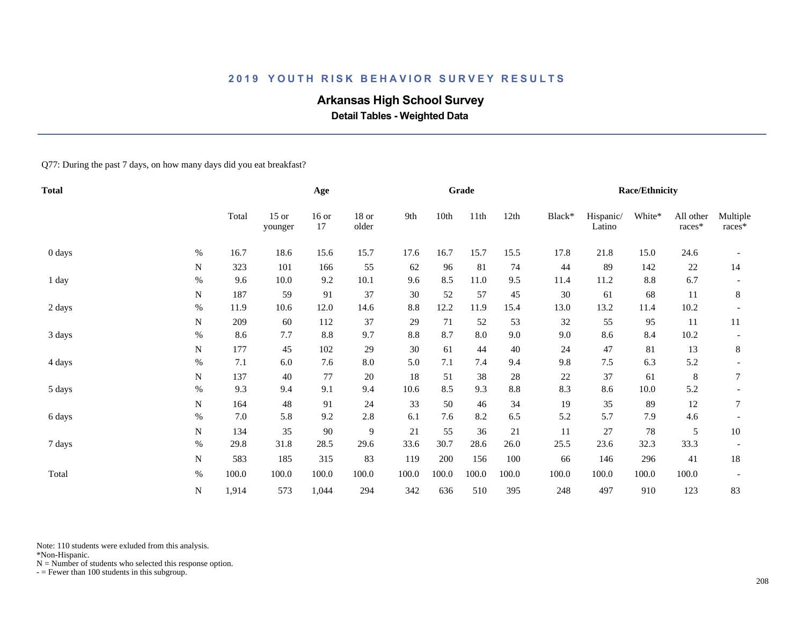# **Arkansas High School Survey**

 **Detail Tables - Weighted Data**

Q77: During the past 7 days, on how many days did you eat breakfast?

| <b>Total</b> |      |       |                    | Age           |                |       |       | Grade |       |        |                     | <b>Race/Ethnicity</b> |                       |                    |
|--------------|------|-------|--------------------|---------------|----------------|-------|-------|-------|-------|--------|---------------------|-----------------------|-----------------------|--------------------|
|              |      | Total | $15$ or<br>younger | $16$ or<br>17 | 18 or<br>older | 9th   | 10th  | 11th  | 12th  | Black* | Hispanic/<br>Latino | White*                | All other<br>$races*$ | Multiple<br>races* |
| 0 days       | $\%$ | 16.7  | 18.6               | 15.6          | 15.7           | 17.6  | 16.7  | 15.7  | 15.5  | 17.8   | 21.8                | 15.0                  | 24.6                  |                    |
|              | N    | 323   | 101                | 166           | 55             | 62    | 96    | 81    | 74    | 44     | 89                  | 142                   | $22\,$                | 14                 |
| 1 day        | $\%$ | 9.6   | 10.0               | 9.2           | 10.1           | 9.6   | 8.5   | 11.0  | 9.5   | 11.4   | 11.2                | 8.8                   | 6.7                   |                    |
|              | N    | 187   | 59                 | 91            | 37             | 30    | 52    | 57    | 45    | 30     | 61                  | 68                    | 11                    | 8                  |
| 2 days       | $\%$ | 11.9  | 10.6               | 12.0          | 14.6           | 8.8   | 12.2  | 11.9  | 15.4  | 13.0   | 13.2                | 11.4                  | 10.2                  |                    |
|              | N    | 209   | 60                 | 112           | 37             | 29    | 71    | 52    | 53    | 32     | 55                  | 95                    | 11                    | 11                 |
| 3 days       | $\%$ | 8.6   | 7.7                | $8.8\,$       | 9.7            | 8.8   | 8.7   | 8.0   | 9.0   | 9.0    | 8.6                 | 8.4                   | 10.2                  |                    |
|              | N    | 177   | 45                 | 102           | 29             | 30    | 61    | 44    | 40    | 24     | 47                  | $81\,$                | 13                    | 8                  |
| 4 days       | $\%$ | 7.1   | 6.0                | 7.6           | 8.0            | 5.0   | 7.1   | 7.4   | 9.4   | 9.8    | 7.5                 | 6.3                   | 5.2                   |                    |
|              | N    | 137   | 40                 | 77            | $20\,$         | 18    | 51    | 38    | 28    | 22     | 37                  | 61                    | $\,8\,$               | 7                  |
| 5 days       | $\%$ | 9.3   | 9.4                | 9.1           | 9.4            | 10.6  | 8.5   | 9.3   | 8.8   | 8.3    | 8.6                 | 10.0                  | 5.2                   |                    |
|              | N    | 164   | 48                 | 91            | 24             | 33    | 50    | 46    | 34    | 19     | 35                  | 89                    | 12                    | 7                  |
| 6 days       | $\%$ | 7.0   | 5.8                | 9.2           | 2.8            | 6.1   | 7.6   | 8.2   | 6.5   | 5.2    | 5.7                 | 7.9                   | 4.6                   |                    |
|              | N    | 134   | 35                 | 90            | $\overline{9}$ | 21    | 55    | 36    | 21    | $11\,$ | 27                  | 78                    | 5                     | 10                 |
| 7 days       | $\%$ | 29.8  | 31.8               | 28.5          | 29.6           | 33.6  | 30.7  | 28.6  | 26.0  | 25.5   | 23.6                | 32.3                  | 33.3                  |                    |
|              | N    | 583   | 185                | 315           | 83             | 119   | 200   | 156   | 100   | 66     | 146                 | 296                   | 41                    | 18                 |
| Total        | $\%$ | 100.0 | 100.0              | 100.0         | 100.0          | 100.0 | 100.0 | 100.0 | 100.0 | 100.0  | 100.0               | 100.0                 | 100.0                 |                    |
|              | N    | 1,914 | 573                | 1,044         | 294            | 342   | 636   | 510   | 395   | 248    | 497                 | 910                   | 123                   | 83                 |

Note: 110 students were exluded from this analysis.

\*Non-Hispanic.

 $N =$  Number of students who selected this response option.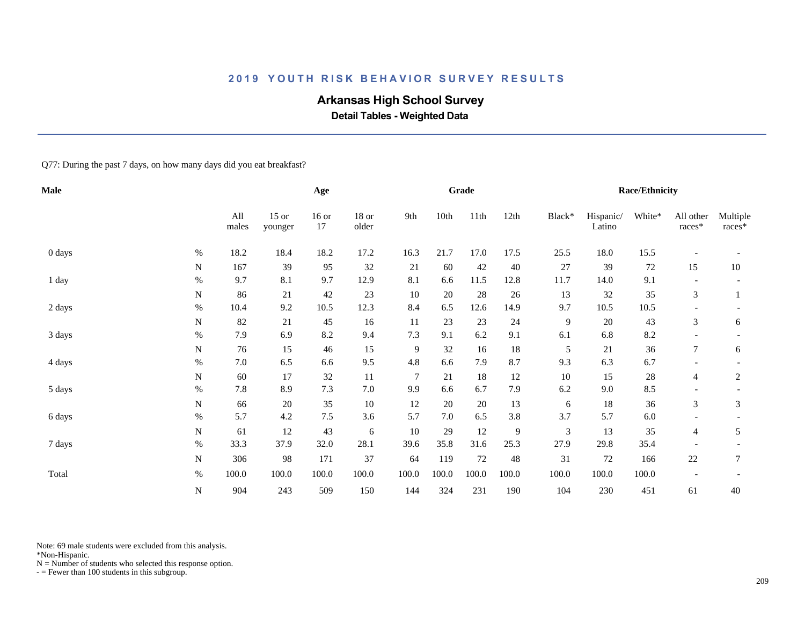# **Arkansas High School Survey**

 **Detail Tables - Weighted Data**

Q77: During the past 7 days, on how many days did you eat breakfast?

| Male   |             |              |                    | Age           |                |                |       | Grade  |        |                |                     | <b>Race/Ethnicity</b> |                       |                    |
|--------|-------------|--------------|--------------------|---------------|----------------|----------------|-------|--------|--------|----------------|---------------------|-----------------------|-----------------------|--------------------|
|        |             | All<br>males | $15$ or<br>younger | $16$ or<br>17 | 18 or<br>older | 9th            | 10th  | 11th   | 12th   | Black*         | Hispanic/<br>Latino | White*                | All other<br>$races*$ | Multiple<br>races* |
| 0 days | $\%$        | 18.2         | 18.4               | 18.2          | 17.2           | 16.3           | 21.7  | 17.0   | 17.5   | 25.5           | 18.0                | 15.5                  |                       |                    |
|        | N           | 167          | 39                 | 95            | 32             | 21             | 60    | 42     | 40     | 27             | 39                  | $72\,$                | 15                    | 10                 |
| 1 day  | $\%$        | 9.7          | 8.1                | 9.7           | 12.9           | 8.1            | 6.6   | 11.5   | 12.8   | 11.7           | 14.0                | 9.1                   |                       |                    |
|        | N           | 86           | 21                 | 42            | 23             | 10             | 20    | 28     | $26\,$ | 13             | 32                  | 35                    | 3                     |                    |
| 2 days | $\%$        | 10.4         | 9.2                | 10.5          | 12.3           | 8.4            | 6.5   | 12.6   | 14.9   | 9.7            | 10.5                | 10.5                  |                       |                    |
|        | $\mathbf N$ | 82           | 21                 | 45            | 16             | 11             | 23    | 23     | 24     | 9              | 20                  | 43                    | 3                     | 6                  |
| 3 days | $\%$        | 7.9          | 6.9                | 8.2           | 9.4            | 7.3            | 9.1   | 6.2    | 9.1    | 6.1            | 6.8                 | 8.2                   |                       |                    |
|        | $\mathbf N$ | 76           | 15                 | 46            | 15             | 9              | 32    | 16     | 18     | 5              | 21                  | 36                    | $\tau$                | 6                  |
| 4 days | $\%$        | 7.0          | 6.5                | 6.6           | 9.5            | 4.8            | 6.6   | 7.9    | 8.7    | 9.3            | 6.3                 | 6.7                   |                       |                    |
|        | N           | 60           | 17                 | 32            | 11             | $\overline{7}$ | 21    | 18     | 12     | 10             | 15                  | $28\,$                | 4                     | 2                  |
| 5 days | $\%$        | 7.8          | 8.9                | 7.3           | 7.0            | 9.9            | 6.6   | 6.7    | 7.9    | 6.2            | 9.0                 | 8.5                   |                       |                    |
|        | $\mathbf N$ | 66           | 20                 | 35            | 10             | 12             | 20    | 20     | 13     | 6              | 18                  | 36                    | 3                     | 3                  |
| 6 days | $\%$        | 5.7          | 4.2                | 7.5           | 3.6            | 5.7            | 7.0   | 6.5    | 3.8    | 3.7            | 5.7                 | $6.0\,$               |                       |                    |
|        | N           | 61           | 12                 | 43            | 6              | 10             | 29    | 12     | 9      | $\mathfrak{Z}$ | 13                  | 35                    | 4                     | 5                  |
| 7 days | $\%$        | 33.3         | 37.9               | 32.0          | 28.1           | 39.6           | 35.8  | 31.6   | 25.3   | 27.9           | 29.8                | 35.4                  |                       |                    |
|        | $\mathbf N$ | 306          | 98                 | 171           | 37             | 64             | 119   | $72\,$ | 48     | 31             | 72                  | 166                   | $22\,$                | 7                  |
| Total  | $\%$        | 100.0        | 100.0              | 100.0         | 100.0          | 100.0          | 100.0 | 100.0  | 100.0  | 100.0          | 100.0               | 100.0                 |                       |                    |
|        | $\mathbf N$ | 904          | 243                | 509           | 150            | 144            | 324   | 231    | 190    | 104            | 230                 | 451                   | 61                    | 40                 |

Note: 69 male students were excluded from this analysis.

\*Non-Hispanic.

 $N =$  Number of students who selected this response option.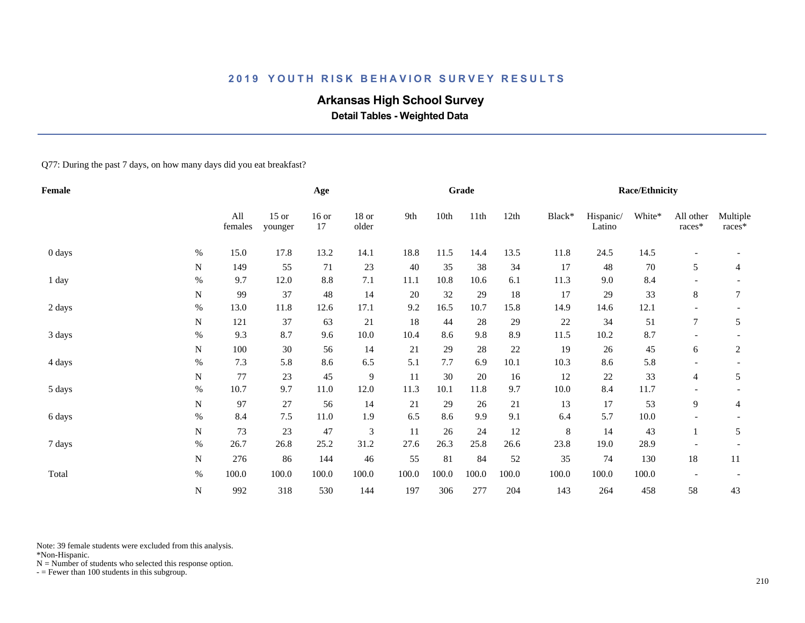# **Arkansas High School Survey**

 **Detail Tables - Weighted Data**

Q77: During the past 7 days, on how many days did you eat breakfast?

| Female |             |                |                    | Age             |                |       |       | Grade  |       |         |                     | <b>Race/Ethnicity</b> |                          |                      |
|--------|-------------|----------------|--------------------|-----------------|----------------|-------|-------|--------|-------|---------|---------------------|-----------------------|--------------------------|----------------------|
|        |             | All<br>females | $15$ or<br>younger | $16$ or<br>17   | 18 or<br>older | 9th   | 10th  | 11th   | 12th  | Black*  | Hispanic/<br>Latino | White*                | All other<br>$races*$    | Multiple<br>$races*$ |
| 0 days | $\%$        | 15.0           | 17.8               | 13.2            | 14.1           | 18.8  | 11.5  | 14.4   | 13.5  | 11.8    | 24.5                | 14.5                  | $\overline{\phantom{a}}$ |                      |
|        | N           | 149            | 55                 | $71\,$          | 23             | 40    | 35    | 38     | 34    | 17      | 48                  | $70\,$                | 5                        | 4                    |
| 1 day  | $\%$        | 9.7            | 12.0               | $\!\!\!\!\!8.8$ | 7.1            | 11.1  | 10.8  | 10.6   | 6.1   | 11.3    | 9.0                 | 8.4                   |                          |                      |
|        | N           | 99             | 37                 | 48              | 14             | 20    | 32    | 29     | 18    | 17      | 29                  | 33                    | 8                        | 7                    |
| 2 days | $\%$        | 13.0           | 11.8               | 12.6            | 17.1           | 9.2   | 16.5  | 10.7   | 15.8  | 14.9    | 14.6                | 12.1                  |                          |                      |
|        | N           | 121            | 37                 | 63              | 21             | 18    | 44    | 28     | 29    | 22      | 34                  | 51                    | $\tau$                   | 5                    |
| 3 days | $\%$        | 9.3            | 8.7                | 9.6             | 10.0           | 10.4  | 8.6   | 9.8    | 8.9   | 11.5    | 10.2                | 8.7                   | $\overline{\phantom{a}}$ |                      |
|        | N           | 100            | 30                 | 56              | 14             | 21    | 29    | 28     | 22    | 19      | 26                  | 45                    | 6                        | 2                    |
| 4 days | $\%$        | 7.3            | 5.8                | 8.6             | 6.5            | 5.1   | 7.7   | 6.9    | 10.1  | 10.3    | 8.6                 | 5.8                   |                          |                      |
|        | N           | 77             | 23                 | 45              | $\overline{9}$ | 11    | 30    | $20\,$ | 16    | 12      | $22\,$              | 33                    | 4                        | 5                    |
| 5 days | $\%$        | 10.7           | 9.7                | 11.0            | 12.0           | 11.3  | 10.1  | 11.8   | 9.7   | 10.0    | 8.4                 | 11.7                  |                          |                      |
|        | $\mathbf N$ | 97             | 27                 | 56              | 14             | 21    | 29    | 26     | 21    | 13      | 17                  | 53                    | 9                        | 4                    |
| 6 days | $\%$        | 8.4            | 7.5                | 11.0            | 1.9            | 6.5   | 8.6   | 9.9    | 9.1   | 6.4     | 5.7                 | $10.0\,$              |                          |                      |
|        | N           | 73             | 23                 | 47              | $\mathfrak{Z}$ | 11    | 26    | 24     | 12    | $\,8\,$ | 14                  | 43                    |                          | 5                    |
| 7 days | $\%$        | 26.7           | 26.8               | 25.2            | 31.2           | 27.6  | 26.3  | 25.8   | 26.6  | 23.8    | 19.0                | 28.9                  |                          |                      |
|        | N           | 276            | 86                 | 144             | 46             | 55    | 81    | 84     | 52    | 35      | 74                  | 130                   | 18                       | $11\,$               |
| Total  | $\%$        | 100.0          | 100.0              | 100.0           | 100.0          | 100.0 | 100.0 | 100.0  | 100.0 | 100.0   | 100.0               | 100.0                 |                          |                      |
|        | $\mathbf N$ | 992            | 318                | 530             | 144            | 197   | 306   | 277    | 204   | 143     | 264                 | 458                   | 58                       | 43                   |

Note: 39 female students were excluded from this analysis.

\*Non-Hispanic.

 $N =$  Number of students who selected this response option.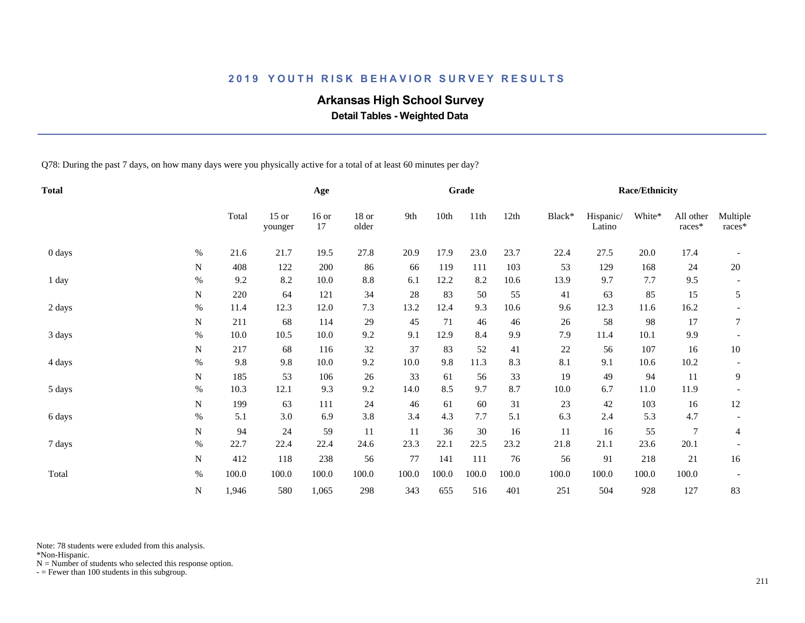# **Arkansas High School Survey**

 **Detail Tables - Weighted Data**

Q78: During the past 7 days, on how many days were you physically active for a total of at least 60 minutes per day?

| <b>Total</b> |             |       |                    | Age           |                  |       |       | Grade |       |        |                     | <b>Race/Ethnicity</b> |                     |                    |
|--------------|-------------|-------|--------------------|---------------|------------------|-------|-------|-------|-------|--------|---------------------|-----------------------|---------------------|--------------------|
|              |             | Total | $15$ or<br>younger | $16$ or<br>17 | $18$ or<br>older | 9th   | 10th  | 11th  | 12th  | Black* | Hispanic/<br>Latino | White*                | All other<br>races* | Multiple<br>races* |
| 0 days       | $\%$        | 21.6  | 21.7               | 19.5          | 27.8             | 20.9  | 17.9  | 23.0  | 23.7  | 22.4   | 27.5                | $20.0\,$              | 17.4                |                    |
|              | $\mathbf N$ | 408   | 122                | 200           | 86               | 66    | 119   | 111   | 103   | 53     | 129                 | 168                   | 24                  | 20                 |
| 1 day        | $\%$        | 9.2   | 8.2                | 10.0          | 8.8              | 6.1   | 12.2  | 8.2   | 10.6  | 13.9   | 9.7                 | 7.7                   | 9.5                 |                    |
|              | ${\bf N}$   | 220   | 64                 | 121           | 34               | 28    | 83    | 50    | 55    | 41     | 63                  | 85                    | 15                  | 5                  |
| 2 days       | $\%$        | 11.4  | 12.3               | 12.0          | 7.3              | 13.2  | 12.4  | 9.3   | 10.6  | 9.6    | 12.3                | 11.6                  | 16.2                |                    |
|              | $\mathbf N$ | 211   | 68                 | 114           | 29               | 45    | 71    | 46    | 46    | 26     | 58                  | 98                    | 17                  | 7                  |
| 3 days       | $\%$        | 10.0  | 10.5               | $10.0\,$      | 9.2              | 9.1   | 12.9  | 8.4   | 9.9   | 7.9    | 11.4                | 10.1                  | 9.9                 |                    |
|              | N           | 217   | 68                 | 116           | 32               | 37    | 83    | 52    | 41    | 22     | 56                  | 107                   | 16                  | 10                 |
| 4 days       | $\%$        | 9.8   | 9.8                | 10.0          | 9.2              | 10.0  | 9.8   | 11.3  | 8.3   | 8.1    | 9.1                 | 10.6                  | 10.2                |                    |
|              | N           | 185   | 53                 | 106           | 26               | 33    | 61    | 56    | 33    | 19     | 49                  | 94                    | 11                  | 9                  |
| 5 days       | $\%$        | 10.3  | 12.1               | 9.3           | 9.2              | 14.0  | 8.5   | 9.7   | 8.7   | 10.0   | 6.7                 | 11.0                  | 11.9                |                    |
|              | ${\bf N}$   | 199   | 63                 | 111           | 24               | 46    | 61    | 60    | 31    | 23     | 42                  | 103                   | 16                  | 12                 |
| 6 days       | $\%$        | 5.1   | 3.0                | 6.9           | 3.8              | 3.4   | 4.3   | 7.7   | 5.1   | 6.3    | 2.4                 | 5.3                   | 4.7                 |                    |
|              | N           | 94    | 24                 | 59            | 11               | 11    | 36    | 30    | 16    | 11     | 16                  | 55                    | 7                   | $\overline{4}$     |
| 7 days       | $\%$        | 22.7  | 22.4               | 22.4          | 24.6             | 23.3  | 22.1  | 22.5  | 23.2  | 21.8   | 21.1                | 23.6                  | 20.1                |                    |
|              | $\mathbf N$ | 412   | 118                | 238           | 56               | 77    | 141   | 111   | 76    | 56     | 91                  | 218                   | 21                  | 16                 |
| Total        | $\%$        | 100.0 | 100.0              | 100.0         | 100.0            | 100.0 | 100.0 | 100.0 | 100.0 | 100.0  | 100.0               | 100.0                 | 100.0               |                    |
|              |             |       |                    |               |                  |       |       |       |       |        |                     |                       |                     |                    |
|              | ${\bf N}$   | 1,946 | 580                | 1,065         | 298              | 343   | 655   | 516   | 401   | 251    | 504                 | 928                   | 127                 | 83                 |

Note: 78 students were exluded from this analysis.

\*Non-Hispanic.

 $N =$  Number of students who selected this response option.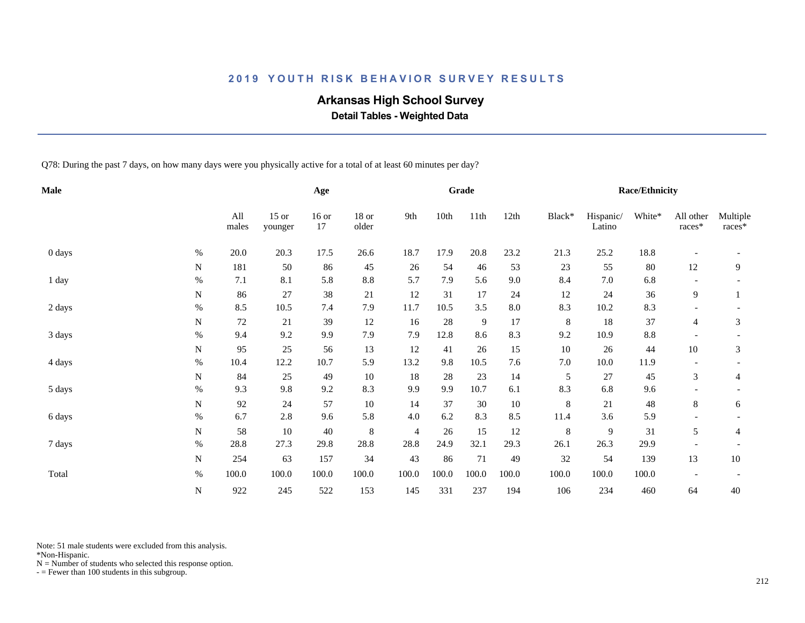# **Arkansas High School Survey**

 **Detail Tables - Weighted Data**

Q78: During the past 7 days, on how many days were you physically active for a total of at least 60 minutes per day?

| <b>Male</b> |           |              |                    | Age           |                |                |       | Grade          |            |         |                     | <b>Race/Ethnicity</b> |                          |                    |
|-------------|-----------|--------------|--------------------|---------------|----------------|----------------|-------|----------------|------------|---------|---------------------|-----------------------|--------------------------|--------------------|
|             |           | All<br>males | $15$ or<br>younger | $16$ or<br>17 | 18 or<br>older | 9th            | 10th  | 11th           | 12th       | Black*  | Hispanic/<br>Latino | White*                | All other<br>races*      | Multiple<br>races* |
| 0 days      | $\%$      | 20.0         | 20.3               | 17.5          | 26.6           | 18.7           | 17.9  | $20.8\,$       | 23.2       | 21.3    | 25.2                | 18.8                  | $\overline{\phantom{a}}$ |                    |
|             | N         | 181          | 50                 | 86            | 45             | 26             | 54    | 46             | 53         | 23      | 55                  | 80                    | 12                       | 9                  |
| 1 day       | $\%$      | 7.1          | 8.1                | 5.8           | 8.8            | 5.7            | 7.9   | 5.6            | 9.0        | 8.4     | 7.0                 | 6.8                   |                          |                    |
|             | ${\bf N}$ | 86           | 27                 | 38            | 21             | 12             | 31    | 17             | 24         | $12\,$  | 24                  | 36                    | 9                        |                    |
| 2 days      | $\%$      | 8.5          | 10.5               | 7.4           | 7.9            | 11.7           | 10.5  | 3.5            | $\ \, 8.0$ | 8.3     | 10.2                | 8.3                   |                          |                    |
|             | N         | 72           | 21                 | 39            | 12             | 16             | 28    | $\overline{9}$ | 17         | $\,8\,$ | 18                  | 37                    | 4                        | 3                  |
| 3 days      | $\%$      | 9.4          | 9.2                | 9.9           | 7.9            | 7.9            | 12.8  | 8.6            | 8.3        | 9.2     | 10.9                | $8.8\,$               |                          |                    |
|             | N         | 95           | 25                 | 56            | 13             | 12             | 41    | 26             | 15         | 10      | 26                  | 44                    | $10\,$                   | 3                  |
| 4 days      | $\%$      | 10.4         | 12.2               | 10.7          | 5.9            | 13.2           | 9.8   | 10.5           | 7.6        | 7.0     | 10.0                | 11.9                  | $\overline{\phantom{a}}$ |                    |
|             | N         | 84           | 25                 | 49            | $10\,$         | 18             | 28    | 23             | 14         | 5       | 27                  | 45                    | 3                        | 4                  |
| 5 days      | $\%$      | 9.3          | 9.8                | 9.2           | 8.3            | 9.9            | 9.9   | 10.7           | 6.1        | 8.3     | 6.8                 | 9.6                   |                          |                    |
|             | ${\bf N}$ | 92           | 24                 | 57            | $10\,$         | 14             | 37    | 30             | $10\,$     | $\,8\,$ | 21                  | 48                    | 8                        | 6                  |
| 6 days      | $\%$      | 6.7          | 2.8                | 9.6           | 5.8            | 4.0            | 6.2   | 8.3            | 8.5        | 11.4    | 3.6                 | 5.9                   |                          |                    |
|             | N         | 58           | 10                 | 40            | $\,8\,$        | $\overline{4}$ | 26    | 15             | 12         | $\,8$   | 9                   | 31                    | 5                        | 4                  |
| 7 days      | $\%$      | 28.8         | 27.3               | 29.8          | 28.8           | 28.8           | 24.9  | 32.1           | 29.3       | 26.1    | 26.3                | 29.9                  |                          |                    |
|             | ${\bf N}$ | 254          | 63                 | 157           | 34             | 43             | 86    | $71\,$         | 49         | 32      | 54                  | 139                   | 13                       | 10                 |
| Total       | $\%$      | 100.0        | 100.0              | 100.0         | 100.0          | 100.0          | 100.0 | 100.0          | 100.0      | 100.0   | 100.0               | 100.0                 |                          |                    |
|             |           |              |                    |               |                |                |       |                |            |         |                     |                       |                          |                    |
|             | ${\bf N}$ | 922          | 245                | 522           | 153            | 145            | 331   | 237            | 194        | 106     | 234                 | 460                   | 64                       | 40                 |

Note: 51 male students were excluded from this analysis.

\*Non-Hispanic.

 $N =$  Number of students who selected this response option.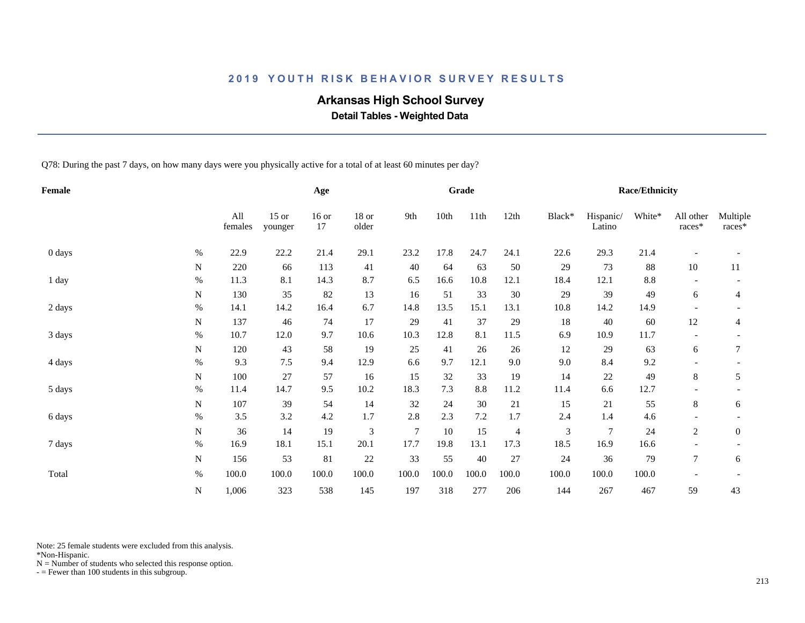# **Arkansas High School Survey**

 **Detail Tables - Weighted Data**

Q78: During the past 7 days, on how many days were you physically active for a total of at least 60 minutes per day?

| Female |             |                |                    | Age           |                |        |       | Grade   |       |        |                     | <b>Race/Ethnicity</b> |                          |                    |
|--------|-------------|----------------|--------------------|---------------|----------------|--------|-------|---------|-------|--------|---------------------|-----------------------|--------------------------|--------------------|
|        |             | All<br>females | $15$ or<br>younger | $16$ or<br>17 | 18 or<br>older | 9th    | 10th  | 11th    | 12th  | Black* | Hispanic/<br>Latino | White*                | All other<br>$races*$    | Multiple<br>races* |
| 0 days | $\%$        | 22.9           | 22.2               | 21.4          | 29.1           | 23.2   | 17.8  | 24.7    | 24.1  | 22.6   | 29.3                | 21.4                  |                          |                    |
|        | N           | 220            | 66                 | 113           | 41             | 40     | 64    | 63      | 50    | 29     | 73                  | 88                    | 10                       | 11                 |
| 1 day  | $\%$        | 11.3           | 8.1                | 14.3          | 8.7            | 6.5    | 16.6  | 10.8    | 12.1  | 18.4   | 12.1                | $8.8\,$               | $\overline{\phantom{a}}$ |                    |
|        | N           | 130            | 35                 | 82            | 13             | 16     | 51    | 33      | 30    | 29     | 39                  | 49                    | 6                        | 4                  |
| 2 days | $\%$        | 14.1           | 14.2               | 16.4          | 6.7            | 14.8   | 13.5  | 15.1    | 13.1  | 10.8   | 14.2                | 14.9                  | $\overline{\phantom{a}}$ |                    |
|        | $\mathbf N$ | 137            | 46                 | 74            | 17             | 29     | 41    | 37      | 29    | 18     | 40                  | 60                    | 12                       | 4                  |
| 3 days | $\%$        | 10.7           | 12.0               | 9.7           | 10.6           | 10.3   | 12.8  | 8.1     | 11.5  | 6.9    | 10.9                | 11.7                  | $\overline{\phantom{a}}$ |                    |
|        | N           | 120            | 43                 | 58            | 19             | 25     | 41    | 26      | 26    | 12     | 29                  | 63                    | 6                        | 7                  |
| 4 days | $\%$        | 9.3            | 7.5                | 9.4           | 12.9           | 6.6    | 9.7   | 12.1    | 9.0   | 9.0    | 8.4                 | 9.2                   |                          |                    |
|        | N           | 100            | 27                 | 57            | 16             | 15     | 32    | 33      | 19    | 14     | $22\,$              | 49                    | 8                        | 5                  |
| 5 days | $\%$        | 11.4           | 14.7               | 9.5           | 10.2           | 18.3   | 7.3   | 8.8     | 11.2  | 11.4   | 6.6                 | 12.7                  |                          |                    |
|        | N           | 107            | 39                 | 54            | 14             | 32     | 24    | 30      | 21    | 15     | 21                  | 55                    | 8                        | 6                  |
| 6 days | $\%$        | 3.5            | 3.2                | 4.2           | 1.7            | 2.8    | 2.3   | $7.2\,$ | 1.7   | 2.4    | 1.4                 | 4.6                   |                          |                    |
|        | N           | 36             | 14                 | 19            | $\mathfrak{Z}$ | $\tau$ | 10    | 15      | 4     | 3      | $\overline{7}$      | 24                    | 2                        | $\overline{0}$     |
| 7 days | $\%$        | 16.9           | 18.1               | 15.1          | 20.1           | 17.7   | 19.8  | 13.1    | 17.3  | 18.5   | 16.9                | 16.6                  | $\overline{\phantom{a}}$ |                    |
|        | N           | 156            | 53                 | 81            | $22\,$         | 33     | 55    | 40      | 27    | 24     | 36                  | 79                    | 7                        | 6                  |
| Total  | $\%$        | 100.0          | 100.0              | 100.0         | 100.0          | 100.0  | 100.0 | 100.0   | 100.0 | 100.0  | 100.0               | 100.0                 |                          |                    |
|        | ${\bf N}$   | 1,006          | 323                | 538           | 145            | 197    | 318   | 277     | 206   | 144    | 267                 | 467                   | 59                       | 43                 |
|        |             |                |                    |               |                |        |       |         |       |        |                     |                       |                          |                    |

Note: 25 female students were excluded from this analysis.

\*Non-Hispanic.

 $N =$  Number of students who selected this response option.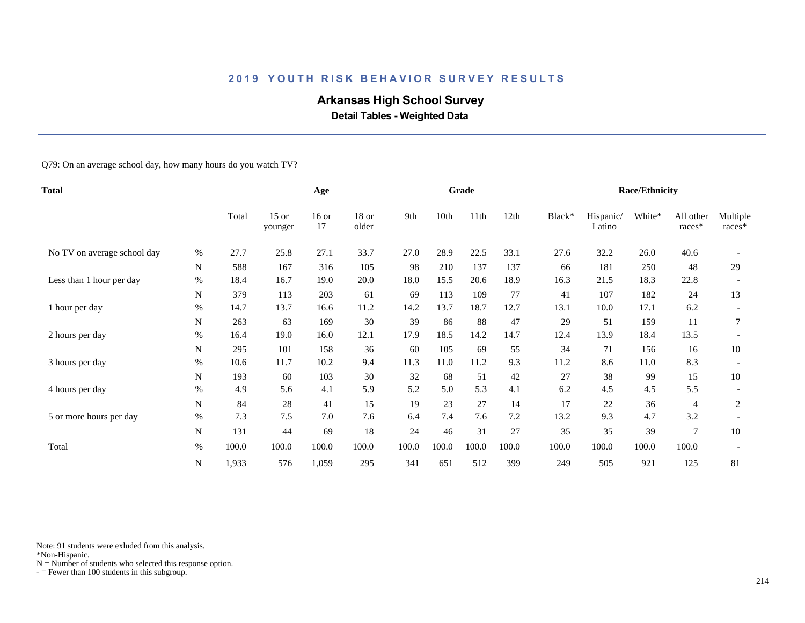# **Arkansas High School Survey**

 **Detail Tables - Weighted Data**

Q79: On an average school day, how many hours do you watch TV?

| <b>Total</b>                |             |       | Age                |               |                  |       | Grade |       |       |        | <b>Race/Ethnicity</b> |        |                     |                    |
|-----------------------------|-------------|-------|--------------------|---------------|------------------|-------|-------|-------|-------|--------|-----------------------|--------|---------------------|--------------------|
|                             |             | Total | $15$ or<br>younger | $16$ or<br>17 | $18$ or<br>older | 9th   | 10th  | 11th  | 12th  | Black* | Hispanic/<br>Latino   | White* | All other<br>races* | Multiple<br>races* |
| No TV on average school day | %           | 27.7  | 25.8               | 27.1          | 33.7             | 27.0  | 28.9  | 22.5  | 33.1  | 27.6   | 32.2                  | 26.0   | 40.6                |                    |
|                             | $\mathbf N$ | 588   | 167                | 316           | 105              | 98    | 210   | 137   | 137   | 66     | 181                   | 250    | 48                  | 29                 |
| Less than 1 hour per day    | $\%$        | 18.4  | 16.7               | 19.0          | 20.0             | 18.0  | 15.5  | 20.6  | 18.9  | 16.3   | 21.5                  | 18.3   | 22.8                |                    |
|                             | N           | 379   | 113                | 203           | 61               | 69    | 113   | 109   | 77    | 41     | 107                   | 182    | 24                  | 13                 |
| 1 hour per day              | $\%$        | 14.7  | 13.7               | 16.6          | 11.2             | 14.2  | 13.7  | 18.7  | 12.7  | 13.1   | 10.0                  | 17.1   | 6.2                 |                    |
|                             | N           | 263   | 63                 | 169           | 30               | 39    | 86    | 88    | 47    | 29     | 51                    | 159    | 11                  | 7                  |
| 2 hours per day             | $\%$        | 16.4  | 19.0               | 16.0          | 12.1             | 17.9  | 18.5  | 14.2  | 14.7  | 12.4   | 13.9                  | 18.4   | 13.5                |                    |
|                             | N           | 295   | 101                | 158           | 36               | 60    | 105   | 69    | 55    | 34     | 71                    | 156    | 16                  | 10                 |
| 3 hours per day             | $\%$        | 10.6  | 11.7               | 10.2          | 9.4              | 11.3  | 11.0  | 11.2  | 9.3   | 11.2   | 8.6                   | 11.0   | 8.3                 |                    |
|                             | N           | 193   | 60                 | 103           | 30               | 32    | 68    | 51    | 42    | 27     | 38                    | 99     | 15                  | 10                 |
| 4 hours per day             | $\%$        | 4.9   | 5.6                | 4.1           | 5.9              | 5.2   | 5.0   | 5.3   | 4.1   | 6.2    | 4.5                   | 4.5    | 5.5                 |                    |
|                             | N           | 84    | 28                 | 41            | 15               | 19    | 23    | 27    | 14    | 17     | 22                    | 36     | 4                   | 2                  |
| 5 or more hours per day     | $\%$        | 7.3   | 7.5                | 7.0           | 7.6              | 6.4   | 7.4   | 7.6   | 7.2   | 13.2   | 9.3                   | 4.7    | 3.2                 |                    |
|                             | ${\bf N}$   | 131   | 44                 | 69            | 18               | 24    | 46    | 31    | 27    | 35     | 35                    | 39     | $\overline{7}$      | 10                 |
| Total                       | $\%$        | 100.0 | 100.0              | 100.0         | 100.0            | 100.0 | 100.0 | 100.0 | 100.0 | 100.0  | 100.0                 | 100.0  | 100.0               |                    |
|                             | N           | 1,933 | 576                | 1,059         | 295              | 341   | 651   | 512   | 399   | 249    | 505                   | 921    | 125                 | 81                 |

Note: 91 students were exluded from this analysis.

\*Non-Hispanic.

 $N =$  Number of students who selected this response option.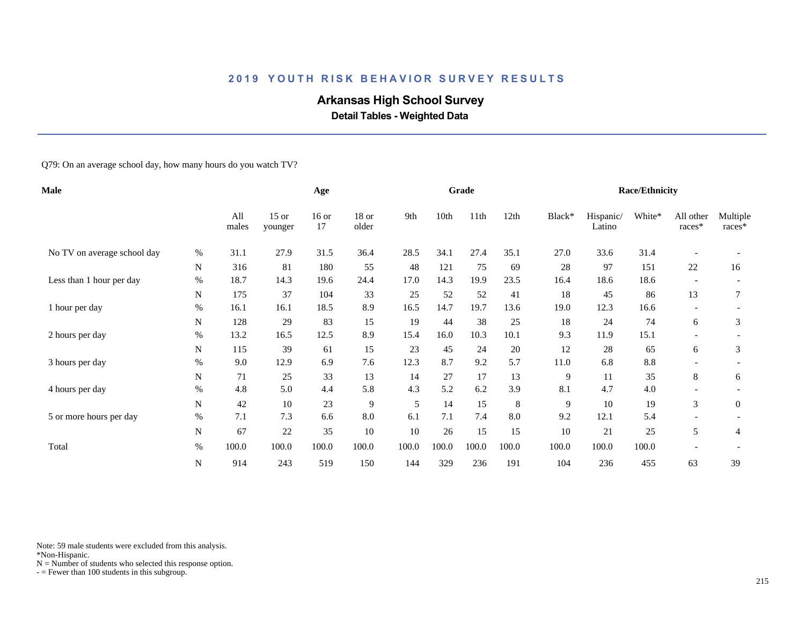# **Arkansas High School Survey**

 **Detail Tables - Weighted Data**

Q79: On an average school day, how many hours do you watch TV?

| <b>Male</b>                 |           |              |                    | Age           |                |       |       | Grade |       |        |                     | <b>Race/Ethnicity</b> |                          |                      |
|-----------------------------|-----------|--------------|--------------------|---------------|----------------|-------|-------|-------|-------|--------|---------------------|-----------------------|--------------------------|----------------------|
|                             |           | All<br>males | $15$ or<br>younger | $16$ or<br>17 | 18 or<br>older | 9th   | 10th  | 11th  | 12th  | Black* | Hispanic/<br>Latino | White*                | All other<br>races*      | Multiple<br>$races*$ |
| No TV on average school day | %         | 31.1         | 27.9               | 31.5          | 36.4           | 28.5  | 34.1  | 27.4  | 35.1  | 27.0   | 33.6                | 31.4                  |                          |                      |
|                             | N         | 316          | 81                 | 180           | 55             | 48    | 121   | 75    | 69    | 28     | 97                  | 151                   | 22                       | 16                   |
| Less than 1 hour per day    | %         | 18.7         | 14.3               | 19.6          | 24.4           | 17.0  | 14.3  | 19.9  | 23.5  | 16.4   | 18.6                | 18.6                  |                          |                      |
|                             | N         | 175          | 37                 | 104           | 33             | 25    | 52    | 52    | 41    | 18     | 45                  | 86                    | 13                       |                      |
| 1 hour per day              | $\%$      | 16.1         | 16.1               | 18.5          | 8.9            | 16.5  | 14.7  | 19.7  | 13.6  | 19.0   | 12.3                | 16.6                  | $\overline{\phantom{0}}$ |                      |
|                             | N         | 128          | 29                 | 83            | 15             | 19    | 44    | 38    | 25    | 18     | 24                  | 74                    | 6                        | 3                    |
| 2 hours per day             | %         | 13.2         | 16.5               | 12.5          | 8.9            | 15.4  | 16.0  | 10.3  | 10.1  | 9.3    | 11.9                | 15.1                  |                          |                      |
|                             | N         | 115          | 39                 | 61            | 15             | 23    | 45    | 24    | 20    | 12     | 28                  | 65                    | 6                        | 3                    |
| 3 hours per day             | $\%$      | 9.0          | 12.9               | 6.9           | 7.6            | 12.3  | 8.7   | 9.2   | 5.7   | 11.0   | 6.8                 | 8.8                   |                          |                      |
|                             | N         | 71           | 25                 | 33            | 13             | 14    | 27    | 17    | 13    | 9      | 11                  | 35                    | 8                        | 6                    |
| 4 hours per day             | $\%$      | 4.8          | 5.0                | 4.4           | 5.8            | 4.3   | 5.2   | 6.2   | 3.9   | 8.1    | 4.7                 | 4.0                   |                          |                      |
|                             | N         | 42           | 10                 | 23            | 9              | 5     | 14    | 15    | 8     | 9      | 10                  | 19                    | 3                        | $\mathbf{0}$         |
| 5 or more hours per day     | $\%$      | 7.1          | 7.3                | 6.6           | 8.0            | 6.1   | 7.1   | 7.4   | 8.0   | 9.2    | 12.1                | 5.4                   |                          |                      |
|                             | N         | 67           | 22                 | 35            | 10             | 10    | 26    | 15    | 15    | 10     | 21                  | 25                    | 5                        | 4                    |
| Total                       | $\%$      | 100.0        | 100.0              | 100.0         | 100.0          | 100.0 | 100.0 | 100.0 | 100.0 | 100.0  | 100.0               | 100.0                 |                          |                      |
|                             | ${\bf N}$ | 914          | 243                | 519           | 150            | 144   | 329   | 236   | 191   | 104    | 236                 | 455                   | 63                       | 39                   |

Note: 59 male students were excluded from this analysis.

\*Non-Hispanic.

 $N =$  Number of students who selected this response option.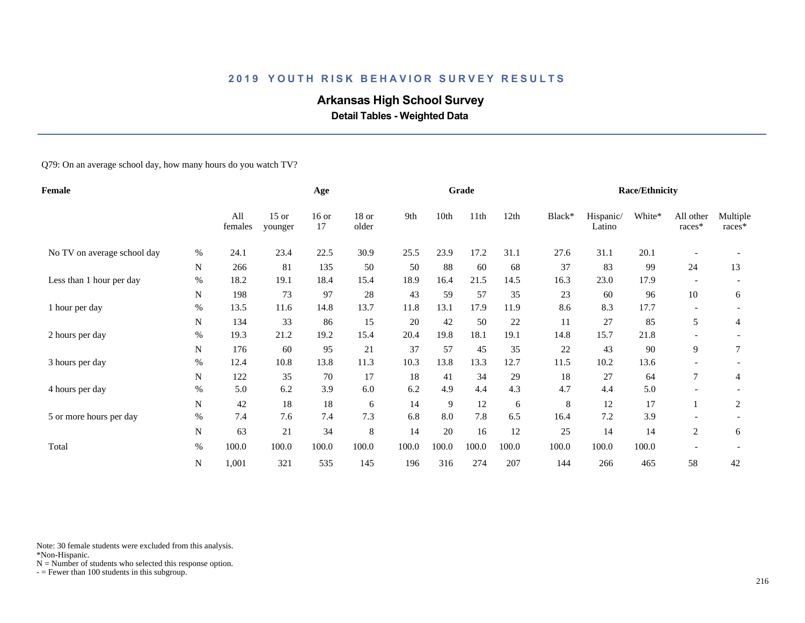# **Arkansas High School Survey**

 **Detail Tables - Weighted Data**

Q79: On an average school day, how many hours do you watch TV?

| Female                      |             |                | Age                |               |                |       | Grade |       |       |        | <b>Race/Ethnicity</b> |        |                          |                      |
|-----------------------------|-------------|----------------|--------------------|---------------|----------------|-------|-------|-------|-------|--------|-----------------------|--------|--------------------------|----------------------|
|                             |             | All<br>females | $15$ or<br>younger | $16$ or<br>17 | 18 or<br>older | 9th   | 10th  | 11th  | 12th  | Black* | Hispanic/<br>Latino   | White* | All other<br>races*      | Multiple<br>$races*$ |
| No TV on average school day | %           | 24.1           | 23.4               | 22.5          | 30.9           | 25.5  | 23.9  | 17.2  | 31.1  | 27.6   | 31.1                  | 20.1   |                          |                      |
|                             | $\mathbf N$ | 266            | 81                 | 135           | 50             | 50    | 88    | 60    | 68    | 37     | 83                    | 99     | 24                       | 13                   |
| Less than 1 hour per day    | $\%$        | 18.2           | 19.1               | 18.4          | 15.4           | 18.9  | 16.4  | 21.5  | 14.5  | 16.3   | 23.0                  | 17.9   |                          |                      |
|                             | N           | 198            | 73                 | 97            | 28             | 43    | 59    | 57    | 35    | 23     | 60                    | 96     | 10                       | 6                    |
| 1 hour per day              | $\%$        | 13.5           | 11.6               | 14.8          | 13.7           | 11.8  | 13.1  | 17.9  | 11.9  | 8.6    | 8.3                   | 17.7   | $\overline{\phantom{a}}$ |                      |
|                             | N           | 134            | 33                 | 86            | 15             | 20    | 42    | 50    | 22    | 11     | 27                    | 85     | 5                        | 4                    |
| 2 hours per day             | $\%$        | 19.3           | 21.2               | 19.2          | 15.4           | 20.4  | 19.8  | 18.1  | 19.1  | 14.8   | 15.7                  | 21.8   |                          |                      |
|                             | N           | 176            | 60                 | 95            | 21             | 37    | 57    | 45    | 35    | 22     | 43                    | 90     | 9                        | 7                    |
| 3 hours per day             | $\%$        | 12.4           | 10.8               | 13.8          | 11.3           | 10.3  | 13.8  | 13.3  | 12.7  | 11.5   | 10.2                  | 13.6   |                          |                      |
|                             | N           | 122            | 35                 | 70            | 17             | 18    | 41    | 34    | 29    | 18     | 27                    | 64     | $\tau$                   | 4                    |
| 4 hours per day             | $\%$        | 5.0            | 6.2                | 3.9           | 6.0            | 6.2   | 4.9   | 4.4   | 4.3   | 4.7    | 4.4                   | 5.0    |                          |                      |
|                             | N           | 42             | 18                 | 18            | 6              | 14    | 9     | 12    | 6     | 8      | 12                    | 17     |                          | 2                    |
| 5 or more hours per day     | $\%$        | 7.4            | 7.6                | 7.4           | 7.3            | 6.8   | 8.0   | 7.8   | 6.5   | 16.4   | 7.2                   | 3.9    |                          |                      |
|                             | ${\bf N}$   | 63             | 21                 | 34            | 8              | 14    | 20    | 16    | 12    | 25     | 14                    | 14     | $\overline{c}$           | 6                    |
| Total                       | $\%$        | 100.0          | 100.0              | 100.0         | 100.0          | 100.0 | 100.0 | 100.0 | 100.0 | 100.0  | 100.0                 | 100.0  |                          |                      |
|                             | N           | 1,001          | 321                | 535           | 145            | 196   | 316   | 274   | 207   | 144    | 266                   | 465    | 58                       | 42                   |

Note: 30 female students were excluded from this analysis.

\*Non-Hispanic.

 $N =$  Number of students who selected this response option.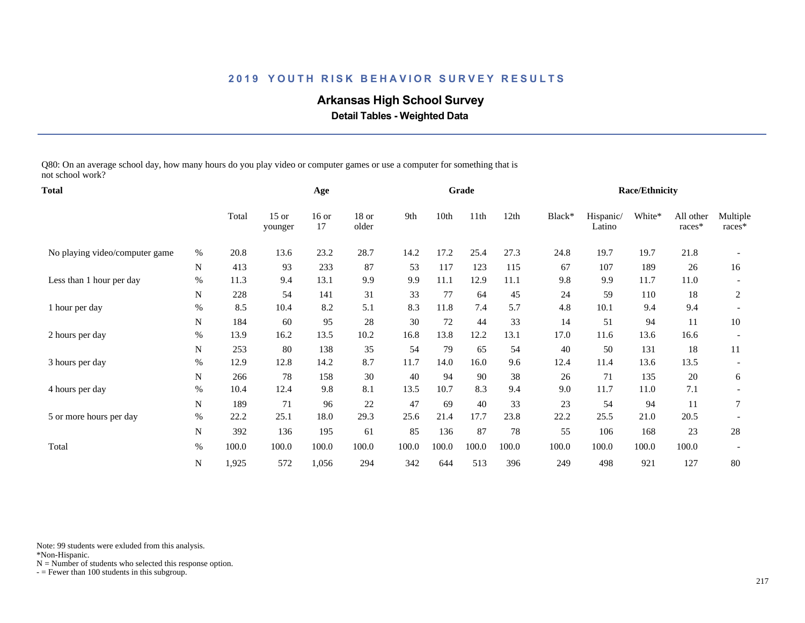# **Arkansas High School Survey**

 **Detail Tables - Weighted Data**

Q80: On an average school day, how many hours do you play video or computer games or use a computer for something that is not school work?

| <b>Total</b>                   |           |       |                    | Age           |                  |       |       | Grade |       |        |                     | <b>Race/Ethnicity</b> |                     |                    |
|--------------------------------|-----------|-------|--------------------|---------------|------------------|-------|-------|-------|-------|--------|---------------------|-----------------------|---------------------|--------------------|
|                                |           | Total | $15$ or<br>younger | $16$ or<br>17 | $18$ or<br>older | 9th   | 10th  | 11th  | 12th  | Black* | Hispanic/<br>Latino | White*                | All other<br>races* | Multiple<br>races* |
| No playing video/computer game | $\%$      | 20.8  | 13.6               | 23.2          | 28.7             | 14.2  | 17.2  | 25.4  | 27.3  | 24.8   | 19.7                | 19.7                  | 21.8                |                    |
|                                | N         | 413   | 93                 | 233           | 87               | 53    | 117   | 123   | 115   | 67     | 107                 | 189                   | 26                  | 16                 |
| Less than 1 hour per day       | $\%$      | 11.3  | 9.4                | 13.1          | 9.9              | 9.9   | 11.1  | 12.9  | 11.1  | 9.8    | 9.9                 | 11.7                  | 11.0                |                    |
|                                | ${\bf N}$ | 228   | 54                 | 141           | 31               | 33    | 77    | 64    | 45    | 24     | 59                  | 110                   | 18                  | $\overline{c}$     |
| 1 hour per day                 | %         | 8.5   | 10.4               | 8.2           | 5.1              | 8.3   | 11.8  | 7.4   | 5.7   | 4.8    | 10.1                | 9.4                   | 9.4                 |                    |
|                                | N         | 184   | 60                 | 95            | 28               | 30    | 72    | 44    | 33    | 14     | 51                  | 94                    | 11                  | 10                 |
| 2 hours per day                | %         | 13.9  | 16.2               | 13.5          | 10.2             | 16.8  | 13.8  | 12.2  | 13.1  | 17.0   | 11.6                | 13.6                  | 16.6                |                    |
|                                | N         | 253   | 80                 | 138           | 35               | 54    | 79    | 65    | 54    | 40     | 50                  | 131                   | 18                  | 11                 |
| 3 hours per day                | %         | 12.9  | 12.8               | 14.2          | 8.7              | 11.7  | 14.0  | 16.0  | 9.6   | 12.4   | 11.4                | 13.6                  | 13.5                |                    |
|                                | N         | 266   | 78                 | 158           | 30               | 40    | 94    | 90    | 38    | 26     | 71                  | 135                   | 20                  | 6                  |
| 4 hours per day                | $\%$      | 10.4  | 12.4               | 9.8           | 8.1              | 13.5  | 10.7  | 8.3   | 9.4   | 9.0    | 11.7                | 11.0                  | 7.1                 |                    |
|                                | N         | 189   | 71                 | 96            | 22               | 47    | 69    | 40    | 33    | 23     | 54                  | 94                    | 11                  | 7                  |
| 5 or more hours per day        | %         | 22.2  | 25.1               | 18.0          | 29.3             | 25.6  | 21.4  | 17.7  | 23.8  | 22.2   | 25.5                | 21.0                  | 20.5                |                    |
|                                | N         | 392   | 136                | 195           | 61               | 85    | 136   | 87    | 78    | 55     | 106                 | 168                   | 23                  | 28                 |
| Total                          | $\%$      | 100.0 | 100.0              | 100.0         | 100.0            | 100.0 | 100.0 | 100.0 | 100.0 | 100.0  | 100.0               | 100.0                 | 100.0               |                    |
|                                | N         | 1,925 | 572                | 1,056         | 294              | 342   | 644   | 513   | 396   | 249    | 498                 | 921                   | 127                 | 80                 |

Note: 99 students were exluded from this analysis.

\*Non-Hispanic.

 $N =$  Number of students who selected this response option.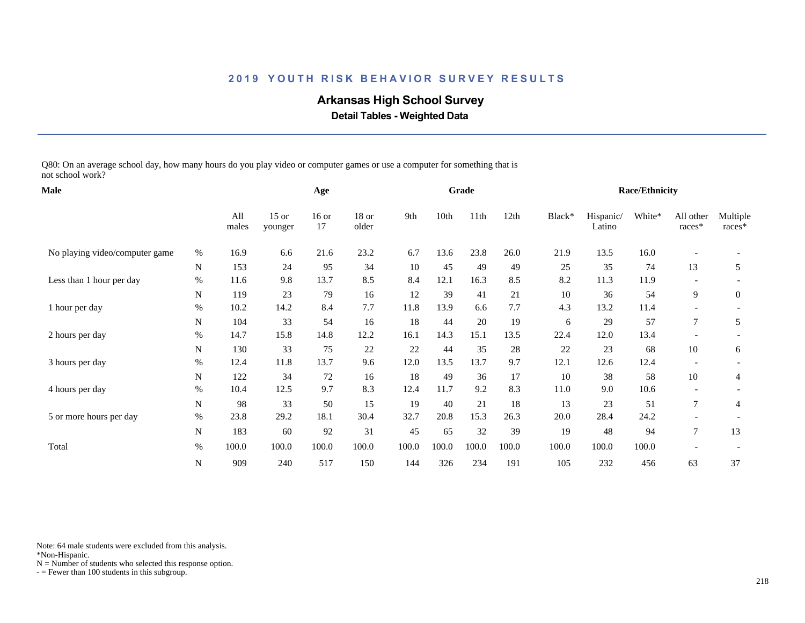# **Arkansas High School Survey**

 **Detail Tables - Weighted Data**

Q80: On an average school day, how many hours do you play video or computer games or use a computer for something that is not school work?

| <b>Male</b>                    |           |       | Age   |               |                  |       | Grade |       |       |        | <b>Race/Ethnicity</b> |        |                          |                    |
|--------------------------------|-----------|-------|-------|---------------|------------------|-------|-------|-------|-------|--------|-----------------------|--------|--------------------------|--------------------|
|                                |           |       |       | $16$ or<br>17 | $18$ or<br>older | 9th   | 10th  | 11th  | 12th  | Black* | Hispanic/<br>Latino   | White* | All other<br>races*      | Multiple<br>races* |
| No playing video/computer game | $\%$      | 16.9  | 6.6   | 21.6          | 23.2             | 6.7   | 13.6  | 23.8  | 26.0  | 21.9   | 13.5                  | 16.0   |                          |                    |
|                                | N         | 153   | 24    | 95            | 34               | 10    | 45    | 49    | 49    | 25     | 35                    | 74     | 13                       | 5                  |
| Less than 1 hour per day       | %         | 11.6  | 9.8   | 13.7          | 8.5              | 8.4   | 12.1  | 16.3  | 8.5   | 8.2    | 11.3                  | 11.9   |                          |                    |
|                                | N         | 119   | 23    | 79            | 16               | 12    | 39    | 41    | 21    | 10     | 36                    | 54     | 9                        | $\mathbf{0}$       |
| 1 hour per day                 | $\%$      | 10.2  | 14.2  | 8.4           | 7.7              | 11.8  | 13.9  | 6.6   | 7.7   | 4.3    | 13.2                  | 11.4   |                          |                    |
|                                | ${\bf N}$ | 104   | 33    | 54            | 16               | 18    | 44    | 20    | 19    | 6      | 29                    | 57     | $\tau$                   | 5                  |
| 2 hours per day                | %         | 14.7  | 15.8  | 14.8          | 12.2             | 16.1  | 14.3  | 15.1  | 13.5  | 22.4   | 12.0                  | 13.4   |                          |                    |
|                                | N         | 130   | 33    | 75            | $22\,$           | 22    | 44    | 35    | 28    | 22     | 23                    | 68     | 10                       | 6                  |
| 3 hours per day                | %         | 12.4  | 11.8  | 13.7          | 9.6              | 12.0  | 13.5  | 13.7  | 9.7   | 12.1   | 12.6                  | 12.4   | $\overline{\phantom{a}}$ |                    |
|                                | N         | 122   | 34    | 72            | 16               | 18    | 49    | 36    | 17    | 10     | 38                    | 58     | 10                       | $\overline{4}$     |
| 4 hours per day                | $\%$      | 10.4  | 12.5  | 9.7           | 8.3              | 12.4  | 11.7  | 9.2   | 8.3   | 11.0   | 9.0                   | 10.6   |                          |                    |
|                                | N         | 98    | 33    | 50            | 15               | 19    | 40    | 21    | 18    | 13     | 23                    | 51     | 7                        | 4                  |
| 5 or more hours per day        | $\%$      | 23.8  | 29.2  | 18.1          | 30.4             | 32.7  | 20.8  | 15.3  | 26.3  | 20.0   | 28.4                  | 24.2   |                          |                    |
|                                | N         | 183   | 60    | 92            | 31               | 45    | 65    | 32    | 39    | 19     | 48                    | 94     | $\tau$                   | 13                 |
| Total                          | $\%$      | 100.0 | 100.0 | 100.0         | 100.0            | 100.0 | 100.0 | 100.0 | 100.0 | 100.0  | 100.0                 | 100.0  |                          |                    |
|                                | N         | 909   | 240   | 517           | 150              | 144   | 326   | 234   | 191   | 105    | 232                   | 456    | 63                       | 37                 |

Note: 64 male students were excluded from this analysis.

\*Non-Hispanic.

 $N =$  Number of students who selected this response option.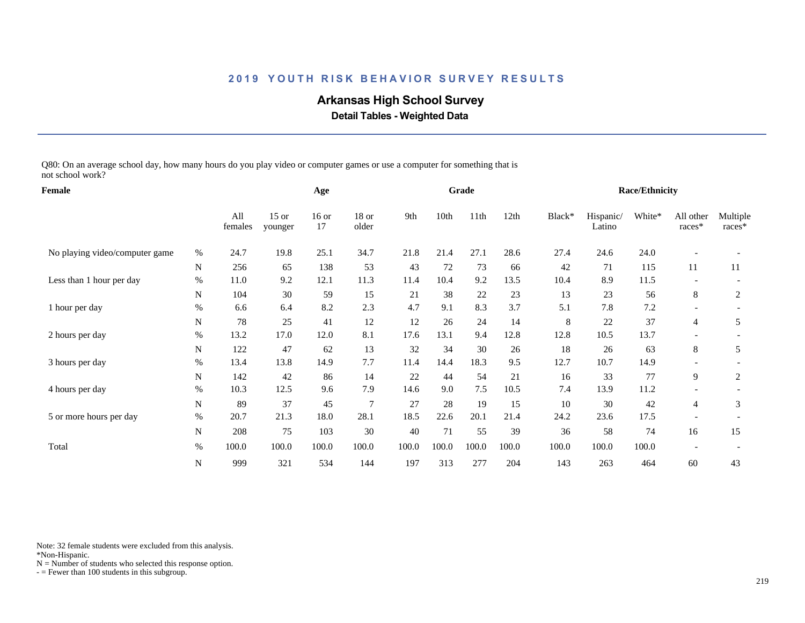# **Arkansas High School Survey**

 **Detail Tables - Weighted Data**

Q80: On an average school day, how many hours do you play video or computer games or use a computer for something that is not school work?

| Female                         |           |                |                    | Age           |                  |       |       | Grade |       |        |                     | <b>Race/Ethnicity</b> |                          |                    |
|--------------------------------|-----------|----------------|--------------------|---------------|------------------|-------|-------|-------|-------|--------|---------------------|-----------------------|--------------------------|--------------------|
|                                |           | All<br>females | $15$ or<br>younger | $16$ or<br>17 | $18$ or<br>older | 9th   | 10th  | 11th  | 12th  | Black* | Hispanic/<br>Latino | White*                | All other<br>races*      | Multiple<br>races* |
| No playing video/computer game | $\%$      | 24.7           | 19.8               | 25.1          | 34.7             | 21.8  | 21.4  | 27.1  | 28.6  | 27.4   | 24.6                | 24.0                  |                          |                    |
|                                | N         | 256            | 65                 | 138           | 53               | 43    | 72    | 73    | 66    | 42     | 71                  | 115                   | 11                       | 11                 |
| Less than 1 hour per day       | $\%$      | 11.0           | 9.2                | 12.1          | 11.3             | 11.4  | 10.4  | 9.2   | 13.5  | 10.4   | 8.9                 | 11.5                  |                          |                    |
|                                | N         | 104            | 30                 | 59            | 15               | 21    | 38    | 22    | 23    | 13     | 23                  | 56                    | 8                        | $\overline{c}$     |
| 1 hour per day                 | $\%$      | 6.6            | 6.4                | 8.2           | 2.3              | 4.7   | 9.1   | 8.3   | 3.7   | 5.1    | 7.8                 | 7.2                   | $\overline{\phantom{a}}$ |                    |
|                                | ${\bf N}$ | 78             | 25                 | 41            | 12               | 12    | 26    | 24    | 14    | 8      | 22                  | 37                    | $\overline{4}$           | 5                  |
| 2 hours per day                | $\%$      | 13.2           | 17.0               | 12.0          | 8.1              | 17.6  | 13.1  | 9.4   | 12.8  | 12.8   | 10.5                | 13.7                  |                          |                    |
|                                | N         | 122            | 47                 | 62            | 13               | 32    | 34    | 30    | 26    | 18     | 26                  | 63                    | 8                        | 5                  |
| 3 hours per day                | $\%$      | 13.4           | 13.8               | 14.9          | 7.7              | 11.4  | 14.4  | 18.3  | 9.5   | 12.7   | 10.7                | 14.9                  |                          |                    |
|                                | N         | 142            | 42                 | 86            | 14               | 22    | 44    | 54    | 21    | 16     | 33                  | 77                    | 9                        | 2                  |
| 4 hours per day                | $\%$      | 10.3           | 12.5               | 9.6           | 7.9              | 14.6  | 9.0   | 7.5   | 10.5  | 7.4    | 13.9                | 11.2                  |                          |                    |
|                                | N         | 89             | 37                 | 45            | $\overline{7}$   | 27    | 28    | 19    | 15    | 10     | 30                  | 42                    | 4                        | 3                  |
| 5 or more hours per day        | $\%$      | 20.7           | 21.3               | 18.0          | 28.1             | 18.5  | 22.6  | 20.1  | 21.4  | 24.2   | 23.6                | 17.5                  |                          |                    |
|                                | N         | 208            | 75                 | 103           | 30               | 40    | 71    | 55    | 39    | 36     | 58                  | 74                    | 16                       | 15                 |
| Total                          | $\%$      | 100.0          | 100.0              | 100.0         | 100.0            | 100.0 | 100.0 | 100.0 | 100.0 | 100.0  | 100.0               | 100.0                 |                          |                    |
|                                | ${\bf N}$ | 999            | 321                | 534           | 144              | 197   | 313   | 277   | 204   | 143    | 263                 | 464                   | 60                       | 43                 |

Note: 32 female students were excluded from this analysis.

\*Non-Hispanic.

 $N =$  Number of students who selected this response option.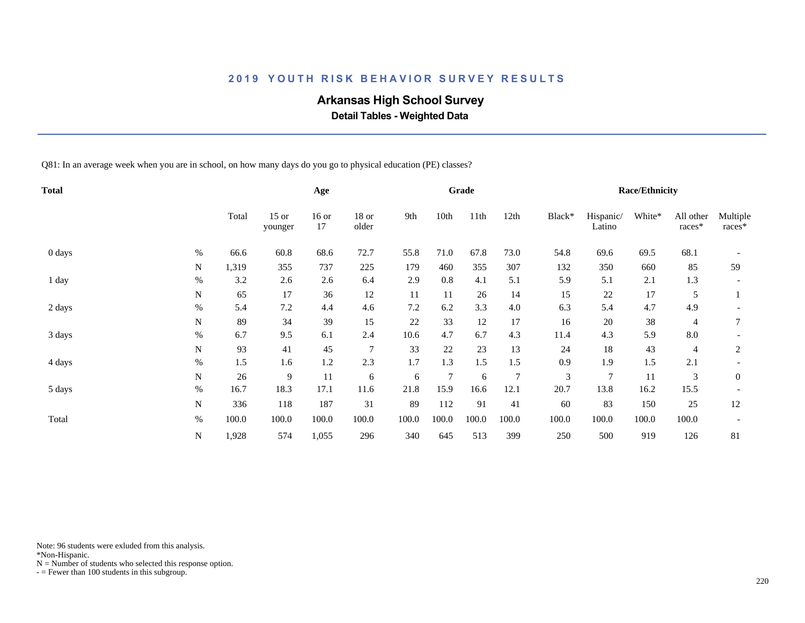# **Arkansas High School Survey**

 **Detail Tables - Weighted Data**

Q81: In an average week when you are in school, on how many days do you go to physical education (PE) classes?

| Total  |           |       |                    | Age           |                 |       |                | Grade |                |                             |                     | <b>Race/Ethnicity</b> |                     |                    |
|--------|-----------|-------|--------------------|---------------|-----------------|-------|----------------|-------|----------------|-----------------------------|---------------------|-----------------------|---------------------|--------------------|
|        |           | Total | $15$ or<br>younger | $16$ or<br>17 | 18 or<br>older  | 9th   | 10th           | 11th  | 12th           | Black*                      | Hispanic/<br>Latino | White*                | All other<br>races* | Multiple<br>races* |
| 0 days | $\%$      | 66.6  | 60.8               | 68.6          | 72.7            | 55.8  | 71.0           | 67.8  | 73.0           | 54.8                        | 69.6                | 69.5                  | 68.1                |                    |
|        | N         | 1,319 | 355                | 737           | 225             | 179   | 460            | 355   | 307            | 132                         | 350                 | 660                   | 85                  | 59                 |
| 1 day  | $\%$      | 3.2   | 2.6                | 2.6           | 6.4             | 2.9   | 0.8            | 4.1   | 5.1            | 5.9                         | 5.1                 | 2.1                   | 1.3                 |                    |
|        | N         | 65    | 17                 | 36            | 12              | 11    | 11             | 26    | 14             | 15                          | $22\,$              | 17                    | 5                   |                    |
| 2 days | $\%$      | 5.4   | 7.2                | 4.4           | 4.6             | 7.2   | 6.2            | 3.3   | 4.0            | 6.3                         | 5.4                 | 4.7                   | 4.9                 |                    |
|        | N         | 89    | 34                 | 39            | 15              | 22    | 33             | 12    | 17             | 16                          | $20\,$              | 38                    | $\overline{4}$      | 7                  |
| 3 days | $\%$      | 6.7   | 9.5                | 6.1           | 2.4             | 10.6  | 4.7            | 6.7   | 4.3            | 11.4                        | 4.3                 | 5.9                   | 8.0                 |                    |
|        | N         | 93    | 41                 | 45            | $7\phantom{.0}$ | 33    | 22             | 23    | 13             | 24                          | 18                  | 43                    | 4                   | 2                  |
| 4 days | $\%$      | 1.5   | 1.6                | 1.2           | 2.3             | 1.7   | 1.3            | 1.5   | 1.5            | 0.9                         | 1.9                 | 1.5                   | 2.1                 |                    |
|        | N         | 26    | 9                  | 11            | 6               | 6     | $\overline{7}$ | 6     | $\overline{7}$ | $\ensuremath{\mathfrak{Z}}$ | $\tau$              | 11                    | 3                   | $\mathbf{0}$       |
| 5 days | $\%$      | 16.7  | 18.3               | 17.1          | 11.6            | 21.8  | 15.9           | 16.6  | 12.1           | 20.7                        | 13.8                | 16.2                  | 15.5                |                    |
|        | N         | 336   | 118                | 187           | 31              | 89    | 112            | 91    | 41             | 60                          | 83                  | 150                   | 25                  | 12                 |
| Total  | $\%$      | 100.0 | 100.0              | 100.0         | 100.0           | 100.0 | 100.0          | 100.0 | 100.0          | 100.0                       | 100.0               | 100.0                 | 100.0               |                    |
|        | ${\bf N}$ | 1,928 | 574                | 1,055         | 296             | 340   | 645            | 513   | 399            | 250                         | 500                 | 919                   | 126                 | 81                 |

Note: 96 students were exluded from this analysis.

\*Non-Hispanic.

 $N =$  Number of students who selected this response option.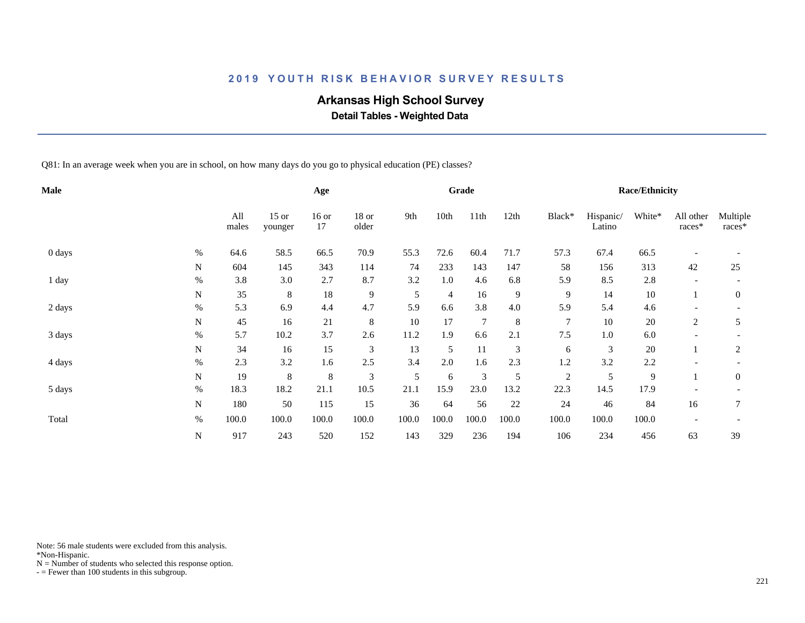# **Arkansas High School Survey**

 **Detail Tables - Weighted Data**

Q81: In an average week when you are in school, on how many days do you go to physical education (PE) classes?

| <b>Male</b> |             |              |                    | Age           |                  |       |       | Grade          |                |                |                     | <b>Race/Ethnicity</b> |                          |                    |
|-------------|-------------|--------------|--------------------|---------------|------------------|-------|-------|----------------|----------------|----------------|---------------------|-----------------------|--------------------------|--------------------|
|             |             | All<br>males | $15$ or<br>younger | $16$ or<br>17 | $18$ or<br>older | 9th   | 10th  | 11th           | 12th           | Black*         | Hispanic/<br>Latino | White*                | All other<br>races*      | Multiple<br>races* |
| 0 days      | $\%$        | 64.6         | 58.5               | 66.5          | 70.9             | 55.3  | 72.6  | 60.4           | 71.7           | 57.3           | 67.4                | 66.5                  |                          |                    |
|             | N           | 604          | 145                | 343           | 114              | 74    | 233   | 143            | 147            | 58             | 156                 | 313                   | 42                       | 25                 |
| 1 day       | $\%$        | 3.8          | 3.0                | 2.7           | 8.7              | 3.2   | 1.0   | 4.6            | 6.8            | 5.9            | 8.5                 | 2.8                   |                          |                    |
|             | N           | 35           | 8                  | $18\,$        | 9                | 5     | 4     | 16             | 9              | 9              | 14                  | $10\,$                |                          | $\overline{0}$     |
| 2 days      | $\%$        | 5.3          | 6.9                | 4.4           | 4.7              | 5.9   | 6.6   | 3.8            | 4.0            | 5.9            | 5.4                 | 4.6                   |                          |                    |
|             | $\mathbf N$ | 45           | 16                 | 21            | 8                | 10    | 17    | $\overline{7}$ | $\,8\,$        | 7              | 10                  | $20\,$                | $\overline{c}$           | 5                  |
| 3 days      | $\%$        | 5.7          | 10.2               | 3.7           | 2.6              | 11.2  | 1.9   | 6.6            | 2.1            | 7.5            | 1.0                 | 6.0                   |                          |                    |
|             | N           | 34           | 16                 | 15            | 3                | 13    | 5     | 11             | $\mathfrak{Z}$ | 6              | 3                   | $20\,$                |                          | $\overline{c}$     |
| 4 days      | $\%$        | 2.3          | 3.2                | 1.6           | 2.5              | 3.4   | 2.0   | 1.6            | 2.3            | 1.2            | 3.2                 | 2.2                   |                          |                    |
|             | ${\bf N}$   | 19           | 8                  | $\,8\,$       | 3                | 5     | 6     | 3              | 5              | $\overline{2}$ | 5                   | $\overline{9}$        |                          | $\mathbf{0}$       |
| 5 days      | $\%$        | 18.3         | 18.2               | 21.1          | 10.5             | 21.1  | 15.9  | 23.0           | 13.2           | 22.3           | 14.5                | 17.9                  |                          |                    |
|             | N           | 180          | 50                 | 115           | 15               | 36    | 64    | 56             | $22\,$         | 24             | 46                  | 84                    | 16                       | 7                  |
| Total       | $\%$        | 100.0        | 100.0              | 100.0         | 100.0            | 100.0 | 100.0 | 100.0          | 100.0          | 100.0          | 100.0               | 100.0                 | $\overline{\phantom{a}}$ |                    |
|             | ${\bf N}$   | 917          | 243                | 520           | 152              | 143   | 329   | 236            | 194            | 106            | 234                 | 456                   | 63                       | 39                 |

Note: 56 male students were excluded from this analysis.

\*Non-Hispanic.

 $N =$  Number of students who selected this response option.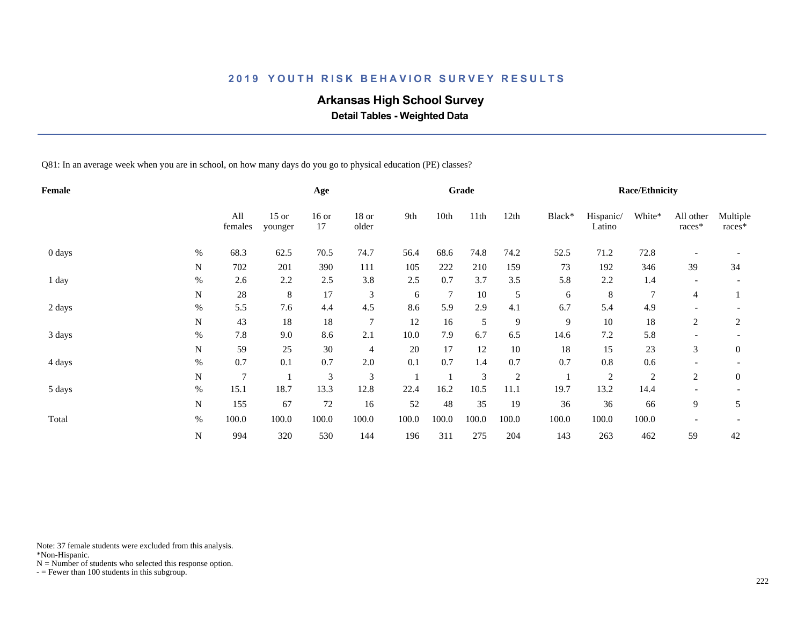# **Arkansas High School Survey**

 **Detail Tables - Weighted Data**

Q81: In an average week when you are in school, on how many days do you go to physical education (PE) classes?

| Female |             |                |                    | Age            |                |       |                | Grade |                |        |                     | <b>Race/Ethnicity</b> |                          |                    |
|--------|-------------|----------------|--------------------|----------------|----------------|-------|----------------|-------|----------------|--------|---------------------|-----------------------|--------------------------|--------------------|
|        |             | All<br>females | $15$ or<br>younger | $16$ or<br>17  | 18 or<br>older | 9th   | 10th           | 11th  | 12th           | Black* | Hispanic/<br>Latino | White*                | All other<br>races*      | Multiple<br>races* |
| 0 days | $\%$        | 68.3           | 62.5               | 70.5           | 74.7           | 56.4  | 68.6           | 74.8  | 74.2           | 52.5   | 71.2                | 72.8                  |                          |                    |
|        | N           | 702            | 201                | 390            | 111            | 105   | 222            | 210   | 159            | 73     | 192                 | 346                   | 39                       | 34                 |
| 1 day  | $\%$        | 2.6            | 2.2                | 2.5            | 3.8            | 2.5   | 0.7            | 3.7   | 3.5            | 5.8    | 2.2                 | 1.4                   |                          |                    |
|        | N           | 28             | 8                  | 17             | 3              | 6     | $\overline{7}$ | 10    | 5              | 6      | 8                   | 7                     | 4                        |                    |
| 2 days | $\%$        | 5.5            | 7.6                | 4.4            | 4.5            | 8.6   | 5.9            | 2.9   | 4.1            | 6.7    | 5.4                 | 4.9                   |                          |                    |
|        | N           | 43             | 18                 | 18             | $\overline{7}$ | 12    | 16             | 5     | $\overline{9}$ | 9      | 10                  | 18                    | 2                        | $\overline{c}$     |
| 3 days | $\%$        | 7.8            | 9.0                | 8.6            | 2.1            | 10.0  | 7.9            | 6.7   | 6.5            | 14.6   | $7.2\,$             | 5.8                   |                          |                    |
|        | N           | 59             | 25                 | 30             | $\overline{4}$ | 20    | 17             | 12    | 10             | 18     | 15                  | 23                    | 3                        | $\mathbf{0}$       |
| 4 days | $\%$        | 0.7            | 0.1                | 0.7            | 2.0            | 0.1   | 0.7            | 1.4   | 0.7            | 0.7    | 0.8                 | 0.6                   |                          |                    |
|        | $\mathbf N$ | 7              |                    | $\mathfrak{Z}$ | 3              |       |                | 3     | $\sqrt{2}$     |        | $\mathfrak{2}$      | $\sqrt{2}$            | $\mathfrak{2}$           | $\mathbf{0}$       |
| 5 days | $\%$        | 15.1           | 18.7               | 13.3           | 12.8           | 22.4  | 16.2           | 10.5  | 11.1           | 19.7   | 13.2                | 14.4                  |                          |                    |
|        | N           | 155            | 67                 | $72\,$         | 16             | 52    | 48             | 35    | 19             | 36     | 36                  | 66                    | 9                        | 5                  |
| Total  | $\%$        | 100.0          | 100.0              | 100.0          | 100.0          | 100.0 | 100.0          | 100.0 | 100.0          | 100.0  | 100.0               | 100.0                 | $\overline{\phantom{a}}$ |                    |
|        | $\mathbf N$ | 994            | 320                | 530            | 144            | 196   | 311            | 275   | 204            | 143    | 263                 | 462                   | 59                       | 42                 |

Note: 37 female students were excluded from this analysis.

\*Non-Hispanic.

 $N =$  Number of students who selected this response option.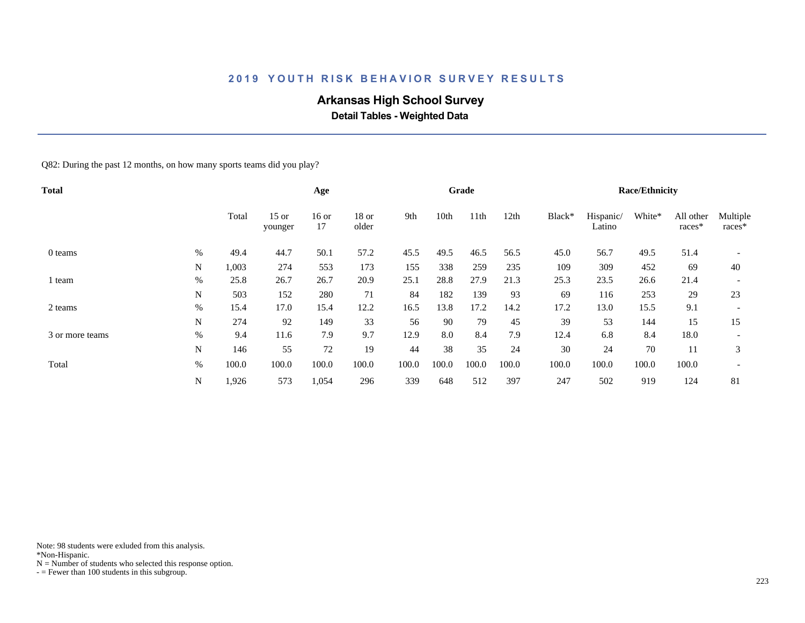# **Arkansas High School Survey**

 **Detail Tables - Weighted Data**

Q82: During the past 12 months, on how many sports teams did you play?

| <b>Total</b>    |      |       |                    | Age           |                  |       |       | Grade |       |        |                     | <b>Race/Ethnicity</b> |                     |                    |
|-----------------|------|-------|--------------------|---------------|------------------|-------|-------|-------|-------|--------|---------------------|-----------------------|---------------------|--------------------|
|                 |      | Total | $15$ or<br>younger | $16$ or<br>17 | $18$ or<br>older | 9th   | 10th  | 11th  | 12th  | Black* | Hispanic/<br>Latino | White*                | All other<br>races* | Multiple<br>races* |
| 0 teams         | $\%$ | 49.4  | 44.7               | 50.1          | 57.2             | 45.5  | 49.5  | 46.5  | 56.5  | 45.0   | 56.7                | 49.5                  | 51.4                |                    |
|                 | N    | 1,003 | 274                | 553           | 173              | 155   | 338   | 259   | 235   | 109    | 309                 | 452                   | 69                  | 40                 |
| l team          | $\%$ | 25.8  | 26.7               | 26.7          | 20.9             | 25.1  | 28.8  | 27.9  | 21.3  | 25.3   | 23.5                | 26.6                  | 21.4                |                    |
|                 | N    | 503   | 152                | 280           | 71               | 84    | 182   | 139   | 93    | 69     | 116                 | 253                   | 29                  | 23                 |
| 2 teams         | $\%$ | 15.4  | 17.0               | 15.4          | 12.2             | 16.5  | 13.8  | 17.2  | 14.2  | 17.2   | 13.0                | 15.5                  | 9.1                 |                    |
|                 | N    | 274   | 92                 | 149           | 33               | 56    | 90    | 79    | 45    | 39     | 53                  | 144                   | 15                  | 15                 |
| 3 or more teams | %    | 9.4   | 11.6               | 7.9           | 9.7              | 12.9  | 8.0   | 8.4   | 7.9   | 12.4   | 6.8                 | 8.4                   | 18.0                |                    |
|                 | N    | 146   | 55                 | 72            | 19               | 44    | 38    | 35    | 24    | 30     | 24                  | 70                    | 11                  | 3                  |
| Total           | %    | 100.0 | 100.0              | 100.0         | 100.0            | 100.0 | 100.0 | 100.0 | 100.0 | 100.0  | 100.0               | 100.0                 | 100.0               |                    |
|                 | N    | 1,926 | 573                | 1,054         | 296              | 339   | 648   | 512   | 397   | 247    | 502                 | 919                   | 124                 | 81                 |

Note: 98 students were exluded from this analysis.

\*Non-Hispanic.

 $N =$  Number of students who selected this response option.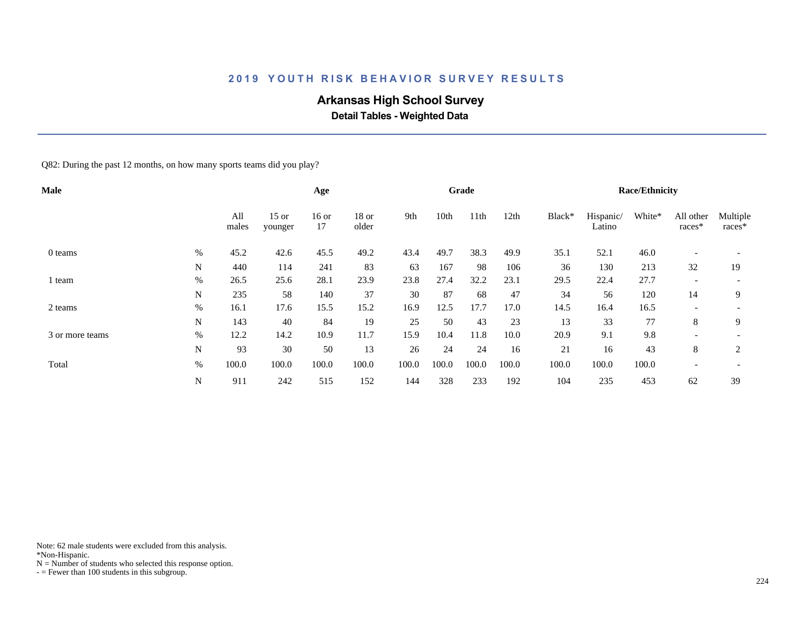# **Arkansas High School Survey**

 **Detail Tables - Weighted Data**

Q82: During the past 12 months, on how many sports teams did you play?

| <b>Male</b>     |      |              |                    | Age           |                  |       |       | Grade |       |        |                     | <b>Race/Ethnicity</b> |                          |                      |
|-----------------|------|--------------|--------------------|---------------|------------------|-------|-------|-------|-------|--------|---------------------|-----------------------|--------------------------|----------------------|
|                 |      | All<br>males | $15$ or<br>younger | $16$ or<br>17 | $18$ or<br>older | 9th   | 10th  | 11th  | 12th  | Black* | Hispanic/<br>Latino | White*                | All other<br>races*      | Multiple<br>$races*$ |
| 0 teams         | $\%$ | 45.2         | 42.6               | 45.5          | 49.2             | 43.4  | 49.7  | 38.3  | 49.9  | 35.1   | 52.1                | 46.0                  | $\overline{\phantom{0}}$ |                      |
|                 | N    | 440          | 114                | 241           | 83               | 63    | 167   | 98    | 106   | 36     | 130                 | 213                   | 32                       | 19                   |
| l team          | $\%$ | 26.5         | 25.6               | 28.1          | 23.9             | 23.8  | 27.4  | 32.2  | 23.1  | 29.5   | 22.4                | 27.7                  | $\overline{\phantom{0}}$ |                      |
|                 | N    | 235          | 58                 | 140           | 37               | 30    | 87    | 68    | 47    | 34     | 56                  | 120                   | 14                       | 9                    |
| 2 teams         | $\%$ | 16.1         | 17.6               | 15.5          | 15.2             | 16.9  | 12.5  | 17.7  | 17.0  | 14.5   | 16.4                | 16.5                  | $\overline{\phantom{0}}$ |                      |
|                 | N    | 143          | 40                 | 84            | 19               | 25    | 50    | 43    | 23    | 13     | 33                  | 77                    | 8                        | 9                    |
| 3 or more teams | %    | 12.2         | 14.2               | 10.9          | 11.7             | 15.9  | 10.4  | 11.8  | 10.0  | 20.9   | 9.1                 | 9.8                   | -                        |                      |
|                 | N    | 93           | 30                 | 50            | 13               | 26    | 24    | 24    | 16    | 21     | 16                  | 43                    | 8                        | 2                    |
| Total           | %    | 100.0        | 100.0              | 100.0         | 100.0            | 100.0 | 100.0 | 100.0 | 100.0 | 100.0  | 100.0               | 100.0                 | $\overline{\phantom{a}}$ |                      |
|                 | N    | 911          | 242                | 515           | 152              | 144   | 328   | 233   | 192   | 104    | 235                 | 453                   | 62                       | 39                   |

Note: 62 male students were excluded from this analysis.

\*Non-Hispanic.

 $N =$  Number of students who selected this response option.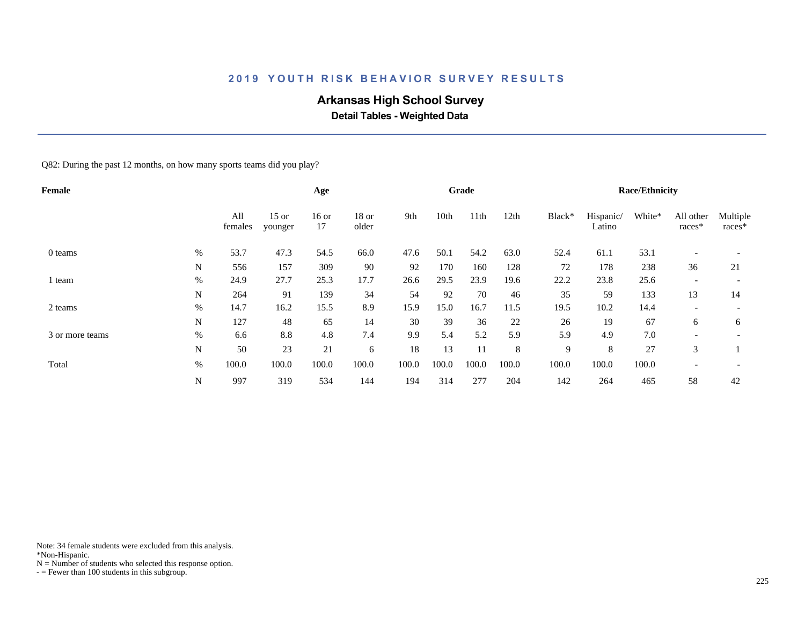# **Arkansas High School Survey**

 **Detail Tables - Weighted Data**

Q82: During the past 12 months, on how many sports teams did you play?

| Female          |      |                |                    | Age           |                  |       |       | Grade |       |        |                     | <b>Race/Ethnicity</b> |                          |                    |
|-----------------|------|----------------|--------------------|---------------|------------------|-------|-------|-------|-------|--------|---------------------|-----------------------|--------------------------|--------------------|
|                 |      | All<br>females | $15$ or<br>younger | $16$ or<br>17 | $18$ or<br>older | 9th   | 10th  | 11th  | 12th  | Black* | Hispanic/<br>Latino | White*                | All other<br>races*      | Multiple<br>races* |
| 0 teams         | $\%$ | 53.7           | 47.3               | 54.5          | 66.0             | 47.6  | 50.1  | 54.2  | 63.0  | 52.4   | 61.1                | 53.1                  |                          |                    |
|                 | N    | 556            | 157                | 309           | 90               | 92    | 170   | 160   | 128   | 72     | 178                 | 238                   | 36                       | 21                 |
| 1 team          | $\%$ | 24.9           | 27.7               | 25.3          | 17.7             | 26.6  | 29.5  | 23.9  | 19.6  | 22.2   | 23.8                | 25.6                  | $\overline{\phantom{0}}$ |                    |
|                 | N    | 264            | 91                 | 139           | 34               | 54    | 92    | 70    | 46    | 35     | 59                  | 133                   | 13                       | 14                 |
| 2 teams         | $\%$ | 14.7           | 16.2               | 15.5          | 8.9              | 15.9  | 15.0  | 16.7  | 11.5  | 19.5   | 10.2                | 14.4                  | $\overline{\phantom{a}}$ |                    |
|                 | N    | 127            | 48                 | 65            | 14               | 30    | 39    | 36    | 22    | 26     | 19                  | 67                    | 6                        | 6                  |
| 3 or more teams | $\%$ | 6.6            | 8.8                | 4.8           | 7.4              | 9.9   | 5.4   | 5.2   | 5.9   | 5.9    | 4.9                 | 7.0                   | -                        |                    |
|                 | N    | 50             | 23                 | 21            | 6                | 18    | 13    | 11    | 8     | 9      | 8                   | 27                    | 3                        |                    |
| Total           | %    | 100.0          | 100.0              | 100.0         | 100.0            | 100.0 | 100.0 | 100.0 | 100.0 | 100.0  | 100.0               | 100.0                 | $\overline{\phantom{0}}$ |                    |
|                 | N    | 997            | 319                | 534           | 144              | 194   | 314   | 277   | 204   | 142    | 264                 | 465                   | 58                       | 42                 |

Note: 34 female students were excluded from this analysis.

\*Non-Hispanic.

 $N =$  Number of students who selected this response option.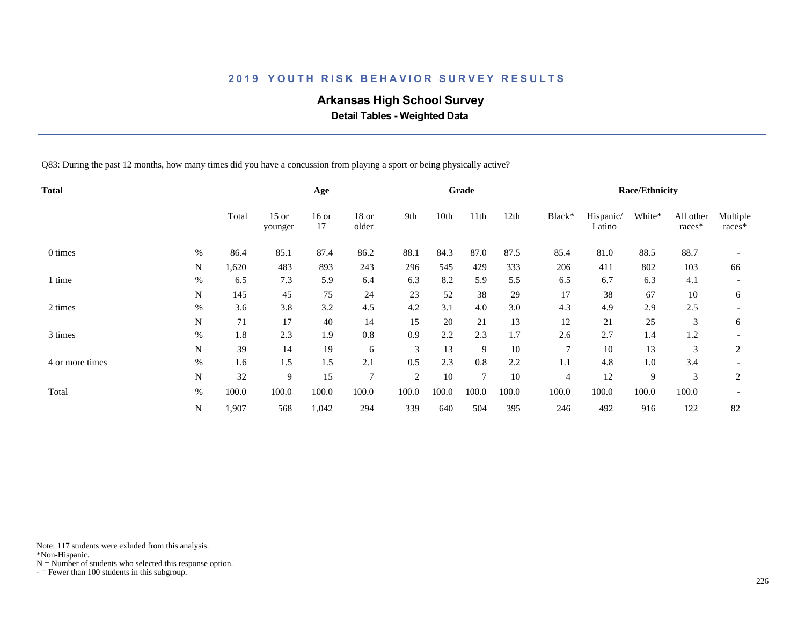# **Arkansas High School Survey**

 **Detail Tables - Weighted Data**

Q83: During the past 12 months, how many times did you have a concussion from playing a sport or being physically active?

| Total           |      |       |                    | Age           |                  |       |       | Grade          |        |        |                     | <b>Race/Ethnicity</b> |                     |                    |
|-----------------|------|-------|--------------------|---------------|------------------|-------|-------|----------------|--------|--------|---------------------|-----------------------|---------------------|--------------------|
|                 |      | Total | $15$ or<br>younger | $16$ or<br>17 | $18$ or<br>older | 9th   | 10th  | 11th           | 12th   | Black* | Hispanic/<br>Latino | White*                | All other<br>races* | Multiple<br>races* |
| 0 times         | %    | 86.4  | 85.1               | 87.4          | 86.2             | 88.1  | 84.3  | 87.0           | 87.5   | 85.4   | 81.0                | 88.5                  | 88.7                |                    |
|                 | N    | 1,620 | 483                | 893           | 243              | 296   | 545   | 429            | 333    | 206    | 411                 | 802                   | 103                 | 66                 |
| time            | %    | 6.5   | 7.3                | 5.9           | 6.4              | 6.3   | 8.2   | 5.9            | 5.5    | 6.5    | 6.7                 | 6.3                   | 4.1                 |                    |
|                 | N    | 145   | 45                 | 75            | 24               | 23    | 52    | 38             | 29     | 17     | 38                  | 67                    | 10                  | 6                  |
| 2 times         | $\%$ | 3.6   | 3.8                | 3.2           | 4.5              | 4.2   | 3.1   | 4.0            | 3.0    | 4.3    | 4.9                 | 2.9                   | 2.5                 |                    |
|                 | N    | 71    | 17                 | 40            | 14               | 15    | 20    | 21             | 13     | 12     | 21                  | 25                    | 3                   | 6                  |
| 3 times         | $\%$ | 1.8   | 2.3                | 1.9           | 0.8              | 0.9   | 2.2   | 2.3            | 1.7    | 2.6    | 2.7                 | 1.4                   | 1.2                 |                    |
|                 | N    | 39    | 14                 | 19            | 6                | 3     | 13    | 9              | $10\,$ | 7      | 10                  | 13                    | 3                   | $\overline{c}$     |
| 4 or more times | $\%$ | 1.6   | 1.5                | 1.5           | 2.1              | 0.5   | 2.3   | 0.8            | 2.2    | 1.1    | 4.8                 | 1.0                   | 3.4                 |                    |
|                 | N    | 32    | 9                  | 15            | $\overline{7}$   | 2     | 10    | $\overline{7}$ | 10     | 4      | 12                  | 9                     | 3                   | $\overline{2}$     |
| Total           | $\%$ | 100.0 | 100.0              | 100.0         | 100.0            | 100.0 | 100.0 | 100.0          | 100.0  | 100.0  | 100.0               | 100.0                 | 100.0               |                    |
|                 | N    | 1,907 | 568                | 1,042         | 294              | 339   | 640   | 504            | 395    | 246    | 492                 | 916                   | 122                 | 82                 |

Note: 117 students were exluded from this analysis.

\*Non-Hispanic.

 $N =$  Number of students who selected this response option.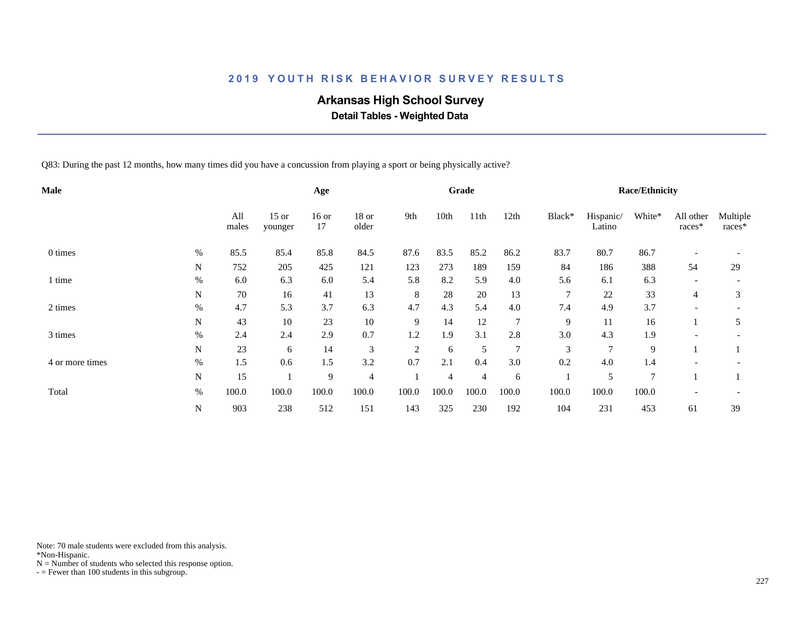# **Arkansas High School Survey**

 **Detail Tables - Weighted Data**

Q83: During the past 12 months, how many times did you have a concussion from playing a sport or being physically active?

| <b>Male</b>     |           |              |                    | Age           |                  |                |                | Grade          |                |        |                     | <b>Race/Ethnicity</b> |                     |                    |
|-----------------|-----------|--------------|--------------------|---------------|------------------|----------------|----------------|----------------|----------------|--------|---------------------|-----------------------|---------------------|--------------------|
|                 |           | All<br>males | $15$ or<br>younger | $16$ or<br>17 | $18$ or<br>older | 9th            | 10th           | 11th           | 12th           | Black* | Hispanic/<br>Latino | White*                | All other<br>races* | Multiple<br>races* |
| 0 times         | %         | 85.5         | 85.4               | 85.8          | 84.5             | 87.6           | 83.5           | 85.2           | 86.2           | 83.7   | 80.7                | 86.7                  |                     |                    |
|                 | N         | 752          | 205                | 425           | 121              | 123            | 273            | 189            | 159            | 84     | 186                 | 388                   | 54                  | 29                 |
| l time          | $\%$      | 6.0          | 6.3                | 6.0           | 5.4              | 5.8            | 8.2            | 5.9            | 4.0            | 5.6    | 6.1                 | 6.3                   |                     |                    |
|                 | N         | 70           | 16                 | 41            | 13               | 8              | 28             | 20             | 13             | $\tau$ | 22                  | 33                    | 4                   | 3                  |
| 2 times         | $\%$      | 4.7          | 5.3                | 3.7           | 6.3              | 4.7            | 4.3            | 5.4            | 4.0            | 7.4    | 4.9                 | 3.7                   |                     |                    |
|                 | N         | 43           | 10                 | 23            | 10               | 9              | 14             | 12             | 7              | 9      | 11                  | 16                    |                     | 5                  |
| 3 times         | $\%$      | 2.4          | 2.4                | 2.9           | 0.7              | 1.2            | 1.9            | 3.1            | 2.8            | 3.0    | 4.3                 | 1.9                   |                     |                    |
|                 | N         | 23           | 6                  | 14            | $\mathfrak{Z}$   | $\overline{c}$ | 6              | 5              | $\overline{7}$ | 3      | $\overline{7}$      | 9                     |                     |                    |
| 4 or more times | $\%$      | 1.5          | 0.6                | 1.5           | 3.2              | 0.7            | 2.1            | 0.4            | 3.0            | 0.2    | 4.0                 | 1.4                   |                     |                    |
|                 | N         | 15           |                    | 9             | $\overline{4}$   |                | $\overline{4}$ | $\overline{4}$ | 6              |        | 5                   | $\tau$                |                     |                    |
| Total           | $\%$      | 100.0        | 100.0              | 100.0         | 100.0            | 100.0          | 100.0          | 100.0          | 100.0          | 100.0  | 100.0               | 100.0                 |                     |                    |
|                 | ${\bf N}$ | 903          | 238                | 512           | 151              | 143            | 325            | 230            | 192            | 104    | 231                 | 453                   | 61                  | 39                 |

Note: 70 male students were excluded from this analysis.

\*Non-Hispanic.

 $N =$  Number of students who selected this response option.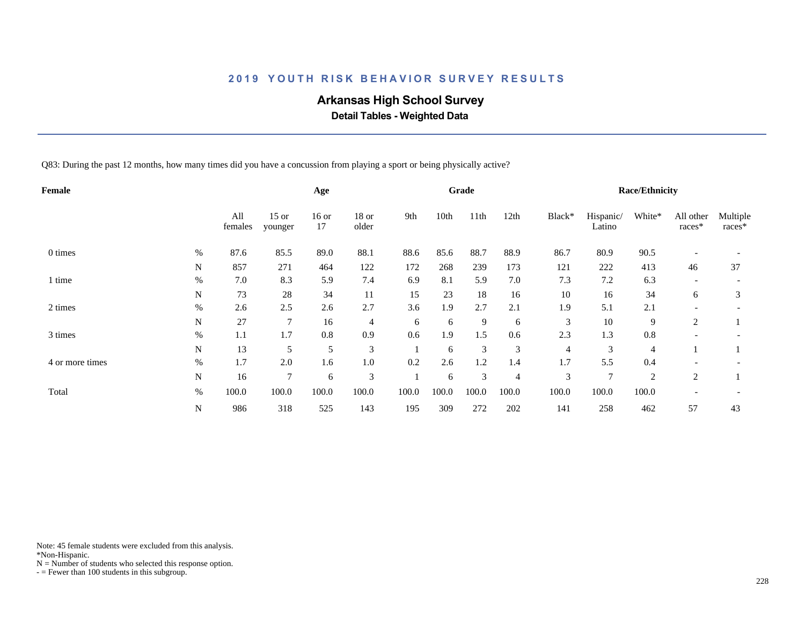# **Arkansas High School Survey**

 **Detail Tables - Weighted Data**

Q83: During the past 12 months, how many times did you have a concussion from playing a sport or being physically active?

| <b>Female</b>   |           |                |                    | Age           |                |       |       | Grade |                |        |                     | <b>Race/Ethnicity</b> |                     |                    |
|-----------------|-----------|----------------|--------------------|---------------|----------------|-------|-------|-------|----------------|--------|---------------------|-----------------------|---------------------|--------------------|
|                 |           | All<br>females | $15$ or<br>younger | $16$ or<br>17 | 18 or<br>older | 9th   | 10th  | 11th  | 12th           | Black* | Hispanic/<br>Latino | White*                | All other<br>races* | Multiple<br>races* |
| 0 times         | %         | 87.6           | 85.5               | 89.0          | 88.1           | 88.6  | 85.6  | 88.7  | 88.9           | 86.7   | 80.9                | 90.5                  |                     |                    |
|                 | N         | 857            | 271                | 464           | 122            | 172   | 268   | 239   | 173            | 121    | 222                 | 413                   | 46                  | 37                 |
| 1 time          | $\%$      | 7.0            | 8.3                | 5.9           | 7.4            | 6.9   | 8.1   | 5.9   | 7.0            | 7.3    | 7.2                 | 6.3                   |                     |                    |
|                 | N         | 73             | 28                 | 34            | 11             | 15    | 23    | 18    | 16             | 10     | 16                  | 34                    | 6                   | 3                  |
| 2 times         | $\%$      | 2.6            | 2.5                | 2.6           | 2.7            | 3.6   | 1.9   | 2.7   | 2.1            | 1.9    | 5.1                 | 2.1                   |                     |                    |
|                 | N         | 27             | $\overline{7}$     | 16            | $\overline{4}$ | 6     | 6     | 9     | 6              | 3      | $10\,$              | 9                     | 2                   |                    |
| 3 times         | $\%$      | 1.1            | 1.7                | 0.8           | 0.9            | 0.6   | 1.9   | 1.5   | 0.6            | 2.3    | 1.3                 | 0.8                   |                     |                    |
|                 | N         | 13             | 5                  | 5             | 3              |       | 6     | 3     | 3              | 4      | 3                   | 4                     |                     |                    |
| 4 or more times | $\%$      | 1.7            | 2.0                | 1.6           | 1.0            | 0.2   | 2.6   | 1.2   | 1.4            | 1.7    | 5.5                 | 0.4                   |                     |                    |
|                 | ${\bf N}$ | 16             | $\tau$             | 6             | 3              |       | 6     | 3     | $\overline{4}$ | 3      | $\overline{7}$      | $\overline{2}$        | 2                   |                    |
| Total           | $\%$      | 100.0          | 100.0              | 100.0         | 100.0          | 100.0 | 100.0 | 100.0 | 100.0          | 100.0  | 100.0               | 100.0                 |                     |                    |
|                 | N         | 986            | 318                | 525           | 143            | 195   | 309   | 272   | 202            | 141    | 258                 | 462                   | 57                  | 43                 |

Note: 45 female students were excluded from this analysis.

\*Non-Hispanic.

 $N =$  Number of students who selected this response option.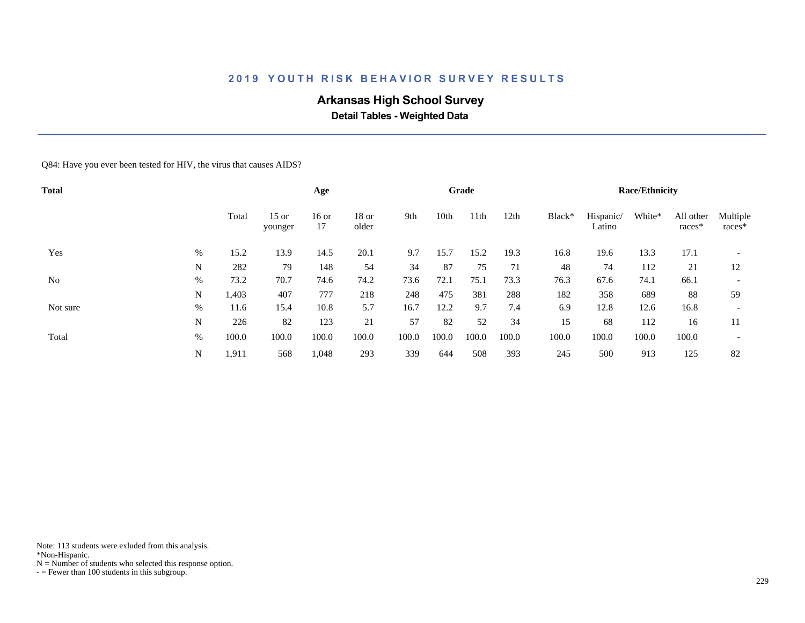# **Arkansas High School Survey**

 **Detail Tables - Weighted Data**

Q84: Have you ever been tested for HIV, the virus that causes AIDS?

| <b>Total</b>   |      |       |                    | Age           |                  |       |       | Grade |       |        |                     | <b>Race/Ethnicity</b> |                     |                          |
|----------------|------|-------|--------------------|---------------|------------------|-------|-------|-------|-------|--------|---------------------|-----------------------|---------------------|--------------------------|
|                |      | Total | $15$ or<br>younger | $16$ or<br>17 | $18$ or<br>older | 9th   | 10th  | 11th  | 12th  | Black* | Hispanic/<br>Latino | White*                | All other<br>races* | Multiple<br>races*       |
| Yes            | %    | 15.2  | 13.9               | 14.5          | 20.1             | 9.7   | 15.7  | 15.2  | 19.3  | 16.8   | 19.6                | 13.3                  | 17.1                |                          |
|                | N    | 282   | 79                 | 148           | 54               | 34    | 87    | 75    | 71    | 48     | 74                  | 112                   | 21                  | 12                       |
| N <sub>o</sub> | $\%$ | 73.2  | 70.7               | 74.6          | 74.2             | 73.6  | 72.1  | 75.1  | 73.3  | 76.3   | 67.6                | 74.1                  | 66.1                | $\overline{\phantom{a}}$ |
|                | N    | 1,403 | 407                | 777           | 218              | 248   | 475   | 381   | 288   | 182    | 358                 | 689                   | 88                  | 59                       |
| Not sure       | $\%$ | 11.6  | 15.4               | 10.8          | 5.7              | 16.7  | 12.2  | 9.7   | 7.4   | 6.9    | 12.8                | 12.6                  | 16.8                | $\overline{\phantom{0}}$ |
|                | N    | 226   | 82                 | 123           | 21               | 57    | 82    | 52    | 34    | 15     | 68                  | 112                   | 16                  | 11                       |
| Total          | $\%$ | 100.0 | 100.0              | 100.0         | 100.0            | 100.0 | 100.0 | 100.0 | 100.0 | 100.0  | 100.0               | 100.0                 | 100.0               | $\overline{\phantom{a}}$ |
|                | N    | 1,911 | 568                | 1,048         | 293              | 339   | 644   | 508   | 393   | 245    | 500                 | 913                   | 125                 | 82                       |

Note: 113 students were exluded from this analysis.

\*Non-Hispanic.

 $N =$  Number of students who selected this response option.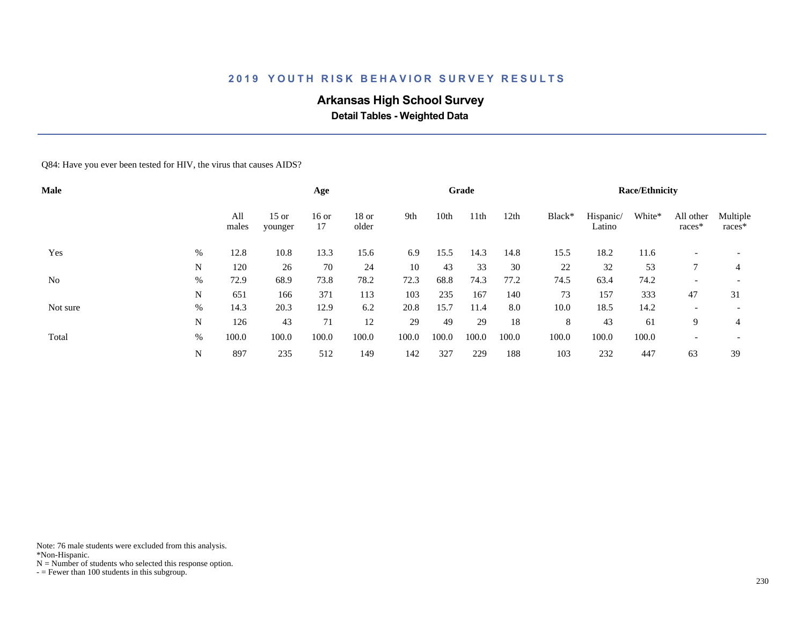# **Arkansas High School Survey**

 **Detail Tables - Weighted Data**

Q84: Have you ever been tested for HIV, the virus that causes AIDS?

| <b>Male</b> |      |              |                    | Age         |                  |       |       | Grade            |       |        |                     | <b>Race/Ethnicity</b> |                          |                          |
|-------------|------|--------------|--------------------|-------------|------------------|-------|-------|------------------|-------|--------|---------------------|-----------------------|--------------------------|--------------------------|
|             |      | All<br>males | $15$ or<br>younger | 16 or<br>17 | $18$ or<br>older | 9th   | 10th  | 11 <sup>th</sup> | 12th  | Black* | Hispanic/<br>Latino | White*                | All other<br>races*      | Multiple<br>races*       |
| Yes         | %    | 12.8         | 10.8               | 13.3        | 15.6             | 6.9   | 15.5  | 14.3             | 14.8  | 15.5   | 18.2                | 11.6                  |                          |                          |
|             | N    | 120          | 26                 | 70          | 24               | 10    | 43    | 33               | 30    | 22     | 32                  | 53                    |                          | 4                        |
| No          | %    | 72.9         | 68.9               | 73.8        | 78.2             | 72.3  | 68.8  | 74.3             | 77.2  | 74.5   | 63.4                | 74.2                  | $\overline{\phantom{a}}$ | $\overline{\phantom{a}}$ |
|             | N    | 651          | 166                | 371         | 113              | 103   | 235   | 167              | 140   | 73     | 157                 | 333                   | 47                       | 31                       |
| Not sure    | $\%$ | 14.3         | 20.3               | 12.9        | 6.2              | 20.8  | 15.7  | 11.4             | 8.0   | 10.0   | 18.5                | 14.2                  | $\overline{\phantom{0}}$ | $\overline{\phantom{0}}$ |
|             | N    | 126          | 43                 | 71          | 12               | 29    | 49    | 29               | 18    | 8      | 43                  | 61                    | 9                        | 4                        |
| Total       | %    | 100.0        | 100.0              | 100.0       | 100.0            | 100.0 | 100.0 | 100.0            | 100.0 | 100.0  | 100.0               | 100.0                 | $\overline{\phantom{0}}$ | $\overline{\phantom{a}}$ |
|             | N    | 897          | 235                | 512         | 149              | 142   | 327   | 229              | 188   | 103    | 232                 | 447                   | 63                       | 39                       |

Note: 76 male students were excluded from this analysis.

\*Non-Hispanic.

 $N =$  Number of students who selected this response option.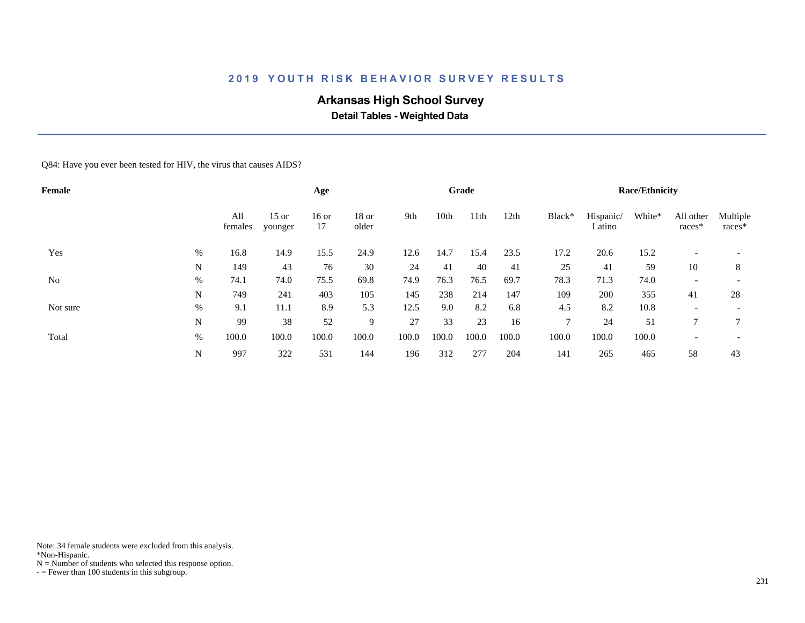# **Arkansas High School Survey**

 **Detail Tables - Weighted Data**

Q84: Have you ever been tested for HIV, the virus that causes AIDS?

| Female   |      |                |                    | Age           |                  |       |       | Grade |       |               |                     | <b>Race/Ethnicity</b> |                          |                          |
|----------|------|----------------|--------------------|---------------|------------------|-------|-------|-------|-------|---------------|---------------------|-----------------------|--------------------------|--------------------------|
|          |      | All<br>females | $15$ or<br>younger | $16$ or<br>17 | $18$ or<br>older | 9th   | 10th  | 11th  | 12th  | Black*        | Hispanic/<br>Latino | White*                | All other<br>races*      | Multiple<br>races*       |
| Yes      | $\%$ | 16.8           | 14.9               | 15.5          | 24.9             | 12.6  | 14.7  | 15.4  | 23.5  | 17.2          | 20.6                | 15.2                  |                          |                          |
|          | N    | 149            | 43                 | 76            | 30               | 24    | 41    | 40    | 41    | 25            | 41                  | 59                    | 10                       | 8                        |
| No       | $\%$ | 74.1           | 74.0               | 75.5          | 69.8             | 74.9  | 76.3  | 76.5  | 69.7  | 78.3          | 71.3                | 74.0                  | $\overline{\phantom{a}}$ | $\overline{\phantom{a}}$ |
|          | N    | 749            | 241                | 403           | 105              | 145   | 238   | 214   | 147   | 109           | 200                 | 355                   | 41                       | 28                       |
| Not sure | %    | 9.1            | 11.1               | 8.9           | 5.3              | 12.5  | 9.0   | 8.2   | 6.8   | 4.5           | 8.2                 | 10.8                  | $\overline{\phantom{0}}$ | $\overline{\phantom{0}}$ |
|          | N    | 99             | 38                 | 52            | 9                | 27    | 33    | 23    | 16    | $\mathcal{I}$ | 24                  | 51                    | 7                        | $\mathcal{I}$            |
| Total    | %    | 100.0          | 100.0              | 100.0         | 100.0            | 100.0 | 100.0 | 100.0 | 100.0 | 100.0         | 100.0               | 100.0                 | $\overline{\phantom{0}}$ | $\overline{\phantom{a}}$ |
|          | N    | 997            | 322                | 531           | 144              | 196   | 312   | 277   | 204   | 141           | 265                 | 465                   | 58                       | 43                       |

Note: 34 female students were excluded from this analysis.

\*Non-Hispanic.

 $N =$  Number of students who selected this response option.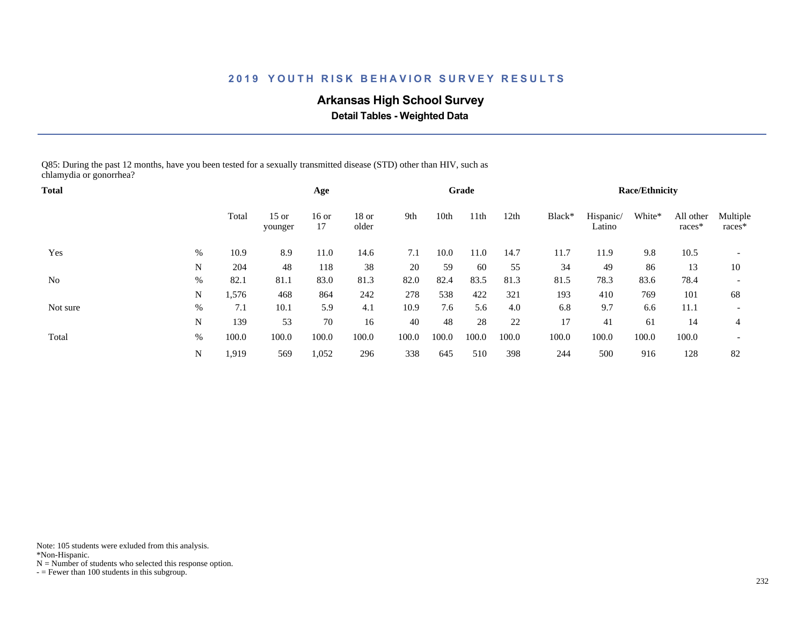# **Arkansas High School Survey**

 **Detail Tables - Weighted Data**

Q85: During the past 12 months, have you been tested for a sexually transmitted disease (STD) other than HIV, such as chlamydia or gonorrhea?

| <b>Total</b> |      |       |                    | Age           |                  |       |       | Grade            |       |        |                     | <b>Race/Ethnicity</b> |                     |                          |
|--------------|------|-------|--------------------|---------------|------------------|-------|-------|------------------|-------|--------|---------------------|-----------------------|---------------------|--------------------------|
|              |      | Total | $15$ or<br>younger | $16$ or<br>17 | $18$ or<br>older | 9th   | 10th  | 11 <sup>th</sup> | 12th  | Black* | Hispanic/<br>Latino | White*                | All other<br>races* | Multiple<br>races*       |
| Yes          | %    | 10.9  | 8.9                | 11.0          | 14.6             | 7.1   | 10.0  | 11.0             | 14.7  | 11.7   | 11.9                | 9.8                   | 10.5                | $\overline{\phantom{a}}$ |
|              | N    | 204   | 48                 | 118           | 38               | 20    | 59    | 60               | 55    | 34     | 49                  | 86                    | 13                  | 10                       |
| No           | %    | 82.1  | 81.1               | 83.0          | 81.3             | 82.0  | 82.4  | 83.5             | 81.3  | 81.5   | 78.3                | 83.6                  | 78.4                | $\overline{\phantom{a}}$ |
|              | N    | 1,576 | 468                | 864           | 242              | 278   | 538   | 422              | 321   | 193    | 410                 | 769                   | 101                 | 68                       |
| Not sure     | $\%$ | 7.1   | 10.1               | 5.9           | 4.1              | 10.9  | 7.6   | 5.6              | 4.0   | 6.8    | 9.7                 | 6.6                   | 11.1                | $\overline{\phantom{a}}$ |
|              | N    | 139   | 53                 | 70            | 16               | 40    | 48    | 28               | 22    | 17     | 41                  | 61                    | 14                  | 4                        |
| Total        | %    | 100.0 | 100.0              | 100.0         | 100.0            | 100.0 | 100.0 | 100.0            | 100.0 | 100.0  | 100.0               | 100.0                 | 100.0               | $\overline{\phantom{a}}$ |
|              | N    | 1,919 | 569                | 1,052         | 296              | 338   | 645   | 510              | 398   | 244    | 500                 | 916                   | 128                 | 82                       |

Note: 105 students were exluded from this analysis.

\*Non-Hispanic.

 $N =$  Number of students who selected this response option.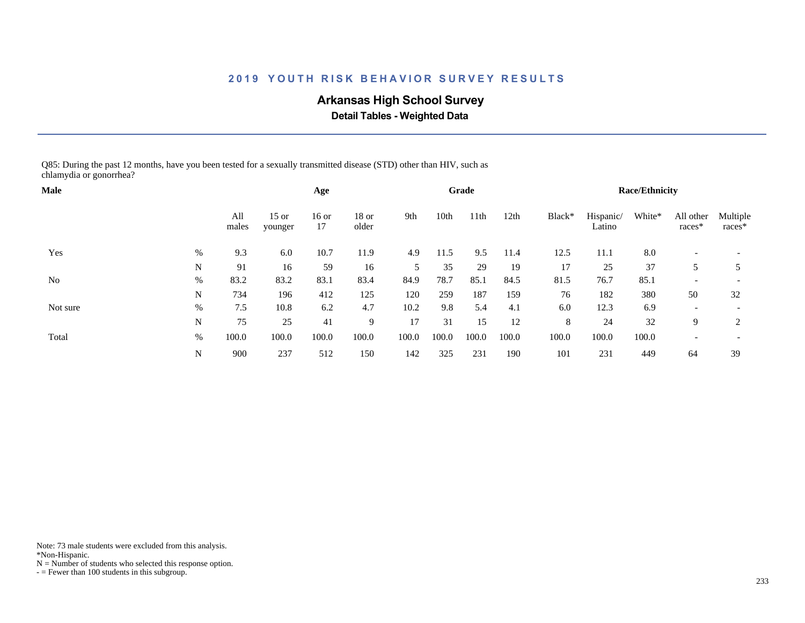# **Arkansas High School Survey**

 **Detail Tables - Weighted Data**

Q85: During the past 12 months, have you been tested for a sexually transmitted disease (STD) other than HIV, such as chlamydia or gonorrhea?

| <b>Male</b> |      |              |                    | Age           |                  |       |       | Grade |       |        |                     | <b>Race/Ethnicity</b> |                          |                          |
|-------------|------|--------------|--------------------|---------------|------------------|-------|-------|-------|-------|--------|---------------------|-----------------------|--------------------------|--------------------------|
|             |      | All<br>males | $15$ or<br>younger | $16$ or<br>17 | $18$ or<br>older | 9th   | 10th  | 11th  | 12th  | Black* | Hispanic/<br>Latino | White*                | All other<br>races*      | Multiple<br>$races*$     |
| Yes         | %    | 9.3          | 6.0                | 10.7          | 11.9             | 4.9   | 11.5  | 9.5   | 11.4  | 12.5   | 11.1                | 8.0                   |                          |                          |
|             | N    | 91           | 16                 | 59            | 16               | 5     | 35    | 29    | 19    | 17     | 25                  | 37                    |                          |                          |
| No          | $\%$ | 83.2         | 83.2               | 83.1          | 83.4             | 84.9  | 78.7  | 85.1  | 84.5  | 81.5   | 76.7                | 85.1                  |                          | $\overline{\phantom{a}}$ |
|             | N    | 734          | 196                | 412           | 125              | 120   | 259   | 187   | 159   | 76     | 182                 | 380                   | 50                       | 32                       |
| Not sure    | $\%$ | 7.5          | 10.8               | 6.2           | 4.7              | 10.2  | 9.8   | 5.4   | 4.1   | 6.0    | 12.3                | 6.9                   | $\overline{\phantom{0}}$ | $\overline{\phantom{a}}$ |
|             | N    | 75           | 25                 | 41            | 9                | 17    | 31    | 15    | 12    | 8      | 24                  | 32                    | 9                        | 2                        |
| Total       | %    | 100.0        | 100.0              | 100.0         | 100.0            | 100.0 | 100.0 | 100.0 | 100.0 | 100.0  | 100.0               | 100.0                 |                          | $\overline{\phantom{a}}$ |
|             | N    | 900          | 237                | 512           | 150              | 142   | 325   | 231   | 190   | 101    | 231                 | 449                   | 64                       | 39                       |

Note: 73 male students were excluded from this analysis.

\*Non-Hispanic.

 $N =$  Number of students who selected this response option.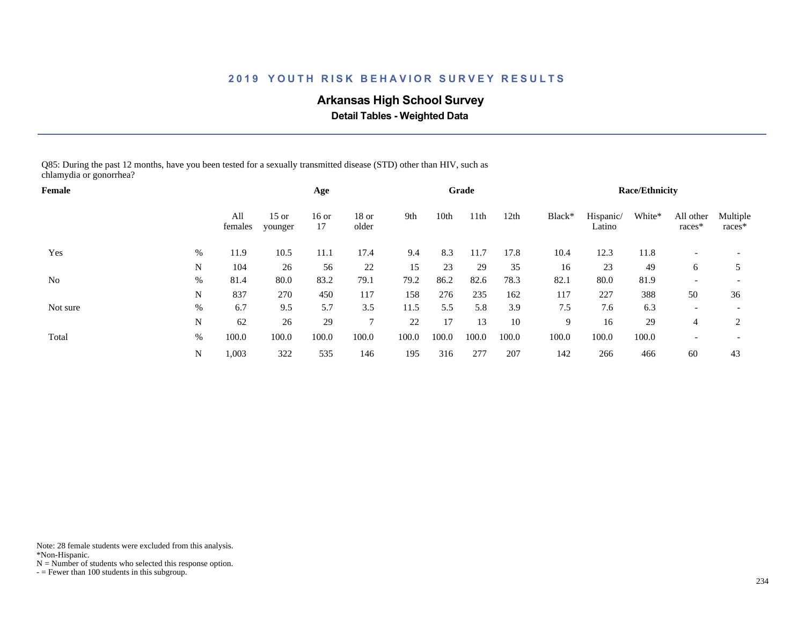# **Arkansas High School Survey**

 **Detail Tables - Weighted Data**

Q85: During the past 12 months, have you been tested for a sexually transmitted disease (STD) other than HIV, such as chlamydia or gonorrhea?

| Female   |   |                |                    | Age         |                  |       |       | Grade            |       |        |                     | <b>Race/Ethnicity</b> |                          |                          |
|----------|---|----------------|--------------------|-------------|------------------|-------|-------|------------------|-------|--------|---------------------|-----------------------|--------------------------|--------------------------|
|          |   | All<br>females | $15$ or<br>younger | 16 or<br>17 | $18$ or<br>older | 9th   | 10th  | 11 <sup>th</sup> | 12th  | Black* | Hispanic/<br>Latino | White*                | All other<br>races*      | Multiple<br>races*       |
| Yes      | % | 11.9           | 10.5               | 11.1        | 17.4             | 9.4   | 8.3   | 11.7             | 17.8  | 10.4   | 12.3                | 11.8                  |                          |                          |
|          | N | 104            | 26                 | 56          | 22               | 15    | 23    | 29               | 35    | 16     | 23                  | 49                    | 6                        | 5                        |
| No       | % | 81.4           | 80.0               | 83.2        | 79.1             | 79.2  | 86.2  | 82.6             | 78.3  | 82.1   | 80.0                | 81.9                  | $\overline{\phantom{0}}$ |                          |
|          | N | 837            | 270                | 450         | 117              | 158   | 276   | 235              | 162   | 117    | 227                 | 388                   | 50                       | 36                       |
| Not sure | % | 6.7            | 9.5                | 5.7         | 3.5              | 11.5  | 5.5   | 5.8              | 3.9   | 7.5    | 7.6                 | 6.3                   |                          |                          |
|          | N | 62             | 26                 | 29          | $\mathcal{I}$    | 22    | 17    | 13               | 10    | 9      | 16                  | 29                    | 4                        | 2                        |
| Total    | % | 100.0          | 100.0              | 100.0       | 100.0            | 100.0 | 100.0 | 100.0            | 100.0 | 100.0  | 100.0               | 100.0                 |                          | $\overline{\phantom{a}}$ |
|          | N | 1,003          | 322                | 535         | 146              | 195   | 316   | 277              | 207   | 142    | 266                 | 466                   | 60                       | 43                       |

Note: 28 female students were excluded from this analysis.

\*Non-Hispanic.

 $N =$  Number of students who selected this response option.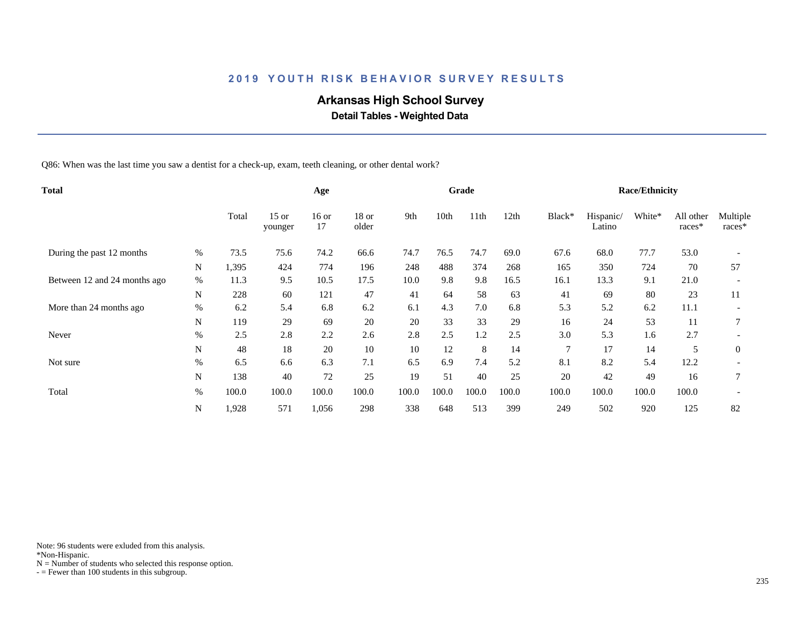# **Arkansas High School Survey**

 **Detail Tables - Weighted Data**

Q86: When was the last time you saw a dentist for a check-up, exam, teeth cleaning, or other dental work?

| <b>Total</b>                 |             |       |                    | Age           |                  |       |       | Grade |       |                |                     | <b>Race/Ethnicity</b> |                     |                    |
|------------------------------|-------------|-------|--------------------|---------------|------------------|-------|-------|-------|-------|----------------|---------------------|-----------------------|---------------------|--------------------|
|                              |             | Total | $15$ or<br>younger | $16$ or<br>17 | $18$ or<br>older | 9th   | 10th  | 11th  | 12th  | Black*         | Hispanic/<br>Latino | White*                | All other<br>races* | Multiple<br>races* |
| During the past 12 months    | %           | 73.5  | 75.6               | 74.2          | 66.6             | 74.7  | 76.5  | 74.7  | 69.0  | 67.6           | 68.0                | 77.7                  | 53.0                |                    |
|                              | N           | 1,395 | 424                | 774           | 196              | 248   | 488   | 374   | 268   | 165            | 350                 | 724                   | 70                  | 57                 |
| Between 12 and 24 months ago | $\%$        | 11.3  | 9.5                | 10.5          | 17.5             | 10.0  | 9.8   | 9.8   | 16.5  | 16.1           | 13.3                | 9.1                   | 21.0                |                    |
|                              | $\mathbf N$ | 228   | 60                 | 121           | 47               | 41    | 64    | 58    | 63    | 41             | 69                  | 80                    | 23                  | 11                 |
| More than 24 months ago      | $\%$        | 6.2   | 5.4                | 6.8           | 6.2              | 6.1   | 4.3   | 7.0   | 6.8   | 5.3            | 5.2                 | 6.2                   | 11.1                |                    |
|                              | N           | 119   | 29                 | 69            | 20               | 20    | 33    | 33    | 29    | 16             | 24                  | 53                    | 11                  | 7                  |
| Never                        | $\%$        | 2.5   | 2.8                | 2.2           | 2.6              | 2.8   | 2.5   | 1.2   | 2.5   | 3.0            | 5.3                 | 1.6                   | 2.7                 |                    |
|                              | N           | 48    | 18                 | 20            | 10               | 10    | 12    | 8     | 14    | $\overline{7}$ | 17                  | 14                    | 5                   | $\overline{0}$     |
| Not sure                     | $\%$        | 6.5   | 6.6                | 6.3           | 7.1              | 6.5   | 6.9   | 7.4   | 5.2   | 8.1            | 8.2                 | 5.4                   | 12.2                |                    |
|                              | ${\bf N}$   | 138   | 40                 | 72            | 25               | 19    | 51    | 40    | 25    | 20             | 42                  | 49                    | 16                  | $\overline{7}$     |
| Total                        | $\%$        | 100.0 | 100.0              | 100.0         | 100.0            | 100.0 | 100.0 | 100.0 | 100.0 | 100.0          | 100.0               | 100.0                 | 100.0               |                    |
|                              | N           | 1,928 | 571                | 1,056         | 298              | 338   | 648   | 513   | 399   | 249            | 502                 | 920                   | 125                 | 82                 |

Note: 96 students were exluded from this analysis.

\*Non-Hispanic.

 $N =$  Number of students who selected this response option.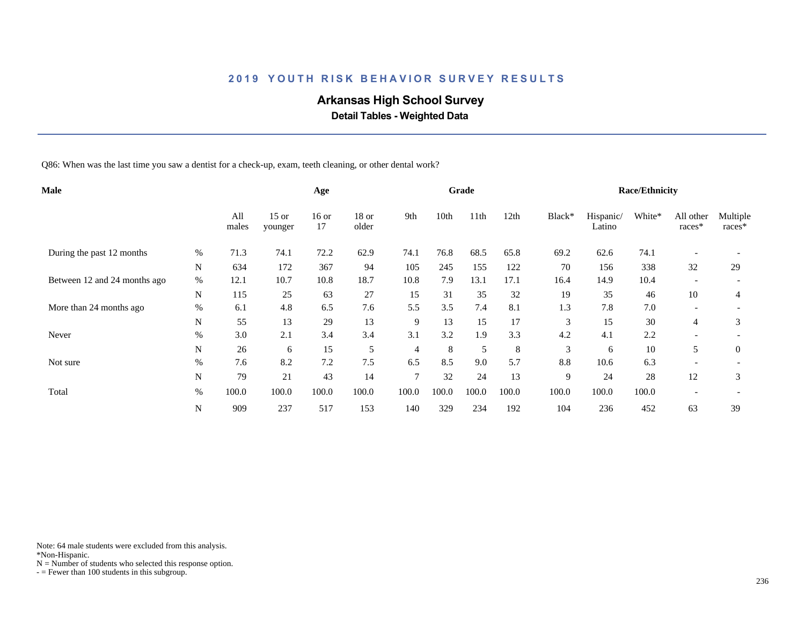# **Arkansas High School Survey**

 **Detail Tables - Weighted Data**

Q86: When was the last time you saw a dentist for a check-up, exam, teeth cleaning, or other dental work?

| <b>Male</b> |              |                    | Age           |                  |                |       |       |       |        |                     |        |                          |                       |
|-------------|--------------|--------------------|---------------|------------------|----------------|-------|-------|-------|--------|---------------------|--------|--------------------------|-----------------------|
|             | All<br>males | $15$ or<br>younger | $16$ or<br>17 | $18$ or<br>older | 9th            | 10th  | 11th  | 12th  | Black* | Hispanic/<br>Latino | White* | All other<br>races*      | Multiple<br>races*    |
| $\%$        | 71.3         | 74.1               | 72.2          | 62.9             | 74.1           | 76.8  | 68.5  | 65.8  | 69.2   | 62.6                | 74.1   |                          |                       |
| N           | 634          | 172                | 367           | 94               | 105            | 245   | 155   | 122   | 70     | 156                 | 338    | 32                       | 29                    |
| $\%$        | 12.1         | 10.7               | 10.8          | 18.7             | 10.8           | 7.9   | 13.1  | 17.1  | 16.4   | 14.9                | 10.4   | $\overline{\phantom{a}}$ |                       |
| $\mathbf N$ | 115          | 25                 | 63            | 27               | 15             | 31    | 35    | 32    | 19     | 35                  | 46     | 10                       | 4                     |
| $\%$        | 6.1          | 4.8                | 6.5           | 7.6              | 5.5            | 3.5   | 7.4   | 8.1   | 1.3    | 7.8                 | 7.0    | $\overline{\phantom{a}}$ |                       |
| N           | 55           | 13                 | 29            | 13               | 9              | 13    | 15    | 17    | 3      | 15                  | 30     | 4                        | 3                     |
| $\%$        | 3.0          | 2.1                | 3.4           | 3.4              | 3.1            | 3.2   | 1.9   | 3.3   | 4.2    | 4.1                 | 2.2    | $\overline{\phantom{a}}$ |                       |
| N           | 26           | 6                  | 15            | 5                | $\overline{4}$ | 8     | 5     | 8     | 3      | 6                   | 10     | 5                        | $\theta$              |
| $\%$        | 7.6          | 8.2                | 7.2           | 7.5              | 6.5            | 8.5   | 9.0   | 5.7   | 8.8    | 10.6                | 6.3    |                          |                       |
| N           | 79           | 21                 | 43            | 14               | 7              | 32    | 24    | 13    | 9      | 24                  | 28     | 12                       | 3                     |
| $\%$        | 100.0        | 100.0              | 100.0         | 100.0            | 100.0          | 100.0 | 100.0 | 100.0 | 100.0  | 100.0               | 100.0  |                          |                       |
| ${\bf N}$   | 909          | 237                | 517           | 153              | 140            | 329   | 234   | 192   | 104    | 236                 | 452    | 63                       | 39                    |
|             |              |                    |               |                  |                |       |       | Grade |        |                     |        |                          | <b>Race/Ethnicity</b> |

Note: 64 male students were excluded from this analysis.

\*Non-Hispanic.

 $N =$  Number of students who selected this response option.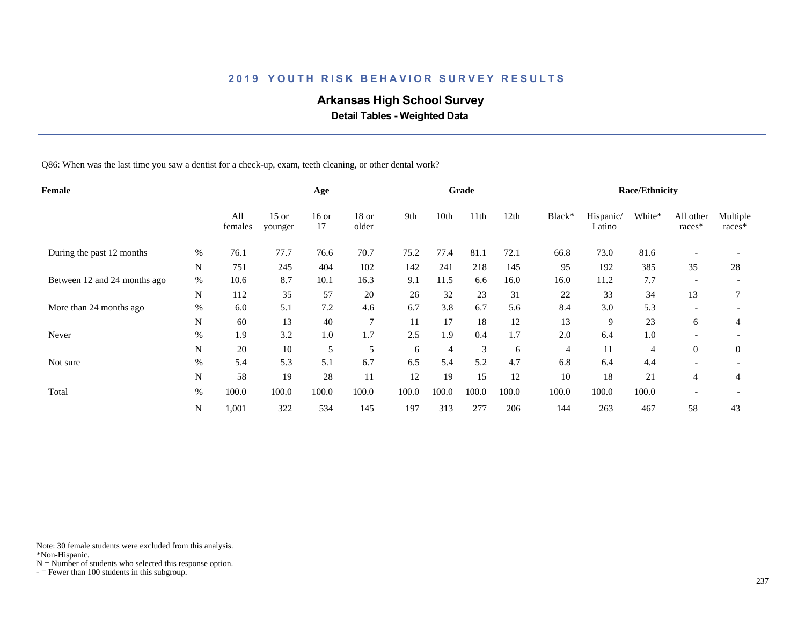# **Arkansas High School Survey**

 **Detail Tables - Weighted Data**

Q86: When was the last time you saw a dentist for a check-up, exam, teeth cleaning, or other dental work?

| Female                       |      |                | Age                |               |                  |       | Grade |       |       |                | <b>Race/Ethnicity</b> |                |                          |                      |
|------------------------------|------|----------------|--------------------|---------------|------------------|-------|-------|-------|-------|----------------|-----------------------|----------------|--------------------------|----------------------|
|                              |      | All<br>females | $15$ or<br>younger | $16$ or<br>17 | $18$ or<br>older | 9th   | 10th  | 11th  | 12th  | Black*         | Hispanic/<br>Latino   | White*         | All other<br>races*      | Multiple<br>$races*$ |
| During the past 12 months    | $\%$ | 76.1           | 77.7               | 76.6          | 70.7             | 75.2  | 77.4  | 81.1  | 72.1  | 66.8           | 73.0                  | 81.6           |                          |                      |
|                              | N    | 751            | 245                | 404           | 102              | 142   | 241   | 218   | 145   | 95             | 192                   | 385            | 35                       | 28                   |
| Between 12 and 24 months ago | $\%$ | 10.6           | 8.7                | 10.1          | 16.3             | 9.1   | 11.5  | 6.6   | 16.0  | 16.0           | 11.2                  | 7.7            | $\overline{\phantom{a}}$ |                      |
|                              | N    | 112            | 35                 | 57            | 20               | 26    | 32    | 23    | 31    | 22             | 33                    | 34             | 13                       |                      |
| More than 24 months ago      | $\%$ | 6.0            | 5.1                | 7.2           | 4.6              | 6.7   | 3.8   | 6.7   | 5.6   | 8.4            | 3.0                   | 5.3            |                          |                      |
|                              | N    | 60             | 13                 | 40            | 7                | 11    | 17    | 18    | 12    | 13             | 9                     | 23             | 6                        | 4                    |
| Never                        | $\%$ | 1.9            | 3.2                | 1.0           | 1.7              | 2.5   | 1.9   | 0.4   | 1.7   | 2.0            | 6.4                   | 1.0            | -                        |                      |
|                              | N    | 20             | 10                 | 5             | 5                | 6     | 4     | 3     | 6     | $\overline{4}$ | 11                    | $\overline{4}$ | $\overline{0}$           | $\theta$             |
| Not sure                     | $\%$ | 5.4            | 5.3                | 5.1           | 6.7              | 6.5   | 5.4   | 5.2   | 4.7   | 6.8            | 6.4                   | 4.4            |                          |                      |
|                              | N    | 58             | 19                 | 28            | 11               | 12    | 19    | 15    | 12    | 10             | 18                    | 21             | 4                        | 4                    |
| Total                        | $\%$ | 100.0          | 100.0              | 100.0         | 100.0            | 100.0 | 100.0 | 100.0 | 100.0 | 100.0          | 100.0                 | 100.0          |                          |                      |
|                              | N    | 1,001          | 322                | 534           | 145              | 197   | 313   | 277   | 206   | 144            | 263                   | 467            | 58                       | 43                   |

Note: 30 female students were excluded from this analysis.

\*Non-Hispanic.

 $N =$  Number of students who selected this response option.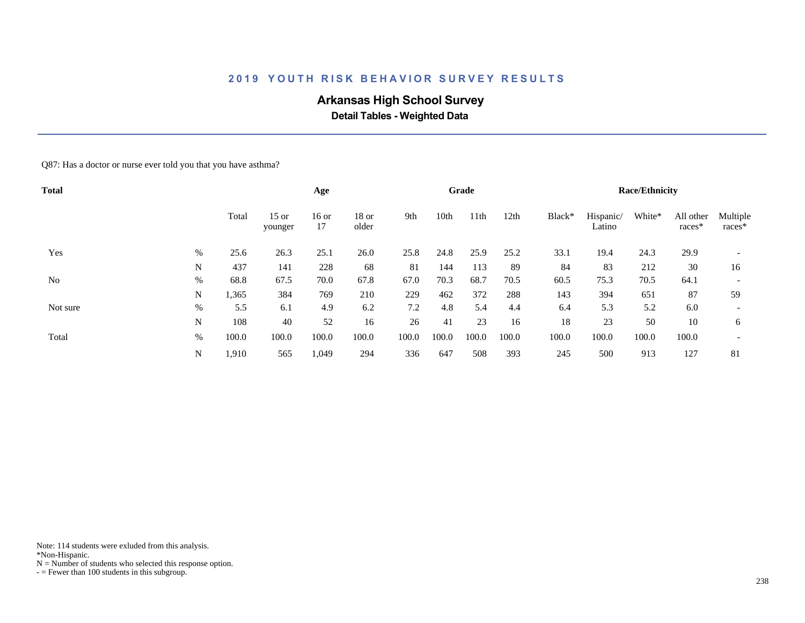# **Arkansas High School Survey**

 **Detail Tables - Weighted Data**

Q87: Has a doctor or nurse ever told you that you have asthma?

| <b>Total</b>   |      |       |                    | Age         |                  |       |       | Grade            |       |        |                     | <b>Race/Ethnicity</b> |                     |                          |
|----------------|------|-------|--------------------|-------------|------------------|-------|-------|------------------|-------|--------|---------------------|-----------------------|---------------------|--------------------------|
|                |      | Total | $15$ or<br>younger | 16 or<br>17 | $18$ or<br>older | 9th   | 10th  | 11 <sup>th</sup> | 12th  | Black* | Hispanic/<br>Latino | White*                | All other<br>races* | Multiple<br>races*       |
| Yes            | %    | 25.6  | 26.3               | 25.1        | 26.0             | 25.8  | 24.8  | 25.9             | 25.2  | 33.1   | 19.4                | 24.3                  | 29.9                |                          |
|                | N    | 437   | 141                | 228         | 68               | 81    | 144   | 113              | 89    | 84     | 83                  | 212                   | 30                  | 16                       |
| N <sub>o</sub> | $\%$ | 68.8  | 67.5               | 70.0        | 67.8             | 67.0  | 70.3  | 68.7             | 70.5  | 60.5   | 75.3                | 70.5                  | 64.1                | $\overline{\phantom{a}}$ |
|                | N    | 1,365 | 384                | 769         | 210              | 229   | 462   | 372              | 288   | 143    | 394                 | 651                   | 87                  | 59                       |
| Not sure       | $\%$ | 5.5   | 6.1                | 4.9         | 6.2              | 7.2   | 4.8   | 5.4              | 4.4   | 6.4    | 5.3                 | 5.2                   | 6.0                 | $\overline{\phantom{0}}$ |
|                | N    | 108   | 40                 | 52          | 16               | 26    | 41    | 23               | 16    | 18     | 23                  | 50                    | 10                  | 6                        |
| Total          | %    | 100.0 | 100.0              | 100.0       | 100.0            | 100.0 | 100.0 | 100.0            | 100.0 | 100.0  | 100.0               | 100.0                 | 100.0               | $\overline{\phantom{a}}$ |
|                | N    | 1,910 | 565                | 1,049       | 294              | 336   | 647   | 508              | 393   | 245    | 500                 | 913                   | 127                 | 81                       |

Note: 114 students were exluded from this analysis.

\*Non-Hispanic.

 $N =$  Number of students who selected this response option.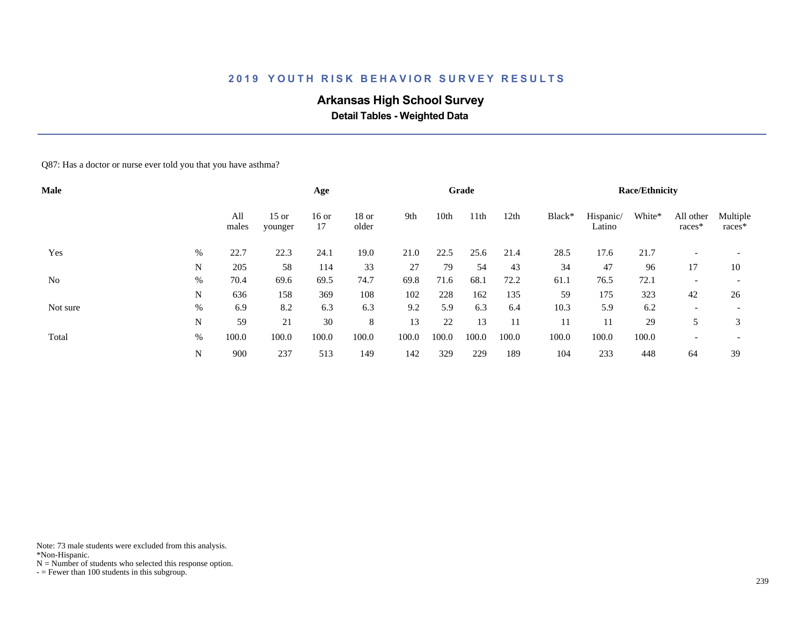# **Arkansas High School Survey**

 **Detail Tables - Weighted Data**

Q87: Has a doctor or nurse ever told you that you have asthma?

| <b>Male</b>    |      |              |                    | Age           |                  |       |       | Grade            |       |        |                     | <b>Race/Ethnicity</b> |                          |                          |
|----------------|------|--------------|--------------------|---------------|------------------|-------|-------|------------------|-------|--------|---------------------|-----------------------|--------------------------|--------------------------|
|                |      | All<br>males | $15$ or<br>younger | $16$ or<br>17 | $18$ or<br>older | 9th   | 10th  | 11 <sup>th</sup> | 12th  | Black* | Hispanic/<br>Latino | White*                | All other<br>races*      | Multiple<br>races*       |
| Yes            | %    | 22.7         | 22.3               | 24.1          | 19.0             | 21.0  | 22.5  | 25.6             | 21.4  | 28.5   | 17.6                | 21.7                  |                          |                          |
|                | N    | 205          | 58                 | 114           | 33               | 27    | 79    | 54               | 43    | 34     | 47                  | 96                    | 17                       | 10                       |
| N <sub>o</sub> | $\%$ | 70.4         | 69.6               | 69.5          | 74.7             | 69.8  | 71.6  | 68.1             | 72.2  | 61.1   | 76.5                | 72.1                  | $\overline{\phantom{a}}$ |                          |
|                | N    | 636          | 158                | 369           | 108              | 102   | 228   | 162              | 135   | 59     | 175                 | 323                   | 42                       | 26                       |
| Not sure       | $\%$ | 6.9          | 8.2                | 6.3           | 6.3              | 9.2   | 5.9   | 6.3              | 6.4   | 10.3   | 5.9                 | 6.2                   | $\overline{\phantom{0}}$ | $\overline{\phantom{0}}$ |
|                | N    | 59           | 21                 | 30            | 8                | 13    | 22    | 13               |       | 11     | 11                  | 29                    | 5                        | 3                        |
| Total          | %    | 100.0        | 100.0              | 100.0         | 100.0            | 100.0 | 100.0 | 100.0            | 100.0 | 100.0  | 100.0               | 100.0                 | $\overline{\phantom{0}}$ | $\overline{\phantom{a}}$ |
|                | N    | 900          | 237                | 513           | 149              | 142   | 329   | 229              | 189   | 104    | 233                 | 448                   | 64                       | 39                       |

Note: 73 male students were excluded from this analysis.

\*Non-Hispanic.

 $N =$  Number of students who selected this response option.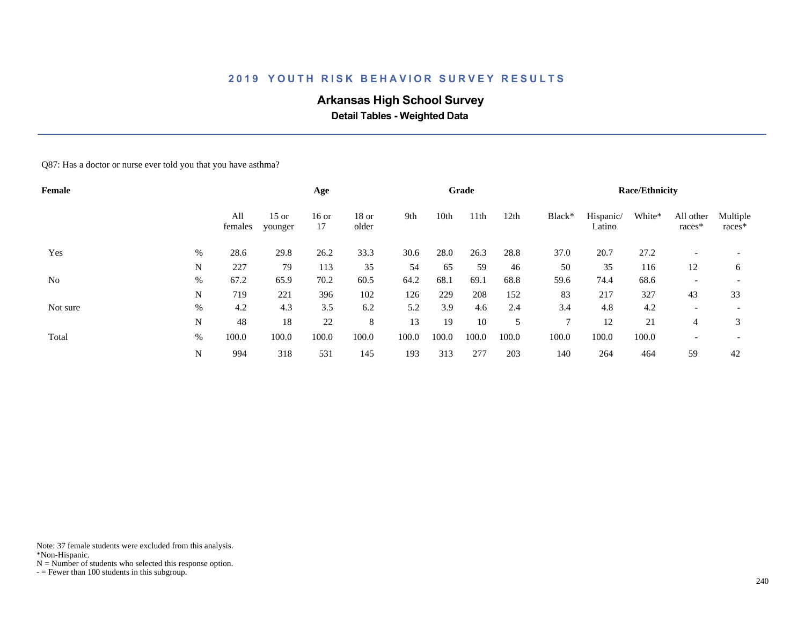# **Arkansas High School Survey**

 **Detail Tables - Weighted Data**

Q87: Has a doctor or nurse ever told you that you have asthma?

| Female         |      |                |                    | Age           |                  |       |       | Grade |       |              |                     | <b>Race/Ethnicity</b> |                          |                          |
|----------------|------|----------------|--------------------|---------------|------------------|-------|-------|-------|-------|--------------|---------------------|-----------------------|--------------------------|--------------------------|
|                |      | All<br>females | $15$ or<br>younger | $16$ or<br>17 | $18$ or<br>older | 9th   | 10th  | 11th  | 12th  | Black*       | Hispanic/<br>Latino | White*                | All other<br>races*      | Multiple<br>races*       |
| Yes            | %    | 28.6           | 29.8               | 26.2          | 33.3             | 30.6  | 28.0  | 26.3  | 28.8  | 37.0         | 20.7                | 27.2                  |                          |                          |
|                | N    | 227            | 79                 | 113           | 35               | 54    | 65    | 59    | 46    | 50           | 35                  | 116                   | 12                       | 6                        |
| N <sub>o</sub> | $\%$ | 67.2           | 65.9               | 70.2          | 60.5             | 64.2  | 68.1  | 69.1  | 68.8  | 59.6         | 74.4                | 68.6                  | $\overline{\phantom{0}}$ | $\overline{\phantom{0}}$ |
|                | N    | 719            | 221                | 396           | 102              | 126   | 229   | 208   | 152   | 83           | 217                 | 327                   | 43                       | 33                       |
| Not sure       | %    | 4.2            | 4.3                | 3.5           | 6.2              | 5.2   | 3.9   | 4.6   | 2.4   | 3.4          | 4.8                 | 4.2                   | $\overline{\phantom{0}}$ | $\overline{\phantom{0}}$ |
|                | N    | 48             | 18                 | 22            | 8                | 13    | 19    | 10    | 5     | $\mathbf{r}$ | 12                  | 21                    | 4                        | 3                        |
| Total          | $\%$ | 100.0          | 100.0              | 100.0         | 100.0            | 100.0 | 100.0 | 100.0 | 100.0 | 100.0        | 100.0               | 100.0                 | $\overline{\phantom{0}}$ | $\overline{\phantom{a}}$ |
|                | N    | 994            | 318                | 531           | 145              | 193   | 313   | 277   | 203   | 140          | 264                 | 464                   | 59                       | 42                       |

Note: 37 female students were excluded from this analysis.

\*Non-Hispanic.

 $N =$  Number of students who selected this response option.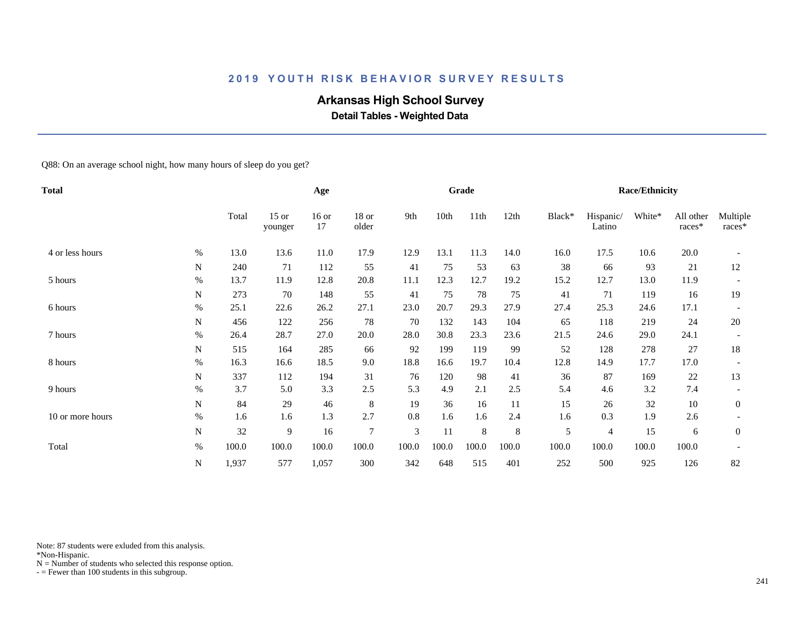# **Arkansas High School Survey**

 **Detail Tables - Weighted Data**

Q88: On an average school night, how many hours of sleep do you get?

| <b>Total</b>     |           |       |                    | Age           |                |                |       | Grade |         |        |                     | <b>Race/Ethnicity</b> |                     |                    |
|------------------|-----------|-------|--------------------|---------------|----------------|----------------|-------|-------|---------|--------|---------------------|-----------------------|---------------------|--------------------|
|                  |           | Total | $15$ or<br>younger | $16$ or<br>17 | 18 or<br>older | 9th            | 10th  | 11th  | 12th    | Black* | Hispanic/<br>Latino | White*                | All other<br>races* | Multiple<br>races* |
| 4 or less hours  | $\%$      | 13.0  | 13.6               | 11.0          | 17.9           | 12.9           | 13.1  | 11.3  | 14.0    | 16.0   | 17.5                | 10.6                  | 20.0                |                    |
|                  | N         | 240   | 71                 | 112           | 55             | 41             | 75    | 53    | 63      | 38     | 66                  | 93                    | 21                  | 12                 |
| 5 hours          | $\%$      | 13.7  | 11.9               | 12.8          | 20.8           | 11.1           | 12.3  | 12.7  | 19.2    | 15.2   | 12.7                | 13.0                  | 11.9                |                    |
|                  | N         | 273   | 70                 | 148           | 55             | 41             | 75    | 78    | 75      | 41     | 71                  | 119                   | 16                  | 19                 |
| 6 hours          | $\%$      | 25.1  | 22.6               | 26.2          | 27.1           | 23.0           | 20.7  | 29.3  | 27.9    | 27.4   | 25.3                | 24.6                  | 17.1                |                    |
|                  | N         | 456   | 122                | 256           | 78             | 70             | 132   | 143   | 104     | 65     | 118                 | 219                   | 24                  | 20                 |
| 7 hours          | $\%$      | 26.4  | 28.7               | 27.0          | 20.0           | 28.0           | 30.8  | 23.3  | 23.6    | 21.5   | 24.6                | 29.0                  | 24.1                |                    |
|                  | N         | 515   | 164                | 285           | 66             | 92             | 199   | 119   | 99      | 52     | 128                 | 278                   | 27                  | 18                 |
| 8 hours          | $\%$      | 16.3  | 16.6               | 18.5          | 9.0            | 18.8           | 16.6  | 19.7  | 10.4    | 12.8   | 14.9                | 17.7                  | 17.0                |                    |
|                  | N         | 337   | 112                | 194           | 31             | 76             | 120   | 98    | 41      | 36     | 87                  | 169                   | 22                  | 13                 |
| 9 hours          | $\%$      | 3.7   | 5.0                | 3.3           | 2.5            | 5.3            | 4.9   | 2.1   | 2.5     | 5.4    | 4.6                 | 3.2                   | 7.4                 |                    |
|                  | N         | 84    | 29                 | 46            | $\,8\,$        | 19             | 36    | 16    | 11      | 15     | 26                  | 32                    | 10                  | $\overline{0}$     |
| 10 or more hours | $\%$      | 1.6   | 1.6                | 1.3           | 2.7            | 0.8            | 1.6   | 1.6   | 2.4     | 1.6    | 0.3                 | 1.9                   | 2.6                 |                    |
|                  | N         | 32    | 9                  | 16            | $\overline{7}$ | $\mathfrak{Z}$ | 11    | 8     | $\,8\,$ | 5      | 4                   | 15                    | 6                   | $\overline{0}$     |
| Total            | $\%$      | 100.0 | 100.0              | 100.0         | 100.0          | 100.0          | 100.0 | 100.0 | 100.0   | 100.0  | 100.0               | 100.0                 | 100.0               |                    |
|                  | ${\bf N}$ | 1,937 | 577                | 1,057         | 300            | 342            | 648   | 515   | 401     | 252    | 500                 | 925                   | 126                 | 82                 |

Note: 87 students were exluded from this analysis.

\*Non-Hispanic.

 $N =$  Number of students who selected this response option.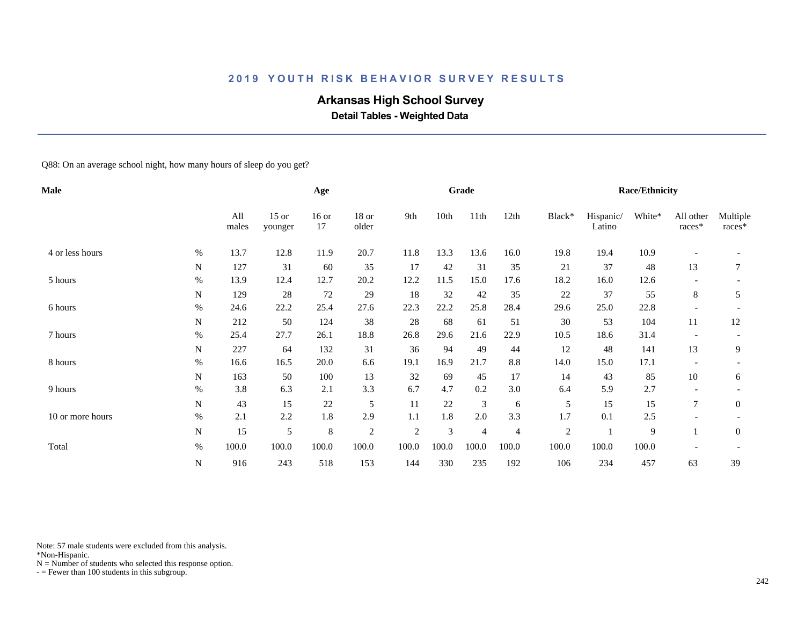# **Arkansas High School Survey**

 **Detail Tables - Weighted Data**

Q88: On an average school night, how many hours of sleep do you get?

| Male             |             |              |                    | Age           |                  |            |       | Grade |       |            |                     | <b>Race/Ethnicity</b> |                          |                    |
|------------------|-------------|--------------|--------------------|---------------|------------------|------------|-------|-------|-------|------------|---------------------|-----------------------|--------------------------|--------------------|
|                  |             | All<br>males | $15$ or<br>younger | $16$ or<br>17 | $18$ or<br>older | 9th        | 10th  | 11th  | 12th  | Black*     | Hispanic/<br>Latino | White*                | All other<br>races*      | Multiple<br>races* |
| 4 or less hours  | $\%$        | 13.7         | 12.8               | 11.9          | 20.7             | 11.8       | 13.3  | 13.6  | 16.0  | 19.8       | 19.4                | 10.9                  |                          |                    |
|                  | $\mathbf N$ | 127          | 31                 | 60            | 35               | 17         | 42    | 31    | 35    | 21         | 37                  | 48                    | 13                       | 7                  |
| 5 hours          | $\%$        | 13.9         | 12.4               | 12.7          | 20.2             | 12.2       | 11.5  | 15.0  | 17.6  | 18.2       | 16.0                | 12.6                  |                          |                    |
|                  | N           | 129          | 28                 | $72\,$        | 29               | 18         | 32    | 42    | 35    | 22         | 37                  | 55                    | 8                        | 5                  |
| 6 hours          | %           | 24.6         | 22.2               | 25.4          | 27.6             | 22.3       | 22.2  | 25.8  | 28.4  | 29.6       | 25.0                | 22.8                  | $\overline{\phantom{0}}$ |                    |
|                  | N           | 212          | 50                 | 124           | 38               | 28         | 68    | 61    | 51    | 30         | 53                  | 104                   | 11                       | 12                 |
| 7 hours          | $\%$        | 25.4         | 27.7               | 26.1          | 18.8             | 26.8       | 29.6  | 21.6  | 22.9  | 10.5       | 18.6                | 31.4                  |                          |                    |
|                  | N           | 227          | 64                 | 132           | 31               | 36         | 94    | 49    | 44    | 12         | 48                  | 141                   | 13                       | 9                  |
| 8 hours          | %           | 16.6         | 16.5               | 20.0          | 6.6              | 19.1       | 16.9  | 21.7  | 8.8   | 14.0       | 15.0                | 17.1                  |                          |                    |
|                  | N           | 163          | 50                 | 100           | 13               | 32         | 69    | 45    | 17    | 14         | 43                  | 85                    | 10                       | 6                  |
| 9 hours          | $\%$        | 3.8          | 6.3                | 2.1           | 3.3              | 6.7        | 4.7   | 0.2   | 3.0   | 6.4        | 5.9                 | 2.7                   |                          |                    |
|                  | ${\bf N}$   | 43           | 15                 | 22            | 5                | 11         | 22    | 3     | 6     | 5          | 15                  | 15                    | $\overline{7}$           | $\mathbf{0}$       |
| 10 or more hours | $\%$        | 2.1          | 2.2                | 1.8           | 2.9              | 1.1        | 1.8   | 2.0   | 3.3   | 1.7        | 0.1                 | 2.5                   |                          |                    |
|                  | ${\bf N}$   | 15           | 5                  | 8             | $\overline{c}$   | $\sqrt{2}$ | 3     | 4     | 4     | $\sqrt{2}$ |                     | 9                     |                          | $\mathbf{0}$       |
| Total            | $\%$        | 100.0        | 100.0              | 100.0         | 100.0            | 100.0      | 100.0 | 100.0 | 100.0 | 100.0      | 100.0               | 100.0                 |                          |                    |
|                  | ${\bf N}$   | 916          | 243                | 518           | 153              | 144        | 330   | 235   | 192   | 106        | 234                 | 457                   | 63                       | 39                 |

Note: 57 male students were excluded from this analysis.

\*Non-Hispanic.

 $N =$  Number of students who selected this response option.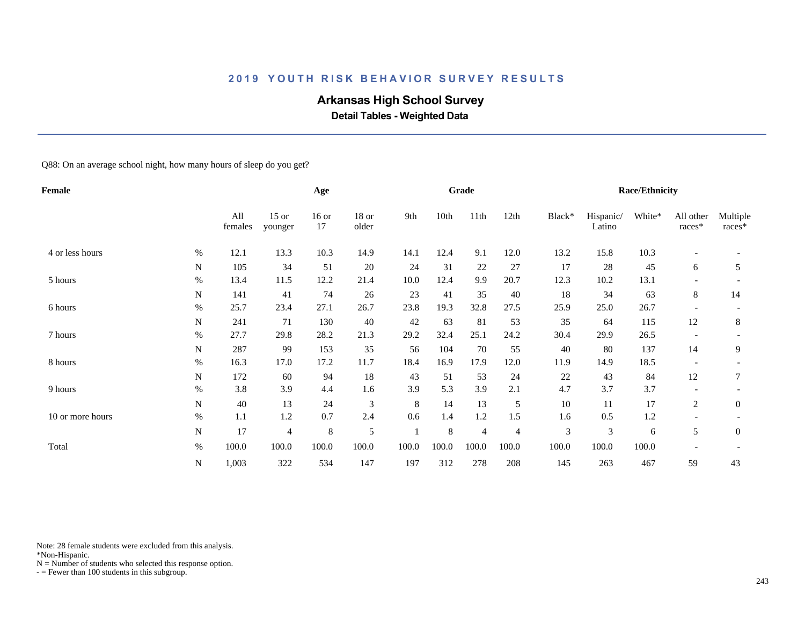# **Arkansas High School Survey**

 **Detail Tables - Weighted Data**

Q88: On an average school night, how many hours of sleep do you get?

| Female           |           |                |                    | Age           |                  |       |       | Grade |                |        |                     | <b>Race/Ethnicity</b> |                          |                    |
|------------------|-----------|----------------|--------------------|---------------|------------------|-------|-------|-------|----------------|--------|---------------------|-----------------------|--------------------------|--------------------|
|                  |           | All<br>females | $15$ or<br>younger | $16$ or<br>17 | $18$ or<br>older | 9th   | 10th  | 11th  | 12th           | Black* | Hispanic/<br>Latino | White*                | All other<br>races*      | Multiple<br>races* |
| 4 or less hours  | $\%$      | 12.1           | 13.3               | 10.3          | 14.9             | 14.1  | 12.4  | 9.1   | 12.0           | 13.2   | 15.8                | 10.3                  |                          |                    |
|                  | N         | 105            | 34                 | 51            | $20\,$           | 24    | 31    | 22    | 27             | 17     | 28                  | 45                    | 6                        | 5                  |
| 5 hours          | $\%$      | 13.4           | 11.5               | 12.2          | 21.4             | 10.0  | 12.4  | 9.9   | 20.7           | 12.3   | 10.2                | 13.1                  |                          |                    |
|                  | N         | 141            | 41                 | 74            | 26               | 23    | 41    | 35    | 40             | 18     | 34                  | 63                    | 8                        | 14                 |
| 6 hours          | $\%$      | 25.7           | 23.4               | 27.1          | 26.7             | 23.8  | 19.3  | 32.8  | 27.5           | 25.9   | 25.0                | 26.7                  | $\overline{\phantom{a}}$ |                    |
|                  | N         | 241            | 71                 | 130           | 40               | 42    | 63    | 81    | 53             | 35     | 64                  | 115                   | 12                       | 8                  |
| 7 hours          | $\%$      | 27.7           | 29.8               | 28.2          | 21.3             | 29.2  | 32.4  | 25.1  | 24.2           | 30.4   | 29.9                | 26.5                  |                          |                    |
|                  | N         | 287            | 99                 | 153           | 35               | 56    | 104   | 70    | 55             | 40     | 80                  | 137                   | 14                       | 9                  |
| 8 hours          | $\%$      | 16.3           | 17.0               | 17.2          | 11.7             | 18.4  | 16.9  | 17.9  | 12.0           | 11.9   | 14.9                | 18.5                  |                          |                    |
|                  | N         | 172            | 60                 | 94            | 18               | 43    | 51    | 53    | 24             | 22     | 43                  | 84                    | 12                       | 7                  |
| 9 hours          | $\%$      | 3.8            | 3.9                | 4.4           | 1.6              | 3.9   | 5.3   | 3.9   | 2.1            | 4.7    | 3.7                 | 3.7                   | $\overline{\phantom{a}}$ |                    |
|                  | ${\bf N}$ | 40             | 13                 | 24            | 3                | 8     | 14    | 13    | 5              | 10     | 11                  | 17                    | 2                        | $\mathbf{0}$       |
| 10 or more hours | $\%$      | 1.1            | 1.2                | 0.7           | 2.4              | 0.6   | 1.4   | 1.2   | 1.5            | 1.6    | 0.5                 | 1.2                   |                          |                    |
|                  | N         | 17             | 4                  | $\,8\,$       | 5                |       | 8     | 4     | $\overline{4}$ | 3      | 3                   | 6                     | 5                        | $\overline{0}$     |
| Total            | $\%$      | 100.0          | 100.0              | 100.0         | 100.0            | 100.0 | 100.0 | 100.0 | 100.0          | 100.0  | 100.0               | 100.0                 |                          |                    |
|                  | ${\bf N}$ | 1,003          | 322                | 534           | 147              | 197   | 312   | 278   | 208            | 145    | 263                 | 467                   | 59                       | 43                 |

Note: 28 female students were excluded from this analysis.

\*Non-Hispanic.

 $N =$  Number of students who selected this response option.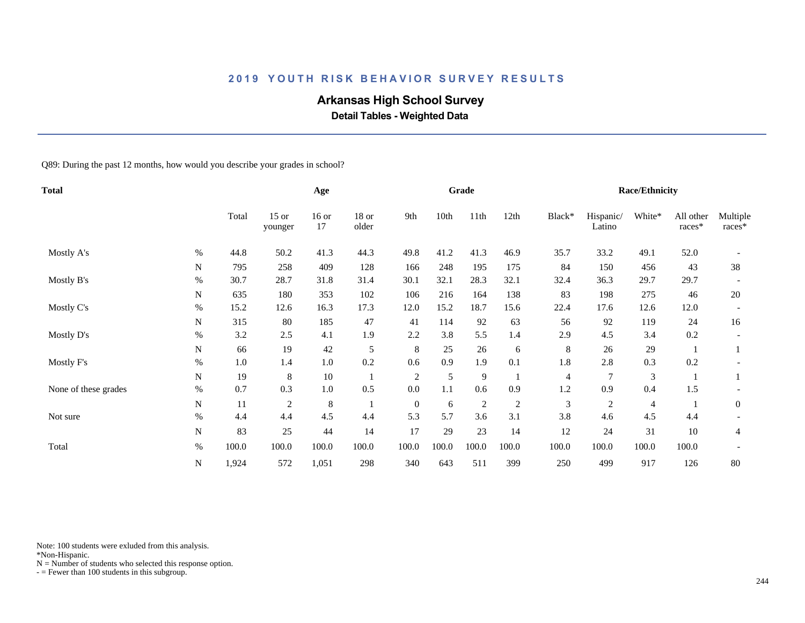# **Arkansas High School Survey**

 **Detail Tables - Weighted Data**

Q89: During the past 12 months, how would you describe your grades in school?

| Total                |           |       |                    | Age           |                  |              |       | Grade          |                |        |                     | <b>Race/Ethnicity</b> |                     |                    |
|----------------------|-----------|-------|--------------------|---------------|------------------|--------------|-------|----------------|----------------|--------|---------------------|-----------------------|---------------------|--------------------|
|                      |           | Total | $15$ or<br>younger | $16$ or<br>17 | $18$ or<br>older | 9th          | 10th  | 11th           | 12th           | Black* | Hispanic/<br>Latino | White*                | All other<br>races* | Multiple<br>races* |
| Mostly A's           | $\%$      | 44.8  | 50.2               | 41.3          | 44.3             | 49.8         | 41.2  | 41.3           | 46.9           | 35.7   | 33.2                | 49.1                  | 52.0                |                    |
|                      | N         | 795   | 258                | 409           | 128              | 166          | 248   | 195            | 175            | 84     | 150                 | 456                   | 43                  | 38                 |
| Mostly B's           | $\%$      | 30.7  | 28.7               | 31.8          | 31.4             | 30.1         | 32.1  | 28.3           | 32.1           | 32.4   | 36.3                | 29.7                  | 29.7                |                    |
|                      | N         | 635   | 180                | 353           | 102              | 106          | 216   | 164            | 138            | 83     | 198                 | 275                   | 46                  | 20                 |
| Mostly C's           | $\%$      | 15.2  | 12.6               | 16.3          | 17.3             | 12.0         | 15.2  | 18.7           | 15.6           | 22.4   | 17.6                | 12.6                  | 12.0                |                    |
|                      | N         | 315   | 80                 | 185           | 47               | 41           | 114   | 92             | 63             | 56     | 92                  | 119                   | 24                  | 16                 |
| Mostly D's           | $\%$      | 3.2   | 2.5                | 4.1           | 1.9              | 2.2          | 3.8   | 5.5            | 1.4            | 2.9    | 4.5                 | 3.4                   | 0.2                 |                    |
|                      | N         | 66    | 19                 | 42            | 5                | 8            | 25    | 26             | 6              | 8      | 26                  | 29                    |                     |                    |
| Mostly F's           | $\%$      | 1.0   | 1.4                | 1.0           | 0.2              | 0.6          | 0.9   | 1.9            | 0.1            | 1.8    | 2.8                 | 0.3                   | 0.2                 |                    |
|                      | N         | 19    | 8                  | 10            |                  | $\sqrt{2}$   | 5     | 9              |                | 4      | 7                   | $\mathfrak{Z}$        |                     |                    |
| None of these grades | $\%$      | 0.7   | 0.3                | 1.0           | 0.5              | 0.0          | 1.1   | 0.6            | 0.9            | 1.2    | 0.9                 | 0.4                   | 1.5                 |                    |
|                      | ${\bf N}$ | 11    | $\overline{c}$     | 8             |                  | $\mathbf{0}$ | 6     | $\overline{c}$ | $\overline{c}$ | 3      | $\overline{c}$      | 4                     |                     | $\mathbf{0}$       |
| Not sure             | $\%$      | 4.4   | 4.4                | 4.5           | 4.4              | 5.3          | 5.7   | 3.6            | 3.1            | 3.8    | 4.6                 | 4.5                   | 4.4                 |                    |
|                      | ${\bf N}$ | 83    | 25                 | 44            | 14               | 17           | 29    | 23             | 14             | 12     | 24                  | 31                    | 10                  | 4                  |
| Total                | $\%$      | 100.0 | 100.0              | 100.0         | 100.0            | 100.0        | 100.0 | 100.0          | 100.0          | 100.0  | 100.0               | 100.0                 | 100.0               |                    |
|                      | N         | 1,924 | 572                | 1,051         | 298              | 340          | 643   | 511            | 399            | 250    | 499                 | 917                   | 126                 | 80                 |

Note: 100 students were exluded from this analysis.

\*Non-Hispanic.

 $N =$  Number of students who selected this response option.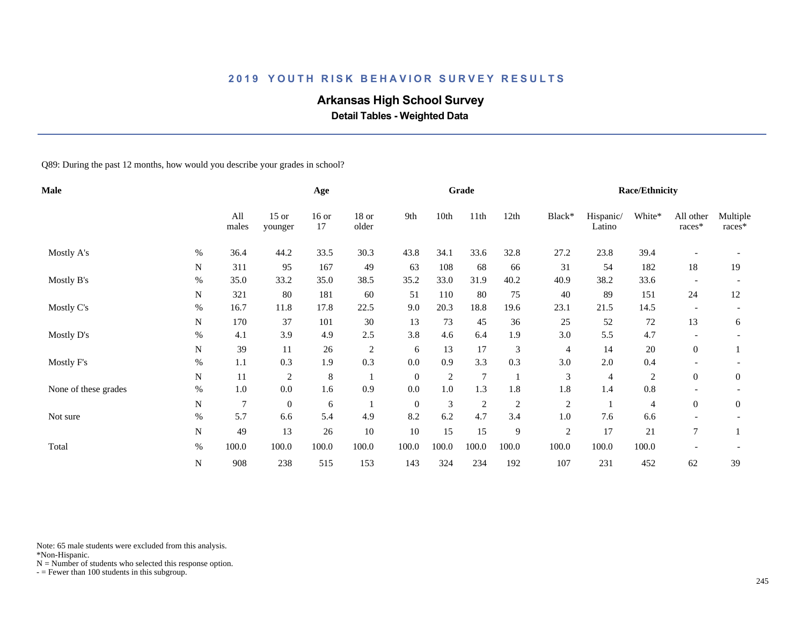# **Arkansas High School Survey**

 **Detail Tables - Weighted Data**

Q89: During the past 12 months, how would you describe your grades in school?

| Male                 |           |                |                    | Age           |                  |              |            | Grade           |                |                |                     | <b>Race/Ethnicity</b> |                          |                    |
|----------------------|-----------|----------------|--------------------|---------------|------------------|--------------|------------|-----------------|----------------|----------------|---------------------|-----------------------|--------------------------|--------------------|
|                      |           | All<br>males   | $15$ or<br>younger | $16$ or<br>17 | $18$ or<br>older | 9th          | 10th       | 11th            | 12th           | Black*         | Hispanic/<br>Latino | White*                | All other<br>$races*$    | Multiple<br>races* |
| Mostly A's           | $\%$      | 36.4           | 44.2               | 33.5          | 30.3             | 43.8         | 34.1       | 33.6            | 32.8           | 27.2           | 23.8                | 39.4                  |                          |                    |
|                      | N         | 311            | 95                 | 167           | 49               | 63           | 108        | 68              | 66             | 31             | 54                  | 182                   | 18                       | 19                 |
| Mostly B's           | $\%$      | 35.0           | 33.2               | 35.0          | 38.5             | 35.2         | 33.0       | 31.9            | 40.2           | 40.9           | 38.2                | 33.6                  |                          |                    |
|                      | N         | 321            | 80                 | 181           | 60               | 51           | 110        | 80              | 75             | 40             | 89                  | 151                   | 24                       | 12                 |
| Mostly C's           | $\%$      | 16.7           | 11.8               | 17.8          | 22.5             | 9.0          | 20.3       | 18.8            | 19.6           | 23.1           | 21.5                | 14.5                  | $\overline{\phantom{a}}$ |                    |
|                      | N         | 170            | 37                 | 101           | 30               | 13           | 73         | 45              | 36             | 25             | 52                  | $72\,$                | 13                       | 6                  |
| Mostly D's           | $\%$      | 4.1            | 3.9                | 4.9           | 2.5              | 3.8          | 4.6        | 6.4             | 1.9            | 3.0            | 5.5                 | 4.7                   |                          |                    |
|                      | ${\bf N}$ | 39             | 11                 | 26            | $\sqrt{2}$       | 6            | 13         | 17              | 3              | $\overline{4}$ | 14                  | 20                    | $\overline{0}$           |                    |
| Mostly F's           | $\%$      | 1.1            | 0.3                | 1.9           | 0.3              | 0.0          | 0.9        | 3.3             | 0.3            | 3.0            | 2.0                 | 0.4                   |                          |                    |
|                      | N         | 11             | 2                  | $\,8\,$       |                  | $\mathbf{0}$ | $\sqrt{2}$ | $7\phantom{.0}$ |                | 3              | 4                   | $\overline{c}$        | $\overline{0}$           | $\mathbf{0}$       |
| None of these grades | $\%$      | 1.0            | 0.0                | 1.6           | 0.9              | 0.0          | 1.0        | 1.3             | 1.8            | 1.8            | 1.4                 | 0.8                   |                          |                    |
|                      | ${\bf N}$ | $\overline{7}$ | $\boldsymbol{0}$   | 6             | $\overline{1}$   | $\mathbf{0}$ | 3          | $\overline{c}$  | $\overline{c}$ | $\sqrt{2}$     |                     | 4                     | $\overline{0}$           | $\overline{0}$     |
| Not sure             | $\%$      | 5.7            | 6.6                | 5.4           | 4.9              | 8.2          | 6.2        | 4.7             | 3.4            | 1.0            | 7.6                 | 6.6                   |                          |                    |
|                      | ${\bf N}$ | 49             | 13                 | 26            | $10\,$           | 10           | 15         | 15              | 9              | $\sqrt{2}$     | 17                  | 21                    | 7                        |                    |
| Total                | $\%$      | 100.0          | 100.0              | 100.0         | 100.0            | 100.0        | 100.0      | 100.0           | 100.0          | 100.0          | 100.0               | 100.0                 |                          |                    |
|                      | N         | 908            | 238                | 515           | 153              | 143          | 324        | 234             | 192            | 107            | 231                 | 452                   | 62                       | 39                 |

Note: 65 male students were excluded from this analysis.

\*Non-Hispanic.

 $N =$  Number of students who selected this response option.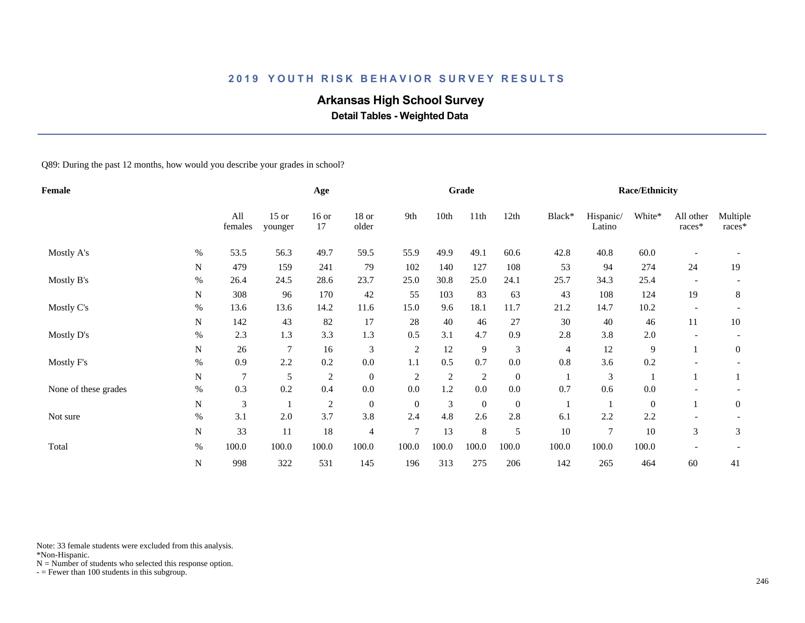# **Arkansas High School Survey**

 **Detail Tables - Weighted Data**

Q89: During the past 12 months, how would you describe your grades in school?

| <b>Female</b>        |           |                |                    | Age            |                |                |                | Grade            |                  |                |                     | <b>Race/Ethnicity</b> |                          |                    |
|----------------------|-----------|----------------|--------------------|----------------|----------------|----------------|----------------|------------------|------------------|----------------|---------------------|-----------------------|--------------------------|--------------------|
|                      |           | All<br>females | $15$ or<br>younger | $16$ or<br>17  | 18 or<br>older | 9th            | 10th           | 11th             | 12th             | Black*         | Hispanic/<br>Latino | White*                | All other<br>races*      | Multiple<br>races* |
| Mostly A's           | $\%$      | 53.5           | 56.3               | 49.7           | 59.5           | 55.9           | 49.9           | 49.1             | 60.6             | 42.8           | 40.8                | 60.0                  |                          |                    |
|                      | N         | 479            | 159                | 241            | 79             | 102            | 140            | 127              | 108              | 53             | 94                  | 274                   | 24                       | 19                 |
| Mostly B's           | $\%$      | 26.4           | 24.5               | 28.6           | 23.7           | 25.0           | 30.8           | 25.0             | 24.1             | 25.7           | 34.3                | 25.4                  |                          |                    |
|                      | N         | 308            | 96                 | 170            | 42             | 55             | 103            | 83               | 63               | 43             | 108                 | 124                   | 19                       | 8                  |
| Mostly C's           | %         | 13.6           | 13.6               | 14.2           | 11.6           | 15.0           | 9.6            | 18.1             | 11.7             | 21.2           | 14.7                | $10.2\,$              | $\overline{\phantom{a}}$ |                    |
|                      | N         | 142            | 43                 | 82             | 17             | 28             | 40             | 46               | 27               | 30             | 40                  | 46                    | 11                       | 10                 |
| Mostly D's           | $\%$      | 2.3            | 1.3                | 3.3            | 1.3            | 0.5            | 3.1            | 4.7              | 0.9              | 2.8            | 3.8                 | 2.0                   |                          |                    |
|                      | N         | 26             | 7                  | 16             | $\mathfrak{Z}$ | $\overline{c}$ | 12             | 9                | 3                | $\overline{4}$ | 12                  | 9                     |                          | $\mathbf{0}$       |
| Mostly F's           | $\%$      | 0.9            | 2.2                | 0.2            | 0.0            | 1.1            | 0.5            | 0.7              | 0.0              | 0.8            | 3.6                 | 0.2                   |                          |                    |
|                      | N         | $\overline{7}$ | 5                  | $\sqrt{2}$     | $\mathbf{0}$   | $\sqrt{2}$     | $\mathfrak{2}$ | $\sqrt{2}$       | $\boldsymbol{0}$ |                | 3                   |                       |                          |                    |
| None of these grades | $\%$      | 0.3            | 0.2                | 0.4            | $0.0\,$        | 0.0            | 1.2            | $0.0\,$          | $0.0\,$          | 0.7            | 0.6                 | 0.0                   |                          |                    |
|                      | ${\bf N}$ | 3              |                    | $\overline{2}$ | $\mathbf{0}$   | $\overline{0}$ | 3              | $\boldsymbol{0}$ | $\boldsymbol{0}$ | -1             |                     | $\boldsymbol{0}$      |                          | $\mathbf{0}$       |
| Not sure             | $\%$      | 3.1            | 2.0                | 3.7            | 3.8            | 2.4            | 4.8            | 2.6              | 2.8              | 6.1            | 2.2                 | 2.2                   |                          |                    |
|                      | ${\bf N}$ | 33             | 11                 | 18             | $\overline{4}$ | $\overline{7}$ | 13             | 8                | 5                | 10             | $\tau$              | 10                    | 3                        | 3                  |
| Total                | $\%$      | 100.0          | 100.0              | 100.0          | 100.0          | 100.0          | 100.0          | 100.0            | 100.0            | 100.0          | 100.0               | 100.0                 |                          |                    |
|                      | ${\bf N}$ | 998            | 322                | 531            | 145            | 196            | 313            | 275              | 206              | 142            | 265                 | 464                   | 60                       | 41                 |

Note: 33 female students were excluded from this analysis.

\*Non-Hispanic.

 $N =$  Number of students who selected this response option.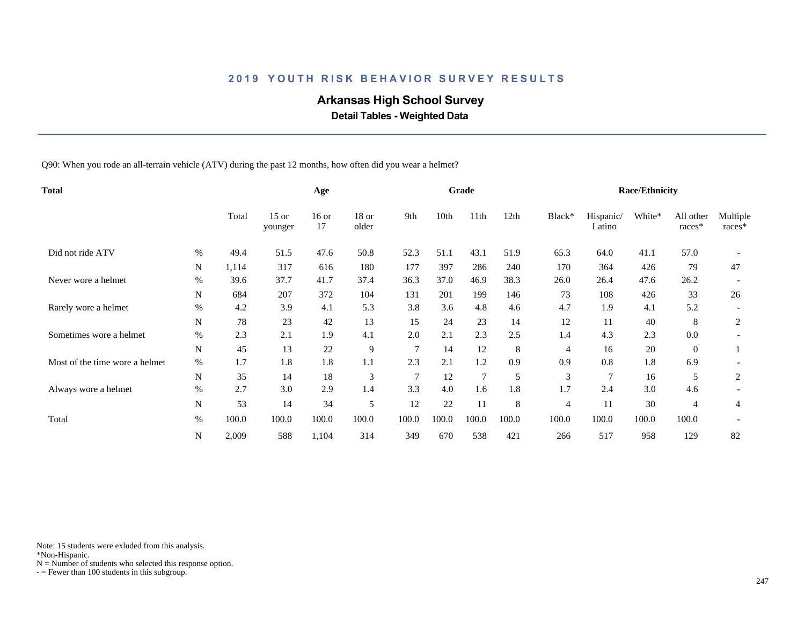# **Arkansas High School Survey**

 **Detail Tables - Weighted Data**

Q90: When you rode an all-terrain vehicle (ATV) during the past 12 months, how often did you wear a helmet?

| <b>Total</b>                   |             |       | Age                |               |                |       | Grade |                  |       |                | <b>Race/Ethnicity</b> |        |                     |                    |
|--------------------------------|-------------|-------|--------------------|---------------|----------------|-------|-------|------------------|-------|----------------|-----------------------|--------|---------------------|--------------------|
|                                |             | Total | $15$ or<br>younger | $16$ or<br>17 | 18 or<br>older | 9th   | 10th  | 11 <sup>th</sup> | 12th  | Black*         | Hispanic/<br>Latino   | White* | All other<br>races* | Multiple<br>races* |
| Did not ride ATV               | $\%$        | 49.4  | 51.5               | 47.6          | 50.8           | 52.3  | 51.1  | 43.1             | 51.9  | 65.3           | 64.0                  | 41.1   | 57.0                |                    |
|                                | N           | 1,114 | 317                | 616           | 180            | 177   | 397   | 286              | 240   | 170            | 364                   | 426    | 79                  | 47                 |
| Never wore a helmet            | $\%$        | 39.6  | 37.7               | 41.7          | 37.4           | 36.3  | 37.0  | 46.9             | 38.3  | 26.0           | 26.4                  | 47.6   | 26.2                |                    |
|                                | N           | 684   | 207                | 372           | 104            | 131   | 201   | 199              | 146   | 73             | 108                   | 426    | 33                  | 26                 |
| Rarely wore a helmet           | $\%$        | 4.2   | 3.9                | 4.1           | 5.3            | 3.8   | 3.6   | 4.8              | 4.6   | 4.7            | 1.9                   | 4.1    | 5.2                 |                    |
|                                | $\mathbf N$ | 78    | 23                 | 42            | 13             | 15    | 24    | 23               | 14    | 12             | 11                    | 40     | 8                   | $\overline{2}$     |
| Sometimes wore a helmet        | $\%$        | 2.3   | 2.1                | 1.9           | 4.1            | 2.0   | 2.1   | 2.3              | 2.5   | 1.4            | 4.3                   | 2.3    | 0.0                 |                    |
|                                | $\mathbf N$ | 45    | 13                 | 22            | 9              | 7     | 14    | 12               | 8     | 4              | 16                    | 20     | $\overline{0}$      |                    |
| Most of the time wore a helmet | $\%$        | 1.7   | 1.8                | 1.8           | 1.1            | 2.3   | 2.1   | 1.2              | 0.9   | 0.9            | 0.8                   | 1.8    | 6.9                 |                    |
|                                | N           | 35    | 14                 | 18            | 3              | 7     | 12    | $\overline{7}$   | 5     | 3              |                       | 16     | 5                   | 2                  |
| Always wore a helmet           | $\%$        | 2.7   | 3.0                | 2.9           | 1.4            | 3.3   | 4.0   | 1.6              | 1.8   | 1.7            | 2.4                   | 3.0    | 4.6                 |                    |
|                                | N           | 53    | 14                 | 34            | 5              | 12    | 22    | 11               | 8     | $\overline{4}$ | 11                    | 30     | 4                   | 4                  |
| Total                          | $\%$        | 100.0 | 100.0              | 100.0         | 100.0          | 100.0 | 100.0 | 100.0            | 100.0 | 100.0          | 100.0                 | 100.0  | 100.0               |                    |
|                                | ${\bf N}$   | 2,009 | 588                | 1,104         | 314            | 349   | 670   | 538              | 421   | 266            | 517                   | 958    | 129                 | 82                 |

Note: 15 students were exluded from this analysis.

\*Non-Hispanic.

 $N =$  Number of students who selected this response option.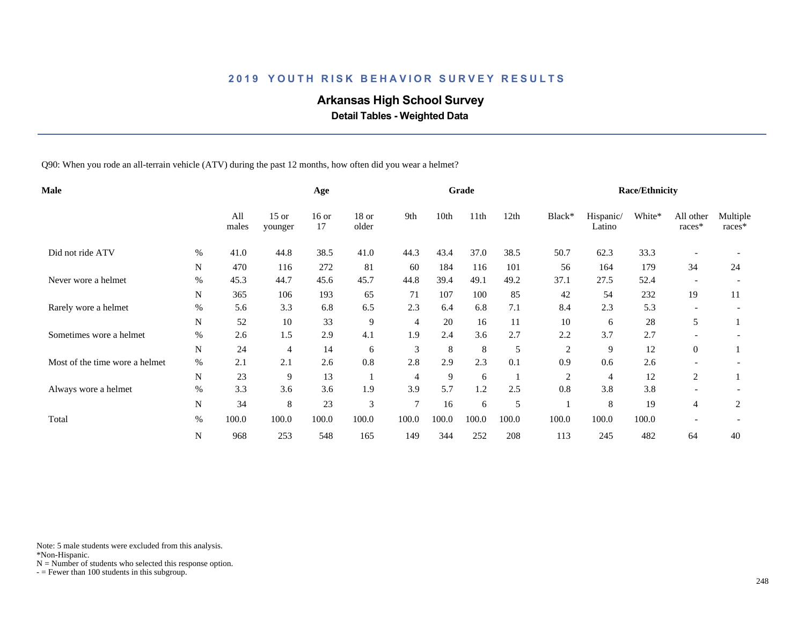# **Arkansas High School Survey**

 **Detail Tables - Weighted Data**

Q90: When you rode an all-terrain vehicle (ATV) during the past 12 months, how often did you wear a helmet?

| Male                           |             |              | Age                |               |                |                | Grade |       |       |                | <b>Race/Ethnicity</b> |        |                          |                    |
|--------------------------------|-------------|--------------|--------------------|---------------|----------------|----------------|-------|-------|-------|----------------|-----------------------|--------|--------------------------|--------------------|
|                                |             | All<br>males | $15$ or<br>younger | $16$ or<br>17 | 18 or<br>older | 9th            | 10th  | 11th  | 12th  | Black*         | Hispanic/<br>Latino   | White* | All other<br>races*      | Multiple<br>races* |
| Did not ride ATV               | $\%$        | 41.0         | 44.8               | 38.5          | 41.0           | 44.3           | 43.4  | 37.0  | 38.5  | 50.7           | 62.3                  | 33.3   |                          |                    |
|                                | N           | 470          | 116                | 272           | 81             | 60             | 184   | 116   | 101   | 56             | 164                   | 179    | 34                       | 24                 |
| Never wore a helmet            | $\%$        | 45.3         | 44.7               | 45.6          | 45.7           | 44.8           | 39.4  | 49.1  | 49.2  | 37.1           | 27.5                  | 52.4   | $\overline{\phantom{a}}$ |                    |
|                                | N           | 365          | 106                | 193           | 65             | 71             | 107   | 100   | 85    | 42             | 54                    | 232    | 19                       | 11                 |
| Rarely wore a helmet           | $\%$        | 5.6          | 3.3                | 6.8           | 6.5            | 2.3            | 6.4   | 6.8   | 7.1   | 8.4            | 2.3                   | 5.3    |                          |                    |
|                                | $\mathbf N$ | 52           | 10                 | 33            | 9              | 4              | 20    | 16    | 11    | 10             | 6                     | 28     | 5                        |                    |
| Sometimes wore a helmet        | $\%$        | 2.6          | 1.5                | 2.9           | 4.1            | 1.9            | 2.4   | 3.6   | 2.7   | 2.2            | 3.7                   | 2.7    |                          |                    |
|                                | $\mathbf N$ | 24           | 4                  | 14            | 6              | 3              | 8     | 8     | 5     | $\overline{c}$ | 9                     | 12     | $\overline{0}$           |                    |
| Most of the time wore a helmet | $\%$        | 2.1          | 2.1                | 2.6           | 0.8            | 2.8            | 2.9   | 2.3   | 0.1   | 0.9            | 0.6                   | 2.6    |                          |                    |
|                                | N           | 23           | 9                  | 13            |                | $\overline{4}$ | 9     | 6     |       | 2              | 4                     | 12     | 2                        |                    |
| Always wore a helmet           | $\%$        | 3.3          | 3.6                | 3.6           | 1.9            | 3.9            | 5.7   | 1.2   | 2.5   | 0.8            | 3.8                   | 3.8    |                          |                    |
|                                | N           | 34           | 8                  | 23            | 3              | $\tau$         | 16    | 6     | 5     |                | 8                     | 19     | 4                        | 2                  |
| Total                          | $\%$        | 100.0        | 100.0              | 100.0         | 100.0          | 100.0          | 100.0 | 100.0 | 100.0 | 100.0          | 100.0                 | 100.0  | $\overline{\phantom{a}}$ |                    |
|                                | N           | 968          | 253                | 548           | 165            | 149            | 344   | 252   | 208   | 113            | 245                   | 482    | 64                       | 40                 |

Note: 5 male students were excluded from this analysis.

\*Non-Hispanic.

 $N =$  Number of students who selected this response option.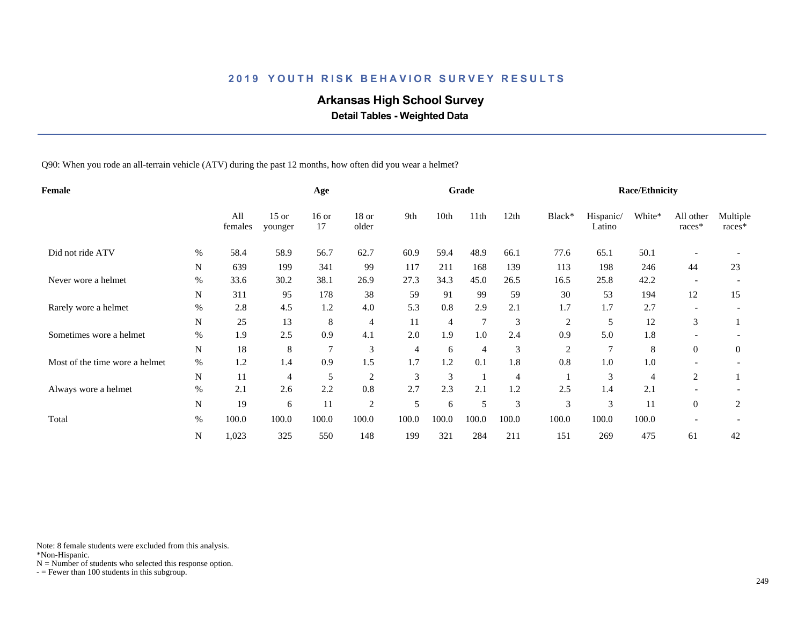# **Arkansas High School Survey**

 **Detail Tables - Weighted Data**

Q90: When you rode an all-terrain vehicle (ATV) during the past 12 months, how often did you wear a helmet?

| Female                         |             |                |                    | Age            |                  |       |       | Grade            |       |                |                     | <b>Race/Ethnicity</b> |                     |                    |
|--------------------------------|-------------|----------------|--------------------|----------------|------------------|-------|-------|------------------|-------|----------------|---------------------|-----------------------|---------------------|--------------------|
|                                |             | All<br>females | $15$ or<br>younger | $16$ or<br>17  | $18$ or<br>older | 9th   | 10th  | 11 <sup>th</sup> | 12th  | Black*         | Hispanic/<br>Latino | White*                | All other<br>races* | Multiple<br>races* |
| Did not ride ATV               | $\%$        | 58.4           | 58.9               | 56.7           | 62.7             | 60.9  | 59.4  | 48.9             | 66.1  | 77.6           | 65.1                | 50.1                  |                     |                    |
|                                | N           | 639            | 199                | 341            | 99               | 117   | 211   | 168              | 139   | 113            | 198                 | 246                   | 44                  | 23                 |
| Never wore a helmet            | $\%$        | 33.6           | 30.2               | 38.1           | 26.9             | 27.3  | 34.3  | 45.0             | 26.5  | 16.5           | 25.8                | 42.2                  |                     |                    |
|                                | $\mathbf N$ | 311            | 95                 | 178            | 38               | 59    | 91    | 99               | 59    | 30             | 53                  | 194                   | 12                  | 15                 |
| Rarely wore a helmet           | %           | 2.8            | 4.5                | 1.2            | 4.0              | 5.3   | 0.8   | 2.9              | 2.1   | 1.7            | 1.7                 | 2.7                   |                     |                    |
|                                | $\mathbf N$ | 25             | 13                 | 8              | 4                | 11    | 4     | $\overline{7}$   | 3     | $\overline{c}$ | 5                   | 12                    | 3                   |                    |
| Sometimes wore a helmet        | $\%$        | 1.9            | 2.5                | 0.9            | 4.1              | 2.0   | 1.9   | $1.0\,$          | 2.4   | 0.9            | 5.0                 | 1.8                   |                     |                    |
|                                | N           | 18             | 8                  | $\overline{7}$ | 3                | 4     | 6     | 4                | 3     | 2              |                     | 8                     | $\overline{0}$      | $\overline{0}$     |
| Most of the time wore a helmet | $\%$        | 1.2            | 1.4                | 0.9            | 1.5              | 1.7   | 1.2   | 0.1              | 1.8   | 0.8            | 1.0                 | 1.0                   |                     |                    |
|                                | N           | 11             | 4                  | 5              | $\overline{c}$   | 3     | 3     |                  | 4     |                | 3                   | 4                     | 2                   |                    |
| Always wore a helmet           | $\%$        | 2.1            | 2.6                | 2.2            | 0.8              | 2.7   | 2.3   | 2.1              | 1.2   | 2.5            | 1.4                 | 2.1                   |                     |                    |
|                                | N           | 19             | 6                  | 11             | $\mathfrak{2}$   | 5     | 6     | 5                | 3     | 3              | 3                   | 11                    | $\overline{0}$      | 2                  |
| Total                          | %           | 100.0          | 100.0              | 100.0          | 100.0            | 100.0 | 100.0 | 100.0            | 100.0 | 100.0          | 100.0               | 100.0                 |                     |                    |
|                                | N           | 1,023          | 325                | 550            | 148              | 199   | 321   | 284              | 211   | 151            | 269                 | 475                   | 61                  | 42                 |

Note: 8 female students were excluded from this analysis.

\*Non-Hispanic.

 $N =$  Number of students who selected this response option.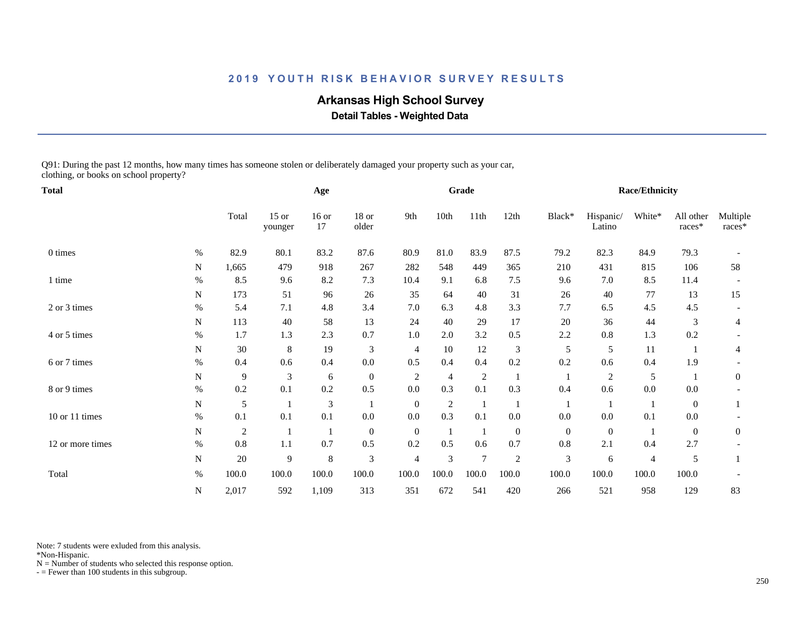# **Arkansas High School Survey**

 **Detail Tables - Weighted Data**

Q91: During the past 12 months, how many times has someone stolen or deliberately damaged your property such as your car, clothing, or books on school property?

| <b>Total</b>     |           |                |                    | Age           |                  |                |                | Grade          |                  |                |                     | Race/Ethnicity |                     |                    |
|------------------|-----------|----------------|--------------------|---------------|------------------|----------------|----------------|----------------|------------------|----------------|---------------------|----------------|---------------------|--------------------|
|                  |           | Total          | $15$ or<br>younger | $16$ or<br>17 | $18$ or<br>older | 9th            | 10th           | 11th           | 12th             | Black*         | Hispanic/<br>Latino | White*         | All other<br>races* | Multiple<br>races* |
| 0 times          | $\%$      | 82.9           | 80.1               | 83.2          | 87.6             | 80.9           | 81.0           | 83.9           | 87.5             | 79.2           | 82.3                | 84.9           | 79.3                |                    |
|                  | N         | 1,665          | 479                | 918           | 267              | 282            | 548            | 449            | 365              | 210            | 431                 | 815            | 106                 | 58                 |
| 1 time           | $\%$      | 8.5            | 9.6                | 8.2           | 7.3              | 10.4           | 9.1            | 6.8            | $7.5$            | 9.6            | 7.0                 | 8.5            | 11.4                |                    |
|                  | N         | 173            | 51                 | 96            | $26\,$           | 35             | 64             | 40             | 31               | 26             | 40                  | 77             | 13                  | 15                 |
| 2 or 3 times     | $\%$      | 5.4            | 7.1                | 4.8           | 3.4              | 7.0            | 6.3            | 4.8            | 3.3              | 7.7            | 6.5                 | 4.5            | 4.5                 |                    |
|                  | N         | 113            | 40                 | 58            | 13               | 24             | 40             | 29             | 17               | 20             | 36                  | 44             | 3                   | 4                  |
| 4 or 5 times     | $\%$      | 1.7            | 1.3                | 2.3           | 0.7              | 1.0            | 2.0            | 3.2            | 0.5              | 2.2            | 0.8                 | 1.3            | 0.2                 |                    |
|                  | N         | 30             | 8                  | 19            | 3                | $\overline{4}$ | 10             | 12             | 3                | 5              | 5                   | 11             |                     | 4                  |
| 6 or 7 times     | $\%$      | 0.4            | 0.6                | 0.4           | $0.0\,$          | 0.5            | 0.4            | 0.4            | 0.2              | 0.2            | 0.6                 | 0.4            | 1.9                 |                    |
|                  | ${\bf N}$ | 9              | 3                  | 6             | $\boldsymbol{0}$ | 2              | $\overline{4}$ | $\overline{c}$ | 1                | -1             | $\sqrt{2}$          | 5              |                     | $\overline{0}$     |
| 8 or 9 times     | $\%$      | 0.2            | 0.1                | 0.2           | 0.5              | 0.0            | 0.3            | 0.1            | 0.3              | 0.4            | 0.6                 | $0.0\,$        | 0.0                 |                    |
|                  | N         | 5              |                    | 3             |                  | $\overline{0}$ | $\overline{2}$ | -1             |                  |                |                     |                | $\overline{0}$      |                    |
| 10 or 11 times   | $\%$      | 0.1            | 0.1                | 0.1           | $0.0\,$          | 0.0            | 0.3            | 0.1            | 0.0              | 0.0            | $0.0\,$             | 0.1            | $0.0\,$             |                    |
|                  | N         | $\overline{2}$ |                    |               | $\boldsymbol{0}$ | $\overline{0}$ |                | $\mathbf{1}$   | $\boldsymbol{0}$ | $\overline{0}$ | $\theta$            |                | $\theta$            | $\overline{0}$     |
| 12 or more times | $\%$      | 0.8            | 1.1                | 0.7           | 0.5              | 0.2            | 0.5            | 0.6            | 0.7              | $0.8\,$        | 2.1                 | 0.4            | 2.7                 |                    |
|                  | N         | 20             | 9                  | $\,8\,$       | $\mathfrak{Z}$   | 4              | 3              | $\overline{7}$ | $\overline{c}$   | $\mathfrak{Z}$ | 6                   | $\overline{4}$ | 5                   |                    |
| Total            | $\%$      | 100.0          | 100.0              | 100.0         | 100.0            | 100.0          | 100.0          | 100.0          | 100.0            | 100.0          | 100.0               | 100.0          | 100.0               |                    |
|                  | N         | 2,017          | 592                | 1,109         | 313              | 351            | 672            | 541            | 420              | 266            | 521                 | 958            | 129                 | 83                 |

Note: 7 students were exluded from this analysis.

\*Non-Hispanic.

 $N =$  Number of students who selected this response option.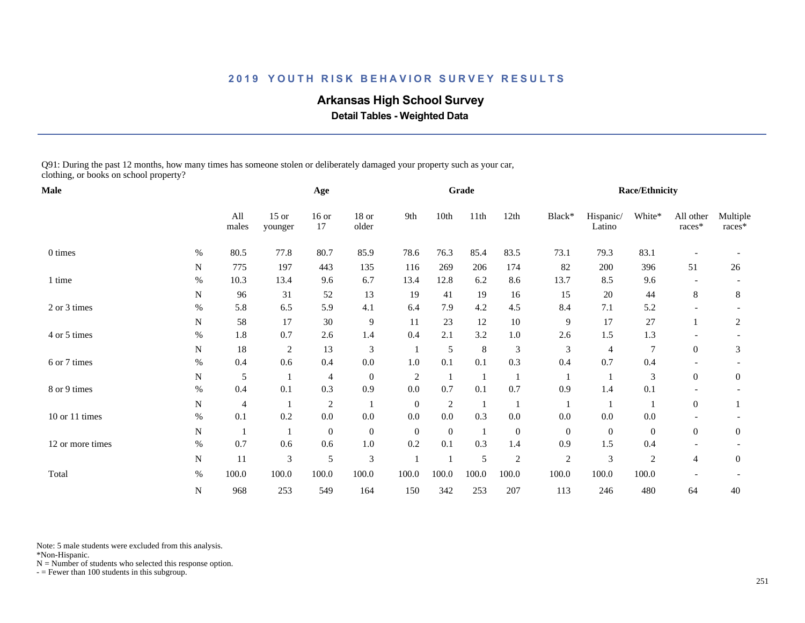# **Arkansas High School Survey**

 **Detail Tables - Weighted Data**

Q91: During the past 12 months, how many times has someone stolen or deliberately damaged your property such as your car, clothing, or books on school property?

| Male             |             |              |                    | Age              |                  |                |                | Grade         |                  |                |                     | Race/Ethnicity   |                     |                    |
|------------------|-------------|--------------|--------------------|------------------|------------------|----------------|----------------|---------------|------------------|----------------|---------------------|------------------|---------------------|--------------------|
|                  |             | All<br>males | $15$ or<br>younger | $16$ or<br>17    | 18 or<br>older   | 9th            | 10th           | 11th          | 12th             | Black*         | Hispanic/<br>Latino | White*           | All other<br>races* | Multiple<br>races* |
| 0 times          | $\%$        | 80.5         | 77.8               | 80.7             | 85.9             | 78.6           | 76.3           | 85.4          | 83.5             | 73.1           | 79.3                | 83.1             |                     |                    |
|                  | N           | 775          | 197                | 443              | 135              | 116            | 269            | 206           | 174              | 82             | 200                 | 396              | 51                  | 26                 |
| 1 time           | $\%$        | 10.3         | 13.4               | 9.6              | 6.7              | 13.4           | 12.8           | 6.2           | 8.6              | 13.7           | 8.5                 | 9.6              |                     |                    |
|                  | N           | 96           | 31                 | 52               | 13               | 19             | 41             | 19            | 16               | 15             | 20                  | 44               | 8                   | 8                  |
| 2 or 3 times     | $\%$        | 5.8          | 6.5                | 5.9              | 4.1              | 6.4            | 7.9            | 4.2           | 4.5              | 8.4            | 7.1                 | 5.2              |                     |                    |
|                  | ${\bf N}$   | 58           | 17                 | 30               | $\overline{9}$   | 11             | 23             | 12            | $10\,$           | 9              | 17                  | 27               |                     | $\overline{c}$     |
| 4 or 5 times     | $\%$        | 1.8          | 0.7                | 2.6              | 1.4              | 0.4            | 2.1            | 3.2           | $1.0\,$          | 2.6            | 1.5                 | 1.3              |                     |                    |
|                  | N           | 18           | 2                  | 13               | $\mathfrak{Z}$   |                | 5              | $\,8\,$       | 3                | 3              | $\overline{4}$      | $\overline{7}$   | $\overline{0}$      | 3                  |
| 6 or 7 times     | %           | 0.4          | 0.6                | 0.4              | $0.0\,$          | 1.0            | 0.1            | 0.1           | 0.3              | 0.4            | 0.7                 | 0.4              |                     |                    |
|                  | N           | 5            |                    | 4                | $\mathbf{0}$     | 2              | -1             | -1            | -1               | -1             |                     | 3                | $\Omega$            | $\overline{0}$     |
| 8 or 9 times     | $\%$        | 0.4          | 0.1                | 0.3              | 0.9              | 0.0            | 0.7            | 0.1           | 0.7              | 0.9            | 1.4                 | 0.1              |                     |                    |
|                  | N           | 4            |                    | $\boldsymbol{2}$ |                  | $\overline{0}$ | $\overline{c}$ | $\mathbf{1}$  |                  |                |                     |                  | $\overline{0}$      |                    |
| 10 or 11 times   | $\%$        | 0.1          | 0.2                | 0.0              | 0.0              | 0.0            | $0.0\,$        | 0.3           | $0.0\,$          | 0.0            | $0.0\,$             | 0.0              |                     |                    |
|                  | N           |              |                    | $\boldsymbol{0}$ | $\boldsymbol{0}$ | $\overline{0}$ | $\theta$       | -1            | $\boldsymbol{0}$ | $\overline{0}$ | $\boldsymbol{0}$    | $\overline{0}$   | $\overline{0}$      | $\overline{0}$     |
| 12 or more times | $\%$        | 0.7          | 0.6                | 0.6              | $1.0\,$          | 0.2            | 0.1            | 0.3           | 1.4              | 0.9            | 1.5                 | 0.4              |                     |                    |
|                  | $\mathbf N$ | 11           | 3                  | 5                | $\mathfrak{Z}$   |                |                | $\mathfrak s$ | $\overline{c}$   | $\sqrt{2}$     | $\mathfrak{Z}$      | $\boldsymbol{2}$ | 4                   | $\mathbf{0}$       |
| Total            | $\%$        | 100.0        | 100.0              | 100.0            | 100.0            | 100.0          | 100.0          | 100.0         | 100.0            | 100.0          | 100.0               | 100.0            |                     |                    |
|                  | N           | 968          | 253                | 549              | 164              | 150            | 342            | 253           | 207              | 113            | 246                 | 480              | 64                  | 40                 |

Note: 5 male students were excluded from this analysis.

\*Non-Hispanic.

 $N =$  Number of students who selected this response option.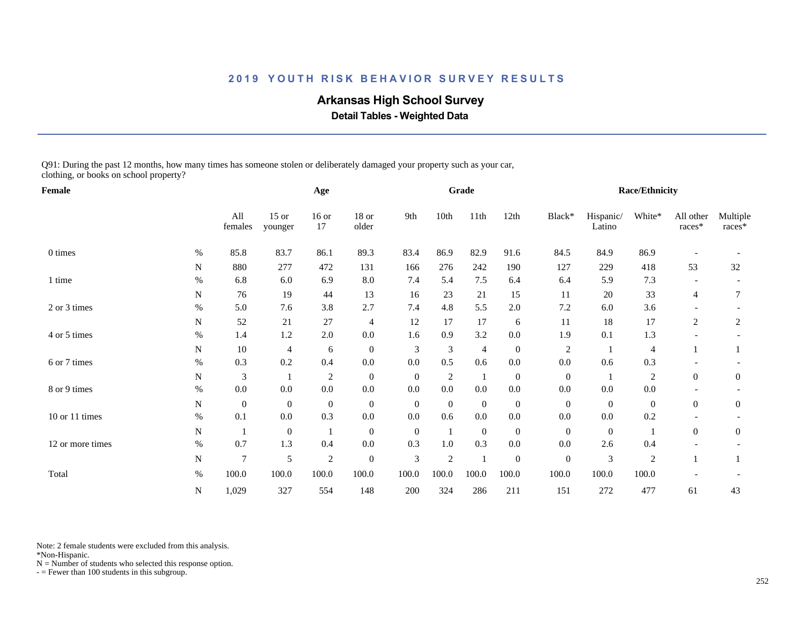# **Arkansas High School Survey**

 **Detail Tables - Weighted Data**

Q91: During the past 12 months, how many times has someone stolen or deliberately damaged your property such as your car, clothing, or books on school property?

| Female           |             |                |                    | Age              |                  |                |                | Grade          |                  |                  |                     | Race/Ethnicity |                     |                    |
|------------------|-------------|----------------|--------------------|------------------|------------------|----------------|----------------|----------------|------------------|------------------|---------------------|----------------|---------------------|--------------------|
|                  |             | All<br>females | $15$ or<br>younger | $16$ or<br>17    | $18$ or<br>older | 9th            | 10th           | 11th           | 12th             | Black*           | Hispanic/<br>Latino | White*         | All other<br>races* | Multiple<br>races* |
| 0 times          | $\%$        | 85.8           | 83.7               | 86.1             | 89.3             | 83.4           | 86.9           | 82.9           | 91.6             | 84.5             | 84.9                | 86.9           |                     |                    |
|                  | N           | 880            | 277                | 472              | 131              | 166            | 276            | 242            | 190              | 127              | 229                 | 418            | 53                  | 32                 |
| 1 time           | $\%$        | 6.8            | 6.0                | 6.9              | 8.0              | 7.4            | 5.4            | 7.5            | 6.4              | 6.4              | 5.9                 | 7.3            |                     |                    |
|                  | N           | 76             | 19                 | 44               | 13               | 16             | 23             | 21             | 15               | 11               | 20                  | 33             | 4                   | 7                  |
| 2 or 3 times     | $\%$        | 5.0            | 7.6                | 3.8              | 2.7              | 7.4            | 4.8            | 5.5            | $2.0\,$          | 7.2              | $6.0\,$             | 3.6            |                     |                    |
|                  | ${\bf N}$   | 52             | 21                 | 27               | 4                | 12             | 17             | 17             | 6                | 11               | 18                  | 17             | 2                   | 2                  |
| 4 or 5 times     | $\%$        | 1.4            | 1.2                | 2.0              | 0.0              | 1.6            | 0.9            | 3.2            | $0.0\,$          | 1.9              | 0.1                 | 1.3            |                     |                    |
|                  | N           | 10             | 4                  | $\sqrt{6}$       | $\boldsymbol{0}$ | 3              | 3              | $\overline{4}$ | $\boldsymbol{0}$ | $\overline{c}$   |                     | $\overline{4}$ |                     |                    |
| 6 or 7 times     | $\%$        | 0.3            | 0.2                | 0.4              | $0.0\,$          | 0.0            | 0.5            | 0.6            | $0.0\,$          | 0.0              | 0.6                 | 0.3            |                     |                    |
|                  | $\mathbf N$ | 3              |                    | $\sqrt{2}$       | $\mathbf{0}$     | $\mathbf{0}$   | $\overline{2}$ | -1             | $\boldsymbol{0}$ | $\overline{0}$   |                     | $\overline{c}$ | $\overline{0}$      | $\mathbf{0}$       |
| 8 or 9 times     | $\%$        | 0.0            | 0.0                | $0.0\,$          | $0.0\,$          | 0.0            | 0.0            | 0.0            | $0.0\,$          | 0.0              | 0.0                 | $0.0\,$        |                     |                    |
|                  | N           | $\mathbf{0}$   | $\overline{0}$     | $\boldsymbol{0}$ | $\mathbf{0}$     | $\overline{0}$ | $\theta$       | $\overline{0}$ | $\boldsymbol{0}$ | $\overline{0}$   | $\theta$            | $\overline{0}$ | $\overline{0}$      | $\overline{0}$     |
| 10 or 11 times   | $\%$        | 0.1            | $0.0\,$            | 0.3              | $0.0\,$          | 0.0            | 0.6            | $0.0\,$        | $0.0\,$          | 0.0              | $0.0\,$             | 0.2            |                     |                    |
|                  | ${\bf N}$   |                | $\boldsymbol{0}$   |                  | $\mathbf{0}$     | $\mathbf{0}$   |                | $\overline{0}$ | $\boldsymbol{0}$ | $\boldsymbol{0}$ | $\mathbf{0}$        |                | $\Omega$            | $\overline{0}$     |
| 12 or more times | $\%$        | 0.7            | 1.3                | 0.4              | $0.0\,$          | 0.3            | 1.0            | 0.3            | $0.0\,$          | 0.0              | 2.6                 | 0.4            |                     |                    |
|                  | N           | $\overline{7}$ | 5                  | $\boldsymbol{2}$ | $\boldsymbol{0}$ | $\mathfrak{Z}$ | 2              | $\mathbf{1}$   | $\boldsymbol{0}$ | $\boldsymbol{0}$ | 3                   | $\overline{c}$ |                     |                    |
| Total            | $\%$        | 100.0          | 100.0              | 100.0            | 100.0            | 100.0          | 100.0          | 100.0          | 100.0            | 100.0            | 100.0               | 100.0          |                     |                    |
|                  | ${\bf N}$   | 1,029          | 327                | 554              | 148              | 200            | 324            | 286            | 211              | 151              | 272                 | 477            | 61                  | 43                 |

Note: 2 female students were excluded from this analysis.

\*Non-Hispanic.

 $N =$  Number of students who selected this response option.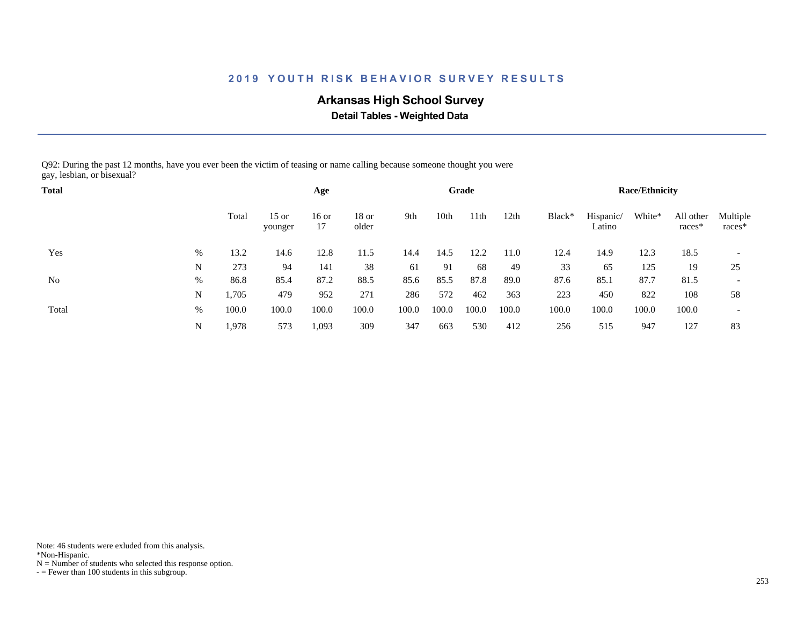# **Arkansas High School Survey**

 **Detail Tables - Weighted Data**

Q92: During the past 12 months, have you ever been the victim of teasing or name calling because someone thought you were gay, lesbian, or bisexual?

| <b>Total</b> |   |       |                    | Age         |                |       |       | Grade |       |        |                     | <b>Race/Ethnicity</b> |                     |                          |
|--------------|---|-------|--------------------|-------------|----------------|-------|-------|-------|-------|--------|---------------------|-----------------------|---------------------|--------------------------|
|              |   | Total | $15$ or<br>younger | 16 or<br>17 | 18 or<br>older | 9th   | 10th  | ∣1th  | 12th  | Black* | Hispanic/<br>Latino | White*                | All other<br>races* | Multiple<br>races*       |
| Yes          | % | 13.2  | 14.6               | 12.8        | 11.5           | 14.4  | 14.5  | 12.2  | 11.0  | 12.4   | 14.9                | 12.3                  | 18.5                | $\overline{\phantom{a}}$ |
|              | N | 273   | 94                 | 141         | 38             | 61    | 91    | 68    | 49    | 33     | 65                  | 125                   | 19                  | 25                       |
| No           | % | 86.8  | 85.4               | 87.2        | 88.5           | 85.6  | 85.5  | 87.8  | 89.0  | 87.6   | 85.1                | 87.7                  | 81.5                | $\overline{\phantom{a}}$ |
|              | N | 1,705 | 479                | 952         | 271            | 286   | 572   | 462   | 363   | 223    | 450                 | 822                   | 108                 | 58                       |
| Total        | % | 100.0 | 100.0              | 100.0       | 100.0          | 100.0 | 100.0 | 100.0 | 100.0 | 100.0  | 100.0               | 100.0                 | 100.0               | $\overline{\phantom{a}}$ |
|              | N | 1,978 | 573                | 1,093       | 309            | 347   | 663   | 530   | 412   | 256    | 515                 | 947                   | 127                 | 83                       |

Note: 46 students were exluded from this analysis.

\*Non-Hispanic.

 $N =$  Number of students who selected this response option.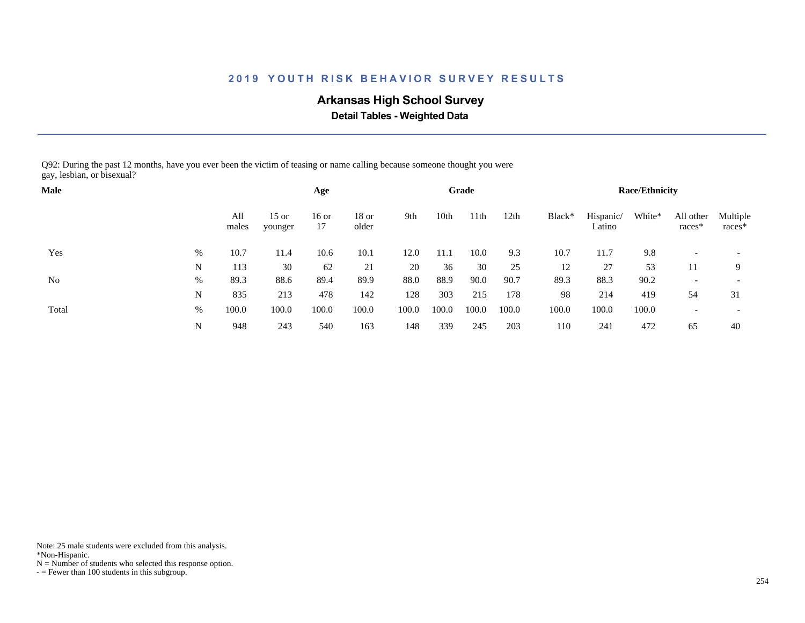# **Arkansas High School Survey**

 **Detail Tables - Weighted Data**

Q92: During the past 12 months, have you ever been the victim of teasing or name calling because someone thought you were gay, lesbian, or bisexual?

| <b>Male</b> |      |              |                    | Age         |                  |       |       | Grade |       |        |                     | <b>Race/Ethnicity</b> |                       |                          |
|-------------|------|--------------|--------------------|-------------|------------------|-------|-------|-------|-------|--------|---------------------|-----------------------|-----------------------|--------------------------|
|             |      | All<br>males | $15$ or<br>younger | 16 or<br>17 | $18$ or<br>older | 9th   | 10th  | 11th  | 12th  | Black* | Hispanic/<br>Latino | White*                | All other<br>$races*$ | Multiple<br>races*       |
| Yes         | %    | 10.7         | 11.4               | 10.6        | 10.1             | 12.0  | 11.1  | 10.0  | 9.3   | 10.7   | 11.7                | 9.8                   |                       |                          |
|             | N    | 113          | 30                 | 62          | 21               | 20    | 36    | 30    | 25    | 12     | 27                  | 53                    |                       | 9                        |
| No          | $\%$ | 89.3         | 88.6               | 89.4        | 89.9             | 88.0  | 88.9  | 90.0  | 90.7  | 89.3   | 88.3                | 90.2                  |                       | $\overline{\phantom{a}}$ |
|             | N    | 835          | 213                | 478         | 142              | 128   | 303   | 215   | 178   | 98     | 214                 | 419                   | 54                    | 31                       |
| Total       | $\%$ | 100.0        | 100.0              | 100.0       | 100.0            | 100.0 | 100.0 | 100.0 | 100.0 | 100.0  | 100.0               | 100.0                 |                       | $\overline{\phantom{a}}$ |
|             | N    | 948          | 243                | 540         | 163              | 148   | 339   | 245   | 203   | 110    | 241                 | 472                   | 65                    | 40                       |

Note: 25 male students were excluded from this analysis.

\*Non-Hispanic.

 $N =$  Number of students who selected this response option.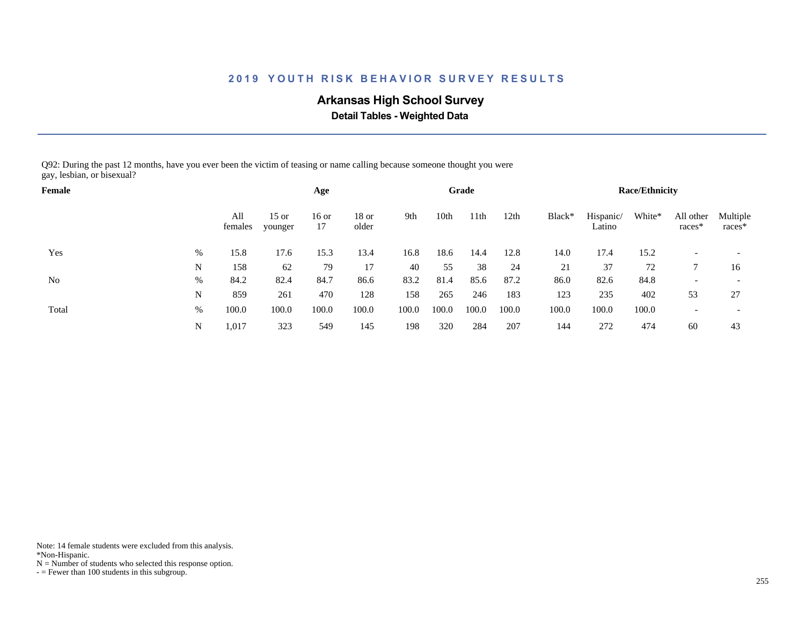# **Arkansas High School Survey**

 **Detail Tables - Weighted Data**

Q92: During the past 12 months, have you ever been the victim of teasing or name calling because someone thought you were gay, lesbian, or bisexual?

| Female |      |                |                    | Age           |                  |       |       | Grade |       |        |                     | <b>Race/Ethnicity</b> |                       |                    |
|--------|------|----------------|--------------------|---------------|------------------|-------|-------|-------|-------|--------|---------------------|-----------------------|-----------------------|--------------------|
|        |      | All<br>females | $15$ or<br>younger | $16$ or<br>17 | $18$ or<br>older | 9th   | 10th  | 11th  | 12th  | Black* | Hispanic/<br>Latino | White*                | All other<br>$races*$ | Multiple<br>races* |
| Yes    | $\%$ | 15.8           | 17.6               | 15.3          | 13.4             | 16.8  | 18.6  | 14.4  | 12.8  | 14.0   | 17.4                | 15.2                  |                       |                    |
|        | N    | 158            | 62                 | 79            | 17               | 40    | 55    | 38    | 24    | 21     | 37                  | 72                    |                       | 16                 |
| No     | $\%$ | 84.2           | 82.4               | 84.7          | 86.6             | 83.2  | 81.4  | 85.6  | 87.2  | 86.0   | 82.6                | 84.8                  |                       |                    |
|        | N    | 859            | 261                | 470           | 128              | 158   | 265   | 246   | 183   | 123    | 235                 | 402                   | 53                    | 27                 |
| Total  | $\%$ | 100.0          | 100.0              | 100.0         | 100.0            | 100.0 | 100.0 | 100.0 | 100.0 | 100.0  | 100.0               | 100.0                 |                       |                    |
|        | N    | 1,017          | 323                | 549           | 145              | 198   | 320   | 284   | 207   | 144    | 272                 | 474                   | 60                    | 43                 |

Note: 14 female students were excluded from this analysis.

\*Non-Hispanic.

 $N =$  Number of students who selected this response option.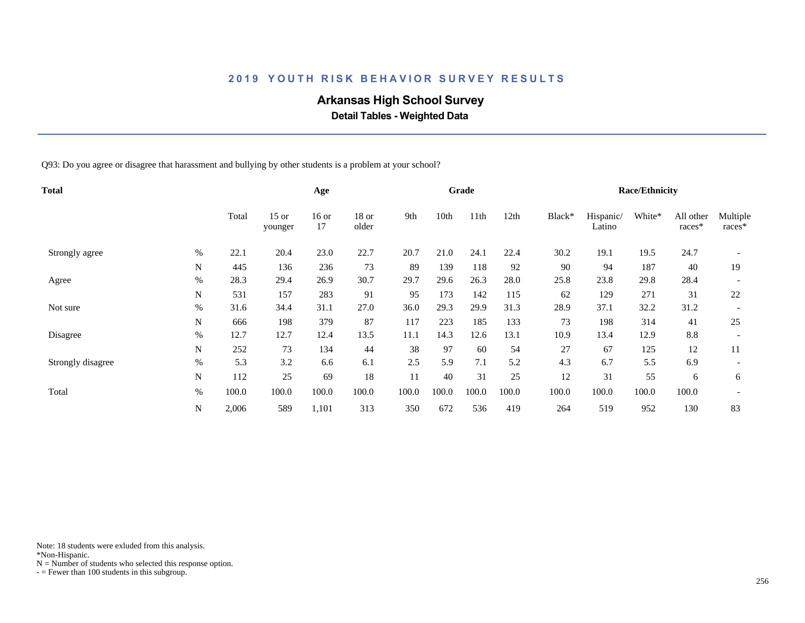# **Arkansas High School Survey**

 **Detail Tables - Weighted Data**

Q93: Do you agree or disagree that harassment and bullying by other students is a problem at your school?

| <b>Total</b>      |           |       |                    | Age           |                  |       |       | Grade |       |        |                     | <b>Race/Ethnicity</b> |                     |                    |
|-------------------|-----------|-------|--------------------|---------------|------------------|-------|-------|-------|-------|--------|---------------------|-----------------------|---------------------|--------------------|
|                   |           | Total | $15$ or<br>younger | $16$ or<br>17 | $18$ or<br>older | 9th   | 10th  | 11th  | 12th  | Black* | Hispanic/<br>Latino | White*                | All other<br>races* | Multiple<br>races* |
| Strongly agree    | $\%$      | 22.1  | 20.4               | 23.0          | 22.7             | 20.7  | 21.0  | 24.1  | 22.4  | 30.2   | 19.1                | 19.5                  | 24.7                |                    |
|                   | N         | 445   | 136                | 236           | 73               | 89    | 139   | 118   | 92    | 90     | 94                  | 187                   | 40                  | 19                 |
| Agree             | $\%$      | 28.3  | 29.4               | 26.9          | 30.7             | 29.7  | 29.6  | 26.3  | 28.0  | 25.8   | 23.8                | 29.8                  | 28.4                |                    |
|                   | ${\bf N}$ | 531   | 157                | 283           | 91               | 95    | 173   | 142   | 115   | 62     | 129                 | 271                   | 31                  | 22                 |
| Not sure          | $\%$      | 31.6  | 34.4               | 31.1          | 27.0             | 36.0  | 29.3  | 29.9  | 31.3  | 28.9   | 37.1                | 32.2                  | 31.2                |                    |
|                   | N         | 666   | 198                | 379           | 87               | 117   | 223   | 185   | 133   | 73     | 198                 | 314                   | 41                  | 25                 |
| Disagree          | %         | 12.7  | 12.7               | 12.4          | 13.5             | 11.1  | 14.3  | 12.6  | 13.1  | 10.9   | 13.4                | 12.9                  | 8.8                 |                    |
|                   | ${\bf N}$ | 252   | 73                 | 134           | 44               | 38    | 97    | 60    | 54    | 27     | 67                  | 125                   | 12                  | 11                 |
| Strongly disagree | $\%$      | 5.3   | 3.2                | 6.6           | 6.1              | 2.5   | 5.9   | 7.1   | 5.2   | 4.3    | 6.7                 | 5.5                   | 6.9                 |                    |
|                   | N         | 112   | 25                 | 69            | 18               | 11    | 40    | 31    | 25    | 12     | 31                  | 55                    | 6                   | 6                  |
| Total             | $\%$      | 100.0 | 100.0              | 100.0         | 100.0            | 100.0 | 100.0 | 100.0 | 100.0 | 100.0  | 100.0               | 100.0                 | 100.0               |                    |
|                   | ${\bf N}$ | 2,006 | 589                | 1,101         | 313              | 350   | 672   | 536   | 419   | 264    | 519                 | 952                   | 130                 | 83                 |

Note: 18 students were exluded from this analysis.

\*Non-Hispanic.

 $N =$  Number of students who selected this response option.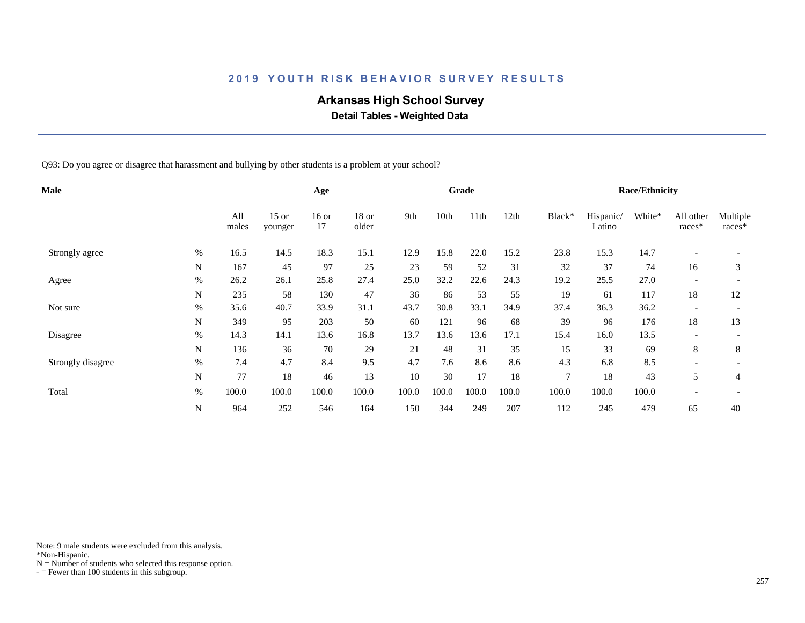# **Arkansas High School Survey**

 **Detail Tables - Weighted Data**

Q93: Do you agree or disagree that harassment and bullying by other students is a problem at your school?

| <b>Male</b>       |           |              |                    | Age           |                  |       |       | Grade            |       |                |                     | <b>Race/Ethnicity</b> |                          |                    |
|-------------------|-----------|--------------|--------------------|---------------|------------------|-------|-------|------------------|-------|----------------|---------------------|-----------------------|--------------------------|--------------------|
|                   |           | All<br>males | $15$ or<br>younger | $16$ or<br>17 | $18$ or<br>older | 9th   | 10th  | 11 <sup>th</sup> | 12th  | Black*         | Hispanic/<br>Latino | White*                | All other<br>races*      | Multiple<br>races* |
| Strongly agree    | $\%$      | 16.5         | 14.5               | 18.3          | 15.1             | 12.9  | 15.8  | 22.0             | 15.2  | 23.8           | 15.3                | 14.7                  | $\overline{a}$           |                    |
|                   | N         | 167          | 45                 | 97            | 25               | 23    | 59    | 52               | 31    | 32             | 37                  | 74                    | 16                       | 3                  |
| Agree             | $\%$      | 26.2         | 26.1               | 25.8          | 27.4             | 25.0  | 32.2  | 22.6             | 24.3  | 19.2           | 25.5                | 27.0                  |                          |                    |
|                   | ${\bf N}$ | 235          | 58                 | 130           | 47               | 36    | 86    | 53               | 55    | 19             | 61                  | 117                   | 18                       | 12                 |
| Not sure          | $\%$      | 35.6         | 40.7               | 33.9          | 31.1             | 43.7  | 30.8  | 33.1             | 34.9  | 37.4           | 36.3                | 36.2                  | $\overline{\phantom{a}}$ |                    |
|                   | N         | 349          | 95                 | 203           | 50               | 60    | 121   | 96               | 68    | 39             | 96                  | 176                   | 18                       | 13                 |
| Disagree          | $\%$      | 14.3         | 14.1               | 13.6          | 16.8             | 13.7  | 13.6  | 13.6             | 17.1  | 15.4           | 16.0                | 13.5                  |                          |                    |
|                   | ${\bf N}$ | 136          | 36                 | 70            | 29               | 21    | 48    | 31               | 35    | 15             | 33                  | 69                    | 8                        | 8                  |
| Strongly disagree | $\%$      | 7.4          | 4.7                | 8.4           | 9.5              | 4.7   | 7.6   | 8.6              | 8.6   | 4.3            | 6.8                 | 8.5                   |                          |                    |
|                   | N         | 77           | 18                 | 46            | 13               | 10    | 30    | 17               | 18    | $\overline{7}$ | 18                  | 43                    | 5                        | 4                  |
| Total             | $\%$      | 100.0        | 100.0              | 100.0         | 100.0            | 100.0 | 100.0 | 100.0            | 100.0 | 100.0          | 100.0               | 100.0                 |                          |                    |
|                   | ${\bf N}$ | 964          | 252                | 546           | 164              | 150   | 344   | 249              | 207   | 112            | 245                 | 479                   | 65                       | 40                 |

Note: 9 male students were excluded from this analysis.

\*Non-Hispanic.

 $N =$  Number of students who selected this response option.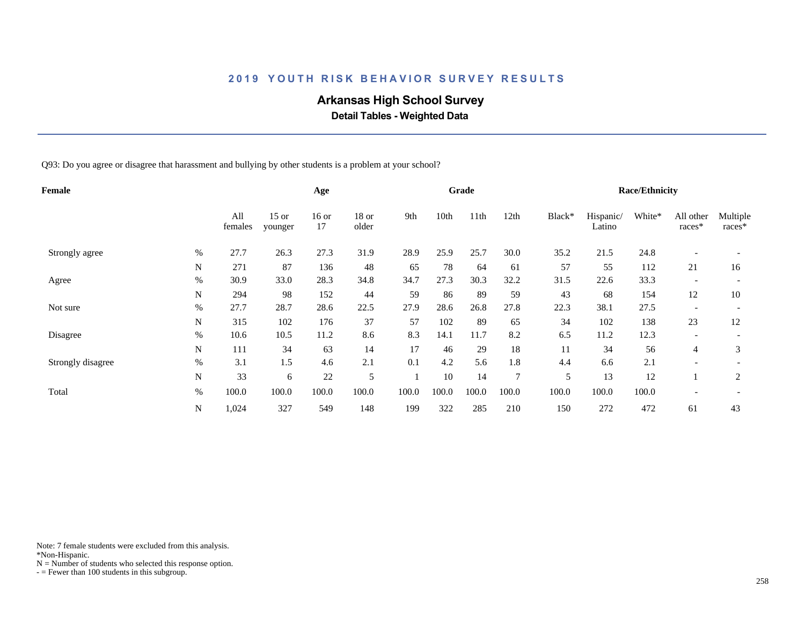# **Arkansas High School Survey**

 **Detail Tables - Weighted Data**

Q93: Do you agree or disagree that harassment and bullying by other students is a problem at your school?

| Female            |             |                |                    | Age           |                  |       |       | Grade |                |        |                     | <b>Race/Ethnicity</b> |                          |                    |
|-------------------|-------------|----------------|--------------------|---------------|------------------|-------|-------|-------|----------------|--------|---------------------|-----------------------|--------------------------|--------------------|
|                   |             | All<br>females | $15$ or<br>younger | $16$ or<br>17 | $18$ or<br>older | 9th   | 10th  | 11th  | 12th           | Black* | Hispanic/<br>Latino | White*                | All other<br>races*      | Multiple<br>races* |
| Strongly agree    | $\%$        | 27.7           | 26.3               | 27.3          | 31.9             | 28.9  | 25.9  | 25.7  | 30.0           | 35.2   | 21.5                | 24.8                  |                          |                    |
|                   | N           | 271            | 87                 | 136           | 48               | 65    | 78    | 64    | 61             | 57     | 55                  | 112                   | 21                       | 16                 |
| Agree             | $\%$        | 30.9           | 33.0               | 28.3          | 34.8             | 34.7  | 27.3  | 30.3  | 32.2           | 31.5   | 22.6                | 33.3                  |                          |                    |
|                   | $\mathbf N$ | 294            | 98                 | 152           | 44               | 59    | 86    | 89    | 59             | 43     | 68                  | 154                   | 12                       | 10                 |
| Not sure          | $\%$        | 27.7           | 28.7               | 28.6          | 22.5             | 27.9  | 28.6  | 26.8  | 27.8           | 22.3   | 38.1                | 27.5                  | $\overline{\phantom{a}}$ |                    |
|                   | N           | 315            | 102                | 176           | 37               | 57    | 102   | 89    | 65             | 34     | 102                 | 138                   | 23                       | 12                 |
| Disagree          | %           | 10.6           | 10.5               | 11.2          | 8.6              | 8.3   | 14.1  | 11.7  | 8.2            | 6.5    | 11.2                | 12.3                  |                          |                    |
|                   | ${\bf N}$   | 111            | 34                 | 63            | 14               | 17    | 46    | 29    | 18             | 11     | 34                  | 56                    | 4                        | 3                  |
| Strongly disagree | $\%$        | 3.1            | 1.5                | 4.6           | 2.1              | 0.1   | 4.2   | 5.6   | 1.8            | 4.4    | 6.6                 | 2.1                   |                          |                    |
|                   | N           | 33             | 6                  | 22            | 5                |       | 10    | 14    | $\overline{7}$ | 5      | 13                  | 12                    |                          | $\overline{2}$     |
| Total             | $\%$        | 100.0          | 100.0              | 100.0         | 100.0            | 100.0 | 100.0 | 100.0 | 100.0          | 100.0  | 100.0               | 100.0                 |                          |                    |
|                   | N           | 1,024          | 327                | 549           | 148              | 199   | 322   | 285   | 210            | 150    | 272                 | 472                   | 61                       | 43                 |

Note: 7 female students were excluded from this analysis.

\*Non-Hispanic.

 $N =$  Number of students who selected this response option.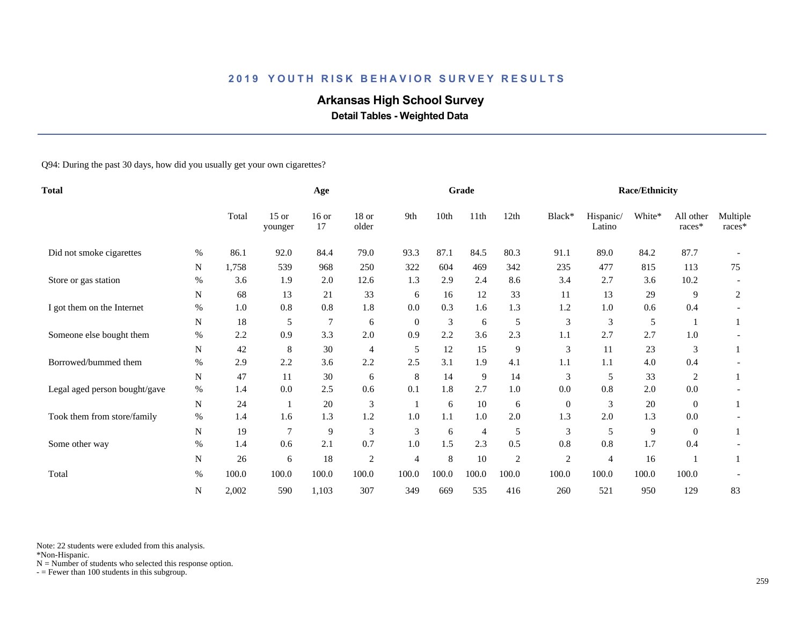# **Arkansas High School Survey**

 **Detail Tables - Weighted Data**

Q94: During the past 30 days, how did you usually get your own cigarettes?

| <b>Total</b>                  |      |       | Age                |               |                  |                | Grade |                |                |                | <b>Race/Ethnicity</b> |        |                     |                    |
|-------------------------------|------|-------|--------------------|---------------|------------------|----------------|-------|----------------|----------------|----------------|-----------------------|--------|---------------------|--------------------|
|                               |      | Total | $15$ or<br>younger | $16$ or<br>17 | $18$ or<br>older | 9th            | 10th  | 11th           | 12th           | Black*         | Hispanic/<br>Latino   | White* | All other<br>races* | Multiple<br>races* |
| Did not smoke cigarettes      | $\%$ | 86.1  | 92.0               | 84.4          | 79.0             | 93.3           | 87.1  | 84.5           | 80.3           | 91.1           | 89.0                  | 84.2   | 87.7                |                    |
|                               | N    | 1,758 | 539                | 968           | 250              | 322            | 604   | 469            | 342            | 235            | 477                   | 815    | 113                 | 75                 |
| Store or gas station          | $\%$ | 3.6   | 1.9                | 2.0           | 12.6             | 1.3            | 2.9   | 2.4            | 8.6            | 3.4            | 2.7                   | 3.6    | 10.2                |                    |
|                               | N    | 68    | 13                 | 21            | 33               | 6              | 16    | 12             | 33             | 11             | 13                    | 29     | 9                   | 2                  |
| I got them on the Internet    | $\%$ | 1.0   | 0.8                | 0.8           | 1.8              | 0.0            | 0.3   | 1.6            | 1.3            | 1.2            | 1.0                   | 0.6    | 0.4                 |                    |
|                               | N    | 18    | 5                  | 7             | 6                | $\overline{0}$ | 3     | 6              | 5              | 3              | 3                     | 5      |                     |                    |
| Someone else bought them      | $\%$ | 2.2   | 0.9                | 3.3           | 2.0              | 0.9            | 2.2   | 3.6            | 2.3            | 1.1            | 2.7                   | 2.7    | 1.0                 |                    |
|                               | N    | 42    | 8                  | 30            | $\overline{4}$   | 5              | 12    | 15             | 9              | 3              | 11                    | 23     | 3                   |                    |
| Borrowed/bummed them          | %    | 2.9   | 2.2                | 3.6           | 2.2              | 2.5            | 3.1   | 1.9            | 4.1            | 1.1            | 1.1                   | 4.0    | 0.4                 |                    |
|                               | N    | 47    | 11                 | 30            | 6                | 8              | 14    | 9              | 14             | 3              | 5                     | 33     | 2                   |                    |
| Legal aged person bought/gave | $\%$ | 1.4   | 0.0                | 2.5           | 0.6              | 0.1            | 1.8   | 2.7            | $1.0\,$        | 0.0            | 0.8                   | 2.0    | 0.0                 |                    |
|                               | N    | 24    |                    | 20            | 3                |                | 6     | 10             | 6              | $\overline{0}$ | 3                     | $20\,$ | $\overline{0}$      |                    |
| Took them from store/family   | $\%$ | 1.4   | 1.6                | 1.3           | 1.2              | 1.0            | 1.1   | 1.0            | 2.0            | 1.3            | 2.0                   | 1.3    | 0.0                 |                    |
|                               | N    | 19    | $\overline{7}$     | 9             | 3                | 3              | 6     | $\overline{4}$ | 5              | 3              | 5                     | 9      | $\theta$            |                    |
| Some other way                | %    | 1.4   | 0.6                | 2.1           | 0.7              | 1.0            | 1.5   | 2.3            | 0.5            | 0.8            | 0.8                   | 1.7    | 0.4                 |                    |
|                               | N    | 26    | 6                  | 18            | $\overline{c}$   | $\overline{4}$ | 8     | 10             | $\overline{c}$ | $\overline{c}$ | 4                     | 16     |                     |                    |
| Total                         | $\%$ | 100.0 | 100.0              | 100.0         | 100.0            | 100.0          | 100.0 | 100.0          | 100.0          | 100.0          | 100.0                 | 100.0  | 100.0               |                    |
|                               | N    | 2,002 | 590                | 1,103         | 307              | 349            | 669   | 535            | 416            | 260            | 521                   | 950    | 129                 | 83                 |

Note: 22 students were exluded from this analysis.

\*Non-Hispanic.

 $N =$  Number of students who selected this response option.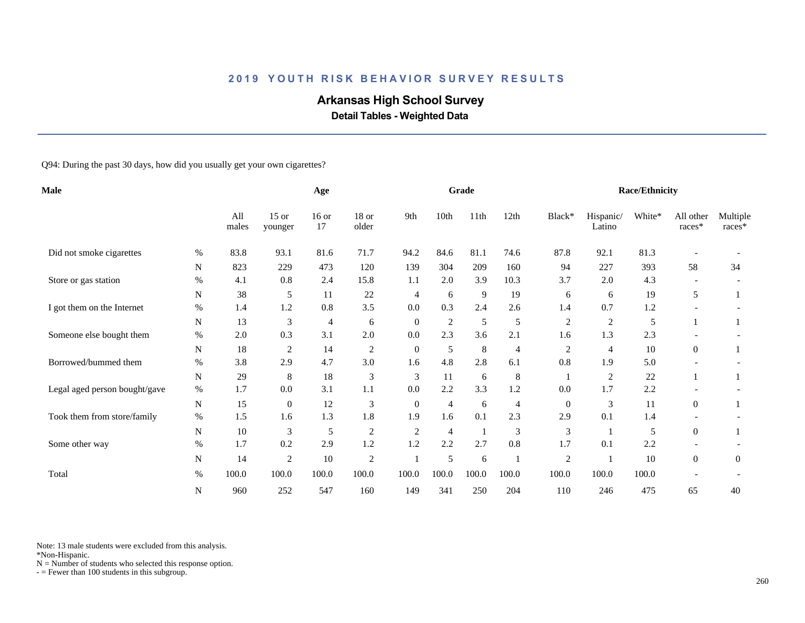# **Arkansas High School Survey**

 **Detail Tables - Weighted Data**

Q94: During the past 30 days, how did you usually get your own cigarettes?

| <b>Male</b>                   |             |              | Age                |               |                |                  | Grade          |                |                |                  | <b>Race/Ethnicity</b> |        |                     |                    |
|-------------------------------|-------------|--------------|--------------------|---------------|----------------|------------------|----------------|----------------|----------------|------------------|-----------------------|--------|---------------------|--------------------|
|                               |             | All<br>males | $15$ or<br>younger | $16$ or<br>17 | 18 or<br>older | 9th              | 10th           | 11th           | 12th           | Black*           | Hispanic/<br>Latino   | White* | All other<br>races* | Multiple<br>races* |
| Did not smoke cigarettes      | $\%$        | 83.8         | 93.1               | 81.6          | 71.7           | 94.2             | 84.6           | 81.1           | 74.6           | 87.8             | 92.1                  | 81.3   |                     |                    |
|                               | $\mathbf N$ | 823          | 229                | 473           | 120            | 139              | 304            | 209            | 160            | 94               | 227                   | 393    | 58                  | 34                 |
| Store or gas station          | $\%$        | 4.1          | 0.8                | 2.4           | 15.8           | 1.1              | 2.0            | 3.9            | 10.3           | 3.7              | 2.0                   | 4.3    |                     |                    |
|                               | ${\bf N}$   | 38           | 5                  | 11            | 22             | $\overline{4}$   | 6              | $\overline{9}$ | 19             | 6                | 6                     | 19     | 5                   |                    |
| I got them on the Internet    | $\%$        | 1.4          | 1.2                | 0.8           | 3.5            | 0.0              | 0.3            | 2.4            | 2.6            | 1.4              | 0.7                   | 1.2    |                     |                    |
|                               | N           | 13           | 3                  | 4             | 6              | $\overline{0}$   | $\sqrt{2}$     | 5              | 5              | $\overline{c}$   | $\overline{c}$        | 5      |                     |                    |
| Someone else bought them      | $\%$        | 2.0          | 0.3                | 3.1           | 2.0            | 0.0              | 2.3            | 3.6            | 2.1            | 1.6              | 1.3                   | 2.3    |                     |                    |
|                               | ${\bf N}$   | 18           | $\overline{c}$     | 14            | $\overline{c}$ | $\mathbf{0}$     | 5              | 8              | $\overline{4}$ | 2                | 4                     | 10     | $\overline{0}$      |                    |
| Borrowed/bummed them          | $\%$        | 3.8          | 2.9                | 4.7           | 3.0            | 1.6              | 4.8            | 2.8            | 6.1            | 0.8              | 1.9                   | 5.0    |                     |                    |
|                               | ${\bf N}$   | 29           | 8                  | 18            | 3              | 3                | 11             | 6              | $\,8\,$        |                  | 2                     | 22     |                     |                    |
| Legal aged person bought/gave | $\%$        | 1.7          | 0.0                | 3.1           | 1.1            | 0.0              | 2.2            | 3.3            | 1.2            | 0.0              | 1.7                   | 2.2    |                     |                    |
|                               | N           | 15           | $\mathbf{0}$       | 12            | 3              | $\boldsymbol{0}$ | $\overline{4}$ | 6              | 4              | $\boldsymbol{0}$ | 3                     | 11     | $\overline{0}$      |                    |
| Took them from store/family   | $\%$        | 1.5          | 1.6                | 1.3           | 1.8            | 1.9              | 1.6            | 0.1            | 2.3            | 2.9              | 0.1                   | 1.4    |                     |                    |
|                               | $\mathbf N$ | $10\,$       | 3                  | 5             | $\overline{c}$ | $\overline{2}$   | $\overline{4}$ | -1             | 3              | 3                |                       | 5      | $\overline{0}$      |                    |
| Some other way                | %           | 1.7          | 0.2                | 2.9           | 1.2            | 1.2              | 2.2            | 2.7            | 0.8            | 1.7              | 0.1                   | 2.2    |                     |                    |
|                               | $\mathbf N$ | 14           | $\overline{c}$     | 10            | $\overline{c}$ |                  | 5              | 6              |                | $\boldsymbol{2}$ |                       | 10     | $\overline{0}$      | $\overline{0}$     |
| Total                         | $\%$        | 100.0        | 100.0              | 100.0         | 100.0          | 100.0            | 100.0          | 100.0          | 100.0          | 100.0            | 100.0                 | 100.0  |                     |                    |
|                               | N           | 960          | 252                | 547           | 160            | 149              | 341            | 250            | 204            | 110              | 246                   | 475    | 65                  | 40                 |

Note: 13 male students were excluded from this analysis.

\*Non-Hispanic.

 $N =$  Number of students who selected this response option.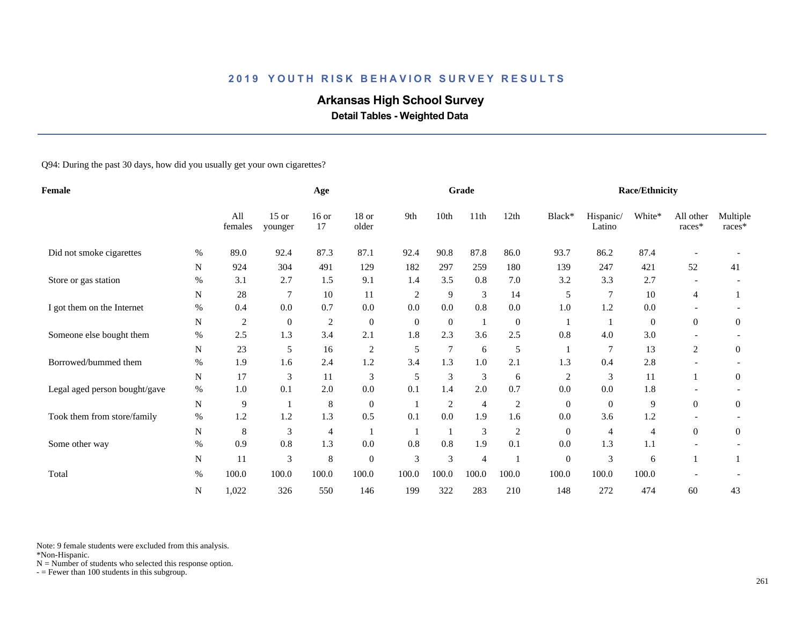# **Arkansas High School Survey**

 **Detail Tables - Weighted Data**

Q94: During the past 30 days, how did you usually get your own cigarettes?

| Female                        |             |                |                    | Age           |                  |                |                | Grade          |                  |                  |                     | <b>Race/Ethnicity</b> |                          |                    |
|-------------------------------|-------------|----------------|--------------------|---------------|------------------|----------------|----------------|----------------|------------------|------------------|---------------------|-----------------------|--------------------------|--------------------|
|                               |             | All<br>females | $15$ or<br>younger | $16$ or<br>17 | 18 or<br>older   | 9th            | 10th           | 11th           | 12th             | Black*           | Hispanic/<br>Latino | White*                | All other<br>races*      | Multiple<br>races* |
| Did not smoke cigarettes      | $\%$        | 89.0           | 92.4               | 87.3          | 87.1             | 92.4           | 90.8           | 87.8           | 86.0             | 93.7             | 86.2                | 87.4                  |                          |                    |
|                               | $\mathbf N$ | 924            | 304                | 491           | 129              | 182            | 297            | 259            | 180              | 139              | 247                 | 421                   | 52                       | 41                 |
| Store or gas station          | $\%$        | 3.1            | 2.7                | 1.5           | 9.1              | 1.4            | 3.5            | 0.8            | 7.0              | 3.2              | 3.3                 | 2.7                   |                          |                    |
|                               | ${\bf N}$   | 28             | $\overline{7}$     | 10            | 11               | $\overline{2}$ | 9              | 3              | 14               | 5                | $\tau$              | 10                    | 4                        |                    |
| I got them on the Internet    | $\%$        | 0.4            | 0.0                | 0.7           | 0.0              | 0.0            | 0.0            | 0.8            | 0.0              | 1.0              | 1.2                 | 0.0                   |                          |                    |
|                               | N           | $\overline{c}$ | $\overline{0}$     | $\sqrt{2}$    | $\boldsymbol{0}$ | $\theta$       | $\overline{0}$ | $\mathbf{1}$   | $\boldsymbol{0}$ |                  |                     | $\mathbf{0}$          | $\overline{0}$           | $\overline{0}$     |
| Someone else bought them      | $\%$        | 2.5            | 1.3                | 3.4           | 2.1              | 1.8            | 2.3            | 3.6            | 2.5              | 0.8              | 4.0                 | 3.0                   |                          |                    |
|                               | ${\bf N}$   | 23             | 5                  | 16            | $\overline{c}$   | 5              | $\overline{7}$ | 6              | 5                | 1                | $\overline{7}$      | 13                    | $\overline{c}$           | $\overline{0}$     |
| Borrowed/bummed them          | $\%$        | 1.9            | 1.6                | 2.4           | 1.2              | 3.4            | 1.3            | 1.0            | 2.1              | 1.3              | 0.4                 | 2.8                   |                          |                    |
|                               | N           | 17             | 3                  | 11            | 3                | 5              | 3              | 3              | 6                | $\overline{c}$   | 3                   | 11                    |                          | $\overline{0}$     |
| Legal aged person bought/gave | $\%$        | 1.0            | 0.1                | 2.0           | 0.0              | 0.1            | 1.4            | 2.0            | 0.7              | 0.0              | 0.0                 | 1.8                   |                          |                    |
|                               | ${\bf N}$   | 9              |                    | $\,8\,$       | $\boldsymbol{0}$ |                | 2              | $\overline{4}$ | $\sqrt{2}$       | $\overline{0}$   | $\overline{0}$      | 9                     | $\overline{0}$           | $\overline{0}$     |
| Took them from store/family   | $\%$        | 1.2            | 1.2                | 1.3           | 0.5              | 0.1            | 0.0            | 1.9            | 1.6              | 0.0              | 3.6                 | 1.2                   |                          |                    |
|                               | N           | 8              | 3                  | 4             |                  |                |                | $\mathfrak{Z}$ | $\overline{2}$   | $\mathbf{0}$     | $\overline{4}$      | 4                     | $\overline{0}$           | $\overline{0}$     |
| Some other way                | %           | 0.9            | 0.8                | 1.3           | 0.0              | 0.8            | 0.8            | 1.9            | 0.1              | 0.0              | 1.3                 | $1.1\,$               | $\overline{\phantom{a}}$ |                    |
|                               | $\mathbf N$ | 11             | 3                  | 8             | $\boldsymbol{0}$ | 3              | 3              | $\overline{4}$ |                  | $\boldsymbol{0}$ | 3                   | 6                     |                          |                    |
| Total                         | $\%$        | 100.0          | 100.0              | 100.0         | 100.0            | 100.0          | 100.0          | 100.0          | 100.0            | 100.0            | 100.0               | 100.0                 |                          |                    |
|                               | ${\bf N}$   | 1,022          | 326                | 550           | 146              | 199            | 322            | 283            | 210              | 148              | 272                 | 474                   | 60                       | 43                 |

Note: 9 female students were excluded from this analysis.

\*Non-Hispanic.

 $N =$  Number of students who selected this response option.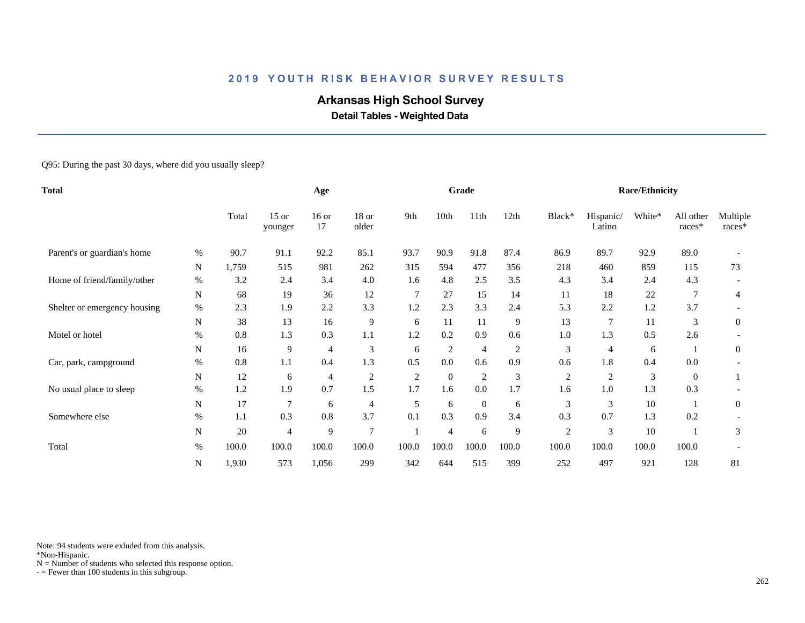# **Arkansas High School Survey**

 **Detail Tables - Weighted Data**

#### Q95: During the past 30 days, where did you usually sleep?

| <b>Total</b>                 |           |       |                    | Age            |                  |                |                | Grade            |                |                |                     | <b>Race/Ethnicity</b> |                     |                    |
|------------------------------|-----------|-------|--------------------|----------------|------------------|----------------|----------------|------------------|----------------|----------------|---------------------|-----------------------|---------------------|--------------------|
|                              |           | Total | $15$ or<br>younger | $16$ or<br>17  | $18$ or<br>older | 9th            | 10th           | 11 <sup>th</sup> | 12th           | Black*         | Hispanic/<br>Latino | White*                | All other<br>races* | Multiple<br>races* |
| Parent's or guardian's home  | $\%$      | 90.7  | 91.1               | 92.2           | 85.1             | 93.7           | 90.9           | 91.8             | 87.4           | 86.9           | 89.7                | 92.9                  | 89.0                |                    |
|                              | N         | 1,759 | 515                | 981            | 262              | 315            | 594            | 477              | 356            | 218            | 460                 | 859                   | 115                 | 73                 |
| Home of friend/family/other  | %         | 3.2   | 2.4                | 3.4            | 4.0              | 1.6            | 4.8            | 2.5              | 3.5            | 4.3            | 3.4                 | 2.4                   | 4.3                 |                    |
|                              | ${\bf N}$ | 68    | 19                 | 36             | 12               | $\overline{7}$ | 27             | 15               | 14             | 11             | 18                  | 22                    |                     | $\overline{4}$     |
| Shelter or emergency housing | $\%$      | 2.3   | 1.9                | 2.2            | 3.3              | 1.2            | 2.3            | 3.3              | 2.4            | 5.3            | 2.2                 | 1.2                   | 3.7                 |                    |
|                              | N         | 38    | 13                 | 16             | 9                | 6              | 11             | 11               | 9              | 13             | 7                   | 11                    | 3                   | $\overline{0}$     |
| Motel or hotel               | $\%$      | 0.8   | 1.3                | 0.3            | 1.1              | 1.2            | 0.2            | 0.9              | 0.6            | 1.0            | 1.3                 | 0.5                   | 2.6                 |                    |
|                              | N         | 16    | 9                  | $\overline{4}$ | 3                | 6              | $\overline{2}$ | $\overline{4}$   | $\overline{2}$ | 3              | 4                   | 6                     |                     | $\mathbf{0}$       |
| Car, park, campground        | %         | 0.8   | 1.1                | 0.4            | 1.3              | 0.5            | 0.0            | 0.6              | 0.9            | 0.6            | 1.8                 | 0.4                   | 0.0                 |                    |
|                              | N         | 12    | 6                  | 4              | $\overline{c}$   | $\overline{c}$ | $\theta$       | $\overline{2}$   | 3              | $\overline{c}$ | $\overline{c}$      | $\mathfrak{Z}$        | $\overline{0}$      |                    |
| No usual place to sleep      | $\%$      | 1.2   | 1.9                | 0.7            | 1.5              | 1.7            | 1.6            | 0.0              | 1.7            | 1.6            | 1.0                 | 1.3                   | 0.3                 |                    |
|                              | ${\bf N}$ | 17    | 7                  | 6              | $\overline{4}$   | 5              | 6              | $\overline{0}$   | 6              | 3              | 3                   | 10                    |                     | $\overline{0}$     |
| Somewhere else               | %         | 1.1   | 0.3                | 0.8            | 3.7              | 0.1            | 0.3            | 0.9              | 3.4            | 0.3            | 0.7                 | 1.3                   | 0.2                 |                    |
|                              | N         | 20    | 4                  | 9              | $\overline{7}$   |                | 4              | 6                | 9              | 2              | 3                   | 10                    |                     | 3                  |
| Total                        | $\%$      | 100.0 | 100.0              | 100.0          | 100.0            | 100.0          | 100.0          | 100.0            | 100.0          | 100.0          | 100.0               | 100.0                 | 100.0               |                    |
|                              | ${\bf N}$ | 1,930 | 573                | 1,056          | 299              | 342            | 644            | 515              | 399            | 252            | 497                 | 921                   | 128                 | 81                 |

Note: 94 students were exluded from this analysis.

\*Non-Hispanic.

 $N =$  Number of students who selected this response option.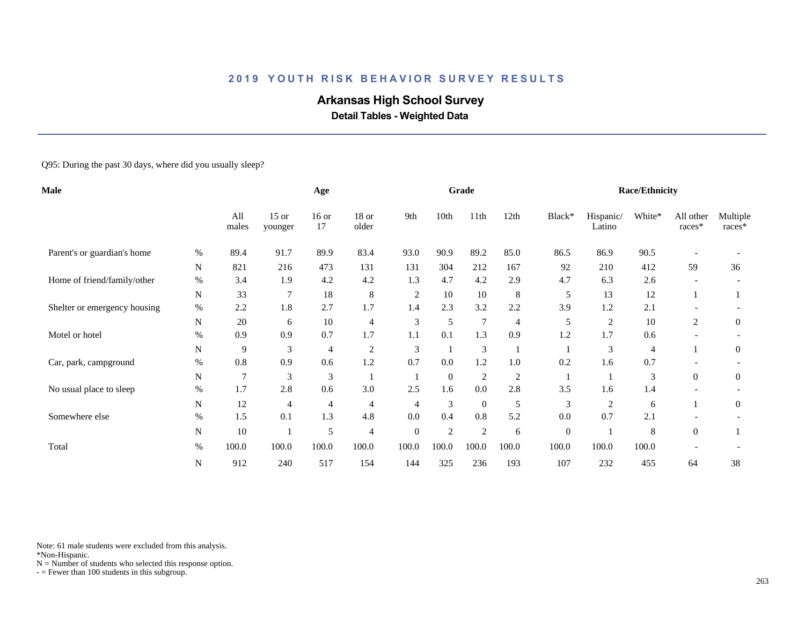# **Arkansas High School Survey**

 **Detail Tables - Weighted Data**

#### Q95: During the past 30 days, where did you usually sleep?

| Male                         |              |                | Age                         |               |                |                             | Grade          |                |                |                  | <b>Race/Ethnicity</b> |                |                          |                      |
|------------------------------|--------------|----------------|-----------------------------|---------------|----------------|-----------------------------|----------------|----------------|----------------|------------------|-----------------------|----------------|--------------------------|----------------------|
|                              | All<br>males |                |                             | $16$ or<br>17 | 18 or<br>older | 9th                         | 10th           | 11th           | 12th           | Black*           | Hispanic/<br>Latino   | White*         | All other<br>races*      | Multiple<br>$races*$ |
| Parent's or guardian's home  | %            | 89.4           | 91.7                        | 89.9          | 83.4           | 93.0                        | 90.9           | 89.2           | 85.0           | 86.5             | 86.9                  | 90.5           |                          |                      |
|                              | N            | 821            | 216                         | 473           | 131            | 131                         | 304            | 212            | 167            | 92               | 210                   | 412            | 59                       | 36                   |
| Home of friend/family/other  | $\%$         | 3.4            | 1.9                         | 4.2           | 4.2            | 1.3                         | 4.7            | 4.2            | 2.9            | 4.7              | 6.3                   | 2.6            |                          |                      |
|                              | N            | 33             | 7                           | 18            | $\,8\,$        | $\overline{c}$              | 10             | 10             | 8              | 5                | 13                    | 12             |                          |                      |
| Shelter or emergency housing | $\%$         | 2.2            | 1.8                         | 2.7           | 1.7            | 1.4                         | 2.3            | 3.2            | 2.2            | 3.9              | 1.2                   | 2.1            |                          |                      |
|                              | N            | 20             | 6                           | 10            | $\overline{4}$ | 3                           | 5              | $\overline{7}$ | 4              | 5                | $\overline{2}$        | 10             | 2                        | $\overline{0}$       |
| Motel or hotel               | $\%$         | 0.9            | 0.9                         | 0.7           | 1.7            | 1.1                         | 0.1            | 1.3            | 0.9            | 1.2              | 1.7                   | 0.6            |                          |                      |
|                              | N            | 9              | $\ensuremath{\mathfrak{Z}}$ | 4             | $\overline{c}$ | $\ensuremath{\mathfrak{Z}}$ |                | $\mathfrak{Z}$ |                |                  | 3                     | $\overline{4}$ |                          | $\boldsymbol{0}$     |
| Car, park, campground        | $\%$         | 0.8            | 0.9                         | 0.6           | 1.2            | 0.7                         | 0.0            | 1.2            | 1.0            | 0.2              | 1.6                   | 0.7            |                          |                      |
|                              | N            | $\overline{7}$ | 3                           | 3             |                |                             | $\mathbf{0}$   | $\overline{2}$ | $\overline{c}$ |                  |                       | 3              | $\overline{0}$           | $\boldsymbol{0}$     |
| No usual place to sleep      | $\%$         | 1.7            | 2.8                         | 0.6           | 3.0            | 2.5                         | 1.6            | 0.0            | 2.8            | 3.5              | 1.6                   | 1.4            | $\overline{\phantom{a}}$ |                      |
|                              | N            | 12             | 4                           | 4             | 4              | $\overline{4}$              | 3              | $\overline{0}$ | 5              | 3                | $\overline{c}$        | 6              |                          | $\overline{0}$       |
| Somewhere else               | %            | 1.5            | 0.1                         | 1.3           | 4.8            | 0.0                         | 0.4            | 0.8            | 5.2            | 0.0              | 0.7                   | 2.1            |                          |                      |
|                              | N            | $10\,$         |                             | 5             | $\overline{4}$ | $\boldsymbol{0}$            | $\overline{2}$ | $\overline{2}$ | 6              | $\boldsymbol{0}$ |                       | 8              | $\theta$                 |                      |
| Total                        | $\%$         | 100.0          | 100.0                       | 100.0         | 100.0          | 100.0                       | 100.0          | 100.0          | 100.0          | 100.0            | 100.0                 | 100.0          |                          |                      |
|                              | N            | 912            | 240                         | 517           | 154            | 144                         | 325            | 236            | 193            | 107              | 232                   | 455            | 64                       | 38                   |

Note: 61 male students were excluded from this analysis.

\*Non-Hispanic.

 $N =$  Number of students who selected this response option.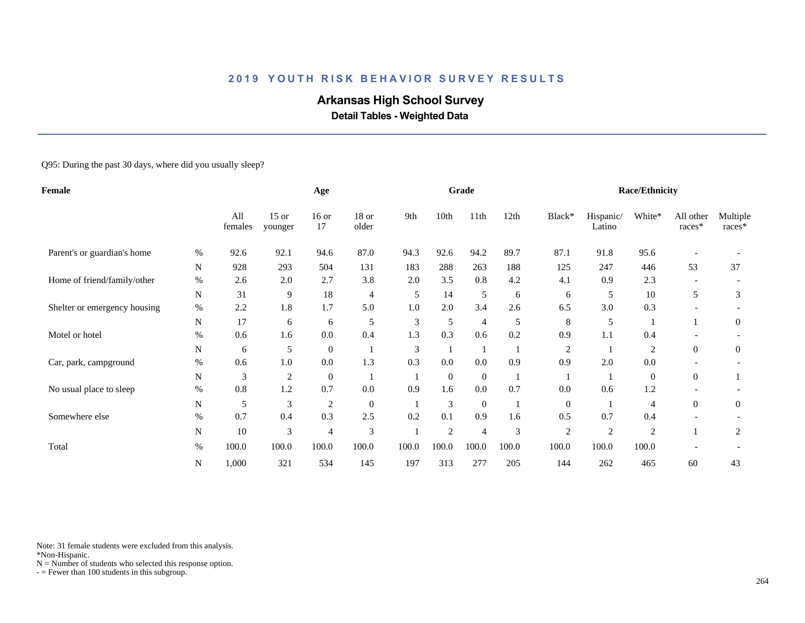# **Arkansas High School Survey**

 **Detail Tables - Weighted Data**

#### Q95: During the past 30 days, where did you usually sleep?

| Female                       |           |                | Age                |                |                  |                | Grade          |                |       |                | <b>Race/Ethnicity</b> |                |                     |                    |
|------------------------------|-----------|----------------|--------------------|----------------|------------------|----------------|----------------|----------------|-------|----------------|-----------------------|----------------|---------------------|--------------------|
|                              |           | All<br>females | $15$ or<br>younger | $16$ or<br>17  | $18$ or<br>older | 9th            | 10th           | 11th           | 12th  | Black*         | Hispanic/<br>Latino   | White*         | All other<br>races* | Multiple<br>races* |
| Parent's or guardian's home  | %         | 92.6           | 92.1               | 94.6           | 87.0             | 94.3           | 92.6           | 94.2           | 89.7  | 87.1           | 91.8                  | 95.6           |                     |                    |
|                              | N         | 928            | 293                | 504            | 131              | 183            | 288            | 263            | 188   | 125            | 247                   | 446            | 53                  | 37                 |
| Home of friend/family/other  | %         | 2.6            | 2.0                | 2.7            | 3.8              | 2.0            | 3.5            | 0.8            | 4.2   | 4.1            | 0.9                   | 2.3            |                     |                    |
|                              | N         | 31             | 9                  | 18             | 4                | 5              | 14             | 5              | 6     | 6              | 5                     | 10             | 5                   | 3                  |
| Shelter or emergency housing | $\%$      | 2.2            | 1.8                | 1.7            | 5.0              | 1.0            | 2.0            | 3.4            | 2.6   | 6.5            | 3.0                   | 0.3            |                     |                    |
|                              | N         | 17             | 6                  | 6              | 5                | 3              | 5              | 4              | 5     | 8              | 5                     |                |                     | $\theta$           |
| Motel or hotel               | $\%$      | 0.6            | 1.6                | 0.0            | 0.4              | 1.3            | 0.3            | 0.6            | 0.2   | 0.9            | 1.1                   | 0.4            |                     |                    |
|                              | N         | 6              | 5                  | $\mathbf{0}$   |                  | $\mathfrak{Z}$ |                | $\mathbf{1}$   |       | $\overline{c}$ |                       | $\overline{c}$ | $\theta$            | $\mathbf{0}$       |
| Car, park, campground        | $\%$      | 0.6            | 1.0                | 0.0            | 1.3              | 0.3            | 0.0            | 0.0            | 0.9   | 0.9            | 2.0                   | 0.0            |                     |                    |
|                              | N         | 3              | $\overline{c}$     | $\mathbf{0}$   |                  |                | $\overline{0}$ | $\mathbf{0}$   |       |                |                       | $\theta$       | $\overline{0}$      |                    |
| No usual place to sleep      | $\%$      | 0.8            | 1.2                | 0.7            | 0.0              | 0.9            | 1.6            | 0.0            | 0.7   | 0.0            | 0.6                   | 1.2            |                     |                    |
|                              | ${\bf N}$ | 5              | 3                  | $\overline{c}$ | $\boldsymbol{0}$ |                | 3              | $\mathbf{0}$   |       | $\mathbf{0}$   |                       | 4              | $\overline{0}$      | $\mathbf{0}$       |
| Somewhere else               | $\%$      | 0.7            | 0.4                | 0.3            | 2.5              | 0.2            | 0.1            | 0.9            | 1.6   | 0.5            | 0.7                   | 0.4            |                     |                    |
|                              | ${\bf N}$ | 10             | 3                  | 4              | 3                |                | $\overline{2}$ | $\overline{4}$ | 3     | $\overline{2}$ | $\overline{2}$        | $\overline{2}$ |                     | $\overline{2}$     |
| Total                        | $\%$      | 100.0          | 100.0              | 100.0          | 100.0            | 100.0          | 100.0          | 100.0          | 100.0 | 100.0          | 100.0                 | 100.0          |                     |                    |
|                              | N         | 1,000          | 321                | 534            | 145              | 197            | 313            | 277            | 205   | 144            | 262                   | 465            | 60                  | 43                 |

Note: 31 female students were excluded from this analysis.

\*Non-Hispanic.

 $N =$  Number of students who selected this response option.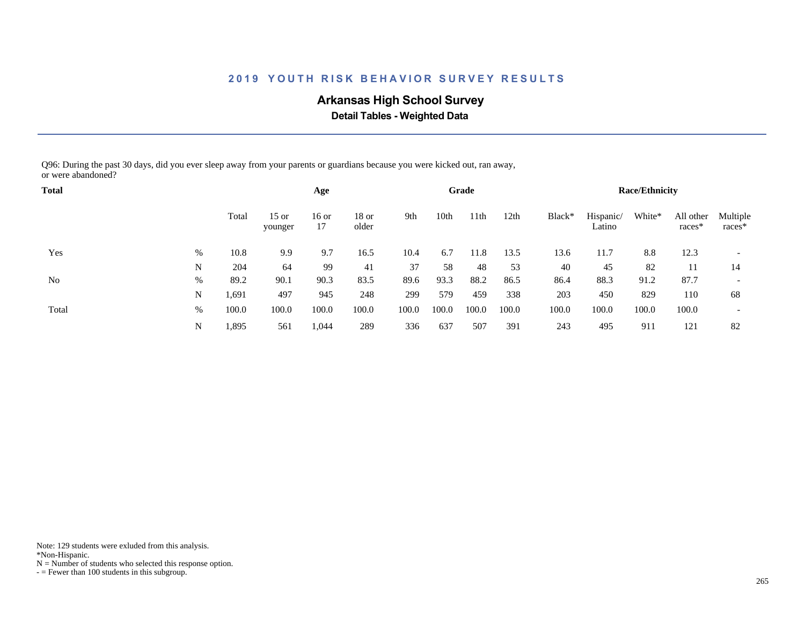# **Arkansas High School Survey**

 **Detail Tables - Weighted Data**

Q96: During the past 30 days, did you ever sleep away from your parents or guardians because you were kicked out, ran away, or were abandoned?

| <b>Total</b> |      |       |                    | Age         |                  |       |       | Grade |                  |        |                     | <b>Race/Ethnicity</b> |                       |                          |
|--------------|------|-------|--------------------|-------------|------------------|-------|-------|-------|------------------|--------|---------------------|-----------------------|-----------------------|--------------------------|
| Yes          |      | Total | $15$ or<br>younger | 16 or<br>17 | $18$ or<br>older | 9th   | 10th  | 11th  | 12 <sub>th</sub> | Black* | Hispanic/<br>Latino | White*                | All other<br>$races*$ | Multiple<br>races*       |
|              | %    | 10.8  | 9.9                | 9.7         | 16.5             | 10.4  | 6.7   | 11.8  | 13.5             | 13.6   | 11.7                | 8.8                   | 12.3                  | $\overline{\phantom{a}}$ |
|              | N    | 204   | 64                 | 99          | 41               | 37    | 58    | 48    | 53               | 40     | 45                  | 82                    | 11                    | 14                       |
| No           | $\%$ | 89.2  | 90.1               | 90.3        | 83.5             | 89.6  | 93.3  | 88.2  | 86.5             | 86.4   | 88.3                | 91.2                  | 87.7                  |                          |
|              | N    | 1,691 | 497                | 945         | 248              | 299   | 579   | 459   | 338              | 203    | 450                 | 829                   | 110                   | 68                       |
| Total        | $\%$ | 100.0 | 100.0              | 100.0       | 100.0            | 100.0 | 100.0 | 100.0 | 100.0            | 100.0  | 100.0               | 100.0                 | 100.0                 | $\overline{\phantom{a}}$ |
|              | N    | 1,895 | 561                | 1,044       | 289              | 336   | 637   | 507   | 391              | 243    | 495                 | 911                   | 121                   | 82                       |

Note: 129 students were exluded from this analysis.

\*Non-Hispanic.

 $N =$  Number of students who selected this response option.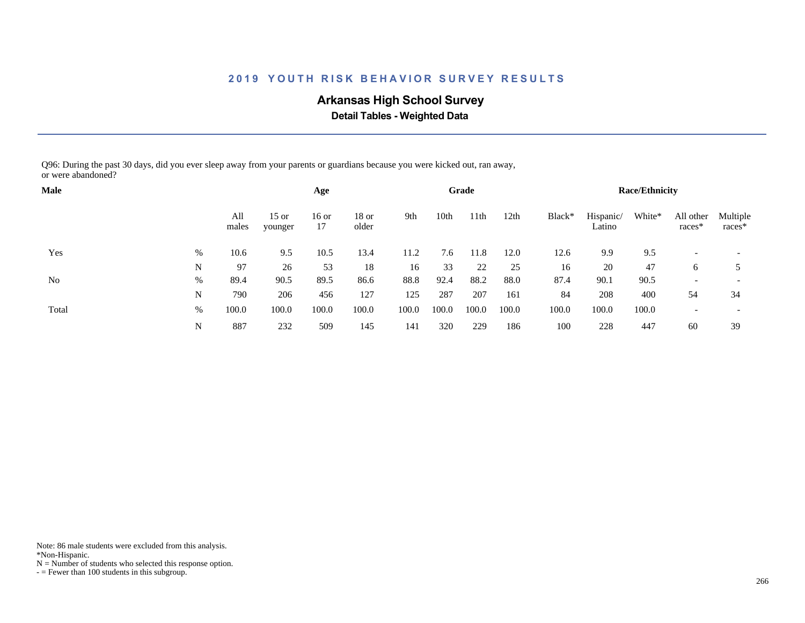# **Arkansas High School Survey**

 **Detail Tables - Weighted Data**

Q96: During the past 30 days, did you ever sleep away from your parents or guardians because you were kicked out, ran away, or were abandoned?

| <b>Male</b> |      |              |                    | Age           |                  |       |       | Grade |       |        |                     | <b>Race/Ethnicity</b> |                       |                          |
|-------------|------|--------------|--------------------|---------------|------------------|-------|-------|-------|-------|--------|---------------------|-----------------------|-----------------------|--------------------------|
| Yes         |      | All<br>males | $15$ or<br>younger | $16$ or<br>17 | $18$ or<br>older | 9th   | 10th  | 11th  | 12th  | Black* | Hispanic/<br>Latino | White*                | All other<br>$races*$ | Multiple<br>races*       |
|             | $\%$ | 10.6         | 9.5                | 10.5          | 13.4             | 11.2  | 7.6   | 11.8  | 12.0  | 12.6   | 9.9                 | 9.5                   |                       |                          |
|             | N    | 97           | 26                 | 53            | 18               | 16    | 33    | 22    | 25    | 16     | 20                  | 47                    | 6                     |                          |
| No          | $\%$ | 89.4         | 90.5               | 89.5          | 86.6             | 88.8  | 92.4  | 88.2  | 88.0  | 87.4   | 90.1                | 90.5                  |                       |                          |
|             | N    | 790          | 206                | 456           | 127              | 125   | 287   | 207   | 161   | 84     | 208                 | 400                   | 54                    | 34                       |
| Total       | $\%$ | 100.0        | 100.0              | 100.0         | 100.0            | 100.0 | 100.0 | 100.0 | 100.0 | 100.0  | 100.0               | 100.0                 |                       | $\overline{\phantom{a}}$ |
|             | N    | 887          | 232                | 509           | 145              | 141   | 320   | 229   | 186   | 100    | 228                 | 447                   | 60                    | 39                       |

Note: 86 male students were excluded from this analysis.

\*Non-Hispanic.

 $N =$  Number of students who selected this response option.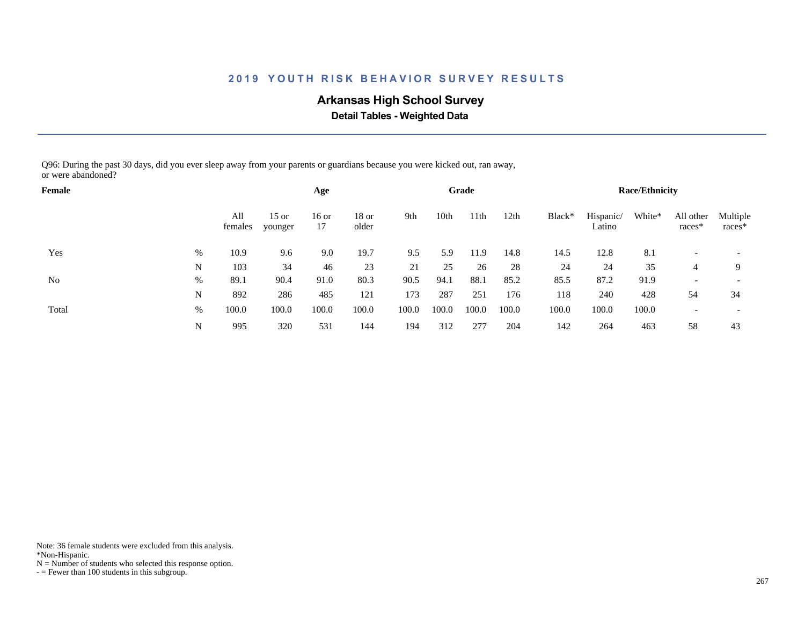# **Arkansas High School Survey**

 **Detail Tables - Weighted Data**

Q96: During the past 30 days, did you ever sleep away from your parents or guardians because you were kicked out, ran away, or were abandoned?

| Female |      |                |                    | Age         |                  |       |       | Grade |       |        |                     | <b>Race/Ethnicity</b> |                       |                          |
|--------|------|----------------|--------------------|-------------|------------------|-------|-------|-------|-------|--------|---------------------|-----------------------|-----------------------|--------------------------|
| Yes    |      | All<br>females | $15$ or<br>younger | 16 or<br>17 | $18$ or<br>older | 9th   | 10th  | 11th  | 12th  | Black* | Hispanic/<br>Latino | White*                | All other<br>$races*$ | Multiple<br>races*       |
|        | %    | 10.9           | 9.6                | 9.0         | 19.7             | 9.5   | 5.9   | 11.9  | 14.8  | 14.5   | 12.8                | 8.1                   |                       |                          |
|        | N    | 103            | 34                 | 46          | 23               | 21    | 25    | 26    | 28    | 24     | 24                  | 35                    | 4                     | Q                        |
| No     | %    | 89.1           | 90.4               | 91.0        | 80.3             | 90.5  | 94.1  | 88.1  | 85.2  | 85.5   | 87.2                | 91.9                  |                       |                          |
|        | N    | 892            | 286                | 485         | 121              | 173   | 287   | 251   | 176   | 118    | 240                 | 428                   | 54                    | 34                       |
| Total  | $\%$ | 100.0          | 100.0              | 100.0       | 100.0            | 100.0 | 100.0 | 100.0 | 100.0 | 100.0  | 100.0               | 100.0                 |                       | $\overline{\phantom{a}}$ |
|        | N    | 995            | 320                | 531         | 144              | 194   | 312   | 277   | 204   | 142    | 264                 | 463                   | 58                    | 43                       |

Note: 36 female students were excluded from this analysis.

\*Non-Hispanic.

 $N =$  Number of students who selected this response option.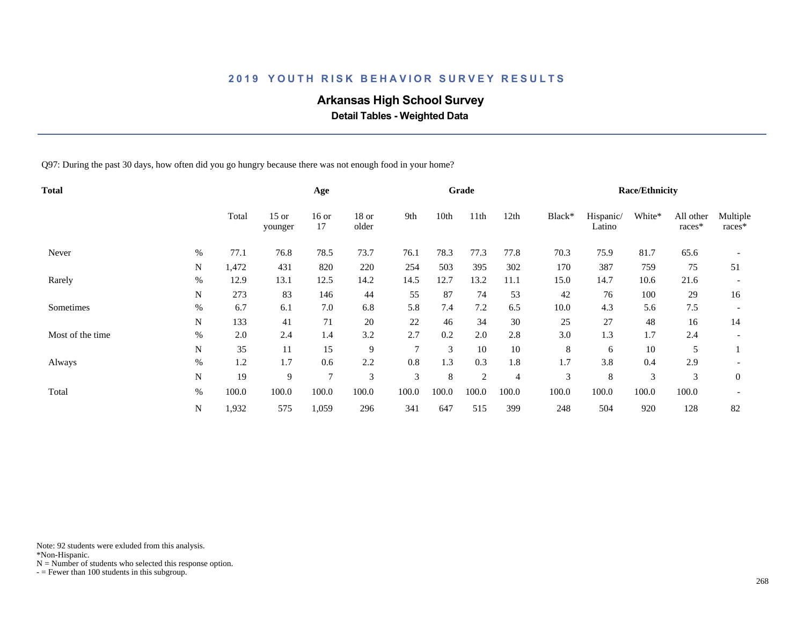# **Arkansas High School Survey**

 **Detail Tables - Weighted Data**

Q97: During the past 30 days, how often did you go hungry because there was not enough food in your home?

| Total            |      |       |                    | Age           |                  |               |       | Grade |                |        |                     | <b>Race/Ethnicity</b> |                     |                    |
|------------------|------|-------|--------------------|---------------|------------------|---------------|-------|-------|----------------|--------|---------------------|-----------------------|---------------------|--------------------|
|                  |      | Total | $15$ or<br>younger | $16$ or<br>17 | $18$ or<br>older | 9th           | 10th  | 11th  | 12th           | Black* | Hispanic/<br>Latino | White*                | All other<br>races* | Multiple<br>races* |
| Never            | $\%$ | 77.1  | 76.8               | 78.5          | 73.7             | 76.1          | 78.3  | 77.3  | 77.8           | 70.3   | 75.9                | 81.7                  | 65.6                |                    |
|                  | N    | 1,472 | 431                | 820           | 220              | 254           | 503   | 395   | 302            | 170    | 387                 | 759                   | 75                  | 51                 |
| Rarely           | $\%$ | 12.9  | 13.1               | 12.5          | 14.2             | 14.5          | 12.7  | 13.2  | 11.1           | 15.0   | 14.7                | 10.6                  | 21.6                |                    |
|                  | N    | 273   | 83                 | 146           | 44               | 55            | 87    | 74    | 53             | 42     | 76                  | 100                   | 29                  | 16                 |
| Sometimes        | $\%$ | 6.7   | 6.1                | 7.0           | 6.8              | 5.8           | 7.4   | 7.2   | 6.5            | 10.0   | 4.3                 | 5.6                   | 7.5                 |                    |
|                  | N    | 133   | 41                 | 71            | 20               | 22            | 46    | 34    | 30             | 25     | 27                  | 48                    | 16                  | 14                 |
| Most of the time | $\%$ | 2.0   | 2.4                | 1.4           | 3.2              | 2.7           | 0.2   | 2.0   | 2.8            | 3.0    | 1.3                 | 1.7                   | 2.4                 |                    |
|                  | N    | 35    | 11                 | 15            | 9                | $\mathcal{I}$ | 3     | 10    | 10             | 8      | 6                   | 10                    | 5                   |                    |
| Always           | $\%$ | 1.2   | 1.7                | 0.6           | 2.2              | 0.8           | 1.3   | 0.3   | 1.8            | 1.7    | 3.8                 | 0.4                   | 2.9                 |                    |
|                  | N    | 19    | 9                  | 7             | 3                | 3             | 8     | 2     | $\overline{4}$ | 3      | 8                   | 3                     | 3                   | $\overline{0}$     |
| Total            | $\%$ | 100.0 | 100.0              | 100.0         | 100.0            | 100.0         | 100.0 | 100.0 | 100.0          | 100.0  | 100.0               | 100.0                 | 100.0               |                    |
|                  | N    | 1,932 | 575                | 1,059         | 296              | 341           | 647   | 515   | 399            | 248    | 504                 | 920                   | 128                 | 82                 |

Note: 92 students were exluded from this analysis.

\*Non-Hispanic.

 $N =$  Number of students who selected this response option.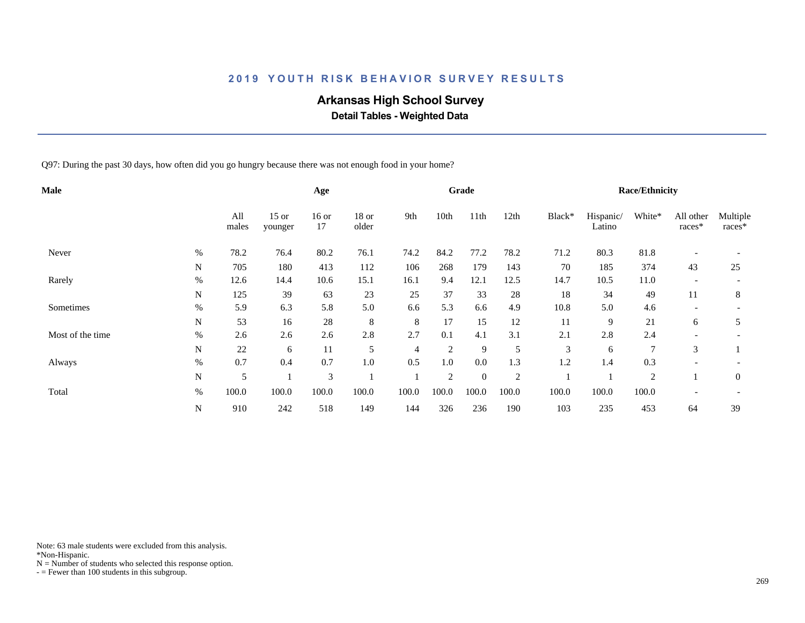# **Arkansas High School Survey**

 **Detail Tables - Weighted Data**

Q97: During the past 30 days, how often did you go hungry because there was not enough food in your home?

| <b>Male</b>      |             |              |                    | Age           |                  |                |                | Grade          |                |        |                     | <b>Race/Ethnicity</b> |                          |                    |
|------------------|-------------|--------------|--------------------|---------------|------------------|----------------|----------------|----------------|----------------|--------|---------------------|-----------------------|--------------------------|--------------------|
|                  |             | All<br>males | $15$ or<br>younger | $16$ or<br>17 | $18$ or<br>older | 9th            | 10th           | 11th           | 12th           | Black* | Hispanic/<br>Latino | White*                | All other<br>races*      | Multiple<br>races* |
| Never            | $\%$        | 78.2         | 76.4               | 80.2          | 76.1             | 74.2           | 84.2           | 77.2           | 78.2           | 71.2   | 80.3                | 81.8                  |                          |                    |
|                  | N           | 705          | 180                | 413           | 112              | 106            | 268            | 179            | 143            | 70     | 185                 | 374                   | 43                       | 25                 |
| Rarely           | $\%$        | 12.6         | 14.4               | 10.6          | 15.1             | 16.1           | 9.4            | 12.1           | 12.5           | 14.7   | 10.5                | 11.0                  | $\overline{\phantom{a}}$ |                    |
|                  | N           | 125          | 39                 | 63            | 23               | 25             | 37             | 33             | 28             | 18     | 34                  | 49                    | 11                       | 8                  |
| Sometimes        | $\%$        | 5.9          | 6.3                | 5.8           | 5.0              | 6.6            | 5.3            | 6.6            | 4.9            | 10.8   | 5.0                 | 4.6                   |                          |                    |
|                  | N           | 53           | 16                 | 28            | 8                | 8              | 17             | 15             | 12             | 11     | 9                   | 21                    | 6                        | 5                  |
| Most of the time | $\%$        | 2.6          | 2.6                | 2.6           | 2.8              | 2.7            | 0.1            | 4.1            | 3.1            | 2.1    | 2.8                 | 2.4                   |                          |                    |
|                  | N           | 22           | 6                  | 11            | 5                | $\overline{4}$ | 2              | 9              | 5              | 3      | 6                   |                       | 3                        |                    |
| Always           | $\%$        | 0.7          | 0.4                | 0.7           | 1.0              | 0.5            | 1.0            | 0.0            | 1.3            | 1.2    | 1.4                 | 0.3                   |                          |                    |
|                  | N           | 5            |                    | 3             |                  |                | $\overline{2}$ | $\overline{0}$ | $\overline{2}$ |        |                     | $\overline{2}$        |                          | $\overline{0}$     |
| Total            | $\%$        | 100.0        | 100.0              | 100.0         | 100.0            | 100.0          | 100.0          | 100.0          | 100.0          | 100.0  | 100.0               | 100.0                 |                          |                    |
|                  | $\mathbf N$ | 910          | 242                | 518           | 149              | 144            | 326            | 236            | 190            | 103    | 235                 | 453                   | 64                       | 39                 |

Note: 63 male students were excluded from this analysis.

\*Non-Hispanic.

 $N =$  Number of students who selected this response option.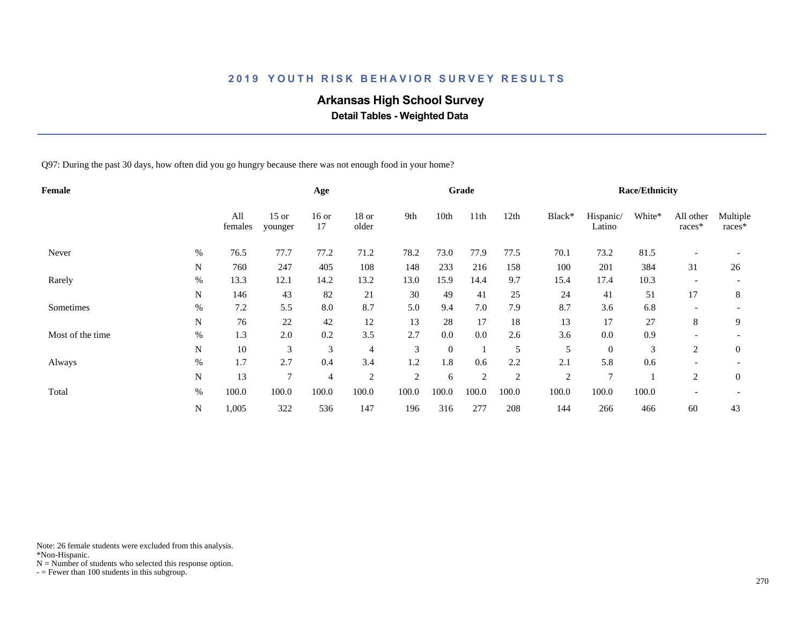# **Arkansas High School Survey**

 **Detail Tables - Weighted Data**

Q97: During the past 30 days, how often did you go hungry because there was not enough food in your home?

| Female           |      |                |                    | Age            |                  |                |          | Grade          |                |                |                     | <b>Race/Ethnicity</b> |                     |                    |
|------------------|------|----------------|--------------------|----------------|------------------|----------------|----------|----------------|----------------|----------------|---------------------|-----------------------|---------------------|--------------------|
|                  |      | All<br>females | $15$ or<br>younger | $16$ or<br>17  | $18$ or<br>older | 9th            | 10th     | 11th           | 12th           | Black*         | Hispanic/<br>Latino | White*                | All other<br>races* | Multiple<br>races* |
| Never            | $\%$ | 76.5           | 77.7               | 77.2           | 71.2             | 78.2           | 73.0     | 77.9           | 77.5           | 70.1           | 73.2                | 81.5                  |                     |                    |
|                  | N    | 760            | 247                | 405            | 108              | 148            | 233      | 216            | 158            | 100            | 201                 | 384                   | 31                  | 26                 |
| Rarely           | $\%$ | 13.3           | 12.1               | 14.2           | 13.2             | 13.0           | 15.9     | 14.4           | 9.7            | 15.4           | 17.4                | 10.3                  |                     |                    |
|                  | N    | 146            | 43                 | 82             | 21               | 30             | 49       | 41             | 25             | 24             | 41                  | 51                    | 17                  | 8                  |
| Sometimes        | $\%$ | 7.2            | 5.5                | 8.0            | 8.7              | 5.0            | 9.4      | 7.0            | 7.9            | 8.7            | 3.6                 | 6.8                   |                     |                    |
|                  | N    | 76             | 22                 | 42             | 12               | 13             | 28       | 17             | 18             | 13             | 17                  | 27                    | 8                   | 9                  |
| Most of the time | $\%$ | 1.3            | 2.0                | 0.2            | 3.5              | 2.7            | 0.0      | 0.0            | 2.6            | 3.6            | 0.0                 | 0.9                   |                     |                    |
|                  | N    | 10             | 3                  | 3              | $\overline{4}$   | 3              | $\theta$ |                | 5              | 5              | $\theta$            | 3                     | 2                   | $\overline{0}$     |
| Always           | $\%$ | 1.7            | 2.7                | 0.4            | 3.4              | 1.2            | 1.8      | 0.6            | 2.2            | 2.1            | 5.8                 | 0.6                   |                     |                    |
|                  | N    | 13             | 7                  | $\overline{4}$ | 2                | $\overline{2}$ | 6        | $\overline{2}$ | $\overline{2}$ | $\overline{2}$ | $\overline{7}$      |                       | 2                   | $\overline{0}$     |
| Total            | $\%$ | 100.0          | 100.0              | 100.0          | 100.0            | 100.0          | 100.0    | 100.0          | 100.0          | 100.0          | 100.0               | 100.0                 |                     |                    |
|                  | N    | 1,005          | 322                | 536            | 147              | 196            | 316      | 277            | 208            | 144            | 266                 | 466                   | 60                  | 43                 |

Note: 26 female students were excluded from this analysis.

\*Non-Hispanic.

 $N =$  Number of students who selected this response option.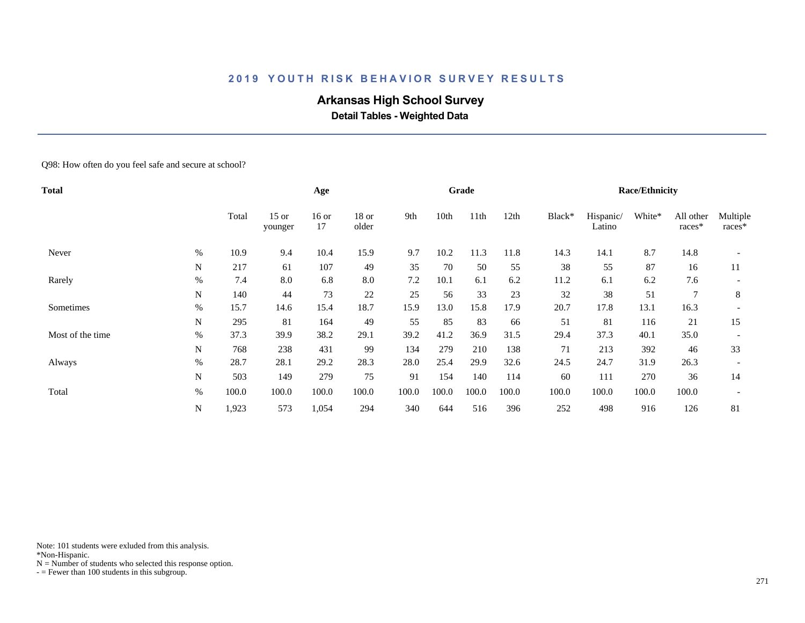# **Arkansas High School Survey**

 **Detail Tables - Weighted Data**

#### Q98: How often do you feel safe and secure at school?

| Total            |      |       |                    | Age           |                  |       |       | Grade |       |        |                     | <b>Race/Ethnicity</b> |                     |                      |
|------------------|------|-------|--------------------|---------------|------------------|-------|-------|-------|-------|--------|---------------------|-----------------------|---------------------|----------------------|
|                  |      | Total | $15$ or<br>younger | $16$ or<br>17 | $18$ or<br>older | 9th   | 10th  | 11th  | 12th  | Black* | Hispanic/<br>Latino | White*                | All other<br>races* | Multiple<br>$races*$ |
| Never            | $\%$ | 10.9  | 9.4                | 10.4          | 15.9             | 9.7   | 10.2  | 11.3  | 11.8  | 14.3   | 14.1                | 8.7                   | 14.8                |                      |
|                  | N    | 217   | 61                 | 107           | 49               | 35    | 70    | 50    | 55    | 38     | 55                  | 87                    | 16                  | 11                   |
| Rarely           | $\%$ | 7.4   | 8.0                | 6.8           | 8.0              | 7.2   | 10.1  | 6.1   | 6.2   | 11.2   | 6.1                 | 6.2                   | 7.6                 |                      |
|                  | N    | 140   | 44                 | 73            | 22               | 25    | 56    | 33    | 23    | 32     | 38                  | 51                    | $\overline{7}$      | 8                    |
| Sometimes        | $\%$ | 15.7  | 14.6               | 15.4          | 18.7             | 15.9  | 13.0  | 15.8  | 17.9  | 20.7   | 17.8                | 13.1                  | 16.3                |                      |
|                  | N    | 295   | 81                 | 164           | 49               | 55    | 85    | 83    | 66    | 51     | 81                  | 116                   | 21                  | 15                   |
| Most of the time | $\%$ | 37.3  | 39.9               | 38.2          | 29.1             | 39.2  | 41.2  | 36.9  | 31.5  | 29.4   | 37.3                | 40.1                  | 35.0                |                      |
|                  | N    | 768   | 238                | 431           | 99               | 134   | 279   | 210   | 138   | 71     | 213                 | 392                   | 46                  | 33                   |
| Always           | $\%$ | 28.7  | 28.1               | 29.2          | 28.3             | 28.0  | 25.4  | 29.9  | 32.6  | 24.5   | 24.7                | 31.9                  | 26.3                |                      |
|                  | N    | 503   | 149                | 279           | 75               | 91    | 154   | 140   | 114   | 60     | 111                 | 270                   | 36                  | 14                   |
| Total            | $\%$ | 100.0 | 100.0              | 100.0         | 100.0            | 100.0 | 100.0 | 100.0 | 100.0 | 100.0  | 100.0               | 100.0                 | 100.0               |                      |
|                  | N    | 1,923 | 573                | 1,054         | 294              | 340   | 644   | 516   | 396   | 252    | 498                 | 916                   | 126                 | 81                   |

Note: 101 students were exluded from this analysis.

\*Non-Hispanic.

 $N =$  Number of students who selected this response option.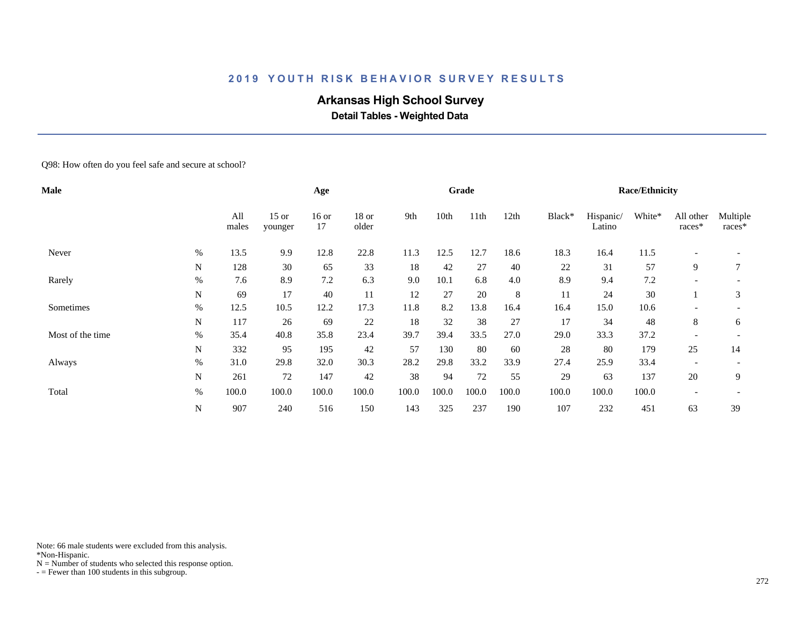# **Arkansas High School Survey**

 **Detail Tables - Weighted Data**

#### Q98: How often do you feel safe and secure at school?

| Male             |      |              |                    | Age           |                |       |       | Grade            |       |        |                     | <b>Race/Ethnicity</b> |                          |                    |
|------------------|------|--------------|--------------------|---------------|----------------|-------|-------|------------------|-------|--------|---------------------|-----------------------|--------------------------|--------------------|
|                  |      | All<br>males | $15$ or<br>younger | $16$ or<br>17 | 18 or<br>older | 9th   | 10th  | 11 <sup>th</sup> | 12th  | Black* | Hispanic/<br>Latino | White*                | All other<br>races*      | Multiple<br>races* |
| Never            | $\%$ | 13.5         | 9.9                | 12.8          | 22.8           | 11.3  | 12.5  | 12.7             | 18.6  | 18.3   | 16.4                | 11.5                  | $\overline{\phantom{a}}$ |                    |
|                  | N    | 128          | 30                 | 65            | 33             | 18    | 42    | 27               | 40    | 22     | 31                  | 57                    | 9                        | 7                  |
| Rarely           | $\%$ | 7.6          | 8.9                | $7.2\,$       | 6.3            | 9.0   | 10.1  | 6.8              | 4.0   | 8.9    | 9.4                 | 7.2                   | $\overline{\phantom{a}}$ |                    |
|                  | N    | 69           | 17                 | 40            | 11             | 12    | 27    | 20               | 8     | 11     | 24                  | 30                    |                          | 3                  |
| Sometimes        | $\%$ | 12.5         | 10.5               | 12.2          | 17.3           | 11.8  | 8.2   | 13.8             | 16.4  | 16.4   | 15.0                | 10.6                  |                          |                    |
|                  | N    | 117          | 26                 | 69            | 22             | 18    | 32    | 38               | 27    | 17     | 34                  | 48                    | 8                        | 6                  |
| Most of the time | $\%$ | 35.4         | 40.8               | 35.8          | 23.4           | 39.7  | 39.4  | 33.5             | 27.0  | 29.0   | 33.3                | 37.2                  |                          |                    |
|                  | N    | 332          | 95                 | 195           | 42             | 57    | 130   | 80               | 60    | 28     | 80                  | 179                   | 25                       | 14                 |
| Always           | $\%$ | 31.0         | 29.8               | 32.0          | 30.3           | 28.2  | 29.8  | 33.2             | 33.9  | 27.4   | 25.9                | 33.4                  |                          |                    |
|                  | N    | 261          | 72                 | 147           | 42             | 38    | 94    | 72               | 55    | 29     | 63                  | 137                   | 20                       | 9                  |
| Total            | $\%$ | 100.0        | 100.0              | 100.0         | 100.0          | 100.0 | 100.0 | 100.0            | 100.0 | 100.0  | 100.0               | 100.0                 | $\overline{\phantom{a}}$ |                    |
|                  | N    | 907          | 240                | 516           | 150            | 143   | 325   | 237              | 190   | 107    | 232                 | 451                   | 63                       | 39                 |
|                  |      |              |                    |               |                |       |       |                  |       |        |                     |                       |                          |                    |

Note: 66 male students were excluded from this analysis.

\*Non-Hispanic.

 $N =$  Number of students who selected this response option.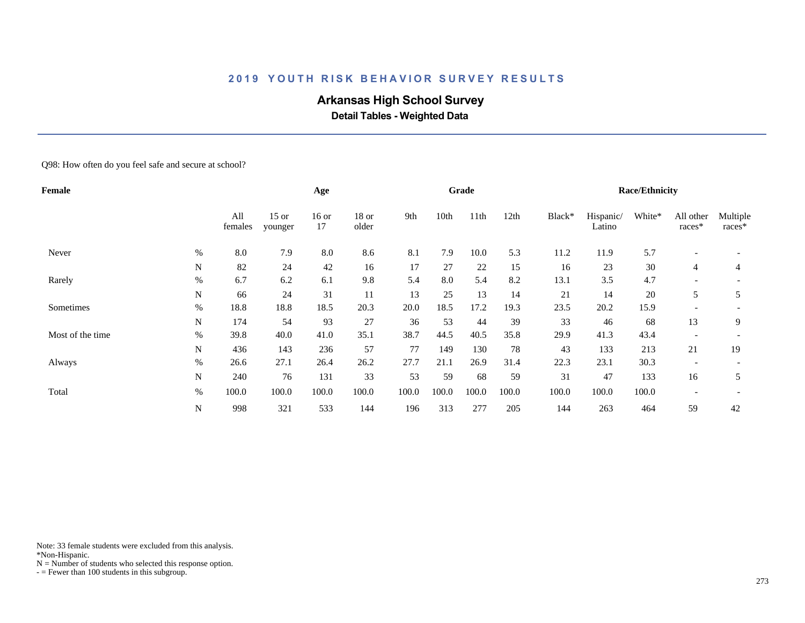# **Arkansas High School Survey**

 **Detail Tables - Weighted Data**

Q98: How often do you feel safe and secure at school?

| Female           |             |                |                    | Age           |                |       |       | Grade |       |        |                     | <b>Race/Ethnicity</b> |                          |                    |
|------------------|-------------|----------------|--------------------|---------------|----------------|-------|-------|-------|-------|--------|---------------------|-----------------------|--------------------------|--------------------|
|                  |             | All<br>females | $15$ or<br>younger | $16$ or<br>17 | 18 or<br>older | 9th   | 10th  | 11th  | 12th  | Black* | Hispanic/<br>Latino | White*                | All other<br>races*      | Multiple<br>races* |
| Never            | $\%$        | 8.0            | 7.9                | 8.0           | 8.6            | 8.1   | 7.9   | 10.0  | 5.3   | 11.2   | 11.9                | 5.7                   |                          |                    |
|                  | N           | 82             | 24                 | 42            | 16             | 17    | 27    | 22    | 15    | 16     | 23                  | 30                    | 4                        | 4                  |
| Rarely           | $\%$        | 6.7            | 6.2                | 6.1           | 9.8            | 5.4   | 8.0   | 5.4   | 8.2   | 13.1   | 3.5                 | 4.7                   | $\overline{\phantom{0}}$ |                    |
|                  | $\mathbf N$ | 66             | 24                 | 31            | 11             | 13    | 25    | 13    | 14    | 21     | 14                  | 20                    | 5                        | 5                  |
| Sometimes        | $\%$        | 18.8           | 18.8               | 18.5          | 20.3           | 20.0  | 18.5  | 17.2  | 19.3  | 23.5   | 20.2                | 15.9                  |                          |                    |
|                  | N           | 174            | 54                 | 93            | 27             | 36    | 53    | 44    | 39    | 33     | 46                  | 68                    | 13                       | 9                  |
| Most of the time | $\%$        | 39.8           | 40.0               | 41.0          | 35.1           | 38.7  | 44.5  | 40.5  | 35.8  | 29.9   | 41.3                | 43.4                  | $\overline{\phantom{a}}$ |                    |
|                  | N           | 436            | 143                | 236           | 57             | 77    | 149   | 130   | 78    | 43     | 133                 | 213                   | 21                       | 19                 |
| Always           | $\%$        | 26.6           | 27.1               | 26.4          | 26.2           | 27.7  | 21.1  | 26.9  | 31.4  | 22.3   | 23.1                | 30.3                  | $\overline{\phantom{0}}$ |                    |
|                  | N           | 240            | 76                 | 131           | 33             | 53    | 59    | 68    | 59    | 31     | 47                  | 133                   | 16                       | 5                  |
| Total            | $\%$        | 100.0          | 100.0              | 100.0         | 100.0          | 100.0 | 100.0 | 100.0 | 100.0 | 100.0  | 100.0               | 100.0                 | $\overline{\phantom{0}}$ |                    |
|                  | N           | 998            | 321                | 533           | 144            | 196   | 313   | 277   | 205   | 144    | 263                 | 464                   | 59                       | 42                 |

Note: 33 female students were excluded from this analysis.

\*Non-Hispanic.

 $N =$  Number of students who selected this response option.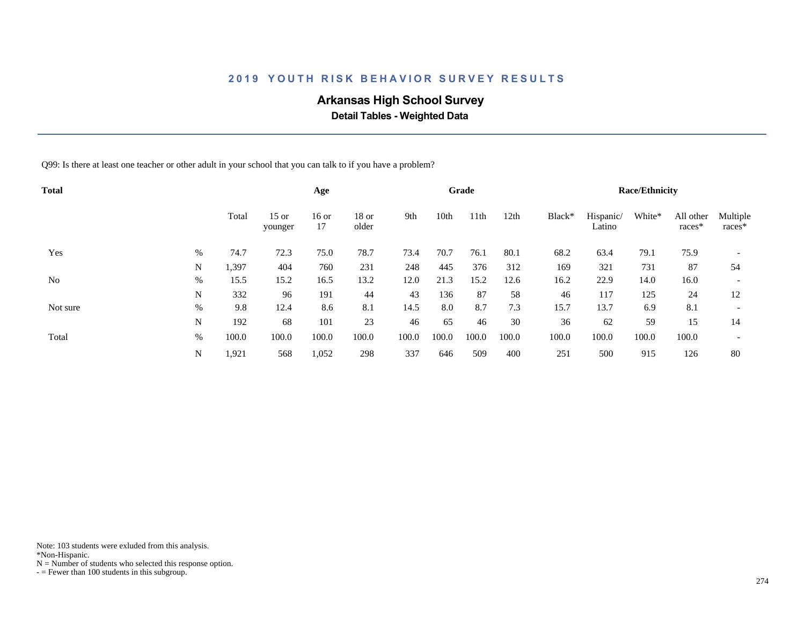# **Arkansas High School Survey**

 **Detail Tables - Weighted Data**

Q99: Is there at least one teacher or other adult in your school that you can talk to if you have a problem?

| <b>Total</b> |      |       |                    | Age           |                |       |       | Grade |       |        |                     | <b>Race/Ethnicity</b> |                     |                          |
|--------------|------|-------|--------------------|---------------|----------------|-------|-------|-------|-------|--------|---------------------|-----------------------|---------------------|--------------------------|
|              |      | Total | $15$ or<br>younger | $16$ or<br>17 | 18 or<br>older | 9th   | 10th  | 11th  | 12th  | Black* | Hispanic/<br>Latino | White*                | All other<br>races* | Multiple<br>races*       |
| Yes          | %    | 74.7  | 72.3               | 75.0          | 78.7           | 73.4  | 70.7  | 76.1  | 80.1  | 68.2   | 63.4                | 79.1                  | 75.9                |                          |
|              | N    | 1,397 | 404                | 760           | 231            | 248   | 445   | 376   | 312   | 169    | 321                 | 731                   | 87                  | 54                       |
| No           | %    | 15.5  | 15.2               | 16.5          | 13.2           | 12.0  | 21.3  | 15.2  | 12.6  | 16.2   | 22.9                | 14.0                  | 16.0                | $\overline{\phantom{a}}$ |
|              | N    | 332   | 96                 | 191           | 44             | 43    | 136   | 87    | 58    | 46     | 117                 | 125                   | 24                  | 12                       |
| Not sure     | $\%$ | 9.8   | 12.4               | 8.6           | 8.1            | 14.5  | 8.0   | 8.7   | 7.3   | 15.7   | 13.7                | 6.9                   | 8.1                 | $\overline{\phantom{a}}$ |
|              | N    | 192   | 68                 | 101           | 23             | 46    | 65    | 46    | 30    | 36     | 62                  | 59                    | 15                  | 14                       |
| Total        | %    | 100.0 | 100.0              | 100.0         | 100.0          | 100.0 | 100.0 | 100.0 | 100.0 | 100.0  | 100.0               | 100.0                 | 100.0               | $\overline{\phantom{a}}$ |
|              | N    | 1,921 | 568                | 1,052         | 298            | 337   | 646   | 509   | 400   | 251    | 500                 | 915                   | 126                 | 80                       |

Note: 103 students were exluded from this analysis.

\*Non-Hispanic.

 $N =$  Number of students who selected this response option.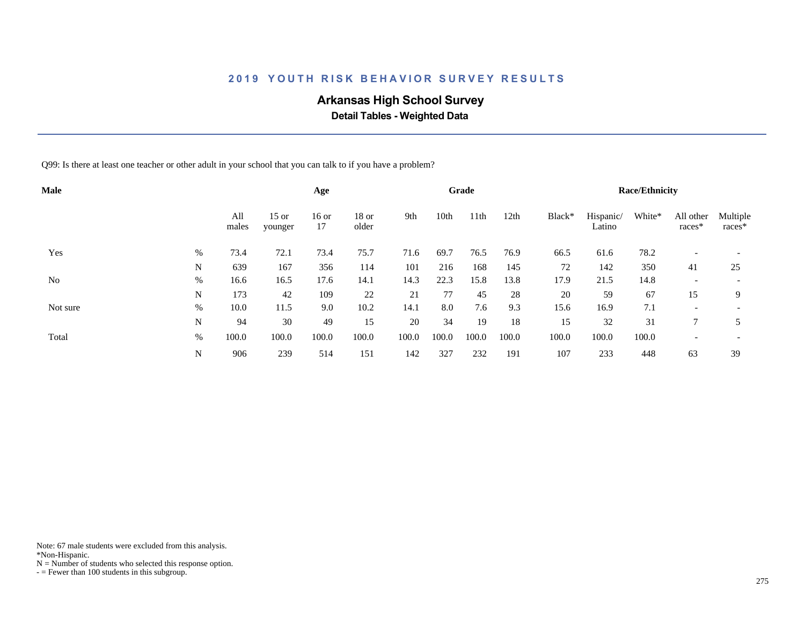# **Arkansas High School Survey**

 **Detail Tables - Weighted Data**

Q99: Is there at least one teacher or other adult in your school that you can talk to if you have a problem?

| <b>Male</b> |      |              |                    | Age           |                  |       |       | Grade |                  |        |                     | <b>Race/Ethnicity</b> |                     |                          |
|-------------|------|--------------|--------------------|---------------|------------------|-------|-------|-------|------------------|--------|---------------------|-----------------------|---------------------|--------------------------|
|             |      | All<br>males | $15$ or<br>younger | $16$ or<br>17 | $18$ or<br>older | 9th   | 10th  | 11th  | 12 <sub>th</sub> | Black* | Hispanic/<br>Latino | White*                | All other<br>races* | Multiple<br>races*       |
| Yes         | %    | 73.4         | 72.1               | 73.4          | 75.7             | 71.6  | 69.7  | 76.5  | 76.9             | 66.5   | 61.6                | 78.2                  |                     |                          |
|             | N    | 639          | 167                | 356           | 114              | 101   | 216   | 168   | 145              | 72     | 142                 | 350                   | 41                  | 25                       |
| No          | %    | 16.6         | 16.5               | 17.6          | 14.1             | 14.3  | 22.3  | 15.8  | 13.8             | 17.9   | 21.5                | 14.8                  |                     | $\overline{\phantom{a}}$ |
|             | N    | 173          | 42                 | 109           | 22               | 21    | 77    | 45    | 28               | 20     | 59                  | 67                    | 15                  | 9                        |
| Not sure    | $\%$ | 10.0         | 11.5               | 9.0           | 10.2             | 14.1  | 8.0   | 7.6   | 9.3              | 15.6   | 16.9                | 7.1                   |                     | $\overline{\phantom{a}}$ |
|             | N    | 94           | 30                 | 49            | 15               | 20    | 34    | 19    | 18               | 15     | 32                  | 31                    |                     |                          |
| Total       | %    | 100.0        | 100.0              | 100.0         | 100.0            | 100.0 | 100.0 | 100.0 | 100.0            | 100.0  | 100.0               | 100.0                 |                     | $\overline{\phantom{a}}$ |
|             | N    | 906          | 239                | 514           | 151              | 142   | 327   | 232   | 191              | 107    | 233                 | 448                   | 63                  | 39                       |

Note: 67 male students were excluded from this analysis.

\*Non-Hispanic.

 $N =$  Number of students who selected this response option.